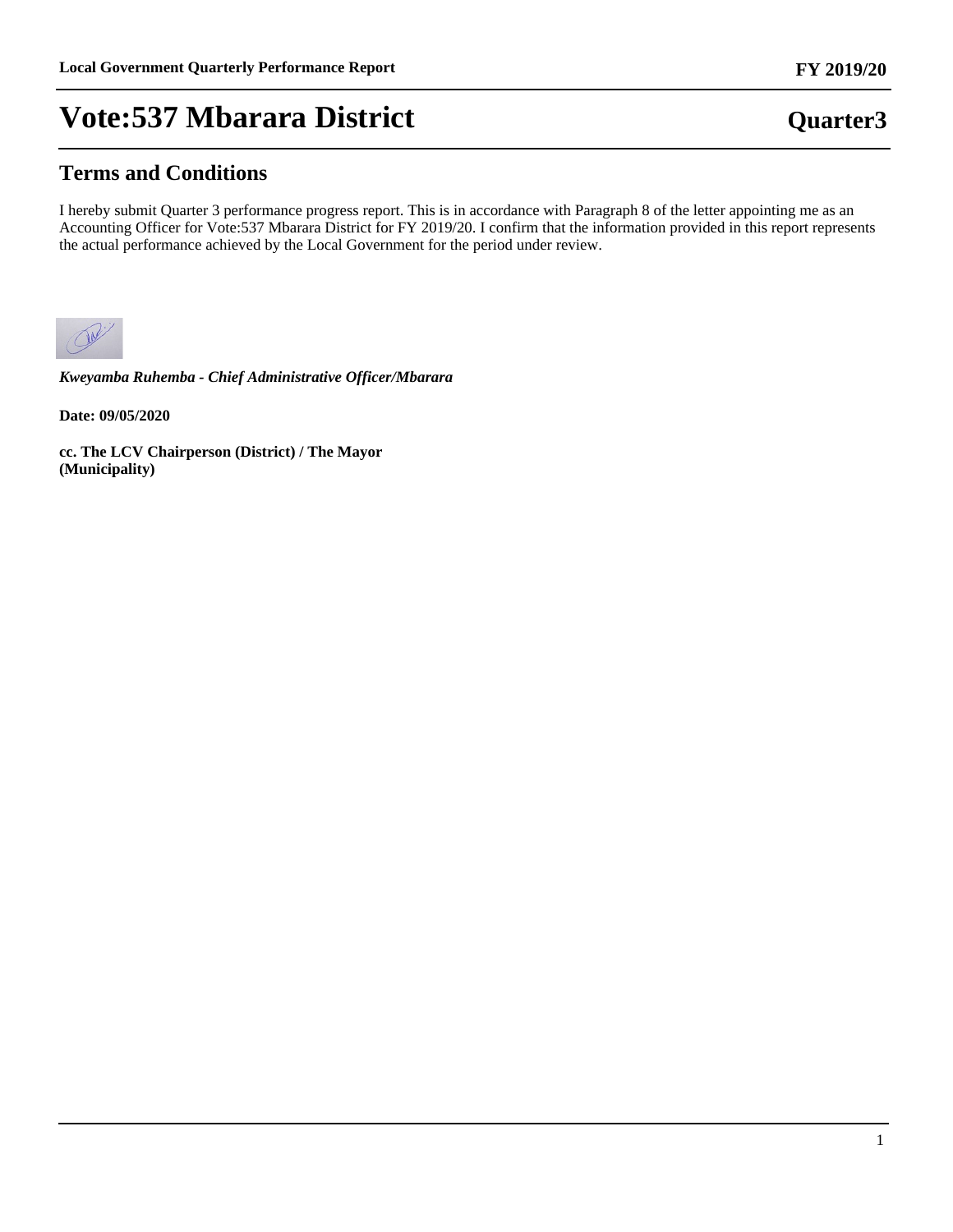### **Terms and Conditions**

I hereby submit Quarter 3 performance progress report. This is in accordance with Paragraph 8 of the letter appointing me as an Accounting Officer for Vote:537 Mbarara District for FY 2019/20. I confirm that the information provided in this report represents the actual performance achieved by the Local Government for the period under review.



*Kweyamba Ruhemba - Chief Administrative Officer/Mbarara*

**Date: 09/05/2020**

**cc. The LCV Chairperson (District) / The Mayor (Municipality)**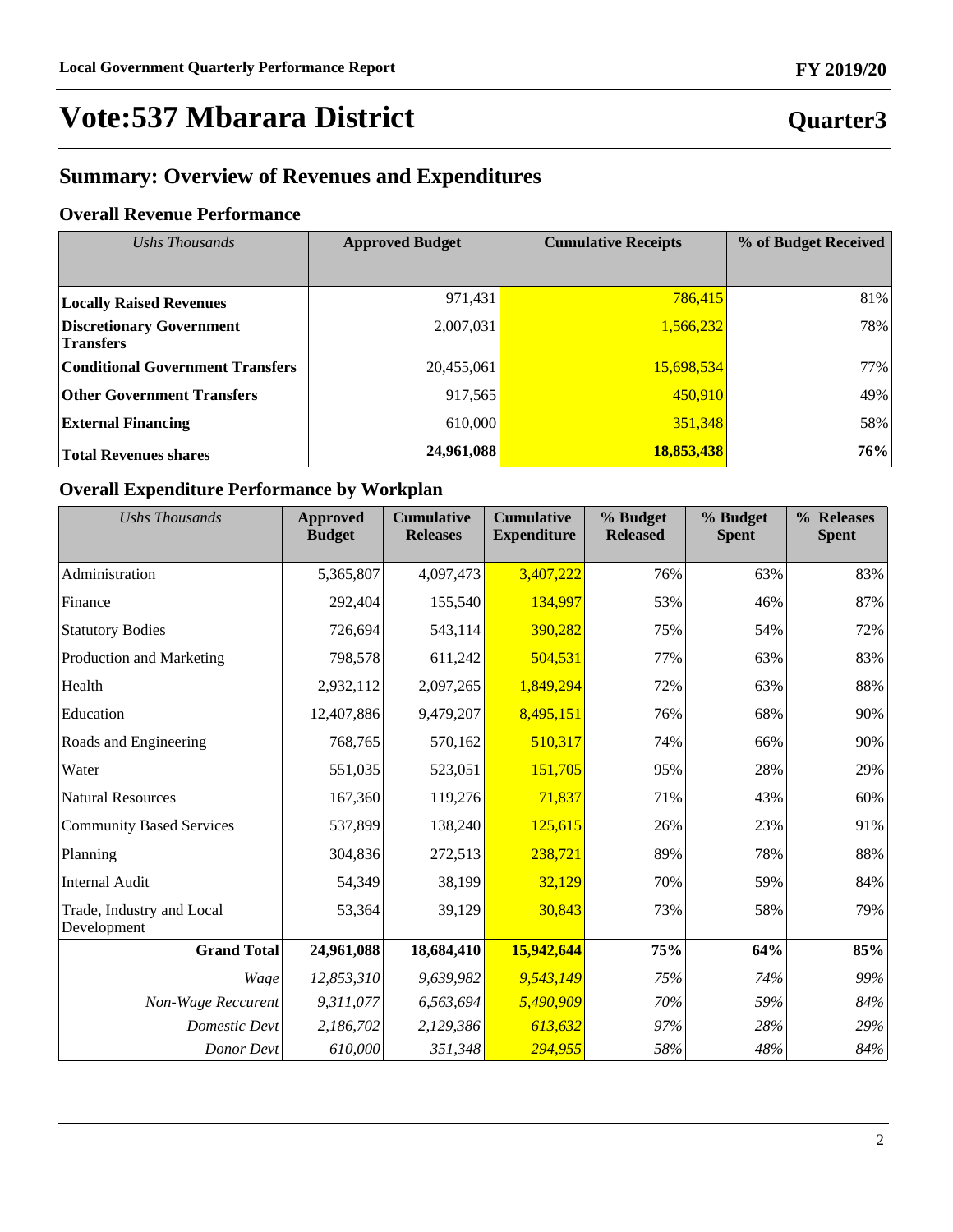## **Quarter3**

## **Summary: Overview of Revenues and Expenditures**

### **Overall Revenue Performance**

| Ushs Thousands                                      | <b>Approved Budget</b> | <b>Cumulative Receipts</b> | % of Budget Received |  |
|-----------------------------------------------------|------------------------|----------------------------|----------------------|--|
|                                                     |                        |                            |                      |  |
| <b>Locally Raised Revenues</b>                      | 971,431                | 786,415                    | 81%                  |  |
| <b>Discretionary Government</b><br><b>Transfers</b> | 2,007,031              | 1,566,232                  | 78%                  |  |
| <b>Conditional Government Transfers</b>             | 20,455,061             | 15,698,534                 | 77%                  |  |
| <b>Other Government Transfers</b>                   | 917,565                | 450,910                    | 49%                  |  |
| <b>External Financing</b>                           | 610,000                | 351,348                    | 58%                  |  |
| <b>Total Revenues shares</b>                        | 24,961,088             | 18,853,438                 | 76%                  |  |

### **Overall Expenditure Performance by Workplan**

| <b>Ushs Thousands</b>                    | <b>Approved</b><br><b>Budget</b> | <b>Cumulative</b><br><b>Releases</b> | <b>Cumulative</b><br><b>Expenditure</b> | % Budget<br><b>Released</b> | % Budget<br><b>Spent</b> | % Releases<br><b>Spent</b> |
|------------------------------------------|----------------------------------|--------------------------------------|-----------------------------------------|-----------------------------|--------------------------|----------------------------|
| Administration                           | 5,365,807                        | 4,097,473                            | 3,407,222                               | 76%                         | 63%                      | 83%                        |
| Finance                                  | 292,404                          | 155,540                              | 134,997                                 | 53%                         | 46%                      | 87%                        |
|                                          |                                  |                                      |                                         |                             |                          |                            |
| <b>Statutory Bodies</b>                  | 726,694                          | 543,114                              | 390,282                                 | 75%                         | 54%                      | 72%                        |
| Production and Marketing                 | 798,578                          | 611,242                              | 504,531                                 | 77%                         | 63%                      | 83%                        |
| Health                                   | 2,932,112                        | 2,097,265                            | 1,849,294                               | 72%                         | 63%                      | 88%                        |
| Education                                | 12,407,886                       | 9,479,207                            | 8,495,151                               | 76%                         | 68%                      | 90%                        |
| Roads and Engineering                    | 768,765                          | 570,162                              | 510,317                                 | 74%                         | 66%                      | 90%                        |
| Water                                    | 551,035                          | 523,051                              | 151,705                                 | 95%                         | 28%                      | 29%                        |
| <b>Natural Resources</b>                 | 167,360                          | 119,276                              | 71,837                                  | 71%                         | 43%                      | 60%                        |
| <b>Community Based Services</b>          | 537,899                          | 138,240                              | 125,615                                 | 26%                         | 23%                      | 91%                        |
| Planning                                 | 304,836                          | 272,513                              | 238,721                                 | 89%                         | 78%                      | 88%                        |
| <b>Internal Audit</b>                    | 54,349                           | 38,199                               | 32,129                                  | 70%                         | 59%                      | 84%                        |
| Trade, Industry and Local<br>Development | 53,364                           | 39,129                               | 30,843                                  | 73%                         | 58%                      | 79%                        |
| <b>Grand Total</b>                       | 24,961,088                       | 18,684,410                           | 15,942,644                              | 75%                         | 64%                      | 85%                        |
| Wage                                     | 12,853,310                       | 9,639,982                            | 9,543,149                               | 75%                         | 74%                      | 99%                        |
| Non-Wage Reccurent                       | 9,311,077                        | 6,563,694                            | 5,490,909                               | 70%                         | 59%                      | 84%                        |
| <b>Domestic Devt</b>                     | 2,186,702                        | 2,129,386                            | 613,632                                 | 97%                         | 28%                      | 29%                        |
| Donor Devt                               | 610,000                          | 351,348                              | 294,955                                 | 58%                         | 48%                      | 84%                        |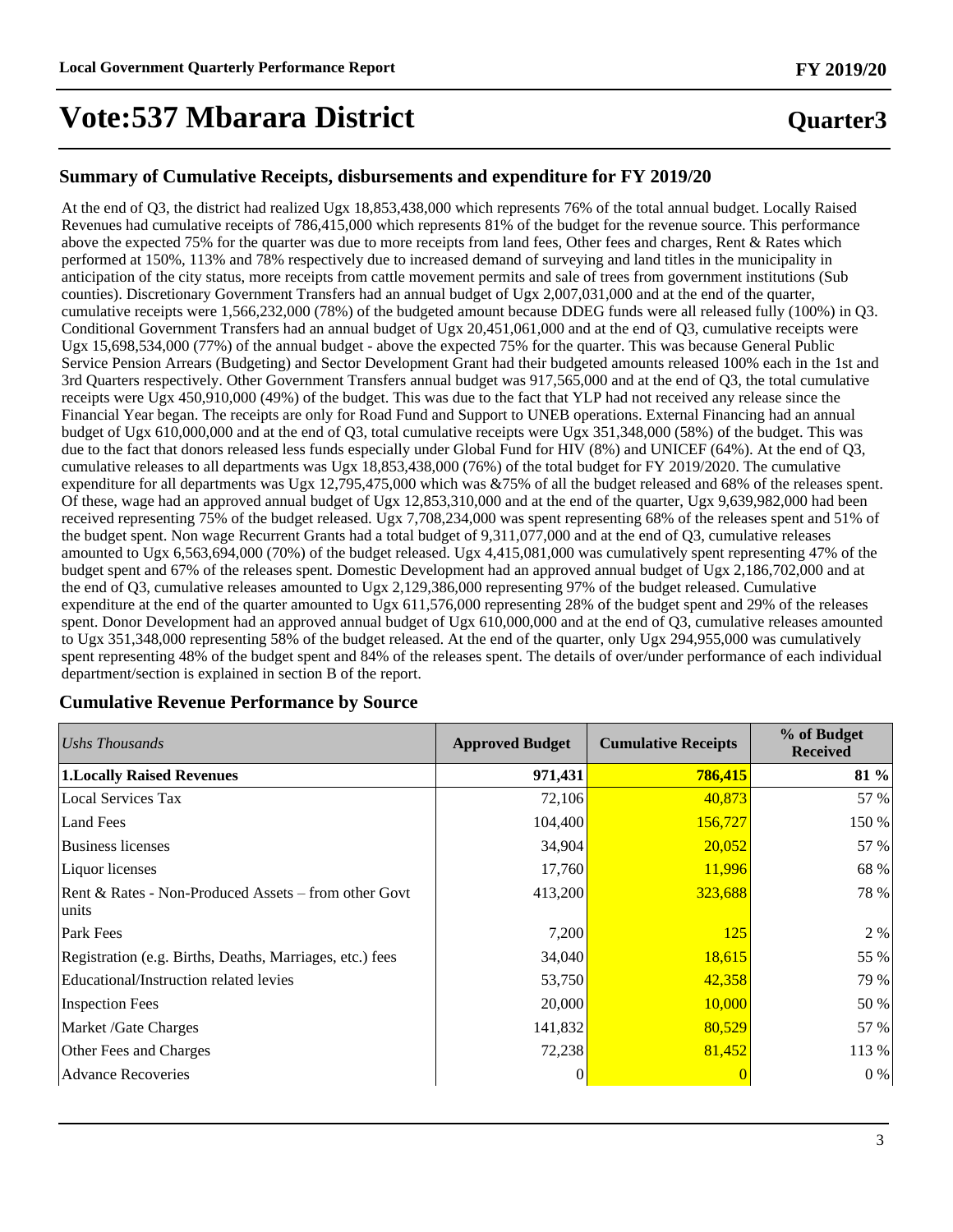## **Quarter3**

### **Summary of Cumulative Receipts, disbursements and expenditure for FY 2019/20**

At the end of Q3, the district had realized Ugx 18,853,438,000 which represents 76% of the total annual budget. Locally Raised Revenues had cumulative receipts of 786,415,000 which represents 81% of the budget for the revenue source. This performance above the expected 75% for the quarter was due to more receipts from land fees, Other fees and charges, Rent & Rates which performed at 150%, 113% and 78% respectively due to increased demand of surveying and land titles in the municipality in anticipation of the city status, more receipts from cattle movement permits and sale of trees from government institutions (Sub counties). Discretionary Government Transfers had an annual budget of Ugx 2,007,031,000 and at the end of the quarter, cumulative receipts were 1,566,232,000 (78%) of the budgeted amount because DDEG funds were all released fully (100%) in Q3. Conditional Government Transfers had an annual budget of Ugx 20,451,061,000 and at the end of Q3, cumulative receipts were Ugx 15,698,534,000 (77%) of the annual budget - above the expected 75% for the quarter. This was because General Public Service Pension Arrears (Budgeting) and Sector Development Grant had their budgeted amounts released 100% each in the 1st and 3rd Quarters respectively. Other Government Transfers annual budget was 917,565,000 and at the end of Q3, the total cumulative receipts were Ugx 450,910,000 (49%) of the budget. This was due to the fact that YLP had not received any release since the Financial Year began. The receipts are only for Road Fund and Support to UNEB operations. External Financing had an annual budget of Ugx 610,000,000 and at the end of Q3, total cumulative receipts were Ugx 351,348,000 (58%) of the budget. This was due to the fact that donors released less funds especially under Global Fund for HIV (8%) and UNICEF (64%). At the end of Q3, cumulative releases to all departments was Ugx 18,853,438,000 (76%) of the total budget for FY 2019/2020. The cumulative expenditure for all departments was Ugx 12,795,475,000 which was &75% of all the budget released and 68% of the releases spent. Of these, wage had an approved annual budget of Ugx 12,853,310,000 and at the end of the quarter, Ugx 9,639,982,000 had been received representing 75% of the budget released. Ugx 7,708,234,000 was spent representing 68% of the releases spent and 51% of the budget spent. Non wage Recurrent Grants had a total budget of 9,311,077,000 and at the end of Q3, cumulative releases amounted to Ugx 6,563,694,000 (70%) of the budget released. Ugx 4,415,081,000 was cumulatively spent representing 47% of the budget spent and 67% of the releases spent. Domestic Development had an approved annual budget of Ugx 2,186,702,000 and at the end of Q3, cumulative releases amounted to Ugx 2,129,386,000 representing 97% of the budget released. Cumulative expenditure at the end of the quarter amounted to Ugx 611,576,000 representing 28% of the budget spent and 29% of the releases spent. Donor Development had an approved annual budget of Ugx 610,000,000 and at the end of Q3, cumulative releases amounted to Ugx 351,348,000 representing 58% of the budget released. At the end of the quarter, only Ugx 294,955,000 was cumulatively spent representing 48% of the budget spent and 84% of the releases spent. The details of over/under performance of each individual department/section is explained in section B of the report.

| Ushs Thousands                                                | <b>Approved Budget</b> | <b>Cumulative Receipts</b> | % of Budget<br><b>Received</b> |
|---------------------------------------------------------------|------------------------|----------------------------|--------------------------------|
| <b>1.Locally Raised Revenues</b>                              | 971,431                | 786,415                    | 81 %                           |
| <b>Local Services Tax</b>                                     | 72,106                 | 40,873                     | 57 %                           |
| <b>Land Fees</b>                                              | 104,400                | 156,727                    | 150 %                          |
| <b>Business licenses</b>                                      | 34,904                 | 20,052                     | 57 %                           |
| Liquor licenses                                               | 17,760                 | 11,996                     | 68 %                           |
| Rent & Rates - Non-Produced Assets – from other Govt<br>units | 413,200                | 323,688                    | 78 %                           |
| Park Fees                                                     | 7,200                  | <b>125</b>                 | 2 %                            |
| Registration (e.g. Births, Deaths, Marriages, etc.) fees      | 34,040                 | 18,615                     | 55 %                           |
| Educational/Instruction related levies                        | 53,750                 | 42,358                     | 79 %                           |
| <b>Inspection Fees</b>                                        | 20,000                 | 10,000                     | 50 %                           |
| Market /Gate Charges                                          | 141,832                | 80,529                     | 57 %                           |
| Other Fees and Charges                                        | 72,238                 | 81,452                     | 113 %                          |
| <b>Advance Recoveries</b>                                     | 0                      |                            | $0\%$                          |

#### **Cumulative Revenue Performance by Source**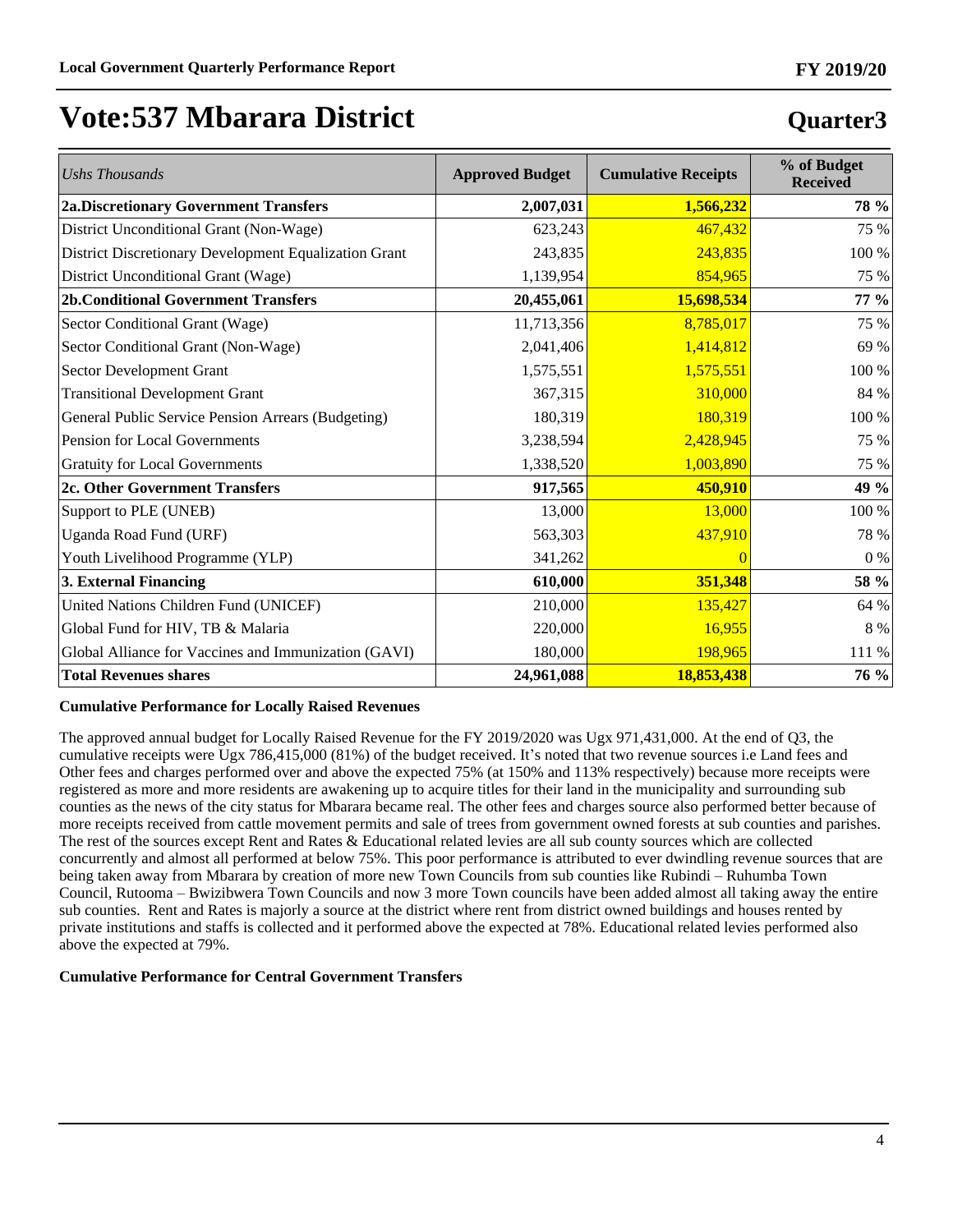**Quarter3**

## **Vote:537 Mbarara District**

| <b>Ushs Thousands</b>                                 | <b>Approved Budget</b> | <b>Cumulative Receipts</b> | % of Budget<br><b>Received</b> |
|-------------------------------------------------------|------------------------|----------------------------|--------------------------------|
| <b>2a.Discretionary Government Transfers</b>          | 2,007,031              | 1,566,232                  | 78 %                           |
| District Unconditional Grant (Non-Wage)               | 623,243                | 467,432                    | 75 %                           |
| District Discretionary Development Equalization Grant | 243,835                | 243,835                    | 100 %                          |
| District Unconditional Grant (Wage)                   | 1,139,954              | 854,965                    | 75 %                           |
| <b>2b.Conditional Government Transfers</b>            | 20,455,061             | 15,698,534                 | 77 %                           |
| Sector Conditional Grant (Wage)                       | 11,713,356             | 8,785,017                  | 75 %                           |
| Sector Conditional Grant (Non-Wage)                   | 2,041,406              | 1,414,812                  | 69 %                           |
| Sector Development Grant                              | 1,575,551              | 1,575,551                  | 100 %                          |
| <b>Transitional Development Grant</b>                 | 367,315                | 310,000                    | 84 %                           |
| General Public Service Pension Arrears (Budgeting)    | 180,319                | 180,319                    | 100 %                          |
| Pension for Local Governments                         | 3,238,594              | 2,428,945                  | 75 %                           |
| <b>Gratuity for Local Governments</b>                 | 1,338,520              | 1,003,890                  | 75 %                           |
| 2c. Other Government Transfers                        | 917,565                | 450,910                    | 49 %                           |
| Support to PLE (UNEB)                                 | 13,000                 | 13,000                     | 100 %                          |
| Uganda Road Fund (URF)                                | 563,303                | 437,910                    | 78 %                           |
| Youth Livelihood Programme (YLP)                      | 341,262                | $\overline{0}$             | $0\%$                          |
| 3. External Financing                                 | 610,000                | 351,348                    | 58 %                           |
| United Nations Children Fund (UNICEF)                 | 210,000                | 135,427                    | 64 %                           |
| Global Fund for HIV, TB & Malaria                     | 220,000                | 16,955                     | 8 %                            |
| Global Alliance for Vaccines and Immunization (GAVI)  | 180,000                | 198,965                    | 111 %                          |
| <b>Total Revenues shares</b>                          | 24,961,088             | 18,853,438                 | 76 %                           |

#### **Cumulative Performance for Locally Raised Revenues**

The approved annual budget for Locally Raised Revenue for the FY 2019/2020 was Ugx 971,431,000. At the end of Q3, the cumulative receipts were Ugx  $786,415,000$   $(81%)$  of the budget received. It's noted that two revenue sources i.e Land fees and Other fees and charges performed over and above the expected 75% (at 150% and 113% respectively) because more receipts were registered as more and more residents are awakening up to acquire titles for their land in the municipality and surrounding sub counties as the news of the city status for Mbarara became real. The other fees and charges source also performed better because of more receipts received from cattle movement permits and sale of trees from government owned forests at sub counties and parishes. The rest of the sources except Rent and Rates & Educational related levies are all sub county sources which are collected concurrently and almost all performed at below 75%. This poor performance is attributed to ever dwindling revenue sources that are being taken away from Mbarara by creation of more new Town Councils from sub counties like Rubindi – Ruhumba Town Council, Rutooma – Bwizibwera Town Councils and now 3 more Town councils have been added almost all taking away the entire sub counties. Rent and Rates is majorly a source at the district where rent from district owned buildings and houses rented by private institutions and staffs is collected and it performed above the expected at 78%. Educational related levies performed also above the expected at 79%.

#### **Cumulative Performance for Central Government Transfers**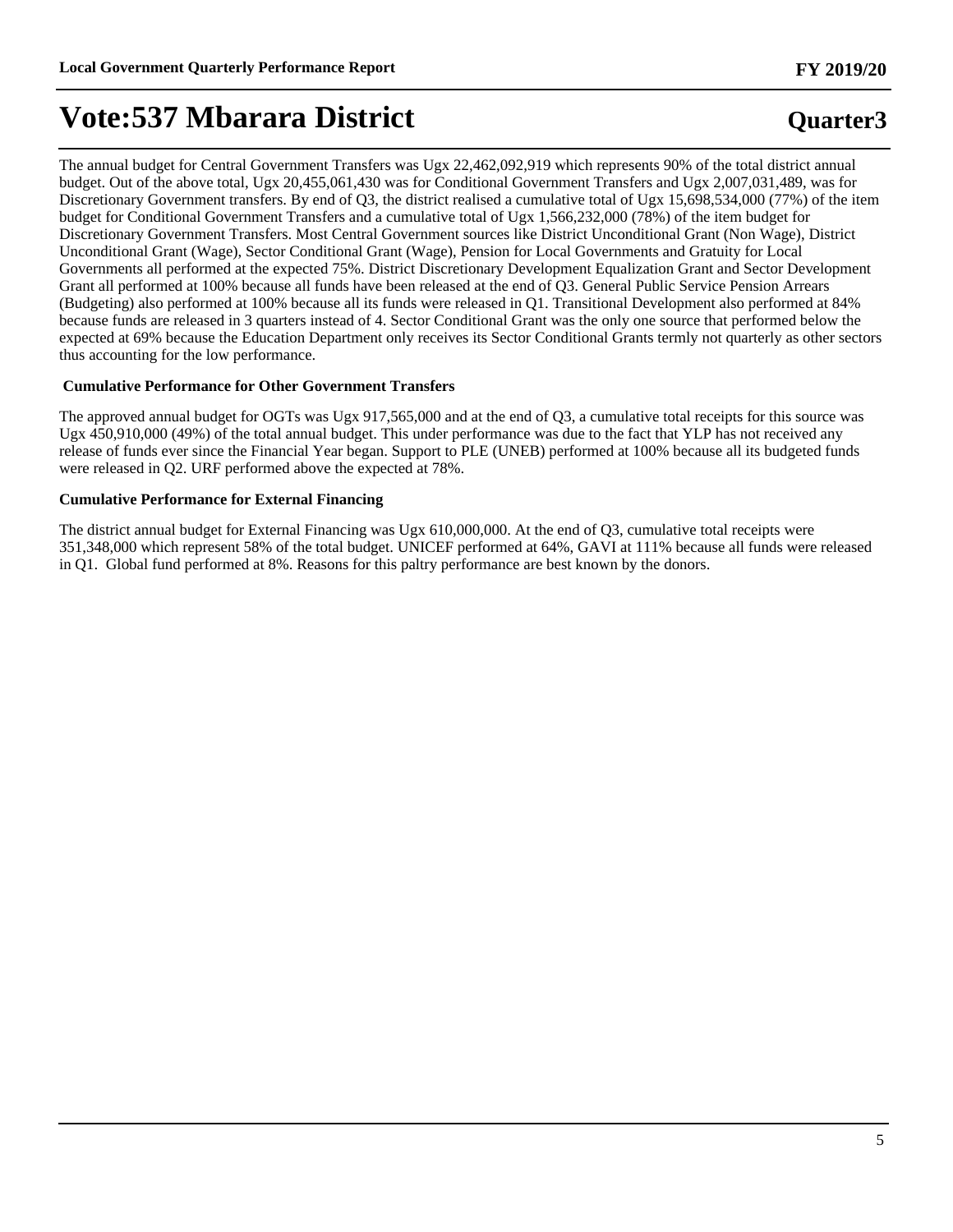## **Quarter3**

The annual budget for Central Government Transfers was Ugx 22,462,092,919 which represents 90% of the total district annual budget. Out of the above total, Ugx 20,455,061,430 was for Conditional Government Transfers and Ugx 2,007,031,489, was for Discretionary Government transfers. By end of Q3, the district realised a cumulative total of Ugx 15,698,534,000 (77%) of the item budget for Conditional Government Transfers and a cumulative total of Ugx 1,566,232,000 (78%) of the item budget for Discretionary Government Transfers. Most Central Government sources like District Unconditional Grant (Non Wage), District Unconditional Grant (Wage), Sector Conditional Grant (Wage), Pension for Local Governments and Gratuity for Local Governments all performed at the expected 75%. District Discretionary Development Equalization Grant and Sector Development Grant all performed at 100% because all funds have been released at the end of Q3. General Public Service Pension Arrears (Budgeting) also performed at 100% because all its funds were released in Q1. Transitional Development also performed at 84% because funds are released in 3 quarters instead of 4. Sector Conditional Grant was the only one source that performed below the expected at 69% because the Education Department only receives its Sector Conditional Grants termly not quarterly as other sectors thus accounting for the low performance.

#### **Cumulative Performance for Other Government Transfers**

The approved annual budget for OGTs was Ugx 917,565,000 and at the end of Q3, a cumulative total receipts for this source was Ugx 450,910,000 (49%) of the total annual budget. This under performance was due to the fact that YLP has not received any release of funds ever since the Financial Year began. Support to PLE (UNEB) performed at 100% because all its budgeted funds were released in Q2. URF performed above the expected at 78%.

#### **Cumulative Performance for External Financing**

The district annual budget for External Financing was Ugx 610,000,000. At the end of Q3, cumulative total receipts were 351,348,000 which represent 58% of the total budget. UNICEF performed at 64%, GAVI at 111% because all funds were released in Q1. Global fund performed at 8%. Reasons for this paltry performance are best known by the donors.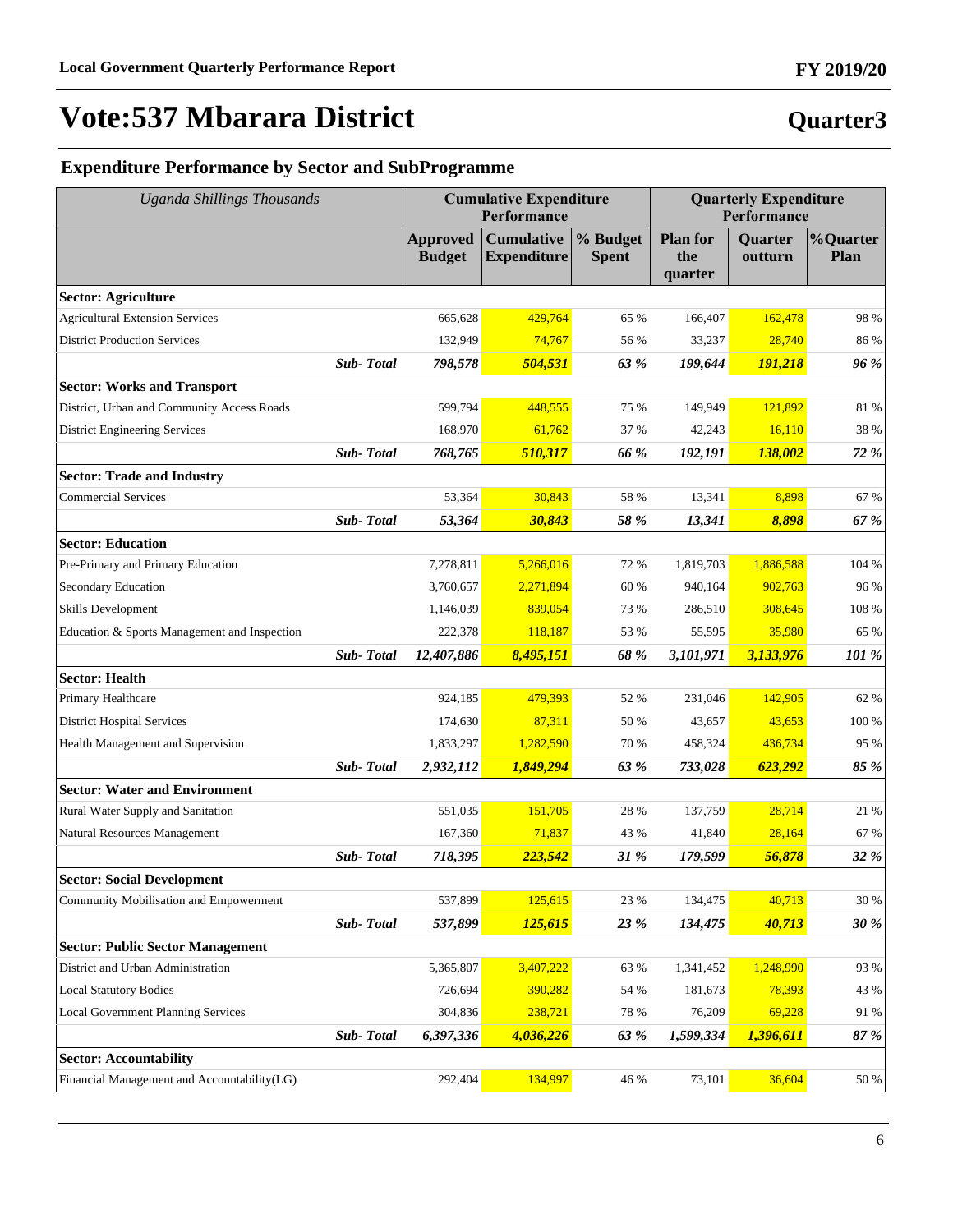# **Quarter3**

**FY 2019/20**

### **Expenditure Performance by Sector and SubProgramme**

| <b>Uganda Shillings Thousands</b>            |           | <b>Cumulative Expenditure</b><br>Performance |                                         |                          | <b>Quarterly Expenditure</b><br>Performance |                           |                         |
|----------------------------------------------|-----------|----------------------------------------------|-----------------------------------------|--------------------------|---------------------------------------------|---------------------------|-------------------------|
|                                              |           | <b>Approved</b><br><b>Budget</b>             | <b>Cumulative</b><br><b>Expenditure</b> | % Budget<br><b>Spent</b> | <b>Plan for</b><br>the<br>quarter           | <b>Quarter</b><br>outturn | %Quarter<br><b>Plan</b> |
| <b>Sector: Agriculture</b>                   |           |                                              |                                         |                          |                                             |                           |                         |
| <b>Agricultural Extension Services</b>       |           | 665,628                                      | 429,764                                 | 65 %                     | 166,407                                     | 162,478                   | 98 %                    |
| <b>District Production Services</b>          |           | 132,949                                      | 74,767                                  | 56 %                     | 33,237                                      | 28,740                    | 86 %                    |
|                                              | Sub-Total | 798,578                                      | 504,531                                 | 63 %                     | 199,644                                     | 191,218                   | 96 %                    |
| <b>Sector: Works and Transport</b>           |           |                                              |                                         |                          |                                             |                           |                         |
| District, Urban and Community Access Roads   |           | 599,794                                      | 448,555                                 | 75 %                     | 149,949                                     | 121,892                   | 81 %                    |
| <b>District Engineering Services</b>         |           | 168,970                                      | 61,762                                  | 37 %                     | 42,243                                      | 16,110                    | 38 %                    |
|                                              | Sub-Total | 768,765                                      | 510,317                                 | 66 %                     | 192,191                                     | 138,002                   | 72 %                    |
| <b>Sector: Trade and Industry</b>            |           |                                              |                                         |                          |                                             |                           |                         |
| <b>Commercial Services</b>                   |           | 53,364                                       | 30,843                                  | 58 %                     | 13,341                                      | 8,898                     | 67 %                    |
|                                              | Sub-Total | 53,364                                       | 30,843                                  | 58 %                     | 13,341                                      | 8,898                     | 67 %                    |
| <b>Sector: Education</b>                     |           |                                              |                                         |                          |                                             |                           |                         |
| Pre-Primary and Primary Education            |           | 7,278,811                                    | 5,266,016                               | 72 %                     | 1,819,703                                   | 1,886,588                 | 104 %                   |
| Secondary Education                          |           | 3,760,657                                    | 2,271,894                               | 60 %                     | 940,164                                     | 902,763                   | 96 %                    |
| <b>Skills Development</b>                    |           | 1,146,039                                    | 839,054                                 | 73 %                     | 286,510                                     | 308,645                   | 108 %                   |
| Education & Sports Management and Inspection |           | 222,378                                      | 118,187                                 | 53 %                     | 55,595                                      | 35,980                    | 65 %                    |
|                                              | Sub-Total | 12,407,886                                   | 8,495,151                               | 68 %                     | 3,101,971                                   | 3,133,976                 | 101 %                   |
| <b>Sector: Health</b>                        |           |                                              |                                         |                          |                                             |                           |                         |
| Primary Healthcare                           |           | 924,185                                      | 479,393                                 | 52 %                     | 231,046                                     | 142,905                   | 62 %                    |
| <b>District Hospital Services</b>            |           | 174,630                                      | 87,311                                  | 50 %                     | 43,657                                      | 43,653                    | 100 %                   |
| Health Management and Supervision            |           | 1,833,297                                    | 1,282,590                               | 70 %                     | 458,324                                     | 436,734                   | 95 %                    |
|                                              | Sub-Total | 2,932,112                                    | 1,849,294                               | 63 %                     | 733,028                                     | 623,292                   | 85 %                    |
| <b>Sector: Water and Environment</b>         |           |                                              |                                         |                          |                                             |                           |                         |
| Rural Water Supply and Sanitation            |           | 551,035                                      | 151,705                                 | 28 %                     | 137,759                                     | 28,714                    | 21 %                    |
| Natural Resources Management                 |           | 167,360                                      | 71.837                                  | 43 %                     | 41,840                                      | 28,164                    | 67 %                    |
|                                              | Sub-Total | 718,395                                      | 223,542                                 | 31 %                     | 179,599                                     | 56,878                    | 32 %                    |
| <b>Sector: Social Development</b>            |           |                                              |                                         |                          |                                             |                           |                         |
| Community Mobilisation and Empowerment       |           | 537,899                                      | 125,615                                 | 23 %                     | 134,475                                     | 40,713                    | $30\ \%$                |
|                                              | Sub-Total | 537,899                                      | 125,615                                 | 23 %                     | 134,475                                     | 40,713                    | <b>30 %</b>             |
| <b>Sector: Public Sector Management</b>      |           |                                              |                                         |                          |                                             |                           |                         |
| District and Urban Administration            |           | 5,365,807                                    | 3,407,222                               | 63 %                     | 1,341,452                                   | 1,248,990                 | 93 %                    |
| <b>Local Statutory Bodies</b>                |           | 726,694                                      | 390,282                                 | 54 %                     | 181,673                                     | 78,393                    | 43 %                    |
| <b>Local Government Planning Services</b>    |           | 304,836                                      | 238,721                                 | 78 %                     | 76,209                                      | 69,228                    | 91 %                    |
|                                              | Sub-Total | 6,397,336                                    | 4,036,226                               | 63 %                     | 1,599,334                                   | 1,396,611                 | 87 %                    |
| <b>Sector: Accountability</b>                |           |                                              |                                         |                          |                                             |                           |                         |
| Financial Management and Accountability(LG)  |           | 292,404                                      | 134,997                                 | 46 %                     | 73,101                                      | 36,604                    | $50\ \%$                |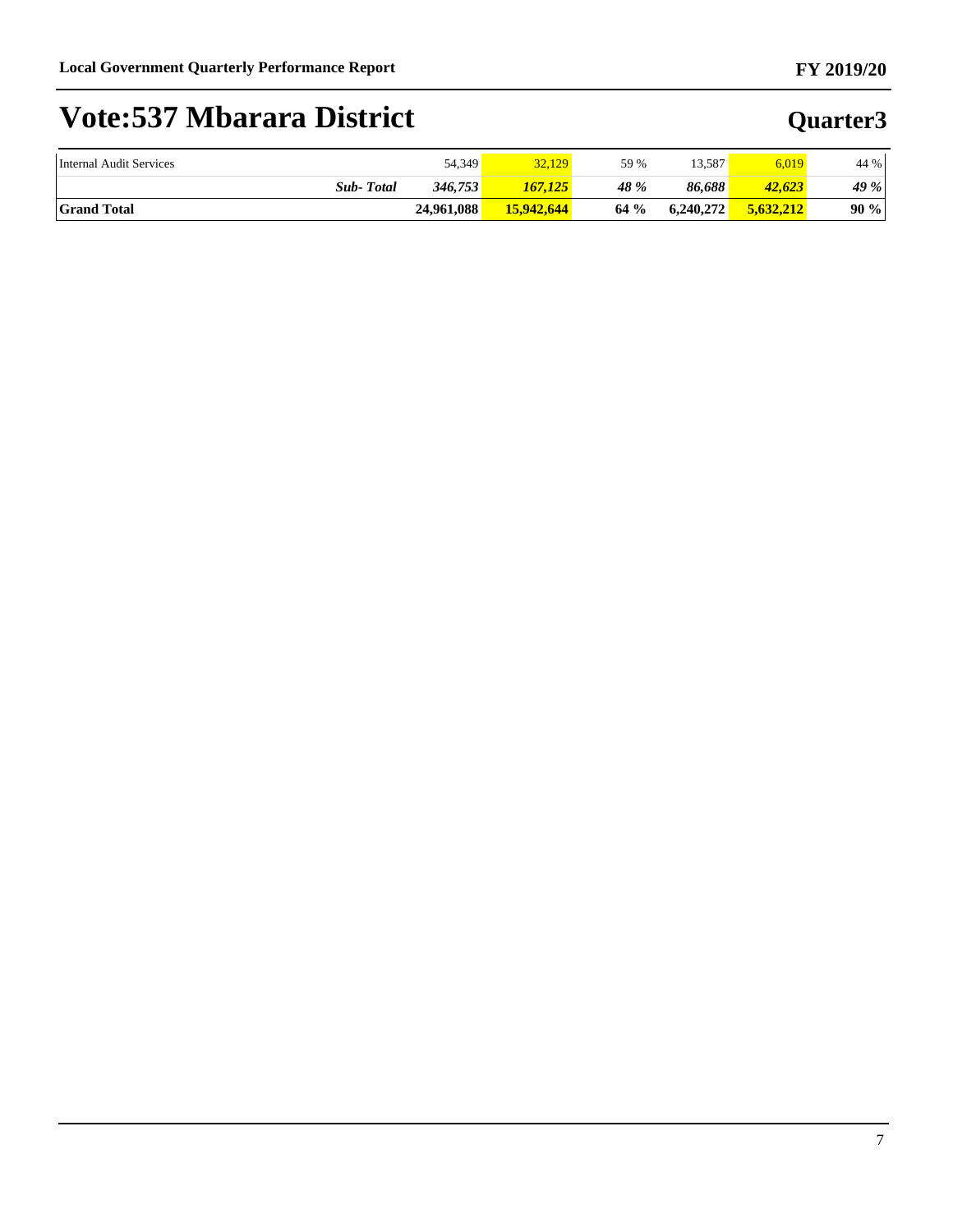| Internal Audit Services | 54,349     | 32,129     | 59 % | 13.587    | 6.019     | 44 %   |
|-------------------------|------------|------------|------|-----------|-----------|--------|
| <b>Sub-Total</b>        | 346,753    | 167.125    | 48 % | 86.688    | 42,623    | 49 %   |
| <b>Grand Total</b>      | 24.961.088 | 15,942,644 | 64%  | 6.240.272 | 5.632.212 | $90\%$ |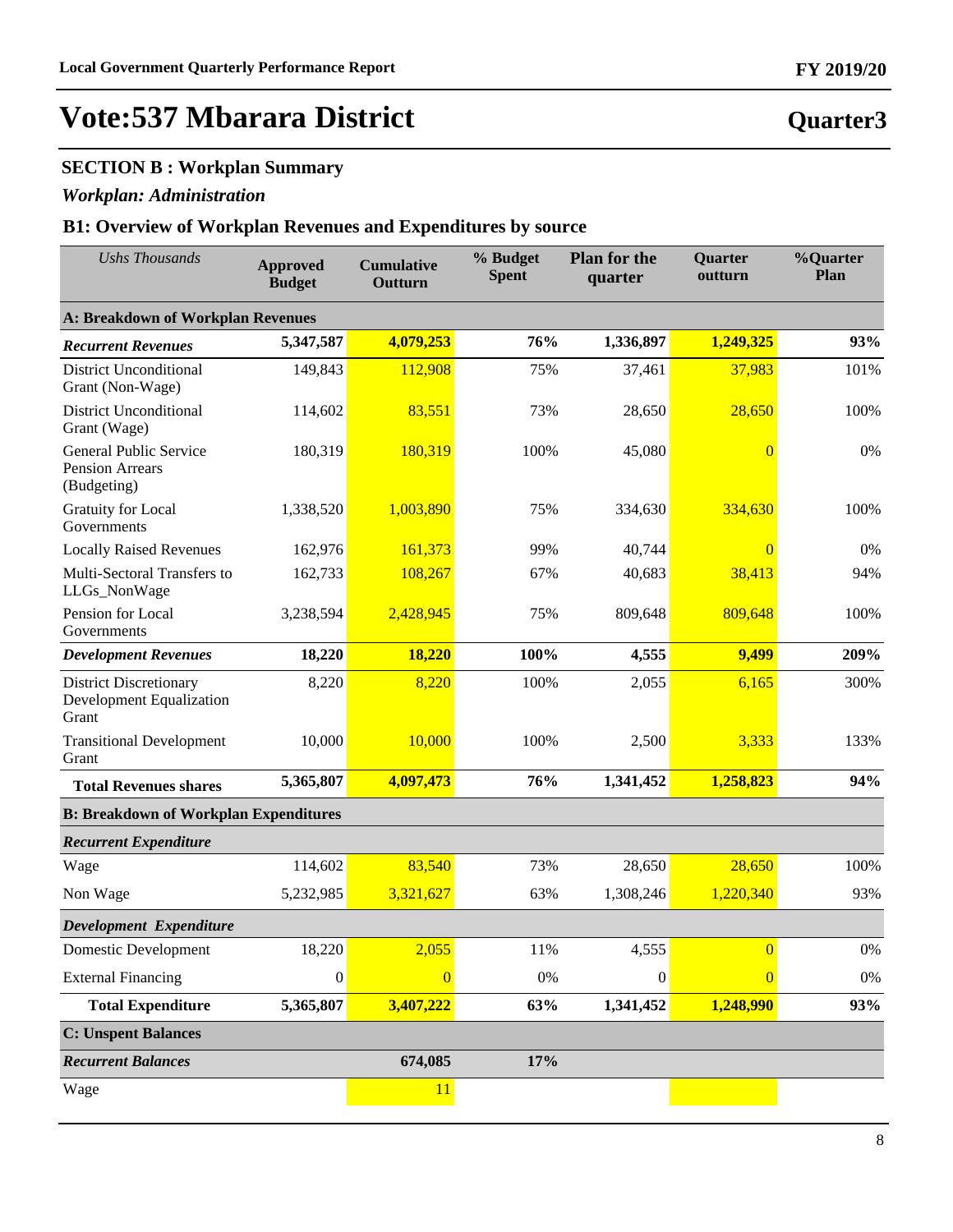### **SECTION B : Workplan Summary**

### *Workplan: Administration*

### **B1: Overview of Workplan Revenues and Expenditures by source**

| <b>Ushs Thousands</b>                                                     | <b>Approved</b><br><b>Budget</b> | <b>Cumulative</b><br>Outturn | % Budget<br><b>Spent</b> | <b>Plan for the</b><br>quarter | Quarter<br>outturn | %Quarter<br>Plan |  |  |  |
|---------------------------------------------------------------------------|----------------------------------|------------------------------|--------------------------|--------------------------------|--------------------|------------------|--|--|--|
| A: Breakdown of Workplan Revenues                                         |                                  |                              |                          |                                |                    |                  |  |  |  |
| <b>Recurrent Revenues</b>                                                 | 5,347,587                        | 4,079,253                    | 76%                      | 1,336,897                      | 1,249,325          | 93%              |  |  |  |
| <b>District Unconditional</b><br>Grant (Non-Wage)                         | 149,843                          | 112,908                      | 75%                      | 37,461                         | 37,983             | 101%             |  |  |  |
| <b>District Unconditional</b><br>Grant (Wage)                             | 114,602                          | 83,551                       | 73%                      | 28,650                         | 28,650             | 100%             |  |  |  |
| General Public Service<br><b>Pension Arrears</b><br>(Budgeting)           | 180,319                          | 180,319                      | 100%                     | 45,080                         | $\overline{0}$     | 0%               |  |  |  |
| Gratuity for Local<br>Governments                                         | 1,338,520                        | 1,003,890                    | 75%                      | 334,630                        | 334,630            | 100%             |  |  |  |
| <b>Locally Raised Revenues</b>                                            | 162,976                          | 161,373                      | 99%                      | 40,744                         | $\overline{0}$     | 0%               |  |  |  |
| Multi-Sectoral Transfers to<br>LLGs_NonWage                               | 162,733                          | 108,267                      | 67%                      | 40,683                         | 38,413             | 94%              |  |  |  |
| Pension for Local<br>Governments                                          | 3,238,594                        | 2,428,945                    | 75%                      | 809,648                        | 809,648            | 100%             |  |  |  |
| <b>Development Revenues</b>                                               | 18,220                           | 18,220                       | 100%                     | 4,555                          | 9,499              | 209%             |  |  |  |
| <b>District Discretionary</b><br><b>Development Equalization</b><br>Grant | 8,220                            | 8,220                        | 100%                     | 2,055                          | 6,165              | 300%             |  |  |  |
| <b>Transitional Development</b><br>Grant                                  | 10,000                           | 10,000                       | 100%                     | 2,500                          | 3,333              | 133%             |  |  |  |
| <b>Total Revenues shares</b>                                              | 5,365,807                        | 4,097,473                    | 76%                      | 1,341,452                      | 1,258,823          | 94%              |  |  |  |
| <b>B: Breakdown of Workplan Expenditures</b>                              |                                  |                              |                          |                                |                    |                  |  |  |  |
| <b>Recurrent Expenditure</b>                                              |                                  |                              |                          |                                |                    |                  |  |  |  |
| Wage                                                                      | 114,602                          | 83,540                       | 73%                      | 28,650                         | 28,650             | 100%             |  |  |  |
| Non Wage                                                                  | 5,232,985                        | 3,321,627                    | 63%                      | 1,308,246                      | 1,220,340          | 93%              |  |  |  |
| Development Expenditure                                                   |                                  |                              |                          |                                |                    |                  |  |  |  |
| <b>Domestic Development</b>                                               | 18,220                           | 2,055                        | 11%                      | 4,555                          | $\overline{0}$     | $0\%$            |  |  |  |
| <b>External Financing</b>                                                 | $\boldsymbol{0}$                 | $\overline{0}$               | $0\%$                    | $\boldsymbol{0}$               | $\overline{0}$     | $0\%$            |  |  |  |
| <b>Total Expenditure</b>                                                  | 5,365,807                        | 3,407,222                    | 63%                      | 1,341,452                      | 1,248,990          | 93%              |  |  |  |
| <b>C: Unspent Balances</b>                                                |                                  |                              |                          |                                |                    |                  |  |  |  |
| <b>Recurrent Balances</b>                                                 |                                  | 674,085                      | 17%                      |                                |                    |                  |  |  |  |
| Wage                                                                      |                                  | 11                           |                          |                                |                    |                  |  |  |  |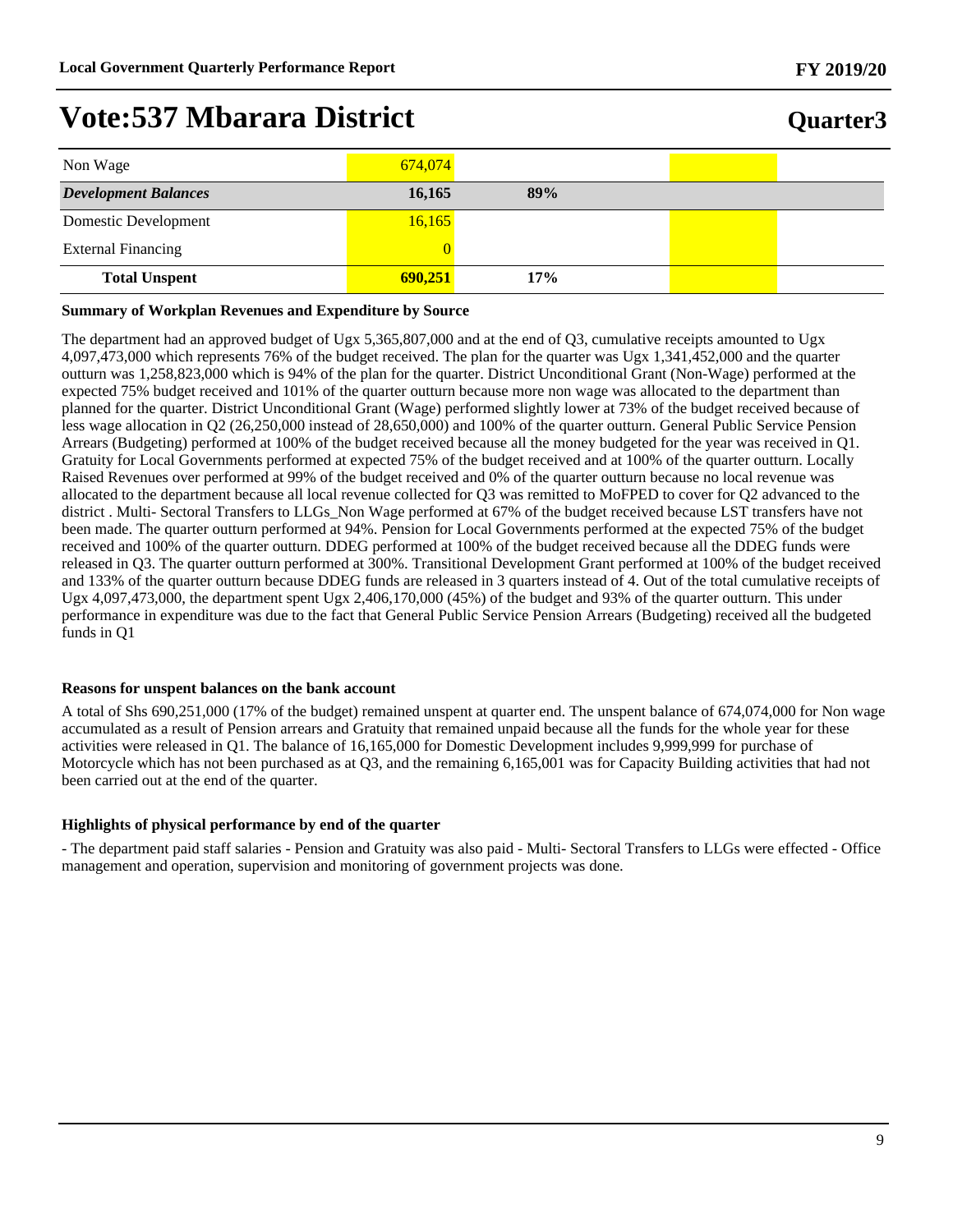| Non Wage                    | 674,074 |     |  |
|-----------------------------|---------|-----|--|
| <b>Development Balances</b> | 16,165  | 89% |  |
| Domestic Development        | 16,165  |     |  |
| <b>External Financing</b>   |         |     |  |
| <b>Total Unspent</b>        | 690,251 | 17% |  |

#### **Summary of Workplan Revenues and Expenditure by Source**

The department had an approved budget of Ugx 5,365,807,000 and at the end of Q3, cumulative receipts amounted to Ugx 4,097,473,000 which represents 76% of the budget received. The plan for the quarter was Ugx 1,341,452,000 and the quarter outturn was 1,258,823,000 which is 94% of the plan for the quarter. District Unconditional Grant (Non-Wage) performed at the expected 75% budget received and 101% of the quarter outturn because more non wage was allocated to the department than planned for the quarter. District Unconditional Grant (Wage) performed slightly lower at 73% of the budget received because of less wage allocation in Q2 (26,250,000 instead of 28,650,000) and 100% of the quarter outturn. General Public Service Pension Arrears (Budgeting) performed at 100% of the budget received because all the money budgeted for the year was received in Q1. Gratuity for Local Governments performed at expected 75% of the budget received and at 100% of the quarter outturn. Locally Raised Revenues over performed at 99% of the budget received and 0% of the quarter outturn because no local revenue was allocated to the department because all local revenue collected for Q3 was remitted to MoFPED to cover for Q2 advanced to the district . Multi- Sectoral Transfers to LLGs\_Non Wage performed at 67% of the budget received because LST transfers have not been made. The quarter outturn performed at 94%. Pension for Local Governments performed at the expected 75% of the budget received and 100% of the quarter outturn. DDEG performed at 100% of the budget received because all the DDEG funds were released in Q3. The quarter outturn performed at 300%. Transitional Development Grant performed at 100% of the budget received and 133% of the quarter outturn because DDEG funds are released in 3 quarters instead of 4. Out of the total cumulative receipts of Ugx 4,097,473,000, the department spent Ugx 2,406,170,000 (45%) of the budget and 93% of the quarter outturn. This under performance in expenditure was due to the fact that General Public Service Pension Arrears (Budgeting) received all the budgeted funds in Q1

#### **Reasons for unspent balances on the bank account**

A total of Shs 690,251,000 (17% of the budget) remained unspent at quarter end. The unspent balance of 674,074,000 for Non wage accumulated as a result of Pension arrears and Gratuity that remained unpaid because all the funds for the whole year for these activities were released in Q1. The balance of 16,165,000 for Domestic Development includes 9,999,999 for purchase of Motorcycle which has not been purchased as at Q3, and the remaining 6,165,001 was for Capacity Building activities that had not been carried out at the end of the quarter.

#### **Highlights of physical performance by end of the quarter**

- The department paid staff salaries - Pension and Gratuity was also paid - Multi- Sectoral Transfers to LLGs were effected - Office management and operation, supervision and monitoring of government projects was done.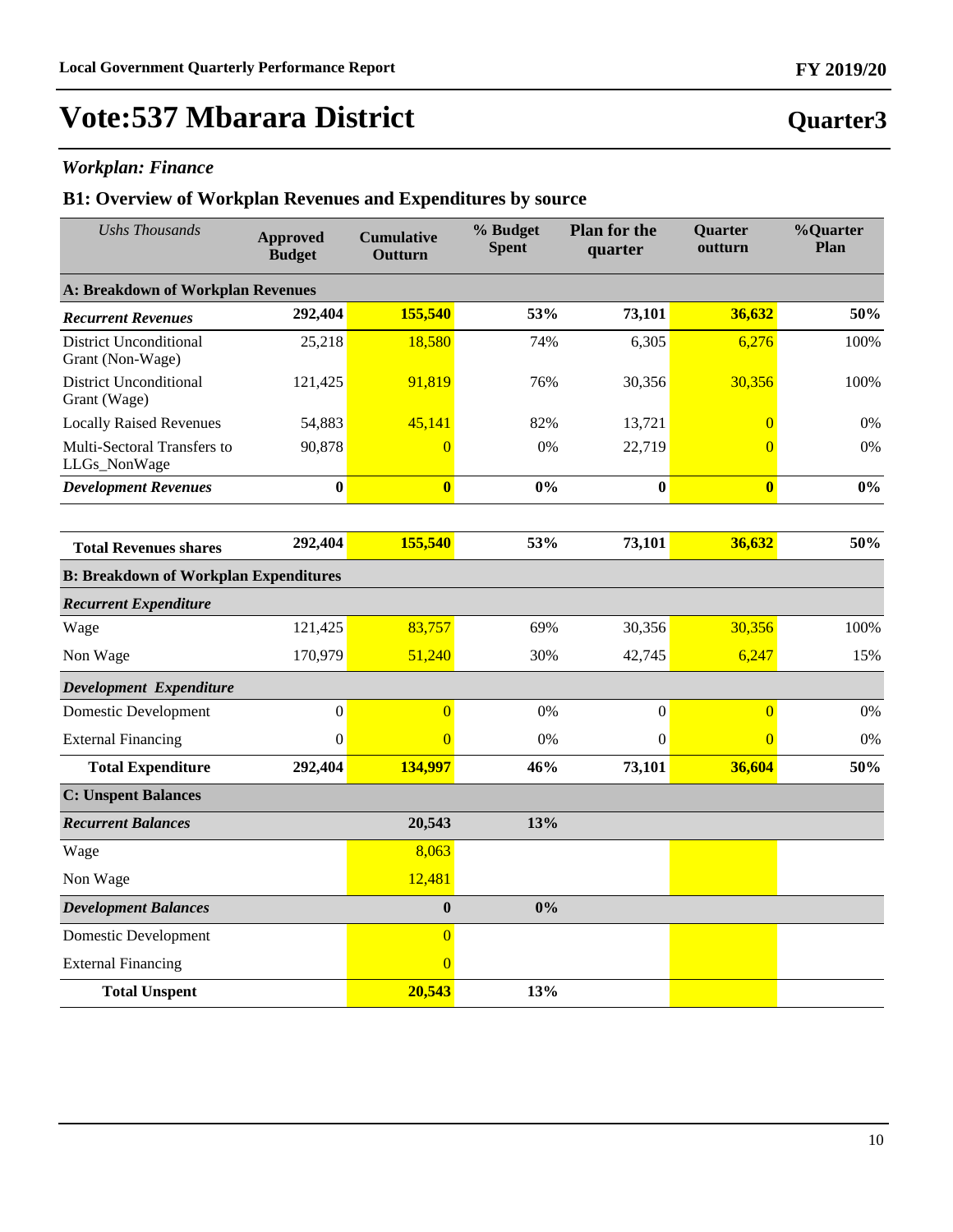**Quarter3**

## **Vote:537 Mbarara District**

### *Workplan: Finance*

| <b>Ushs Thousands</b>                             | <b>Approved</b><br><b>Budget</b> | <b>Cumulative</b><br>Outturn | % Budget<br><b>Spent</b> | <b>Plan for the</b><br>quarter | Quarter<br>outturn | %Quarter<br>Plan |
|---------------------------------------------------|----------------------------------|------------------------------|--------------------------|--------------------------------|--------------------|------------------|
| A: Breakdown of Workplan Revenues                 |                                  |                              |                          |                                |                    |                  |
| <b>Recurrent Revenues</b>                         | 292,404                          | 155,540                      | 53%                      | 73,101                         | 36,632             | 50%              |
| <b>District Unconditional</b><br>Grant (Non-Wage) | 25,218                           | 18,580                       | 74%                      | 6,305                          | 6,276              | 100%             |
| <b>District Unconditional</b><br>Grant (Wage)     | 121,425                          | 91,819                       | 76%                      | 30,356                         | 30,356             | 100%             |
| <b>Locally Raised Revenues</b>                    | 54,883                           | 45,141                       | 82%                      | 13,721                         | $\overline{0}$     | 0%               |
| Multi-Sectoral Transfers to<br>LLGs_NonWage       | 90,878                           | $\overline{0}$               | 0%                       | 22,719                         | $\overline{0}$     | $0\%$            |
| <b>Development Revenues</b>                       | $\bf{0}$                         | $\overline{\mathbf{0}}$      | 0%                       | $\bf{0}$                       | $\bf{0}$           | $0\%$            |
|                                                   | 292,404                          | 155,540                      | 53%                      | 73,101                         | 36,632             | 50%              |
| <b>Total Revenues shares</b>                      |                                  |                              |                          |                                |                    |                  |
| <b>B: Breakdown of Workplan Expenditures</b>      |                                  |                              |                          |                                |                    |                  |
| <b>Recurrent Expenditure</b>                      |                                  |                              |                          |                                |                    |                  |
| Wage                                              | 121,425                          | 83,757                       | 69%                      | 30,356                         | 30,356             | 100%             |
| Non Wage                                          | 170,979                          | 51,240                       | 30%                      | 42,745                         | 6,247              | 15%              |
| Development Expenditure                           |                                  |                              |                          |                                |                    |                  |
| <b>Domestic Development</b>                       | $\boldsymbol{0}$                 | $\overline{0}$               | 0%                       | $\boldsymbol{0}$               | $\overline{0}$     | 0%               |
| <b>External Financing</b>                         | 0                                | $\overline{0}$               | 0%                       | $\mathbf{0}$                   | $\overline{0}$     | 0%               |
| <b>Total Expenditure</b>                          | 292,404                          | 134,997                      | 46%                      | 73,101                         | 36,604             | 50%              |
| <b>C: Unspent Balances</b>                        |                                  |                              |                          |                                |                    |                  |
| <b>Recurrent Balances</b>                         |                                  | 20,543                       | 13%                      |                                |                    |                  |
| Wage                                              |                                  | 8,063                        |                          |                                |                    |                  |
| Non Wage                                          |                                  | 12,481                       |                          |                                |                    |                  |
| <b>Development Balances</b>                       |                                  | $\bf{0}$                     | 0%                       |                                |                    |                  |
| <b>Domestic Development</b>                       |                                  | $\overline{0}$               |                          |                                |                    |                  |
| <b>External Financing</b>                         |                                  | $\overline{0}$               |                          |                                |                    |                  |
| <b>Total Unspent</b>                              |                                  | 20,543                       | 13%                      |                                |                    |                  |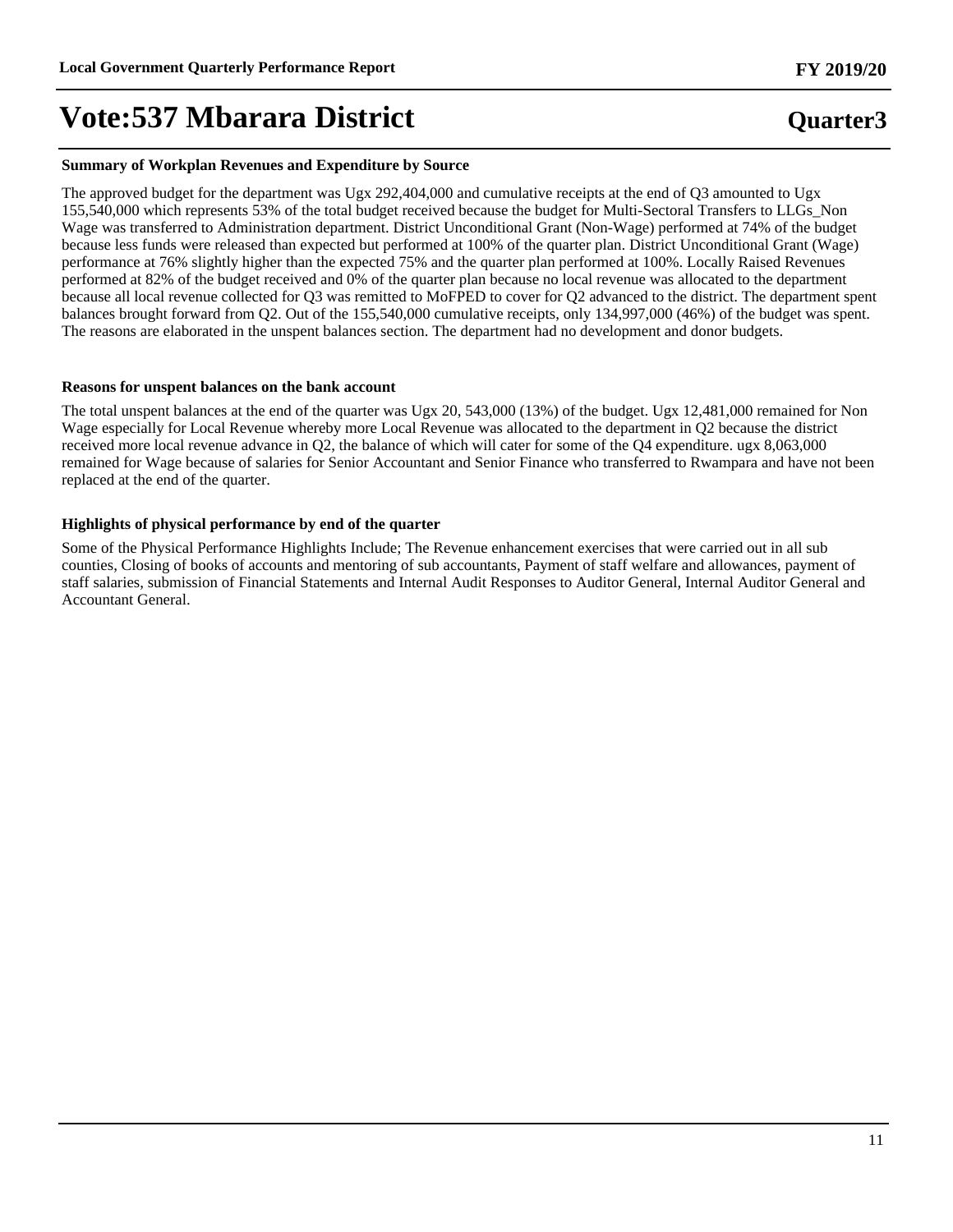#### **Summary of Workplan Revenues and Expenditure by Source**

The approved budget for the department was Ugx 292,404,000 and cumulative receipts at the end of Q3 amounted to Ugx 155,540,000 which represents 53% of the total budget received because the budget for Multi-Sectoral Transfers to LLGs\_Non Wage was transferred to Administration department. District Unconditional Grant (Non-Wage) performed at 74% of the budget because less funds were released than expected but performed at 100% of the quarter plan. District Unconditional Grant (Wage) performance at 76% slightly higher than the expected 75% and the quarter plan performed at 100%. Locally Raised Revenues performed at 82% of the budget received and 0% of the quarter plan because no local revenue was allocated to the department because all local revenue collected for Q3 was remitted to MoFPED to cover for Q2 advanced to the district. The department spent balances brought forward from Q2. Out of the 155,540,000 cumulative receipts, only 134,997,000 (46%) of the budget was spent. The reasons are elaborated in the unspent balances section. The department had no development and donor budgets.

#### **Reasons for unspent balances on the bank account**

The total unspent balances at the end of the quarter was Ugx 20, 543,000 (13%) of the budget. Ugx 12,481,000 remained for Non Wage especially for Local Revenue whereby more Local Revenue was allocated to the department in Q2 because the district received more local revenue advance in Q2, the balance of which will cater for some of the Q4 expenditure. ugx 8,063,000 remained for Wage because of salaries for Senior Accountant and Senior Finance who transferred to Rwampara and have not been replaced at the end of the quarter.

#### **Highlights of physical performance by end of the quarter**

Some of the Physical Performance Highlights Include; The Revenue enhancement exercises that were carried out in all sub counties, Closing of books of accounts and mentoring of sub accountants, Payment of staff welfare and allowances, payment of staff salaries, submission of Financial Statements and Internal Audit Responses to Auditor General, Internal Auditor General and Accountant General.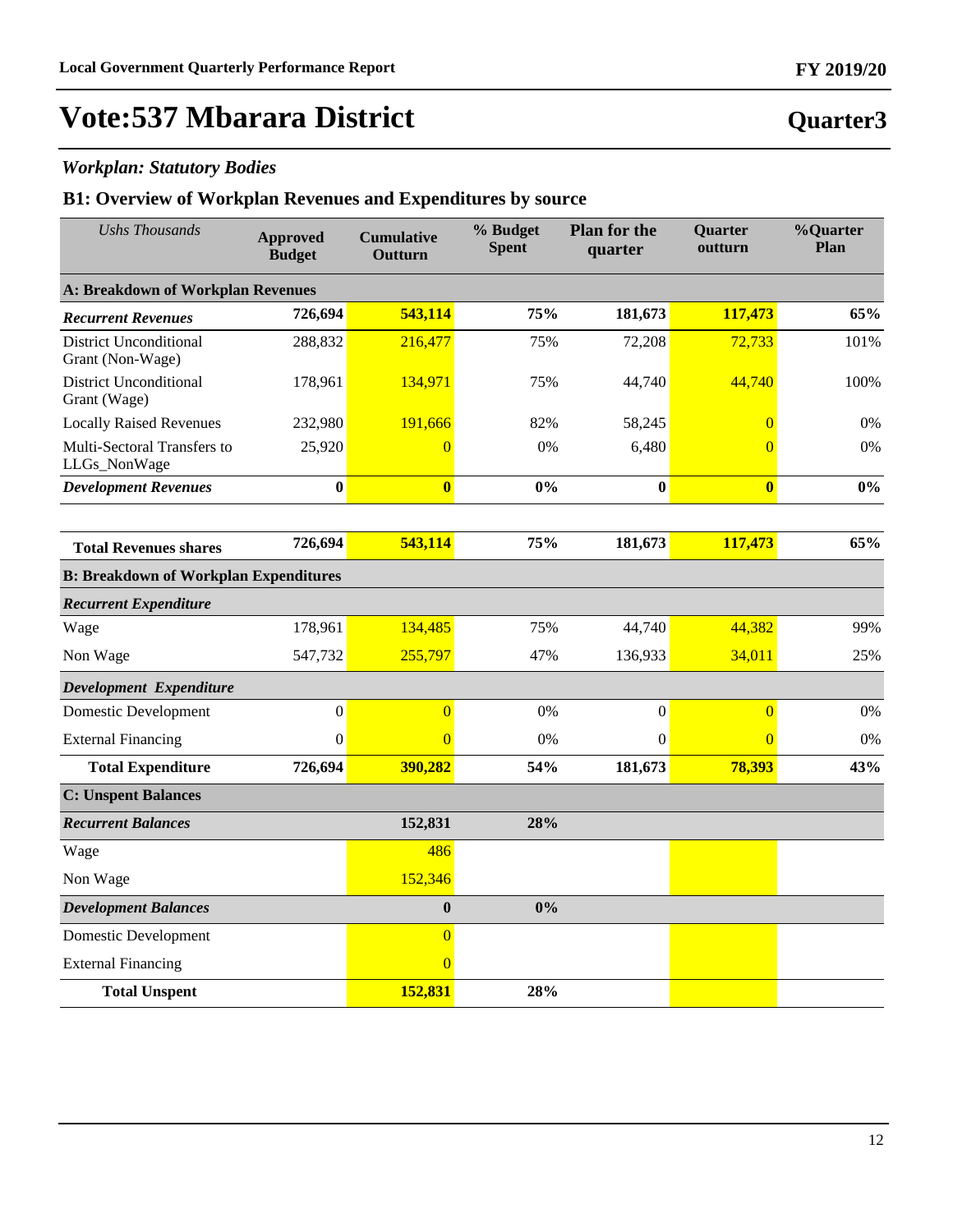**Quarter3**

## **Vote:537 Mbarara District**

### *Workplan: Statutory Bodies*

| <b>Ushs Thousands</b>                             | <b>Approved</b><br><b>Budget</b> | <b>Cumulative</b><br>Outturn | % Budget<br><b>Spent</b> | <b>Plan for the</b><br>quarter | Quarter<br>outturn | %Quarter<br>Plan |
|---------------------------------------------------|----------------------------------|------------------------------|--------------------------|--------------------------------|--------------------|------------------|
| <b>A: Breakdown of Workplan Revenues</b>          |                                  |                              |                          |                                |                    |                  |
| <b>Recurrent Revenues</b>                         | 726,694                          | 543,114                      | 75%                      | 181,673                        | 117,473            | 65%              |
| <b>District Unconditional</b><br>Grant (Non-Wage) | 288,832                          | 216,477                      | 75%                      | 72,208                         | 72,733             | 101%             |
| <b>District Unconditional</b><br>Grant (Wage)     | 178,961                          | 134,971                      | 75%                      | 44,740                         | 44,740             | 100%             |
| <b>Locally Raised Revenues</b>                    | 232,980                          | 191,666                      | 82%                      | 58,245                         | $\overline{0}$     | 0%               |
| Multi-Sectoral Transfers to<br>LLGs_NonWage       | 25,920                           | $\Omega$                     | 0%                       | 6,480                          | $\overline{0}$     | 0%               |
| <b>Development Revenues</b>                       | $\bf{0}$                         | $\overline{\mathbf{0}}$      | 0%                       | $\bf{0}$                       | $\bf{0}$           | 0%               |
|                                                   |                                  |                              |                          |                                |                    |                  |
| <b>Total Revenues shares</b>                      | 726,694                          | 543,114                      | 75%                      | 181,673                        | 117,473            | 65%              |
| <b>B: Breakdown of Workplan Expenditures</b>      |                                  |                              |                          |                                |                    |                  |
| <b>Recurrent Expenditure</b>                      |                                  |                              |                          |                                |                    |                  |
| Wage                                              | 178,961                          | 134,485                      | 75%                      | 44,740                         | 44,382             | 99%              |
| Non Wage                                          | 547,732                          | 255,797                      | 47%                      | 136,933                        | 34,011             | 25%              |
| Development Expenditure                           |                                  |                              |                          |                                |                    |                  |
| <b>Domestic Development</b>                       | $\boldsymbol{0}$                 | $\overline{0}$               | 0%                       | $\boldsymbol{0}$               | $\overline{0}$     | 0%               |
| <b>External Financing</b>                         | $\mathbf{0}$                     | $\Omega$                     | 0%                       | $\mathbf{0}$                   | $\overline{0}$     | 0%               |
| <b>Total Expenditure</b>                          | 726,694                          | 390,282                      | 54%                      | 181,673                        | 78,393             | 43%              |
| <b>C: Unspent Balances</b>                        |                                  |                              |                          |                                |                    |                  |
| <b>Recurrent Balances</b>                         |                                  | 152,831                      | 28%                      |                                |                    |                  |
| Wage                                              |                                  | 486                          |                          |                                |                    |                  |
| Non Wage                                          |                                  | 152,346                      |                          |                                |                    |                  |
| <b>Development Balances</b>                       |                                  | $\bf{0}$                     | 0%                       |                                |                    |                  |
| Domestic Development                              |                                  | $\overline{0}$               |                          |                                |                    |                  |
| <b>External Financing</b>                         |                                  | $\overline{0}$               |                          |                                |                    |                  |
| <b>Total Unspent</b>                              |                                  | 152,831                      | 28%                      |                                |                    |                  |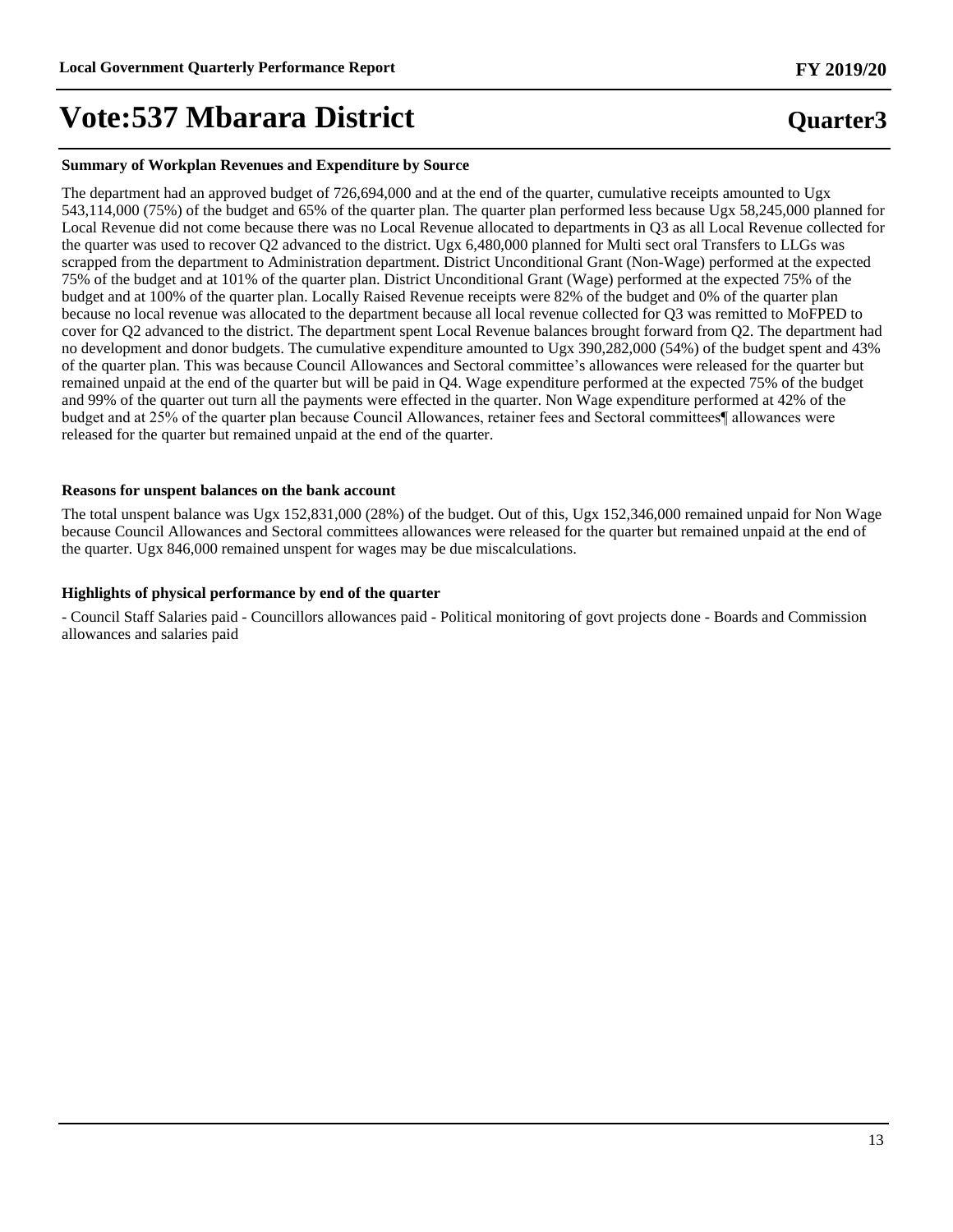#### **Summary of Workplan Revenues and Expenditure by Source**

The department had an approved budget of 726,694,000 and at the end of the quarter, cumulative receipts amounted to Ugx 543,114,000 (75%) of the budget and 65% of the quarter plan. The quarter plan performed less because Ugx 58,245,000 planned for Local Revenue did not come because there was no Local Revenue allocated to departments in Q3 as all Local Revenue collected for the quarter was used to recover Q2 advanced to the district. Ugx 6,480,000 planned for Multi sect oral Transfers to LLGs was scrapped from the department to Administration department. District Unconditional Grant (Non-Wage) performed at the expected 75% of the budget and at 101% of the quarter plan. District Unconditional Grant (Wage) performed at the expected 75% of the budget and at 100% of the quarter plan. Locally Raised Revenue receipts were 82% of the budget and 0% of the quarter plan because no local revenue was allocated to the department because all local revenue collected for Q3 was remitted to MoFPED to cover for Q2 advanced to the district. The department spent Local Revenue balances brought forward from Q2. The department had no development and donor budgets. The cumulative expenditure amounted to Ugx 390,282,000 (54%) of the budget spent and 43% of the quarter plan. This was because Council Allowances and Sectoral committee's allowances were released for the quarter but remained unpaid at the end of the quarter but will be paid in Q4. Wage expenditure performed at the expected 75% of the budget and 99% of the quarter out turn all the payments were effected in the quarter. Non Wage expenditure performed at 42% of the budget and at 25% of the quarter plan because Council Allowances, retainer fees and Sectoral committees¶ allowances were released for the quarter but remained unpaid at the end of the quarter.

#### **Reasons for unspent balances on the bank account**

The total unspent balance was Ugx 152,831,000 (28%) of the budget. Out of this, Ugx 152,346,000 remained unpaid for Non Wage because Council Allowances and Sectoral committees allowances were released for the quarter but remained unpaid at the end of the quarter. Ugx 846,000 remained unspent for wages may be due miscalculations.

#### **Highlights of physical performance by end of the quarter**

- Council Staff Salaries paid - Councillors allowances paid - Political monitoring of govt projects done - Boards and Commission allowances and salaries paid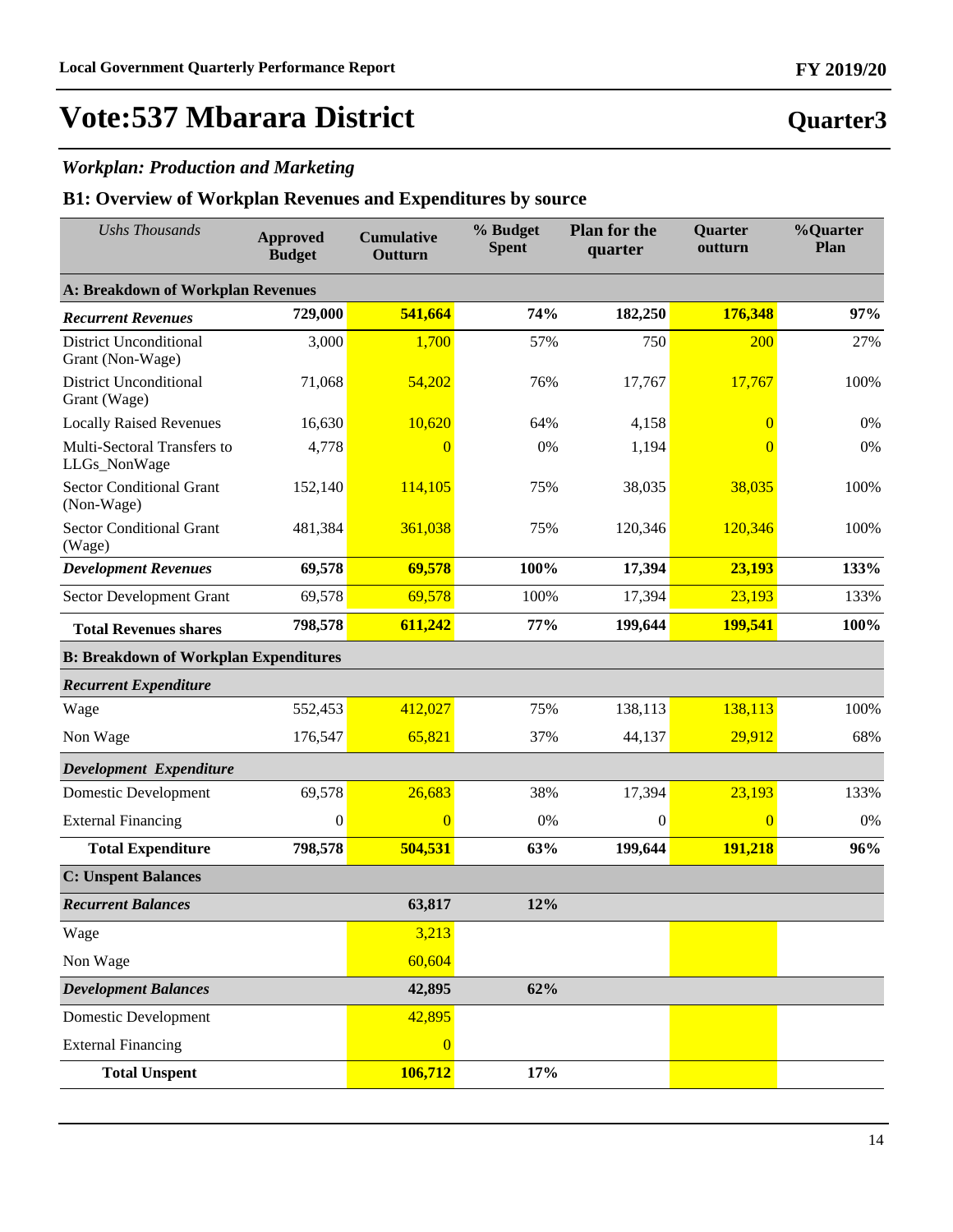**Quarter3**

## **Vote:537 Mbarara District**

### *Workplan: Production and Marketing*

| <b>Ushs Thousands</b>                             | <b>Approved</b><br><b>Budget</b> | <b>Cumulative</b><br>Outturn | % Budget<br><b>Spent</b> | <b>Plan for the</b><br>quarter | <b>Quarter</b><br>outturn | %Quarter<br>Plan |  |  |
|---------------------------------------------------|----------------------------------|------------------------------|--------------------------|--------------------------------|---------------------------|------------------|--|--|
| <b>A: Breakdown of Workplan Revenues</b>          |                                  |                              |                          |                                |                           |                  |  |  |
| <b>Recurrent Revenues</b>                         | 729,000                          | 541,664                      | 74%                      | 182,250                        | 176,348                   | 97%              |  |  |
| <b>District Unconditional</b><br>Grant (Non-Wage) | 3,000                            | 1,700                        | 57%                      | 750                            | 200                       | 27%              |  |  |
| <b>District Unconditional</b><br>Grant (Wage)     | 71,068                           | 54,202                       | 76%                      | 17,767                         | 17,767                    | 100%             |  |  |
| <b>Locally Raised Revenues</b>                    | 16,630                           | 10,620                       | 64%                      | 4,158                          | $\overline{0}$            | 0%               |  |  |
| Multi-Sectoral Transfers to<br>LLGs_NonWage       | 4,778                            | $\overline{0}$               | 0%                       | 1,194                          | $\overline{0}$            | 0%               |  |  |
| <b>Sector Conditional Grant</b><br>(Non-Wage)     | 152,140                          | 114,105                      | 75%                      | 38,035                         | 38,035                    | 100%             |  |  |
| <b>Sector Conditional Grant</b><br>(Wage)         | 481,384                          | 361,038                      | 75%                      | 120,346                        | 120,346                   | 100%             |  |  |
| <b>Development Revenues</b>                       | 69,578                           | 69,578                       | 100%                     | 17,394                         | 23,193                    | 133%             |  |  |
| Sector Development Grant                          | 69,578                           | 69,578                       | 100%                     | 17,394                         | 23,193                    | 133%             |  |  |
| <b>Total Revenues shares</b>                      | 798,578                          | 611,242                      | 77%                      | 199,644                        | 199,541                   | 100%             |  |  |
| <b>B: Breakdown of Workplan Expenditures</b>      |                                  |                              |                          |                                |                           |                  |  |  |
| <b>Recurrent Expenditure</b>                      |                                  |                              |                          |                                |                           |                  |  |  |
| Wage                                              | 552,453                          | 412,027                      | 75%                      | 138,113                        | 138,113                   | 100%             |  |  |
| Non Wage                                          | 176,547                          | 65,821                       | 37%                      | 44,137                         | 29,912                    | 68%              |  |  |
| Development Expenditure                           |                                  |                              |                          |                                |                           |                  |  |  |
| Domestic Development                              | 69,578                           | 26,683                       | 38%                      | 17,394                         | 23,193                    | 133%             |  |  |
| <b>External Financing</b>                         | $\mathbf{0}$                     | $\overline{0}$               | 0%                       | $\theta$                       | $\overline{0}$            | 0%               |  |  |
| <b>Total Expenditure</b>                          | 798,578                          | 504,531                      | 63%                      | 199,644                        | 191,218                   | 96%              |  |  |
| <b>C: Unspent Balances</b>                        |                                  |                              |                          |                                |                           |                  |  |  |
| <b>Recurrent Balances</b>                         |                                  | 63,817                       | 12%                      |                                |                           |                  |  |  |
| Wage                                              |                                  | 3,213                        |                          |                                |                           |                  |  |  |
| Non Wage                                          |                                  | 60,604                       |                          |                                |                           |                  |  |  |
| <b>Development Balances</b>                       |                                  | 42,895                       | 62%                      |                                |                           |                  |  |  |
| <b>Domestic Development</b>                       |                                  | 42,895                       |                          |                                |                           |                  |  |  |
| <b>External Financing</b>                         |                                  | $\overline{0}$               |                          |                                |                           |                  |  |  |
| <b>Total Unspent</b>                              |                                  | 106,712                      | 17%                      |                                |                           |                  |  |  |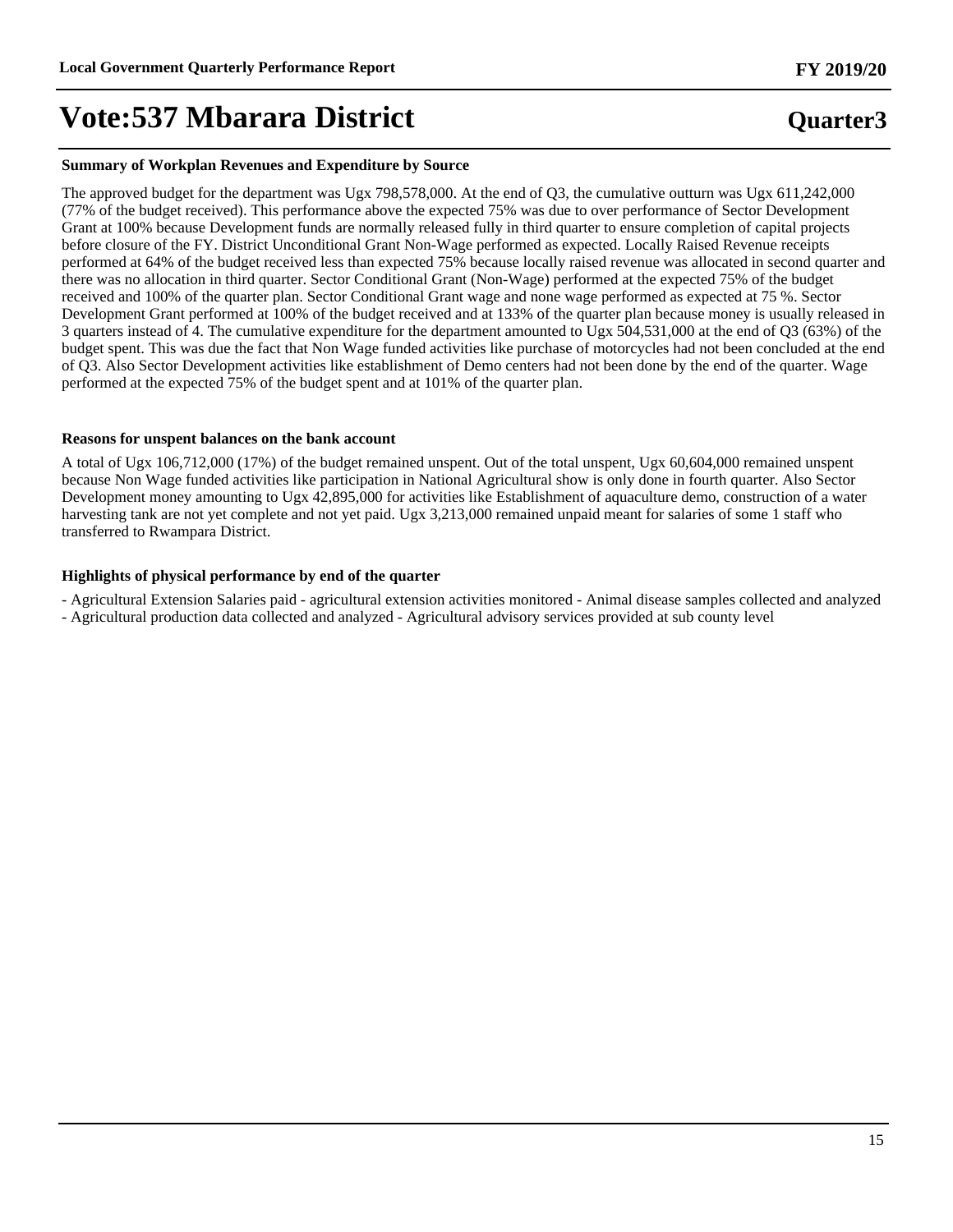#### **Summary of Workplan Revenues and Expenditure by Source**

The approved budget for the department was Ugx 798,578,000. At the end of Q3, the cumulative outturn was Ugx 611,242,000 (77% of the budget received). This performance above the expected 75% was due to over performance of Sector Development Grant at 100% because Development funds are normally released fully in third quarter to ensure completion of capital projects before closure of the FY. District Unconditional Grant Non-Wage performed as expected. Locally Raised Revenue receipts performed at 64% of the budget received less than expected 75% because locally raised revenue was allocated in second quarter and there was no allocation in third quarter. Sector Conditional Grant (Non-Wage) performed at the expected 75% of the budget received and 100% of the quarter plan. Sector Conditional Grant wage and none wage performed as expected at 75 %. Sector Development Grant performed at 100% of the budget received and at 133% of the quarter plan because money is usually released in 3 quarters instead of 4. The cumulative expenditure for the department amounted to Ugx 504,531,000 at the end of Q3 (63%) of the budget spent. This was due the fact that Non Wage funded activities like purchase of motorcycles had not been concluded at the end of Q3. Also Sector Development activities like establishment of Demo centers had not been done by the end of the quarter. Wage performed at the expected 75% of the budget spent and at 101% of the quarter plan.

#### **Reasons for unspent balances on the bank account**

A total of Ugx 106,712,000 (17%) of the budget remained unspent. Out of the total unspent, Ugx 60,604,000 remained unspent because Non Wage funded activities like participation in National Agricultural show is only done in fourth quarter. Also Sector Development money amounting to Ugx 42,895,000 for activities like Establishment of aquaculture demo, construction of a water harvesting tank are not yet complete and not yet paid. Ugx 3,213,000 remained unpaid meant for salaries of some 1 staff who transferred to Rwampara District.

#### **Highlights of physical performance by end of the quarter**

- Agricultural Extension Salaries paid - agricultural extension activities monitored - Animal disease samples collected and analyzed - Agricultural production data collected and analyzed - Agricultural advisory services provided at sub county level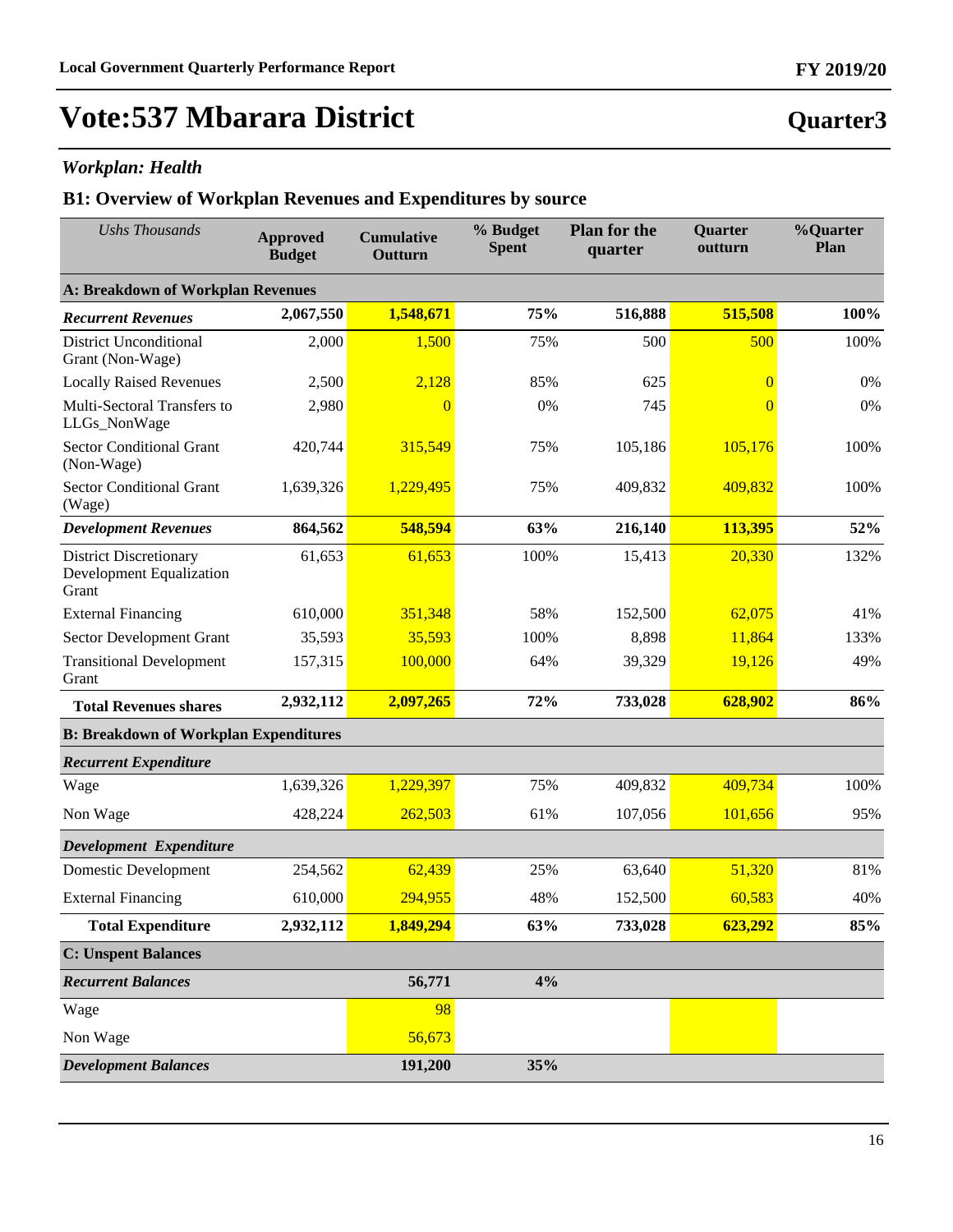**Quarter3**

## **Vote:537 Mbarara District**

### *Workplan: Health*

| <b>Ushs Thousands</b>                                                     | <b>Approved</b><br><b>Budget</b> | <b>Cumulative</b><br>Outturn | % Budget<br><b>Spent</b> | <b>Plan for the</b><br>quarter | <b>Quarter</b><br>outturn | %Quarter<br>Plan |
|---------------------------------------------------------------------------|----------------------------------|------------------------------|--------------------------|--------------------------------|---------------------------|------------------|
| <b>A: Breakdown of Workplan Revenues</b>                                  |                                  |                              |                          |                                |                           |                  |
| <b>Recurrent Revenues</b>                                                 | 2,067,550                        | 1,548,671                    | 75%                      | 516,888                        | 515,508                   | 100%             |
| <b>District Unconditional</b><br>Grant (Non-Wage)                         | 2,000                            | 1,500                        | 75%                      | 500                            | 500                       | 100%             |
| <b>Locally Raised Revenues</b>                                            | 2,500                            | 2,128                        | 85%                      | 625                            | $\overline{0}$            | 0%               |
| Multi-Sectoral Transfers to<br>LLGs_NonWage                               | 2,980                            | $\overline{0}$               | 0%                       | 745                            | $\overline{0}$            | 0%               |
| <b>Sector Conditional Grant</b><br>(Non-Wage)                             | 420,744                          | 315,549                      | 75%                      | 105,186                        | 105,176                   | 100%             |
| <b>Sector Conditional Grant</b><br>(Wage)                                 | 1,639,326                        | 1,229,495                    | 75%                      | 409,832                        | 409,832                   | 100%             |
| <b>Development Revenues</b>                                               | 864,562                          | 548,594                      | 63%                      | 216,140                        | 113,395                   | 52%              |
| <b>District Discretionary</b><br><b>Development Equalization</b><br>Grant | 61,653                           | 61,653                       | 100%                     | 15,413                         | 20,330                    | 132%             |
| <b>External Financing</b>                                                 | 610,000                          | 351,348                      | 58%                      | 152,500                        | 62,075                    | 41%              |
| Sector Development Grant                                                  | 35,593                           | 35,593                       | 100%                     | 8,898                          | 11,864                    | 133%             |
| <b>Transitional Development</b><br>Grant                                  | 157,315                          | 100,000                      | 64%                      | 39,329                         | 19,126                    | 49%              |
| <b>Total Revenues shares</b>                                              | 2,932,112                        | 2,097,265                    | 72%                      | 733,028                        | 628,902                   | 86%              |
| <b>B: Breakdown of Workplan Expenditures</b>                              |                                  |                              |                          |                                |                           |                  |
| <b>Recurrent Expenditure</b>                                              |                                  |                              |                          |                                |                           |                  |
| Wage                                                                      | 1,639,326                        | 1,229,397                    | 75%                      | 409,832                        | 409,734                   | 100%             |
| Non Wage                                                                  | 428,224                          | 262,503                      | 61%                      | 107,056                        | 101,656                   | 95%              |
| Development Expenditure                                                   |                                  |                              |                          |                                |                           |                  |
| <b>Domestic Development</b>                                               | 254,562                          | 62,439                       | 25%                      | 63,640                         | 51,320                    | 81%              |
| <b>External Financing</b>                                                 | 610,000                          | 294,955                      | 48%                      | 152,500                        | 60,583                    | 40%              |
| <b>Total Expenditure</b>                                                  | 2,932,112                        | 1,849,294                    | 63%                      | 733,028                        | 623,292                   | 85%              |
| <b>C: Unspent Balances</b>                                                |                                  |                              |                          |                                |                           |                  |
| <b>Recurrent Balances</b>                                                 |                                  | 56,771                       | 4%                       |                                |                           |                  |
| Wage                                                                      |                                  | 98                           |                          |                                |                           |                  |
| Non Wage                                                                  |                                  | 56,673                       |                          |                                |                           |                  |
| <b>Development Balances</b>                                               |                                  | 191,200                      | 35%                      |                                |                           |                  |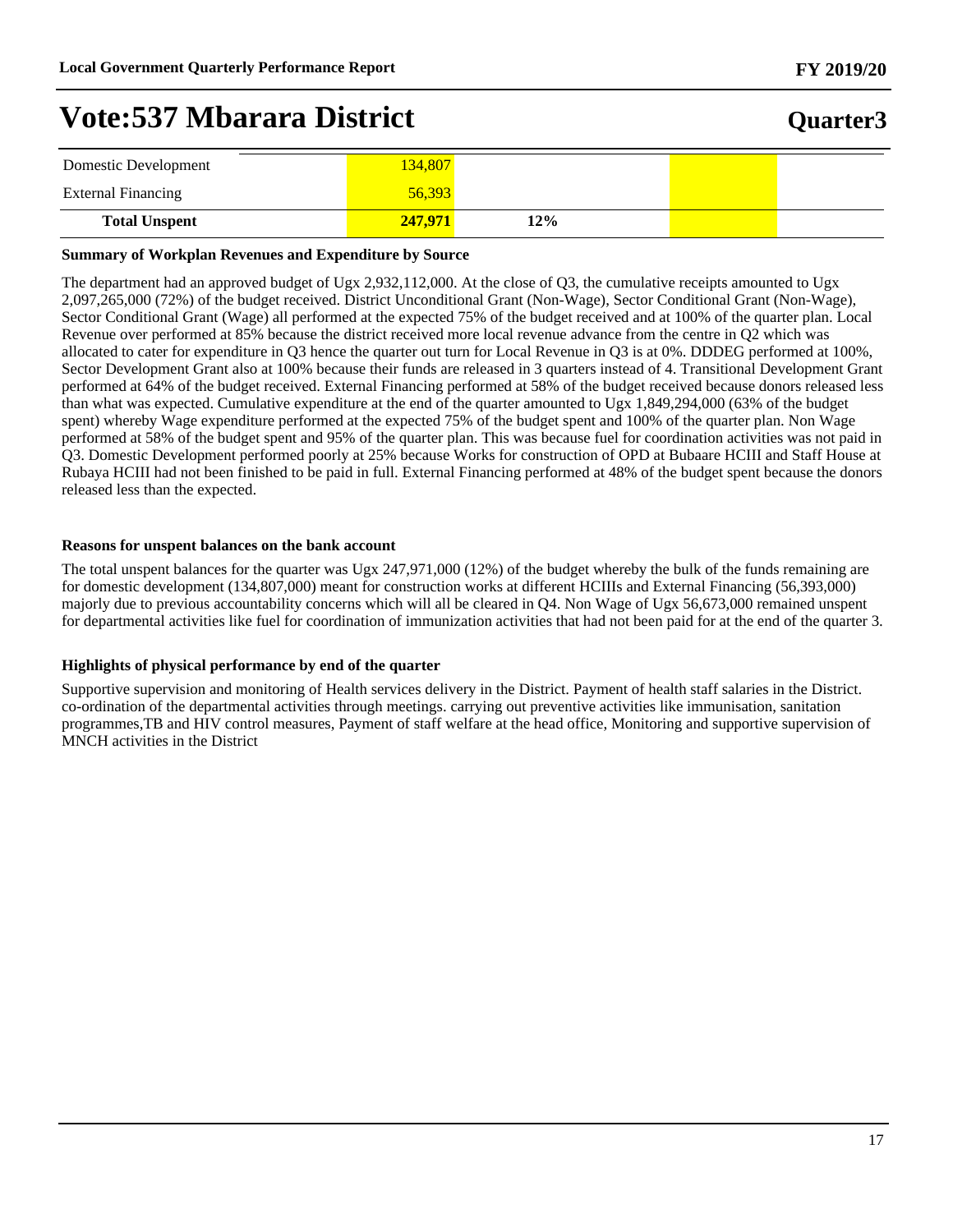### **Quarter3**

| Domestic Development      | 134,807 |     |  |
|---------------------------|---------|-----|--|
| <b>External Financing</b> | 56,393  |     |  |
| <b>Total Unspent</b>      | 247,971 | 12% |  |

#### **Summary of Workplan Revenues and Expenditure by Source**

The department had an approved budget of Ugx 2,932,112,000. At the close of Q3, the cumulative receipts amounted to Ugx 2,097,265,000 (72%) of the budget received. District Unconditional Grant (Non-Wage), Sector Conditional Grant (Non-Wage), Sector Conditional Grant (Wage) all performed at the expected 75% of the budget received and at 100% of the quarter plan. Local Revenue over performed at 85% because the district received more local revenue advance from the centre in Q2 which was allocated to cater for expenditure in Q3 hence the quarter out turn for Local Revenue in Q3 is at 0%. DDDEG performed at 100%, Sector Development Grant also at 100% because their funds are released in 3 quarters instead of 4. Transitional Development Grant performed at 64% of the budget received. External Financing performed at 58% of the budget received because donors released less than what was expected. Cumulative expenditure at the end of the quarter amounted to Ugx 1,849,294,000 (63% of the budget spent) whereby Wage expenditure performed at the expected 75% of the budget spent and 100% of the quarter plan. Non Wage performed at 58% of the budget spent and 95% of the quarter plan. This was because fuel for coordination activities was not paid in Q3. Domestic Development performed poorly at 25% because Works for construction of OPD at Bubaare HCIII and Staff House at Rubaya HCIII had not been finished to be paid in full. External Financing performed at 48% of the budget spent because the donors released less than the expected.

#### **Reasons for unspent balances on the bank account**

The total unspent balances for the quarter was Ugx 247,971,000 (12%) of the budget whereby the bulk of the funds remaining are for domestic development (134,807,000) meant for construction works at different HCIIIs and External Financing (56,393,000) majorly due to previous accountability concerns which will all be cleared in Q4. Non Wage of Ugx 56,673,000 remained unspent for departmental activities like fuel for coordination of immunization activities that had not been paid for at the end of the quarter 3.

#### **Highlights of physical performance by end of the quarter**

Supportive supervision and monitoring of Health services delivery in the District. Payment of health staff salaries in the District. co-ordination of the departmental activities through meetings. carrying out preventive activities like immunisation, sanitation programmes,TB and HIV control measures, Payment of staff welfare at the head office, Monitoring and supportive supervision of MNCH activities in the District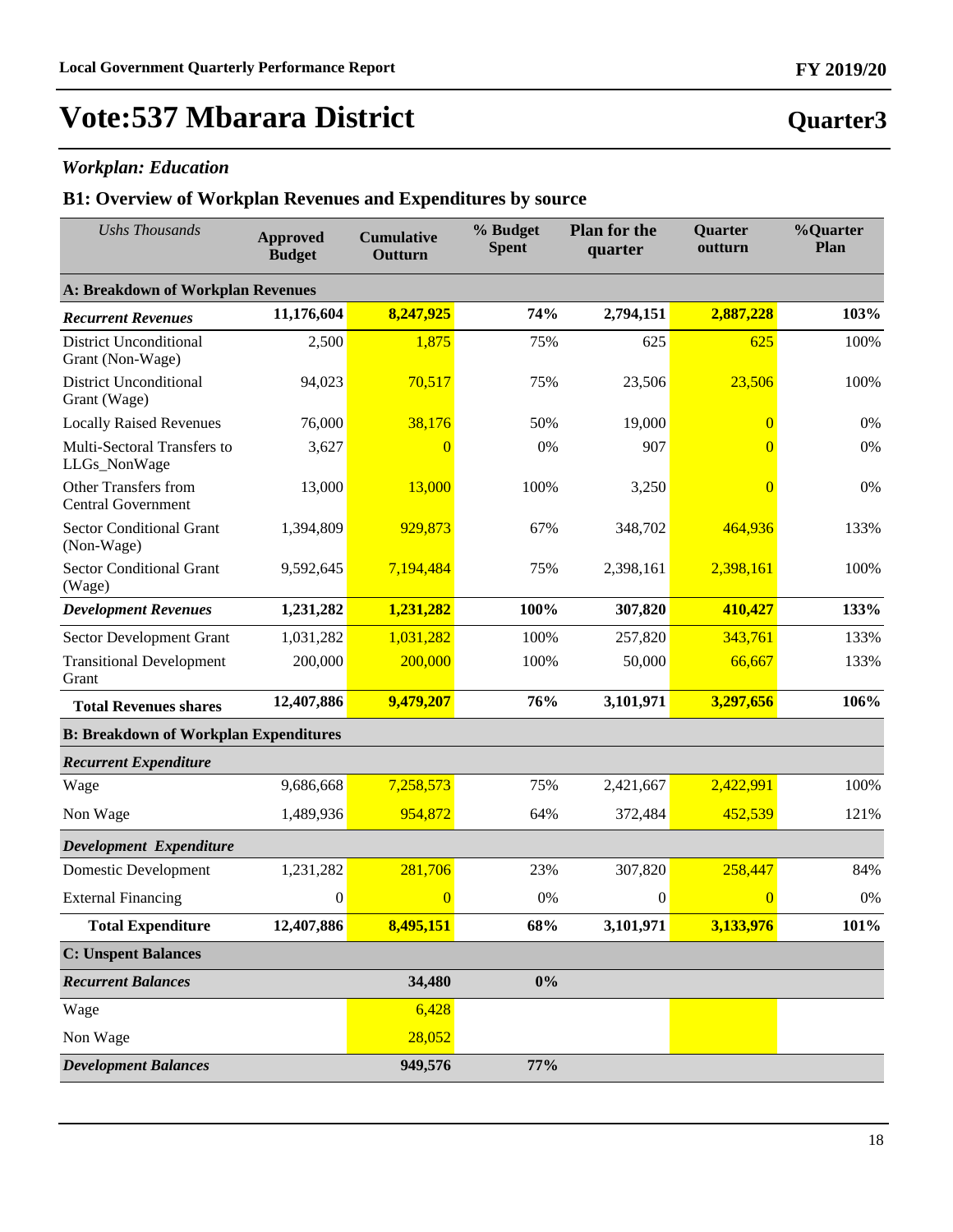**Quarter3**

## **Vote:537 Mbarara District**

### *Workplan: Education*

| <b>Ushs Thousands</b>                             | <b>Approved</b><br><b>Budget</b> | <b>Cumulative</b><br>Outturn | % Budget<br><b>Spent</b> | <b>Plan for the</b><br>quarter | <b>Quarter</b><br>outturn | %Quarter<br>Plan |
|---------------------------------------------------|----------------------------------|------------------------------|--------------------------|--------------------------------|---------------------------|------------------|
| <b>A: Breakdown of Workplan Revenues</b>          |                                  |                              |                          |                                |                           |                  |
| <b>Recurrent Revenues</b>                         | 11,176,604                       | 8,247,925                    | 74%                      | 2,794,151                      | 2,887,228                 | 103%             |
| <b>District Unconditional</b><br>Grant (Non-Wage) | 2,500                            | 1,875                        | 75%                      | 625                            | 625                       | 100%             |
| <b>District Unconditional</b><br>Grant (Wage)     | 94,023                           | 70,517                       | 75%                      | 23,506                         | 23,506                    | 100%             |
| <b>Locally Raised Revenues</b>                    | 76,000                           | 38,176                       | 50%                      | 19,000                         | $\overline{0}$            | 0%               |
| Multi-Sectoral Transfers to<br>LLGs_NonWage       | 3,627                            | $\Omega$                     | 0%                       | 907                            | $\Omega$                  | 0%               |
| Other Transfers from<br><b>Central Government</b> | 13,000                           | 13,000                       | 100%                     | 3,250                          | $\overline{0}$            | 0%               |
| <b>Sector Conditional Grant</b><br>(Non-Wage)     | 1,394,809                        | 929,873                      | 67%                      | 348,702                        | 464,936                   | 133%             |
| <b>Sector Conditional Grant</b><br>(Wage)         | 9,592,645                        | 7,194,484                    | 75%                      | 2,398,161                      | 2,398,161                 | 100%             |
| <b>Development Revenues</b>                       | 1,231,282                        | 1,231,282                    | 100%                     | 307,820                        | 410,427                   | 133%             |
| Sector Development Grant                          | 1,031,282                        | 1,031,282                    | 100%                     | 257,820                        | 343,761                   | 133%             |
| <b>Transitional Development</b><br>Grant          | 200,000                          | 200,000                      | 100%                     | 50,000                         | 66,667                    | 133%             |
| <b>Total Revenues shares</b>                      | 12,407,886                       | 9,479,207                    | 76%                      | 3,101,971                      | 3,297,656                 | 106%             |
| <b>B: Breakdown of Workplan Expenditures</b>      |                                  |                              |                          |                                |                           |                  |
| <b>Recurrent Expenditure</b>                      |                                  |                              |                          |                                |                           |                  |
| Wage                                              | 9,686,668                        | 7,258,573                    | 75%                      | 2,421,667                      | 2,422,991                 | 100%             |
| Non Wage                                          | 1,489,936                        | 954,872                      | 64%                      | 372,484                        | 452,539                   | 121%             |
| Development Expenditure                           |                                  |                              |                          |                                |                           |                  |
| <b>Domestic Development</b>                       | 1,231,282                        | 281,706                      | 23%                      | 307,820                        | 258,447                   | 84%              |
| <b>External Financing</b>                         | $\boldsymbol{0}$                 | $\overline{0}$               | 0%                       | $\boldsymbol{0}$               | $\overline{0}$            | 0%               |
| <b>Total Expenditure</b>                          | 12,407,886                       | 8,495,151                    | 68%                      | 3,101,971                      | 3,133,976                 | 101%             |
| <b>C: Unspent Balances</b>                        |                                  |                              |                          |                                |                           |                  |
| <b>Recurrent Balances</b>                         |                                  | 34,480                       | $0\%$                    |                                |                           |                  |
| Wage                                              |                                  | 6,428                        |                          |                                |                           |                  |
| Non Wage                                          |                                  | 28,052                       |                          |                                |                           |                  |
| <b>Development Balances</b>                       |                                  | 949,576                      | 77%                      |                                |                           |                  |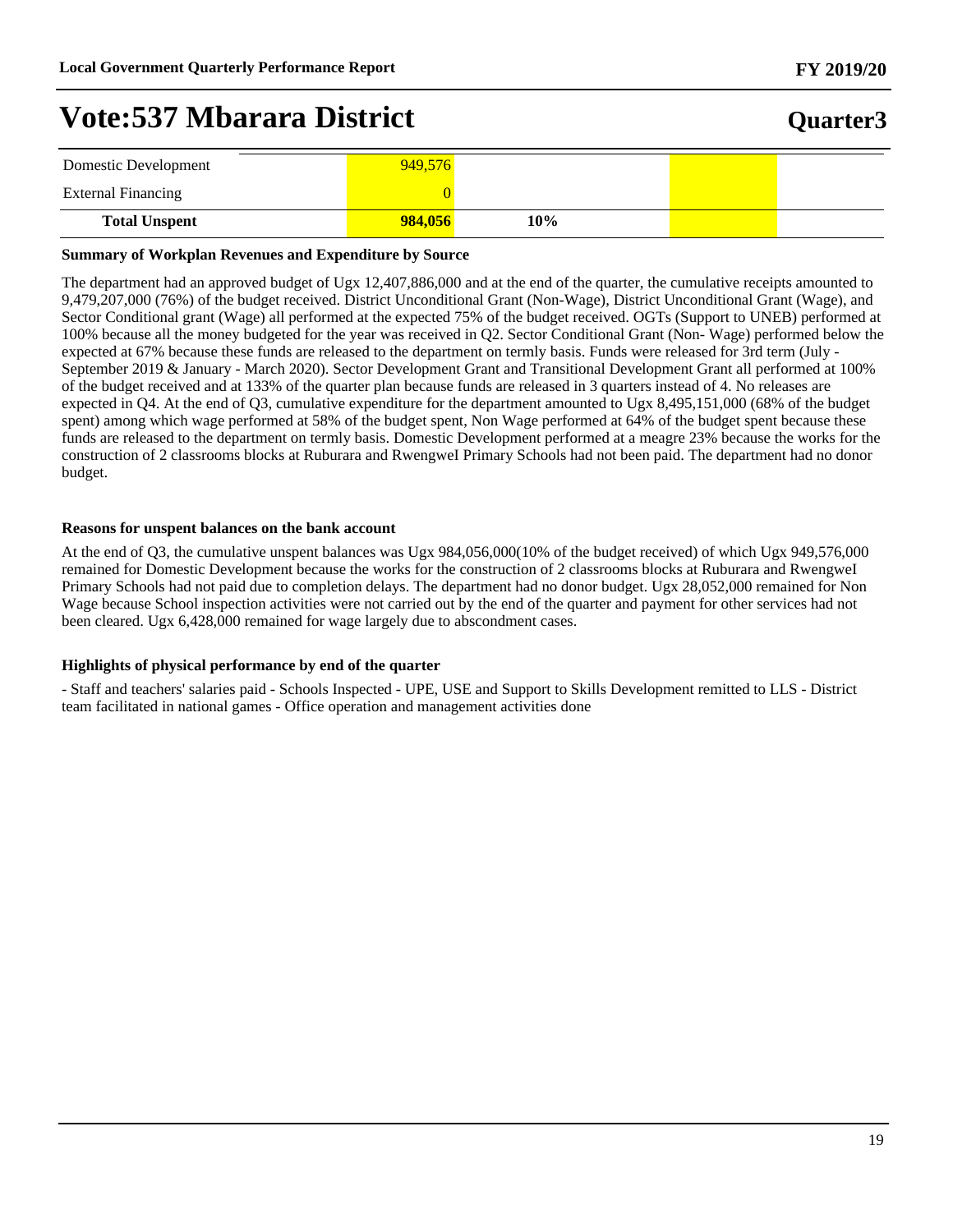## **Quarter3**

| Domestic Development      | 949,576 |     |  |
|---------------------------|---------|-----|--|
| <b>External Financing</b> |         |     |  |
| <b>Total Unspent</b>      | 984,056 | 10% |  |

#### **Summary of Workplan Revenues and Expenditure by Source**

The department had an approved budget of Ugx 12,407,886,000 and at the end of the quarter, the cumulative receipts amounted to 9,479,207,000 (76%) of the budget received. District Unconditional Grant (Non-Wage), District Unconditional Grant (Wage), and Sector Conditional grant (Wage) all performed at the expected 75% of the budget received. OGTs (Support to UNEB) performed at 100% because all the money budgeted for the year was received in Q2. Sector Conditional Grant (Non- Wage) performed below the expected at 67% because these funds are released to the department on termly basis. Funds were released for 3rd term (July - September 2019 & January - March 2020). Sector Development Grant and Transitional Development Grant all performed at 100% of the budget received and at 133% of the quarter plan because funds are released in 3 quarters instead of 4. No releases are expected in Q4. At the end of Q3, cumulative expenditure for the department amounted to Ugx 8,495,151,000 (68% of the budget spent) among which wage performed at 58% of the budget spent, Non Wage performed at 64% of the budget spent because these funds are released to the department on termly basis. Domestic Development performed at a meagre 23% because the works for the construction of 2 classrooms blocks at Ruburara and RwengweI Primary Schools had not been paid. The department had no donor budget.

#### **Reasons for unspent balances on the bank account**

At the end of Q3, the cumulative unspent balances was Ugx 984,056,000(10% of the budget received) of which Ugx 949,576,000 remained for Domestic Development because the works for the construction of 2 classrooms blocks at Ruburara and RwengweI Primary Schools had not paid due to completion delays. The department had no donor budget. Ugx 28,052,000 remained for Non Wage because School inspection activities were not carried out by the end of the quarter and payment for other services had not been cleared. Ugx 6,428,000 remained for wage largely due to abscondment cases.

#### **Highlights of physical performance by end of the quarter**

- Staff and teachers' salaries paid - Schools Inspected - UPE, USE and Support to Skills Development remitted to LLS - District team facilitated in national games - Office operation and management activities done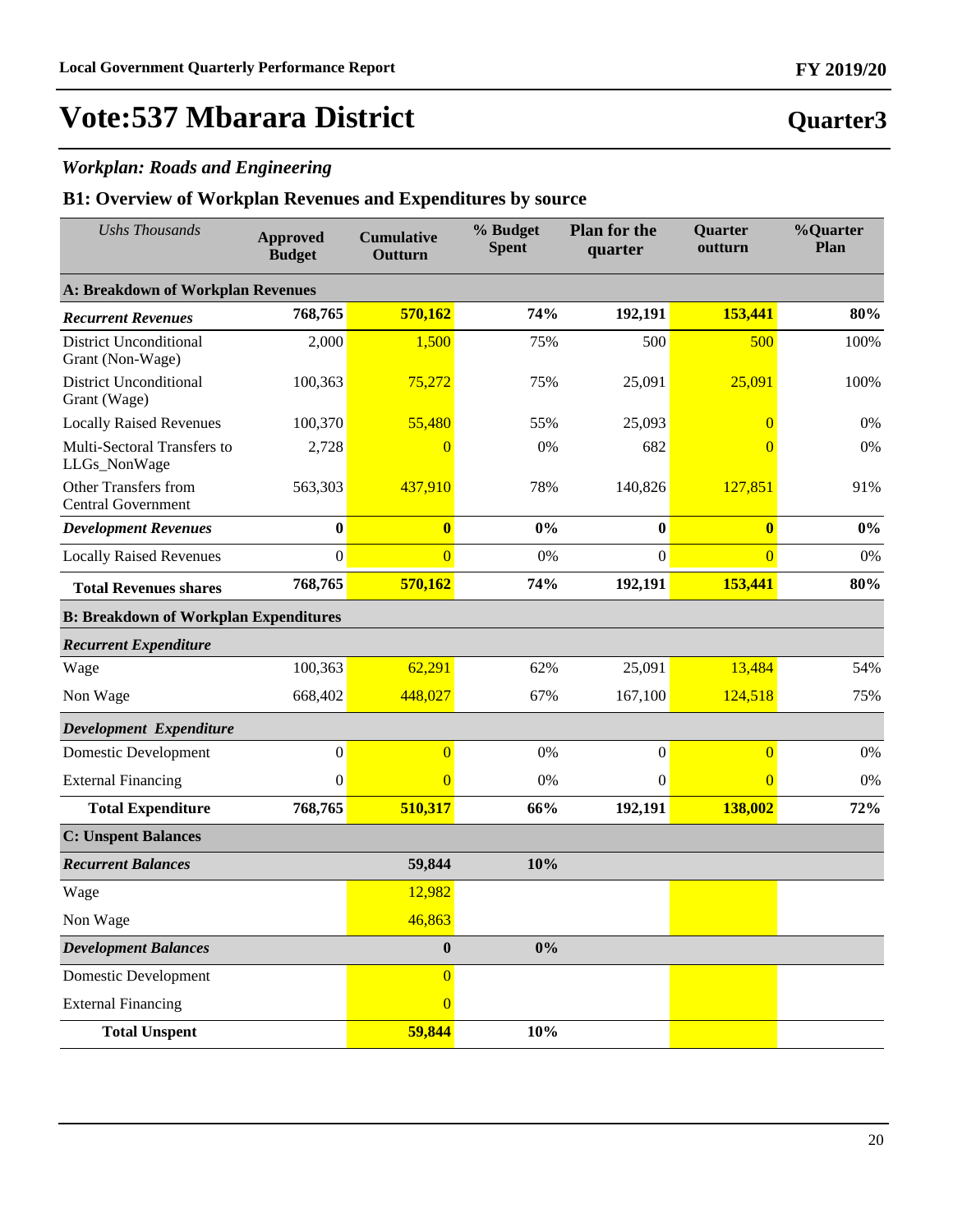### *Workplan: Roads and Engineering*

| <b>Ushs Thousands</b>                             | <b>Approved</b><br><b>Budget</b> | <b>Cumulative</b><br>Outturn | % Budget<br><b>Spent</b> | <b>Plan for the</b><br>quarter | Quarter<br>outturn | %Quarter<br>Plan |
|---------------------------------------------------|----------------------------------|------------------------------|--------------------------|--------------------------------|--------------------|------------------|
| <b>A: Breakdown of Workplan Revenues</b>          |                                  |                              |                          |                                |                    |                  |
| <b>Recurrent Revenues</b>                         | 768,765                          | 570,162                      | 74%                      | 192,191                        | 153,441            | 80%              |
| <b>District Unconditional</b><br>Grant (Non-Wage) | 2,000                            | 1,500                        | 75%                      | 500                            | 500                | 100%             |
| <b>District Unconditional</b><br>Grant (Wage)     | 100,363                          | 75,272                       | 75%                      | 25,091                         | 25,091             | 100%             |
| <b>Locally Raised Revenues</b>                    | 100,370                          | 55,480                       | 55%                      | 25,093                         | $\overline{0}$     | 0%               |
| Multi-Sectoral Transfers to<br>LLGs_NonWage       | 2,728                            | 0                            | 0%                       | 682                            | $\overline{0}$     | 0%               |
| Other Transfers from<br>Central Government        | 563,303                          | 437,910                      | 78%                      | 140,826                        | 127,851            | 91%              |
| <b>Development Revenues</b>                       | $\bf{0}$                         | $\mathbf{0}$                 | 0%                       | $\bf{0}$                       | $\bf{0}$           | $0\%$            |
| <b>Locally Raised Revenues</b>                    | $\mathbf{0}$                     | $\overline{0}$               | 0%                       | $\boldsymbol{0}$               | $\overline{0}$     | 0%               |
| <b>Total Revenues shares</b>                      | 768,765                          | 570,162                      | 74%                      | 192,191                        | 153,441            | 80%              |
| <b>B: Breakdown of Workplan Expenditures</b>      |                                  |                              |                          |                                |                    |                  |
| <b>Recurrent Expenditure</b>                      |                                  |                              |                          |                                |                    |                  |
| Wage                                              | 100,363                          | 62,291                       | 62%                      | 25,091                         | 13,484             | 54%              |
| Non Wage                                          | 668,402                          | 448,027                      | 67%                      | 167,100                        | 124,518            | 75%              |
| Development Expenditure                           |                                  |                              |                          |                                |                    |                  |
| Domestic Development                              | $\boldsymbol{0}$                 | $\Omega$                     | 0%                       | $\mathbf{0}$                   | $\overline{0}$     | 0%               |
| <b>External Financing</b>                         | $\mathbf{0}$                     | $\overline{0}$               | 0%                       | $\mathbf{0}$                   | $\overline{0}$     | 0%               |
| <b>Total Expenditure</b>                          | 768,765                          | 510,317                      | 66%                      | 192,191                        | 138,002            | 72%              |
| <b>C: Unspent Balances</b>                        |                                  |                              |                          |                                |                    |                  |
| <b>Recurrent Balances</b>                         |                                  | 59,844                       | 10%                      |                                |                    |                  |
| Wage                                              |                                  | 12,982                       |                          |                                |                    |                  |
| Non Wage                                          |                                  | 46,863                       |                          |                                |                    |                  |
| <b>Development Balances</b>                       |                                  | $\bf{0}$                     | $0\%$                    |                                |                    |                  |
| <b>Domestic Development</b>                       |                                  | $\overline{0}$               |                          |                                |                    |                  |
| <b>External Financing</b>                         |                                  | $\overline{0}$               |                          |                                |                    |                  |
| <b>Total Unspent</b>                              |                                  | 59,844                       | 10%                      |                                |                    |                  |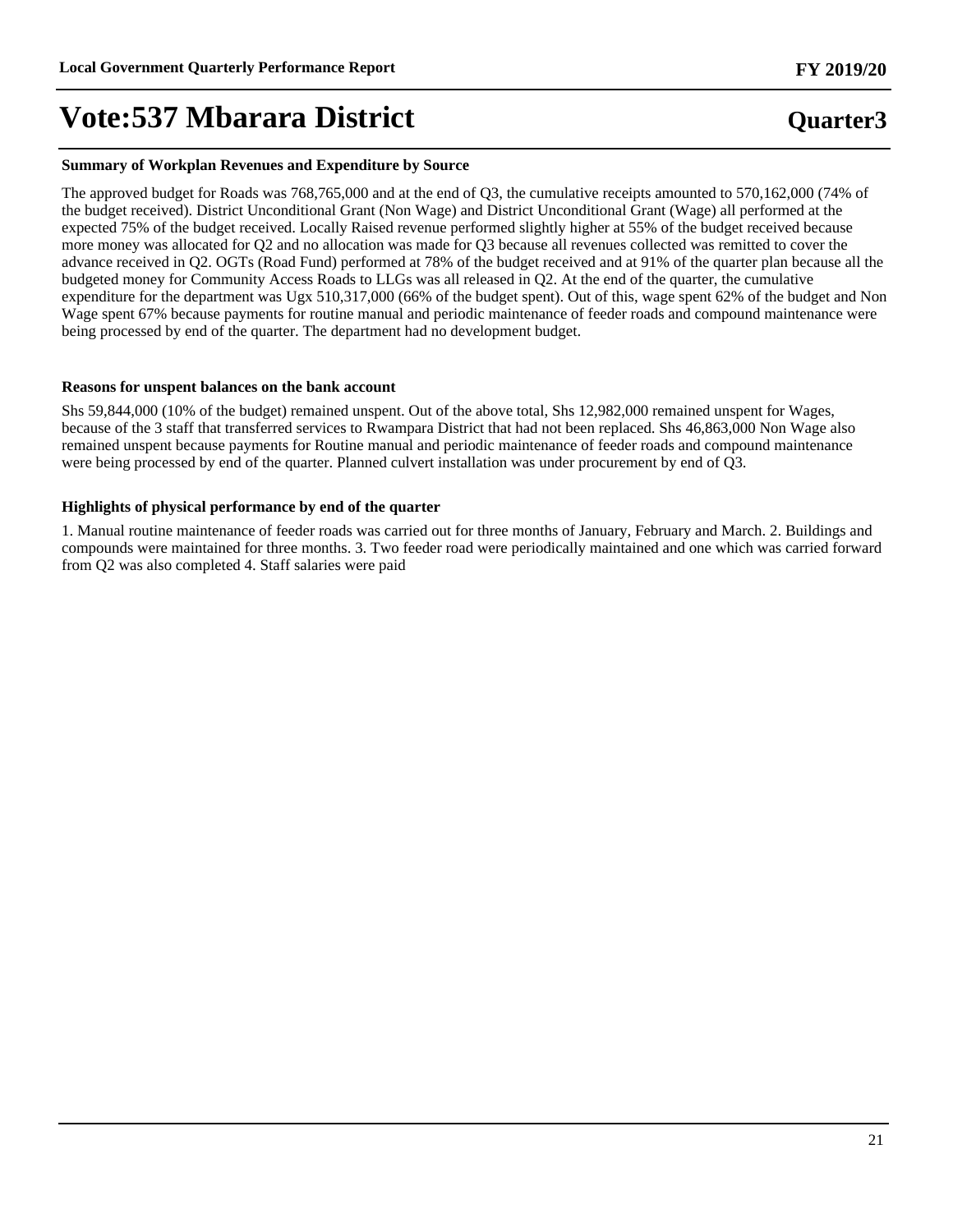#### **Summary of Workplan Revenues and Expenditure by Source**

The approved budget for Roads was 768,765,000 and at the end of Q3, the cumulative receipts amounted to 570,162,000 (74% of the budget received). District Unconditional Grant (Non Wage) and District Unconditional Grant (Wage) all performed at the expected 75% of the budget received. Locally Raised revenue performed slightly higher at 55% of the budget received because more money was allocated for Q2 and no allocation was made for Q3 because all revenues collected was remitted to cover the advance received in Q2. OGTs (Road Fund) performed at 78% of the budget received and at 91% of the quarter plan because all the budgeted money for Community Access Roads to LLGs was all released in Q2. At the end of the quarter, the cumulative expenditure for the department was Ugx 510,317,000 (66% of the budget spent). Out of this, wage spent 62% of the budget and Non Wage spent 67% because payments for routine manual and periodic maintenance of feeder roads and compound maintenance were being processed by end of the quarter. The department had no development budget.

#### **Reasons for unspent balances on the bank account**

Shs 59,844,000 (10% of the budget) remained unspent. Out of the above total, Shs 12,982,000 remained unspent for Wages, because of the 3 staff that transferred services to Rwampara District that had not been replaced. Shs 46,863,000 Non Wage also remained unspent because payments for Routine manual and periodic maintenance of feeder roads and compound maintenance were being processed by end of the quarter. Planned culvert installation was under procurement by end of Q3.

#### **Highlights of physical performance by end of the quarter**

1. Manual routine maintenance of feeder roads was carried out for three months of January, February and March. 2. Buildings and compounds were maintained for three months. 3. Two feeder road were periodically maintained and one which was carried forward from Q2 was also completed 4. Staff salaries were paid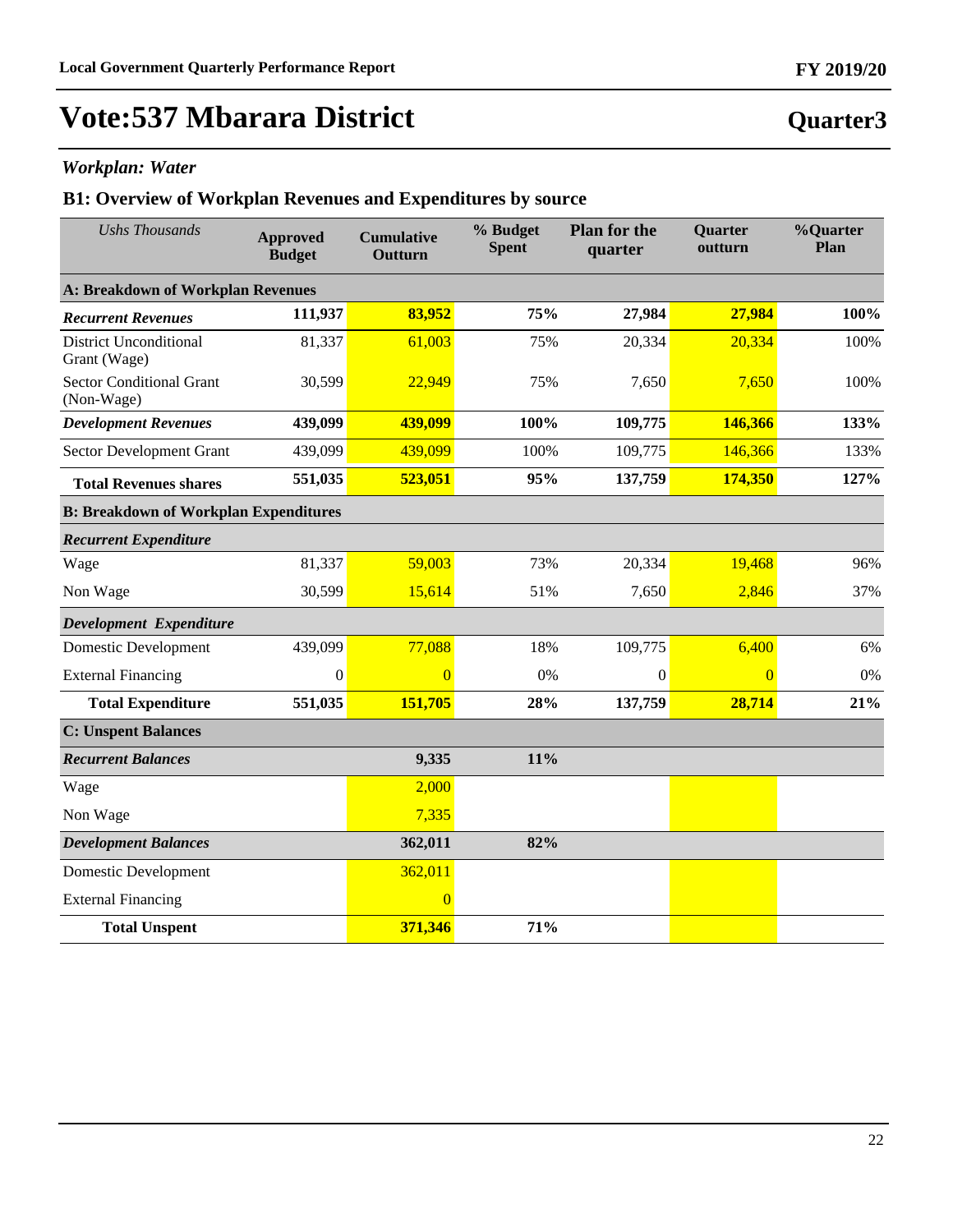### *Workplan: Water*

| <b>Ushs Thousands</b>                         | <b>Approved</b><br><b>Budget</b> | <b>Cumulative</b><br>Outturn | % Budget<br><b>Spent</b> | <b>Plan for the</b><br>quarter | Quarter<br>outturn | %Quarter<br>Plan |
|-----------------------------------------------|----------------------------------|------------------------------|--------------------------|--------------------------------|--------------------|------------------|
| A: Breakdown of Workplan Revenues             |                                  |                              |                          |                                |                    |                  |
| <b>Recurrent Revenues</b>                     | 111,937                          | 83,952                       | 75%                      | 27,984                         | 27,984             | 100%             |
| <b>District Unconditional</b><br>Grant (Wage) | 81,337                           | 61,003                       | 75%                      | 20,334                         | 20,334             | 100%             |
| <b>Sector Conditional Grant</b><br>(Non-Wage) | 30,599                           | 22,949                       | 75%                      | 7,650                          | 7,650              | 100%             |
| <b>Development Revenues</b>                   | 439,099                          | 439,099                      | 100%                     | 109,775                        | 146,366            | 133%             |
| Sector Development Grant                      | 439,099                          | 439,099                      | 100%                     | 109,775                        | 146,366            | 133%             |
| <b>Total Revenues shares</b>                  | 551,035                          | 523,051                      | 95%                      | 137,759                        | 174,350            | 127%             |
| <b>B: Breakdown of Workplan Expenditures</b>  |                                  |                              |                          |                                |                    |                  |
| <b>Recurrent Expenditure</b>                  |                                  |                              |                          |                                |                    |                  |
| Wage                                          | 81,337                           | 59,003                       | 73%                      | 20,334                         | 19,468             | 96%              |
| Non Wage                                      | 30,599                           | 15,614                       | 51%                      | 7,650                          | 2,846              | 37%              |
| Development Expenditure                       |                                  |                              |                          |                                |                    |                  |
| <b>Domestic Development</b>                   | 439,099                          | 77,088                       | 18%                      | 109,775                        | 6,400              | 6%               |
| <b>External Financing</b>                     | $\boldsymbol{0}$                 | $\Omega$                     | 0%                       | $\Omega$                       | $\overline{0}$     | 0%               |
| <b>Total Expenditure</b>                      | 551,035                          | 151,705                      | 28%                      | 137,759                        | 28,714             | 21%              |
| <b>C: Unspent Balances</b>                    |                                  |                              |                          |                                |                    |                  |
| <b>Recurrent Balances</b>                     |                                  | 9,335                        | 11%                      |                                |                    |                  |
| Wage                                          |                                  | 2,000                        |                          |                                |                    |                  |
| Non Wage                                      |                                  | 7,335                        |                          |                                |                    |                  |
| <b>Development Balances</b>                   |                                  | 362,011                      | 82%                      |                                |                    |                  |
| <b>Domestic Development</b>                   |                                  | 362,011                      |                          |                                |                    |                  |
| <b>External Financing</b>                     |                                  | $\overline{0}$               |                          |                                |                    |                  |
| <b>Total Unspent</b>                          |                                  | 371,346                      | 71%                      |                                |                    |                  |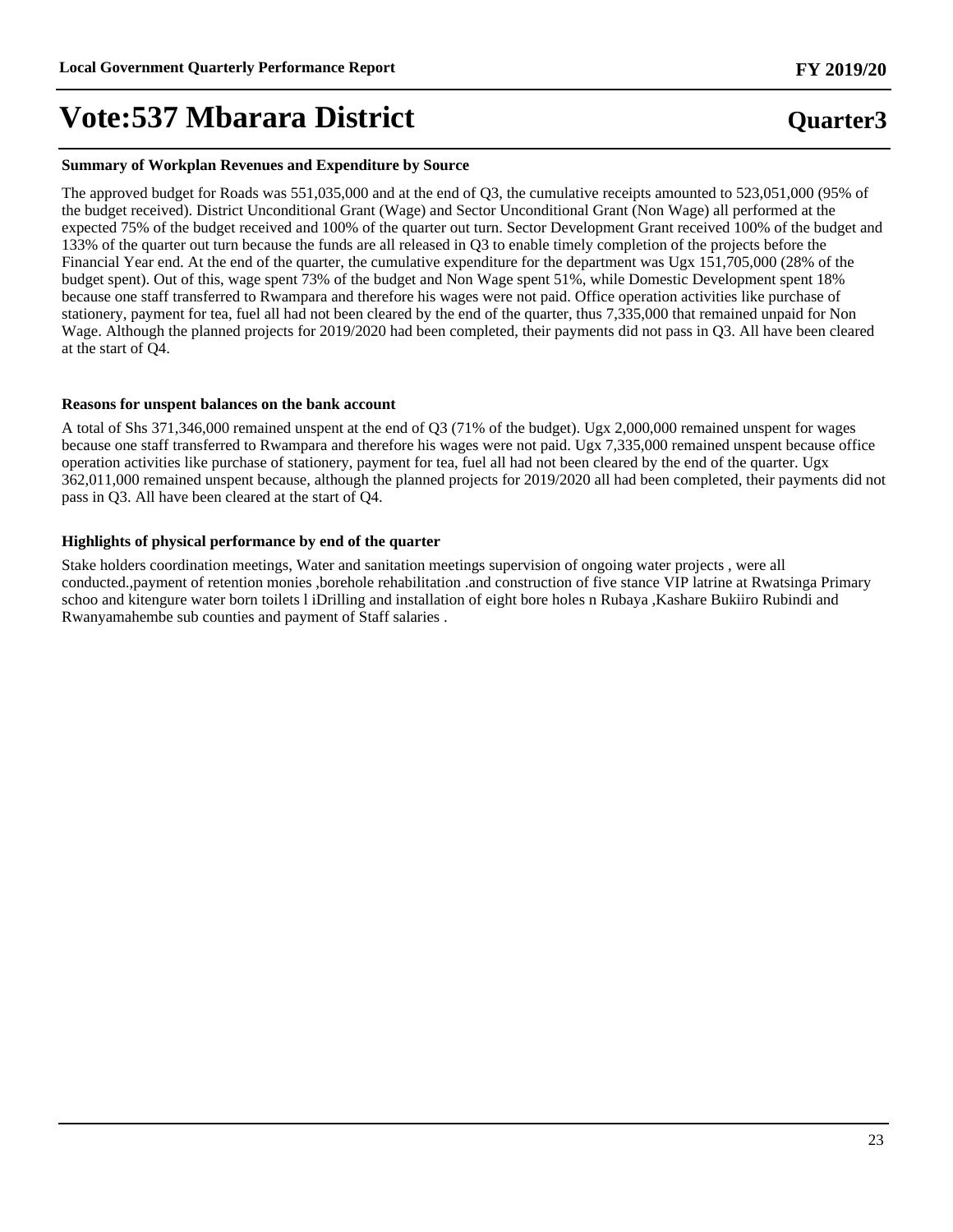#### **Summary of Workplan Revenues and Expenditure by Source**

The approved budget for Roads was 551,035,000 and at the end of Q3, the cumulative receipts amounted to 523,051,000 (95% of the budget received). District Unconditional Grant (Wage) and Sector Unconditional Grant (Non Wage) all performed at the expected 75% of the budget received and 100% of the quarter out turn. Sector Development Grant received 100% of the budget and 133% of the quarter out turn because the funds are all released in Q3 to enable timely completion of the projects before the Financial Year end. At the end of the quarter, the cumulative expenditure for the department was Ugx 151,705,000 (28% of the budget spent). Out of this, wage spent 73% of the budget and Non Wage spent 51%, while Domestic Development spent 18% because one staff transferred to Rwampara and therefore his wages were not paid. Office operation activities like purchase of stationery, payment for tea, fuel all had not been cleared by the end of the quarter, thus 7,335,000 that remained unpaid for Non Wage. Although the planned projects for 2019/2020 had been completed, their payments did not pass in Q3. All have been cleared at the start of Q4.

#### **Reasons for unspent balances on the bank account**

A total of Shs 371,346,000 remained unspent at the end of Q3 (71% of the budget). Ugx 2,000,000 remained unspent for wages because one staff transferred to Rwampara and therefore his wages were not paid. Ugx 7,335,000 remained unspent because office operation activities like purchase of stationery, payment for tea, fuel all had not been cleared by the end of the quarter. Ugx 362,011,000 remained unspent because, although the planned projects for 2019/2020 all had been completed, their payments did not pass in Q3. All have been cleared at the start of Q4.

#### **Highlights of physical performance by end of the quarter**

Stake holders coordination meetings, Water and sanitation meetings supervision of ongoing water projects , were all conducted.,payment of retention monies ,borehole rehabilitation .and construction of five stance VIP latrine at Rwatsinga Primary schoo and kitengure water born toilets l iDrilling and installation of eight bore holes n Rubaya ,Kashare Bukiiro Rubindi and Rwanyamahembe sub counties and payment of Staff salaries .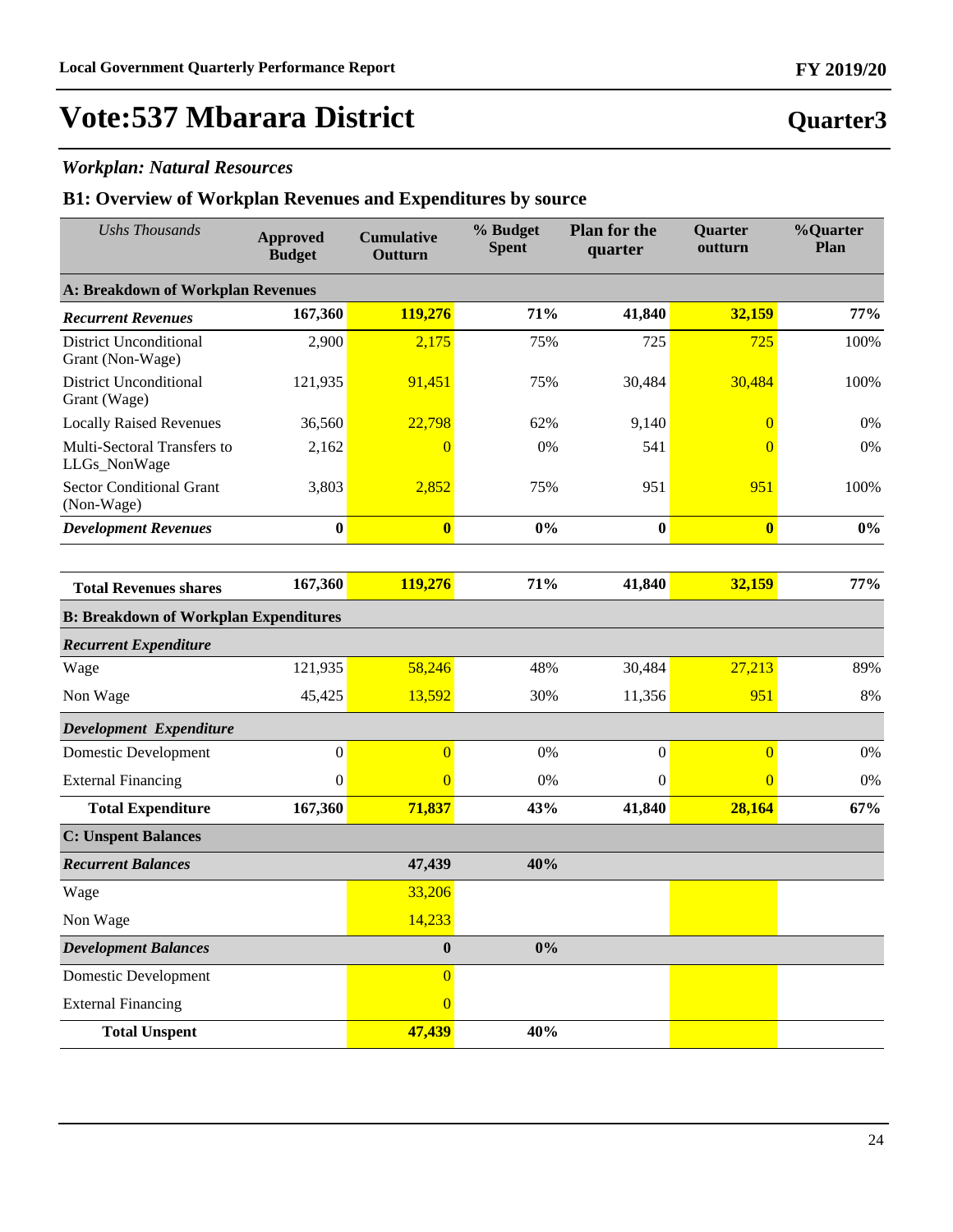### *Workplan: Natural Resources*

| <b>Ushs Thousands</b>                             | <b>Approved</b><br><b>Budget</b> | <b>Cumulative</b><br>Outturn | % Budget<br><b>Spent</b> | <b>Plan for the</b><br>quarter | Quarter<br>outturn | %Quarter<br>Plan |
|---------------------------------------------------|----------------------------------|------------------------------|--------------------------|--------------------------------|--------------------|------------------|
| <b>A: Breakdown of Workplan Revenues</b>          |                                  |                              |                          |                                |                    |                  |
| <b>Recurrent Revenues</b>                         | 167,360                          | 119,276                      | 71%                      | 41,840                         | 32,159             | 77%              |
| <b>District Unconditional</b><br>Grant (Non-Wage) | 2,900                            | 2,175                        | 75%                      | 725                            | 725                | 100%             |
| <b>District Unconditional</b><br>Grant (Wage)     | 121,935                          | 91,451                       | 75%                      | 30,484                         | 30,484             | 100%             |
| <b>Locally Raised Revenues</b>                    | 36,560                           | 22,798                       | 62%                      | 9,140                          | $\overline{0}$     | 0%               |
| Multi-Sectoral Transfers to<br>LLGs_NonWage       | 2,162                            | $\overline{0}$               | 0%                       | 541                            | $\Omega$           | 0%               |
| Sector Conditional Grant<br>(Non-Wage)            | 3,803                            | 2,852                        | 75%                      | 951                            | 951                | 100%             |
| <b>Development Revenues</b>                       | $\bf{0}$                         | $\bf{0}$                     | 0%                       | $\bf{0}$                       | $\bf{0}$           | $0\%$            |
|                                                   |                                  |                              |                          |                                |                    |                  |
| <b>Total Revenues shares</b>                      | 167,360                          | 119,276                      | 71%                      | 41,840                         | 32,159             | 77%              |
| <b>B: Breakdown of Workplan Expenditures</b>      |                                  |                              |                          |                                |                    |                  |
| <b>Recurrent Expenditure</b>                      |                                  |                              |                          |                                |                    |                  |
| Wage                                              | 121,935                          | 58,246                       | 48%                      | 30,484                         | 27,213             | 89%              |
| Non Wage                                          | 45,425                           | 13,592                       | 30%                      | 11,356                         | 951                | 8%               |
| Development Expenditure                           |                                  |                              |                          |                                |                    |                  |
| Domestic Development                              | $\mathbf{0}$                     | $\overline{0}$               | 0%                       | $\boldsymbol{0}$               | $\overline{0}$     | 0%               |
| <b>External Financing</b>                         | $\mathbf{0}$                     | $\overline{0}$               | 0%                       | $\mathbf{0}$                   | $\overline{0}$     | 0%               |
| <b>Total Expenditure</b>                          | 167,360                          | 71,837                       | 43%                      | 41,840                         | 28,164             | 67%              |
| <b>C: Unspent Balances</b>                        |                                  |                              |                          |                                |                    |                  |
| <b>Recurrent Balances</b>                         |                                  | 47,439                       | 40%                      |                                |                    |                  |
| Wage                                              |                                  | 33,206                       |                          |                                |                    |                  |
| Non Wage                                          |                                  | 14,233                       |                          |                                |                    |                  |
| <b>Development Balances</b>                       |                                  | $\bf{0}$                     | $0\%$                    |                                |                    |                  |
| <b>Domestic Development</b>                       |                                  | $\overline{0}$               |                          |                                |                    |                  |
| <b>External Financing</b>                         |                                  | $\overline{0}$               |                          |                                |                    |                  |
| <b>Total Unspent</b>                              |                                  | 47,439                       | 40%                      |                                |                    |                  |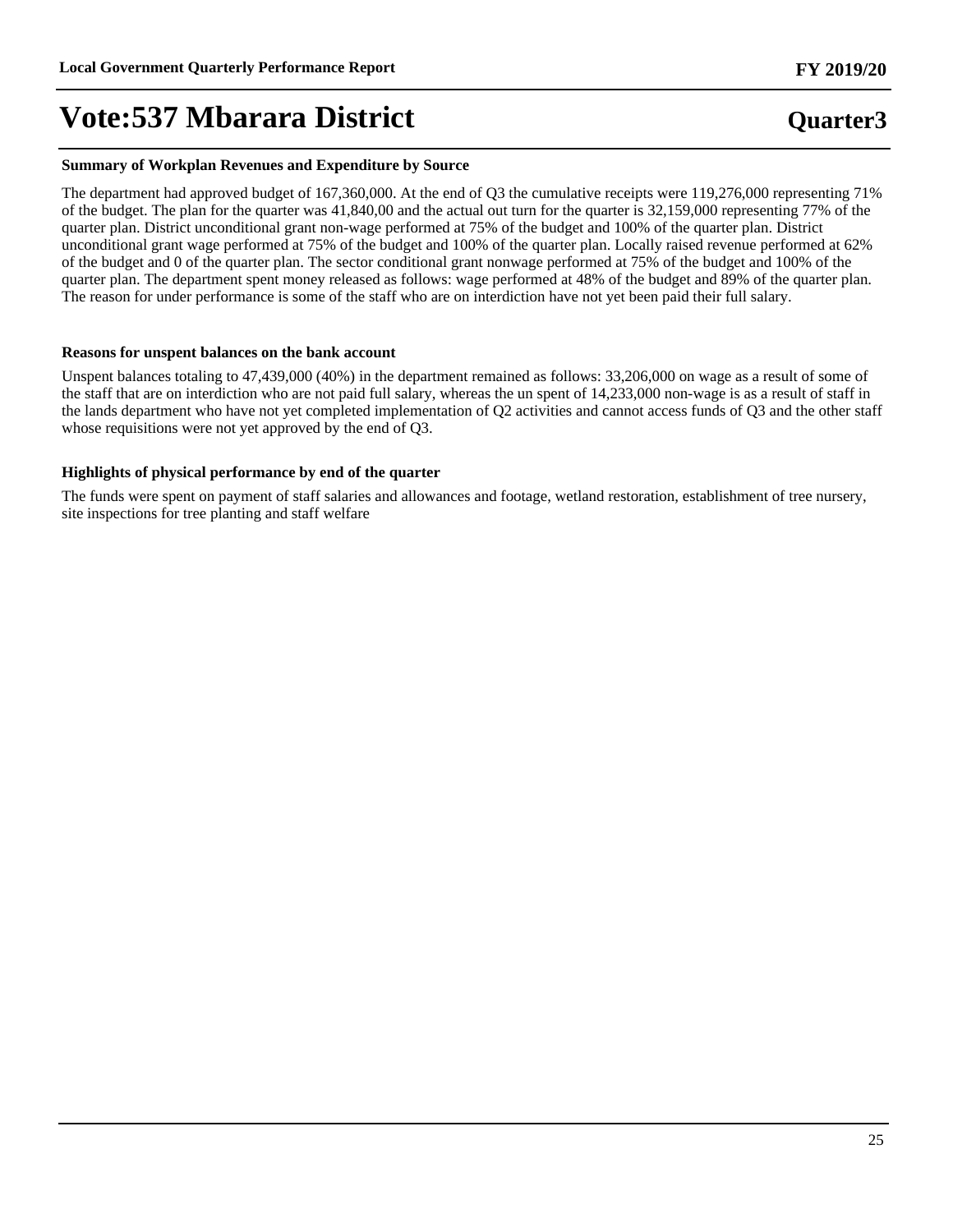#### **Summary of Workplan Revenues and Expenditure by Source**

The department had approved budget of 167,360,000. At the end of Q3 the cumulative receipts were 119,276,000 representing 71% of the budget. The plan for the quarter was 41,840,00 and the actual out turn for the quarter is 32,159,000 representing 77% of the quarter plan. District unconditional grant non-wage performed at 75% of the budget and 100% of the quarter plan. District unconditional grant wage performed at 75% of the budget and 100% of the quarter plan. Locally raised revenue performed at 62% of the budget and 0 of the quarter plan. The sector conditional grant nonwage performed at 75% of the budget and 100% of the quarter plan. The department spent money released as follows: wage performed at 48% of the budget and 89% of the quarter plan. The reason for under performance is some of the staff who are on interdiction have not yet been paid their full salary.

#### **Reasons for unspent balances on the bank account**

Unspent balances totaling to 47,439,000 (40%) in the department remained as follows: 33,206,000 on wage as a result of some of the staff that are on interdiction who are not paid full salary, whereas the un spent of 14,233,000 non-wage is as a result of staff in the lands department who have not yet completed implementation of Q2 activities and cannot access funds of Q3 and the other staff whose requisitions were not yet approved by the end of Q3.

#### **Highlights of physical performance by end of the quarter**

The funds were spent on payment of staff salaries and allowances and footage, wetland restoration, establishment of tree nursery, site inspections for tree planting and staff welfare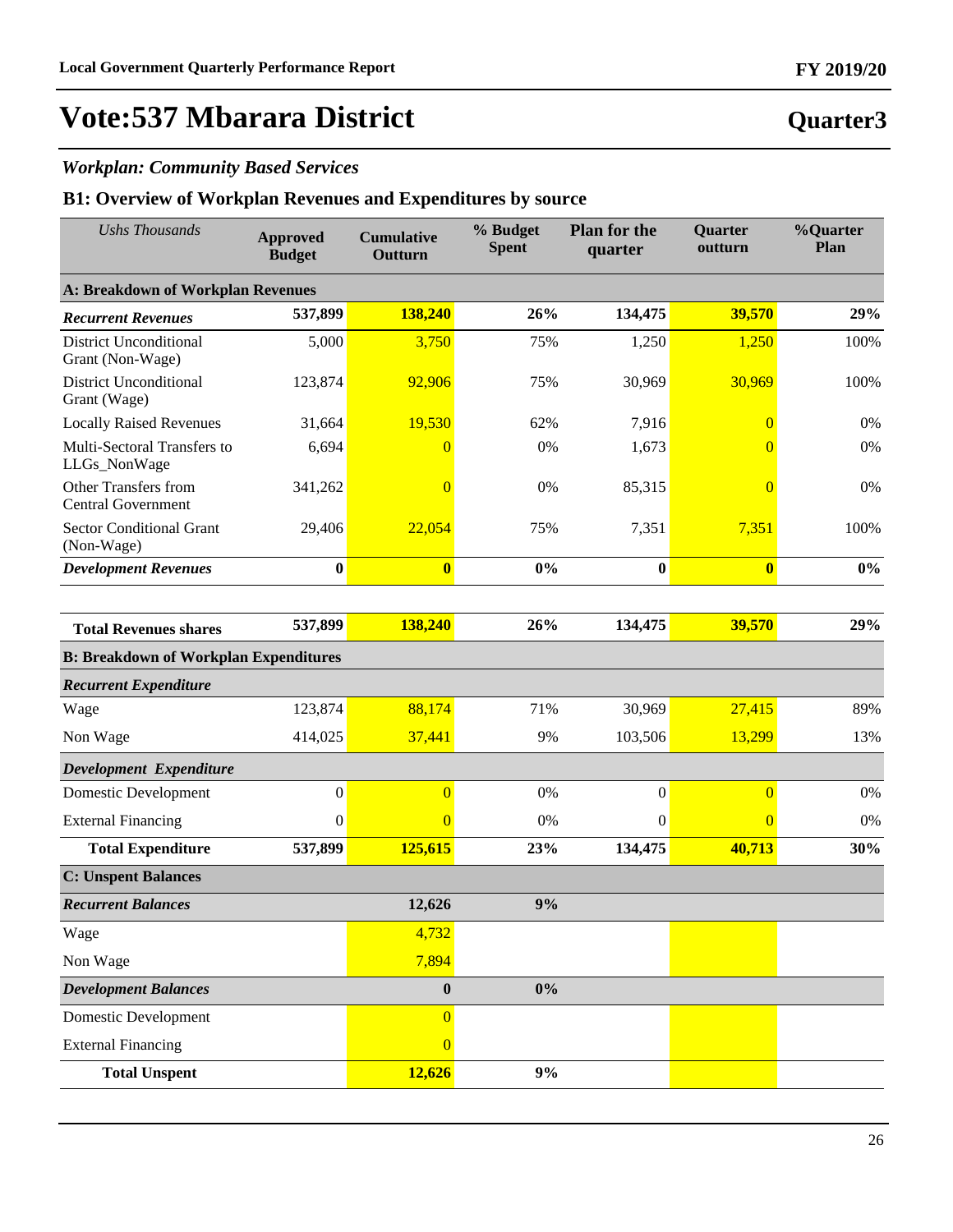### *Workplan: Community Based Services*

### **B1: Overview of Workplan Revenues and Expenditures by source**

| <b>Ushs Thousands</b>                             | <b>Approved</b><br><b>Budget</b> | <b>Cumulative</b><br>Outturn | % Budget<br><b>Spent</b> | <b>Plan for the</b><br>quarter | Quarter<br>outturn | %Quarter<br>Plan |
|---------------------------------------------------|----------------------------------|------------------------------|--------------------------|--------------------------------|--------------------|------------------|
| A: Breakdown of Workplan Revenues                 |                                  |                              |                          |                                |                    |                  |
| <b>Recurrent Revenues</b>                         | 537,899                          | 138,240                      | 26%                      | 134,475                        | 39,570             | 29%              |
| <b>District Unconditional</b><br>Grant (Non-Wage) | 5,000                            | 3,750                        | 75%                      | 1,250                          | 1,250              | 100%             |
| <b>District Unconditional</b><br>Grant (Wage)     | 123,874                          | 92,906                       | 75%                      | 30,969                         | 30,969             | 100%             |
| <b>Locally Raised Revenues</b>                    | 31,664                           | 19,530                       | 62%                      | 7,916                          | $\overline{0}$     | 0%               |
| Multi-Sectoral Transfers to<br>LLGs_NonWage       | 6,694                            | $\overline{0}$               | 0%                       | 1,673                          | $\Omega$           | 0%               |
| Other Transfers from<br><b>Central Government</b> | 341,262                          | $\overline{0}$               | 0%                       | 85,315                         | $\overline{0}$     | 0%               |
| <b>Sector Conditional Grant</b><br>(Non-Wage)     | 29,406                           | 22,054                       | 75%                      | 7,351                          | 7,351              | 100%             |
| <b>Development Revenues</b>                       | $\bf{0}$                         | $\bf{0}$                     | 0%                       | $\bf{0}$                       | $\bf{0}$           | $0\%$            |
|                                                   |                                  |                              |                          |                                |                    |                  |
| <b>Total Revenues shares</b>                      | 537,899                          | 138,240                      | 26%                      | 134,475                        | 39,570             | 29%              |
| <b>B: Breakdown of Workplan Expenditures</b>      |                                  |                              |                          |                                |                    |                  |
| <b>Recurrent Expenditure</b>                      |                                  |                              |                          |                                |                    |                  |
| Wage                                              | 123,874                          | 88,174                       | 71%                      | 30,969                         | 27,415             | 89%              |
| Non Wage                                          | 414,025                          | 37,441                       | 9%                       | 103,506                        | 13,299             | 13%              |
| Development Expenditure                           |                                  |                              |                          |                                |                    |                  |
| <b>Domestic Development</b>                       | $\boldsymbol{0}$                 | $\overline{0}$               | 0%                       | $\boldsymbol{0}$               | $\overline{0}$     | 0%               |
| <b>External Financing</b>                         | $\boldsymbol{0}$                 | $\Omega$                     | 0%                       | $\mathbf{0}$                   | $\overline{0}$     | 0%               |
| <b>Total Expenditure</b>                          | 537,899                          | 125,615                      | 23%                      | 134,475                        | 40,713             | 30%              |
| <b>C: Unspent Balances</b>                        |                                  |                              |                          |                                |                    |                  |
| <b>Recurrent Balances</b>                         |                                  | 12,626                       | 9%                       |                                |                    |                  |
| Wage                                              |                                  | 4,732                        |                          |                                |                    |                  |
| Non Wage                                          |                                  | 7,894                        |                          |                                |                    |                  |
| <b>Development Balances</b>                       |                                  | $\bf{0}$                     | 0%                       |                                |                    |                  |
| <b>Domestic Development</b>                       |                                  | $\overline{0}$               |                          |                                |                    |                  |
| <b>External Financing</b>                         |                                  | $\overline{0}$               |                          |                                |                    |                  |
| <b>Total Unspent</b>                              |                                  | 12,626                       | $9\%$                    |                                |                    |                  |

26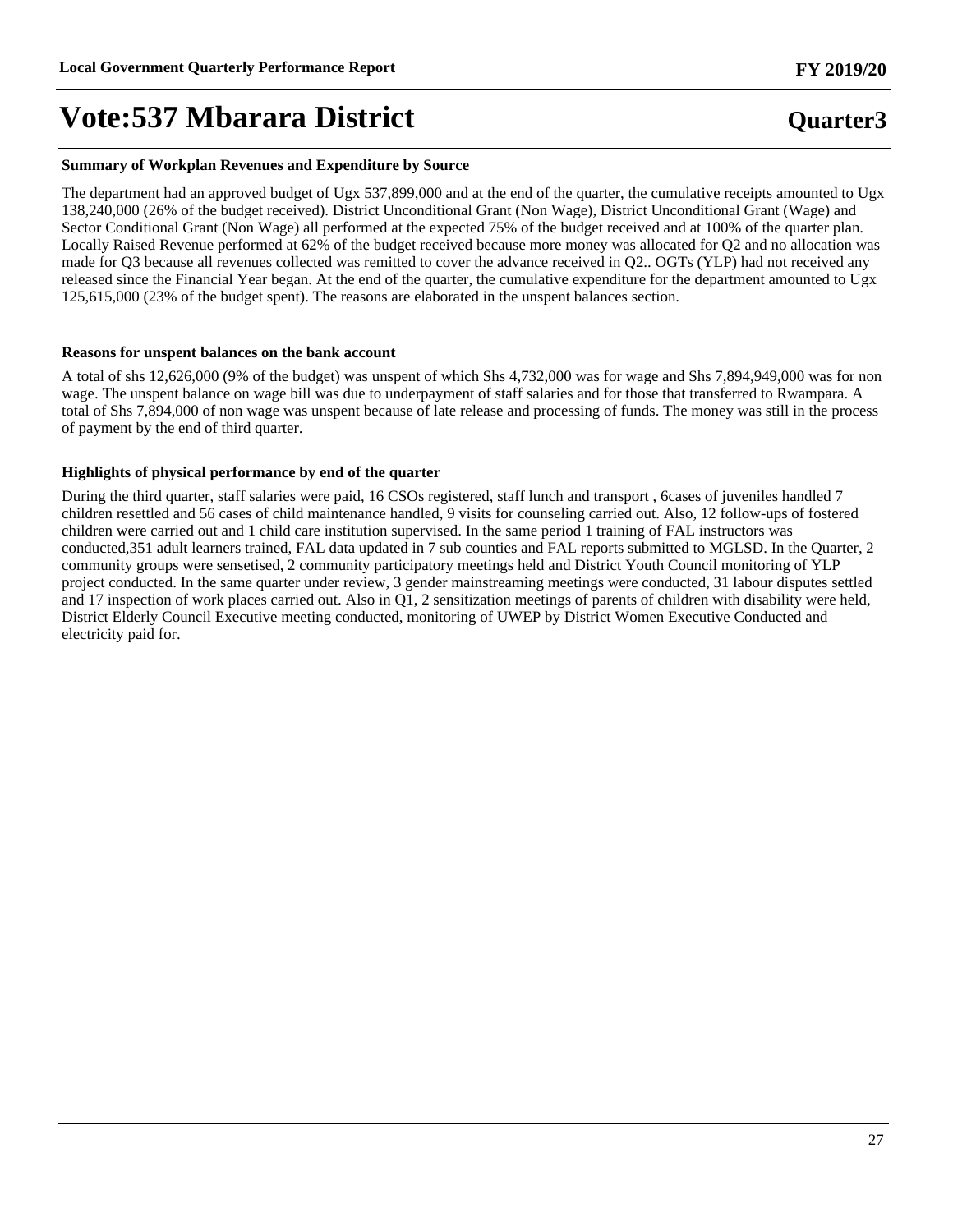#### **Summary of Workplan Revenues and Expenditure by Source**

The department had an approved budget of Ugx 537,899,000 and at the end of the quarter, the cumulative receipts amounted to Ugx 138,240,000 (26% of the budget received). District Unconditional Grant (Non Wage), District Unconditional Grant (Wage) and Sector Conditional Grant (Non Wage) all performed at the expected 75% of the budget received and at 100% of the quarter plan. Locally Raised Revenue performed at 62% of the budget received because more money was allocated for Q2 and no allocation was made for Q3 because all revenues collected was remitted to cover the advance received in Q2.. OGTs (YLP) had not received any released since the Financial Year began. At the end of the quarter, the cumulative expenditure for the department amounted to Ugx 125,615,000 (23% of the budget spent). The reasons are elaborated in the unspent balances section.

#### **Reasons for unspent balances on the bank account**

A total of shs 12,626,000 (9% of the budget) was unspent of which Shs 4,732,000 was for wage and Shs 7,894,949,000 was for non wage. The unspent balance on wage bill was due to underpayment of staff salaries and for those that transferred to Rwampara. A total of Shs 7,894,000 of non wage was unspent because of late release and processing of funds. The money was still in the process of payment by the end of third quarter.

#### **Highlights of physical performance by end of the quarter**

During the third quarter, staff salaries were paid, 16 CSOs registered, staff lunch and transport , 6cases of juveniles handled 7 children resettled and 56 cases of child maintenance handled, 9 visits for counseling carried out. Also, 12 follow-ups of fostered children were carried out and 1 child care institution supervised. In the same period 1 training of FAL instructors was conducted,351 adult learners trained, FAL data updated in 7 sub counties and FAL reports submitted to MGLSD. In the Quarter, 2 community groups were sensetised, 2 community participatory meetings held and District Youth Council monitoring of YLP project conducted. In the same quarter under review, 3 gender mainstreaming meetings were conducted, 31 labour disputes settled and 17 inspection of work places carried out. Also in Q1, 2 sensitization meetings of parents of children with disability were held, District Elderly Council Executive meeting conducted, monitoring of UWEP by District Women Executive Conducted and electricity paid for.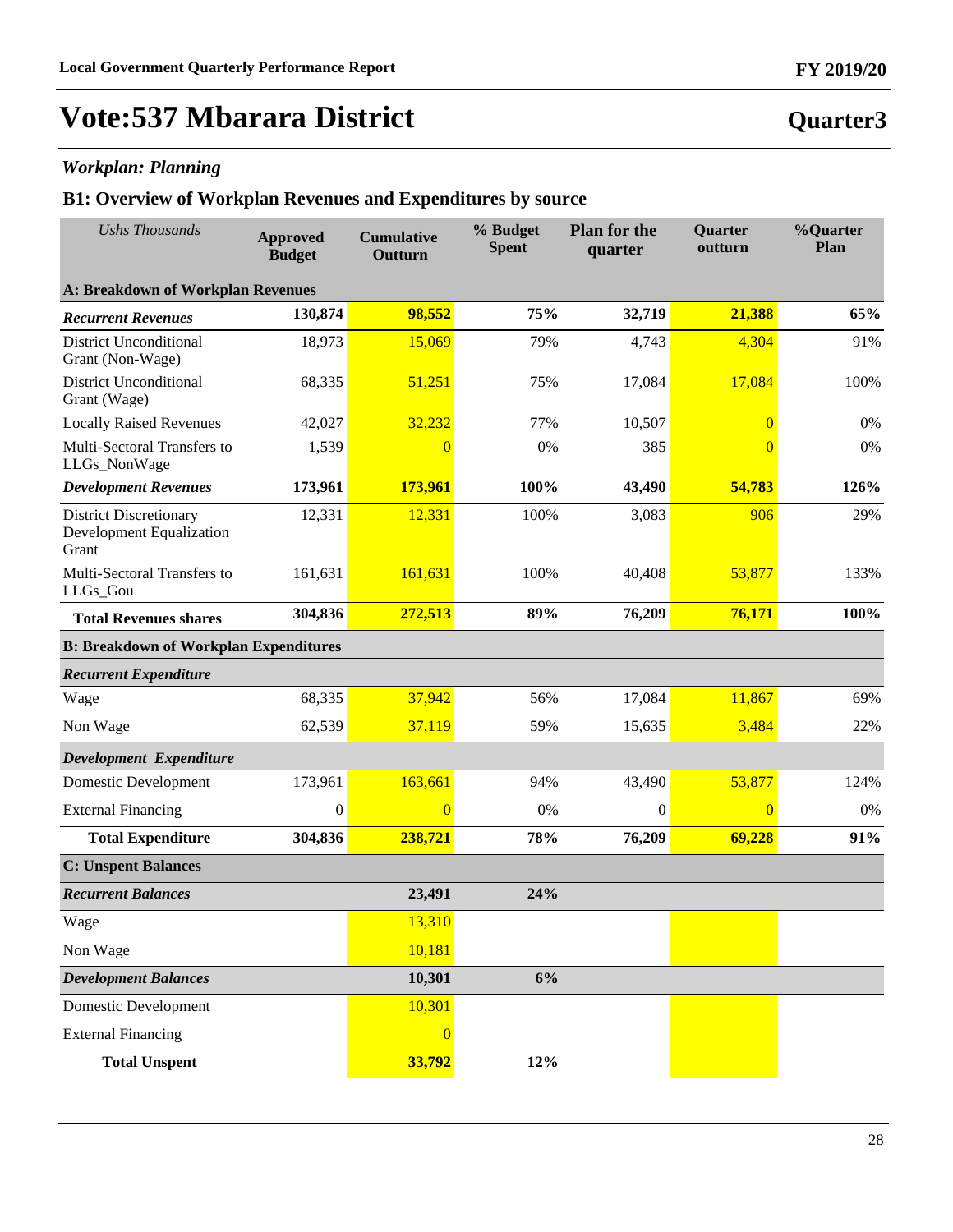### *Workplan: Planning*

| <b>Ushs Thousands</b>                                              | <b>Approved</b><br><b>Budget</b> | <b>Cumulative</b><br>Outturn | % Budget<br><b>Spent</b> | <b>Plan for the</b><br>quarter | <b>Quarter</b><br>outturn | %Quarter<br>Plan |
|--------------------------------------------------------------------|----------------------------------|------------------------------|--------------------------|--------------------------------|---------------------------|------------------|
| <b>A: Breakdown of Workplan Revenues</b>                           |                                  |                              |                          |                                |                           |                  |
| <b>Recurrent Revenues</b>                                          | 130,874                          | 98,552                       | 75%                      | 32,719                         | 21,388                    | 65%              |
| <b>District Unconditional</b><br>Grant (Non-Wage)                  | 18,973                           | 15,069                       | 79%                      | 4,743                          | 4,304                     | 91%              |
| <b>District Unconditional</b><br>Grant (Wage)                      | 68,335                           | 51,251                       | 75%                      | 17,084                         | 17,084                    | 100%             |
| <b>Locally Raised Revenues</b>                                     | 42,027                           | 32,232                       | 77%                      | 10,507                         | $\overline{0}$            | 0%               |
| Multi-Sectoral Transfers to<br>LLGs_NonWage                        | 1,539                            | $\Omega$                     | 0%                       | 385                            | $\theta$                  | 0%               |
| <b>Development Revenues</b>                                        | 173,961                          | 173,961                      | 100%                     | 43,490                         | 54,783                    | 126%             |
| <b>District Discretionary</b><br>Development Equalization<br>Grant | 12,331                           | 12,331                       | 100%                     | 3,083                          | 906                       | 29%              |
| Multi-Sectoral Transfers to<br>LLGs_Gou                            | 161,631                          | 161,631                      | 100%                     | 40,408                         | 53,877                    | 133%             |
| <b>Total Revenues shares</b>                                       | 304,836                          | 272,513                      | 89%                      | 76,209                         | 76,171                    | 100%             |
| <b>B: Breakdown of Workplan Expenditures</b>                       |                                  |                              |                          |                                |                           |                  |
| <b>Recurrent Expenditure</b>                                       |                                  |                              |                          |                                |                           |                  |
| Wage                                                               | 68,335                           | 37,942                       | 56%                      | 17,084                         | 11,867                    | 69%              |
| Non Wage                                                           | 62,539                           | 37,119                       | 59%                      | 15,635                         | 3,484                     | 22%              |
| Development Expenditure                                            |                                  |                              |                          |                                |                           |                  |
| <b>Domestic Development</b>                                        | 173,961                          | 163,661                      | 94%                      | 43,490                         | 53,877                    | 124%             |
| <b>External Financing</b>                                          | $\boldsymbol{0}$                 | $\Omega$                     | 0%                       | $\theta$                       | $\overline{0}$            | 0%               |
| <b>Total Expenditure</b>                                           | 304,836                          | 238,721                      | 78%                      | 76,209                         | 69,228                    | 91%              |
| <b>C: Unspent Balances</b>                                         |                                  |                              |                          |                                |                           |                  |
| <b>Recurrent Balances</b>                                          |                                  | 23,491                       | 24%                      |                                |                           |                  |
| Wage                                                               |                                  | 13,310                       |                          |                                |                           |                  |
| Non Wage                                                           |                                  | 10,181                       |                          |                                |                           |                  |
| <b>Development Balances</b>                                        |                                  | 10,301                       | 6%                       |                                |                           |                  |
| <b>Domestic Development</b>                                        |                                  | 10,301                       |                          |                                |                           |                  |
| <b>External Financing</b>                                          |                                  | $\overline{0}$               |                          |                                |                           |                  |
| <b>Total Unspent</b>                                               |                                  | 33,792                       | 12%                      |                                |                           |                  |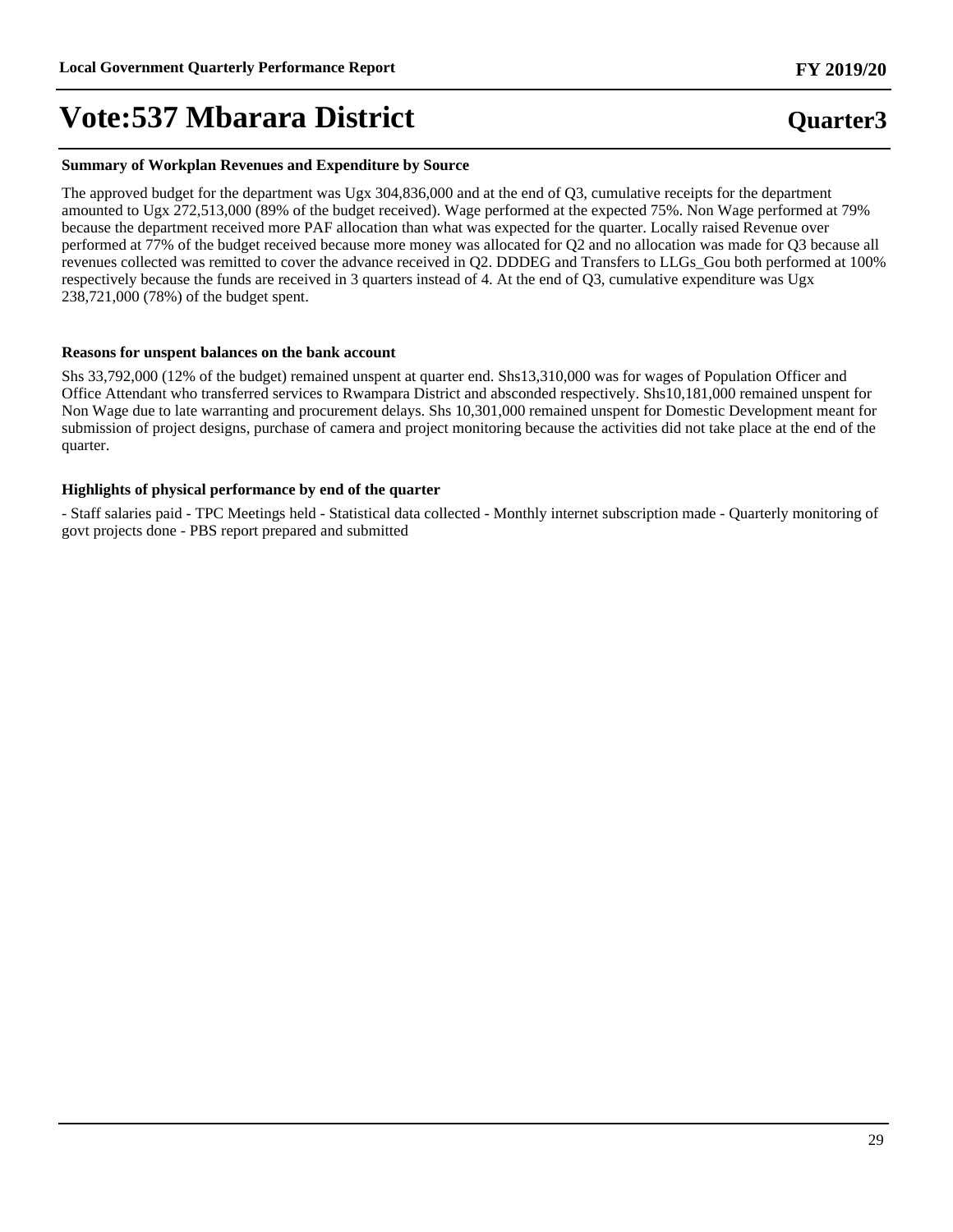#### **Summary of Workplan Revenues and Expenditure by Source**

The approved budget for the department was Ugx 304,836,000 and at the end of Q3, cumulative receipts for the department amounted to Ugx 272,513,000 (89% of the budget received). Wage performed at the expected 75%. Non Wage performed at 79% because the department received more PAF allocation than what was expected for the quarter. Locally raised Revenue over performed at 77% of the budget received because more money was allocated for Q2 and no allocation was made for Q3 because all revenues collected was remitted to cover the advance received in Q2. DDDEG and Transfers to LLGs\_Gou both performed at 100% respectively because the funds are received in 3 quarters instead of 4. At the end of Q3, cumulative expenditure was Ugx 238,721,000 (78%) of the budget spent.

#### **Reasons for unspent balances on the bank account**

Shs 33,792,000 (12% of the budget) remained unspent at quarter end. Shs13,310,000 was for wages of Population Officer and Office Attendant who transferred services to Rwampara District and absconded respectively. Shs10,181,000 remained unspent for Non Wage due to late warranting and procurement delays. Shs 10,301,000 remained unspent for Domestic Development meant for submission of project designs, purchase of camera and project monitoring because the activities did not take place at the end of the quarter.

#### **Highlights of physical performance by end of the quarter**

- Staff salaries paid - TPC Meetings held - Statistical data collected - Monthly internet subscription made - Quarterly monitoring of govt projects done - PBS report prepared and submitted

#### **FY 2019/20**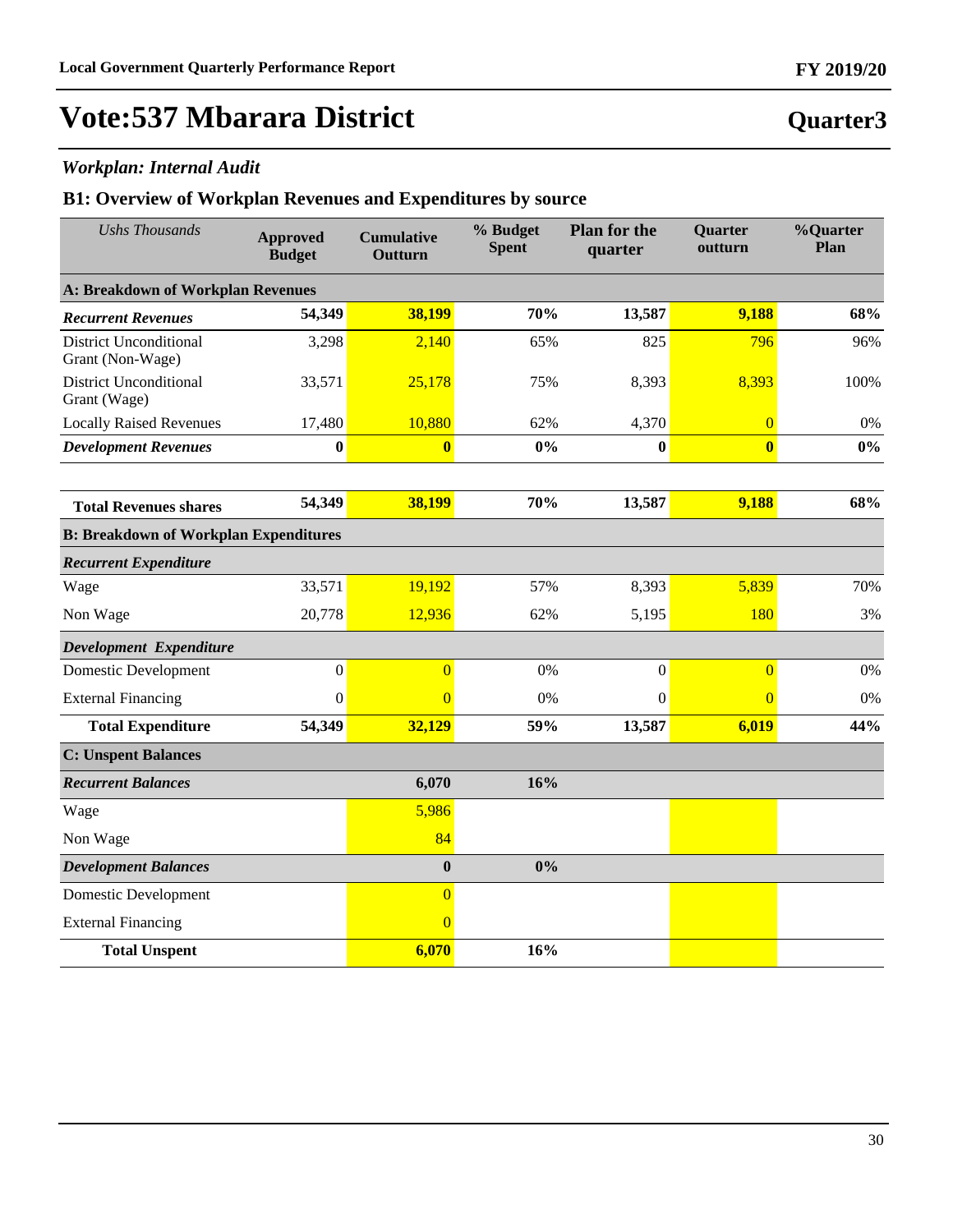### *Workplan: Internal Audit*

| <b>Ushs Thousands</b>                             | <b>Approved</b><br><b>Budget</b> | <b>Cumulative</b><br>Outturn | % Budget<br><b>Spent</b> | <b>Plan for the</b><br>quarter | Quarter<br>outturn | %Quarter<br>Plan |
|---------------------------------------------------|----------------------------------|------------------------------|--------------------------|--------------------------------|--------------------|------------------|
| <b>A: Breakdown of Workplan Revenues</b>          |                                  |                              |                          |                                |                    |                  |
| <b>Recurrent Revenues</b>                         | 54,349                           | 38,199                       | 70%                      | 13,587                         | 9,188              | 68%              |
| <b>District Unconditional</b><br>Grant (Non-Wage) | 3,298                            | 2,140                        | 65%                      | 825                            | 796                | 96%              |
| <b>District Unconditional</b><br>Grant (Wage)     | 33,571                           | 25,178                       | 75%                      | 8,393                          | 8,393              | 100%             |
| <b>Locally Raised Revenues</b>                    | 17,480                           | 10,880                       | 62%                      | 4,370                          | $\overline{0}$     | 0%               |
| <b>Development Revenues</b>                       | $\bf{0}$                         | $\bf{0}$                     | 0%                       | $\bf{0}$                       | $\bf{0}$           | 0%               |
|                                                   |                                  |                              |                          |                                |                    |                  |
| <b>Total Revenues shares</b>                      | 54,349                           | 38,199                       | 70%                      | 13,587                         | 9,188              | 68%              |
| <b>B: Breakdown of Workplan Expenditures</b>      |                                  |                              |                          |                                |                    |                  |
| <b>Recurrent Expenditure</b>                      |                                  |                              |                          |                                |                    |                  |
| Wage                                              | 33,571                           | 19,192                       | 57%                      | 8,393                          | 5,839              | 70%              |
| Non Wage                                          | 20,778                           | 12,936                       | 62%                      | 5,195                          | 180                | 3%               |
| Development Expenditure                           |                                  |                              |                          |                                |                    |                  |
| <b>Domestic Development</b>                       | $\mathbf{0}$                     | $\overline{0}$               | 0%                       | $\boldsymbol{0}$               | $\overline{0}$     | 0%               |
| <b>External Financing</b>                         | $\mathbf{0}$                     | $\overline{0}$               | 0%                       | $\boldsymbol{0}$               | $\overline{0}$     | 0%               |
| <b>Total Expenditure</b>                          | 54,349                           | 32,129                       | 59%                      | 13,587                         | 6,019              | 44%              |
| <b>C: Unspent Balances</b>                        |                                  |                              |                          |                                |                    |                  |
| <b>Recurrent Balances</b>                         |                                  | 6,070                        | 16%                      |                                |                    |                  |
| Wage                                              |                                  | 5,986                        |                          |                                |                    |                  |
| Non Wage                                          |                                  | 84                           |                          |                                |                    |                  |
| <b>Development Balances</b>                       |                                  | $\bf{0}$                     | 0%                       |                                |                    |                  |
| Domestic Development                              |                                  | $\overline{0}$               |                          |                                |                    |                  |
| <b>External Financing</b>                         |                                  | $\overline{0}$               |                          |                                |                    |                  |
| <b>Total Unspent</b>                              |                                  | 6,070                        | 16%                      |                                |                    |                  |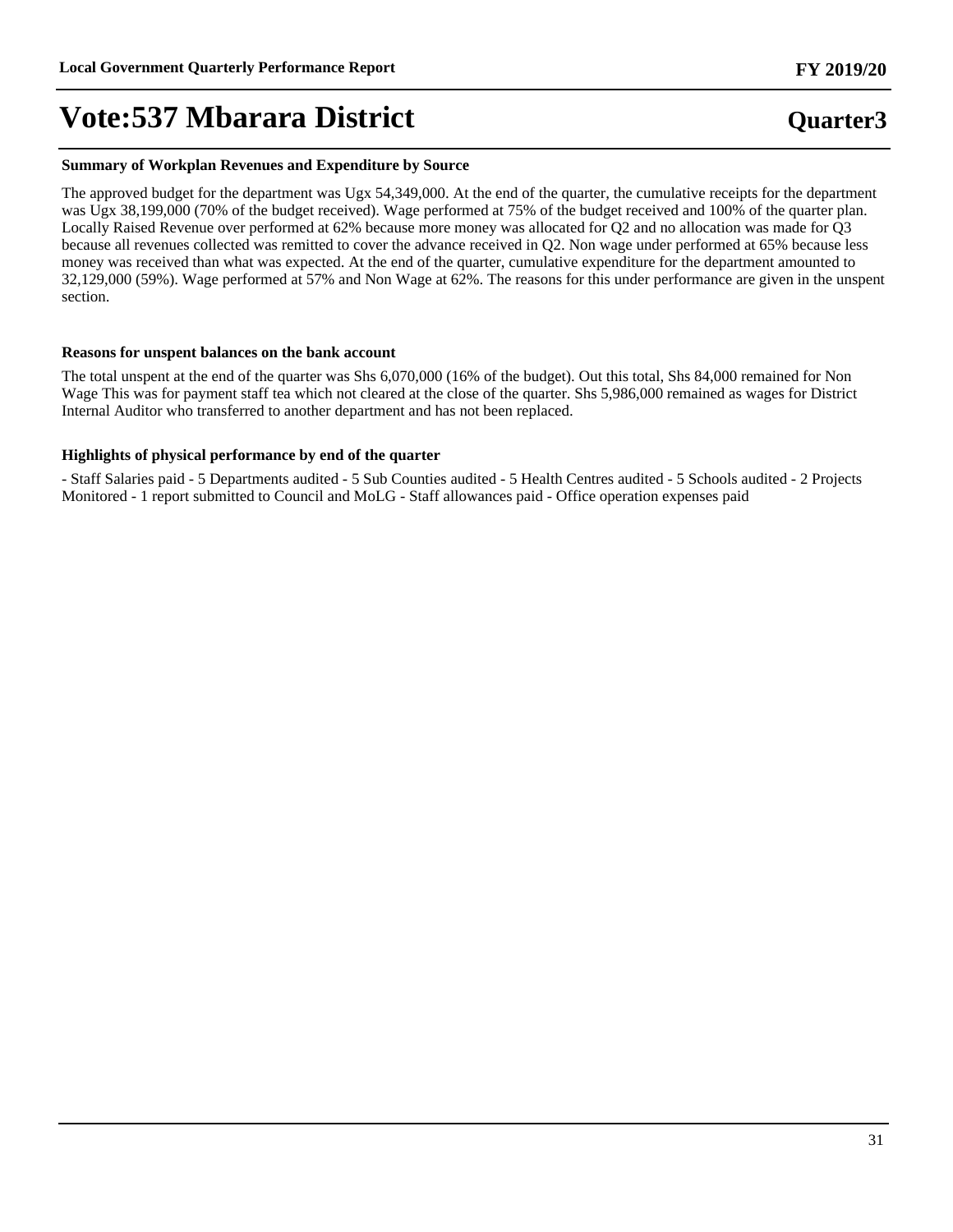#### **Summary of Workplan Revenues and Expenditure by Source**

The approved budget for the department was Ugx 54,349,000. At the end of the quarter, the cumulative receipts for the department was Ugx 38,199,000 (70% of the budget received). Wage performed at 75% of the budget received and 100% of the quarter plan. Locally Raised Revenue over performed at 62% because more money was allocated for Q2 and no allocation was made for Q3 because all revenues collected was remitted to cover the advance received in Q2. Non wage under performed at 65% because less money was received than what was expected. At the end of the quarter, cumulative expenditure for the department amounted to 32,129,000 (59%). Wage performed at 57% and Non Wage at 62%. The reasons for this under performance are given in the unspent section.

#### **Reasons for unspent balances on the bank account**

The total unspent at the end of the quarter was Shs 6,070,000 (16% of the budget). Out this total, Shs 84,000 remained for Non Wage This was for payment staff tea which not cleared at the close of the quarter. Shs 5,986,000 remained as wages for District Internal Auditor who transferred to another department and has not been replaced.

#### **Highlights of physical performance by end of the quarter**

- Staff Salaries paid - 5 Departments audited - 5 Sub Counties audited - 5 Health Centres audited - 5 Schools audited - 2 Projects Monitored - 1 report submitted to Council and MoLG - Staff allowances paid - Office operation expenses paid

## **Quarter3 FY 2019/20**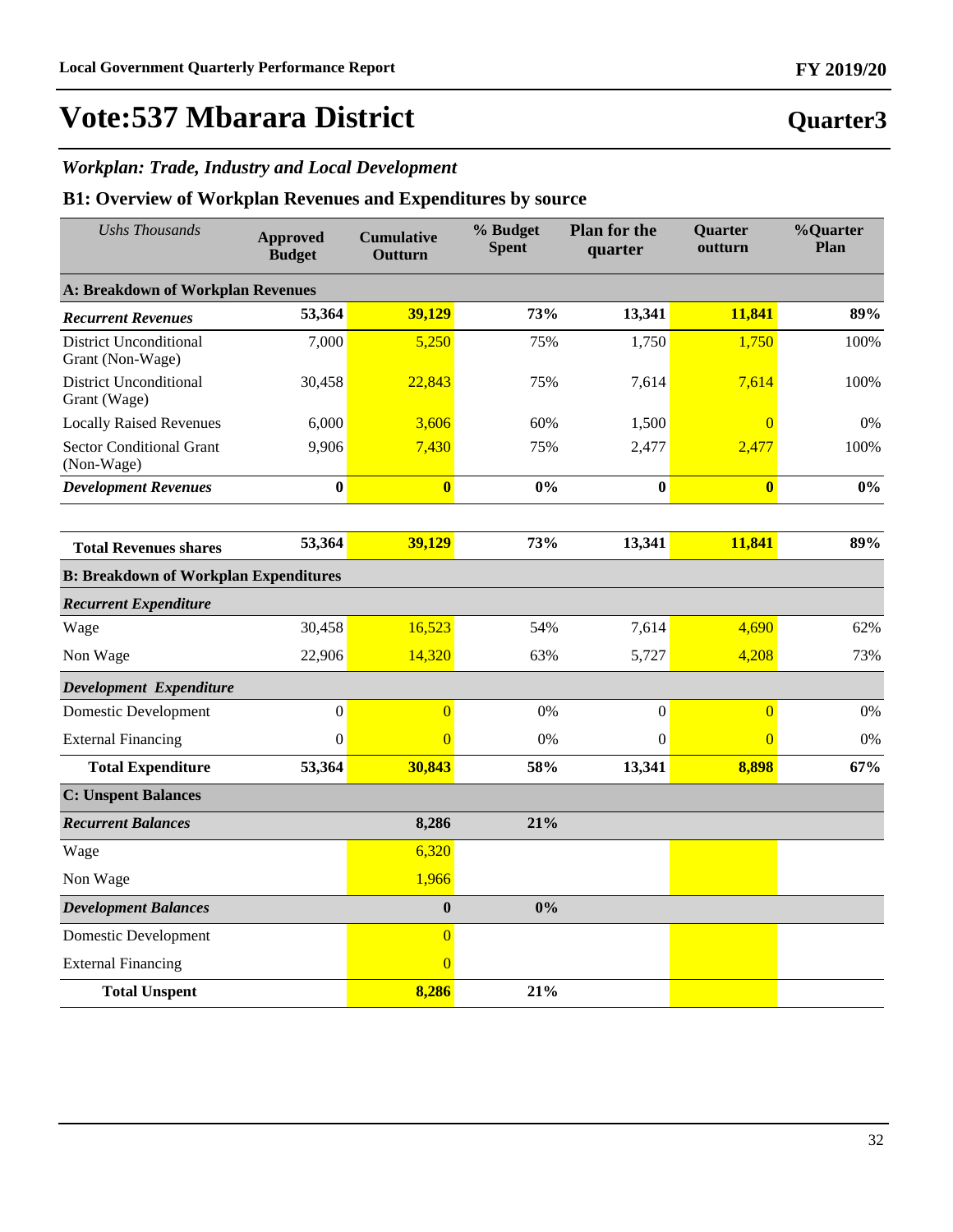**Quarter3**

## **Vote:537 Mbarara District**

### *Workplan: Trade, Industry and Local Development*

| <b>Ushs Thousands</b>                             | <b>Approved</b><br><b>Budget</b> | <b>Cumulative</b><br>Outturn | % Budget<br><b>Spent</b> | <b>Plan for the</b><br>quarter | Quarter<br>outturn      | %Quarter<br>Plan |
|---------------------------------------------------|----------------------------------|------------------------------|--------------------------|--------------------------------|-------------------------|------------------|
| <b>A: Breakdown of Workplan Revenues</b>          |                                  |                              |                          |                                |                         |                  |
| <b>Recurrent Revenues</b>                         | 53,364                           | 39,129                       | 73%                      | 13,341                         | 11,841                  | 89%              |
| <b>District Unconditional</b><br>Grant (Non-Wage) | 7,000                            | 5,250                        | 75%                      | 1,750                          | 1,750                   | 100%             |
| <b>District Unconditional</b><br>Grant (Wage)     | 30,458                           | 22,843                       | 75%                      | 7,614                          | 7,614                   | 100%             |
| <b>Locally Raised Revenues</b>                    | 6,000                            | 3,606                        | 60%                      | 1,500                          | $\overline{0}$          | 0%               |
| <b>Sector Conditional Grant</b><br>(Non-Wage)     | 9,906                            | 7,430                        | 75%                      | 2,477                          | 2,477                   | 100%             |
| <b>Development Revenues</b>                       | $\bf{0}$                         | $\bf{0}$                     | 0%                       | $\bf{0}$                       | $\overline{\mathbf{0}}$ | $0\%$            |
|                                                   |                                  |                              |                          |                                |                         |                  |
| <b>Total Revenues shares</b>                      | 53,364                           | 39,129                       | 73%                      | 13,341                         | 11,841                  | 89%              |
| <b>B: Breakdown of Workplan Expenditures</b>      |                                  |                              |                          |                                |                         |                  |
| <b>Recurrent Expenditure</b>                      |                                  |                              |                          |                                |                         |                  |
| Wage                                              | 30,458                           | 16,523                       | 54%                      | 7,614                          | 4,690                   | 62%              |
| Non Wage                                          | 22,906                           | 14,320                       | 63%                      | 5,727                          | 4,208                   | 73%              |
| Development Expenditure                           |                                  |                              |                          |                                |                         |                  |
| <b>Domestic Development</b>                       | $\boldsymbol{0}$                 | $\overline{0}$               | 0%                       | $\boldsymbol{0}$               | $\overline{0}$          | 0%               |
| <b>External Financing</b>                         | $\mathbf{0}$                     | $\Omega$                     | 0%                       | $\Omega$                       | $\overline{0}$          | 0%               |
| <b>Total Expenditure</b>                          | 53,364                           | 30,843                       | 58%                      | 13,341                         | 8,898                   | 67%              |
| <b>C: Unspent Balances</b>                        |                                  |                              |                          |                                |                         |                  |
| <b>Recurrent Balances</b>                         |                                  | 8,286                        | 21%                      |                                |                         |                  |
| Wage                                              |                                  | 6,320                        |                          |                                |                         |                  |
| Non Wage                                          |                                  | 1,966                        |                          |                                |                         |                  |
| <b>Development Balances</b>                       |                                  | $\bf{0}$                     | 0%                       |                                |                         |                  |
| Domestic Development                              |                                  | $\overline{0}$               |                          |                                |                         |                  |
| <b>External Financing</b>                         |                                  | $\Omega$                     |                          |                                |                         |                  |
| <b>Total Unspent</b>                              |                                  | 8,286                        | 21%                      |                                |                         |                  |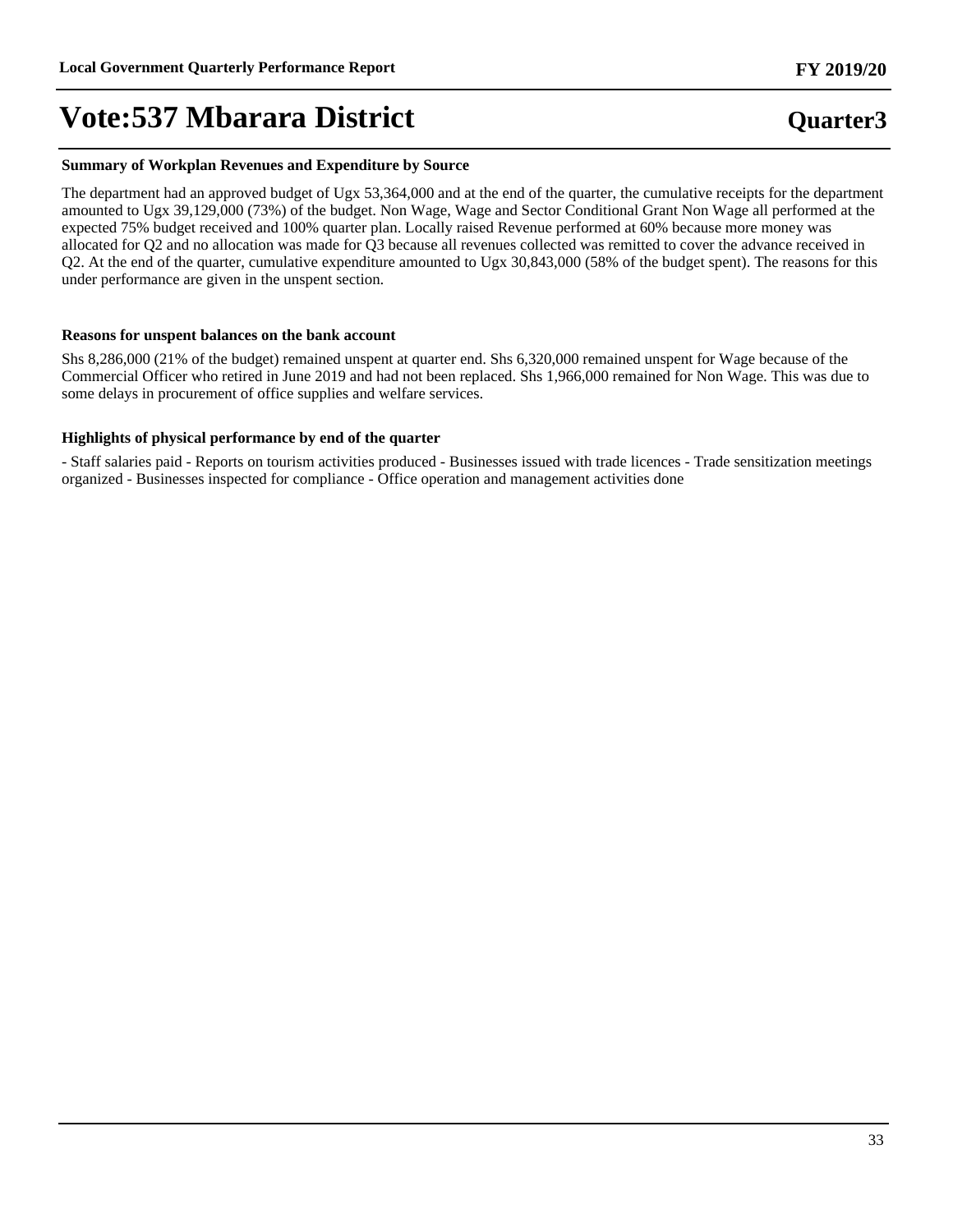#### **Summary of Workplan Revenues and Expenditure by Source**

The department had an approved budget of Ugx 53,364,000 and at the end of the quarter, the cumulative receipts for the department amounted to Ugx 39,129,000 (73%) of the budget. Non Wage, Wage and Sector Conditional Grant Non Wage all performed at the expected 75% budget received and 100% quarter plan. Locally raised Revenue performed at 60% because more money was allocated for Q2 and no allocation was made for Q3 because all revenues collected was remitted to cover the advance received in Q2. At the end of the quarter, cumulative expenditure amounted to Ugx 30,843,000 (58% of the budget spent). The reasons for this under performance are given in the unspent section.

#### **Reasons for unspent balances on the bank account**

Shs 8,286,000 (21% of the budget) remained unspent at quarter end. Shs 6,320,000 remained unspent for Wage because of the Commercial Officer who retired in June 2019 and had not been replaced. Shs 1,966,000 remained for Non Wage. This was due to some delays in procurement of office supplies and welfare services.

#### **Highlights of physical performance by end of the quarter**

- Staff salaries paid - Reports on tourism activities produced - Businesses issued with trade licences - Trade sensitization meetings organized - Businesses inspected for compliance - Office operation and management activities done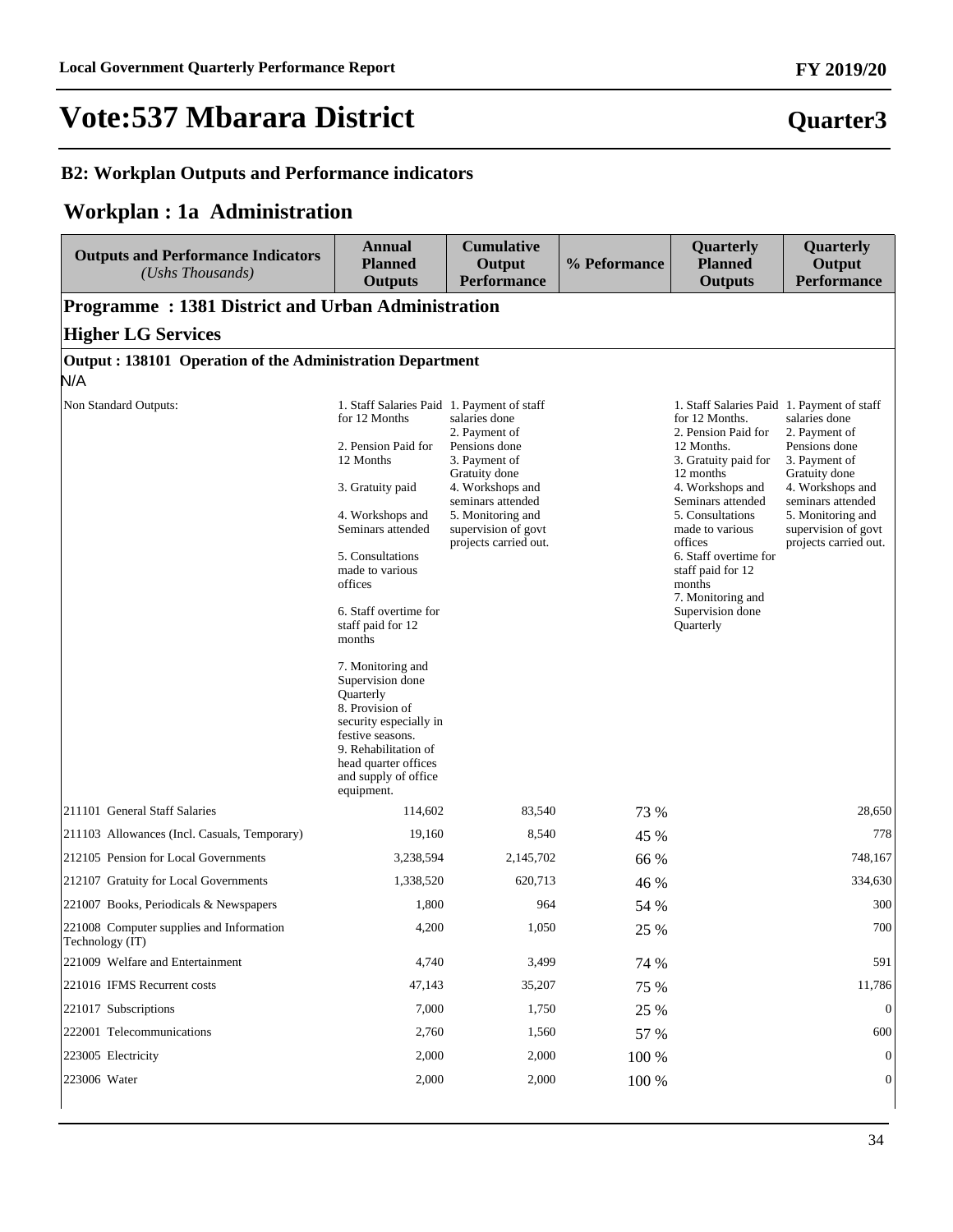### **B2: Workplan Outputs and Performance indicators**

### **Workplan : 1a Administration**

| <b>Outputs and Performance Indicators</b><br>(Ushs Thousands) | Annual<br><b>Planned</b><br><b>Outputs</b>                                                                                                                                                                                                                                                                                                                                                                                                                                          | <b>Cumulative</b><br>Output<br><b>Performance</b>                                                                                                                                               | % Peformance | Quarterly<br><b>Planned</b><br><b>Outputs</b>                                                                                                                                                                                                                                                                                                          | Quarterly<br>Output<br><b>Performance</b>                                                                                                                                                       |
|---------------------------------------------------------------|-------------------------------------------------------------------------------------------------------------------------------------------------------------------------------------------------------------------------------------------------------------------------------------------------------------------------------------------------------------------------------------------------------------------------------------------------------------------------------------|-------------------------------------------------------------------------------------------------------------------------------------------------------------------------------------------------|--------------|--------------------------------------------------------------------------------------------------------------------------------------------------------------------------------------------------------------------------------------------------------------------------------------------------------------------------------------------------------|-------------------------------------------------------------------------------------------------------------------------------------------------------------------------------------------------|
| <b>Programme: 1381 District and Urban Administration</b>      |                                                                                                                                                                                                                                                                                                                                                                                                                                                                                     |                                                                                                                                                                                                 |              |                                                                                                                                                                                                                                                                                                                                                        |                                                                                                                                                                                                 |
| <b>Higher LG Services</b>                                     |                                                                                                                                                                                                                                                                                                                                                                                                                                                                                     |                                                                                                                                                                                                 |              |                                                                                                                                                                                                                                                                                                                                                        |                                                                                                                                                                                                 |
| Output: 138101 Operation of the Administration Department     |                                                                                                                                                                                                                                                                                                                                                                                                                                                                                     |                                                                                                                                                                                                 |              |                                                                                                                                                                                                                                                                                                                                                        |                                                                                                                                                                                                 |
| N/A                                                           |                                                                                                                                                                                                                                                                                                                                                                                                                                                                                     |                                                                                                                                                                                                 |              |                                                                                                                                                                                                                                                                                                                                                        |                                                                                                                                                                                                 |
| Non Standard Outputs:                                         | 1. Staff Salaries Paid 1. Payment of staff<br>for 12 Months<br>2. Pension Paid for<br>12 Months<br>3. Gratuity paid<br>4. Workshops and<br>Seminars attended<br>5. Consultations<br>made to various<br>offices<br>6. Staff overtime for<br>staff paid for 12<br>months<br>7. Monitoring and<br>Supervision done<br>Quarterly<br>8. Provision of<br>security especially in<br>festive seasons.<br>9. Rehabilitation of<br>head quarter offices<br>and supply of office<br>equipment. | salaries done<br>2. Payment of<br>Pensions done<br>3. Payment of<br>Gratuity done<br>4. Workshops and<br>seminars attended<br>5. Monitoring and<br>supervision of govt<br>projects carried out. |              | 1. Staff Salaries Paid 1. Payment of staff<br>for 12 Months.<br>2. Pension Paid for<br>12 Months.<br>3. Gratuity paid for<br>12 months<br>4. Workshops and<br>Seminars attended<br>5. Consultations<br>made to various<br>offices<br>6. Staff overtime for<br>staff paid for 12<br>months<br>7. Monitoring and<br>Supervision done<br><b>Ouarterly</b> | salaries done<br>2. Payment of<br>Pensions done<br>3. Payment of<br>Gratuity done<br>4. Workshops and<br>seminars attended<br>5. Monitoring and<br>supervision of govt<br>projects carried out. |
| 211101 General Staff Salaries                                 | 114,602                                                                                                                                                                                                                                                                                                                                                                                                                                                                             | 83,540                                                                                                                                                                                          | 73 %         |                                                                                                                                                                                                                                                                                                                                                        | 28,650                                                                                                                                                                                          |
| 211103 Allowances (Incl. Casuals, Temporary)                  | 19,160                                                                                                                                                                                                                                                                                                                                                                                                                                                                              | 8,540                                                                                                                                                                                           | 45 %         |                                                                                                                                                                                                                                                                                                                                                        | 778                                                                                                                                                                                             |
| 212105 Pension for Local Governments                          | 3,238,594                                                                                                                                                                                                                                                                                                                                                                                                                                                                           | 2,145,702                                                                                                                                                                                       | 66 %         |                                                                                                                                                                                                                                                                                                                                                        | 748,167                                                                                                                                                                                         |
| 212107 Gratuity for Local Governments                         | 1,338,520                                                                                                                                                                                                                                                                                                                                                                                                                                                                           | 620,713                                                                                                                                                                                         | 46 %         |                                                                                                                                                                                                                                                                                                                                                        | 334,630                                                                                                                                                                                         |
| 221007 Books, Periodicals & Newspapers                        | 1,800                                                                                                                                                                                                                                                                                                                                                                                                                                                                               | 964                                                                                                                                                                                             | 54 %         |                                                                                                                                                                                                                                                                                                                                                        | 300                                                                                                                                                                                             |
| 221008 Computer supplies and Information<br>Technology (IT)   | 4,200                                                                                                                                                                                                                                                                                                                                                                                                                                                                               | 1,050                                                                                                                                                                                           | 25 %         |                                                                                                                                                                                                                                                                                                                                                        | 700                                                                                                                                                                                             |
| 221009 Welfare and Entertainment                              | 4,740                                                                                                                                                                                                                                                                                                                                                                                                                                                                               | 3,499                                                                                                                                                                                           | 74 %         |                                                                                                                                                                                                                                                                                                                                                        | 591                                                                                                                                                                                             |
| 221016 IFMS Recurrent costs                                   | 47,143                                                                                                                                                                                                                                                                                                                                                                                                                                                                              | 35,207                                                                                                                                                                                          | 75 %         |                                                                                                                                                                                                                                                                                                                                                        | 11,786                                                                                                                                                                                          |
| 221017 Subscriptions                                          | 7,000                                                                                                                                                                                                                                                                                                                                                                                                                                                                               | 1,750                                                                                                                                                                                           | 25 %         |                                                                                                                                                                                                                                                                                                                                                        | $\mathbf{0}$                                                                                                                                                                                    |
| 222001 Telecommunications                                     | 2,760                                                                                                                                                                                                                                                                                                                                                                                                                                                                               | 1,560                                                                                                                                                                                           | 57 %         |                                                                                                                                                                                                                                                                                                                                                        | 600                                                                                                                                                                                             |
| 223005 Electricity                                            | 2,000                                                                                                                                                                                                                                                                                                                                                                                                                                                                               | 2,000                                                                                                                                                                                           | 100 %        |                                                                                                                                                                                                                                                                                                                                                        | $\theta$                                                                                                                                                                                        |
| 223006 Water                                                  | 2,000                                                                                                                                                                                                                                                                                                                                                                                                                                                                               | 2,000                                                                                                                                                                                           | 100 %        |                                                                                                                                                                                                                                                                                                                                                        | $\mathbf{0}$                                                                                                                                                                                    |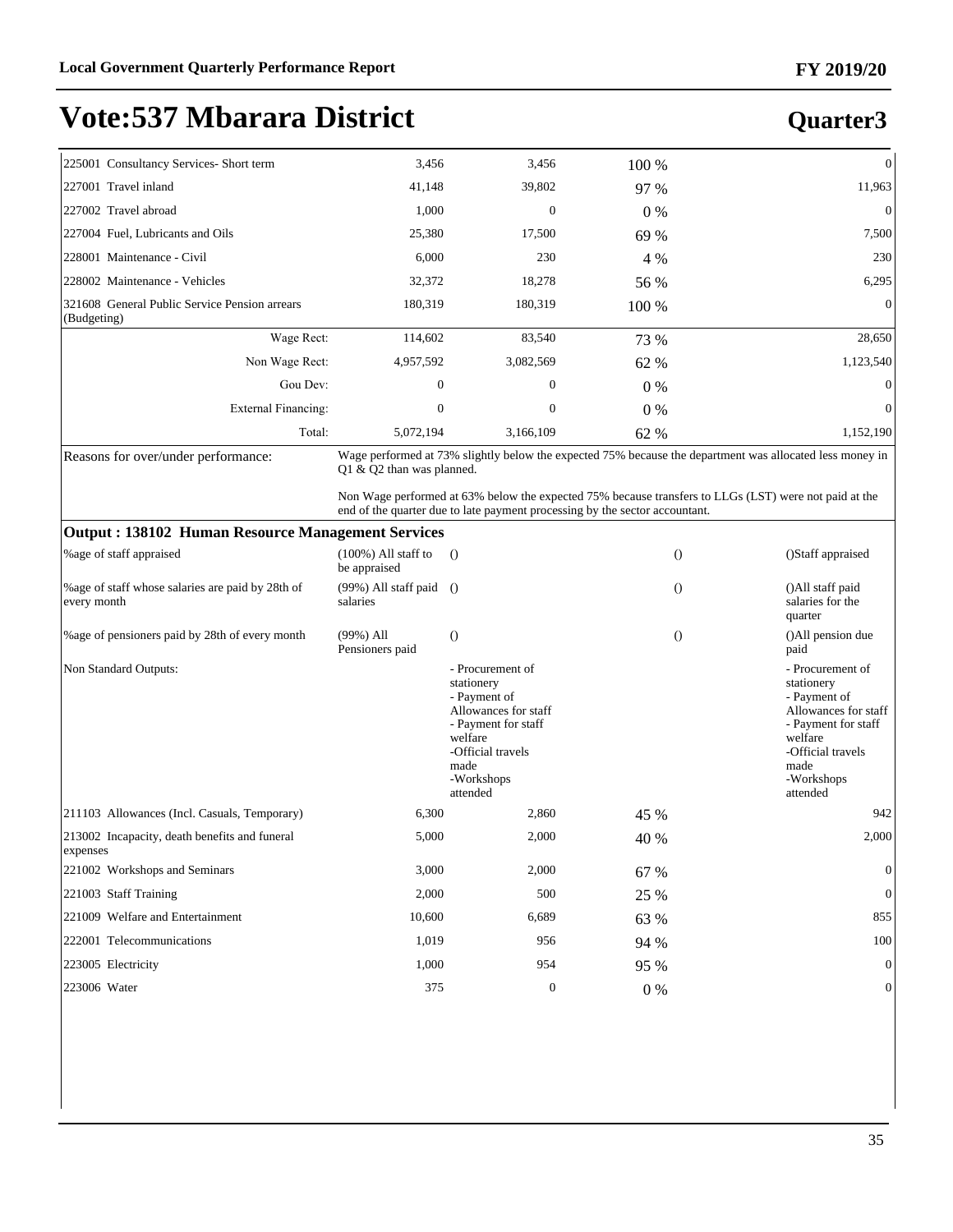## **Quarter3**

| 225001 Consultancy Services- Short term                      | 3,456     | 3,456          | 100 % | $\overline{0}$ |
|--------------------------------------------------------------|-----------|----------------|-------|----------------|
| 227001 Travel inland                                         | 41,148    | 39,802         | 97 %  | 11,963         |
| 227002 Travel abroad                                         | 1,000     | $\overline{0}$ | $0\%$ | $\mathbf{0}$   |
| 227004 Fuel, Lubricants and Oils                             | 25,380    | 17,500         | 69 %  | 7,500          |
| 228001 Maintenance - Civil                                   | 6,000     | 230            | 4 %   | 230            |
| 228002 Maintenance - Vehicles                                | 32,372    | 18,278         | 56 %  | 6,295          |
| 321608 General Public Service Pension arrears<br>(Budgeting) | 180,319   | 180,319        | 100 % | $\overline{0}$ |
| Wage Rect:                                                   | 114,602   | 83,540         | 73 %  | 28,650         |
| Non Wage Rect:                                               | 4,957,592 | 3,082,569      | 62 %  | 1,123,540      |
| Gou Dev:                                                     | $\theta$  | $\mathbf{0}$   | $0\%$ | $\Omega$       |
| External Financing:                                          | $\theta$  | $\mathbf{0}$   | $0\%$ | $\overline{0}$ |
| Total:                                                       | 5,072,194 | 3,166,109      | 62 %  | 1,152,190      |

Reasons for over/under performance: Wage performed at 73% slightly below the expected 75% because the department was allocated less money in Q1 & Q2 than was planned.

> Non Wage performed at 63% below the expected 75% because transfers to LLGs (LST) were not paid at the end of the quarter due to late payment processing by the sector accountant.

#### **Output : 138102 Human Resource Management Services**

| Output : 190102 Thuman Resource management Services              |                                        |                                                                                                                                                                 |       |          |                                                                                                                                                                 |  |  |  |  |
|------------------------------------------------------------------|----------------------------------------|-----------------------------------------------------------------------------------------------------------------------------------------------------------------|-------|----------|-----------------------------------------------------------------------------------------------------------------------------------------------------------------|--|--|--|--|
| <b>%</b> age of staff appraised                                  | $(100\%)$ All staff to<br>be appraised | $\left( \right)$                                                                                                                                                |       | $\Omega$ | ()Staff appraised                                                                                                                                               |  |  |  |  |
| % age of staff whose salaries are paid by 28th of<br>every month | (99%) All staff paid<br>salaries       | $\Omega$                                                                                                                                                        |       | $\Omega$ | ()All staff paid<br>salaries for the<br>quarter                                                                                                                 |  |  |  |  |
| % age of pensioners paid by 28th of every month                  | $(99\%)$ All<br>Pensioners paid        | $\Omega$                                                                                                                                                        |       | $\theta$ | ()All pension due<br>paid                                                                                                                                       |  |  |  |  |
| Non Standard Outputs:                                            |                                        | - Procurement of<br>stationery<br>- Payment of<br>Allowances for staff<br>- Payment for staff<br>welfare<br>-Official travels<br>made<br>-Workshops<br>attended |       |          | - Procurement of<br>stationery<br>- Payment of<br>Allowances for staff<br>- Payment for staff<br>welfare<br>-Official travels<br>made<br>-Workshops<br>attended |  |  |  |  |
| 211103 Allowances (Incl. Casuals, Temporary)                     | 6,300                                  | 2,860                                                                                                                                                           | 45 %  |          | 942                                                                                                                                                             |  |  |  |  |
| 213002 Incapacity, death benefits and funeral<br>expenses        | 5,000                                  | 2,000                                                                                                                                                           | 40 %  |          | 2,000                                                                                                                                                           |  |  |  |  |
| 221002 Workshops and Seminars                                    | 3,000                                  | 2,000                                                                                                                                                           | 67 %  |          | $\theta$                                                                                                                                                        |  |  |  |  |
| 221003 Staff Training                                            | 2,000                                  | 500                                                                                                                                                             | 25 %  |          | $\theta$                                                                                                                                                        |  |  |  |  |
| 221009 Welfare and Entertainment                                 | 10,600                                 | 6,689                                                                                                                                                           | 63 %  |          | 855                                                                                                                                                             |  |  |  |  |
| 222001 Telecommunications                                        | 1,019                                  | 956                                                                                                                                                             | 94 %  |          | 100                                                                                                                                                             |  |  |  |  |
| 223005 Electricity                                               | 1,000                                  | 954                                                                                                                                                             | 95 %  |          | $\mathbf{0}$                                                                                                                                                    |  |  |  |  |
| 223006 Water                                                     | 375                                    | $\mathbf{0}$                                                                                                                                                    | $0\%$ |          | $\mathbf{0}$                                                                                                                                                    |  |  |  |  |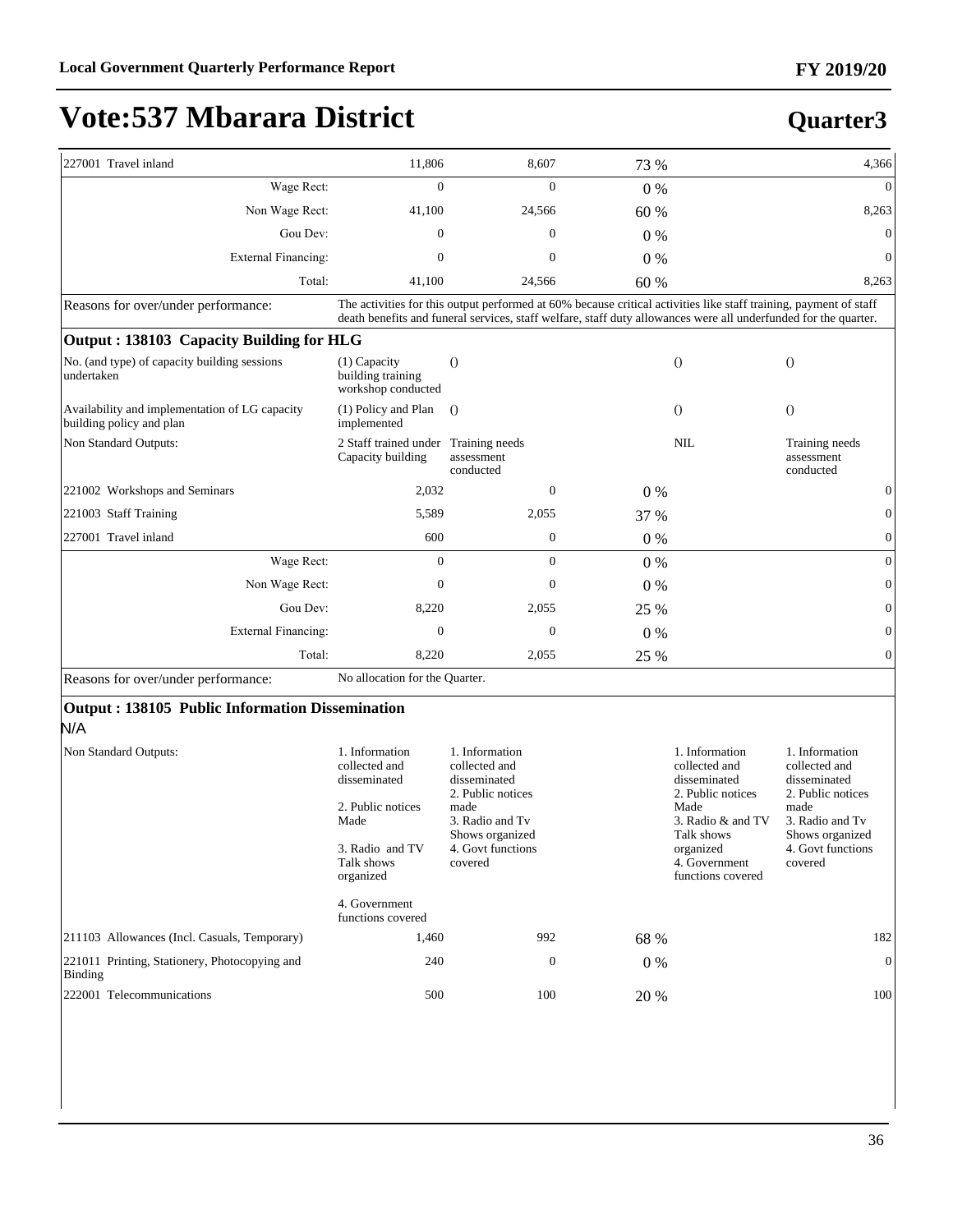## **Quarter3**

| 227001 Travel inland                                                       | 11,806                                                                                                        | 8,607                                                                                                                                                                                                                                | 73 %  |                                                                                                                                               | 4,366                                                                                                                                              |
|----------------------------------------------------------------------------|---------------------------------------------------------------------------------------------------------------|--------------------------------------------------------------------------------------------------------------------------------------------------------------------------------------------------------------------------------------|-------|-----------------------------------------------------------------------------------------------------------------------------------------------|----------------------------------------------------------------------------------------------------------------------------------------------------|
| Wage Rect:                                                                 | $\theta$                                                                                                      | $\theta$                                                                                                                                                                                                                             | $0\%$ |                                                                                                                                               | $\Omega$                                                                                                                                           |
| Non Wage Rect:                                                             | 41,100                                                                                                        | 24,566                                                                                                                                                                                                                               | 60 %  |                                                                                                                                               | 8,263                                                                                                                                              |
| Gou Dev:                                                                   | $\mathbf{0}$                                                                                                  | $\mathbf{0}$                                                                                                                                                                                                                         | $0\%$ |                                                                                                                                               | $\mathbf{0}$                                                                                                                                       |
| <b>External Financing:</b>                                                 | $\mathbf{0}$                                                                                                  | $\overline{0}$                                                                                                                                                                                                                       | $0\%$ |                                                                                                                                               | $\mathbf{0}$                                                                                                                                       |
| Total:                                                                     | 41,100                                                                                                        | 24,566                                                                                                                                                                                                                               | 60 %  |                                                                                                                                               | 8,263                                                                                                                                              |
| Reasons for over/under performance:                                        |                                                                                                               | The activities for this output performed at 60% because critical activities like staff training, payment of staff<br>death benefits and funeral services, staff welfare, staff duty allowances were all underfunded for the quarter. |       |                                                                                                                                               |                                                                                                                                                    |
| Output: 138103 Capacity Building for HLG                                   |                                                                                                               |                                                                                                                                                                                                                                      |       |                                                                                                                                               |                                                                                                                                                    |
| No. (and type) of capacity building sessions<br>undertaken                 | $(1)$ Capacity<br>building training<br>workshop conducted                                                     | $\bigcirc$                                                                                                                                                                                                                           |       | $\bigcirc$                                                                                                                                    | $\theta$                                                                                                                                           |
| Availability and implementation of LG capacity<br>building policy and plan | (1) Policy and Plan<br>implemented                                                                            | $\Omega$                                                                                                                                                                                                                             |       | $\Omega$                                                                                                                                      | $\Omega$                                                                                                                                           |
| Non Standard Outputs:                                                      | 2 Staff trained under Training needs<br>Capacity building                                                     | assessment<br>conducted                                                                                                                                                                                                              |       | <b>NIL</b>                                                                                                                                    | Training needs<br>assessment<br>conducted                                                                                                          |
| 221002 Workshops and Seminars                                              | 2,032                                                                                                         | $\mathbf{0}$                                                                                                                                                                                                                         | 0%    |                                                                                                                                               | 0                                                                                                                                                  |
| 221003 Staff Training                                                      | 5,589                                                                                                         | 2,055                                                                                                                                                                                                                                | 37 %  |                                                                                                                                               | $\overline{0}$                                                                                                                                     |
| 227001 Travel inland                                                       | 600                                                                                                           | $\mathbf{0}$                                                                                                                                                                                                                         | $0\%$ |                                                                                                                                               | $\boldsymbol{0}$                                                                                                                                   |
| Wage Rect:                                                                 | $\mathbf{0}$                                                                                                  | $\Omega$                                                                                                                                                                                                                             | $0\%$ |                                                                                                                                               | $\mathbf{0}$                                                                                                                                       |
| Non Wage Rect:                                                             | $\mathbf{0}$                                                                                                  | $\Omega$                                                                                                                                                                                                                             | 0%    |                                                                                                                                               | $\overline{0}$                                                                                                                                     |
| Gou Dev:                                                                   | 8,220                                                                                                         | 2,055                                                                                                                                                                                                                                | 25 %  |                                                                                                                                               | $\boldsymbol{0}$                                                                                                                                   |
| <b>External Financing:</b>                                                 | $\mathbf{0}$                                                                                                  | $\mathbf{0}$                                                                                                                                                                                                                         | 0%    |                                                                                                                                               | $\boldsymbol{0}$                                                                                                                                   |
| Total:                                                                     | 8,220                                                                                                         | 2,055                                                                                                                                                                                                                                | 25 %  |                                                                                                                                               | $\overline{0}$                                                                                                                                     |
| Reasons for over/under performance:                                        | No allocation for the Quarter.                                                                                |                                                                                                                                                                                                                                      |       |                                                                                                                                               |                                                                                                                                                    |
| Output: 138105 Public Information Dissemination<br>N/A                     |                                                                                                               |                                                                                                                                                                                                                                      |       |                                                                                                                                               |                                                                                                                                                    |
| Non Standard Outputs:                                                      | 1. Information<br>collected and<br>disseminated<br>2. Public notices<br>Made<br>3. Radio and TV<br>Talk shows | 1. Information<br>collected and<br>disseminated<br>2. Public notices<br>made<br>3. Radio and Tv<br>Shows organized<br>4. Govt functions<br>covered                                                                                   |       | 1. Information<br>collected and<br>disseminated<br>2. Public notices<br>Made<br>3. Radio & and TV<br>Talk shows<br>organized<br>4. Government | 1. Information<br>collected and<br>disseminated<br>2. Public notices<br>made<br>3. Radio and Tv<br>Shows organized<br>4. Govt functions<br>covered |

4. Government functions covered 211103 Allowances (Incl. Casuals, Temporary) 1,460 992 68 % 182 221011 Printing, Stationery, Photocopying and Binding 240 0 0 % 0 222001 Telecommunications 500 100 20 % 100

organized

functions covered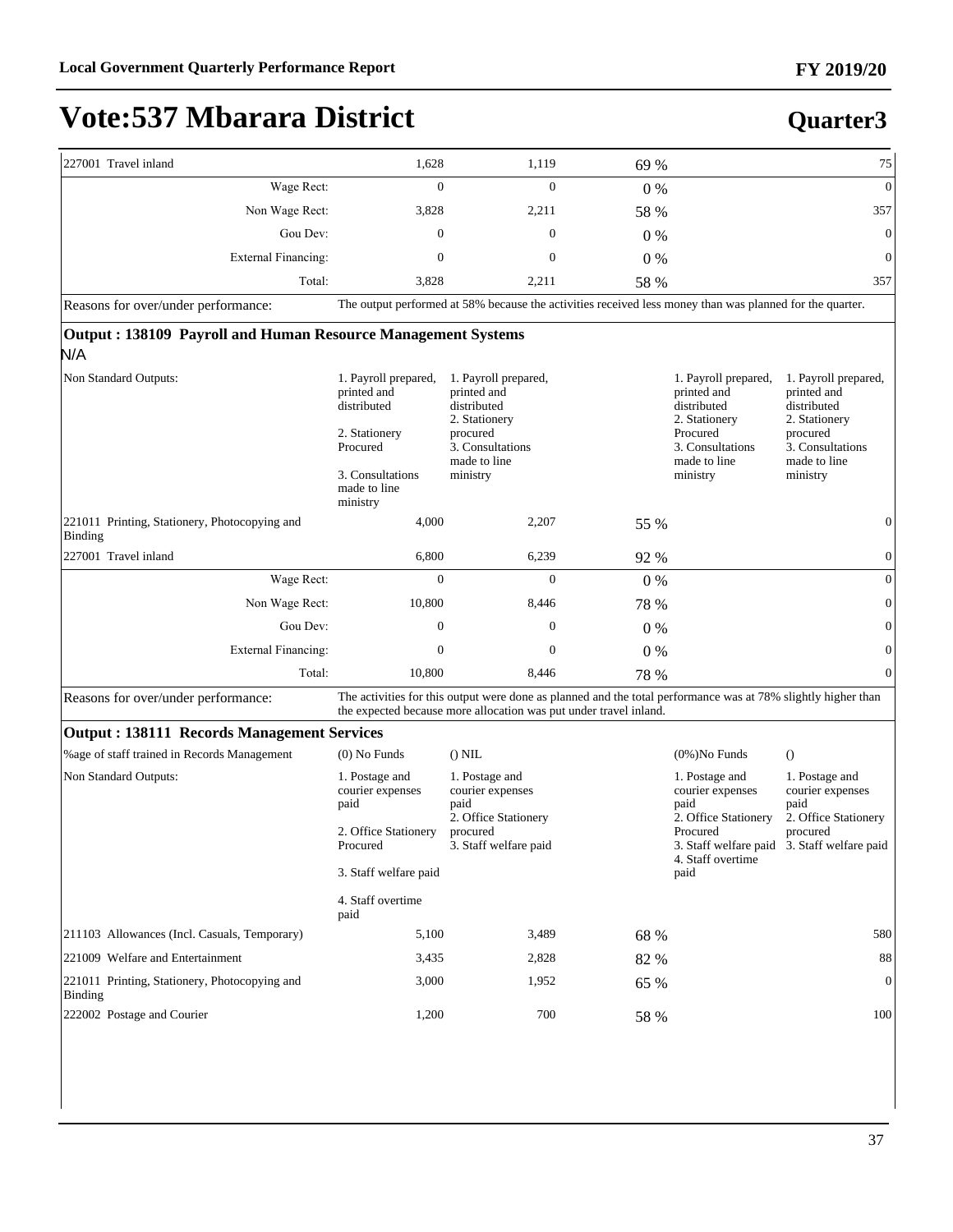| 227001 Travel inland                                         | 1,628                                                                                                                           | 1,119                                                                                                                                                                              | 69 %  |                                                                                                                                 | 75                                                                                                                              |
|--------------------------------------------------------------|---------------------------------------------------------------------------------------------------------------------------------|------------------------------------------------------------------------------------------------------------------------------------------------------------------------------------|-------|---------------------------------------------------------------------------------------------------------------------------------|---------------------------------------------------------------------------------------------------------------------------------|
| Wage Rect:                                                   | 0                                                                                                                               | $\overline{0}$                                                                                                                                                                     | $0\%$ |                                                                                                                                 | $\mathbf{0}$                                                                                                                    |
| Non Wage Rect:                                               | 3,828                                                                                                                           | 2,211                                                                                                                                                                              | 58 %  |                                                                                                                                 | 357                                                                                                                             |
| Gou Dev:                                                     | $\mathbf{0}$                                                                                                                    | $\mathbf{0}$                                                                                                                                                                       | $0\%$ |                                                                                                                                 | $\boldsymbol{0}$                                                                                                                |
| <b>External Financing:</b>                                   | $\mathbf{0}$                                                                                                                    | $\mathbf{0}$                                                                                                                                                                       | $0\%$ |                                                                                                                                 | $\boldsymbol{0}$                                                                                                                |
| Total:                                                       | 3,828                                                                                                                           | 2,211                                                                                                                                                                              | 58 %  |                                                                                                                                 | 357                                                                                                                             |
| Reasons for over/under performance:                          |                                                                                                                                 | The output performed at 58% because the activities received less money than was planned for the quarter.                                                                           |       |                                                                                                                                 |                                                                                                                                 |
| Output: 138109 Payroll and Human Resource Management Systems |                                                                                                                                 |                                                                                                                                                                                    |       |                                                                                                                                 |                                                                                                                                 |
| N/A                                                          |                                                                                                                                 |                                                                                                                                                                                    |       |                                                                                                                                 |                                                                                                                                 |
| Non Standard Outputs:                                        | 1. Payroll prepared,<br>printed and<br>distributed<br>2. Stationery<br>Procured<br>3. Consultations<br>made to line<br>ministry | 1. Payroll prepared,<br>printed and<br>distributed<br>2. Stationery<br>procured<br>3. Consultations<br>made to line<br>ministry                                                    |       | 1. Payroll prepared,<br>printed and<br>distributed<br>2. Stationery<br>Procured<br>3. Consultations<br>made to line<br>ministry | 1. Payroll prepared,<br>printed and<br>distributed<br>2. Stationery<br>procured<br>3. Consultations<br>made to line<br>ministry |
| 221011 Printing, Stationery, Photocopying and<br>Binding     | 4,000                                                                                                                           | 2,207                                                                                                                                                                              | 55 %  |                                                                                                                                 | $\boldsymbol{0}$                                                                                                                |
| 227001 Travel inland                                         | 6,800                                                                                                                           | 6,239                                                                                                                                                                              | 92 %  |                                                                                                                                 | $\boldsymbol{0}$                                                                                                                |
| Wage Rect:                                                   | $\overline{0}$                                                                                                                  | $\overline{0}$                                                                                                                                                                     | $0\%$ |                                                                                                                                 | $\mathbf{0}$                                                                                                                    |
| Non Wage Rect:                                               | 10,800                                                                                                                          | 8,446                                                                                                                                                                              | 78 %  |                                                                                                                                 | $\boldsymbol{0}$                                                                                                                |
| Gou Dev:                                                     | 0                                                                                                                               | 0                                                                                                                                                                                  | $0\%$ |                                                                                                                                 | $\boldsymbol{0}$                                                                                                                |
| <b>External Financing:</b>                                   | 0                                                                                                                               | 0                                                                                                                                                                                  | $0\%$ |                                                                                                                                 | $\boldsymbol{0}$                                                                                                                |
| Total:                                                       | 10,800                                                                                                                          | 8,446                                                                                                                                                                              | 78 %  |                                                                                                                                 | $\overline{0}$                                                                                                                  |
| Reasons for over/under performance:                          |                                                                                                                                 | The activities for this output were done as planned and the total performance was at 78% slightly higher than<br>the expected because more allocation was put under travel inland. |       |                                                                                                                                 |                                                                                                                                 |
| <b>Output: 138111 Records Management Services</b>            |                                                                                                                                 |                                                                                                                                                                                    |       |                                                                                                                                 |                                                                                                                                 |
| %age of staff trained in Records Management                  | $(0)$ No Funds                                                                                                                  | $()$ NIL                                                                                                                                                                           |       | $(0\%)$ No Funds                                                                                                                | $\Omega$                                                                                                                        |
| Non Standard Outputs:                                        | 1. Postage and<br>courier expenses<br>paid                                                                                      | 1. Postage and<br>courier expenses<br>paid<br>2. Office Stationery                                                                                                                 |       | 1. Postage and<br>courier expenses<br>paid<br>2. Office Stationery                                                              | 1. Postage and<br>courier expenses<br>paid<br>2. Office Stationery                                                              |
|                                                              | 2. Office Stationery<br>Procured                                                                                                | procured<br>3. Staff welfare paid                                                                                                                                                  |       | Procured<br>3. Staff welfare paid<br>4. Staff overtime                                                                          | procured<br>3. Staff welfare paid                                                                                               |
|                                                              | 3. Staff welfare paid                                                                                                           |                                                                                                                                                                                    |       | paid                                                                                                                            |                                                                                                                                 |
|                                                              | 4. Staff overtime<br>paid                                                                                                       |                                                                                                                                                                                    |       |                                                                                                                                 |                                                                                                                                 |
| 211103 Allowances (Incl. Casuals, Temporary)                 | 5,100                                                                                                                           | 3,489                                                                                                                                                                              | 68 %  |                                                                                                                                 | 580                                                                                                                             |
| 221009 Welfare and Entertainment                             | 3,435                                                                                                                           | 2,828                                                                                                                                                                              | 82 %  |                                                                                                                                 | 88                                                                                                                              |
| 221011 Printing, Stationery, Photocopying and<br>Binding     | 3,000                                                                                                                           | 1,952                                                                                                                                                                              | 65 %  |                                                                                                                                 | $\boldsymbol{0}$                                                                                                                |
| 222002 Postage and Courier                                   | 1,200                                                                                                                           | 700                                                                                                                                                                                | 58 %  |                                                                                                                                 | 100                                                                                                                             |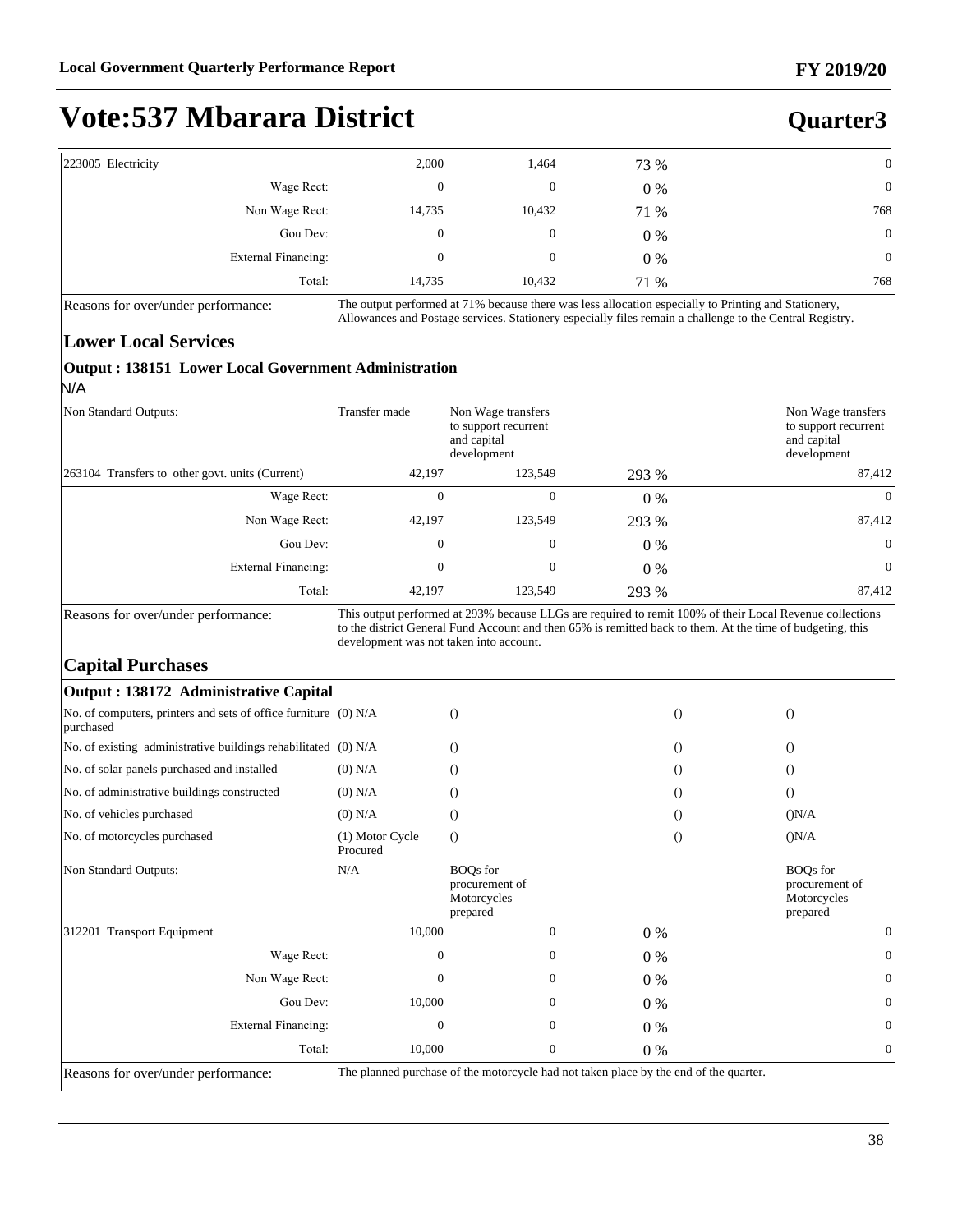#### **Quarter3**

| 223005 Electricity  | 2,000  | 1,464          | 73 %  | 01  |
|---------------------|--------|----------------|-------|-----|
| Wage Rect:          |        | 0              | $0\%$ | 01  |
| Non Wage Rect:      | 14,735 | 10,432         | 71 %  | 768 |
| Gou Dev:            | 0      | $\overline{0}$ | 0%    | 0   |
| External Financing: | 0      | 0              | $0\%$ | 0   |
| Total:              | 14,735 | 10,432         | 71 %  | 768 |

Reasons for over/under performance: The output performed at 71% because there was less allocation especially to Printing and Stationery, Allowances and Postage services. Stationery especially files remain a challenge to the Central Registry.

#### **Lower Local Services**

| Non Standard Outputs:                           | Transfer made                           | Non Wage transfers<br>to support recurrent<br>and capital<br>development |       | Non Wage transfers<br>to support recurrent<br>and capital<br>development                                                                                                                                               |
|-------------------------------------------------|-----------------------------------------|--------------------------------------------------------------------------|-------|------------------------------------------------------------------------------------------------------------------------------------------------------------------------------------------------------------------------|
| 263104 Transfers to other govt. units (Current) | 42,197                                  | 123,549                                                                  | 293 % | 87,412                                                                                                                                                                                                                 |
| Wage Rect:                                      | $\theta$                                | $\theta$                                                                 | $0\%$ | $\theta$                                                                                                                                                                                                               |
| Non Wage Rect:                                  | 42,197                                  | 123,549                                                                  | 293 % | 87,412                                                                                                                                                                                                                 |
| Gou Dev:                                        | $\mathbf{0}$                            | $\theta$                                                                 | $0\%$ | $\overline{0}$                                                                                                                                                                                                         |
| External Financing:                             | $\theta$                                | $\theta$                                                                 | $0\%$ | $\theta$                                                                                                                                                                                                               |
| Total:                                          | 42,197                                  | 123,549                                                                  | 293 % | 87,412                                                                                                                                                                                                                 |
| Reasons for over/under performance:             | development was not taken into account. |                                                                          |       | This output performed at 293% because LLGs are required to remit 100% of their Local Revenue collections<br>to the district General Fund Account and then 65% is remitted back to them. At the time of budgeting, this |

| Output : 138172 Administrative Capital                                       |                             |                                                              |                  |                               |                                                              |
|------------------------------------------------------------------------------|-----------------------------|--------------------------------------------------------------|------------------|-------------------------------|--------------------------------------------------------------|
| No. of computers, printers and sets of office furniture (0) N/A<br>purchased |                             | $\Omega$                                                     |                  | $\Omega$                      | $\Omega$                                                     |
| No. of existing administrative buildings rehabilitated (0) N/A               |                             | $\circ$                                                      |                  | $\Omega$                      | $\Omega$                                                     |
| No. of solar panels purchased and installed                                  | $(0)$ N/A                   | $\left( \right)$                                             |                  | $\circ$                       | $\circ$                                                      |
| No. of administrative buildings constructed                                  | $(0)$ N/A                   | $\circ$                                                      |                  | $\circ$                       | $\Omega$                                                     |
| No. of vehicles purchased                                                    | $(0)$ N/A                   | $\circ$                                                      |                  | $\bigcirc$                    | (N/A)                                                        |
| No. of motorcycles purchased                                                 | (1) Motor Cycle<br>Procured | $\circ$                                                      |                  | $\bigcirc$                    | (N/A)                                                        |
| Non Standard Outputs:                                                        | N/A                         | <b>BOQs</b> for<br>procurement of<br>Motorcycles<br>prepared |                  |                               | <b>BOQs</b> for<br>procurement of<br>Motorcycles<br>prepared |
| 312201 Transport Equipment                                                   | 10,000                      |                                                              | $\boldsymbol{0}$ | $0\%$                         |                                                              |
| Wage Rect:                                                                   | $\theta$                    |                                                              | $\theta$         | $0\%$                         | $\Omega$                                                     |
| Non Wage Rect:                                                               | 0                           |                                                              | 0                | $0\%$                         |                                                              |
| Gou Dev:                                                                     | 10,000                      |                                                              | 0                | $0\%$                         |                                                              |
| External Financing:                                                          | 0                           |                                                              | 0                | $0\%$                         |                                                              |
| Total:<br>$\sim$<br>$\sim$ $\sim$<br>$\sim$                                  | 10,000                      | $\sim$ $\sim$<br>$\cdot$ $\cdot$ $\cdot$                     | 0                | $0\%$<br>$\sim$ $\sim$ $\sim$ |                                                              |

Reasons for over/under performance: The planned purchase of the motorcycle had not taken place by the end of the quarter.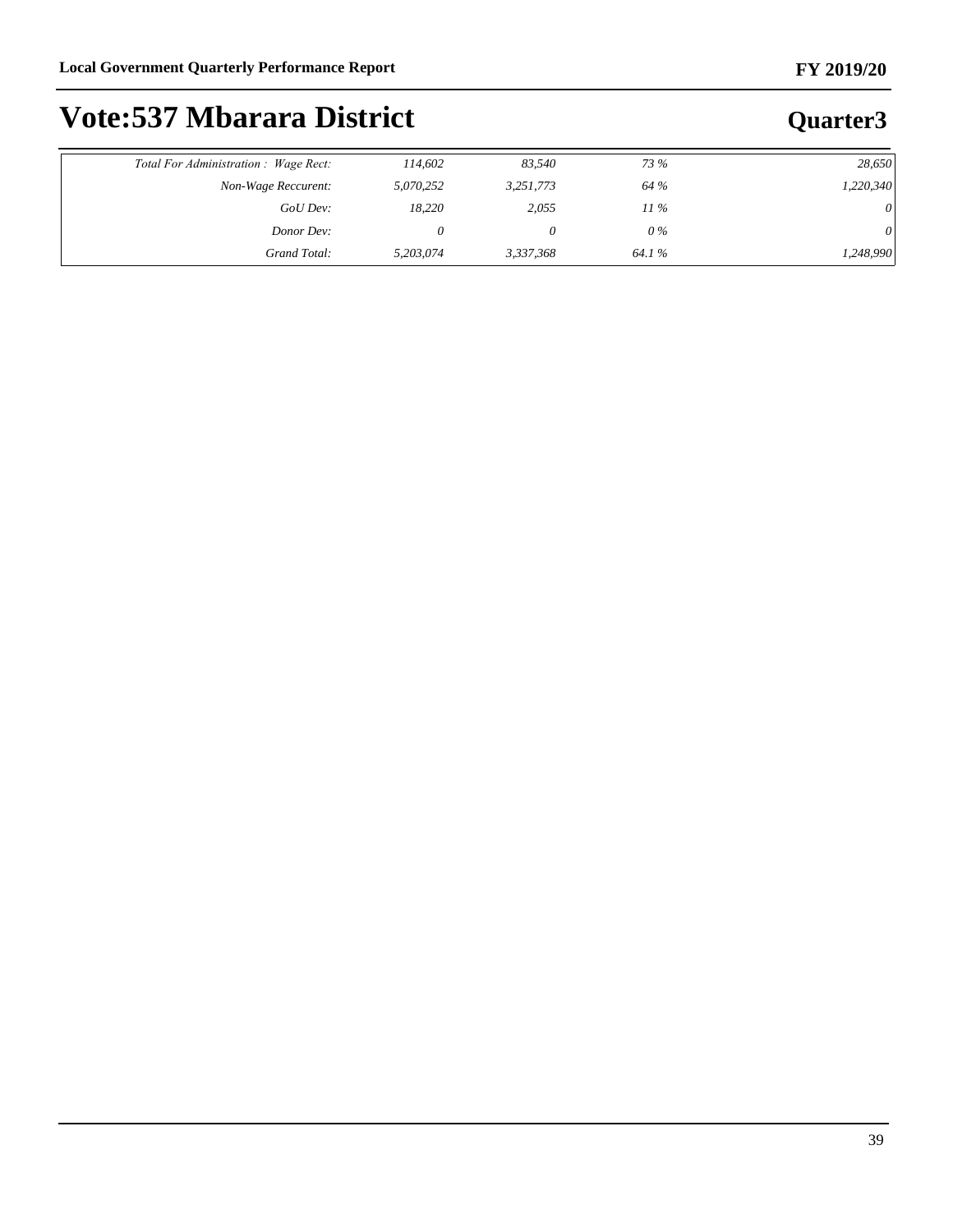| Total For Administration : Wage Rect: | 114,602   | 83.540    | 73 %   | 28,650    |
|---------------------------------------|-----------|-----------|--------|-----------|
| Non-Wage Reccurent:                   | 5,070,252 | 3,251,773 | 64 %   | 1,220,340 |
| GoU Dev:                              | 18,220    | 2,055     | $11\%$ | 0         |
| Donor Dev:                            |           |           | 0 %    | $\theta$  |
| Grand Total:                          | 5,203,074 | 3,337,368 | 64.1%  | 1,248,990 |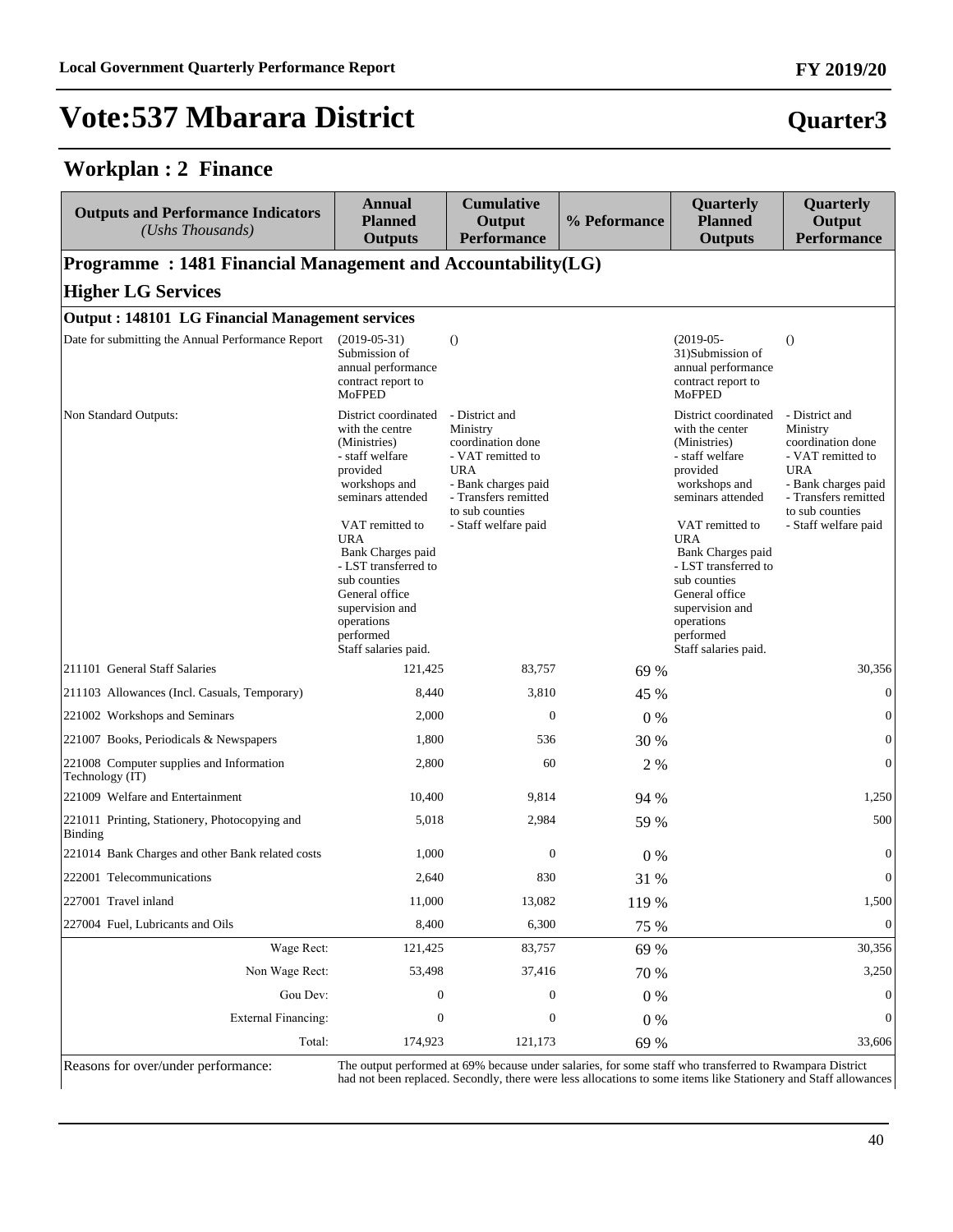#### **Workplan : 2 Finance**

| <b>Outputs and Performance Indicators</b><br>(Ushs Thousands)   | <b>Annual</b><br><b>Planned</b><br><b>Outputs</b>                                                                                                                                                                                                                                                                  | <b>Cumulative</b><br>Output<br><b>Performance</b>                                                                                                                            | % Peformance | Quarterly<br><b>Planned</b><br><b>Outputs</b>                                                                                                                                                                                                                                                                      | Quarterly<br>Output<br><b>Performance</b>                                                                                                                                    |
|-----------------------------------------------------------------|--------------------------------------------------------------------------------------------------------------------------------------------------------------------------------------------------------------------------------------------------------------------------------------------------------------------|------------------------------------------------------------------------------------------------------------------------------------------------------------------------------|--------------|--------------------------------------------------------------------------------------------------------------------------------------------------------------------------------------------------------------------------------------------------------------------------------------------------------------------|------------------------------------------------------------------------------------------------------------------------------------------------------------------------------|
| Programme: 1481 Financial Management and Accountability(LG)     |                                                                                                                                                                                                                                                                                                                    |                                                                                                                                                                              |              |                                                                                                                                                                                                                                                                                                                    |                                                                                                                                                                              |
| <b>Higher LG Services</b>                                       |                                                                                                                                                                                                                                                                                                                    |                                                                                                                                                                              |              |                                                                                                                                                                                                                                                                                                                    |                                                                                                                                                                              |
| <b>Output: 148101 LG Financial Management services</b>          |                                                                                                                                                                                                                                                                                                                    |                                                                                                                                                                              |              |                                                                                                                                                                                                                                                                                                                    |                                                                                                                                                                              |
| Date for submitting the Annual Performance Report               | $(2019-05-31)$<br>Submission of<br>annual performance<br>contract report to<br><b>MoFPED</b>                                                                                                                                                                                                                       | $\Omega$                                                                                                                                                                     |              | $(2019-05-$<br>31)Submission of<br>annual performance<br>contract report to<br><b>MoFPED</b>                                                                                                                                                                                                                       | $\Omega$                                                                                                                                                                     |
| Non Standard Outputs:                                           | District coordinated<br>with the centre<br>(Ministries)<br>- staff welfare<br>provided<br>workshops and<br>seminars attended<br>VAT remitted to<br><b>URA</b><br>Bank Charges paid<br>- LST transferred to<br>sub counties<br>General office<br>supervision and<br>operations<br>performed<br>Staff salaries paid. | - District and<br>Ministry<br>coordination done<br>- VAT remitted to<br><b>URA</b><br>- Bank charges paid<br>- Transfers remitted<br>to sub counties<br>- Staff welfare paid |              | District coordinated<br>with the center<br>(Ministries)<br>- staff welfare<br>provided<br>workshops and<br>seminars attended<br>VAT remitted to<br><b>URA</b><br>Bank Charges paid<br>- LST transferred to<br>sub counties<br>General office<br>supervision and<br>operations<br>performed<br>Staff salaries paid. | - District and<br>Ministry<br>coordination done<br>- VAT remitted to<br><b>URA</b><br>- Bank charges paid<br>- Transfers remitted<br>to sub counties<br>- Staff welfare paid |
| 211101 General Staff Salaries                                   | 121,425                                                                                                                                                                                                                                                                                                            | 83,757                                                                                                                                                                       | 69 %         |                                                                                                                                                                                                                                                                                                                    | 30,356                                                                                                                                                                       |
| 211103 Allowances (Incl. Casuals, Temporary)                    | 8,440                                                                                                                                                                                                                                                                                                              | 3,810                                                                                                                                                                        | 45 %         |                                                                                                                                                                                                                                                                                                                    | $\boldsymbol{0}$                                                                                                                                                             |
| 221002 Workshops and Seminars                                   | 2,000                                                                                                                                                                                                                                                                                                              | $\mathbf{0}$                                                                                                                                                                 | $0\%$        |                                                                                                                                                                                                                                                                                                                    | $\boldsymbol{0}$                                                                                                                                                             |
| 221007 Books, Periodicals & Newspapers                          | 1,800                                                                                                                                                                                                                                                                                                              | 536                                                                                                                                                                          | 30 %         |                                                                                                                                                                                                                                                                                                                    | $\boldsymbol{0}$                                                                                                                                                             |
| 221008 Computer supplies and Information<br>Technology (IT)     | 2,800                                                                                                                                                                                                                                                                                                              | 60                                                                                                                                                                           | 2 %          |                                                                                                                                                                                                                                                                                                                    | $\boldsymbol{0}$                                                                                                                                                             |
| 221009 Welfare and Entertainment                                | 10,400                                                                                                                                                                                                                                                                                                             | 9,814                                                                                                                                                                        | 94 %         |                                                                                                                                                                                                                                                                                                                    | 1,250                                                                                                                                                                        |
| 221011 Printing, Stationery, Photocopying and<br><b>Binding</b> | 5,018                                                                                                                                                                                                                                                                                                              | 2,984                                                                                                                                                                        | 59 %         |                                                                                                                                                                                                                                                                                                                    | 500                                                                                                                                                                          |
| 221014 Bank Charges and other Bank related costs                | 1,000                                                                                                                                                                                                                                                                                                              | $\boldsymbol{0}$                                                                                                                                                             | $0\%$        |                                                                                                                                                                                                                                                                                                                    | $\boldsymbol{0}$                                                                                                                                                             |
| 222001 Telecommunications                                       | 2,640                                                                                                                                                                                                                                                                                                              | 830                                                                                                                                                                          | 31 %         |                                                                                                                                                                                                                                                                                                                    | $\boldsymbol{0}$                                                                                                                                                             |
| 227001 Travel inland                                            | 11,000                                                                                                                                                                                                                                                                                                             | 13,082                                                                                                                                                                       | 119 %        |                                                                                                                                                                                                                                                                                                                    | 1,500                                                                                                                                                                        |
| 227004 Fuel, Lubricants and Oils                                | 8,400                                                                                                                                                                                                                                                                                                              | 6,300                                                                                                                                                                        | 75 %         |                                                                                                                                                                                                                                                                                                                    | $\boldsymbol{0}$                                                                                                                                                             |
| Wage Rect:                                                      | 121,425                                                                                                                                                                                                                                                                                                            | 83,757                                                                                                                                                                       | 69 %         |                                                                                                                                                                                                                                                                                                                    | 30,356                                                                                                                                                                       |
| Non Wage Rect:                                                  | 53,498                                                                                                                                                                                                                                                                                                             | 37,416                                                                                                                                                                       | 70 %         |                                                                                                                                                                                                                                                                                                                    | 3,250                                                                                                                                                                        |
| Gou Dev:                                                        | $\boldsymbol{0}$                                                                                                                                                                                                                                                                                                   | $\boldsymbol{0}$                                                                                                                                                             | $0\ \%$      |                                                                                                                                                                                                                                                                                                                    | $\boldsymbol{0}$                                                                                                                                                             |
| <b>External Financing:</b>                                      | 0                                                                                                                                                                                                                                                                                                                  | 0                                                                                                                                                                            | $0\ \%$      |                                                                                                                                                                                                                                                                                                                    | $\boldsymbol{0}$                                                                                                                                                             |
| Total:                                                          | 174,923                                                                                                                                                                                                                                                                                                            | 121,173                                                                                                                                                                      | 69 %         |                                                                                                                                                                                                                                                                                                                    | 33,606                                                                                                                                                                       |

Reasons for over/under performance:<br>had not been replaced. Secondly, there were less allocations to some items like Stationery and Staff allowances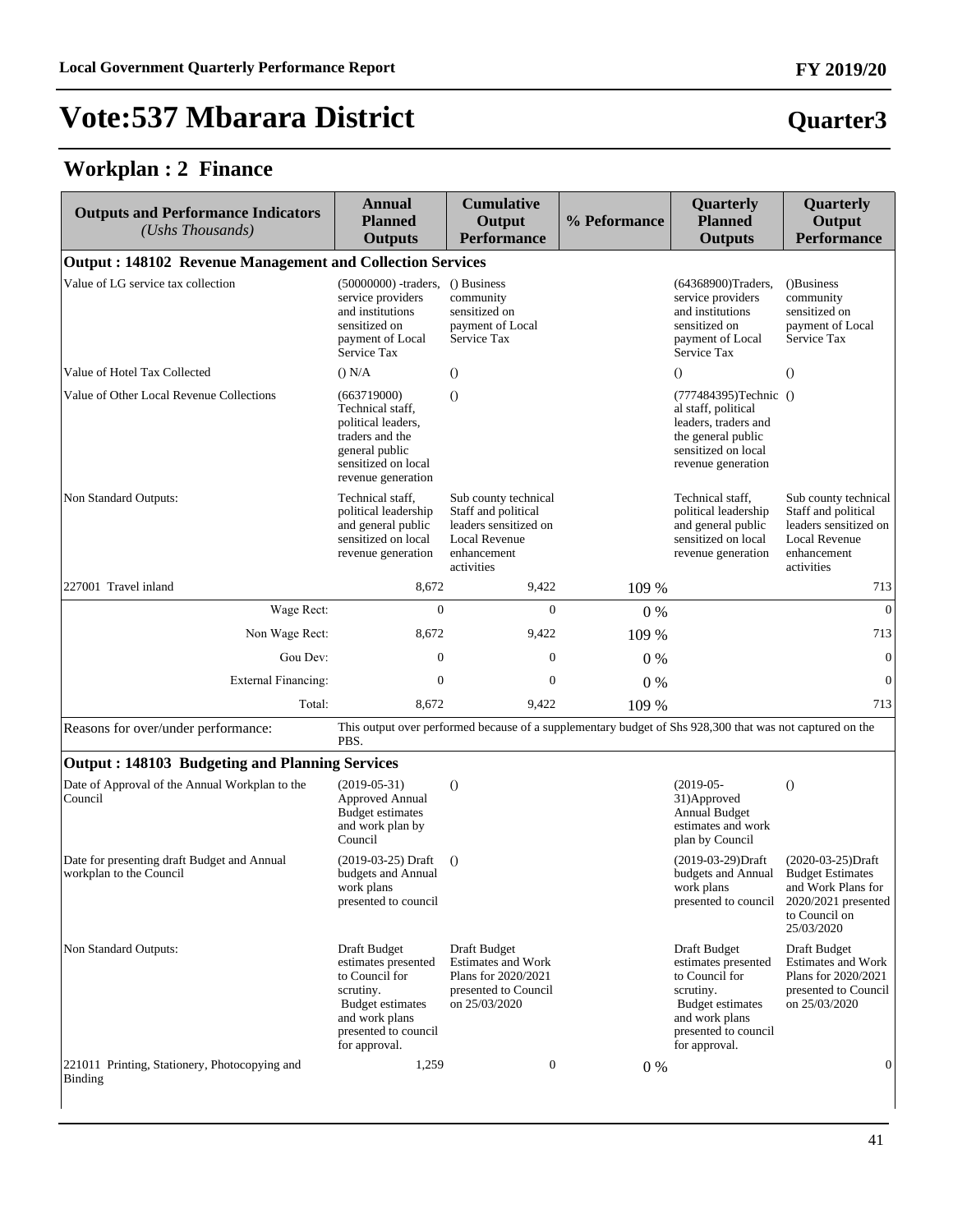#### **Workplan : 2 Finance**

| <b>Outputs and Performance Indicators</b><br>(Ushs Thousands)          | Annual<br><b>Planned</b><br><b>Outputs</b>                                                                                                               | <b>Cumulative</b><br>Output<br><b>Performance</b>                                                                         | % Peformance | Quarterly<br><b>Planned</b><br><b>Outputs</b>                                                                                                            | Quarterly<br>Output<br><b>Performance</b>                                                                                  |
|------------------------------------------------------------------------|----------------------------------------------------------------------------------------------------------------------------------------------------------|---------------------------------------------------------------------------------------------------------------------------|--------------|----------------------------------------------------------------------------------------------------------------------------------------------------------|----------------------------------------------------------------------------------------------------------------------------|
| <b>Output: 148102 Revenue Management and Collection Services</b>       |                                                                                                                                                          |                                                                                                                           |              |                                                                                                                                                          |                                                                                                                            |
| Value of LG service tax collection                                     | (50000000) -traders,<br>service providers<br>and institutions<br>sensitized on<br>payment of Local<br>Service Tax                                        | () Business<br>community<br>sensitized on<br>payment of Local<br>Service Tax                                              |              | (64368900)Traders,<br>service providers<br>and institutions<br>sensitized on<br>payment of Local<br>Service Tax                                          | ()Business<br>community<br>sensitized on<br>payment of Local<br>Service Tax                                                |
| Value of Hotel Tax Collected                                           | () N/A                                                                                                                                                   | $\theta$                                                                                                                  |              | $\theta$                                                                                                                                                 | $\theta$                                                                                                                   |
| Value of Other Local Revenue Collections                               | (663719000)<br>Technical staff,<br>political leaders,<br>traders and the<br>general public<br>sensitized on local<br>revenue generation                  | $\Omega$                                                                                                                  |              | (777484395)Technic ()<br>al staff, political<br>leaders, traders and<br>the general public<br>sensitized on local<br>revenue generation                  |                                                                                                                            |
| Non Standard Outputs:                                                  | Technical staff,<br>political leadership<br>and general public<br>sensitized on local<br>revenue generation                                              | Sub county technical<br>Staff and political<br>leaders sensitized on<br><b>Local Revenue</b><br>enhancement<br>activities |              | Technical staff,<br>political leadership<br>and general public<br>sensitized on local<br>revenue generation                                              | Sub county technical<br>Staff and political<br>leaders sensitized on<br><b>Local Revenue</b><br>enhancement<br>activities  |
| 227001 Travel inland                                                   | 8,672                                                                                                                                                    | 9,422                                                                                                                     | 109 %        |                                                                                                                                                          | 713                                                                                                                        |
| Wage Rect:                                                             | $\mathbf{0}$                                                                                                                                             | $\theta$                                                                                                                  | $0\%$        |                                                                                                                                                          | $\mathbf{0}$                                                                                                               |
| Non Wage Rect:                                                         | 8,672                                                                                                                                                    | 9,422                                                                                                                     | 109 %        |                                                                                                                                                          | 713                                                                                                                        |
| Gou Dev:                                                               | $\boldsymbol{0}$                                                                                                                                         | $\overline{0}$                                                                                                            | $0\%$        |                                                                                                                                                          | $\mathbf{0}$                                                                                                               |
| <b>External Financing:</b>                                             | $\boldsymbol{0}$                                                                                                                                         | $\theta$                                                                                                                  | 0%           |                                                                                                                                                          | $\mathbf{0}$                                                                                                               |
| Total:                                                                 | 8,672                                                                                                                                                    | 9,422                                                                                                                     | 109 %        |                                                                                                                                                          | 713                                                                                                                        |
| Reasons for over/under performance:                                    | PBS.                                                                                                                                                     | This output over performed because of a supplementary budget of Shs 928,300 that was not captured on the                  |              |                                                                                                                                                          |                                                                                                                            |
| <b>Output: 148103 Budgeting and Planning Services</b>                  |                                                                                                                                                          |                                                                                                                           |              |                                                                                                                                                          |                                                                                                                            |
| Date of Approval of the Annual Workplan to the<br>Council              | $(2019-05-31)$<br><b>Approved Annual</b><br><b>Budget estimates</b><br>and work plan by<br>Council                                                       | $\Omega$                                                                                                                  |              | $(2019-05-$<br>31) Approved<br><b>Annual Budget</b><br>estimates and work<br>plan by Council                                                             | $\circ$                                                                                                                    |
| Date for presenting draft Budget and Annual<br>workplan to the Council | (2019-03-25) Draft<br>budgets and Annual<br>work plans<br>presented to council                                                                           | $\Omega$                                                                                                                  |              | (2019-03-29)Draft<br>budgets and Annual<br>work plans<br>presented to council                                                                            | $(2020-03-25)Draff$<br><b>Budget Estimates</b><br>and Work Plans for<br>2020/2021 presented<br>to Council on<br>25/03/2020 |
| Non Standard Outputs:                                                  | Draft Budget<br>estimates presented<br>to Council for<br>scrutiny.<br><b>Budget estimates</b><br>and work plans<br>presented to council<br>for approval. | Draft Budget<br><b>Estimates and Work</b><br>Plans for 2020/2021<br>presented to Council<br>on 25/03/2020                 |              | Draft Budget<br>estimates presented<br>to Council for<br>scrutiny.<br><b>Budget estimates</b><br>and work plans<br>presented to council<br>for approval. | Draft Budget<br><b>Estimates and Work</b><br>Plans for 2020/2021<br>presented to Council<br>on 25/03/2020                  |
| 221011 Printing, Stationery, Photocopying and<br><b>Binding</b>        | 1,259                                                                                                                                                    | $\mathbf{0}$                                                                                                              | $0\%$        |                                                                                                                                                          | $\mathbf{0}$                                                                                                               |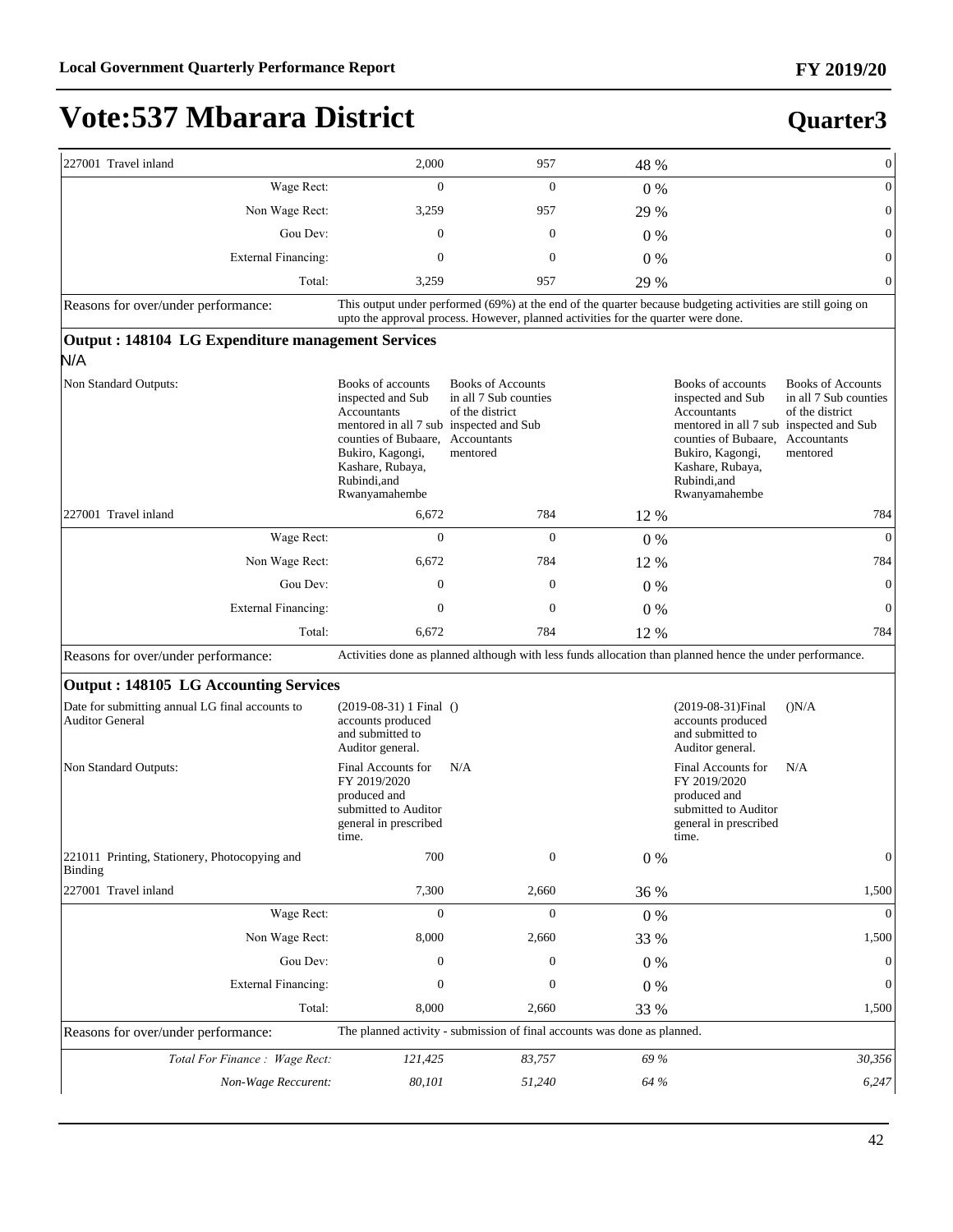| 227001 Travel inland                                                      | 2,000                                                                                                                                                                                             | 957                                                                                                                                                                                              | 48 %    |                                                                                                                                                                                                  | $\boldsymbol{0}$                                                                                |
|---------------------------------------------------------------------------|---------------------------------------------------------------------------------------------------------------------------------------------------------------------------------------------------|--------------------------------------------------------------------------------------------------------------------------------------------------------------------------------------------------|---------|--------------------------------------------------------------------------------------------------------------------------------------------------------------------------------------------------|-------------------------------------------------------------------------------------------------|
| Wage Rect:                                                                | $\mathbf{0}$                                                                                                                                                                                      | $\mathbf{0}$                                                                                                                                                                                     | $0\%$   |                                                                                                                                                                                                  | $\boldsymbol{0}$                                                                                |
| Non Wage Rect:                                                            | 3,259                                                                                                                                                                                             | 957                                                                                                                                                                                              | 29 %    |                                                                                                                                                                                                  | $\boldsymbol{0}$                                                                                |
| Gou Dev:                                                                  | $\mathbf{0}$                                                                                                                                                                                      | $\mathbf{0}$                                                                                                                                                                                     | $0\%$   |                                                                                                                                                                                                  | $\boldsymbol{0}$                                                                                |
| <b>External Financing:</b>                                                | $\mathbf{0}$                                                                                                                                                                                      | $\mathbf{0}$                                                                                                                                                                                     | $0\%$   |                                                                                                                                                                                                  | $\boldsymbol{0}$                                                                                |
| Total:                                                                    | 3,259                                                                                                                                                                                             | 957                                                                                                                                                                                              | 29 %    |                                                                                                                                                                                                  | $\boldsymbol{0}$                                                                                |
| Reasons for over/under performance:                                       |                                                                                                                                                                                                   | This output under performed (69%) at the end of the quarter because budgeting activities are still going on<br>upto the approval process. However, planned activities for the quarter were done. |         |                                                                                                                                                                                                  |                                                                                                 |
| Output: 148104 LG Expenditure management Services<br>N/A                  |                                                                                                                                                                                                   |                                                                                                                                                                                                  |         |                                                                                                                                                                                                  |                                                                                                 |
| Non Standard Outputs:                                                     | Books of accounts<br>inspected and Sub<br>Accountants<br>mentored in all 7 sub inspected and Sub<br>counties of Bubaare,<br>Bukiro, Kagongi,<br>Kashare, Rubaya,<br>Rubindi, and<br>Rwanyamahembe | <b>Books of Accounts</b><br>in all 7 Sub counties<br>of the district<br>Accountants<br>mentored                                                                                                  |         | Books of accounts<br>inspected and Sub<br>Accountants<br>mentored in all 7 sub inspected and Sub<br>counties of Bubaare,<br>Bukiro, Kagongi,<br>Kashare, Rubaya,<br>Rubindi.and<br>Rwanyamahembe | <b>Books of Accounts</b><br>in all 7 Sub counties<br>of the district<br>Accountants<br>mentored |
| 227001 Travel inland                                                      | 6,672                                                                                                                                                                                             | 784                                                                                                                                                                                              | 12 %    |                                                                                                                                                                                                  | 784                                                                                             |
| Wage Rect:                                                                | $\mathbf{0}$                                                                                                                                                                                      | $\mathbf{0}$                                                                                                                                                                                     | $0\%$   |                                                                                                                                                                                                  | $\theta$                                                                                        |
| Non Wage Rect:                                                            | 6,672                                                                                                                                                                                             | 784                                                                                                                                                                                              | 12 %    |                                                                                                                                                                                                  | 784                                                                                             |
| Gou Dev:                                                                  | $\overline{0}$                                                                                                                                                                                    | $\boldsymbol{0}$                                                                                                                                                                                 | $0\%$   |                                                                                                                                                                                                  | $\mathbf{0}$                                                                                    |
| <b>External Financing:</b>                                                | $\boldsymbol{0}$                                                                                                                                                                                  | $\mathbf{0}$                                                                                                                                                                                     | $0\%$   |                                                                                                                                                                                                  | $\mathbf{0}$                                                                                    |
| Total:                                                                    | 6,672                                                                                                                                                                                             | 784                                                                                                                                                                                              | 12 %    |                                                                                                                                                                                                  | 784                                                                                             |
| Reasons for over/under performance:                                       |                                                                                                                                                                                                   | Activities done as planned although with less funds allocation than planned hence the under performance.                                                                                         |         |                                                                                                                                                                                                  |                                                                                                 |
| <b>Output : 148105 LG Accounting Services</b>                             |                                                                                                                                                                                                   |                                                                                                                                                                                                  |         |                                                                                                                                                                                                  |                                                                                                 |
| Date for submitting annual LG final accounts to<br><b>Auditor General</b> | $(2019-08-31)$ 1 Final ()<br>accounts produced<br>and submitted to<br>Auditor general.                                                                                                            |                                                                                                                                                                                                  |         | $(2019-08-31)$ Final<br>accounts produced<br>and submitted to<br>Auditor general.                                                                                                                | (N/A)                                                                                           |
| Non Standard Outputs:                                                     | Final Accounts for<br>FY 2019/2020<br>produced and<br>submitted to Auditor<br>general in prescribed<br>time.                                                                                      | N/A                                                                                                                                                                                              |         | Final Accounts for<br>FY 2019/2020<br>produced and<br>submitted to Auditor<br>general in prescribed<br>time.                                                                                     | N/A                                                                                             |
| 221011 Printing, Stationery, Photocopying and<br>Binding                  | 700                                                                                                                                                                                               | $\boldsymbol{0}$                                                                                                                                                                                 | $0\ \%$ |                                                                                                                                                                                                  | $\boldsymbol{0}$                                                                                |
| 227001 Travel inland                                                      | 7,300                                                                                                                                                                                             | 2,660                                                                                                                                                                                            | 36 %    |                                                                                                                                                                                                  | 1,500                                                                                           |
| Wage Rect:                                                                | $\boldsymbol{0}$                                                                                                                                                                                  | $\boldsymbol{0}$                                                                                                                                                                                 | 0%      |                                                                                                                                                                                                  | $\Omega$                                                                                        |
| Non Wage Rect:                                                            | 8,000                                                                                                                                                                                             | 2,660                                                                                                                                                                                            | 33 %    |                                                                                                                                                                                                  | 1,500                                                                                           |
| Gou Dev:                                                                  | $\boldsymbol{0}$                                                                                                                                                                                  | $\boldsymbol{0}$                                                                                                                                                                                 | $0\ \%$ |                                                                                                                                                                                                  | $\mathbf{0}$                                                                                    |
| <b>External Financing:</b>                                                | $\boldsymbol{0}$                                                                                                                                                                                  | $\boldsymbol{0}$                                                                                                                                                                                 | $0\ \%$ |                                                                                                                                                                                                  | $\boldsymbol{0}$                                                                                |
| Total:                                                                    | 8,000                                                                                                                                                                                             | 2,660                                                                                                                                                                                            | 33 %    |                                                                                                                                                                                                  | 1,500                                                                                           |
| Reasons for over/under performance:                                       |                                                                                                                                                                                                   | The planned activity - submission of final accounts was done as planned.                                                                                                                         |         |                                                                                                                                                                                                  |                                                                                                 |
| Total For Finance : Wage Rect:                                            | 121,425                                                                                                                                                                                           | 83,757                                                                                                                                                                                           | 69 %    |                                                                                                                                                                                                  | 30,356                                                                                          |
| Non-Wage Reccurent:                                                       | 80,101                                                                                                                                                                                            | 51,240                                                                                                                                                                                           | 64 %    |                                                                                                                                                                                                  | 6,247                                                                                           |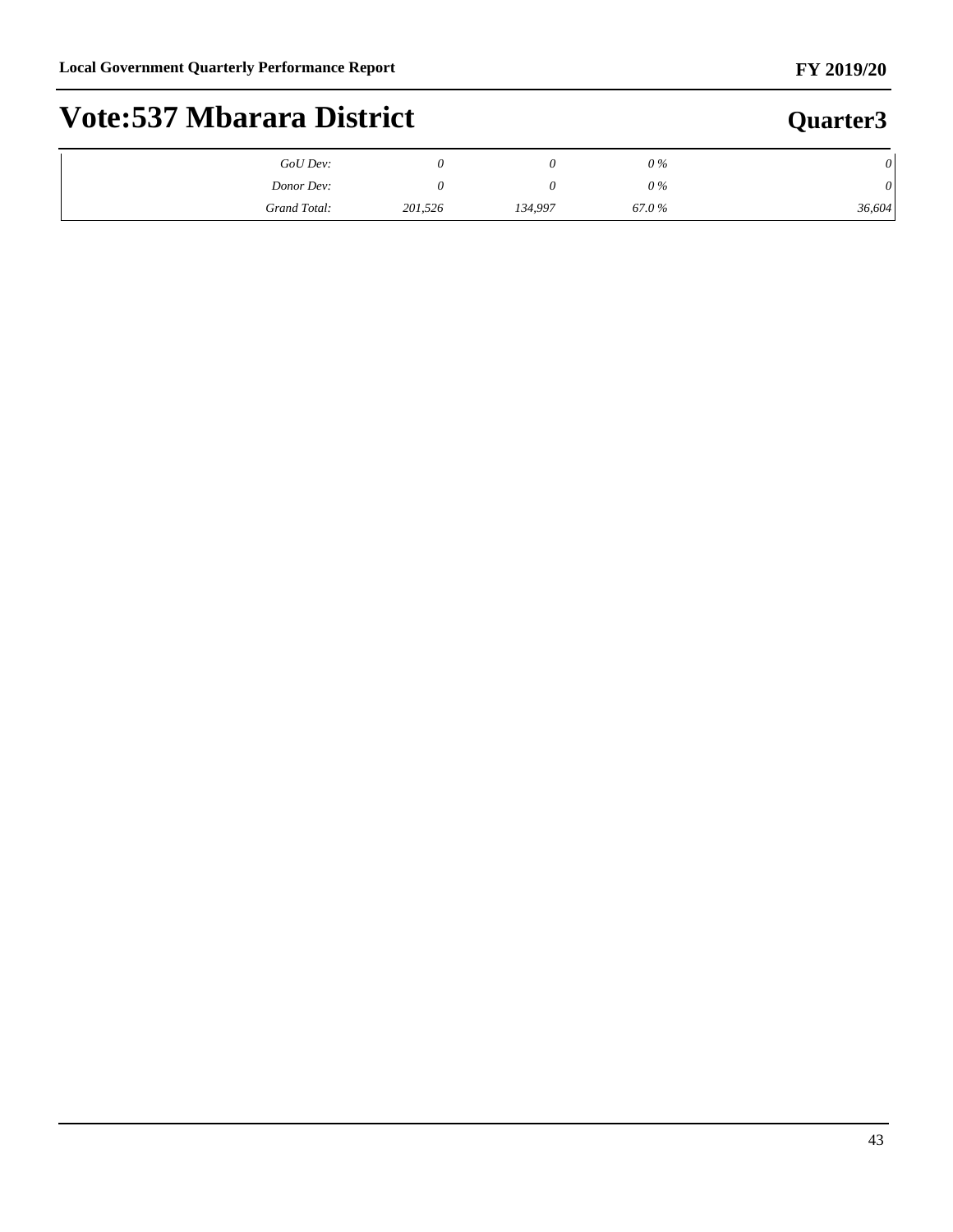#### **FY 2019/20**

# **Vote:537 Mbarara District**

| GoU Dev:     |         |         | 0 %   | $\theta$ |
|--------------|---------|---------|-------|----------|
| Donor Dev:   |         |         | 0 %   | $\theta$ |
| Grand Total: | 201,526 | 134,997 | 67.0% | 36,604   |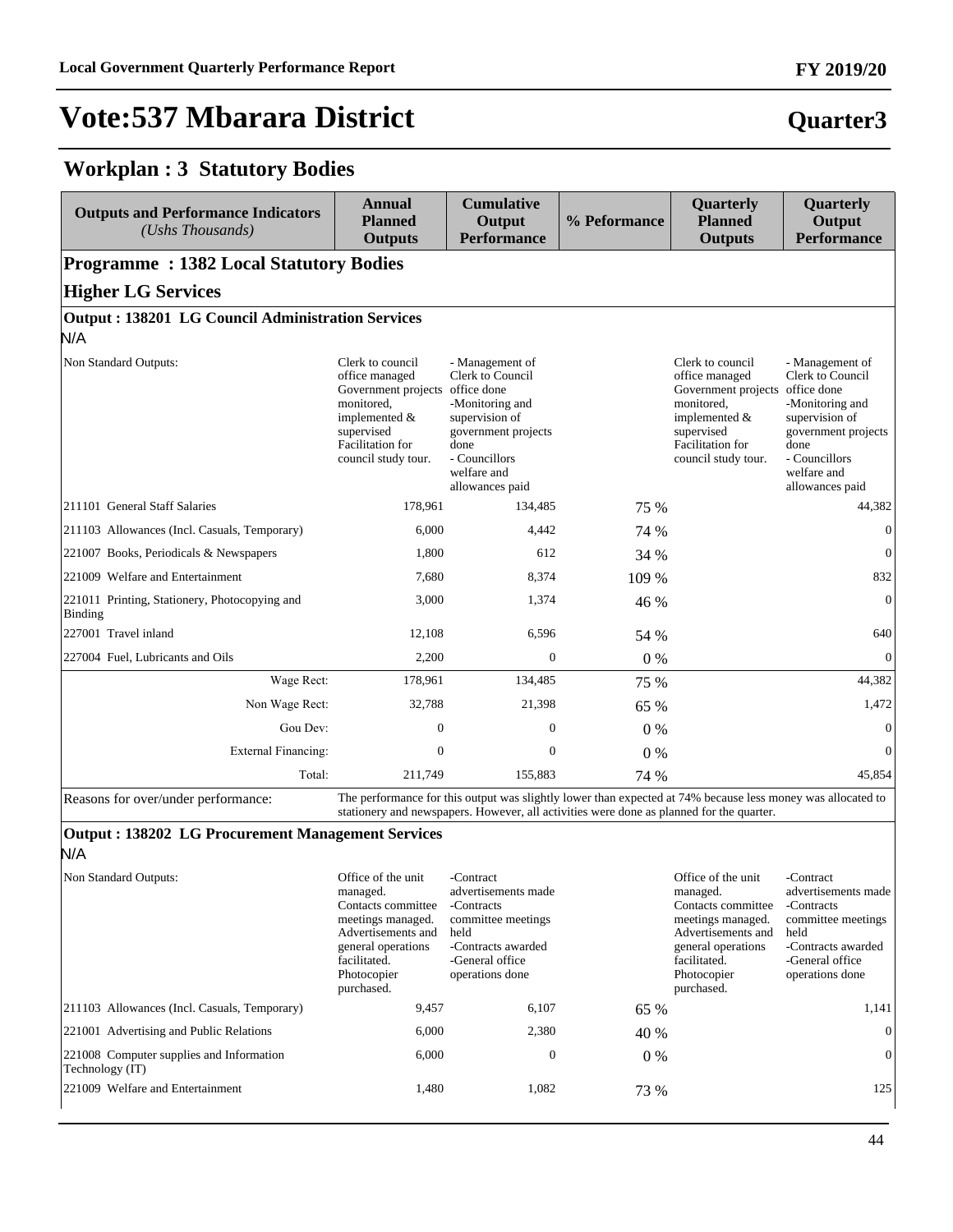#### **Workplan : 3 Statutory Bodies**

| <b>Outputs and Performance Indicators</b><br>(Ushs Thousands) | <b>Annual</b><br><b>Planned</b><br><b>Outputs</b>                                                                                                               | <b>Cumulative</b><br>Output<br><b>Performance</b>                                                                                                                                                       | % Peformance | Quarterly<br><b>Planned</b><br><b>Outputs</b>                                                                                                                 | Quarterly<br>Output<br><b>Performance</b>                                                                                                                  |
|---------------------------------------------------------------|-----------------------------------------------------------------------------------------------------------------------------------------------------------------|---------------------------------------------------------------------------------------------------------------------------------------------------------------------------------------------------------|--------------|---------------------------------------------------------------------------------------------------------------------------------------------------------------|------------------------------------------------------------------------------------------------------------------------------------------------------------|
| <b>Programme: 1382 Local Statutory Bodies</b>                 |                                                                                                                                                                 |                                                                                                                                                                                                         |              |                                                                                                                                                               |                                                                                                                                                            |
| <b>Higher LG Services</b>                                     |                                                                                                                                                                 |                                                                                                                                                                                                         |              |                                                                                                                                                               |                                                                                                                                                            |
| Output: 138201 LG Council Administration Services             |                                                                                                                                                                 |                                                                                                                                                                                                         |              |                                                                                                                                                               |                                                                                                                                                            |
| N/A                                                           |                                                                                                                                                                 |                                                                                                                                                                                                         |              |                                                                                                                                                               |                                                                                                                                                            |
| Non Standard Outputs:                                         | Clerk to council<br>office managed<br>Government projects office done<br>monitored,<br>implemented $&$<br>supervised<br>Facilitation for<br>council study tour. | - Management of<br>Clerk to Council<br>-Monitoring and<br>supervision of<br>government projects<br>done<br>- Councillors<br>welfare and<br>allowances paid                                              |              | Clerk to council<br>office managed<br>Government projects office done<br>monitored,<br>implemented &<br>supervised<br>Facilitation for<br>council study tour. | - Management of<br>Clerk to Council<br>-Monitoring and<br>supervision of<br>government projects<br>done<br>- Councillors<br>welfare and<br>allowances paid |
| 211101 General Staff Salaries                                 | 178,961                                                                                                                                                         | 134,485                                                                                                                                                                                                 | 75 %         |                                                                                                                                                               | 44,382                                                                                                                                                     |
| 211103 Allowances (Incl. Casuals, Temporary)                  | 6,000                                                                                                                                                           | 4,442                                                                                                                                                                                                   | 74 %         |                                                                                                                                                               | $\mathbf{0}$                                                                                                                                               |
| 221007 Books, Periodicals & Newspapers                        | 1,800                                                                                                                                                           | 612                                                                                                                                                                                                     | 34 %         |                                                                                                                                                               | $\overline{0}$                                                                                                                                             |
| 221009 Welfare and Entertainment                              | 7,680                                                                                                                                                           | 8,374                                                                                                                                                                                                   | 109 %        |                                                                                                                                                               | 832                                                                                                                                                        |
| 221011 Printing, Stationery, Photocopying and<br>Binding      | 3,000                                                                                                                                                           | 1,374                                                                                                                                                                                                   | 46 %         |                                                                                                                                                               | $\theta$                                                                                                                                                   |
| 227001 Travel inland                                          | 12,108                                                                                                                                                          | 6,596                                                                                                                                                                                                   | 54 %         |                                                                                                                                                               | 640                                                                                                                                                        |
| 227004 Fuel, Lubricants and Oils                              | 2,200                                                                                                                                                           | $\boldsymbol{0}$                                                                                                                                                                                        | 0%           |                                                                                                                                                               | $\overline{0}$                                                                                                                                             |
| Wage Rect:                                                    | 178,961                                                                                                                                                         | 134,485                                                                                                                                                                                                 | 75 %         |                                                                                                                                                               | 44,382                                                                                                                                                     |
| Non Wage Rect:                                                | 32,788                                                                                                                                                          | 21,398                                                                                                                                                                                                  | 65 %         |                                                                                                                                                               | 1,472                                                                                                                                                      |
| Gou Dev:                                                      | $\boldsymbol{0}$                                                                                                                                                | $\boldsymbol{0}$                                                                                                                                                                                        | 0%           |                                                                                                                                                               | $\overline{0}$                                                                                                                                             |
| <b>External Financing:</b>                                    | $\mathbf{0}$                                                                                                                                                    | $\mathbf{0}$                                                                                                                                                                                            | 0%           |                                                                                                                                                               | $\theta$                                                                                                                                                   |
| Total:                                                        | 211,749                                                                                                                                                         | 155,883                                                                                                                                                                                                 | 74 %         |                                                                                                                                                               | 45,854                                                                                                                                                     |
| Reasons for over/under performance:                           |                                                                                                                                                                 | The performance for this output was slightly lower than expected at 74% because less money was allocated to<br>stationery and newspapers. However, all activities were done as planned for the quarter. |              |                                                                                                                                                               |                                                                                                                                                            |

#### **Output : 138202 LG Procurement Management Services** N/A

| Non Standard Outputs:                                       | Office of the unit<br>managed.<br>Contacts committee<br>meetings managed.<br>Advertisements and<br>general operations<br>facilitated.<br>Photocopier<br>purchased. | -Contract<br>advertisements made<br>-Contracts<br>committee meetings<br>held<br>-Contracts awarded<br>-General office<br>operations done |       | Office of the unit<br>managed.<br>Contacts committee<br>meetings managed.<br>Advertisements and<br>general operations<br>facilitated.<br>Photocopier<br>purchased. | -Contract<br>advertisements made<br>-Contracts<br>committee meetings<br>held<br>-Contracts awarded<br>-General office<br>operations done |
|-------------------------------------------------------------|--------------------------------------------------------------------------------------------------------------------------------------------------------------------|------------------------------------------------------------------------------------------------------------------------------------------|-------|--------------------------------------------------------------------------------------------------------------------------------------------------------------------|------------------------------------------------------------------------------------------------------------------------------------------|
| [211103 Allowances (Incl. Casuals, Temporary)               | 9,457                                                                                                                                                              | 6,107                                                                                                                                    | 65 %  |                                                                                                                                                                    | 1,141                                                                                                                                    |
| 221001 Advertising and Public Relations                     | 6,000                                                                                                                                                              | 2,380                                                                                                                                    | 40 %  |                                                                                                                                                                    | $\Omega$                                                                                                                                 |
| 221008 Computer supplies and Information<br>Technology (IT) | 6,000                                                                                                                                                              | $\mathbf{0}$                                                                                                                             | $0\%$ |                                                                                                                                                                    | $\theta$                                                                                                                                 |
| 221009 Welfare and Entertainment                            | 1,480                                                                                                                                                              | 1,082                                                                                                                                    | 73 %  |                                                                                                                                                                    | 125                                                                                                                                      |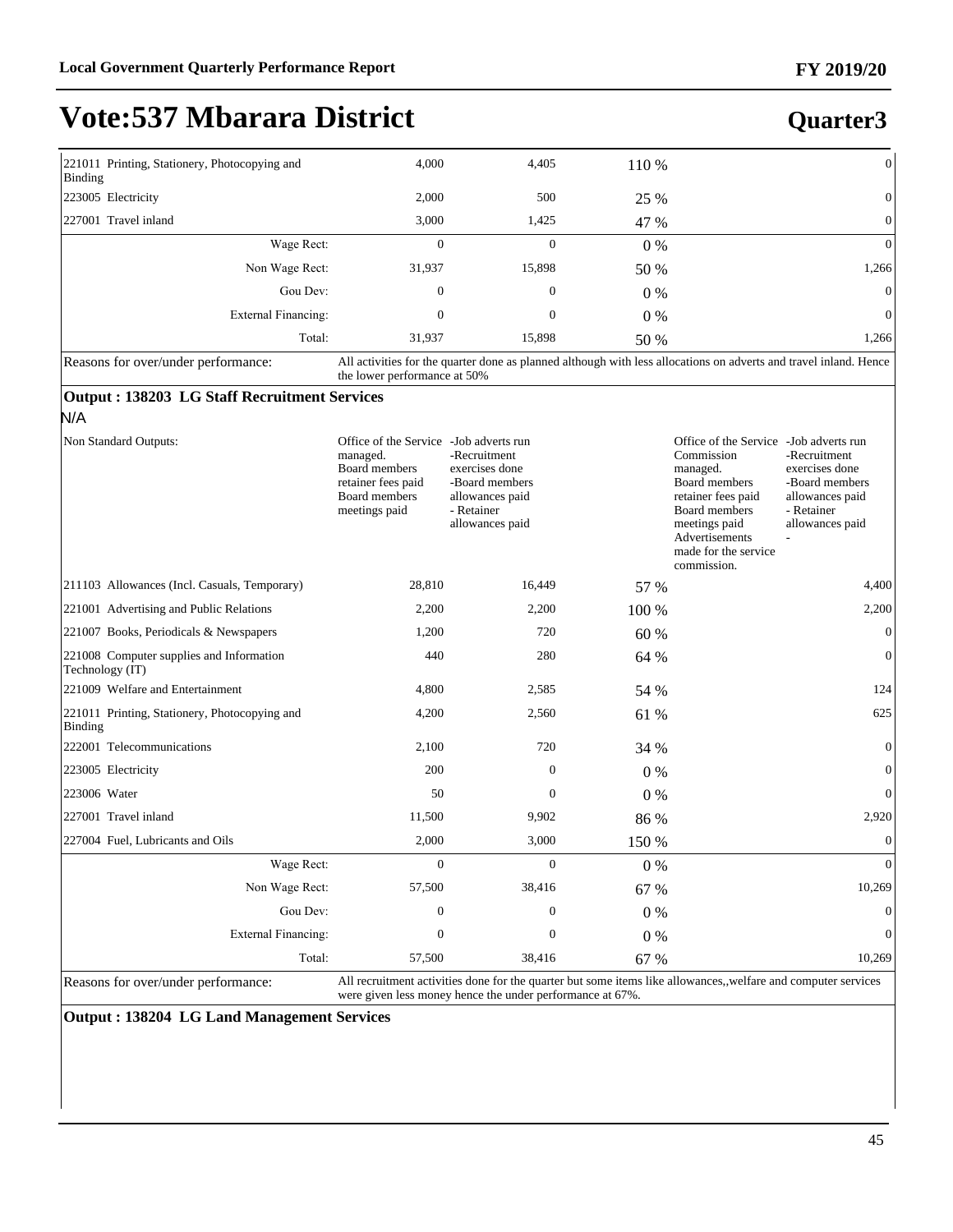**Quarter3**

## **Vote:537 Mbarara District**

| 221011 Printing, Stationery, Photocopying and<br>Binding | 4,000                                                                                                             | 4,405            | 110 % | $\mathbf{0}$   |
|----------------------------------------------------------|-------------------------------------------------------------------------------------------------------------------|------------------|-------|----------------|
| 223005 Electricity                                       | 2,000                                                                                                             | 500              | 25 %  | $\mathbf{0}$   |
| 227001 Travel inland                                     | 3,000                                                                                                             | 1,425            | 47 %  | $\mathbf{0}$   |
| Wage Rect:                                               | $\mathbf{0}$                                                                                                      | $\mathbf{0}$     | $0\%$ | $\overline{0}$ |
| Non Wage Rect:                                           | 31,937                                                                                                            | 15,898           | 50 %  | 1,266          |
| Gou Dev:                                                 | $\mathbf{0}$                                                                                                      | $\boldsymbol{0}$ | $0\%$ | $\overline{0}$ |
| External Financing:                                      | $\mathbf{0}$                                                                                                      | $\boldsymbol{0}$ | $0\%$ | $\mathbf{0}$   |
| Total:                                                   | 31.937                                                                                                            | 15,898           | 50 %  | 1,266          |
| $\mathbf{R}$ assons for overlunder nerformance:          | All activities for the quarter done as planned although with less allocations on adverts and travel inland. Hence |                  |       |                |

Reasons for over/under performance: All activities for the quarter done as planned although with less allocations on adverts and travel inland. Hence the lower performance at 50%

#### **Output : 138203 LG Staff Recruitment Services**

#### N/A

| Non Standard Outputs:                                       | Office of the Service - Job adverts run<br>managed.<br>Board members<br>retainer fees paid<br>Board members<br>meetings paid | -Recruitment<br>exercises done<br>-Board members<br>allowances paid<br>- Retainer<br>allowances paid |                    | Office of the Service - Job adverts run<br>Commission<br>managed.<br>Board members<br>retainer fees paid<br>Board members<br>meetings paid<br>Advertisements<br>made for the service<br>commission. | -Recruitment<br>exercises done<br>-Board members<br>allowances paid<br>- Retainer<br>allowances paid |
|-------------------------------------------------------------|------------------------------------------------------------------------------------------------------------------------------|------------------------------------------------------------------------------------------------------|--------------------|-----------------------------------------------------------------------------------------------------------------------------------------------------------------------------------------------------|------------------------------------------------------------------------------------------------------|
| 211103 Allowances (Incl. Casuals, Temporary)                | 28,810                                                                                                                       | 16,449                                                                                               | 57 %               |                                                                                                                                                                                                     | 4,400                                                                                                |
| 221001 Advertising and Public Relations                     | 2,200                                                                                                                        | 2,200                                                                                                | 100 %              |                                                                                                                                                                                                     | 2,200                                                                                                |
| 221007 Books, Periodicals & Newspapers                      | 1,200                                                                                                                        | 720                                                                                                  | 60 %               |                                                                                                                                                                                                     | $\Omega$                                                                                             |
| 221008 Computer supplies and Information<br>Technology (IT) | 440                                                                                                                          | 280                                                                                                  | 64 %               |                                                                                                                                                                                                     | $\overline{0}$                                                                                       |
| 221009 Welfare and Entertainment                            | 4,800                                                                                                                        | 2,585                                                                                                | 54 %               |                                                                                                                                                                                                     | 124                                                                                                  |
| 221011 Printing, Stationery, Photocopying and<br>Binding    | 4,200                                                                                                                        | 2,560                                                                                                | 61 %               |                                                                                                                                                                                                     | 625                                                                                                  |
| 222001 Telecommunications                                   | 2,100                                                                                                                        | 720                                                                                                  | 34 %               |                                                                                                                                                                                                     | $\Omega$                                                                                             |
| 223005 Electricity                                          | 200                                                                                                                          |                                                                                                      | $\Omega$<br>0%     |                                                                                                                                                                                                     | $\Omega$                                                                                             |
| 223006 Water                                                | 50                                                                                                                           |                                                                                                      | 0%<br>$\Omega$     |                                                                                                                                                                                                     | $\Omega$                                                                                             |
| 227001 Travel inland                                        | 11,500                                                                                                                       | 9,902                                                                                                | 86 %               |                                                                                                                                                                                                     | 2,920                                                                                                |
| 227004 Fuel, Lubricants and Oils                            | 2,000                                                                                                                        | 3,000                                                                                                | 150 %              |                                                                                                                                                                                                     | $\overline{0}$                                                                                       |
| Wage Rect:                                                  | $\overline{0}$                                                                                                               |                                                                                                      | $\mathbf{0}$<br>0% |                                                                                                                                                                                                     | $\Omega$                                                                                             |
| Non Wage Rect:                                              | 57,500                                                                                                                       | 38,416                                                                                               | 67 %               |                                                                                                                                                                                                     | 10,269                                                                                               |
| Gou Dev:                                                    | $\Omega$                                                                                                                     |                                                                                                      | $\Omega$<br>$0\%$  |                                                                                                                                                                                                     | $\Omega$                                                                                             |
| <b>External Financing:</b>                                  | $\mathbf{0}$                                                                                                                 |                                                                                                      | $\mathbf{0}$<br>0% |                                                                                                                                                                                                     | $\theta$                                                                                             |
| Total:                                                      | 57,500                                                                                                                       | 38,416                                                                                               | 67 %               |                                                                                                                                                                                                     | 10,269                                                                                               |

Reasons for over/under performance: All recruitment activities done for the quarter but some items like allowances,,welfare and computer services were given less money hence the under performance at 67%.

**Output : 138204 LG Land Management Services**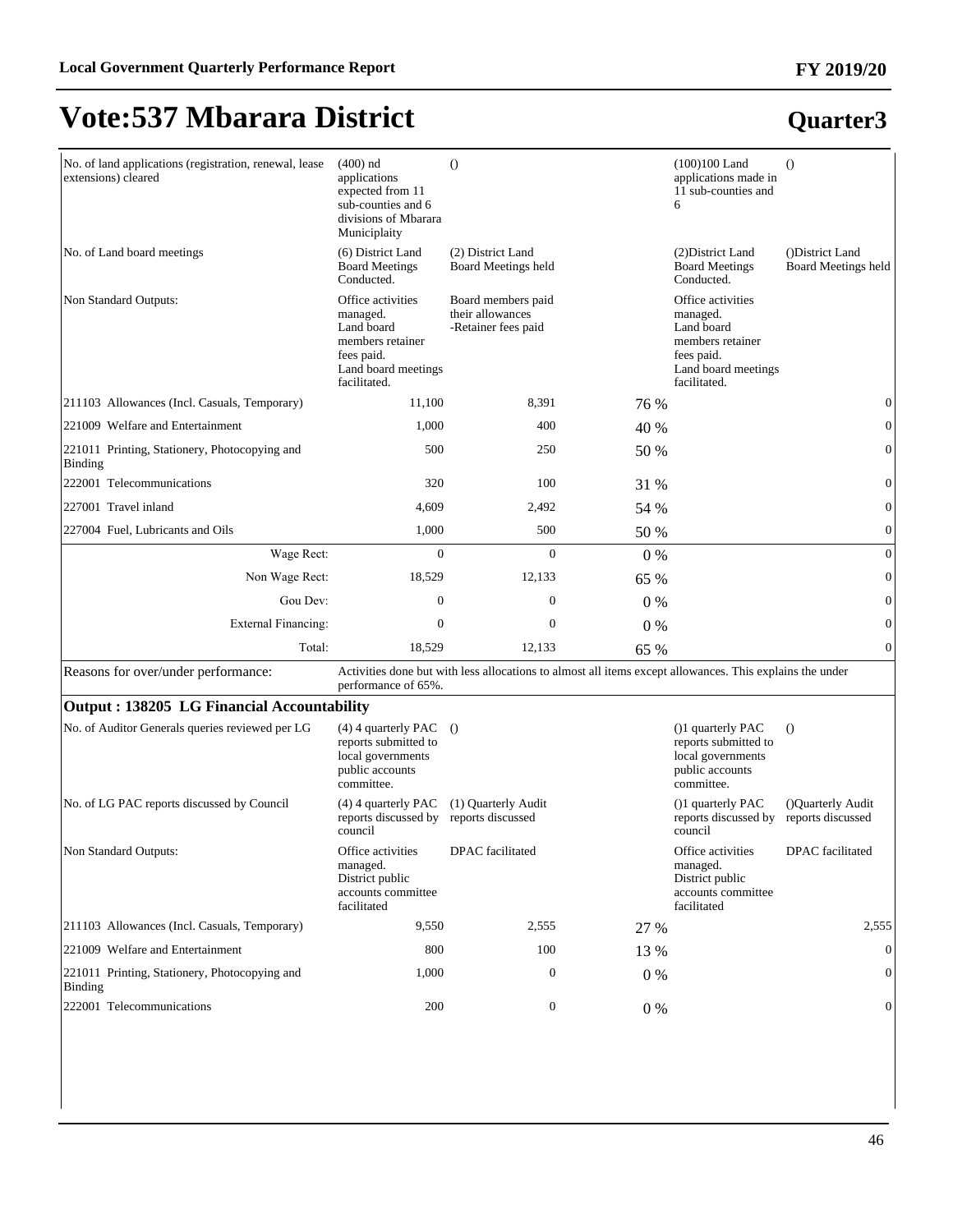#### **FY 2019/20**

## **Vote:537 Mbarara District**

| No. of land applications (registration, renewal, lease<br>extensions) cleared | $(400)$ nd<br>applications<br>expected from 11<br>sub-counties and 6<br>divisions of Mbarara<br>Municiplaity         | $\theta$                                                      |         | $(100)100$ Land<br>applications made in<br>11 sub-counties and<br>6                                                  | $\Omega$                                      |
|-------------------------------------------------------------------------------|----------------------------------------------------------------------------------------------------------------------|---------------------------------------------------------------|---------|----------------------------------------------------------------------------------------------------------------------|-----------------------------------------------|
| No. of Land board meetings                                                    | (6) District Land<br><b>Board Meetings</b><br>Conducted.                                                             | (2) District Land<br>Board Meetings held                      |         | (2) District Land<br><b>Board Meetings</b><br>Conducted.                                                             | ()District Land<br><b>Board Meetings held</b> |
| Non Standard Outputs:                                                         | Office activities<br>managed.<br>Land board<br>members retainer<br>fees paid.<br>Land board meetings<br>facilitated. | Board members paid<br>their allowances<br>-Retainer fees paid |         | Office activities<br>managed.<br>Land board<br>members retainer<br>fees paid.<br>Land board meetings<br>facilitated. |                                               |
| 211103 Allowances (Incl. Casuals, Temporary)                                  | 11,100                                                                                                               | 8,391                                                         | 76 %    |                                                                                                                      | $\boldsymbol{0}$                              |
| 221009 Welfare and Entertainment                                              | 1,000                                                                                                                | 400                                                           | 40 %    |                                                                                                                      | $\boldsymbol{0}$                              |
| 221011 Printing, Stationery, Photocopying and<br><b>Binding</b>               | 500                                                                                                                  | 250                                                           | 50 %    |                                                                                                                      | $\boldsymbol{0}$                              |
| 222001 Telecommunications                                                     | 320                                                                                                                  | 100                                                           | 31 %    |                                                                                                                      | $\boldsymbol{0}$                              |
| 227001 Travel inland                                                          | 4,609                                                                                                                | 2,492                                                         | 54 %    |                                                                                                                      | $\boldsymbol{0}$                              |
| 227004 Fuel, Lubricants and Oils                                              | 1,000                                                                                                                | 500                                                           | 50 %    |                                                                                                                      | $\boldsymbol{0}$                              |
| Wage Rect:                                                                    | $\mathbf{0}$                                                                                                         | $\mathbf{0}$                                                  | 0%      |                                                                                                                      | $\boldsymbol{0}$                              |
| Non Wage Rect:                                                                | 18,529                                                                                                               | 12.133                                                        | 65 %    |                                                                                                                      | $\boldsymbol{0}$                              |
| Gou Dev:                                                                      | $\overline{0}$                                                                                                       | $\overline{0}$                                                | $0\%$   |                                                                                                                      | $\boldsymbol{0}$                              |
| <b>External Financing:</b>                                                    | $\mathbf{0}$                                                                                                         | $\overline{0}$                                                | 0%      |                                                                                                                      | $\boldsymbol{0}$                              |
| Total:                                                                        | 18,529                                                                                                               | 12,133                                                        | 65 %    |                                                                                                                      | $\boldsymbol{0}$                              |
| Reasons for over/under performance:                                           | performance of 65%.                                                                                                  |                                                               |         | Activities done but with less allocations to almost all items except allowances. This explains the under             |                                               |
| Output: 138205 LG Financial Accountability                                    |                                                                                                                      |                                                               |         |                                                                                                                      |                                               |
| No. of Auditor Generals queries reviewed per LG                               | $(4)$ 4 quarterly PAC $()$<br>reports submitted to<br>local governments<br>public accounts<br>committee.             |                                                               |         | (1) quarterly PAC<br>reports submitted to<br>local governments<br>public accounts<br>committee.                      | $\Omega$                                      |
| No. of LG PAC reports discussed by Council                                    | $(4)$ 4 quarterly PAC<br>reports discussed by<br>council                                                             | (1) Quarterly Audit<br>reports discussed                      |         | (1) quarterly PAC<br>reports discussed by<br>council                                                                 | ()Ouarterly Audit<br>reports discussed        |
| Non Standard Outputs:                                                         | Office activities<br>managed.<br>District public<br>accounts committee<br>facilitated                                | DPAC facilitated                                              |         | Office activities<br>managed.<br>District public<br>accounts committee<br>facilitated                                | DPAC facilitated                              |
| 211103 Allowances (Incl. Casuals, Temporary)                                  | 9,550                                                                                                                | 2,555                                                         | 27 %    |                                                                                                                      | 2,555                                         |
| 221009 Welfare and Entertainment                                              | 800                                                                                                                  | 100                                                           | 13 %    |                                                                                                                      | $\overline{0}$                                |
| 221011 Printing, Stationery, Photocopying and<br><b>Binding</b>               | 1,000                                                                                                                | $\boldsymbol{0}$                                              | 0%      |                                                                                                                      | $\mathbf{0}$                                  |
| 222001 Telecommunications                                                     | 200                                                                                                                  | $\boldsymbol{0}$                                              | $0\ \%$ |                                                                                                                      | $\boldsymbol{0}$                              |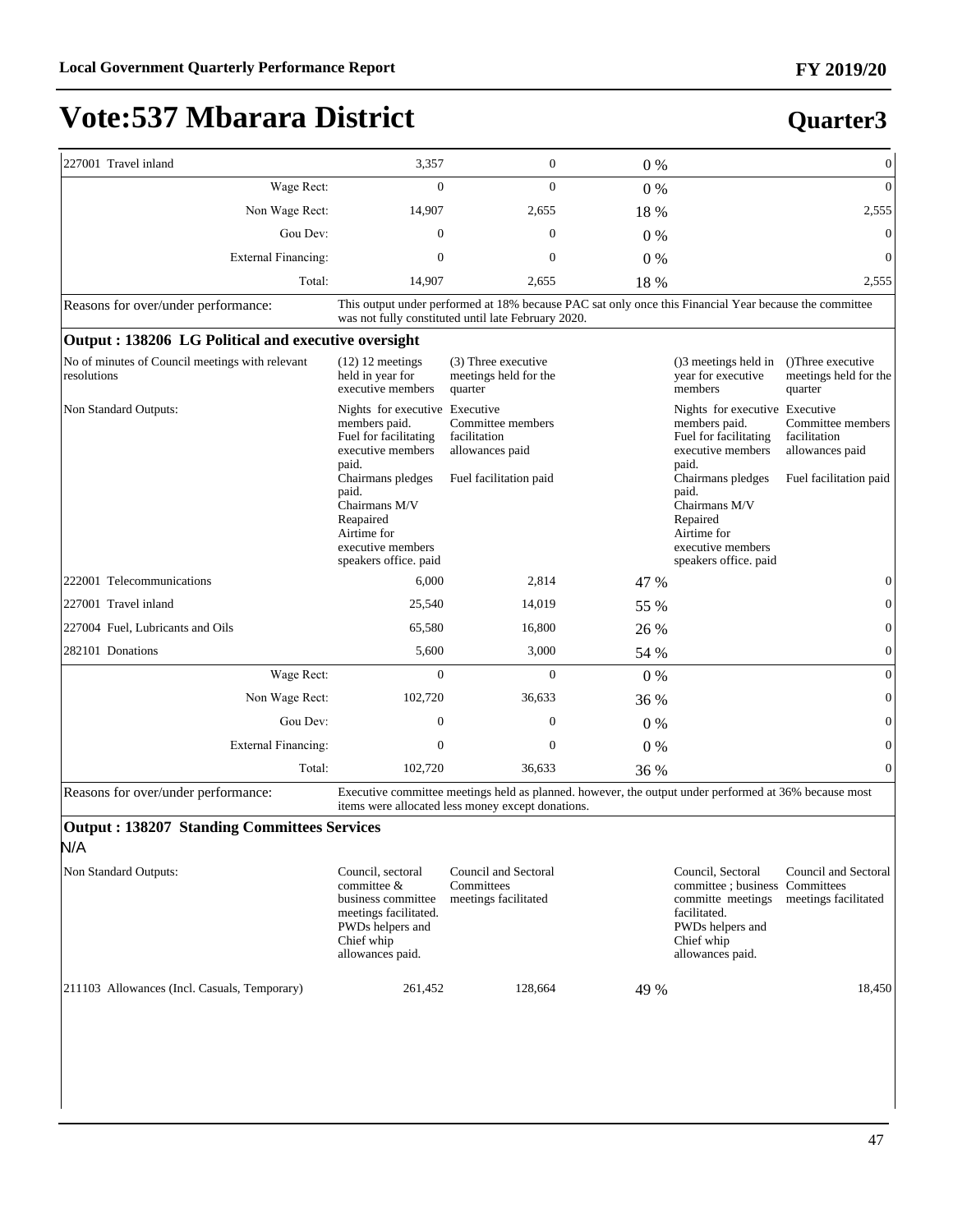**Quarter3**

### **Vote:537 Mbarara District**

#### 227001 Travel inland  $3,357$  0 0 0 % 0 0 0 0 % :DJH5HFW 0 0 0 % 0 Non Wage Rect: 14,907 2,655 18 % 2,555 Gou Dev:  $0 \t 0 \t 0 \t 0 \t 0$ ([WHUQDO)LQDQFLQJ 0 0 0 % 0 Total: 14,907 2,555 18 % 2,555 Reasons for over/under performance: This output under performed at 18% because PAC sat only once this Financial Year because the committee was not fully constituted until late February 2020. **Output : 138206 LG Political and executive oversight** No of minutes of Council meetings with relevant resolutions (12) 12 meetings held in year for executive members (3) Three executive meetings held for the quarter ()3 meetings held in year for executive members ()Three executive meetings held for the quarter Non Standard Outputs: members paid. Fuel for facilitating executive members paid. Chairmans pledges paid. Chairmans M/V Reapaired Airtime for executive members speakers office. paid Nights for executive Executive Committee members facilitation allowances paid Fuel facilitation paid Nights for executive members paid. Fuel for facilitating executive members paid. Chairmans pledges paid. Chairmans M/V Repaired Airtime for executive members speakers office. paid Executive Committee members facilitation allowances paid Fuel facilitation paid 222001 Telecommunications 6,000 2,814 47 % 0 227001 Travel inland 25,540 14,019 55 % 0 227004 Fuel, Lubricants and Oils 65,580 16,800 26 % 0 282101 Donations 5,600 3,000 54 % 0 :DJH5HFW 0 0 0 % 0 Non Wage Rect: 102,720 36,633 36 % 0 Gou Dev:  $0 \t 0 \t 0 \t 0 \t 0$ ([WHUQDO)LQDQFLQJ 0 0 0 % 0 Total: 102,720 36,633 36 % 0 Reasons for over/under performance: Executive committee meetings held as planned. however, the output under performed at 36% because most items were allocated less money except donations. **Output : 138207 Standing Committees Services**

N/A

| Non Standard Outputs:                         | Council, sectoral<br>committee $&$<br>business committee                    | Council and Sectoral<br>Committees<br>meetings facilitated | Council, Sectoral<br>committe meetings                             | Council and Sectoral<br>committee ; business Committees<br>meetings facilitated |
|-----------------------------------------------|-----------------------------------------------------------------------------|------------------------------------------------------------|--------------------------------------------------------------------|---------------------------------------------------------------------------------|
|                                               | meetings facilitated.<br>PWDs helpers and<br>Chief whip<br>allowances paid. |                                                            | facilitated.<br>PWDs helpers and<br>Chief whip<br>allowances paid. |                                                                                 |
| [211103 Allowances (Incl. Casuals, Temporary) | 261,452                                                                     | 128.664                                                    | 49 %                                                               | 18.450                                                                          |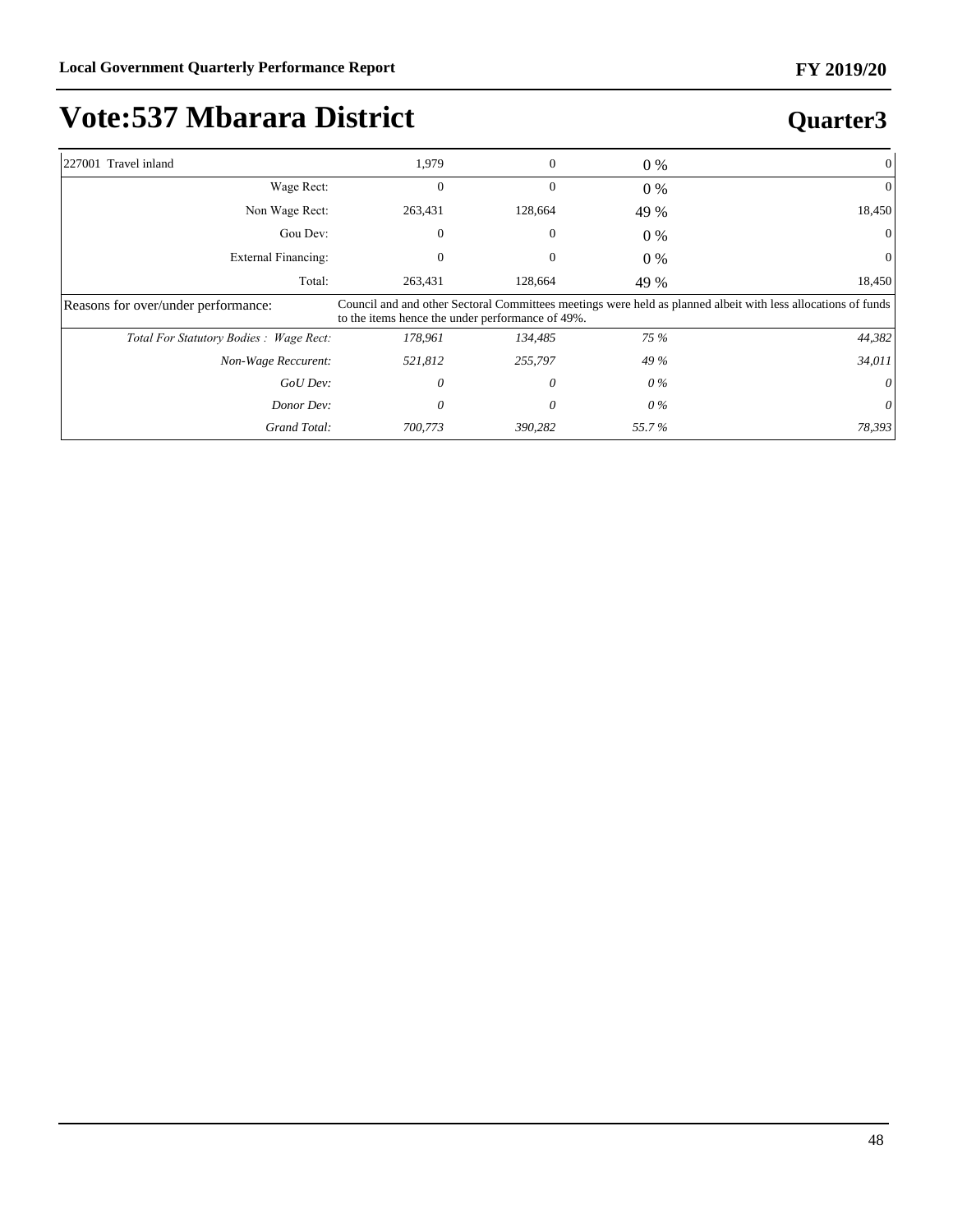**Quarter3**

## **Vote:537 Mbarara District**

#### 227001 Travel inland 1,979 0 0 0 % 0 0 0 0 0 0 0 0 0 m 1,979 0 0 0 0 0 m 1,979 0 0 0 0 m 1,979 0 0 0 0 0 0 m 1 :DJH5HFW 0 0 0 % 0 Non Wage Rect: 263,431 128,664 49 % 18,450 Gou Dev:  $0 \t 0 \t 0 \t 0 \t 0$ ([WHUQDO)LQDQFLQJ 0 0 0 % 0 Total: 263,431 128,664 49 % 18,450 Reasons for over/under performance: Council and and other Sectoral Committees meetings were held as planned albeit with less allocations of funds to the items hence the under performance of 49%. *7RWDO)RU6WDWXWRU\%RGLHV:DJH5HFW 178,961 134,485 75 % 44,382 Non-Wage Reccurent: 521,812 255,797 49 % 34,011 GoU Dev: 0 0 0 % 0 Donor Dev: 0 0 0 % 0 Grand Total: 700,773 390,282 55.7 % 78,393*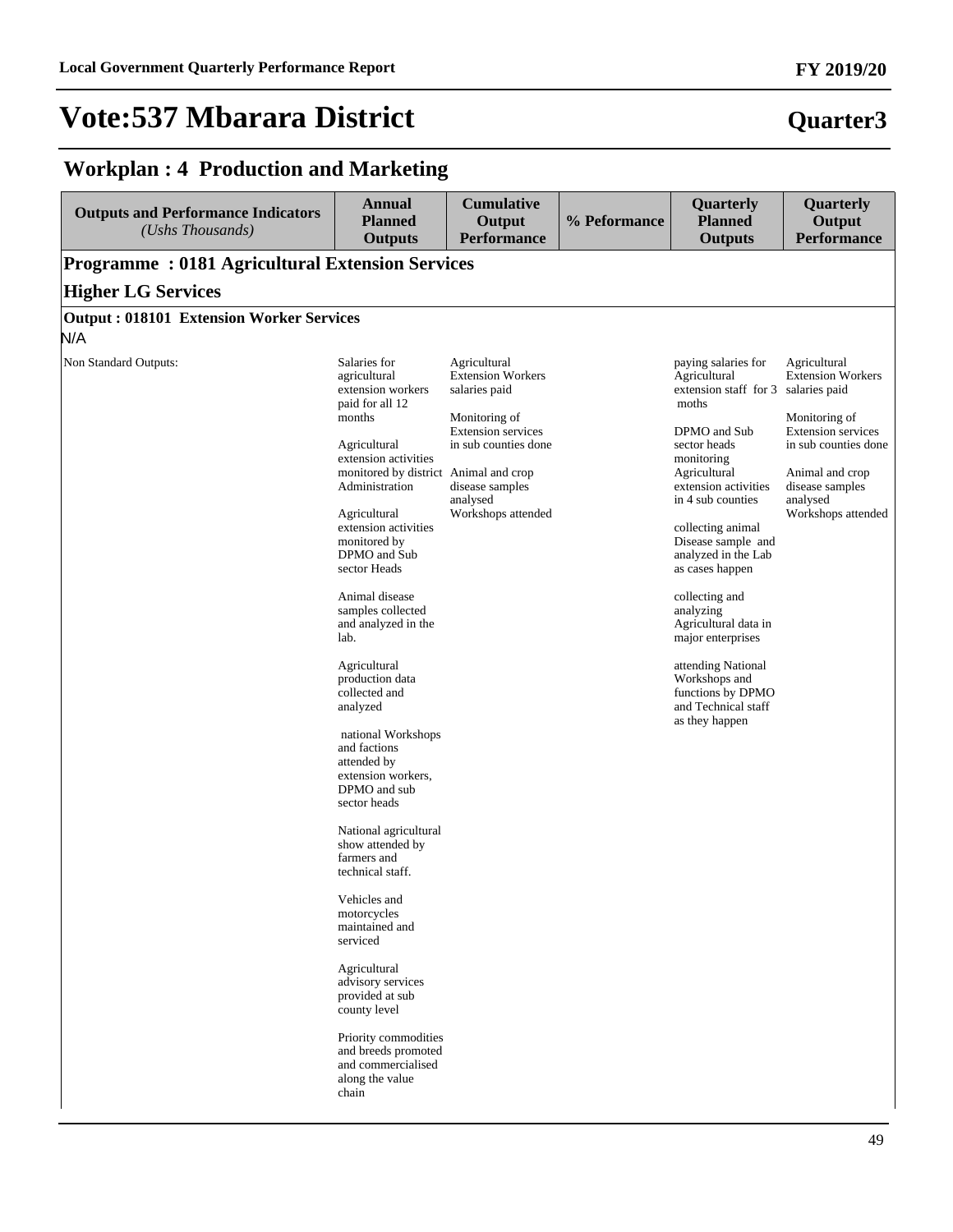#### **Workplan : 4 Production and Marketing**

| (Ushs Thousands)<br><b>Programme: 0181 Agricultural Extension Services</b> | <b>Outputs</b>                                                                                                                                                                                                                                                                                                                                                                                                                                                                                                                                                                                                                                                                                                                                                                                                        | Output                                                                                                                                                                               | % Peformance | <b>Planned</b>                                                                                                                                                                                                                                                                                                                                                                                                                                                       | Output                                                                                                                                                                                 |
|----------------------------------------------------------------------------|-----------------------------------------------------------------------------------------------------------------------------------------------------------------------------------------------------------------------------------------------------------------------------------------------------------------------------------------------------------------------------------------------------------------------------------------------------------------------------------------------------------------------------------------------------------------------------------------------------------------------------------------------------------------------------------------------------------------------------------------------------------------------------------------------------------------------|--------------------------------------------------------------------------------------------------------------------------------------------------------------------------------------|--------------|----------------------------------------------------------------------------------------------------------------------------------------------------------------------------------------------------------------------------------------------------------------------------------------------------------------------------------------------------------------------------------------------------------------------------------------------------------------------|----------------------------------------------------------------------------------------------------------------------------------------------------------------------------------------|
|                                                                            |                                                                                                                                                                                                                                                                                                                                                                                                                                                                                                                                                                                                                                                                                                                                                                                                                       | <b>Performance</b>                                                                                                                                                                   |              | <b>Outputs</b>                                                                                                                                                                                                                                                                                                                                                                                                                                                       | <b>Performance</b>                                                                                                                                                                     |
|                                                                            |                                                                                                                                                                                                                                                                                                                                                                                                                                                                                                                                                                                                                                                                                                                                                                                                                       |                                                                                                                                                                                      |              |                                                                                                                                                                                                                                                                                                                                                                                                                                                                      |                                                                                                                                                                                        |
| <b>Higher LG Services</b>                                                  |                                                                                                                                                                                                                                                                                                                                                                                                                                                                                                                                                                                                                                                                                                                                                                                                                       |                                                                                                                                                                                      |              |                                                                                                                                                                                                                                                                                                                                                                                                                                                                      |                                                                                                                                                                                        |
| <b>Output: 018101 Extension Worker Services</b>                            |                                                                                                                                                                                                                                                                                                                                                                                                                                                                                                                                                                                                                                                                                                                                                                                                                       |                                                                                                                                                                                      |              |                                                                                                                                                                                                                                                                                                                                                                                                                                                                      |                                                                                                                                                                                        |
| N/A                                                                        |                                                                                                                                                                                                                                                                                                                                                                                                                                                                                                                                                                                                                                                                                                                                                                                                                       |                                                                                                                                                                                      |              |                                                                                                                                                                                                                                                                                                                                                                                                                                                                      |                                                                                                                                                                                        |
| Non Standard Outputs:<br>months<br>lab.                                    | Salaries for<br>agricultural<br>extension workers<br>paid for all 12<br>Agricultural<br>extension activities<br>monitored by district Animal and crop<br>Administration<br>Agricultural<br>extension activities<br>monitored by<br>DPMO and Sub<br>sector Heads<br>Animal disease<br>samples collected<br>and analyzed in the<br>Agricultural<br>production data<br>collected and<br>analyzed<br>national Workshops<br>and factions<br>attended by<br>extension workers,<br>DPMO and sub<br>sector heads<br>National agricultural<br>show attended by<br>farmers and<br>technical staff.<br>Vehicles and<br>motorcycles<br>maintained and<br>serviced<br>Agricultural<br>advisory services<br>provided at sub<br>county level<br>Priority commodities<br>and breeds promoted<br>and commercialised<br>along the value | Agricultural<br><b>Extension Workers</b><br>salaries paid<br>Monitoring of<br><b>Extension services</b><br>in sub counties done<br>disease samples<br>analysed<br>Workshops attended |              | paying salaries for<br>Agricultural<br>extension staff for 3 salaries paid<br>moths<br>DPMO and Sub<br>sector heads<br>monitoring<br>Agricultural<br>extension activities<br>in 4 sub counties<br>collecting animal<br>Disease sample and<br>analyzed in the Lab<br>as cases happen<br>collecting and<br>analyzing<br>Agricultural data in<br>major enterprises<br>attending National<br>Workshops and<br>functions by DPMO<br>and Technical staff<br>as they happen | Agricultural<br><b>Extension Workers</b><br>Monitoring of<br><b>Extension services</b><br>in sub counties done<br>Animal and crop<br>disease samples<br>analysed<br>Workshops attended |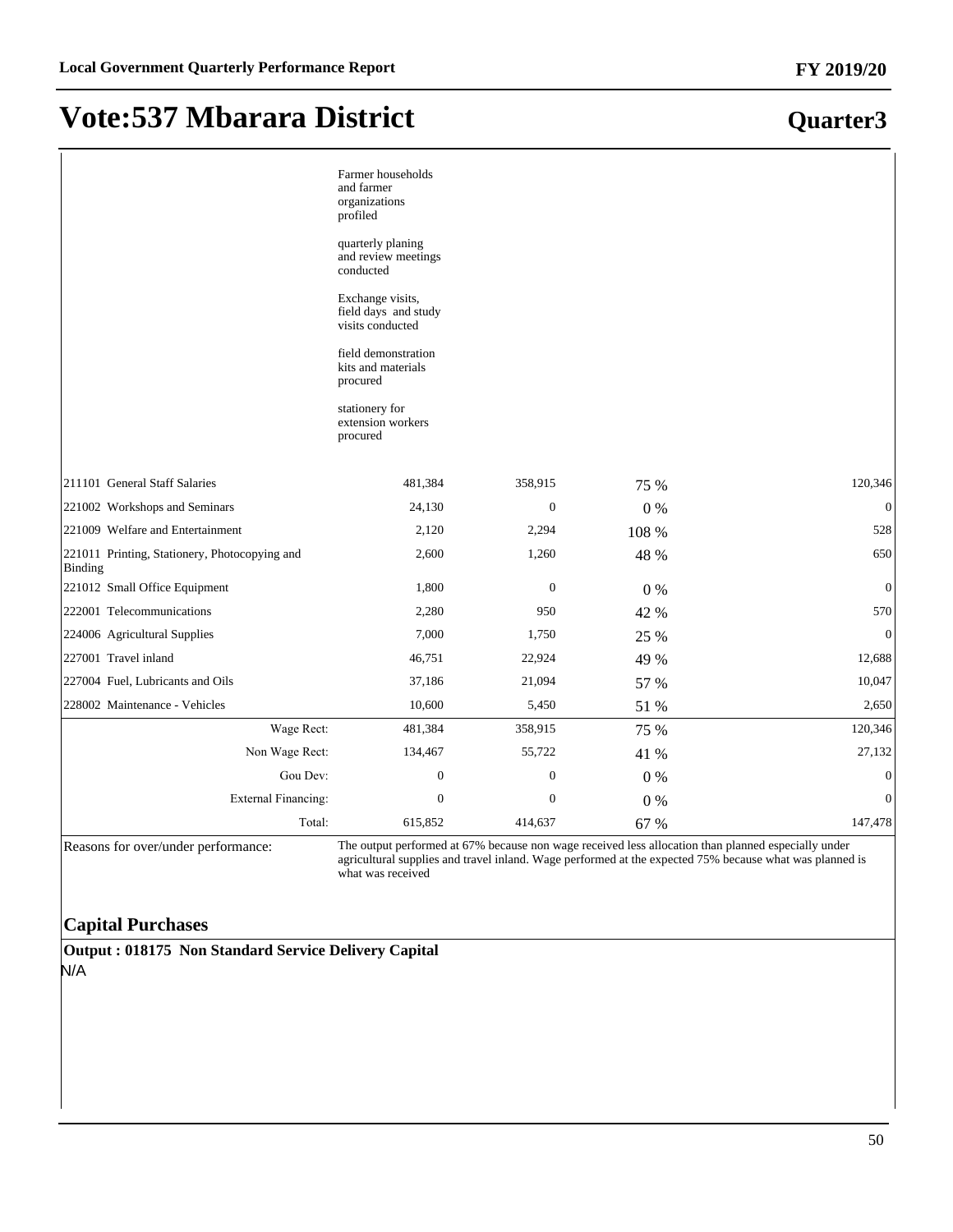**Quarter3**

## **Vote:537 Mbarara District**

|                                                          | Farmer households<br>and farmer<br>organizations<br>profiled<br>quarterly planing<br>and review meetings<br>conducted<br>Exchange visits,<br>field days and study<br>visits conducted<br>field demonstration<br>kits and materials<br>procured<br>stationery for<br>extension workers<br>procured |                  |       |                  |
|----------------------------------------------------------|---------------------------------------------------------------------------------------------------------------------------------------------------------------------------------------------------------------------------------------------------------------------------------------------------|------------------|-------|------------------|
| 211101 General Staff Salaries                            | 481,384                                                                                                                                                                                                                                                                                           | 358,915          | 75 %  | 120,346          |
| 221002 Workshops and Seminars                            | 24,130                                                                                                                                                                                                                                                                                            | $\boldsymbol{0}$ | 0%    | $\mathbf{0}$     |
| 221009 Welfare and Entertainment                         | 2,120                                                                                                                                                                                                                                                                                             | 2,294            | 108 % | 528              |
| 221011 Printing, Stationery, Photocopying and<br>Binding | 2,600                                                                                                                                                                                                                                                                                             | 1,260            | 48 %  | 650              |
| 221012 Small Office Equipment                            | 1,800                                                                                                                                                                                                                                                                                             | $\mathbf{0}$     | 0%    | $\mathbf{0}$     |
| 222001 Telecommunications                                | 2,280                                                                                                                                                                                                                                                                                             | 950              | 42 %  | 570              |
| 224006 Agricultural Supplies                             | 7,000                                                                                                                                                                                                                                                                                             | 1,750            | 25 %  | $\mathbf{0}$     |
| 227001 Travel inland                                     | 46,751                                                                                                                                                                                                                                                                                            | 22,924           | 49 %  | 12,688           |
| 227004 Fuel, Lubricants and Oils                         | 37,186                                                                                                                                                                                                                                                                                            | 21,094           | 57 %  | 10,047           |
| 228002 Maintenance - Vehicles                            | 10,600                                                                                                                                                                                                                                                                                            | 5,450            | 51 %  | 2,650            |
| Wage Rect:                                               | 481,384                                                                                                                                                                                                                                                                                           | 358,915          | 75 %  | 120,346          |
| Non Wage Rect:                                           | 134,467                                                                                                                                                                                                                                                                                           | 55,722           | 41 %  | 27,132           |
| Gou Dev:                                                 | $\boldsymbol{0}$                                                                                                                                                                                                                                                                                  | $\boldsymbol{0}$ | $0\%$ | $\boldsymbol{0}$ |
| <b>External Financing:</b>                               | $\boldsymbol{0}$                                                                                                                                                                                                                                                                                  | $\boldsymbol{0}$ | 0%    | $\mathbf{0}$     |
| Total:                                                   | 615,852                                                                                                                                                                                                                                                                                           | 414,637          | 67 %  | 147,478          |

Reasons for over/under performance:<br>agricultural supplies and travel inland. Wage performed at the expected 75% because what was planned is<br>agricultural supplies and travel inland. Wage performed at the expected 75% becaus what was received

#### **Capital Purchases**

**Output : 018175 Non Standard Service Delivery Capital** N/A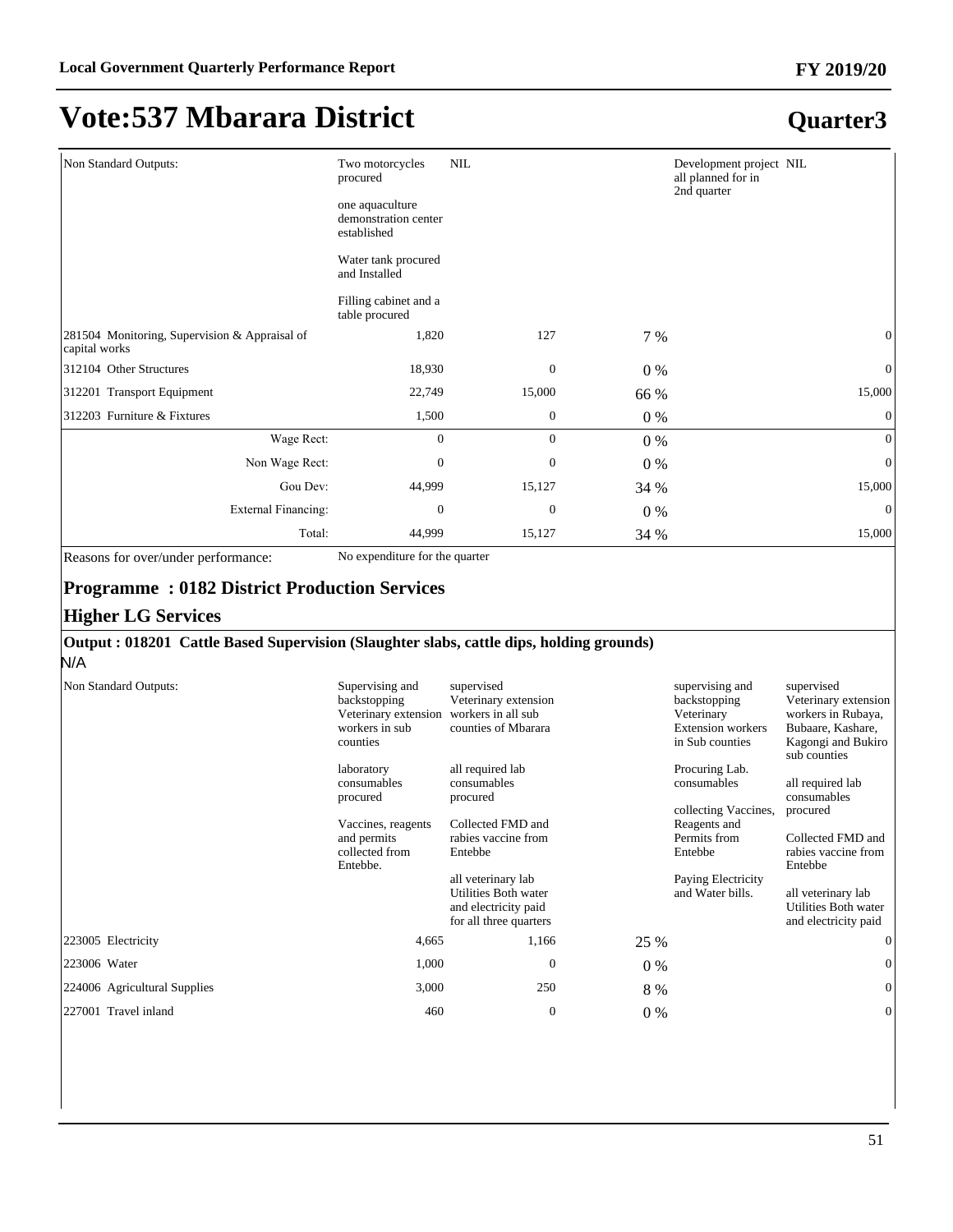### **Quarter3**

| Non Standard Outputs:                                          | Two motorcycles<br>procured                            | $\text{NIL}$     |       | Development project NIL<br>all planned for in<br>2nd quarter |
|----------------------------------------------------------------|--------------------------------------------------------|------------------|-------|--------------------------------------------------------------|
|                                                                | one aquaculture<br>demonstration center<br>established |                  |       |                                                              |
|                                                                | Water tank procured<br>and Installed                   |                  |       |                                                              |
|                                                                | Filling cabinet and a<br>table procured                |                  |       |                                                              |
| 281504 Monitoring, Supervision & Appraisal of<br>capital works | 1,820                                                  | 127              | 7 %   | $\mathbf{0}$                                                 |
| 312104 Other Structures                                        | 18,930                                                 | $\boldsymbol{0}$ | $0\%$ | $\mathbf{0}$                                                 |
| 312201 Transport Equipment                                     | 22,749                                                 | 15,000           | 66 %  | 15,000                                                       |
| 312203 Furniture & Fixtures                                    | 1,500                                                  | $\mathbf{0}$     | $0\%$ | $\mathbf{0}$                                                 |
| Wage Rect:                                                     | 0                                                      | $\mathbf{0}$     | $0\%$ | $\theta$                                                     |
| Non Wage Rect:                                                 | $\overline{0}$                                         | $\mathbf{0}$     | $0\%$ | $\overline{0}$                                               |
| Gou Dev:                                                       | 44,999                                                 | 15,127           | 34 %  | 15,000                                                       |
| <b>External Financing:</b>                                     | $\boldsymbol{0}$                                       | $\boldsymbol{0}$ | $0\%$ | $\mathbf{0}$                                                 |
| Total:                                                         | 44,999                                                 | 15,127           | 34 %  | 15,000                                                       |

Reasons for over/under performance: No expenditure for the quarter

#### **Programme : 0182 District Production Services**

#### **Higher LG Services**

#### **Output : 018201 Cattle Based Supervision (Slaughter slabs, cattle dips, holding grounds)**

N/A

| Non Standard Outputs:        | Supervising and<br>backstopping<br>Veterinary extension<br>workers in sub<br>counties | supervised<br>Veterinary extension<br>workers in all sub<br>counties of Mbarara              |       | supervising and<br>backstopping<br>Veterinary<br><b>Extension workers</b><br>in Sub counties | supervised<br>Veterinary extension<br>workers in Rubaya,<br>Bubaare, Kashare,<br>Kagongi and Bukiro<br>sub counties |
|------------------------------|---------------------------------------------------------------------------------------|----------------------------------------------------------------------------------------------|-------|----------------------------------------------------------------------------------------------|---------------------------------------------------------------------------------------------------------------------|
|                              | laboratory<br>consumables<br>procured                                                 | all required lab<br>consumables<br>procured                                                  |       | Procuring Lab.<br>consumables<br>collecting Vaccines.                                        | all required lab<br>consumables<br>procured                                                                         |
|                              | Vaccines, reagents                                                                    | Collected FMD and                                                                            |       | Reagents and                                                                                 |                                                                                                                     |
|                              | and permits<br>collected from<br>Entebbe.                                             | rabies vaccine from<br>Entebbe                                                               |       | Permits from<br>Entebbe                                                                      | Collected FMD and<br>rabies vaccine from<br>Entebbe                                                                 |
|                              |                                                                                       | all veterinary lab<br>Utilities Both water<br>and electricity paid<br>for all three quarters |       | Paying Electricity<br>and Water bills.                                                       | all veterinary lab<br>Utilities Both water<br>and electricity paid                                                  |
| 223005 Electricity           | 4,665                                                                                 | 1,166                                                                                        | 25 %  |                                                                                              | $\mathbf{0}$                                                                                                        |
| 223006 Water                 | 1,000                                                                                 | $\Omega$                                                                                     | $0\%$ |                                                                                              | $\mathbf{0}$                                                                                                        |
| 224006 Agricultural Supplies | 3,000                                                                                 | 250                                                                                          | 8 %   |                                                                                              | $\mathbf{0}$                                                                                                        |
| 227001 Travel inland         | 460                                                                                   | $\mathbf{0}$                                                                                 | $0\%$ |                                                                                              | $\mathbf{0}$                                                                                                        |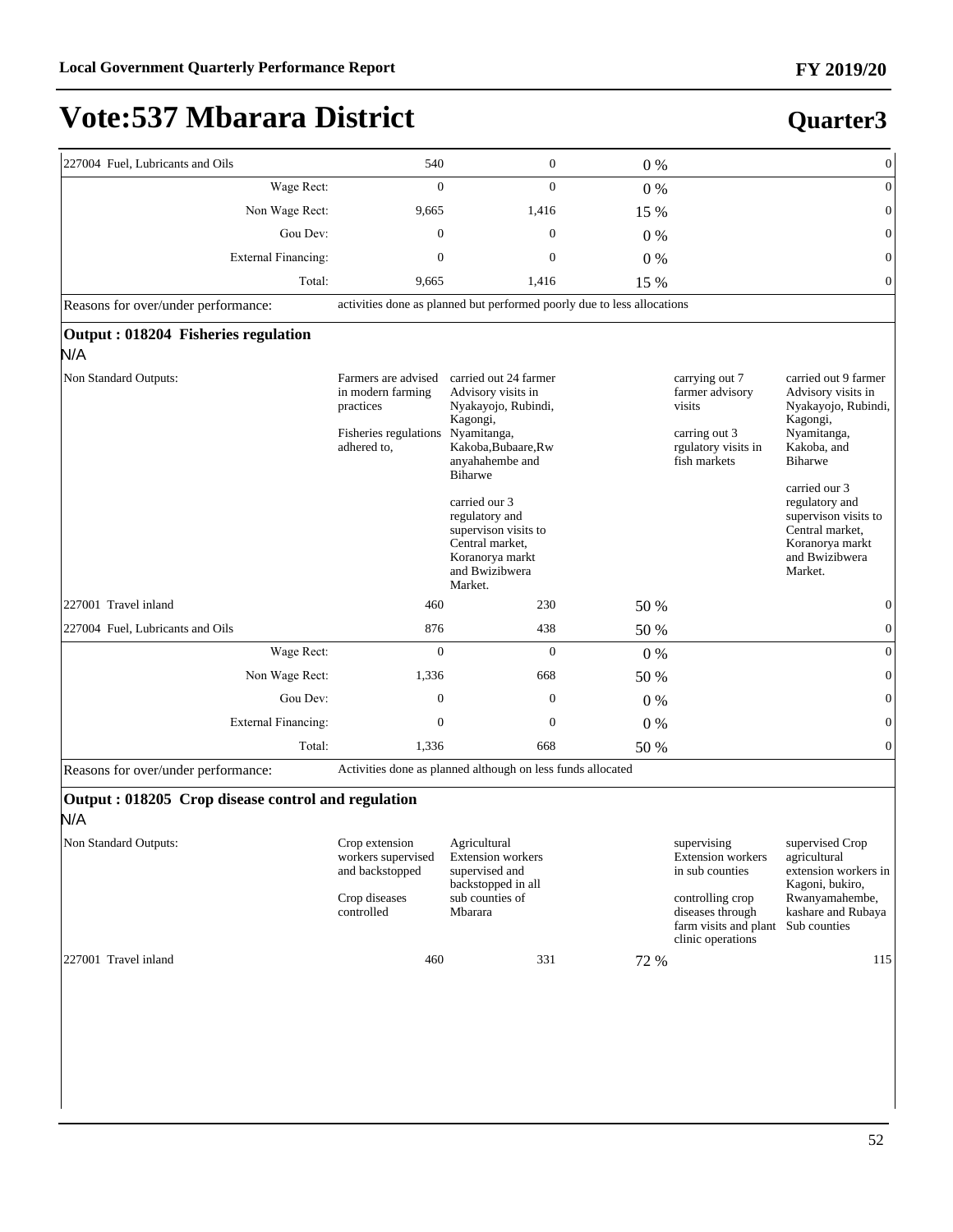| 227004 Fuel, Lubricants and Oils                          | 540                                                                                           | $\boldsymbol{0}$                                                                                                                                                                                                                                                                 | $0\%$ |                                                                                                                                           | $\boldsymbol{0}$                                                                                                                                                                                                                                            |
|-----------------------------------------------------------|-----------------------------------------------------------------------------------------------|----------------------------------------------------------------------------------------------------------------------------------------------------------------------------------------------------------------------------------------------------------------------------------|-------|-------------------------------------------------------------------------------------------------------------------------------------------|-------------------------------------------------------------------------------------------------------------------------------------------------------------------------------------------------------------------------------------------------------------|
| Wage Rect:                                                | $\overline{0}$                                                                                | $\overline{0}$                                                                                                                                                                                                                                                                   | $0\%$ |                                                                                                                                           | $\mathbf{0}$                                                                                                                                                                                                                                                |
| Non Wage Rect:                                            | 9,665                                                                                         | 1,416                                                                                                                                                                                                                                                                            | 15 %  |                                                                                                                                           | $\boldsymbol{0}$                                                                                                                                                                                                                                            |
| Gou Dev:                                                  | $\mathbf{0}$                                                                                  | $\overline{0}$                                                                                                                                                                                                                                                                   | $0\%$ |                                                                                                                                           | $\mathbf{0}$                                                                                                                                                                                                                                                |
| <b>External Financing:</b>                                | $\boldsymbol{0}$                                                                              | $\mathbf{0}$                                                                                                                                                                                                                                                                     | $0\%$ |                                                                                                                                           | $\mathbf{0}$                                                                                                                                                                                                                                                |
| Total:                                                    | 9,665                                                                                         | 1,416                                                                                                                                                                                                                                                                            | 15 %  |                                                                                                                                           | $\mathbf{0}$                                                                                                                                                                                                                                                |
| Reasons for over/under performance:                       |                                                                                               | activities done as planned but performed poorly due to less allocations                                                                                                                                                                                                          |       |                                                                                                                                           |                                                                                                                                                                                                                                                             |
| Output: 018204 Fisheries regulation<br>N/A                |                                                                                               |                                                                                                                                                                                                                                                                                  |       |                                                                                                                                           |                                                                                                                                                                                                                                                             |
| Non Standard Outputs:                                     | Farmers are advised<br>in modern farming<br>practices<br>Fisheries regulations<br>adhered to, | carried out 24 farmer<br>Advisory visits in<br>Nyakayojo, Rubindi,<br>Kagongi,<br>Nyamitanga,<br>Kakoba, Bubaare, Rw<br>anyahahembe and<br>Biharwe<br>carried our 3<br>regulatory and<br>supervison visits to<br>Central market,<br>Koranorya markt<br>and Bwizibwera<br>Market. |       | carrying out 7<br>farmer advisory<br>visits<br>carring out 3<br>rgulatory visits in<br>fish markets                                       | carried out 9 farmer<br>Advisory visits in<br>Nyakayojo, Rubindi,<br>Kagongi,<br>Nyamitanga,<br>Kakoba, and<br><b>Biharwe</b><br>carried our 3<br>regulatory and<br>supervison visits to<br>Central market,<br>Koranorya markt<br>and Bwizibwera<br>Market. |
| 227001 Travel inland                                      | 460                                                                                           | 230                                                                                                                                                                                                                                                                              | 50 %  |                                                                                                                                           | $\mathbf{0}$                                                                                                                                                                                                                                                |
| 227004 Fuel, Lubricants and Oils                          | 876                                                                                           | 438                                                                                                                                                                                                                                                                              | 50 %  |                                                                                                                                           | $\boldsymbol{0}$                                                                                                                                                                                                                                            |
| Wage Rect:                                                | $\overline{0}$                                                                                | $\overline{0}$                                                                                                                                                                                                                                                                   | 0%    |                                                                                                                                           | $\mathbf{0}$                                                                                                                                                                                                                                                |
| Non Wage Rect:                                            | 1,336                                                                                         | 668                                                                                                                                                                                                                                                                              | 50 %  |                                                                                                                                           | $\boldsymbol{0}$                                                                                                                                                                                                                                            |
| Gou Dev:                                                  | $\overline{0}$                                                                                | $\mathbf{0}$                                                                                                                                                                                                                                                                     | 0%    |                                                                                                                                           | $\mathbf{0}$                                                                                                                                                                                                                                                |
| <b>External Financing:</b>                                | $\boldsymbol{0}$                                                                              | $\mathbf{0}$                                                                                                                                                                                                                                                                     | 0%    |                                                                                                                                           | $\boldsymbol{0}$                                                                                                                                                                                                                                            |
| Total:                                                    | 1,336                                                                                         | 668                                                                                                                                                                                                                                                                              | 50 %  |                                                                                                                                           | $\mathbf{0}$                                                                                                                                                                                                                                                |
| Reasons for over/under performance:                       |                                                                                               | Activities done as planned although on less funds allocated                                                                                                                                                                                                                      |       |                                                                                                                                           |                                                                                                                                                                                                                                                             |
| Output: 018205 Crop disease control and regulation<br>N/A |                                                                                               |                                                                                                                                                                                                                                                                                  |       |                                                                                                                                           |                                                                                                                                                                                                                                                             |
| Non Standard Outputs:                                     | Crop extension<br>workers supervised<br>and backstopped<br>Crop diseases<br>controlled        | Agricultural<br><b>Extension</b> workers<br>supervised and<br>backstopped in all<br>sub counties of<br>Mbarara                                                                                                                                                                   |       | supervising<br>Extension workers<br>in sub counties<br>controlling crop<br>diseases through<br>farm visits and plant<br>clinic operations | supervised Crop<br>agricultural<br>extension workers in<br>Kagoni, bukiro,<br>Rwanyamahembe,<br>kashare and Rubaya<br>Sub counties                                                                                                                          |
| 227001 Travel inland                                      | 460                                                                                           | 331                                                                                                                                                                                                                                                                              | 72 %  |                                                                                                                                           | 115                                                                                                                                                                                                                                                         |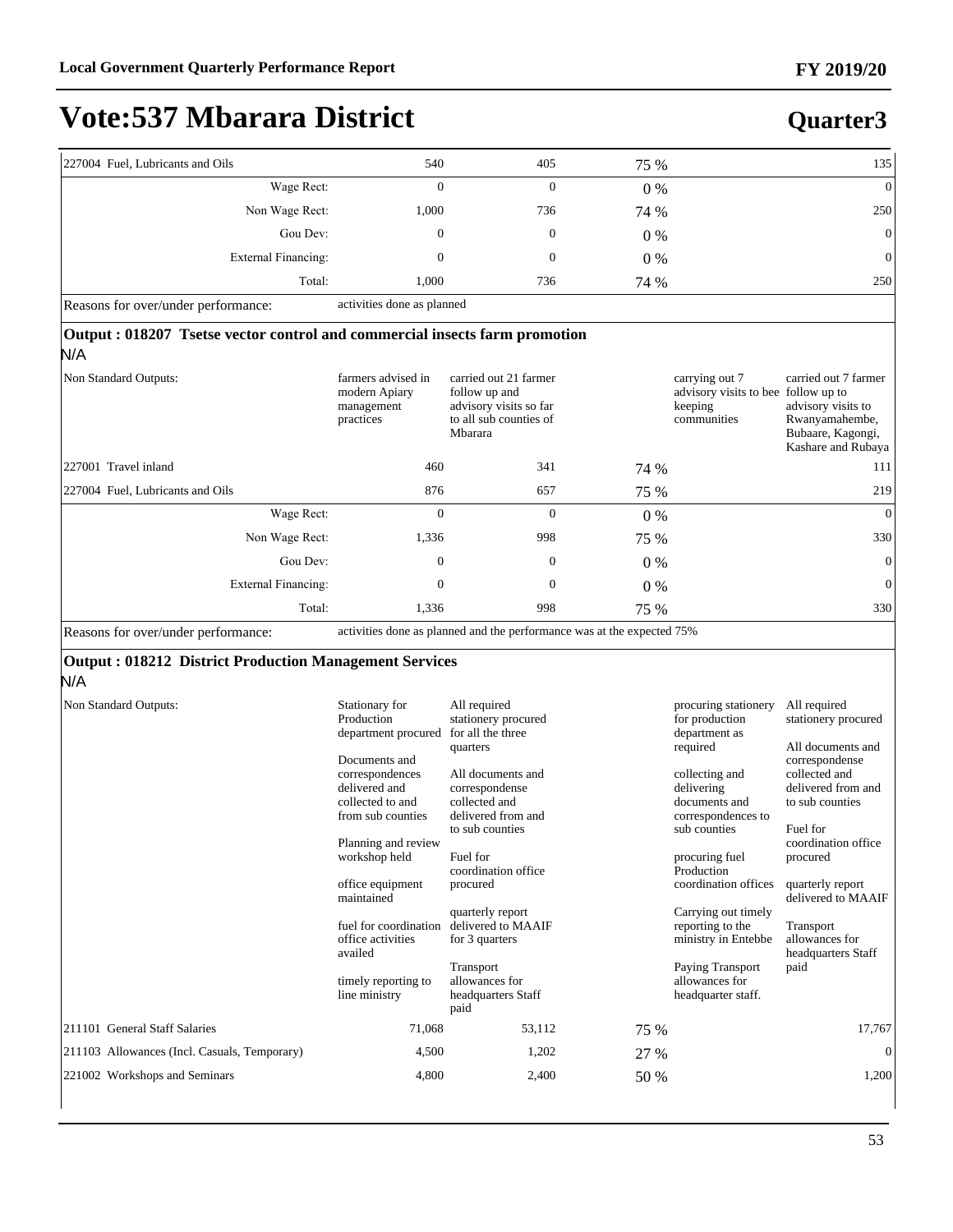#### **Quarter3**

| 227004 Fuel, Lubricants and Oils                                 | 540                               | 405 | 75 %  | 135            |
|------------------------------------------------------------------|-----------------------------------|-----|-------|----------------|
| Wage Rect:                                                       |                                   | ν   | $0\%$ | $\overline{0}$ |
| Non Wage Rect:                                                   | 1,000                             | 736 | 74 %  | 250            |
| Gou Dev:                                                         | 0                                 | 0   | $0\%$ | $\mathbf{0}$   |
| External Financing:                                              |                                   |     | $0\%$ | $\mathbf{0}$   |
| Total:                                                           | 1.000                             | 736 | 74 %  | 250            |
| $\mathbf{D}$ $\mathbf{C}$ $\mathbf{A}$ $\mathbf{I}$ $\mathbf{C}$ | a catalated at case of a stronged |     |       |                |

Reasons for over/under performance: activities done as planned

#### **Output : 018207 Tsetse vector control and commercial insects farm promotion**

| Non Standard Outputs:            | farmers advised in<br>modern Apiary<br>management<br>practices | carried out 21 farmer<br>follow up and<br>advisory visits so far<br>to all sub counties of<br>Mbarara |       | carrying out 7<br>advisory visits to bee follow up to<br>keeping<br>communities | carried out 7 farmer<br>advisory visits to<br>Rwanyamahembe,<br>Bubaare, Kagongi,<br>Kashare and Rubaya |
|----------------------------------|----------------------------------------------------------------|-------------------------------------------------------------------------------------------------------|-------|---------------------------------------------------------------------------------|---------------------------------------------------------------------------------------------------------|
| 227001 Travel inland             | 460                                                            | 341                                                                                                   | 74 %  |                                                                                 | 111                                                                                                     |
| 227004 Fuel, Lubricants and Oils | 876                                                            | 657                                                                                                   | 75 %  |                                                                                 | 219                                                                                                     |
| Wage Rect:                       | $\Omega$                                                       | $\mathbf{0}$                                                                                          | $0\%$ |                                                                                 | $\mathbf{0}$                                                                                            |
| Non Wage Rect:                   | 1,336                                                          | 998                                                                                                   | 75 %  |                                                                                 | 330                                                                                                     |
| Gou Dev:                         | $\mathbf{0}$                                                   | $\mathbf{0}$                                                                                          | $0\%$ |                                                                                 | $\theta$                                                                                                |
| External Financing:              | $\mathbf{0}$                                                   | $\mathbf{0}$                                                                                          | $0\%$ |                                                                                 | $\mathbf{0}$                                                                                            |
| Total:                           | 1,336                                                          | 998                                                                                                   | 75 %  |                                                                                 | 330                                                                                                     |
|                                  |                                                                |                                                                                                       |       |                                                                                 |                                                                                                         |

Reasons for over/under performance: activities done as planned and the performance was at the expected 75%

#### **Output : 018212 District Production Management Services**

| <b>Non Standard Outputs:</b>                 | Stationary for<br>Production<br>department procured<br>Documents and<br>correspondences<br>delivered and<br>collected to and<br>from sub counties<br>Planning and review<br>workshop held | All required<br>stationery procured<br>for all the three<br>quarters<br>All documents and<br>correspondense<br>collected and<br>delivered from and<br>to sub counties<br>Fuel for<br>coordination office |      | procuring stationery<br>for production<br>department as<br>required<br>collecting and<br>delivering<br>documents and<br>correspondences to<br>sub counties<br>procuring fuel<br>Production | All required<br>stationery procured<br>All documents and<br>correspondense<br>collected and<br>delivered from and<br>to sub counties<br>Fuel for<br>coordination office<br>procured |
|----------------------------------------------|-------------------------------------------------------------------------------------------------------------------------------------------------------------------------------------------|----------------------------------------------------------------------------------------------------------------------------------------------------------------------------------------------------------|------|--------------------------------------------------------------------------------------------------------------------------------------------------------------------------------------------|-------------------------------------------------------------------------------------------------------------------------------------------------------------------------------------|
|                                              | office equipment<br>maintained                                                                                                                                                            | procured                                                                                                                                                                                                 |      | coordination offices                                                                                                                                                                       | quarterly report<br>delivered to MAAIF                                                                                                                                              |
|                                              | fuel for coordination<br>office activities<br>availed<br>timely reporting to<br>line ministry                                                                                             | quarterly report<br>delivered to MAAIF<br>for 3 quarters<br>Transport<br>allowances for<br>headquarters Staff                                                                                            |      | Carrying out timely<br>reporting to the<br>ministry in Entebbe<br>Paying Transport<br>allowances for<br>headquarter staff.                                                                 | Transport<br>allowances for<br>headquarters Staff<br>paid                                                                                                                           |
| 211101 General Staff Salaries                | 71,068                                                                                                                                                                                    | paid<br>53,112                                                                                                                                                                                           | 75 % |                                                                                                                                                                                            | 17,767                                                                                                                                                                              |
|                                              |                                                                                                                                                                                           |                                                                                                                                                                                                          |      |                                                                                                                                                                                            |                                                                                                                                                                                     |
| 211103 Allowances (Incl. Casuals, Temporary) | 4,500                                                                                                                                                                                     | 1,202                                                                                                                                                                                                    | 27 % |                                                                                                                                                                                            | $\overline{0}$                                                                                                                                                                      |
| 221002 Workshops and Seminars                | 4,800                                                                                                                                                                                     | 2,400                                                                                                                                                                                                    | 50 % |                                                                                                                                                                                            | 1,200                                                                                                                                                                               |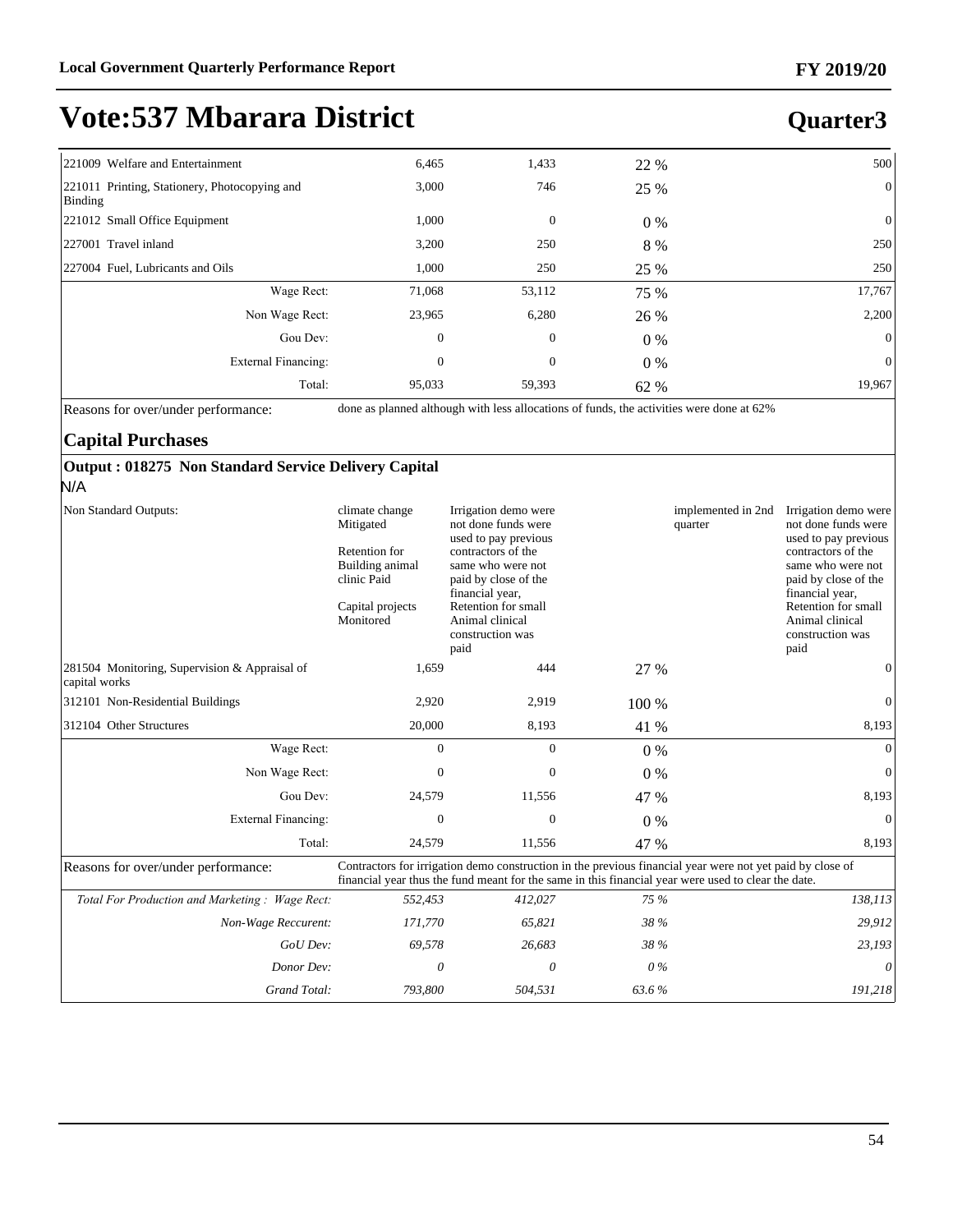#### **Quarter3**

| 221009 Welfare and Entertainment                         | 6,465        | 1,433        | 22 %  | 500            |
|----------------------------------------------------------|--------------|--------------|-------|----------------|
| 221011 Printing, Stationery, Photocopying and<br>Binding | 3,000        | 746          | 25 %  | $\overline{0}$ |
| 221012 Small Office Equipment                            | 1,000        | $\mathbf{0}$ | $0\%$ | $\overline{0}$ |
| 227001 Travel inland                                     | 3,200        | 250          | 8 %   | 250            |
| 227004 Fuel, Lubricants and Oils                         | 1,000        | 250          | 25 %  | 250            |
| Wage Rect:                                               | 71,068       | 53,112       | 75 %  | 17,767         |
| Non Wage Rect:                                           | 23,965       | 6,280        | 26 %  | 2,200          |
| Gou Dev:                                                 | $\mathbf{0}$ | $\mathbf{0}$ | $0\%$ | $\overline{0}$ |
| External Financing:                                      | $\mathbf{0}$ | $\mathbf{0}$ | $0\%$ | $\overline{0}$ |
| Total:                                                   | 95,033       | 59,393       | 62 %  | 19,967         |

Reasons for over/under performance: done as planned although with less allocations of funds, the activities were done at 62%

#### **Capital Purchases**

#### **Output : 018275 Non Standard Service Delivery Capital**

N/A

| Non Standard Outputs:                                          | climate change<br>Mitigated<br>Retention for<br>Building animal<br>clinic Paid<br>Capital projects<br>Monitored | Irrigation demo were<br>not done funds were<br>used to pay previous<br>contractors of the<br>same who were not<br>paid by close of the<br>financial year,<br>Retention for small<br>Animal clinical<br>construction was<br>paid |       | implemented in 2nd<br>quarter | Irrigation demo were<br>not done funds were<br>used to pay previous<br>contractors of the<br>same who were not<br>paid by close of the<br>financial year,<br>Retention for small<br>Animal clinical<br>construction was<br>paid |
|----------------------------------------------------------------|-----------------------------------------------------------------------------------------------------------------|---------------------------------------------------------------------------------------------------------------------------------------------------------------------------------------------------------------------------------|-------|-------------------------------|---------------------------------------------------------------------------------------------------------------------------------------------------------------------------------------------------------------------------------|
| 281504 Monitoring, Supervision & Appraisal of<br>capital works | 1,659                                                                                                           | 444                                                                                                                                                                                                                             | 27 %  |                               | 0                                                                                                                                                                                                                               |
| 312101 Non-Residential Buildings                               | 2,920                                                                                                           | 2,919                                                                                                                                                                                                                           | 100 % |                               | 0                                                                                                                                                                                                                               |
| 312104 Other Structures                                        | 20,000                                                                                                          | 8,193                                                                                                                                                                                                                           | 41 %  |                               | 8,193                                                                                                                                                                                                                           |
| Wage Rect:                                                     | $\Omega$                                                                                                        | $\Omega$                                                                                                                                                                                                                        | $0\%$ |                               | $\Omega$                                                                                                                                                                                                                        |
| Non Wage Rect:                                                 | $\Omega$                                                                                                        | $\Omega$                                                                                                                                                                                                                        | $0\%$ |                               | $\mathbf{0}$                                                                                                                                                                                                                    |
| Gou Dev:                                                       | 24,579                                                                                                          | 11,556                                                                                                                                                                                                                          | 47 %  |                               | 8,193                                                                                                                                                                                                                           |
| <b>External Financing:</b>                                     | $\mathbf{0}$                                                                                                    | $\mathbf{0}$                                                                                                                                                                                                                    | $0\%$ |                               | $\mathbf{0}$                                                                                                                                                                                                                    |
| Total:                                                         | 24,579                                                                                                          | 11,556                                                                                                                                                                                                                          | 47 %  |                               | 8,193                                                                                                                                                                                                                           |
| Reasons for over/under performance:                            |                                                                                                                 | Contractors for irrigation demo construction in the previous financial year were not yet paid by close of<br>financial year thus the fund meant for the same in this financial year were used to clear the date.                |       |                               |                                                                                                                                                                                                                                 |
| Total For Production and Marketing: Wage Rect:                 | 552,453                                                                                                         | 412,027                                                                                                                                                                                                                         | 75 %  |                               | 138,113                                                                                                                                                                                                                         |
| Non-Wage Reccurent:                                            | 171,770                                                                                                         | 65,821                                                                                                                                                                                                                          | 38 %  |                               | 29,912                                                                                                                                                                                                                          |
| GoU Dev:                                                       | 69,578                                                                                                          | 26,683                                                                                                                                                                                                                          | 38 %  |                               | 23,193                                                                                                                                                                                                                          |
| Donor Dev:                                                     | 0                                                                                                               | 0                                                                                                                                                                                                                               | $0\%$ |                               | 0                                                                                                                                                                                                                               |
| Grand Total:                                                   | 793,800                                                                                                         | 504,531                                                                                                                                                                                                                         | 63.6% |                               | 191,218                                                                                                                                                                                                                         |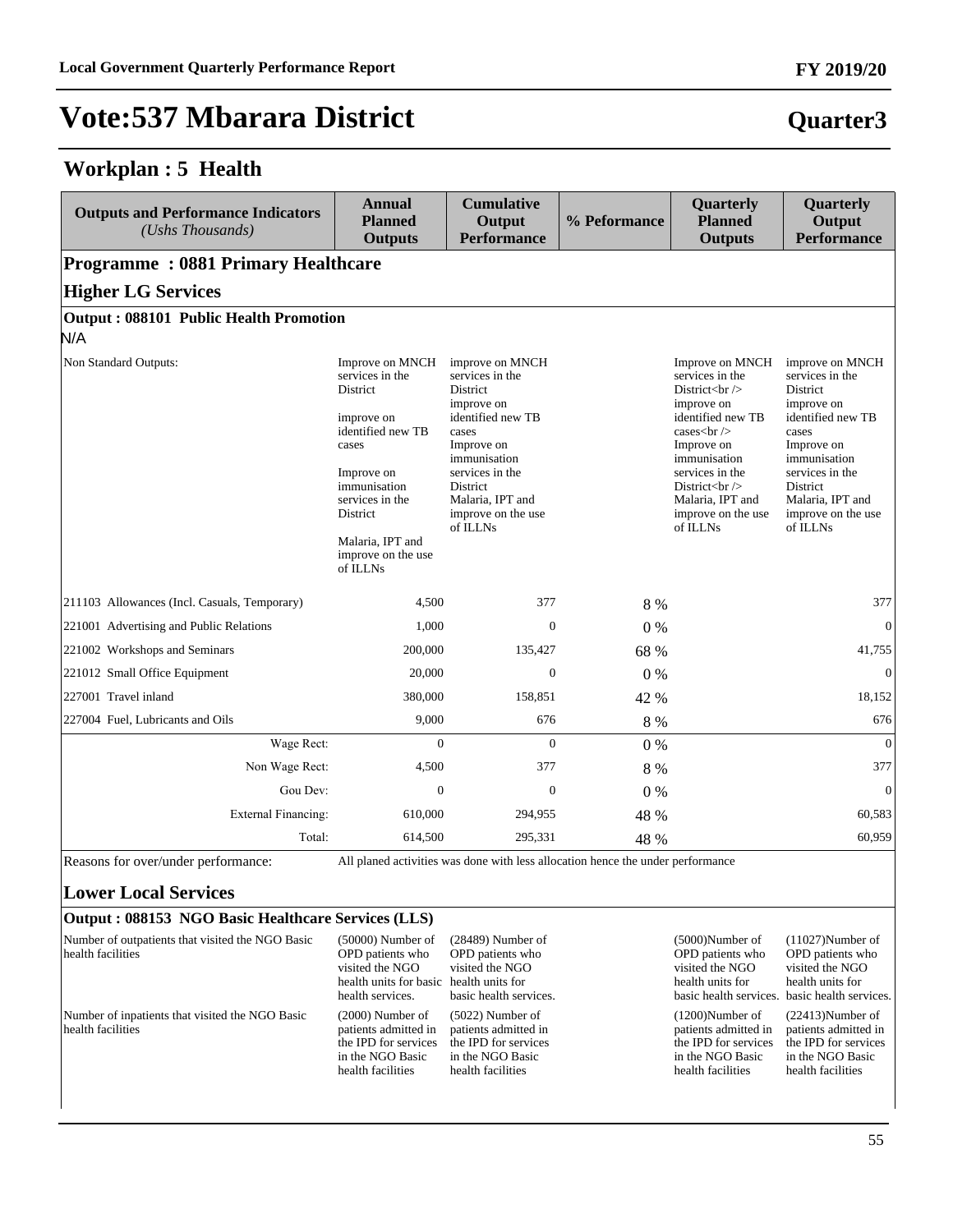#### **Workplan : 5 Health**

| <b>Outputs and Performance Indicators</b><br>(Ushs Thousands) | <b>Annual</b><br><b>Planned</b><br><b>Outputs</b>                                                                                                                                                                    | <b>Cumulative</b><br>Output<br><b>Performance</b>                                                                                                                                                             | % Peformance | Quarterly<br><b>Planned</b><br><b>Outputs</b>                                                                                                                                                                                                             | Quarterly<br>Output<br><b>Performance</b>                                                                                                                                                                     |
|---------------------------------------------------------------|----------------------------------------------------------------------------------------------------------------------------------------------------------------------------------------------------------------------|---------------------------------------------------------------------------------------------------------------------------------------------------------------------------------------------------------------|--------------|-----------------------------------------------------------------------------------------------------------------------------------------------------------------------------------------------------------------------------------------------------------|---------------------------------------------------------------------------------------------------------------------------------------------------------------------------------------------------------------|
| <b>Programme: 0881 Primary Healthcare</b>                     |                                                                                                                                                                                                                      |                                                                                                                                                                                                               |              |                                                                                                                                                                                                                                                           |                                                                                                                                                                                                               |
| <b>Higher LG Services</b>                                     |                                                                                                                                                                                                                      |                                                                                                                                                                                                               |              |                                                                                                                                                                                                                                                           |                                                                                                                                                                                                               |
| Output: 088101 Public Health Promotion                        |                                                                                                                                                                                                                      |                                                                                                                                                                                                               |              |                                                                                                                                                                                                                                                           |                                                                                                                                                                                                               |
| N/A                                                           |                                                                                                                                                                                                                      |                                                                                                                                                                                                               |              |                                                                                                                                                                                                                                                           |                                                                                                                                                                                                               |
| Non Standard Outputs:                                         | Improve on MNCH<br>services in the<br><b>District</b><br>improve on<br>identified new TB<br>cases<br>Improve on<br>immunisation<br>services in the<br>District<br>Malaria, IPT and<br>improve on the use<br>of ILLNs | improve on MNCH<br>services in the<br>District<br>improve on<br>identified new TB<br>cases<br>Improve on<br>immunisation<br>services in the<br>District<br>Malaria, IPT and<br>improve on the use<br>of ILLNs |              | Improve on MNCH<br>services in the<br>District $\langle$ br $\rangle$<br>improve on<br>identified new TB<br>cases $\text{ch}$ /><br>Improve on<br>immunisation<br>services in the<br>District $br>$<br>Malaria, IPT and<br>improve on the use<br>of ILLNs | improve on MNCH<br>services in the<br>District<br>improve on<br>identified new TB<br>cases<br>Improve on<br>immunisation<br>services in the<br>District<br>Malaria, IPT and<br>improve on the use<br>of ILLNs |
| 211103 Allowances (Incl. Casuals, Temporary)                  | 4.500                                                                                                                                                                                                                | 377                                                                                                                                                                                                           | 8 %          |                                                                                                                                                                                                                                                           | 377                                                                                                                                                                                                           |
| 221001 Advertising and Public Relations                       | 1,000                                                                                                                                                                                                                | $\Omega$                                                                                                                                                                                                      | 0%           |                                                                                                                                                                                                                                                           | $\overline{0}$                                                                                                                                                                                                |
| 221002 Workshops and Seminars                                 | 200,000                                                                                                                                                                                                              | 135,427                                                                                                                                                                                                       | 68 %         |                                                                                                                                                                                                                                                           | 41,755                                                                                                                                                                                                        |
| 221012 Small Office Equipment                                 | 20,000                                                                                                                                                                                                               | $\Omega$                                                                                                                                                                                                      | $0\%$        |                                                                                                                                                                                                                                                           | $\mathbf{0}$                                                                                                                                                                                                  |
| 227001 Travel inland                                          | 380,000                                                                                                                                                                                                              | 158,851                                                                                                                                                                                                       | 42 %         |                                                                                                                                                                                                                                                           | 18,152                                                                                                                                                                                                        |
| 227004 Fuel, Lubricants and Oils                              | 9,000                                                                                                                                                                                                                | 676                                                                                                                                                                                                           | 8 %          |                                                                                                                                                                                                                                                           | 676                                                                                                                                                                                                           |
| Wage Rect:                                                    | $\overline{0}$                                                                                                                                                                                                       | $\overline{0}$                                                                                                                                                                                                | $0\%$        |                                                                                                                                                                                                                                                           | $\mathbf{0}$                                                                                                                                                                                                  |
| Non Wage Rect:                                                | 4.500                                                                                                                                                                                                                | 377                                                                                                                                                                                                           | 8 %          |                                                                                                                                                                                                                                                           | 377                                                                                                                                                                                                           |
| Gou Dev:                                                      | $\mathbf{0}$                                                                                                                                                                                                         | $\mathbf{0}$                                                                                                                                                                                                  | 0%           |                                                                                                                                                                                                                                                           | $\mathbf{0}$                                                                                                                                                                                                  |
| <b>External Financing:</b>                                    | 610,000                                                                                                                                                                                                              | 294,955                                                                                                                                                                                                       | 48 %         |                                                                                                                                                                                                                                                           | 60,583                                                                                                                                                                                                        |
| Total:                                                        | 614,500                                                                                                                                                                                                              | 295,331                                                                                                                                                                                                       | 48 %         |                                                                                                                                                                                                                                                           | 60,959                                                                                                                                                                                                        |

Reasons for over/under performance: All planed activities was done with less allocation hence the under performance

#### **Lower Local Services**

#### **Output : 088153 NGO Basic Healthcare Services (LLS)**

| Number of outpatients that visited the NGO Basic<br>health facilities | $(50000)$ Number of<br>OPD patients who<br>visited the NGO<br>health units for basic health units for<br>health services. | $(28489)$ Number of<br>OPD patients who<br>visited the NGO<br>basic health services.                        | $(5000)$ Number of<br>OPD patients who<br>visited the NGO<br>health units for                               | $(11027)$ Number of<br>OPD patients who<br>visited the NGO<br>health units for<br>basic health services. basic health services. |
|-----------------------------------------------------------------------|---------------------------------------------------------------------------------------------------------------------------|-------------------------------------------------------------------------------------------------------------|-------------------------------------------------------------------------------------------------------------|---------------------------------------------------------------------------------------------------------------------------------|
| Number of inpatients that visited the NGO Basic<br>health facilities  | $(2000)$ Number of<br>patients admitted in<br>the IPD for services<br>in the NGO Basic<br>health facilities               | $(5022)$ Number of<br>patients admitted in<br>the IPD for services<br>in the NGO Basic<br>health facilities | $(1200)$ Number of<br>patients admitted in<br>the IPD for services<br>in the NGO Basic<br>health facilities | $(22413)$ Number of<br>patients admitted in<br>the IPD for services<br>in the NGO Basic<br>health facilities                    |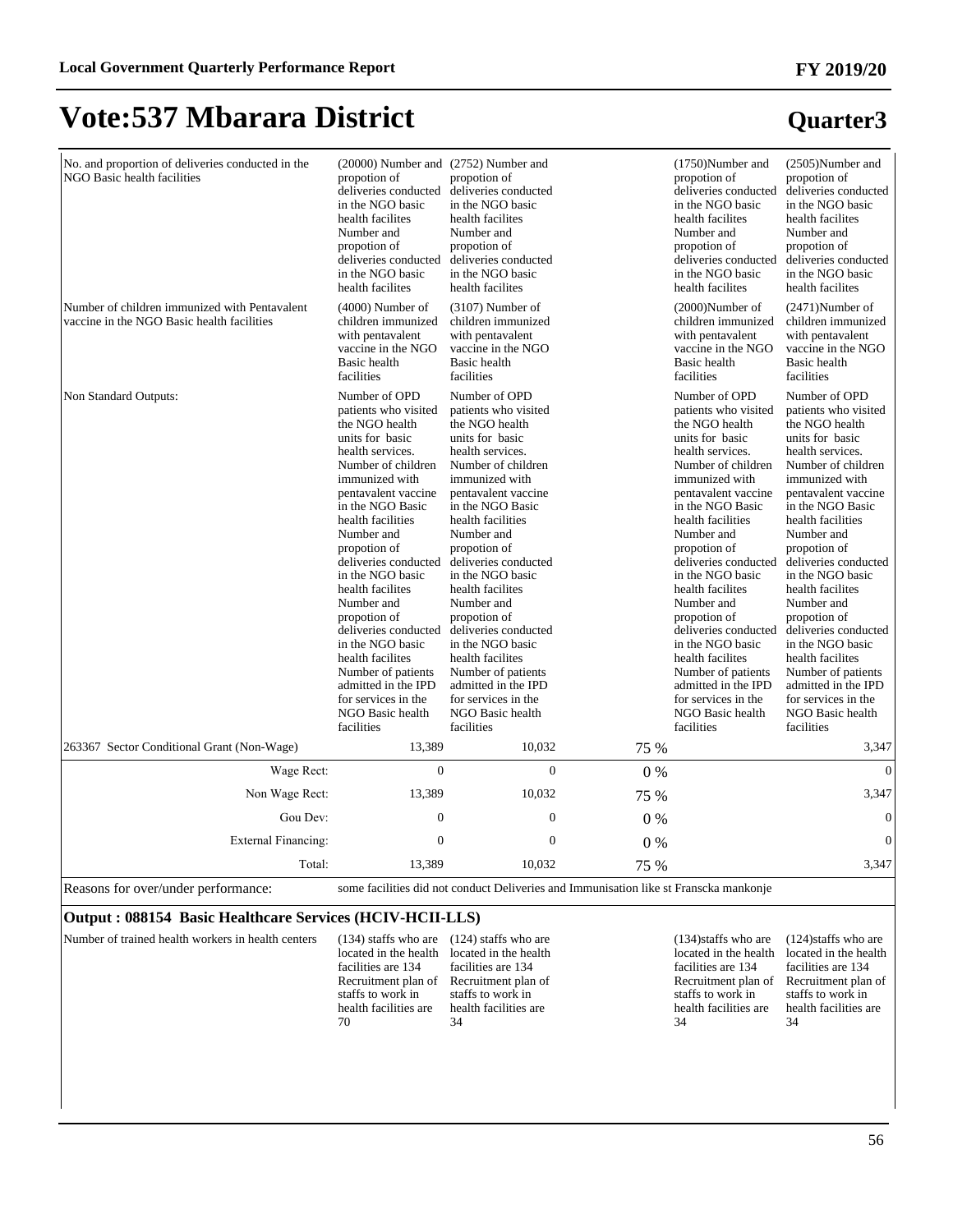#### **FY 2019/20**

**Quarter3**

### **Vote:537 Mbarara District**

| No. and proportion of deliveries conducted in the<br>NGO Basic health facilities            | (20000) Number and (2752) Number and<br>propotion of<br>deliveries conducted<br>in the NGO basic<br>health facilites<br>Number and<br>propotion of<br>deliveries conducted<br>in the NGO basic<br>health facilites                                                                                                                                                                                                                                                                                       | propotion of<br>deliveries conducted<br>in the NGO basic<br>health facilites<br>Number and<br>propotion of<br>deliveries conducted<br>in the NGO basic<br>health facilites                                                                                                                                                                                                                                                                                                                               |       | (1750)Number and<br>propotion of<br>deliveries conducted<br>in the NGO basic<br>health facilites<br>Number and<br>propotion of<br>deliveries conducted<br>in the NGO basic<br>health facilites                                                                                                                                                                                                                                                                                                           | (2505)Number and<br>propotion of<br>deliveries conducted<br>in the NGO basic<br>health facilites<br>Number and<br>propotion of<br>deliveries conducted<br>in the NGO basic<br>health facilites                                                                                                                                                                                                                                                                                                           |
|---------------------------------------------------------------------------------------------|----------------------------------------------------------------------------------------------------------------------------------------------------------------------------------------------------------------------------------------------------------------------------------------------------------------------------------------------------------------------------------------------------------------------------------------------------------------------------------------------------------|----------------------------------------------------------------------------------------------------------------------------------------------------------------------------------------------------------------------------------------------------------------------------------------------------------------------------------------------------------------------------------------------------------------------------------------------------------------------------------------------------------|-------|----------------------------------------------------------------------------------------------------------------------------------------------------------------------------------------------------------------------------------------------------------------------------------------------------------------------------------------------------------------------------------------------------------------------------------------------------------------------------------------------------------|----------------------------------------------------------------------------------------------------------------------------------------------------------------------------------------------------------------------------------------------------------------------------------------------------------------------------------------------------------------------------------------------------------------------------------------------------------------------------------------------------------|
| Number of children immunized with Pentavalent<br>vaccine in the NGO Basic health facilities | $(4000)$ Number of<br>children immunized<br>with pentavalent<br>vaccine in the NGO<br>Basic health<br>facilities                                                                                                                                                                                                                                                                                                                                                                                         | $(3107)$ Number of<br>children immunized<br>with pentavalent<br>vaccine in the NGO<br>Basic health<br>facilities                                                                                                                                                                                                                                                                                                                                                                                         |       | $(2000)$ Number of<br>children immunized<br>with pentavalent<br>vaccine in the NGO<br>Basic health<br>facilities                                                                                                                                                                                                                                                                                                                                                                                         | $(2471)$ Number of<br>children immunized<br>with pentavalent<br>vaccine in the NGO<br>Basic health<br>facilities                                                                                                                                                                                                                                                                                                                                                                                         |
| Non Standard Outputs:                                                                       | Number of OPD<br>patients who visited<br>the NGO health<br>units for basic<br>health services.<br>Number of children<br>immunized with<br>pentavalent vaccine<br>in the NGO Basic<br>health facilities<br>Number and<br>propotion of<br>deliveries conducted<br>in the NGO basic<br>health facilites<br>Number and<br>propotion of<br>deliveries conducted<br>in the NGO basic<br>health facilites<br>Number of patients<br>admitted in the IPD<br>for services in the<br>NGO Basic health<br>facilities | Number of OPD<br>patients who visited<br>the NGO health<br>units for basic<br>health services.<br>Number of children<br>immunized with<br>pentavalent vaccine<br>in the NGO Basic<br>health facilities<br>Number and<br>propotion of<br>deliveries conducted<br>in the NGO basic<br>health facilites<br>Number and<br>propotion of<br>deliveries conducted<br>in the NGO basic<br>health facilites<br>Number of patients<br>admitted in the IPD<br>for services in the<br>NGO Basic health<br>facilities |       | Number of OPD<br>patients who visited<br>the NGO health<br>units for basic<br>health services.<br>Number of children<br>immunized with<br>pentavalent vaccine<br>in the NGO Basic<br>health facilities<br>Number and<br>propotion of<br>deliveries conducted<br>in the NGO basic<br>health facilites<br>Number and<br>propotion of<br>deliveries conducted<br>in the NGO basic<br>health facilites<br>Number of patients<br>admitted in the IPD<br>for services in the<br>NGO Basic health<br>facilities | Number of OPD<br>patients who visited<br>the NGO health<br>units for basic<br>health services.<br>Number of children<br>immunized with<br>pentavalent vaccine<br>in the NGO Basic<br>health facilities<br>Number and<br>propotion of<br>deliveries conducted<br>in the NGO basic<br>health facilites<br>Number and<br>propotion of<br>deliveries conducted<br>in the NGO basic<br>health facilites<br>Number of patients<br>admitted in the IPD<br>for services in the<br>NGO Basic health<br>facilities |
| 263367 Sector Conditional Grant (Non-Wage)                                                  | 13,389                                                                                                                                                                                                                                                                                                                                                                                                                                                                                                   | 10,032                                                                                                                                                                                                                                                                                                                                                                                                                                                                                                   | 75 %  |                                                                                                                                                                                                                                                                                                                                                                                                                                                                                                          | 3,347                                                                                                                                                                                                                                                                                                                                                                                                                                                                                                    |
| Wage Rect:                                                                                  | $\boldsymbol{0}$                                                                                                                                                                                                                                                                                                                                                                                                                                                                                         | $\overline{0}$                                                                                                                                                                                                                                                                                                                                                                                                                                                                                           | $0\%$ |                                                                                                                                                                                                                                                                                                                                                                                                                                                                                                          | $\mathbf{0}$                                                                                                                                                                                                                                                                                                                                                                                                                                                                                             |
| Non Wage Rect:                                                                              | 13,389                                                                                                                                                                                                                                                                                                                                                                                                                                                                                                   | 10,032                                                                                                                                                                                                                                                                                                                                                                                                                                                                                                   | 75 %  |                                                                                                                                                                                                                                                                                                                                                                                                                                                                                                          | 3,347                                                                                                                                                                                                                                                                                                                                                                                                                                                                                                    |
| Gou Dev:                                                                                    | $\mathbf{0}$                                                                                                                                                                                                                                                                                                                                                                                                                                                                                             | $\mathbf{0}$                                                                                                                                                                                                                                                                                                                                                                                                                                                                                             | $0\%$ |                                                                                                                                                                                                                                                                                                                                                                                                                                                                                                          | $\mathbf{0}$                                                                                                                                                                                                                                                                                                                                                                                                                                                                                             |
| <b>External Financing:</b>                                                                  | $\overline{0}$                                                                                                                                                                                                                                                                                                                                                                                                                                                                                           | $\Omega$                                                                                                                                                                                                                                                                                                                                                                                                                                                                                                 | $0\%$ |                                                                                                                                                                                                                                                                                                                                                                                                                                                                                                          | $\mathbf{0}$                                                                                                                                                                                                                                                                                                                                                                                                                                                                                             |
| Total:                                                                                      | 13,389                                                                                                                                                                                                                                                                                                                                                                                                                                                                                                   | 10,032                                                                                                                                                                                                                                                                                                                                                                                                                                                                                                   | 75 %  |                                                                                                                                                                                                                                                                                                                                                                                                                                                                                                          | 3,347                                                                                                                                                                                                                                                                                                                                                                                                                                                                                                    |
| Reasons for over/under performance:                                                         |                                                                                                                                                                                                                                                                                                                                                                                                                                                                                                          | some facilities did not conduct Deliveries and Immunisation like st Franscka mankonje                                                                                                                                                                                                                                                                                                                                                                                                                    |       |                                                                                                                                                                                                                                                                                                                                                                                                                                                                                                          |                                                                                                                                                                                                                                                                                                                                                                                                                                                                                                          |

#### **Output : 088154 Basic Healthcare Services (HCIV-HCII-LLS)**

Number of trained health workers in health centers located in the health located in the health facilities are 134 Recruitment plan of Recruitment plan of staffs to work in health facilities are 70 (134) staffs who are (124) staffs who are facilities are 134 staffs to work in health facilities are 34 (134)staffs who are located in the health facilities are 134 Recruitment plan of staffs to work in health facilities are 34 (124)staffs who are located in the health facilities are 134 Recruitment plan of staffs to work in health facilities are 34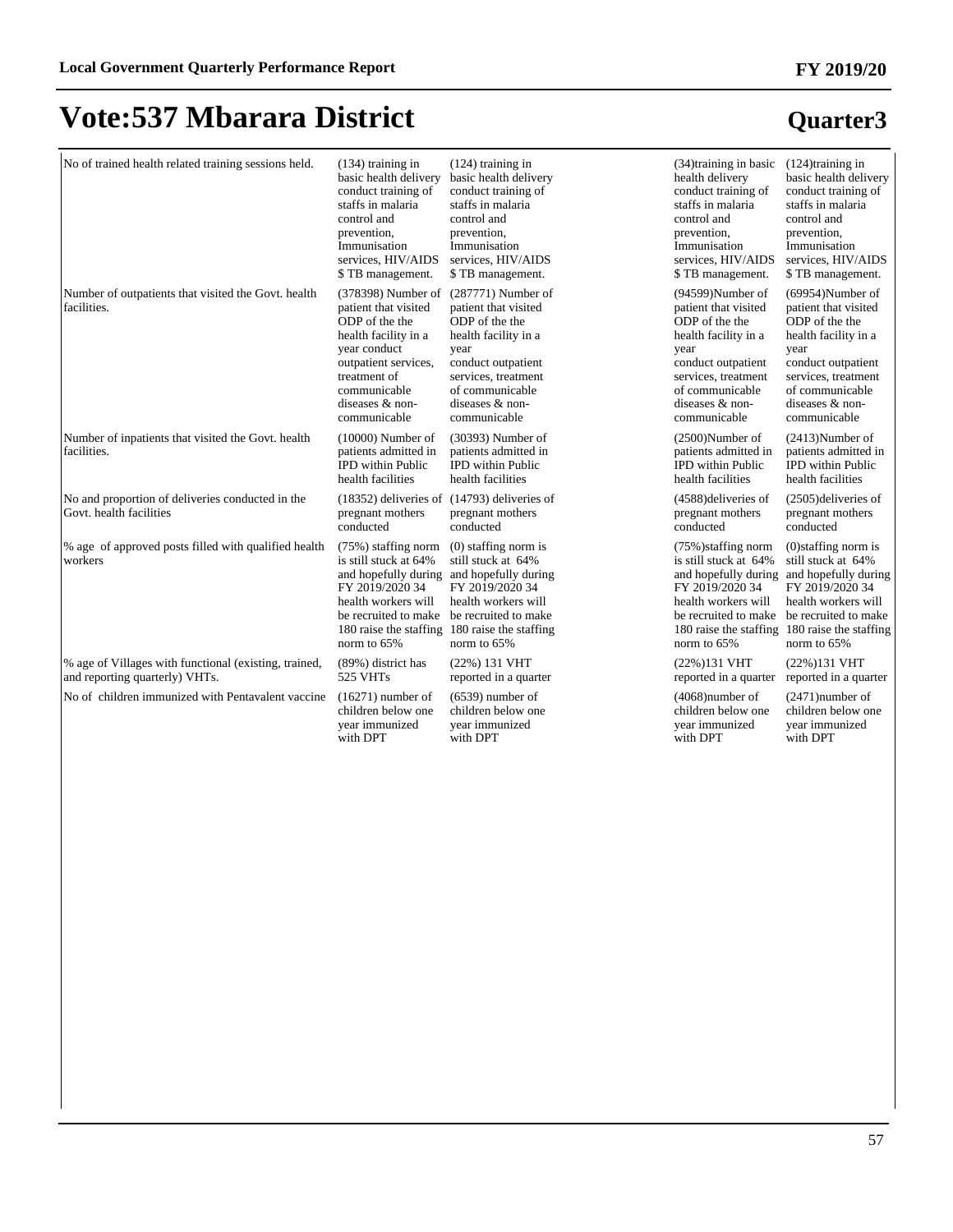| No of trained health related training sessions held.                                    | $(134)$ training in<br>basic health delivery<br>conduct training of<br>staffs in malaria<br>control and<br>prevention,<br>Immunisation<br>services, HIV/AIDS<br>\$TB management.                  | $(124)$ training in<br>basic health delivery<br>conduct training of<br>staffs in malaria<br>control and<br>prevention,<br>Immunisation<br>services, HIV/AIDS<br>\$TB management.                                            | $(34)$ training in basic<br>health delivery<br>conduct training of<br>staffs in malaria<br>control and<br>prevention,<br>Immunisation<br>services, HIV/AIDS<br>\$TB management.                  | $(124)$ training in<br>basic health delivery<br>conduct training of<br>staffs in malaria<br>control and<br>prevention,<br>Immunisation<br>services, HIV/AIDS<br>\$TB management.                 |
|-----------------------------------------------------------------------------------------|---------------------------------------------------------------------------------------------------------------------------------------------------------------------------------------------------|-----------------------------------------------------------------------------------------------------------------------------------------------------------------------------------------------------------------------------|--------------------------------------------------------------------------------------------------------------------------------------------------------------------------------------------------|--------------------------------------------------------------------------------------------------------------------------------------------------------------------------------------------------|
| Number of outpatients that visited the Govt. health<br>facilities.                      | $(378398)$ Number of<br>patient that visited<br>ODP of the the<br>health facility in a<br>year conduct<br>outpatient services,<br>treatment of<br>communicable<br>diseases & non-<br>communicable | (287771) Number of<br>patient that visited<br>ODP of the the<br>health facility in a<br>year<br>conduct outpatient<br>services, treatment<br>of communicable<br>diseases & non-<br>communicable                             | $(94599)$ Number of<br>patient that visited<br>ODP of the the<br>health facility in a<br>year<br>conduct outpatient<br>services, treatment<br>of communicable<br>diseases & non-<br>communicable | $(69954)$ Number of<br>patient that visited<br>ODP of the the<br>health facility in a<br>year<br>conduct outpatient<br>services, treatment<br>of communicable<br>diseases & non-<br>communicable |
| Number of inpatients that visited the Govt. health<br>facilities.                       | $(10000)$ Number of<br>patients admitted in<br><b>IPD</b> within Public<br>health facilities                                                                                                      | (30393) Number of<br>patients admitted in<br><b>IPD</b> within Public<br>health facilities                                                                                                                                  | $(2500)$ Number of<br>patients admitted in<br><b>IPD</b> within Public<br>health facilities                                                                                                      | $(2413)$ Number of<br>patients admitted in<br><b>IPD</b> within Public<br>health facilities                                                                                                      |
| No and proportion of deliveries conducted in the<br>Govt. health facilities             | pregnant mothers<br>conducted                                                                                                                                                                     | $(18352)$ deliveries of $(14793)$ deliveries of<br>pregnant mothers<br>conducted                                                                                                                                            | (4588) deliveries of<br>pregnant mothers<br>conducted                                                                                                                                            | $(2505)$ deliveries of<br>pregnant mothers<br>conducted                                                                                                                                          |
| % age of approved posts filled with qualified health<br>workers                         | $(75%)$ staffing norm<br>is still stuck at 64%<br>FY 2019/2020 34<br>health workers will<br>be recruited to make<br>norm to 65%                                                                   | $(0)$ staffing norm is<br>still stuck at 64%<br>and hopefully during and hopefully during<br>FY 2019/2020 34<br>health workers will<br>be recruited to make<br>180 raise the staffing 180 raise the staffing<br>norm to 65% | (75%) staffing norm<br>is still stuck at 64%<br>and hopefully during<br>FY 2019/2020 34<br>health workers will<br>be recruited to make be recruited to make<br>norm to 65%                       | $(0)$ staffing norm is<br>still stuck at 64%<br>and hopefully during<br>FY 2019/2020 34<br>health workers will<br>180 raise the staffing 180 raise the staffing<br>norm to 65%                   |
| % age of Villages with functional (existing, trained,<br>and reporting quarterly) VHTs. | (89%) district has<br>525 VHTs                                                                                                                                                                    | (22%) 131 VHT<br>reported in a quarter                                                                                                                                                                                      | $(22\%)131 \text{ VHT}$<br>reported in a quarter                                                                                                                                                 | (22%)131 VHT<br>reported in a quarter                                                                                                                                                            |
| No of children immunized with Pentavalent vaccine                                       | $(16271)$ number of<br>children below one<br>vear immunized<br>with DPT                                                                                                                           | $(6539)$ number of<br>children below one<br>year immunized<br>with DPT                                                                                                                                                      | $(4068)$ number of<br>children below one<br>vear immunized<br>with DPT                                                                                                                           | $(2471)$ number of<br>children below one<br>vear immunized<br>with DPT                                                                                                                           |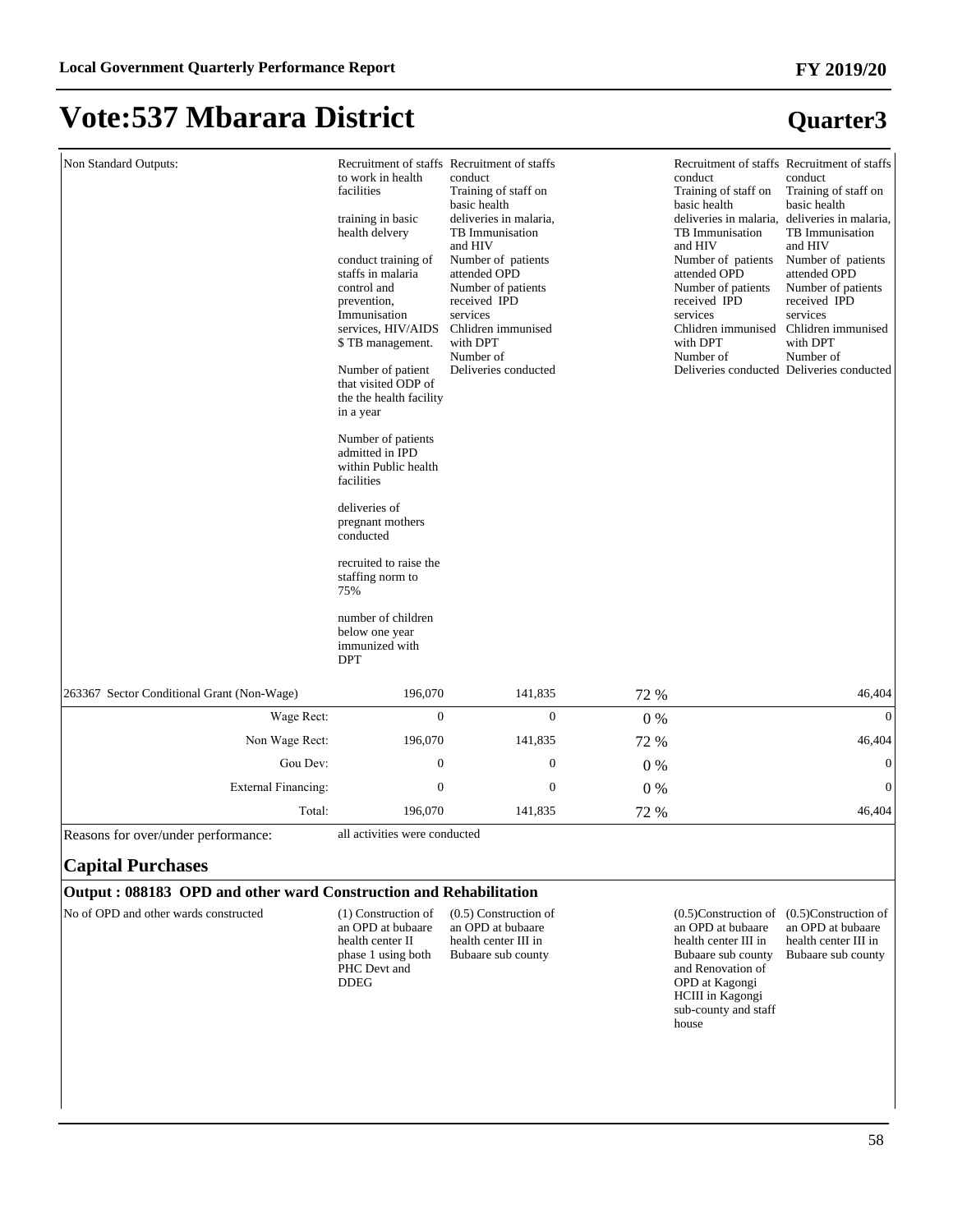**Quarter3**

### **Vote:537 Mbarara District**

#### Non Standard Outputs: to work in health facilities training in basic health delvery conduct training of staffs in malaria control and prevention, Immunisation services, HIV/AIDS \$ TB management. Number of patient that visited ODP of the the health facility in a year Number of patients admitted in IPD within Public health facilities deliveries of pregnant mothers conducted recruited to raise the staffing norm to 75% number of children below one year immunized with DPT Recruitment of staffs conduct Training of staff on basic health deliveries in malaria, TB Immunisation and HIV Number of patients attended OPD Number of patients received IPD services Chlidren immunised with DPT Number of Deliveries conducted Recruitment of staffs Recruitment of staffs conduct Training of staff on basic health deliveries in malaria, deliveries in malaria, TB Immunisation and HIV Number of patients attended OPD Number of patients received IPD services Chlidren immunised with DPT Number of Deliveries conducted Deliveries conducted conduct Training of staff on basic health TB Immunisation and HIV Number of patients attended OPD Number of patients received IPD services Chlidren immunised with DPT Number of 263367 Sector Conditional Grant (Non-Wage) 196,070 141,835 72 % 46,404 :DJH5HFW 0 0 0 % 0 Non Wage Rect: 196,070 141,835 72 % 16,404 \*RX'HY 0 0 0 % 0 ([WHUQDO)LQDQFLQJ 0 0 0 % 0 Total: 196,070 141,835 72 % 46,404

Reasons for over/under performance: all activities were conducted

#### **Capital Purchases**

#### **Output : 088183 OPD and other ward Construction and Rehabilitation**

No of OPD and other wards constructed (1) Construction of

an OPD at bubaare health center II phase 1 using both PHC Devt and DDEG

(0.5) Construction of an OPD at bubaare health center III in Bubaare sub county

an OPD at bubaare health center III in Bubaare sub county and Renovation of OPD at Kagongi HCIII in Kagongi sub-county and staff house

#### (0.5)Construction of (0.5)Construction of an OPD at bubaare health center III in Bubaare sub county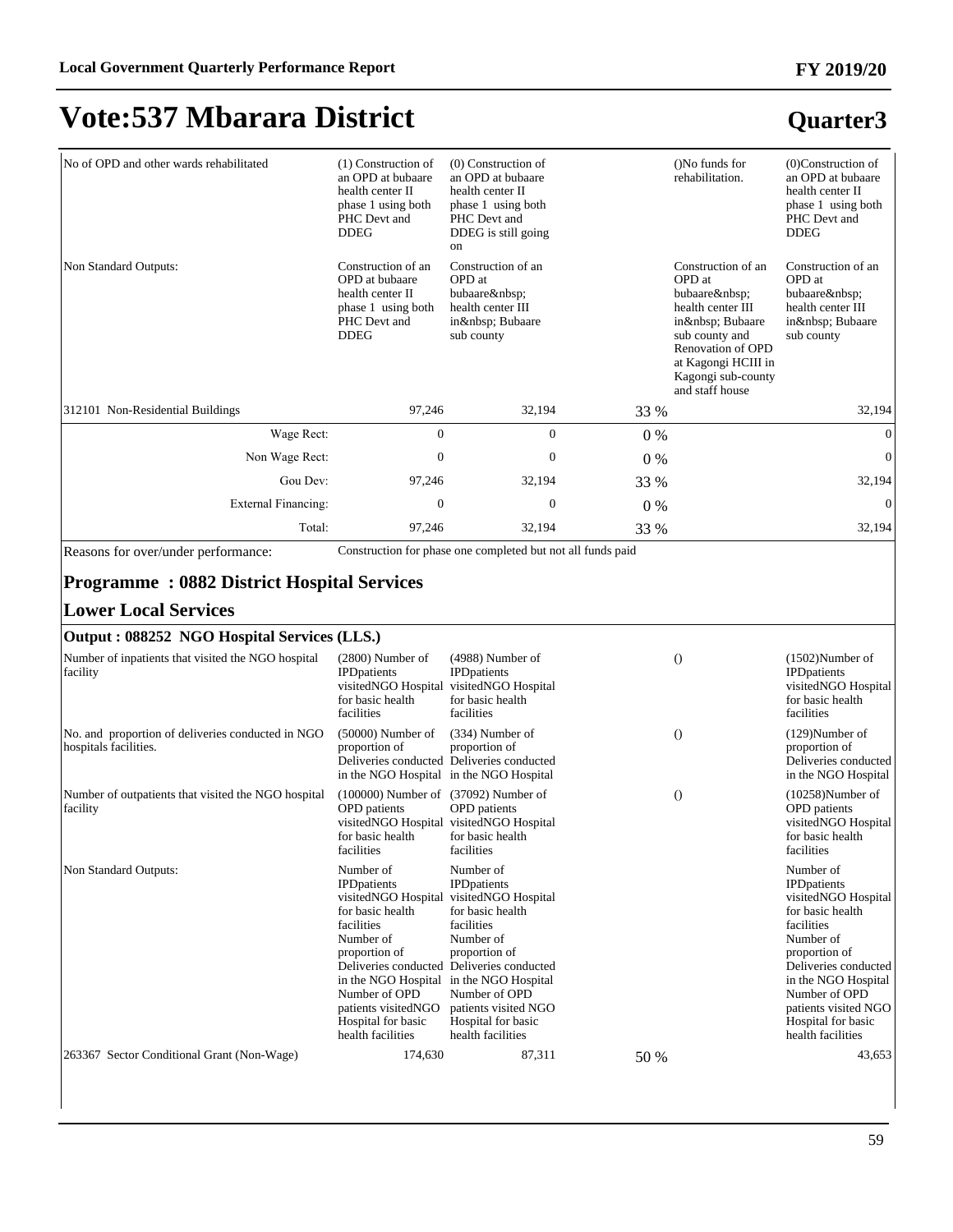#### **FY 2019/20**

## **Vote:537 Mbarara District**

| No of OPD and other wards rehabilitated                                    | $(1)$ Construction of<br>an OPD at bubaare<br>health center II<br>phase 1 using both<br>PHC Devt and<br><b>DDEG</b>                                                                                                               | $(0)$ Construction of<br>an OPD at bubaare<br>health center II<br>phase 1 using both<br>PHC Devt and<br>DDEG is still going<br>on                                                                                                                                              |       | ()No funds for<br>rehabilitation.                                                                                                                                                  | $(0)$ Construction of<br>an OPD at bubaare<br>health center II<br>phase 1 using both<br>PHC Devt and<br><b>DDEG</b>                                                                                                                                        |
|----------------------------------------------------------------------------|-----------------------------------------------------------------------------------------------------------------------------------------------------------------------------------------------------------------------------------|--------------------------------------------------------------------------------------------------------------------------------------------------------------------------------------------------------------------------------------------------------------------------------|-------|------------------------------------------------------------------------------------------------------------------------------------------------------------------------------------|------------------------------------------------------------------------------------------------------------------------------------------------------------------------------------------------------------------------------------------------------------|
| Non Standard Outputs:                                                      | Construction of an<br>OPD at bubaare<br>health center II<br>phase 1 using both<br>PHC Devt and<br><b>DDEG</b>                                                                                                                     | Construction of an<br>OPD at<br>bubaare<br>health center III<br>in  Bubaare<br>sub county                                                                                                                                                                                      |       | Construction of an<br>OPD at<br>bubaare<br>health center III<br>in  Bubaare<br>sub county and<br>Renovation of OPD<br>at Kagongi HCIII in<br>Kagongi sub-county<br>and staff house | Construction of an<br>OPD at<br>bubaare<br>health center III<br>in  Bubaare<br>sub county                                                                                                                                                                  |
| 312101 Non-Residential Buildings                                           | 97,246                                                                                                                                                                                                                            | 32,194                                                                                                                                                                                                                                                                         | 33 %  |                                                                                                                                                                                    | 32,194                                                                                                                                                                                                                                                     |
| Wage Rect:                                                                 | $\boldsymbol{0}$                                                                                                                                                                                                                  | $\boldsymbol{0}$                                                                                                                                                                                                                                                               | $0\%$ |                                                                                                                                                                                    | $\mathbf{0}$                                                                                                                                                                                                                                               |
| Non Wage Rect:                                                             | $\mathbf{0}$                                                                                                                                                                                                                      | $\mathbf{0}$                                                                                                                                                                                                                                                                   | $0\%$ |                                                                                                                                                                                    | $\boldsymbol{0}$                                                                                                                                                                                                                                           |
| Gou Dev:                                                                   | 97,246                                                                                                                                                                                                                            | 32,194                                                                                                                                                                                                                                                                         | 33 %  |                                                                                                                                                                                    | 32,194                                                                                                                                                                                                                                                     |
| <b>External Financing:</b>                                                 | $\mathbf{0}$                                                                                                                                                                                                                      | $\mathbf{0}$                                                                                                                                                                                                                                                                   | $0\%$ |                                                                                                                                                                                    | $\mathbf{0}$                                                                                                                                                                                                                                               |
| Total:                                                                     | 97,246                                                                                                                                                                                                                            | 32,194                                                                                                                                                                                                                                                                         | 33 %  |                                                                                                                                                                                    | 32,194                                                                                                                                                                                                                                                     |
| <b>Lower Local Services</b><br>Output: 088252 NGO Hospital Services (LLS.) |                                                                                                                                                                                                                                   |                                                                                                                                                                                                                                                                                |       |                                                                                                                                                                                    |                                                                                                                                                                                                                                                            |
| Number of inpatients that visited the NGO hospital<br>facility             | $(2800)$ Number of<br><b>IPD</b> patients<br>visitedNGO Hospital<br>for basic health<br>facilities                                                                                                                                | $(4988)$ Number of<br><b>IPD</b> patients<br>visitedNGO Hospital<br>for basic health<br>facilities                                                                                                                                                                             |       | $\theta$                                                                                                                                                                           | $(1502)$ Number of<br><b>IPD</b> patients<br>visitedNGO Hospital<br>for basic health<br>facilities                                                                                                                                                         |
| No. and proportion of deliveries conducted in NGO<br>hospitals facilities. | $(50000)$ Number of<br>proportion of<br>in the NGO Hospital in the NGO Hospital                                                                                                                                                   | $(334)$ Number of<br>proportion of<br>Deliveries conducted Deliveries conducted                                                                                                                                                                                                |       | $\theta$                                                                                                                                                                           | $(129)$ Number of<br>proportion of<br>Deliveries conducted<br>in the NGO Hospital                                                                                                                                                                          |
| Number of outpatients that visited the NGO hospital<br>facility            | (100000) Number of (37092) Number of<br><b>OPD</b> patients<br>for basic health<br>facilities                                                                                                                                     | <b>OPD</b> patients<br>visitedNGO Hospital visitedNGO Hospital<br>for basic health<br>facilities                                                                                                                                                                               |       | $\theta$                                                                                                                                                                           | $(10258)$ Number of<br><b>OPD</b> patients<br>visitedNGO Hospital<br>for basic health<br>facilities                                                                                                                                                        |
| Non Standard Outputs:                                                      | Number of<br><b>IPD</b> patients<br>visitedNGO Hospital<br>for basic health<br>facilities<br>Number of<br>proportion of<br>in the NGO Hospital<br>Number of OPD<br>patients visitedNGO<br>Hospital for basic<br>health facilities | Number of<br><b>IPDpatients</b><br>visitedNGO Hospital<br>for basic health<br>facilities<br>Number of<br>proportion of<br>Deliveries conducted Deliveries conducted<br>in the NGO Hospital<br>Number of OPD<br>patients visited NGO<br>Hospital for basic<br>health facilities |       |                                                                                                                                                                                    | Number of<br><b>IPD</b> patients<br>visitedNGO Hospital<br>for basic health<br>facilities<br>Number of<br>proportion of<br>Deliveries conducted<br>in the NGO Hospital<br>Number of OPD<br>patients visited NGO<br>Hospital for basic<br>health facilities |
| 263367 Sector Conditional Grant (Non-Wage)                                 | 174,630                                                                                                                                                                                                                           | 87,311                                                                                                                                                                                                                                                                         | 50 %  |                                                                                                                                                                                    | 43,653                                                                                                                                                                                                                                                     |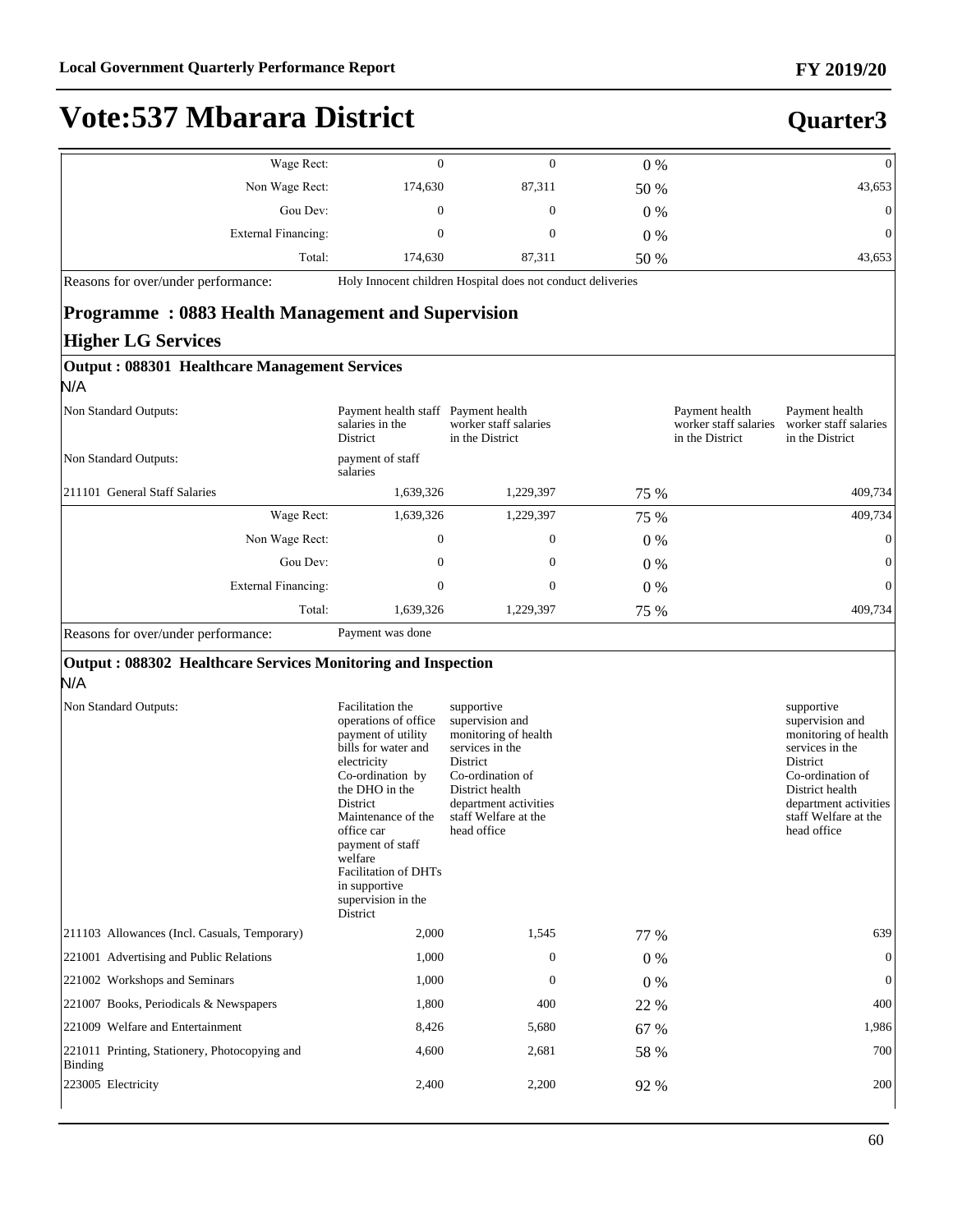**Quarter3**

### **Vote:537 Mbarara District**

**Output : 088301 Healthcare Management Services**

| $0\%$<br>0               | 0            | Wage Rect:          |
|--------------------------|--------------|---------------------|
| 87,311<br>43,653<br>50 % | 174,630      | Non Wage Rect:      |
| $\mathbf{0}$<br>$0\%$    | $\mathbf{0}$ | Gou Dev:            |
| $\theta$<br>$0\%$        | 0            | External Financing: |
| 43,653<br>87,311<br>50 % | 174,630      | Total:              |

Reasons for over/under performance: Holy Innocent children Hospital does not conduct deliveries

#### **Programme : 0883 Health Management and Supervision Higher LG Services**

| salaries in the<br>District  | Payment health<br>worker staff salaries<br>in the District                          |                                                                                                             | Payment health<br>worker staff salaries<br>in the District | Payment health<br>worker staff salaries<br>in the District |
|------------------------------|-------------------------------------------------------------------------------------|-------------------------------------------------------------------------------------------------------------|------------------------------------------------------------|------------------------------------------------------------|
| payment of staff<br>salaries |                                                                                     |                                                                                                             |                                                            |                                                            |
|                              | 1,229,397                                                                           |                                                                                                             |                                                            | 409,734                                                    |
|                              | 1,229,397                                                                           |                                                                                                             |                                                            | 409,734                                                    |
|                              | $\boldsymbol{0}$                                                                    |                                                                                                             |                                                            | $\overline{0}$                                             |
|                              | $\boldsymbol{0}$                                                                    |                                                                                                             |                                                            | $\overline{0}$                                             |
|                              | $\mathbf{0}$                                                                        | $0\%$                                                                                                       |                                                            | $\mathbf{0}$                                               |
|                              | 1,229,397                                                                           |                                                                                                             |                                                            | 409,734                                                    |
|                              | Wage Rect:<br>Non Wage Rect:<br>Gou Dev:<br>External Financing:<br>Total:<br>$\sim$ | Payment health staff<br>1,639,326<br>1,639,326<br>$\mathbf{0}$<br>$\mathbf{0}$<br>$\mathbf{0}$<br>1,639,326 |                                                            | 75 %<br>75 %<br>$0\%$<br>$0\%$<br>75 %                     |

Reasons for over/under performance: Payment was done

#### **Output : 088302 Healthcare Services Monitoring and Inspection**

N/A

| Non Standard Outputs:                                    | Facilitation the<br>operations of office<br>payment of utility<br>bills for water and<br>electricity<br>Co-ordination by<br>the DHO in the<br><b>District</b><br>Maintenance of the<br>office car<br>payment of staff<br>welfare<br><b>Facilitation of DHTs</b><br>in supportive<br>supervision in the<br>District | supportive<br>supervision and<br>monitoring of health<br>services in the<br>District<br>Co-ordination of<br>District health<br>department activities<br>staff Welfare at the<br>head office |       | supportive<br>supervision and<br>monitoring of health<br>services in the<br>District<br>Co-ordination of<br>District health<br>department activities<br>staff Welfare at the<br>head office |
|----------------------------------------------------------|--------------------------------------------------------------------------------------------------------------------------------------------------------------------------------------------------------------------------------------------------------------------------------------------------------------------|---------------------------------------------------------------------------------------------------------------------------------------------------------------------------------------------|-------|---------------------------------------------------------------------------------------------------------------------------------------------------------------------------------------------|
| 211103 Allowances (Incl. Casuals, Temporary)             | 2,000                                                                                                                                                                                                                                                                                                              | 1,545                                                                                                                                                                                       | 77 %  | 639                                                                                                                                                                                         |
| 221001 Advertising and Public Relations                  | 1,000                                                                                                                                                                                                                                                                                                              | $\Omega$                                                                                                                                                                                    | $0\%$ | $\overline{0}$                                                                                                                                                                              |
| 221002 Workshops and Seminars                            | 1,000                                                                                                                                                                                                                                                                                                              | $\Omega$                                                                                                                                                                                    | $0\%$ | $\mathbf{0}$                                                                                                                                                                                |
| 221007 Books, Periodicals & Newspapers                   | 1,800                                                                                                                                                                                                                                                                                                              | 400                                                                                                                                                                                         | 22 %  | 400                                                                                                                                                                                         |
| 221009 Welfare and Entertainment                         | 8,426                                                                                                                                                                                                                                                                                                              | 5,680                                                                                                                                                                                       | 67 %  | 1,986                                                                                                                                                                                       |
| 221011 Printing, Stationery, Photocopying and<br>Binding | 4,600                                                                                                                                                                                                                                                                                                              | 2,681                                                                                                                                                                                       | 58 %  | 700                                                                                                                                                                                         |
| 223005 Electricity                                       | 2,400                                                                                                                                                                                                                                                                                                              | 2,200                                                                                                                                                                                       | 92 %  | 200                                                                                                                                                                                         |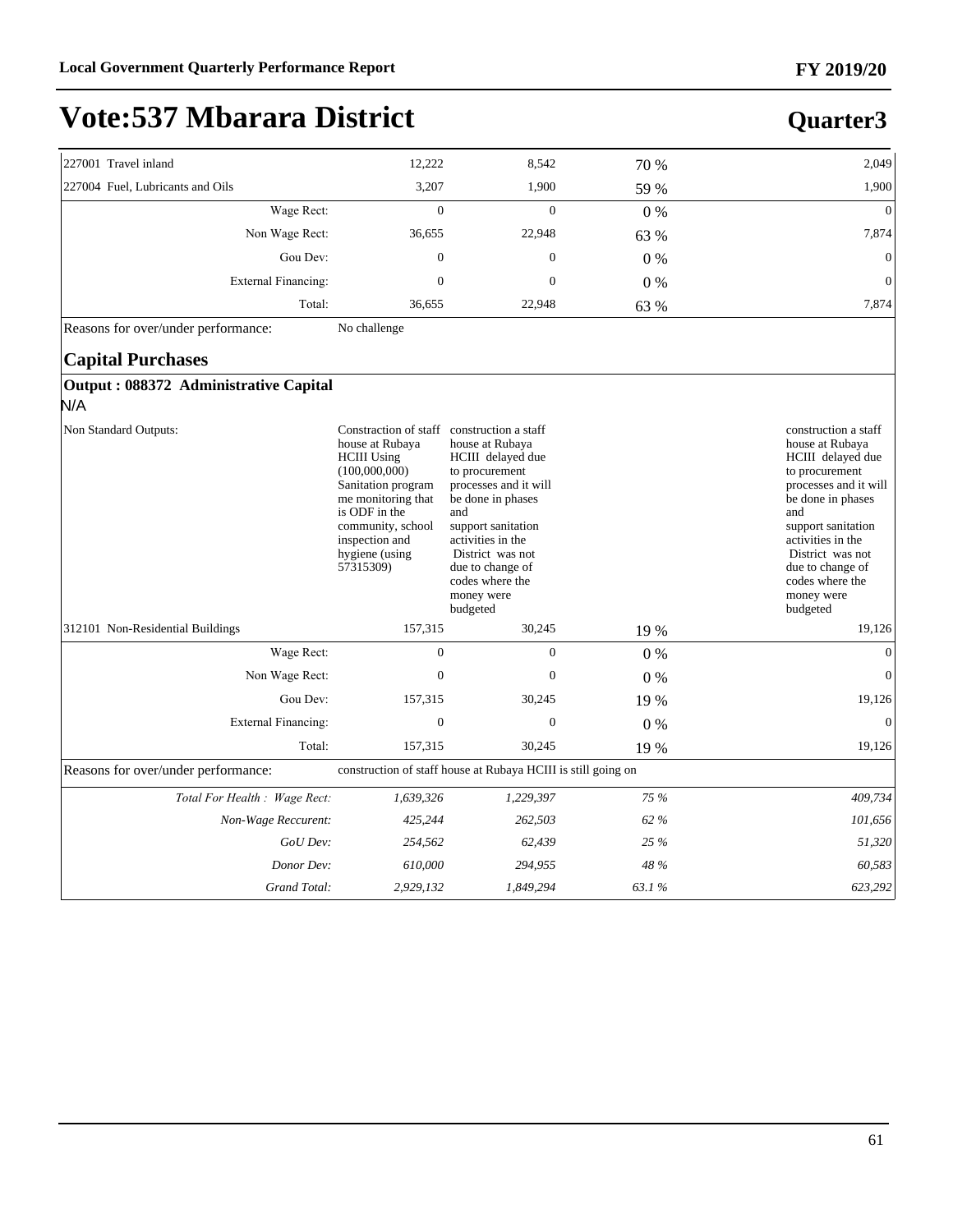| 227001 Travel inland                  | 12,222                                                                                                                                                                                                                                  | 8,542                                                                                                                                                                                                                                       | 70 %  | 2,049                                                                                                                                                                                                                                                               |
|---------------------------------------|-----------------------------------------------------------------------------------------------------------------------------------------------------------------------------------------------------------------------------------------|---------------------------------------------------------------------------------------------------------------------------------------------------------------------------------------------------------------------------------------------|-------|---------------------------------------------------------------------------------------------------------------------------------------------------------------------------------------------------------------------------------------------------------------------|
| 227004 Fuel, Lubricants and Oils      | 3,207                                                                                                                                                                                                                                   | 1,900                                                                                                                                                                                                                                       | 59 %  | 1,900                                                                                                                                                                                                                                                               |
| Wage Rect:                            | $\mathbf{0}$                                                                                                                                                                                                                            | $\overline{0}$                                                                                                                                                                                                                              | $0\%$ | $\Omega$                                                                                                                                                                                                                                                            |
| Non Wage Rect:                        | 36,655                                                                                                                                                                                                                                  | 22,948                                                                                                                                                                                                                                      | 63 %  | 7,874                                                                                                                                                                                                                                                               |
| Gou Dev:                              | $\theta$                                                                                                                                                                                                                                | $\mathbf{0}$                                                                                                                                                                                                                                | $0\%$ | $\boldsymbol{0}$                                                                                                                                                                                                                                                    |
| External Financing:                   | $\mathbf{0}$                                                                                                                                                                                                                            | $\mathbf{0}$                                                                                                                                                                                                                                | 0%    | $\mathbf{0}$                                                                                                                                                                                                                                                        |
| Total:                                | 36,655                                                                                                                                                                                                                                  | 22,948                                                                                                                                                                                                                                      | 63 %  | 7,874                                                                                                                                                                                                                                                               |
| Reasons for over/under performance:   | No challenge                                                                                                                                                                                                                            |                                                                                                                                                                                                                                             |       |                                                                                                                                                                                                                                                                     |
| <b>Capital Purchases</b>              |                                                                                                                                                                                                                                         |                                                                                                                                                                                                                                             |       |                                                                                                                                                                                                                                                                     |
| Output: 088372 Administrative Capital |                                                                                                                                                                                                                                         |                                                                                                                                                                                                                                             |       |                                                                                                                                                                                                                                                                     |
| N/A                                   |                                                                                                                                                                                                                                         |                                                                                                                                                                                                                                             |       |                                                                                                                                                                                                                                                                     |
| Non Standard Outputs:                 | Constraction of staff construction a staff<br>house at Rubaya<br><b>HCIII</b> Using<br>(100,000,000)<br>Sanitation program<br>me monitoring that<br>is ODF in the<br>community, school<br>inspection and<br>hygiene (using<br>57315309) | house at Rubaya<br>HCIII delayed due<br>to procurement<br>processes and it will<br>be done in phases<br>and<br>support sanitation<br>activities in the<br>District was not<br>due to change of<br>codes where the<br>money were<br>budgeted |       | construction a staff<br>house at Rubaya<br>HCIII delayed due<br>to procurement<br>processes and it will<br>be done in phases<br>and<br>support sanitation<br>activities in the<br>District was not<br>due to change of<br>codes where the<br>money were<br>budgeted |
| 312101 Non-Residential Buildings      | 157,315                                                                                                                                                                                                                                 | 30,245                                                                                                                                                                                                                                      | 19 %  | 19,126                                                                                                                                                                                                                                                              |
| Wage Rect:                            | $\overline{0}$                                                                                                                                                                                                                          | $\overline{0}$                                                                                                                                                                                                                              | 0%    | $\mathbf{0}$                                                                                                                                                                                                                                                        |
| Non Wage Rect:                        | $\mathbf{0}$                                                                                                                                                                                                                            | $\mathbf{0}$                                                                                                                                                                                                                                | $0\%$ | $\mathbf{0}$                                                                                                                                                                                                                                                        |
| Gou Dev:                              | 157,315                                                                                                                                                                                                                                 | 30,245                                                                                                                                                                                                                                      | 19 %  | 19,126                                                                                                                                                                                                                                                              |
| <b>External Financing:</b>            | $\mathbf{0}$                                                                                                                                                                                                                            | $\boldsymbol{0}$                                                                                                                                                                                                                            | 0%    | $\mathbf{0}$                                                                                                                                                                                                                                                        |
| Total:                                | 157,315                                                                                                                                                                                                                                 | 30,245                                                                                                                                                                                                                                      | 19 %  | 19,126                                                                                                                                                                                                                                                              |
| Reasons for over/under performance:   |                                                                                                                                                                                                                                         | construction of staff house at Rubaya HCIII is still going on                                                                                                                                                                               |       |                                                                                                                                                                                                                                                                     |
| Total For Health : Wage Rect:         | 1,639,326                                                                                                                                                                                                                               | 1,229,397                                                                                                                                                                                                                                   | 75 %  | 409,734                                                                                                                                                                                                                                                             |
| Non-Wage Reccurent:                   | 425,244                                                                                                                                                                                                                                 | 262,503                                                                                                                                                                                                                                     | 62 %  | 101,656                                                                                                                                                                                                                                                             |
| GoU Dev:                              | 254,562                                                                                                                                                                                                                                 | 62,439                                                                                                                                                                                                                                      | 25 %  | 51,320                                                                                                                                                                                                                                                              |
| Donor Dev:                            | 610,000                                                                                                                                                                                                                                 | 294,955                                                                                                                                                                                                                                     | 48 %  | 60,583                                                                                                                                                                                                                                                              |
| Grand Total:                          | 2,929,132                                                                                                                                                                                                                               | 1,849,294                                                                                                                                                                                                                                   | 63.1% | 623,292                                                                                                                                                                                                                                                             |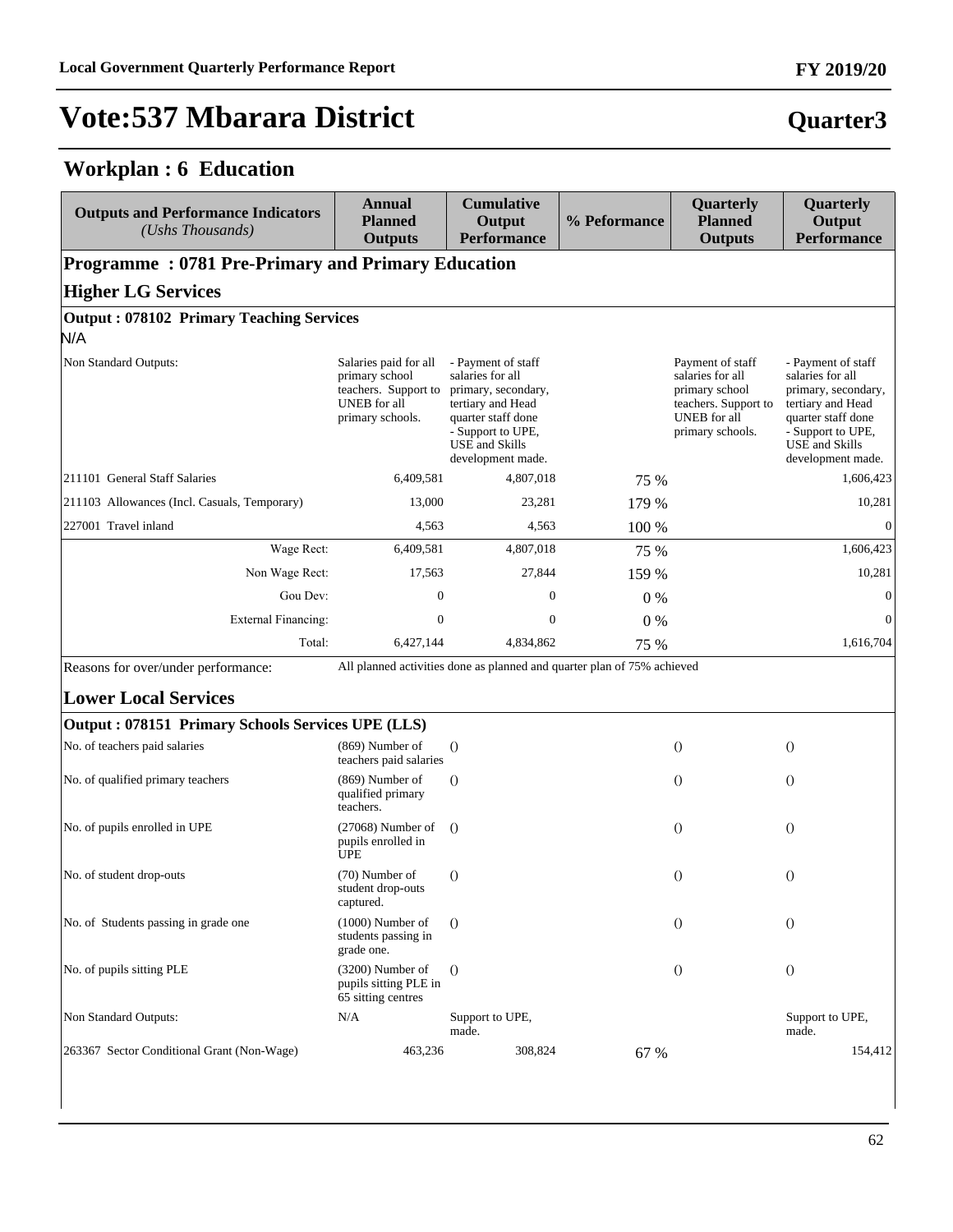#### **Workplan : 6 Education**

| <b>Outputs and Performance Indicators</b><br>(Ushs Thousands) | <b>Annual</b><br><b>Planned</b><br><b>Outputs</b>                                                   | <b>Cumulative</b><br>Output<br><b>Performance</b>                                                                                                                           | % Peformance | Quarterly<br><b>Planned</b><br><b>Outputs</b>                                                                      | Quarterly<br>Output<br><b>Performance</b>                                                                                                                            |
|---------------------------------------------------------------|-----------------------------------------------------------------------------------------------------|-----------------------------------------------------------------------------------------------------------------------------------------------------------------------------|--------------|--------------------------------------------------------------------------------------------------------------------|----------------------------------------------------------------------------------------------------------------------------------------------------------------------|
| <b>Programme: 0781 Pre-Primary and Primary Education</b>      |                                                                                                     |                                                                                                                                                                             |              |                                                                                                                    |                                                                                                                                                                      |
| <b>Higher LG Services</b>                                     |                                                                                                     |                                                                                                                                                                             |              |                                                                                                                    |                                                                                                                                                                      |
| <b>Output: 078102 Primary Teaching Services</b><br>N/A        |                                                                                                     |                                                                                                                                                                             |              |                                                                                                                    |                                                                                                                                                                      |
| Non Standard Outputs:                                         | Salaries paid for all<br>primary school<br>teachers. Support to<br>UNEB for all<br>primary schools. | - Payment of staff<br>salaries for all<br>primary, secondary,<br>tertiary and Head<br>quarter staff done<br>- Support to UPE,<br><b>USE</b> and Skills<br>development made. |              | Payment of staff<br>salaries for all<br>primary school<br>teachers. Support to<br>UNEB for all<br>primary schools. | - Payment of staff<br>salaries for all<br>primary, secondary,<br>tertiary and Head<br>quarter staff done<br>- Support to UPE,<br>USE and Skills<br>development made. |
| 211101 General Staff Salaries                                 | 6,409,581                                                                                           | 4,807,018                                                                                                                                                                   | 75 %         |                                                                                                                    | 1,606,423                                                                                                                                                            |
| 211103 Allowances (Incl. Casuals, Temporary)                  | 13,000                                                                                              | 23,281                                                                                                                                                                      | 179 %        |                                                                                                                    | 10,281                                                                                                                                                               |
| 227001 Travel inland                                          | 4,563                                                                                               | 4,563                                                                                                                                                                       | 100 %        |                                                                                                                    | $\mathbf{0}$                                                                                                                                                         |
| Wage Rect:                                                    | 6,409,581                                                                                           | 4,807,018                                                                                                                                                                   | 75 %         |                                                                                                                    | 1,606,423                                                                                                                                                            |
| Non Wage Rect:                                                | 17,563                                                                                              | 27,844                                                                                                                                                                      | 159 %        |                                                                                                                    | 10,281                                                                                                                                                               |
| Gou Dev:                                                      | $\boldsymbol{0}$                                                                                    | $\boldsymbol{0}$                                                                                                                                                            | $0\%$        |                                                                                                                    | $\boldsymbol{0}$                                                                                                                                                     |
| <b>External Financing:</b>                                    | $\boldsymbol{0}$                                                                                    | $\boldsymbol{0}$                                                                                                                                                            | $0\%$        |                                                                                                                    | $\theta$                                                                                                                                                             |
| Total:                                                        | 6,427,144                                                                                           | 4,834,862                                                                                                                                                                   | 75 %         |                                                                                                                    | 1,616,704                                                                                                                                                            |
| Reasons for over/under performance:                           |                                                                                                     | All planned activities done as planned and quarter plan of 75% achieved                                                                                                     |              |                                                                                                                    |                                                                                                                                                                      |
| <b>Lower Local Services</b>                                   |                                                                                                     |                                                                                                                                                                             |              |                                                                                                                    |                                                                                                                                                                      |
| Output: 078151 Primary Schools Services UPE (LLS)             |                                                                                                     |                                                                                                                                                                             |              |                                                                                                                    |                                                                                                                                                                      |
| No. of teachers paid salaries                                 | $(869)$ Number of<br>teachers paid salaries                                                         | $\theta$                                                                                                                                                                    |              | $\theta$                                                                                                           | $\theta$                                                                                                                                                             |
| No. of qualified primary teachers                             | $(869)$ Number of<br>qualified primary<br>teachers.                                                 | $\Omega$                                                                                                                                                                    |              | $\theta$                                                                                                           | $\theta$                                                                                                                                                             |
| No. of pupils enrolled in UPE                                 | $(27068)$ Number of<br>pupils enrolled in<br><b>UPE</b>                                             | $\Omega$                                                                                                                                                                    |              | $\theta$                                                                                                           | $\theta$                                                                                                                                                             |
| No. of student drop-outs                                      | (70) Number of<br>student drop-outs<br>captured.                                                    | $\Omega$                                                                                                                                                                    |              | $\theta$                                                                                                           | $\left( \right)$                                                                                                                                                     |
| No. of Students passing in grade one                          | $(1000)$ Number of<br>students passing in<br>grade one.                                             | $\Omega$                                                                                                                                                                    |              | $\theta$                                                                                                           | $\theta$                                                                                                                                                             |
| No. of pupils sitting PLE                                     | (3200) Number of<br>pupils sitting PLE in<br>65 sitting centres                                     | $\Omega$                                                                                                                                                                    |              | $\theta$                                                                                                           | $\theta$                                                                                                                                                             |
| Non Standard Outputs:                                         | N/A                                                                                                 | Support to UPE,<br>made.                                                                                                                                                    |              |                                                                                                                    | Support to UPE,<br>made.                                                                                                                                             |
| 263367 Sector Conditional Grant (Non-Wage)                    | 463,236                                                                                             | 308,824                                                                                                                                                                     | 67 %         |                                                                                                                    | 154,412                                                                                                                                                              |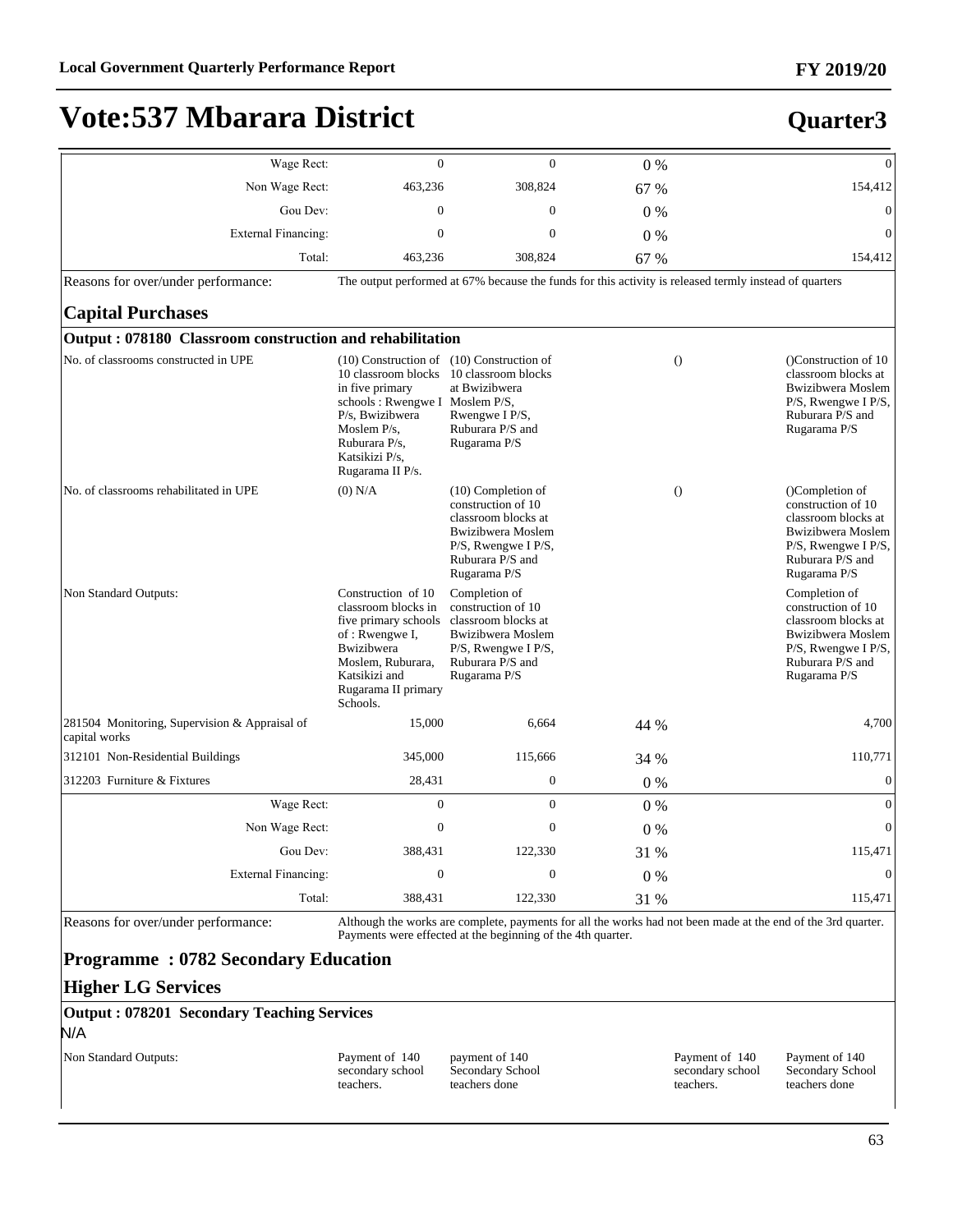#### **FY 2019/20**

### **Vote:537 Mbarara District**

#### **Quarter3**

| Wage Rect:                                                     | $\mathbf{0}$                                                                                                                                                                                                                              | $\mathbf{0}$                                                                                                                                            | 0%    | $\boldsymbol{0}$                                                                                                                                              |
|----------------------------------------------------------------|-------------------------------------------------------------------------------------------------------------------------------------------------------------------------------------------------------------------------------------------|---------------------------------------------------------------------------------------------------------------------------------------------------------|-------|---------------------------------------------------------------------------------------------------------------------------------------------------------------|
| Non Wage Rect:                                                 | 463,236                                                                                                                                                                                                                                   | 308,824                                                                                                                                                 | 67 %  | 154,412                                                                                                                                                       |
| Gou Dev:                                                       | $\Omega$                                                                                                                                                                                                                                  | $\theta$                                                                                                                                                | $0\%$ | $\theta$                                                                                                                                                      |
| External Financing:                                            | $\mathbf{0}$                                                                                                                                                                                                                              | $\mathbf{0}$                                                                                                                                            | 0%    | $\mathbf{0}$                                                                                                                                                  |
| Total:                                                         | 463,236                                                                                                                                                                                                                                   | 308,824                                                                                                                                                 | 67 %  | 154,412                                                                                                                                                       |
| Reasons for over/under performance:                            |                                                                                                                                                                                                                                           |                                                                                                                                                         |       | The output performed at 67% because the funds for this activity is released termly instead of quarters                                                        |
| <b>Capital Purchases</b>                                       |                                                                                                                                                                                                                                           |                                                                                                                                                         |       |                                                                                                                                                               |
| Output: 078180 Classroom construction and rehabilitation       |                                                                                                                                                                                                                                           |                                                                                                                                                         |       |                                                                                                                                                               |
| No. of classrooms constructed in UPE                           | $(10)$ Construction of $(10)$ Construction of<br>10 classroom blocks 10 classroom blocks<br>in five primary<br>schools: Rwengwe I Moslem P/S,<br>P/s, Bwizibwera<br>Moslem $P/s$ ,<br>Ruburara P/s,<br>Katsikizi P/s,<br>Rugarama II P/s. | at Bwizibwera<br>Rwengwe I P/S,<br>Ruburara P/S and<br>Rugarama P/S                                                                                     |       | $\theta$<br>()Construction of 10<br>classroom blocks at<br>Bwizibwera Moslem<br>$P/S$ , Rwengwe I $P/S$ ,<br>Ruburara P/S and<br>Rugarama P/S                 |
| No. of classrooms rehabilitated in UPE                         | $(0)$ N/A                                                                                                                                                                                                                                 | $(10)$ Completion of<br>construction of 10<br>classroom blocks at<br>Bwizibwera Moslem<br>$P/S$ , Rwengwe I $P/S$ ,<br>Ruburara P/S and<br>Rugarama P/S |       | $\Omega$<br>(Completion of<br>construction of 10<br>classroom blocks at<br>Bwizibwera Moslem<br>$P/S$ , Rwengwe I $P/S$ ,<br>Ruburara P/S and<br>Rugarama P/S |
| Non Standard Outputs:                                          | Construction of 10<br>classroom blocks in<br>five primary schools<br>of: Rwengwe I,<br><b>Bwizibwera</b><br>Moslem, Ruburara,<br>Katsikizi and<br>Rugarama II primary<br>Schools.                                                         | Completion of<br>construction of 10<br>classroom blocks at<br><b>Bwizibwera</b> Moslem<br>P/S, Rwengwe I P/S,<br>Ruburara P/S and<br>Rugarama P/S       |       | Completion of<br>construction of 10<br>classroom blocks at<br>Bwizibwera Moslem<br>$P/S$ , Rwengwe I $P/S$ ,<br>Ruburara P/S and<br>Rugarama P/S              |
| 281504 Monitoring, Supervision & Appraisal of<br>capital works | 15,000                                                                                                                                                                                                                                    | 6,664                                                                                                                                                   | 44 %  | 4,700                                                                                                                                                         |
| 312101 Non-Residential Buildings                               | 345,000                                                                                                                                                                                                                                   | 115,666                                                                                                                                                 | 34 %  | 110,771                                                                                                                                                       |
| 312203 Furniture & Fixtures                                    | 28,431                                                                                                                                                                                                                                    | $\boldsymbol{0}$                                                                                                                                        | 0%    | $\mathbf{0}$                                                                                                                                                  |
| Wage Rect:                                                     | $\mathbf{0}$                                                                                                                                                                                                                              | $\Omega$                                                                                                                                                | 0%    | $\overline{0}$                                                                                                                                                |
| Non Wage Rect:                                                 | $\mathbf{0}$                                                                                                                                                                                                                              | $\mathbf{0}$                                                                                                                                            | $0\%$ | $\overline{0}$                                                                                                                                                |
| Gou Dev:                                                       | 388,431                                                                                                                                                                                                                                   | 122,330                                                                                                                                                 | 31 %  | 115,471                                                                                                                                                       |
| External Financing:                                            | $\mathbf{0}$                                                                                                                                                                                                                              | $\mathbf{0}$                                                                                                                                            | 0%    | $\mathbf{0}$                                                                                                                                                  |
| Total:                                                         | 388,431                                                                                                                                                                                                                                   | 122,330                                                                                                                                                 | 31 %  | 115,471                                                                                                                                                       |

Reasons for over/under performance: Although the works are complete, payments for all the works had not been made at the end of the 3rd quarter. Payments were effected at the beginning of the 4th quarter.

#### **Programme : 0782 Secondary Education**

#### **Higher LG Services**

**Output : 078201 Secondary Teaching Services** N/A

Non Standard Outputs: Payment of 140

secondary school teachers.

payment of 140 Secondary School teachers done

Payment of 140 secondary school teachers.

Payment of 140 Secondary School teachers done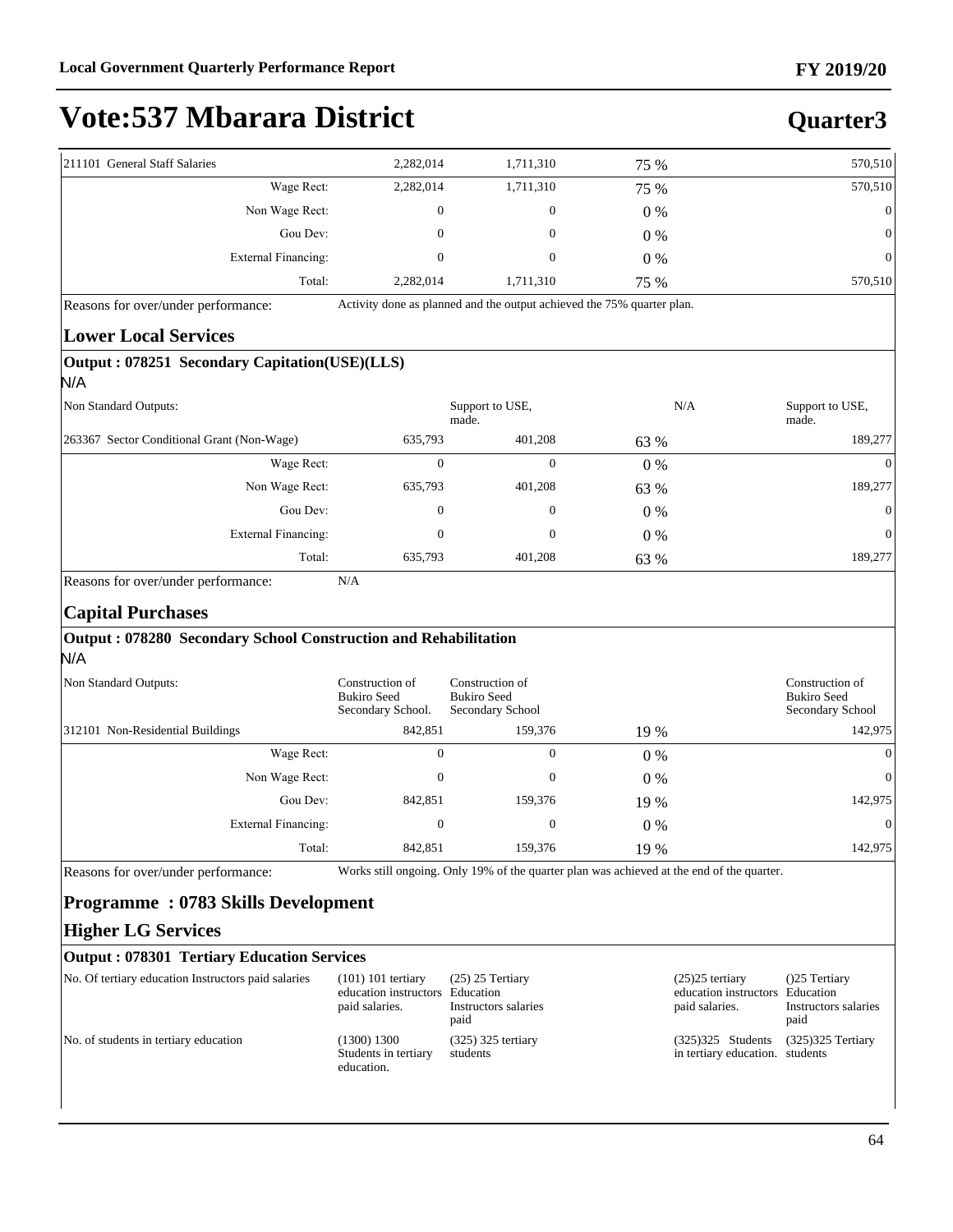| 211101 General Staff Salaries<br>Wage Rect:                                                        |                                                                           |                                                                        |                                                                                           |                                                              |                                                            |
|----------------------------------------------------------------------------------------------------|---------------------------------------------------------------------------|------------------------------------------------------------------------|-------------------------------------------------------------------------------------------|--------------------------------------------------------------|------------------------------------------------------------|
|                                                                                                    | 2,282,014                                                                 | 1,711,310                                                              | 75 %                                                                                      |                                                              | 570,510                                                    |
|                                                                                                    | 2,282,014                                                                 | 1,711,310                                                              | 75 %                                                                                      |                                                              | 570,510                                                    |
| Non Wage Rect:                                                                                     | 0                                                                         | $\mathbf{0}$                                                           | 0%                                                                                        |                                                              | $\mathbf{0}$                                               |
| Gou Dev:                                                                                           | 0                                                                         | $\mathbf{0}$                                                           | 0%                                                                                        |                                                              | $\Omega$                                                   |
| <b>External Financing:</b>                                                                         | 0                                                                         | $\mathbf{0}$                                                           | 0%                                                                                        |                                                              | $\Omega$                                                   |
| Total:                                                                                             | 2,282,014                                                                 | 1,711,310                                                              | 75 %                                                                                      |                                                              | 570,510                                                    |
| Reasons for over/under performance:                                                                |                                                                           | Activity done as planned and the output achieved the 75% quarter plan. |                                                                                           |                                                              |                                                            |
| <b>Lower Local Services</b>                                                                        |                                                                           |                                                                        |                                                                                           |                                                              |                                                            |
| Output: 078251 Secondary Capitation(USE)(LLS)                                                      |                                                                           |                                                                        |                                                                                           |                                                              |                                                            |
| N/A                                                                                                |                                                                           |                                                                        |                                                                                           |                                                              |                                                            |
| Non Standard Outputs:                                                                              |                                                                           | Support to USE,<br>made.                                               |                                                                                           | N/A                                                          | Support to USE,<br>made.                                   |
| 263367 Sector Conditional Grant (Non-Wage)                                                         | 635,793                                                                   | 401,208                                                                | 63 %                                                                                      |                                                              | 189,277                                                    |
| Wage Rect:                                                                                         | $\mathbf{0}$                                                              | $\mathbf{0}$                                                           | 0%                                                                                        |                                                              | $\Omega$                                                   |
| Non Wage Rect:                                                                                     | 635,793                                                                   | 401,208                                                                | 63 %                                                                                      |                                                              | 189,277                                                    |
| Gou Dev:                                                                                           | $\boldsymbol{0}$                                                          | $\mathbf{0}$                                                           | 0%                                                                                        |                                                              | $\Omega$                                                   |
| <b>External Financing:</b>                                                                         | 0                                                                         | $\mathbf{0}$                                                           | 0%                                                                                        |                                                              | $\Omega$                                                   |
| Total:                                                                                             | 635,793                                                                   | 401,208                                                                | 63 %                                                                                      |                                                              | 189,277                                                    |
| <b>Capital Purchases</b><br>Output: 078280 Secondary School Construction and Rehabilitation<br>N/A |                                                                           |                                                                        |                                                                                           |                                                              |                                                            |
| Non Standard Outputs:                                                                              | Construction of<br><b>Bukiro</b> Seed<br>Secondary School.                | Construction of<br><b>Bukiro Seed</b><br>Secondary School              |                                                                                           |                                                              | Construction of<br><b>Bukiro</b> Seed<br>Secondary School  |
| 312101 Non-Residential Buildings                                                                   | 842,851                                                                   | 159,376                                                                | 19 %                                                                                      |                                                              | 142,975                                                    |
| Wage Rect:                                                                                         | $\mathbf{0}$                                                              | $\mathbf{0}$                                                           | 0%                                                                                        |                                                              | $\Omega$                                                   |
| Non Wage Rect:                                                                                     | $\mathbf{0}$                                                              | $\mathbf{0}$                                                           | 0%                                                                                        |                                                              | $\mathbf{0}$                                               |
| Gou Dev:                                                                                           | 842,851                                                                   | 159,376                                                                | 19 %                                                                                      |                                                              | 142,975                                                    |
| <b>External Financing:</b>                                                                         | $\mathbf{0}$                                                              | $\boldsymbol{0}$                                                       | $0\%$                                                                                     |                                                              | $\mathbf{0}$                                               |
|                                                                                                    | 842,851                                                                   | 159,376                                                                | 19 %                                                                                      |                                                              | 142,975                                                    |
| Total:                                                                                             |                                                                           |                                                                        | Works still ongoing. Only 19% of the quarter plan was achieved at the end of the quarter. |                                                              |                                                            |
| Reasons for over/under performance:                                                                |                                                                           |                                                                        |                                                                                           |                                                              |                                                            |
| <b>Programme: 0783 Skills Development</b>                                                          |                                                                           |                                                                        |                                                                                           |                                                              |                                                            |
| <b>Higher LG Services</b>                                                                          |                                                                           |                                                                        |                                                                                           |                                                              |                                                            |
| <b>Output: 078301 Tertiary Education Services</b>                                                  |                                                                           |                                                                        |                                                                                           |                                                              |                                                            |
| No. Of tertiary education Instructors paid salaries                                                | $(101)$ 101 tertiary<br>education instructors Education<br>paid salaries. | $(25)$ 25 Tertiary<br>Instructors salaries<br>paid                     |                                                                                           | $(25)25$ tertiary<br>education instructors<br>paid salaries. | (25 Tertiary)<br>Education<br>Instructors salaries<br>paid |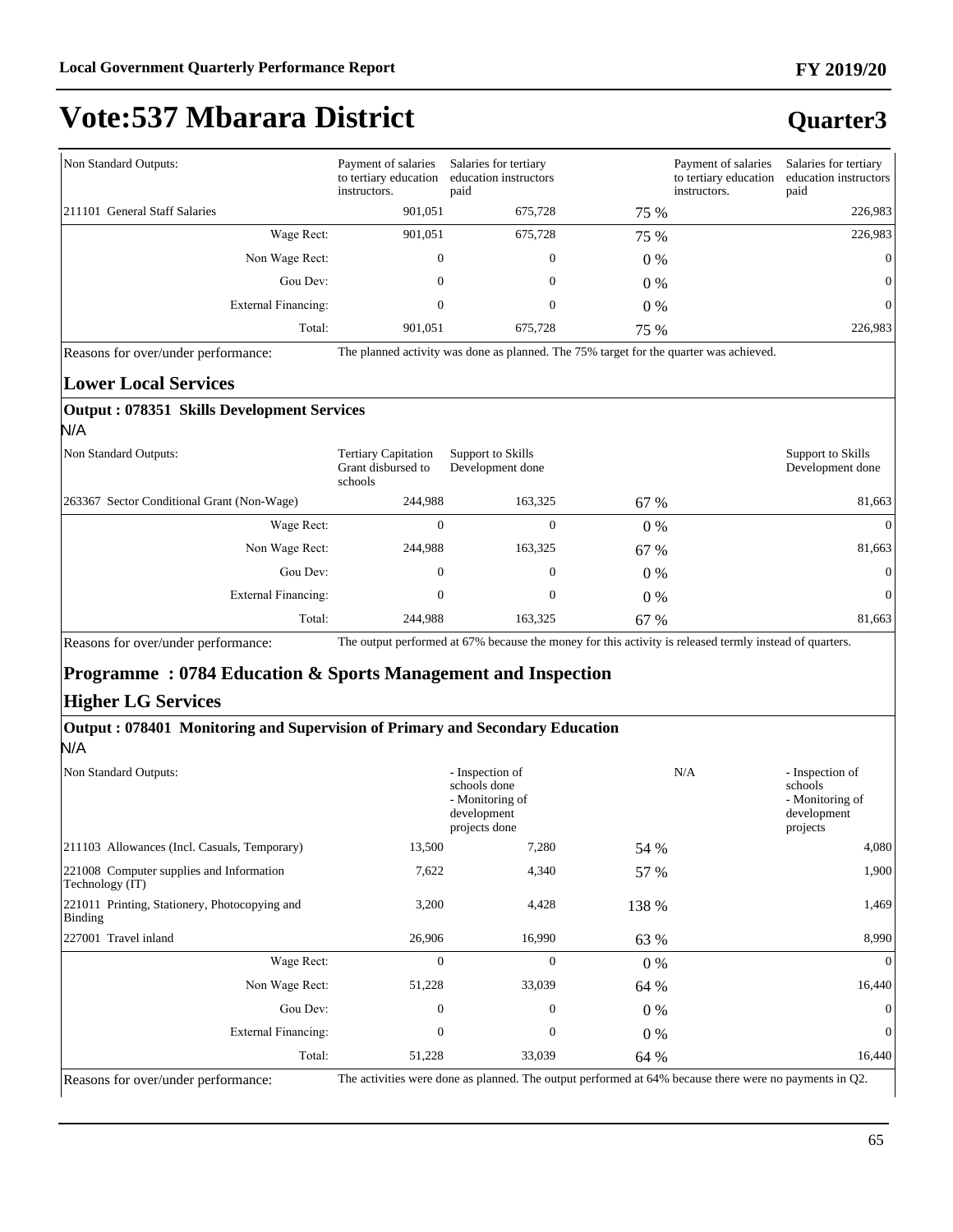#### **FY 2019/20**

## **Vote:537 Mbarara District**

#### **Quarter3**

| Non Standard Outputs:         |                | Payment of salaries<br>to tertiary education<br>instructors. | Salaries for tertiary<br>education instructors<br>paid |       | Payment of salaries<br>to tertiary education<br>instructors. | Salaries for tertiary<br>education instructors<br>paid |
|-------------------------------|----------------|--------------------------------------------------------------|--------------------------------------------------------|-------|--------------------------------------------------------------|--------------------------------------------------------|
| 211101 General Staff Salaries |                | 901.051                                                      | 675.728                                                | 75 %  |                                                              | 226,983                                                |
|                               | Wage Rect:     | 901,051                                                      | 675,728                                                | 75 %  |                                                              | 226,983                                                |
|                               | Non Wage Rect: |                                                              | $\mathbf{0}$                                           | $0\%$ |                                                              | $\overline{0}$                                         |
|                               | Gou Dev:       | 0                                                            | $\mathbf{0}$                                           | $0\%$ |                                                              | $\vert 0 \vert$                                        |
| External Financing:           |                |                                                              | $\mathbf{0}$                                           | $0\%$ |                                                              | $\overline{0}$                                         |
|                               | Total:         | 901.051                                                      | 675,728                                                | 75 %  |                                                              | 226,983                                                |

Reasons for over/under performance: The planned activity was done as planned. The 75% target for the quarter was achieved.

#### **Lower Local Services**

#### **Output : 078351 Skills Development Services** N/A

| Non Standard Outputs:                       | <b>Tertiary Capitation</b><br>Grant disbursed to<br>schools | Support to Skills<br>Development done |       | Support to Skills<br>Development done |
|---------------------------------------------|-------------------------------------------------------------|---------------------------------------|-------|---------------------------------------|
| [263367 Sector Conditional Grant (Non-Wage) | 244.988                                                     | 163,325                               | 67 %  | 81,663                                |
| Wage Rect:                                  | 0                                                           | $\mathbf{0}$                          | $0\%$ | $\Omega$                              |
| Non Wage Rect:                              | 244,988                                                     | 163,325                               | 67 %  | 81,663                                |
| Gou Dev:                                    | $\mathbf{0}$                                                | $\boldsymbol{0}$                      | 0 %   | $\Omega$                              |
| External Financing:                         | 0                                                           | $\mathbf{0}$                          | $0\%$ | $\Omega$                              |
| Total:                                      | 244,988                                                     | 163,325                               | 67 %  | 81,663                                |

Reasons for over/under performance: The output performed at 67% because the money for this activity is released termly instead of quarters.

#### **Programme : 0784 Education & Sports Management and Inspection**

#### **Higher LG Services**

#### **Output : 078401 Monitoring and Supervision of Primary and Secondary Education**

N/A

| Non Standard Outputs:                                       |              | - Inspection of<br>schools done<br>- Monitoring of<br>development<br>projects done | N/A   | - Inspection of<br>schools<br>- Monitoring of<br>development<br>projects |
|-------------------------------------------------------------|--------------|------------------------------------------------------------------------------------|-------|--------------------------------------------------------------------------|
| [211103 Allowances (Incl. Casuals, Temporary)               | 13,500       | 7,280                                                                              | 54 %  | 4,080                                                                    |
| 221008 Computer supplies and Information<br>Technology (IT) | 7,622        | 4,340                                                                              | 57 %  | 1,900                                                                    |
| 221011 Printing, Stationery, Photocopying and<br>Binding    | 3,200        | 4,428                                                                              | 138 % | 1,469                                                                    |
| 227001 Travel inland                                        | 26,906       | 16,990                                                                             | 63 %  | 8,990                                                                    |
| Wage Rect:                                                  | $\mathbf{0}$ | $\mathbf{0}$                                                                       | 0 %   | $\theta$                                                                 |
| Non Wage Rect:                                              | 51,228       | 33,039                                                                             | 64 %  | 16,440                                                                   |
| Gou Dev:                                                    | $\mathbf{0}$ | $\mathbf{0}$                                                                       | $0\%$ | $\mathbf{0}$                                                             |
| <b>External Financing:</b>                                  | $\Omega$     | $\mathbf{0}$                                                                       | 0 %   | $\mathbf{0}$                                                             |
| Total:                                                      | 51,228       | 33,039                                                                             | 64 %  | 16,440                                                                   |

Reasons for over/under performance: The activities were done as planned. The output performed at 64% because there were no payments in Q2.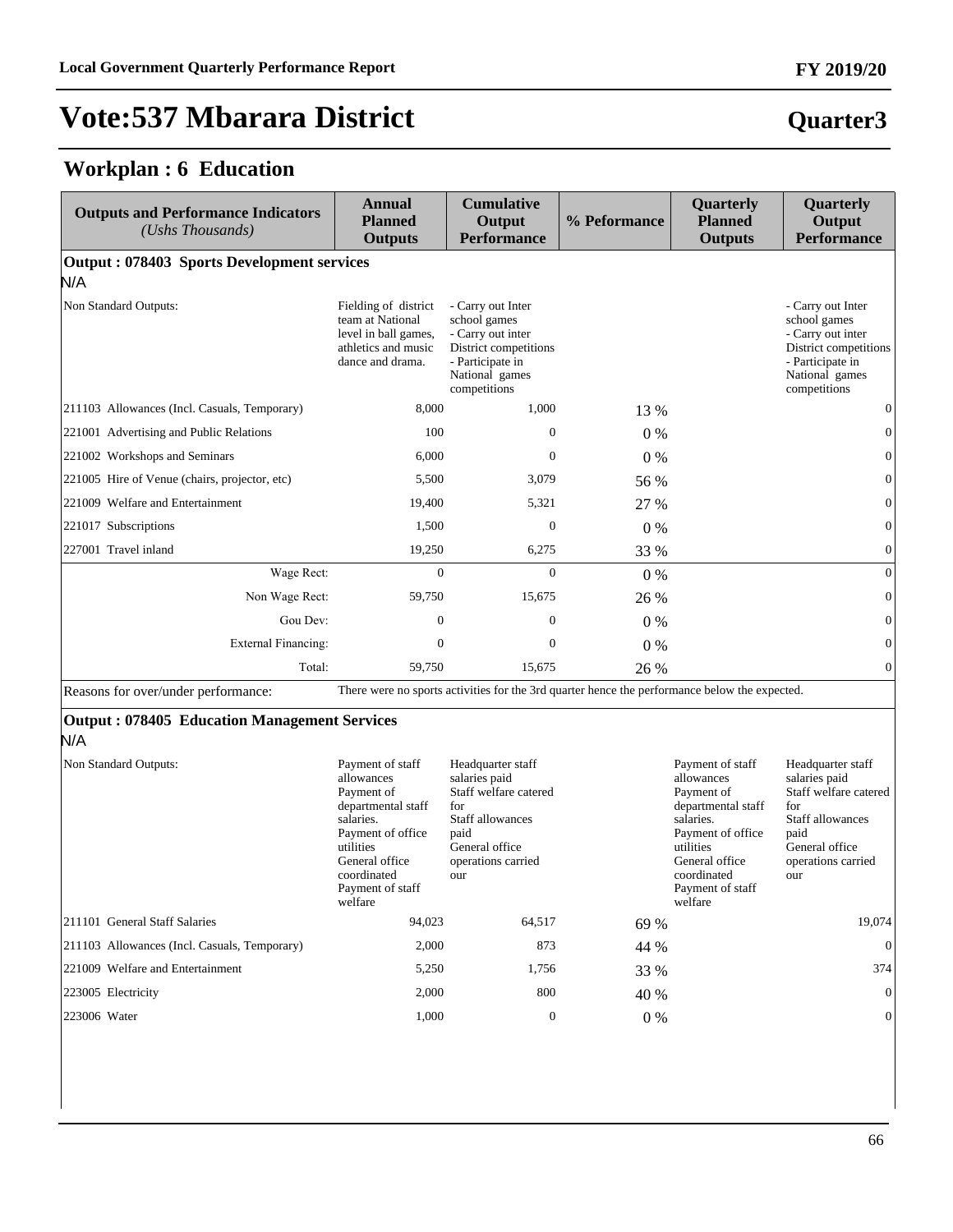**Quarter3**

# **Vote:537 Mbarara District**

#### **Workplan : 6 Education**

| <b>Outputs and Performance Indicators</b><br>(Ushs Thousands) | <b>Annual</b><br><b>Planned</b><br><b>Outputs</b>                                                                                                                                 | <b>Cumulative</b><br>Output<br><b>Performance</b>                                                                                             | % Peformance | <b>Quarterly</b><br><b>Planned</b><br><b>Outputs</b>                                                                                                                              | Quarterly<br>Output<br>Performance                                                                                                            |
|---------------------------------------------------------------|-----------------------------------------------------------------------------------------------------------------------------------------------------------------------------------|-----------------------------------------------------------------------------------------------------------------------------------------------|--------------|-----------------------------------------------------------------------------------------------------------------------------------------------------------------------------------|-----------------------------------------------------------------------------------------------------------------------------------------------|
| Output: 078403 Sports Development services<br>N/A             |                                                                                                                                                                                   |                                                                                                                                               |              |                                                                                                                                                                                   |                                                                                                                                               |
| Non Standard Outputs:                                         | Fielding of district<br>team at National<br>level in ball games,<br>athletics and music<br>dance and drama.                                                                       | - Carry out Inter<br>school games<br>- Carry out inter<br>District competitions<br>- Participate in<br>National games<br>competitions         |              |                                                                                                                                                                                   | - Carry out Inter<br>school games<br>- Carry out inter<br>District competitions<br>- Participate in<br>National games<br>competitions         |
| 211103 Allowances (Incl. Casuals, Temporary)                  | 8.000                                                                                                                                                                             | 1.000                                                                                                                                         | 13 %         |                                                                                                                                                                                   | $\mathbf{0}$                                                                                                                                  |
| 221001 Advertising and Public Relations                       | 100                                                                                                                                                                               | $\mathbf{0}$                                                                                                                                  | $0\%$        |                                                                                                                                                                                   | $\overline{0}$                                                                                                                                |
| 221002 Workshops and Seminars                                 | 6,000                                                                                                                                                                             | $\overline{0}$                                                                                                                                | $0\%$        |                                                                                                                                                                                   | $\overline{0}$                                                                                                                                |
| 221005 Hire of Venue (chairs, projector, etc)                 | 5,500                                                                                                                                                                             | 3,079                                                                                                                                         | 56 %         |                                                                                                                                                                                   | $\mathbf{0}$                                                                                                                                  |
| 221009 Welfare and Entertainment                              | 19,400                                                                                                                                                                            | 5,321                                                                                                                                         | 27 %         |                                                                                                                                                                                   | $\overline{0}$                                                                                                                                |
| 221017 Subscriptions                                          | 1,500                                                                                                                                                                             | $\mathbf{0}$                                                                                                                                  | $0\%$        |                                                                                                                                                                                   | $\overline{0}$                                                                                                                                |
| 227001 Travel inland                                          | 19,250                                                                                                                                                                            | 6,275                                                                                                                                         | 33 %         |                                                                                                                                                                                   | $\boldsymbol{0}$                                                                                                                              |
| Wage Rect:                                                    | $\overline{0}$                                                                                                                                                                    | $\boldsymbol{0}$                                                                                                                              | $0\%$        |                                                                                                                                                                                   | $\mathbf{0}$                                                                                                                                  |
| Non Wage Rect:                                                | 59,750                                                                                                                                                                            | 15,675                                                                                                                                        | 26 %         |                                                                                                                                                                                   | $\mathbf{0}$                                                                                                                                  |
| Gou Dev:                                                      | $\overline{0}$                                                                                                                                                                    | $\boldsymbol{0}$                                                                                                                              | $0\%$        |                                                                                                                                                                                   | $\boldsymbol{0}$                                                                                                                              |
| External Financing:                                           | $\overline{0}$                                                                                                                                                                    | $\mathbf{0}$                                                                                                                                  | $0\%$        |                                                                                                                                                                                   | $\boldsymbol{0}$                                                                                                                              |
| Total:                                                        | 59.750                                                                                                                                                                            | 15,675                                                                                                                                        | 26 %         |                                                                                                                                                                                   | $\overline{0}$                                                                                                                                |
| Reasons for over/under performance:                           |                                                                                                                                                                                   | There were no sports activities for the 3rd quarter hence the performance below the expected.                                                 |              |                                                                                                                                                                                   |                                                                                                                                               |
| <b>Output: 078405 Education Management Services</b><br>N/A    |                                                                                                                                                                                   |                                                                                                                                               |              |                                                                                                                                                                                   |                                                                                                                                               |
| Non Standard Outputs:                                         | Payment of staff<br>allowances<br>Payment of<br>departmental staff<br>salaries.<br>Payment of office<br>utilities<br>General office<br>coordinated<br>Payment of staff<br>welfare | Headquarter staff<br>salaries paid<br>Staff welfare catered<br>for<br>Staff allowances<br>paid<br>General office<br>operations carried<br>our |              | Payment of staff<br>allowances<br>Payment of<br>departmental staff<br>salaries.<br>Payment of office<br>utilities<br>General office<br>coordinated<br>Payment of staff<br>welfare | Headquarter staff<br>salaries paid<br>Staff welfare catered<br>for<br>Staff allowances<br>paid<br>General office<br>operations carried<br>our |
| 211101 General Staff Salaries                                 | 94,023                                                                                                                                                                            | 64,517                                                                                                                                        | 69 %         |                                                                                                                                                                                   | 19,074                                                                                                                                        |
| 211103 Allowances (Incl. Casuals, Temporary)                  | 2,000                                                                                                                                                                             | 873                                                                                                                                           | 44 %         |                                                                                                                                                                                   | $\overline{0}$                                                                                                                                |
| 221009 Welfare and Entertainment                              | 5,250                                                                                                                                                                             | 1,756                                                                                                                                         | 33 %         |                                                                                                                                                                                   | 374                                                                                                                                           |

223005 Electricity 2,000 800 40 % 0 223006 Water 1,000 0 0 % 0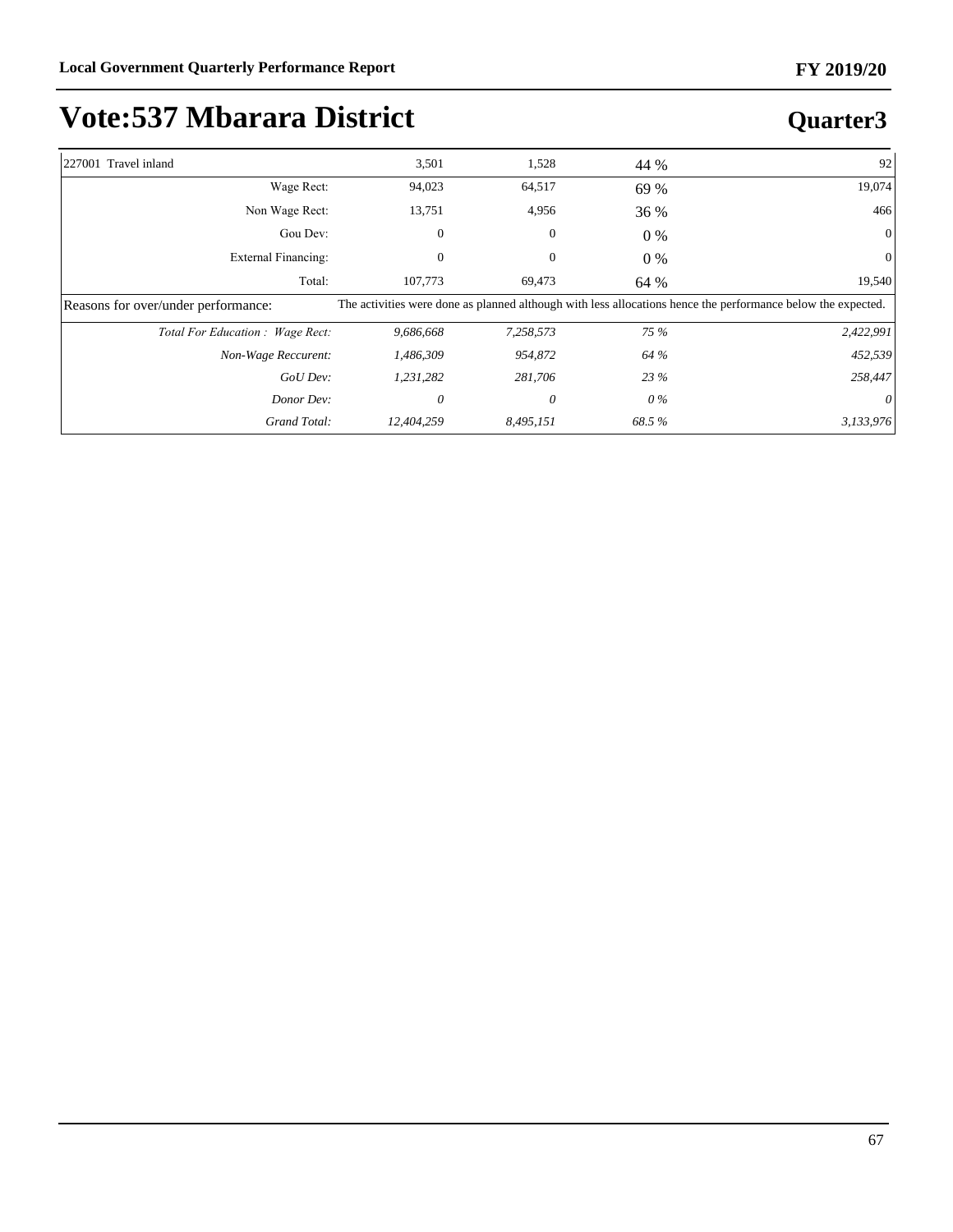| 227001 Travel inland                | 3,501      | 1,528        | 44 %  | 92                                                                                                           |
|-------------------------------------|------------|--------------|-------|--------------------------------------------------------------------------------------------------------------|
| Wage Rect:                          | 94,023     | 64,517       | 69 %  | 19,074                                                                                                       |
| Non Wage Rect:                      | 13,751     | 4,956        | 36 %  | 466                                                                                                          |
| Gou Dev:                            | 0          | 0            | $0\%$ |                                                                                                              |
| <b>External Financing:</b>          | 0          | $\mathbf{0}$ | $0\%$ |                                                                                                              |
| Total:                              | 107,773    | 69,473       | 64 %  | 19,540                                                                                                       |
| Reasons for over/under performance: |            |              |       | The activities were done as planned although with less allocations hence the performance below the expected. |
| Total For Education : Wage Rect:    | 9,686,668  | 7,258,573    | 75 %  | 2,422,991                                                                                                    |
| Non-Wage Reccurent:                 | 1,486,309  | 954,872      | 64 %  | 452,539                                                                                                      |
| GoU Dev:                            | 1,231,282  | 281,706      | 23 %  | 258,447                                                                                                      |
| Donor Dev:                          | 0          | 0            | 0 %   | $\theta$                                                                                                     |
| Grand Total:                        | 12,404,259 | 8,495,151    | 68.5% | 3,133,976                                                                                                    |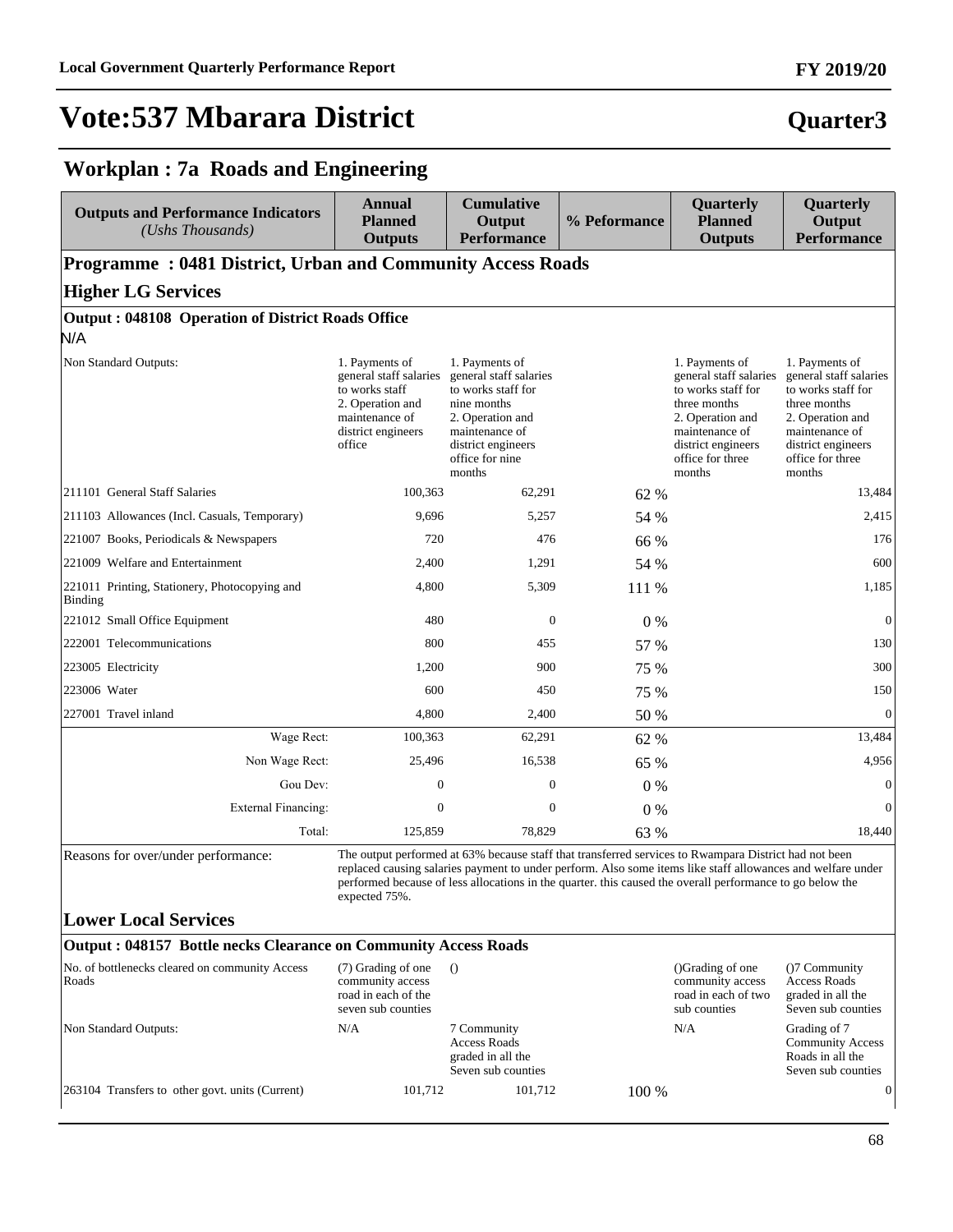#### **FY 2019/20**

#### **Quarter3**

#### **Workplan : 7a Roads and Engineering**

| <b>Outputs and Performance Indicators</b><br>(Ushs Thousands)     | <b>Annual</b><br><b>Planned</b><br><b>Outputs</b>                                                                                | <b>Cumulative</b><br>Output<br><b>Performance</b>                                                                                                                                                                                                                                                                                 | % Peformance | <b>Quarterly</b><br><b>Planned</b><br><b>Outputs</b>                                                                                                                     | Quarterly<br>Output<br><b>Performance</b>                                                                                                                                |
|-------------------------------------------------------------------|----------------------------------------------------------------------------------------------------------------------------------|-----------------------------------------------------------------------------------------------------------------------------------------------------------------------------------------------------------------------------------------------------------------------------------------------------------------------------------|--------------|--------------------------------------------------------------------------------------------------------------------------------------------------------------------------|--------------------------------------------------------------------------------------------------------------------------------------------------------------------------|
| <b>Programme: 0481 District, Urban and Community Access Roads</b> |                                                                                                                                  |                                                                                                                                                                                                                                                                                                                                   |              |                                                                                                                                                                          |                                                                                                                                                                          |
| <b>Higher LG Services</b>                                         |                                                                                                                                  |                                                                                                                                                                                                                                                                                                                                   |              |                                                                                                                                                                          |                                                                                                                                                                          |
| Output: 048108 Operation of District Roads Office                 |                                                                                                                                  |                                                                                                                                                                                                                                                                                                                                   |              |                                                                                                                                                                          |                                                                                                                                                                          |
| N/A                                                               |                                                                                                                                  |                                                                                                                                                                                                                                                                                                                                   |              |                                                                                                                                                                          |                                                                                                                                                                          |
| Non Standard Outputs:                                             | 1. Payments of<br>general staff salaries<br>to works staff<br>2. Operation and<br>maintenance of<br>district engineers<br>office | 1. Payments of<br>general staff salaries<br>to works staff for<br>nine months<br>2. Operation and<br>maintenance of<br>district engineers<br>office for nine<br>months                                                                                                                                                            |              | 1. Payments of<br>general staff salaries<br>to works staff for<br>three months<br>2. Operation and<br>maintenance of<br>district engineers<br>office for three<br>months | 1. Payments of<br>general staff salaries<br>to works staff for<br>three months<br>2. Operation and<br>maintenance of<br>district engineers<br>office for three<br>months |
| 211101 General Staff Salaries                                     | 100,363                                                                                                                          | 62,291                                                                                                                                                                                                                                                                                                                            | 62 %         |                                                                                                                                                                          | 13,484                                                                                                                                                                   |
| 211103 Allowances (Incl. Casuals, Temporary)                      | 9,696                                                                                                                            | 5,257                                                                                                                                                                                                                                                                                                                             | 54 %         |                                                                                                                                                                          | 2,415                                                                                                                                                                    |
| 221007 Books, Periodicals & Newspapers                            | 720                                                                                                                              | 476                                                                                                                                                                                                                                                                                                                               | 66 %         |                                                                                                                                                                          | 176                                                                                                                                                                      |
| 221009 Welfare and Entertainment                                  | 2,400                                                                                                                            | 1,291                                                                                                                                                                                                                                                                                                                             | 54 %         |                                                                                                                                                                          | 600                                                                                                                                                                      |
| 221011 Printing, Stationery, Photocopying and<br><b>Binding</b>   | 4,800                                                                                                                            | 5,309                                                                                                                                                                                                                                                                                                                             | 111 %        |                                                                                                                                                                          | 1,185                                                                                                                                                                    |
| 221012 Small Office Equipment                                     | 480                                                                                                                              | $\mathbf{0}$                                                                                                                                                                                                                                                                                                                      | $0\%$        |                                                                                                                                                                          | $\mathbf{0}$                                                                                                                                                             |
| 222001 Telecommunications                                         | 800                                                                                                                              | 455                                                                                                                                                                                                                                                                                                                               | 57 %         |                                                                                                                                                                          | 130                                                                                                                                                                      |
| 223005 Electricity                                                | 1,200                                                                                                                            | 900                                                                                                                                                                                                                                                                                                                               | 75 %         |                                                                                                                                                                          | 300                                                                                                                                                                      |
| 223006 Water                                                      | 600                                                                                                                              | 450                                                                                                                                                                                                                                                                                                                               | 75 %         |                                                                                                                                                                          | 150                                                                                                                                                                      |
| 227001 Travel inland                                              | 4,800                                                                                                                            | 2,400                                                                                                                                                                                                                                                                                                                             | 50 %         |                                                                                                                                                                          | $\mathbf{0}$                                                                                                                                                             |
| Wage Rect:                                                        | 100,363                                                                                                                          | 62,291                                                                                                                                                                                                                                                                                                                            | 62 %         |                                                                                                                                                                          | 13,484                                                                                                                                                                   |
| Non Wage Rect:                                                    | 25,496                                                                                                                           | 16,538                                                                                                                                                                                                                                                                                                                            | 65 %         |                                                                                                                                                                          | 4,956                                                                                                                                                                    |
| Gou Dev:                                                          | $\boldsymbol{0}$                                                                                                                 | $\boldsymbol{0}$                                                                                                                                                                                                                                                                                                                  | $0\%$        |                                                                                                                                                                          | $\boldsymbol{0}$                                                                                                                                                         |
| <b>External Financing:</b>                                        | $\mathbf{0}$                                                                                                                     | $\mathbf{0}$                                                                                                                                                                                                                                                                                                                      | $0\%$        |                                                                                                                                                                          | $\mathbf{0}$                                                                                                                                                             |
| Total:                                                            | 125,859                                                                                                                          | 78,829                                                                                                                                                                                                                                                                                                                            | 63 %         |                                                                                                                                                                          | 18,440                                                                                                                                                                   |
| Reasons for over/under performance:                               | expected 75%.                                                                                                                    | The output performed at 63% because staff that transferred services to Rwampara District had not been<br>replaced causing salaries payment to under perform. Also some items like staff allowances and welfare under<br>performed because of less allocations in the quarter. this caused the overall performance to go below the |              |                                                                                                                                                                          |                                                                                                                                                                          |
| <b>Lower Local Services</b>                                       |                                                                                                                                  |                                                                                                                                                                                                                                                                                                                                   |              |                                                                                                                                                                          |                                                                                                                                                                          |
| Output: 048157 Bottle necks Clearance on Community Access Roads   |                                                                                                                                  |                                                                                                                                                                                                                                                                                                                                   |              |                                                                                                                                                                          |                                                                                                                                                                          |
| No. of bottlenecks cleared on community Access<br>Roads           | (7) Grading of one<br>community access<br>road in each of the<br>seven sub counties                                              | $\Omega$                                                                                                                                                                                                                                                                                                                          |              | ()Grading of one<br>community access<br>road in each of two<br>sub counties                                                                                              | ()7 Community<br><b>Access Roads</b><br>graded in all the<br>Seven sub counties                                                                                          |
| Non Standard Outputs:                                             | N/A                                                                                                                              | 7 Community<br><b>Access Roads</b>                                                                                                                                                                                                                                                                                                |              | N/A                                                                                                                                                                      | Grading of 7<br><b>Community Access</b>                                                                                                                                  |

graded in all the Seven sub counties

 $263104$  Transfers to other govt. units (Current)  $101,712$   $101,712$   $100\%$ 

Roads in all the Seven sub counties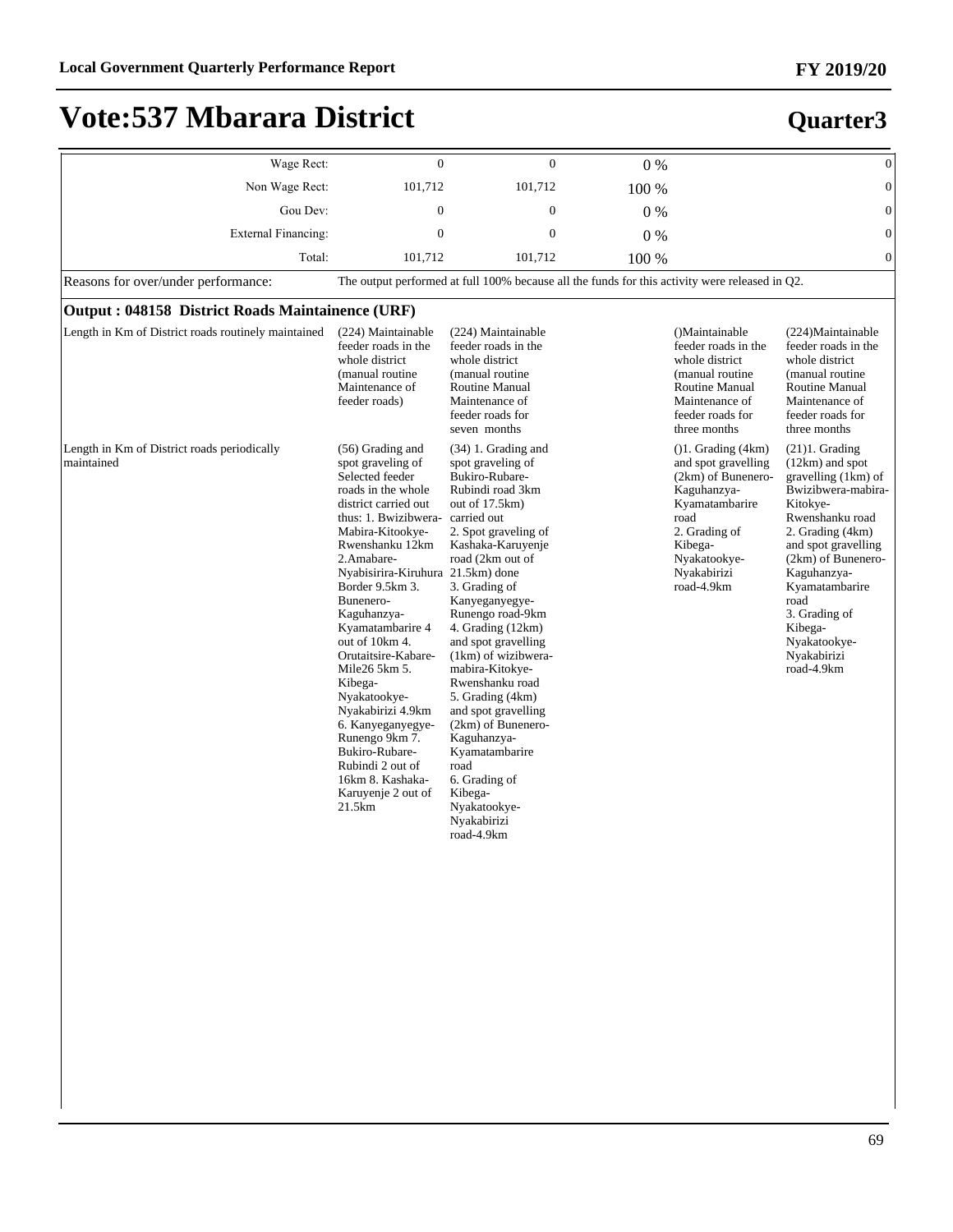| Wage Rect:                                                | $\Omega$                                                                                                                                                                                                                                                                                                                                                                                                                                                                                                                                 | $\theta$                                                                                                                                                                                                                                                                                                                                                                                                                                                                                                                                 | $0\%$ |                                                                                                                                                                                        | $\boldsymbol{0}$                                                                                                                                                                                                                                                                                   |
|-----------------------------------------------------------|------------------------------------------------------------------------------------------------------------------------------------------------------------------------------------------------------------------------------------------------------------------------------------------------------------------------------------------------------------------------------------------------------------------------------------------------------------------------------------------------------------------------------------------|------------------------------------------------------------------------------------------------------------------------------------------------------------------------------------------------------------------------------------------------------------------------------------------------------------------------------------------------------------------------------------------------------------------------------------------------------------------------------------------------------------------------------------------|-------|----------------------------------------------------------------------------------------------------------------------------------------------------------------------------------------|----------------------------------------------------------------------------------------------------------------------------------------------------------------------------------------------------------------------------------------------------------------------------------------------------|
| Non Wage Rect:                                            | 101,712                                                                                                                                                                                                                                                                                                                                                                                                                                                                                                                                  | 101,712                                                                                                                                                                                                                                                                                                                                                                                                                                                                                                                                  | 100 % |                                                                                                                                                                                        | $\mathbf{0}$                                                                                                                                                                                                                                                                                       |
| Gou Dev:                                                  | $\overline{0}$                                                                                                                                                                                                                                                                                                                                                                                                                                                                                                                           | $\mathbf{0}$                                                                                                                                                                                                                                                                                                                                                                                                                                                                                                                             | $0\%$ |                                                                                                                                                                                        | $\overline{0}$                                                                                                                                                                                                                                                                                     |
| <b>External Financing:</b>                                | $\Omega$                                                                                                                                                                                                                                                                                                                                                                                                                                                                                                                                 | $\Omega$                                                                                                                                                                                                                                                                                                                                                                                                                                                                                                                                 | 0%    |                                                                                                                                                                                        | $\mathbf{0}$                                                                                                                                                                                                                                                                                       |
| Total:                                                    | 101,712                                                                                                                                                                                                                                                                                                                                                                                                                                                                                                                                  | 101,712                                                                                                                                                                                                                                                                                                                                                                                                                                                                                                                                  | 100 % |                                                                                                                                                                                        | $\overline{0}$                                                                                                                                                                                                                                                                                     |
| Reasons for over/under performance:                       |                                                                                                                                                                                                                                                                                                                                                                                                                                                                                                                                          | The output performed at full 100% because all the funds for this activity were released in Q2.                                                                                                                                                                                                                                                                                                                                                                                                                                           |       |                                                                                                                                                                                        |                                                                                                                                                                                                                                                                                                    |
| Output: 048158 District Roads Maintainence (URF)          |                                                                                                                                                                                                                                                                                                                                                                                                                                                                                                                                          |                                                                                                                                                                                                                                                                                                                                                                                                                                                                                                                                          |       |                                                                                                                                                                                        |                                                                                                                                                                                                                                                                                                    |
| Length in Km of District roads routinely maintained       | (224) Maintainable<br>feeder roads in the<br>whole district<br>(manual routine<br>Maintenance of<br>feeder roads)                                                                                                                                                                                                                                                                                                                                                                                                                        | (224) Maintainable<br>feeder roads in the<br>whole district<br>(manual routine<br>Routine Manual<br>Maintenance of<br>feeder roads for<br>seven months                                                                                                                                                                                                                                                                                                                                                                                   |       | ()Maintainable<br>feeder roads in the<br>whole district<br>(manual routine)<br>Routine Manual<br>Maintenance of<br>feeder roads for<br>three months                                    | (224) Maintainable<br>feeder roads in the<br>whole district<br>(manual routine)<br>Routine Manual<br>Maintenance of<br>feeder roads for<br>three months                                                                                                                                            |
| Length in Km of District roads periodically<br>maintained | $(56)$ Grading and<br>spot graveling of<br>Selected feeder<br>roads in the whole<br>district carried out<br>thus: 1. Bwizibwera-<br>Mabira-Kitookye-<br>Rwenshanku 12km<br>2.Amabare-<br>Nyabisirira-Kiruhura 21.5km) done<br>Border 9.5km 3.<br>Bunenero-<br>Kaguhanzya-<br>Kyamatambarire 4<br>out of 10km 4.<br>Orutaitsire-Kabare-<br>Mile26 5km 5.<br>Kibega-<br>Nyakatookye-<br>Nyakabirizi 4.9km<br>6. Kanyeganyegye-<br>Runengo 9km 7.<br>Bukiro-Rubare-<br>Rubindi 2 out of<br>16km 8. Kashaka-<br>Karuyenje 2 out of<br>21.5km | $(34)$ 1. Grading and<br>spot graveling of<br>Bukiro-Rubare-<br>Rubindi road 3km<br>out of $17.5km$ )<br>carried out<br>2. Spot graveling of<br>Kashaka-Karuyenje<br>road (2km out of<br>3. Grading of<br>Kanyeganyegye-<br>Runengo road-9km<br>4. Grading (12km)<br>and spot gravelling<br>(1km) of wizibwera-<br>mabira-Kitokye-<br>Rwenshanku road<br>5. Grading (4km)<br>and spot gravelling<br>(2km) of Bunenero-<br>Kaguhanzya-<br>Kyamatambarire<br>road<br>6. Grading of<br>Kibega-<br>Nyakatookye-<br>Nyakabirizi<br>road-4.9km |       | $( )1.$ Grading $(4km)$<br>and spot gravelling<br>(2km) of Bunenero-<br>Kaguhanzya-<br>Kyamatambarire<br>road<br>2. Grading of<br>Kibega-<br>Nyakatookye-<br>Nyakabirizi<br>road-4.9km | $(21)1.$ Grading<br>(12km) and spot<br>gravelling (1km) of<br>Bwizibwera-mabira-<br>Kitokye-<br>Rwenshanku road<br>2. Grading (4km)<br>and spot gravelling<br>(2km) of Bunenero-<br>Kaguhanzya-<br>Kyamatambarire<br>road<br>3. Grading of<br>Kibega-<br>Nyakatookye-<br>Nyakabirizi<br>road-4.9km |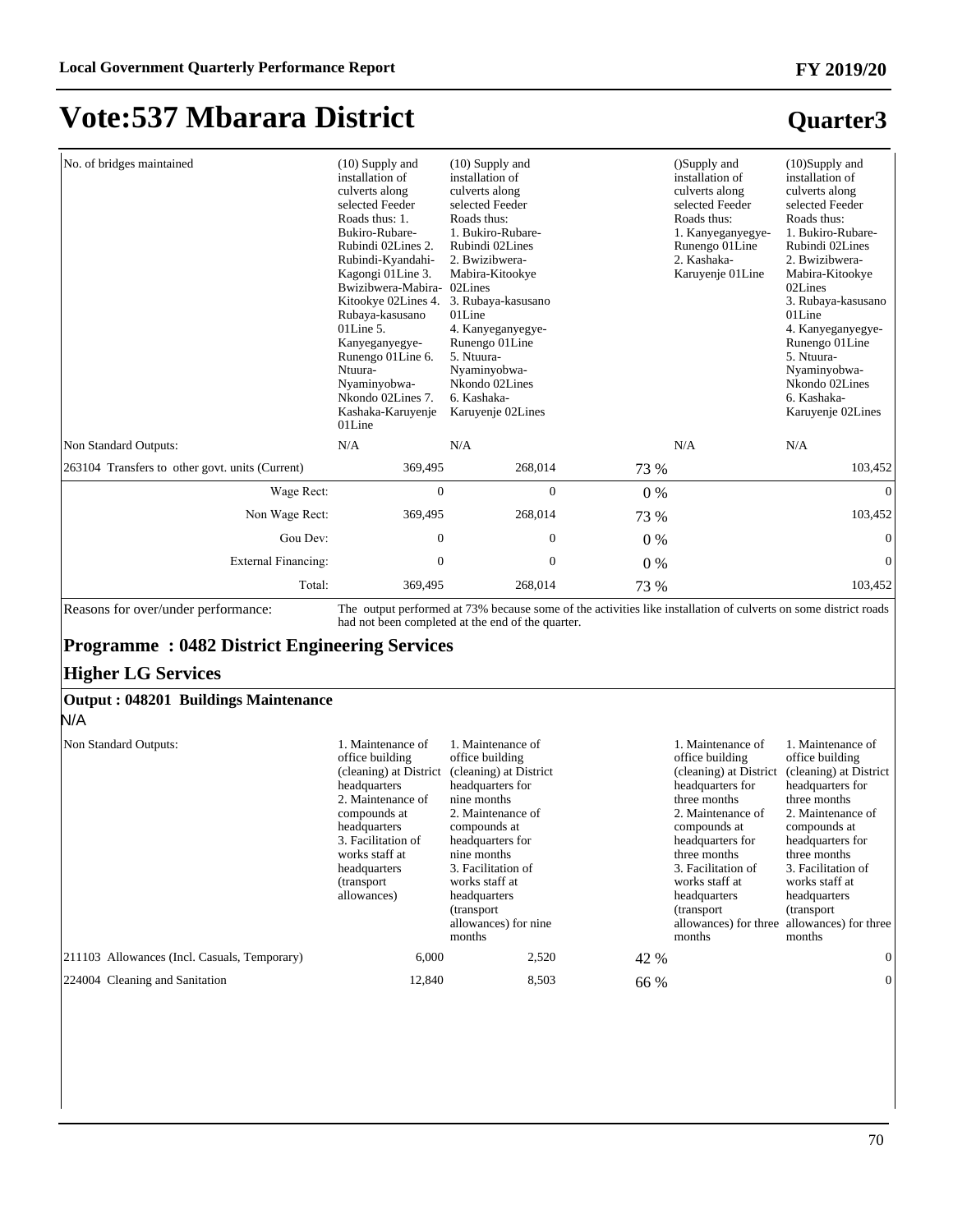### **Quarter3**

| No. of bridges maintained                                                                                                                                                      | $(10)$ Supply and<br>installation of<br>culverts along<br>selected Feeder<br>Roads thus: 1.<br>Bukiro-Rubare-<br>Rubindi 02Lines 2.<br>Rubindi-Kyandahi-<br>Kagongi 01 Line 3.<br>Bwizibwera-Mabira- 02Lines<br>Kitookye 02Lines 4.<br>Rubaya-kasusano<br>$01$ Line 5.<br>Kanyeganyegye-<br>Runengo 01 Line 6.<br>Ntuura-<br>Nyaminyobwa-<br>Nkondo 02Lines 7.<br>Kashaka-Karuyenje<br>01Line | $(10)$ Supply and<br>installation of<br>culverts along<br>selected Feeder<br>Roads thus:<br>1. Bukiro-Rubare-<br>Rubindi 02Lines<br>2. Bwizibwera-<br>Mabira-Kitookye<br>3. Rubaya-kasusano<br>01Line<br>4. Kanyeganyegye-<br>Runengo 01 Line<br>5. Ntuura-<br>Nyaminyobwa-<br>Nkondo 02Lines<br>6. Kashaka-<br>Karuyenje 02Lines |       | ()Supply and<br>installation of<br>culverts along<br>selected Feeder<br>Roads thus:<br>1. Kanyeganyegye-<br>Runengo 01 Line<br>2. Kashaka-<br>Karuyenje 01 Line                                                                   | (10)Supply and<br>installation of<br>culverts along<br>selected Feeder<br>Roads thus:<br>1. Bukiro-Rubare-<br>Rubindi 02Lines<br>2. Bwizibwera-<br>Mabira-Kitookye<br>02Lines<br>3. Rubaya-kasusano<br>01Line<br>4. Kanyeganyegye-<br>Runengo 01 Line<br>5. Ntuura-<br>Nyaminyobwa-<br>Nkondo 02Lines<br>6. Kashaka-<br>Karuyenje 02Lines         |
|--------------------------------------------------------------------------------------------------------------------------------------------------------------------------------|-----------------------------------------------------------------------------------------------------------------------------------------------------------------------------------------------------------------------------------------------------------------------------------------------------------------------------------------------------------------------------------------------|-----------------------------------------------------------------------------------------------------------------------------------------------------------------------------------------------------------------------------------------------------------------------------------------------------------------------------------|-------|-----------------------------------------------------------------------------------------------------------------------------------------------------------------------------------------------------------------------------------|---------------------------------------------------------------------------------------------------------------------------------------------------------------------------------------------------------------------------------------------------------------------------------------------------------------------------------------------------|
| Non Standard Outputs:                                                                                                                                                          | N/A                                                                                                                                                                                                                                                                                                                                                                                           | N/A                                                                                                                                                                                                                                                                                                                               |       | N/A                                                                                                                                                                                                                               | N/A                                                                                                                                                                                                                                                                                                                                               |
| 263104 Transfers to other govt. units (Current)                                                                                                                                | 369,495                                                                                                                                                                                                                                                                                                                                                                                       | 268,014                                                                                                                                                                                                                                                                                                                           | 73 %  |                                                                                                                                                                                                                                   | 103,452                                                                                                                                                                                                                                                                                                                                           |
| Wage Rect:                                                                                                                                                                     | $\boldsymbol{0}$                                                                                                                                                                                                                                                                                                                                                                              | $\boldsymbol{0}$                                                                                                                                                                                                                                                                                                                  | $0\%$ |                                                                                                                                                                                                                                   | $\boldsymbol{0}$                                                                                                                                                                                                                                                                                                                                  |
| Non Wage Rect:                                                                                                                                                                 | 369,495                                                                                                                                                                                                                                                                                                                                                                                       | 268,014                                                                                                                                                                                                                                                                                                                           | 73 %  |                                                                                                                                                                                                                                   | 103,452                                                                                                                                                                                                                                                                                                                                           |
| Gou Dev:                                                                                                                                                                       | $\boldsymbol{0}$                                                                                                                                                                                                                                                                                                                                                                              | $\boldsymbol{0}$                                                                                                                                                                                                                                                                                                                  | $0\%$ |                                                                                                                                                                                                                                   | $\mathbf{0}$                                                                                                                                                                                                                                                                                                                                      |
| External Financing:                                                                                                                                                            | $\boldsymbol{0}$                                                                                                                                                                                                                                                                                                                                                                              | $\boldsymbol{0}$                                                                                                                                                                                                                                                                                                                  | 0%    |                                                                                                                                                                                                                                   | $\mathbf{0}$                                                                                                                                                                                                                                                                                                                                      |
| Total:                                                                                                                                                                         | 369,495                                                                                                                                                                                                                                                                                                                                                                                       | 268,014                                                                                                                                                                                                                                                                                                                           | 73 %  |                                                                                                                                                                                                                                   | 103,452                                                                                                                                                                                                                                                                                                                                           |
| Reasons for over/under performance:<br><b>Programme: 0482 District Engineering Services</b><br><b>Higher LG Services</b><br><b>Output: 048201 Buildings Maintenance</b><br>N/A |                                                                                                                                                                                                                                                                                                                                                                                               | The output performed at 73% because some of the activities like installation of culverts on some district roads<br>had not been completed at the end of the quarter.                                                                                                                                                              |       |                                                                                                                                                                                                                                   |                                                                                                                                                                                                                                                                                                                                                   |
| Non Standard Outputs:<br>211103 Allowances (Incl. Casuals, Temporary)                                                                                                          | 1. Maintenance of<br>office building<br>headquarters<br>2. Maintenance of<br>compounds at<br>headquarters<br>3. Facilitation of<br>works staff at<br>headquarters<br>(transport)<br>allowances)<br>6,000                                                                                                                                                                                      | 1. Maintenance of<br>office building<br>(cleaning) at District (cleaning) at District<br>headquarters for<br>nine months<br>2. Maintenance of<br>compounds at<br>headquarters for<br>nine months<br>3. Facilitation of<br>works staff at<br>headquarters<br>(transport)<br>allowances) for nine<br>months<br>2,520                |       | 1. Maintenance of<br>office building<br>headquarters for<br>three months<br>2. Maintenance of<br>compounds at<br>headquarters for<br>three months<br>3. Facilitation of<br>works staff at<br>headquarters<br>(transport<br>months | 1. Maintenance of<br>office building<br>(cleaning) at District (cleaning) at District<br>headquarters for<br>three months<br>2. Maintenance of<br>compounds at<br>headquarters for<br>three months<br>3. Facilitation of<br>works staff at<br>headquarters<br>(transport<br>allowances) for three allowances) for three<br>months<br>$\mathbf{0}$ |
|                                                                                                                                                                                |                                                                                                                                                                                                                                                                                                                                                                                               |                                                                                                                                                                                                                                                                                                                                   | 42 %  |                                                                                                                                                                                                                                   |                                                                                                                                                                                                                                                                                                                                                   |

 $224004$  Cleaning and Sanitation  $12,840$   $8,503$   $66\%$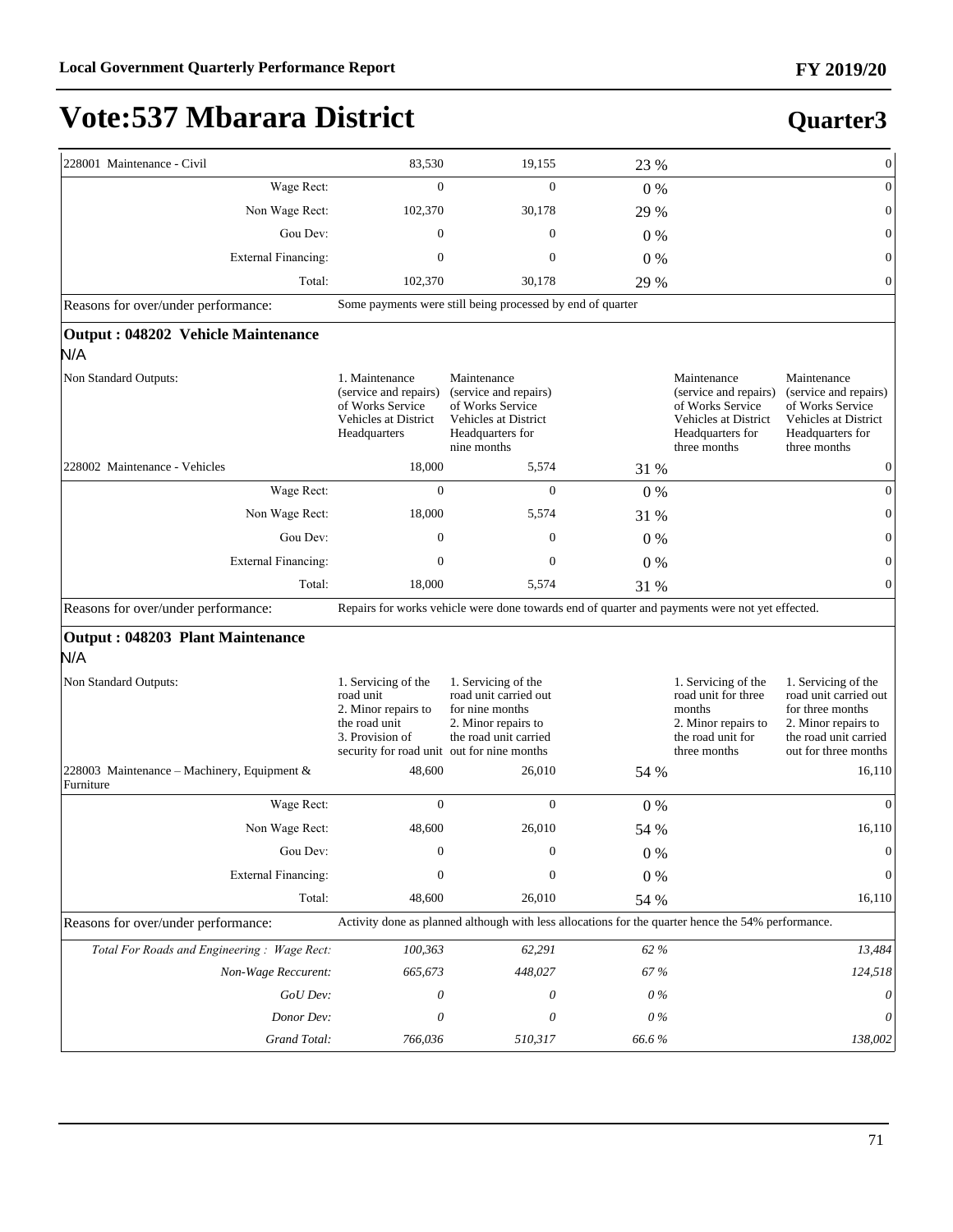| 228001 Maintenance - Civil                               | 83,530                                                                                              | 19,155                                                                                                              | 23 %    |                                                                                                                      | $\boldsymbol{0}$                                                                                                                         |
|----------------------------------------------------------|-----------------------------------------------------------------------------------------------------|---------------------------------------------------------------------------------------------------------------------|---------|----------------------------------------------------------------------------------------------------------------------|------------------------------------------------------------------------------------------------------------------------------------------|
| Wage Rect:                                               | $\mathbf{0}$                                                                                        | $\mathbf{0}$                                                                                                        | 0%      |                                                                                                                      | $\boldsymbol{0}$                                                                                                                         |
| Non Wage Rect:                                           | 102,370                                                                                             | 30,178                                                                                                              | 29 %    |                                                                                                                      | $\boldsymbol{0}$                                                                                                                         |
| Gou Dev:                                                 | $\mathbf{0}$                                                                                        | $\mathbf{0}$                                                                                                        | 0%      |                                                                                                                      | $\mathbf{0}$                                                                                                                             |
| <b>External Financing:</b>                               | $\mathbf{0}$                                                                                        | $\overline{0}$                                                                                                      | $0\%$   |                                                                                                                      | $\boldsymbol{0}$                                                                                                                         |
| Total:                                                   | 102,370                                                                                             | 30,178                                                                                                              | 29 %    |                                                                                                                      | $\overline{0}$                                                                                                                           |
| Reasons for over/under performance:                      |                                                                                                     | Some payments were still being processed by end of quarter                                                          |         |                                                                                                                      |                                                                                                                                          |
| Output: 048202 Vehicle Maintenance                       |                                                                                                     |                                                                                                                     |         |                                                                                                                      |                                                                                                                                          |
| N/A                                                      |                                                                                                     |                                                                                                                     |         |                                                                                                                      |                                                                                                                                          |
| Non Standard Outputs:                                    | 1. Maintenance<br>(service and repairs)<br>of Works Service<br>Vehicles at District<br>Headquarters | Maintenance<br>(service and repairs)<br>of Works Service<br>Vehicles at District<br>Headquarters for<br>nine months |         | Maintenance<br>(service and repairs)<br>of Works Service<br>Vehicles at District<br>Headquarters for<br>three months | Maintenance<br>(service and repairs)<br>of Works Service<br>Vehicles at District<br>Headquarters for<br>three months                     |
| 228002 Maintenance - Vehicles                            | 18,000                                                                                              | 5,574                                                                                                               | 31 %    |                                                                                                                      | $\boldsymbol{0}$                                                                                                                         |
| Wage Rect:                                               | $\mathbf{0}$                                                                                        | $\mathbf{0}$                                                                                                        | $0\%$   |                                                                                                                      | $\boldsymbol{0}$                                                                                                                         |
| Non Wage Rect:                                           | 18,000                                                                                              | 5,574                                                                                                               | 31 %    |                                                                                                                      | $\mathbf{0}$                                                                                                                             |
| Gou Dev:                                                 | $\mathbf{0}$                                                                                        | $\mathbf{0}$                                                                                                        | $0\%$   |                                                                                                                      | $\mathbf{0}$                                                                                                                             |
| <b>External Financing:</b>                               | $\mathbf{0}$                                                                                        | $\mathbf{0}$                                                                                                        | $0\%$   |                                                                                                                      | $\boldsymbol{0}$                                                                                                                         |
| Total:                                                   | 18,000                                                                                              | 5,574                                                                                                               | 31 %    |                                                                                                                      | $\overline{0}$                                                                                                                           |
|                                                          |                                                                                                     |                                                                                                                     |         |                                                                                                                      |                                                                                                                                          |
| Reasons for over/under performance:                      |                                                                                                     | Repairs for works vehicle were done towards end of quarter and payments were not yet effected.                      |         |                                                                                                                      |                                                                                                                                          |
| Output: 048203 Plant Maintenance<br>N/A                  |                                                                                                     |                                                                                                                     |         |                                                                                                                      |                                                                                                                                          |
| Non Standard Outputs:                                    | 1. Servicing of the<br>road unit<br>2. Minor repairs to<br>the road unit<br>3. Provision of         | 1. Servicing of the<br>road unit carried out<br>for nine months<br>2. Minor repairs to<br>the road unit carried     |         | 1. Servicing of the<br>road unit for three<br>months<br>2. Minor repairs to<br>the road unit for<br>three months     | 1. Servicing of the<br>road unit carried out<br>for three months<br>2. Minor repairs to<br>the road unit carried<br>out for three months |
| 228003 Maintenance – Machinery, Equipment &<br>Furniture | security for road unit out for nine months<br>48,600                                                | 26,010                                                                                                              | 54 %    |                                                                                                                      | 16,110                                                                                                                                   |
| Wage Rect:                                               | $\mathbf{0}$                                                                                        | $\overline{0}$                                                                                                      | $0\%$   |                                                                                                                      | $\Omega$                                                                                                                                 |
| Non Wage Rect:                                           | 48,600                                                                                              | 26,010                                                                                                              | 54 %    |                                                                                                                      | 16,110                                                                                                                                   |
| Gou Dev:                                                 | $\boldsymbol{0}$                                                                                    | $\boldsymbol{0}$                                                                                                    | $0\%$   |                                                                                                                      | $\boldsymbol{0}$                                                                                                                         |
| External Financing:                                      | $\mathbf{0}$                                                                                        | $\boldsymbol{0}$                                                                                                    | $0\ \%$ |                                                                                                                      | $\boldsymbol{0}$                                                                                                                         |
| Total:                                                   | 48,600                                                                                              | 26,010                                                                                                              | 54 %    |                                                                                                                      | 16,110                                                                                                                                   |
| Reasons for over/under performance:                      |                                                                                                     | Activity done as planned although with less allocations for the quarter hence the 54% performance.                  |         |                                                                                                                      |                                                                                                                                          |
| Total For Roads and Engineering: Wage Rect:              | 100,363                                                                                             | 62,291                                                                                                              | 62 %    |                                                                                                                      | 13,484                                                                                                                                   |
| Non-Wage Reccurent:                                      | 665,673                                                                                             | 448,027                                                                                                             | 67%     |                                                                                                                      | 124,518                                                                                                                                  |
| GoU Dev:                                                 | 0                                                                                                   | 0                                                                                                                   | $0\,\%$ |                                                                                                                      | 0                                                                                                                                        |
| Donor Dev:                                               | $\theta$                                                                                            | 0                                                                                                                   | $0\,\%$ |                                                                                                                      | 0                                                                                                                                        |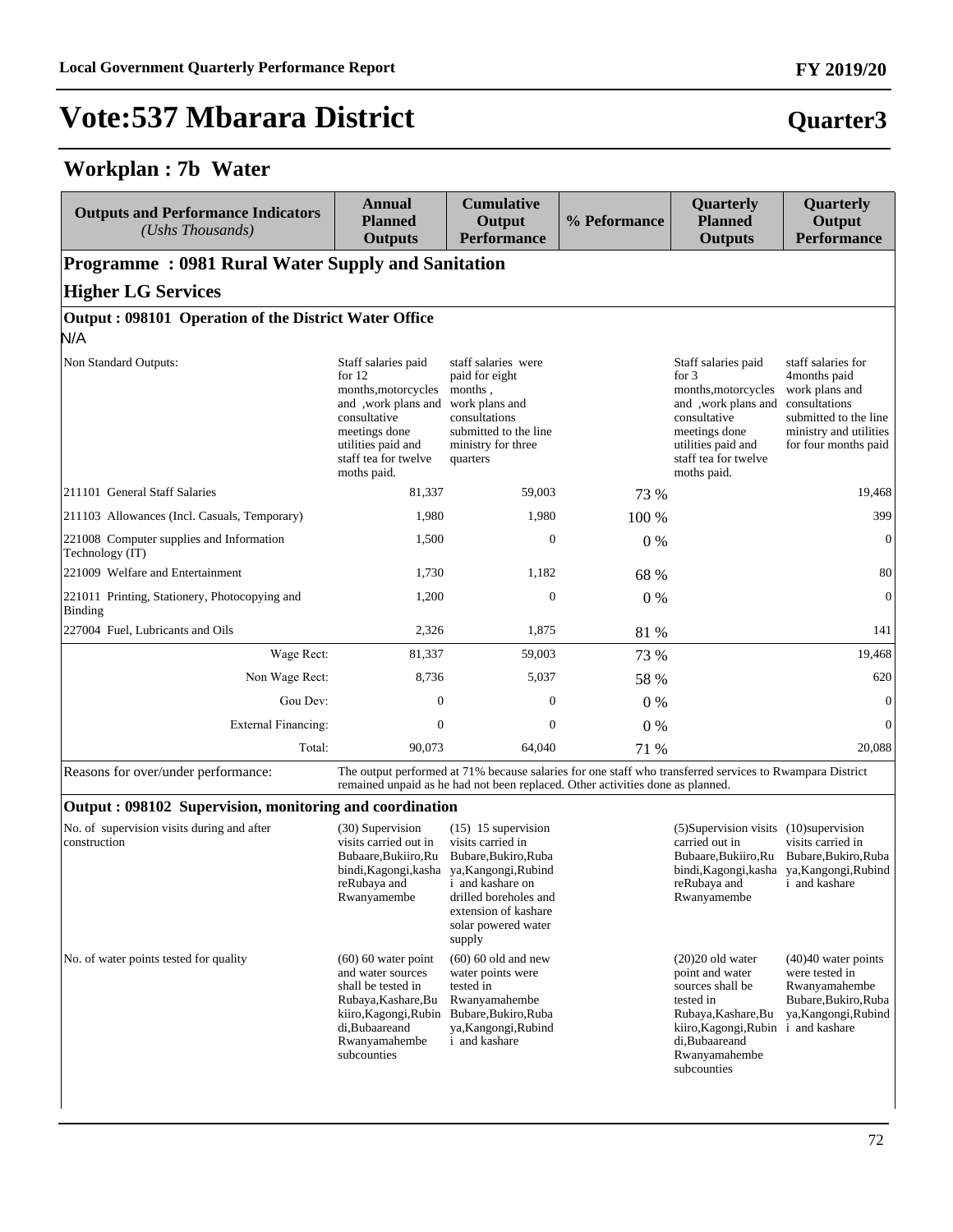#### **Workplan : 7b Water**

| <b>Outputs and Performance Indicators</b><br>$(Ushs$ Thousands) | Annual<br><b>Planned</b><br><b>Outputs</b>                                                                                                                                                  | <b>Cumulative</b><br>Output<br><b>Performance</b>                                                                            | % Peformance | Quarterly<br><b>Planned</b><br><b>Outputs</b>                                                                                                                                             | Quarterly<br>Output<br><b>Performance</b>                                                                                       |  |  |  |  |
|-----------------------------------------------------------------|---------------------------------------------------------------------------------------------------------------------------------------------------------------------------------------------|------------------------------------------------------------------------------------------------------------------------------|--------------|-------------------------------------------------------------------------------------------------------------------------------------------------------------------------------------------|---------------------------------------------------------------------------------------------------------------------------------|--|--|--|--|
| <b>Programme: 0981 Rural Water Supply and Sanitation</b>        |                                                                                                                                                                                             |                                                                                                                              |              |                                                                                                                                                                                           |                                                                                                                                 |  |  |  |  |
| <b>Higher LG Services</b>                                       |                                                                                                                                                                                             |                                                                                                                              |              |                                                                                                                                                                                           |                                                                                                                                 |  |  |  |  |
| Output: 098101 Operation of the District Water Office           |                                                                                                                                                                                             |                                                                                                                              |              |                                                                                                                                                                                           |                                                                                                                                 |  |  |  |  |
| N/A                                                             |                                                                                                                                                                                             |                                                                                                                              |              |                                                                                                                                                                                           |                                                                                                                                 |  |  |  |  |
| Non Standard Outputs:                                           | Staff salaries paid<br>for $12$<br>months, motorcycles<br>and , work plans and work plans and<br>consultative<br>meetings done<br>utilities paid and<br>staff tea for twelve<br>moths paid. | staff salaries were<br>paid for eight<br>months,<br>consultations<br>submitted to the line<br>ministry for three<br>quarters |              | Staff salaries paid<br>for $3$<br>months, motorcycles<br>and , work plans and consultations<br>consultative<br>meetings done<br>utilities paid and<br>staff tea for twelve<br>moths paid. | staff salaries for<br>4months paid<br>work plans and<br>submitted to the line<br>ministry and utilities<br>for four months paid |  |  |  |  |
| 211101 General Staff Salaries                                   | 81,337                                                                                                                                                                                      | 59,003                                                                                                                       | 73 %         |                                                                                                                                                                                           | 19,468                                                                                                                          |  |  |  |  |
| 211103 Allowances (Incl. Casuals, Temporary)                    | 1,980                                                                                                                                                                                       | 1,980                                                                                                                        | 100 %        |                                                                                                                                                                                           | 399                                                                                                                             |  |  |  |  |
| 221008 Computer supplies and Information<br>Technology (IT)     | 1,500                                                                                                                                                                                       | $\mathbf{0}$                                                                                                                 | $0\%$        |                                                                                                                                                                                           | $\mathbf{0}$                                                                                                                    |  |  |  |  |
| 221009 Welfare and Entertainment                                | 1,730                                                                                                                                                                                       | 1,182                                                                                                                        | 68 %         |                                                                                                                                                                                           | 80                                                                                                                              |  |  |  |  |
| 221011 Printing, Stationery, Photocopying and<br>Binding        | 1,200                                                                                                                                                                                       | $\mathbf{0}$                                                                                                                 | $0\%$        |                                                                                                                                                                                           | $\mathbf{0}$                                                                                                                    |  |  |  |  |
| 227004 Fuel, Lubricants and Oils                                | 2,326                                                                                                                                                                                       | 1,875                                                                                                                        | 81 %         |                                                                                                                                                                                           | 141                                                                                                                             |  |  |  |  |
| Wage Rect:                                                      | 81,337                                                                                                                                                                                      | 59,003                                                                                                                       | 73 %         |                                                                                                                                                                                           | 19,468                                                                                                                          |  |  |  |  |
| Non Wage Rect:                                                  | 8,736                                                                                                                                                                                       | 5,037                                                                                                                        | 58 %         |                                                                                                                                                                                           | 620                                                                                                                             |  |  |  |  |
| Gou Dev:                                                        | $\mathbf{0}$                                                                                                                                                                                | $\mathbf{0}$                                                                                                                 | $0\%$        |                                                                                                                                                                                           | $\mathbf{0}$                                                                                                                    |  |  |  |  |
| <b>External Financing:</b>                                      | $\Omega$                                                                                                                                                                                    | $\Omega$                                                                                                                     | 0%           |                                                                                                                                                                                           | $\mathbf{0}$                                                                                                                    |  |  |  |  |
| Total:                                                          | 90,073                                                                                                                                                                                      | 64,040                                                                                                                       | 71 %         |                                                                                                                                                                                           | 20,088                                                                                                                          |  |  |  |  |
| Deceang for exampled an newformance                             |                                                                                                                                                                                             | The output performed at 71% because seleries for one staff who transferred services to Dwampera District                     |              |                                                                                                                                                                                           |                                                                                                                                 |  |  |  |  |

Reasons for over/under performance: The output performed at 71% because salaries for one staff who transferred services to Rwampara District remained unpaid as he had not been replaced. Other activities done as planned.

#### **Output : 098102 Supervision, monitoring and coordination**

| No. of supervision visits during and after<br>construction | (30) Supervision<br>visits carried out in<br>Bubaare, Bukiiro, Ru<br>bindi, Kagongi, kasha<br>reRubaya and<br>Rwanyamembe                                          | $(15)$ 15 supervision<br>visits carried in<br>Bubare, Bukiro, Ruba<br>ya, Kangongi, Rubind<br>and kashare on<br>drilled boreholes and<br>extension of kashare<br>solar powered water<br>supply | (5) Supervision visits<br>carried out in<br>Bubaare, Bukiiro, Ru<br>bindi, Kagongi, kasha<br>reRubaya and<br>Rwanyamembe                                                 | $(10)$ supervision<br>visits carried in<br>Bubare, Bukiro, Ruba<br>ya, Kangongi, Rubind<br>and kashare                  |
|------------------------------------------------------------|--------------------------------------------------------------------------------------------------------------------------------------------------------------------|------------------------------------------------------------------------------------------------------------------------------------------------------------------------------------------------|--------------------------------------------------------------------------------------------------------------------------------------------------------------------------|-------------------------------------------------------------------------------------------------------------------------|
| No. of water points tested for quality                     | $(60)$ 60 water point<br>and water sources<br>shall be tested in<br>Rubaya, Kashare, Bu<br>kiiro, Kagongi, Rubin<br>di, Bubaareand<br>Rwanyamahembe<br>subcounties | $(60)$ 60 old and new<br>water points were<br>tested in<br>Rwanyamahembe<br>Bubare, Bukiro, Ruba<br>ya, Kangongi, Rubind<br>and kashare                                                        | $(20)20$ old water<br>point and water<br>sources shall be<br>tested in<br>Rubaya, Kashare, Bu<br>kiiro, Kagongi, Rubin<br>di, Bubaareand<br>Rwanyamahembe<br>subcounties | $(40)40$ water points<br>were tested in<br>Rwanyamahembe<br>Bubare, Bukiro, Ruba<br>ya, Kangongi, Rubind<br>and kashare |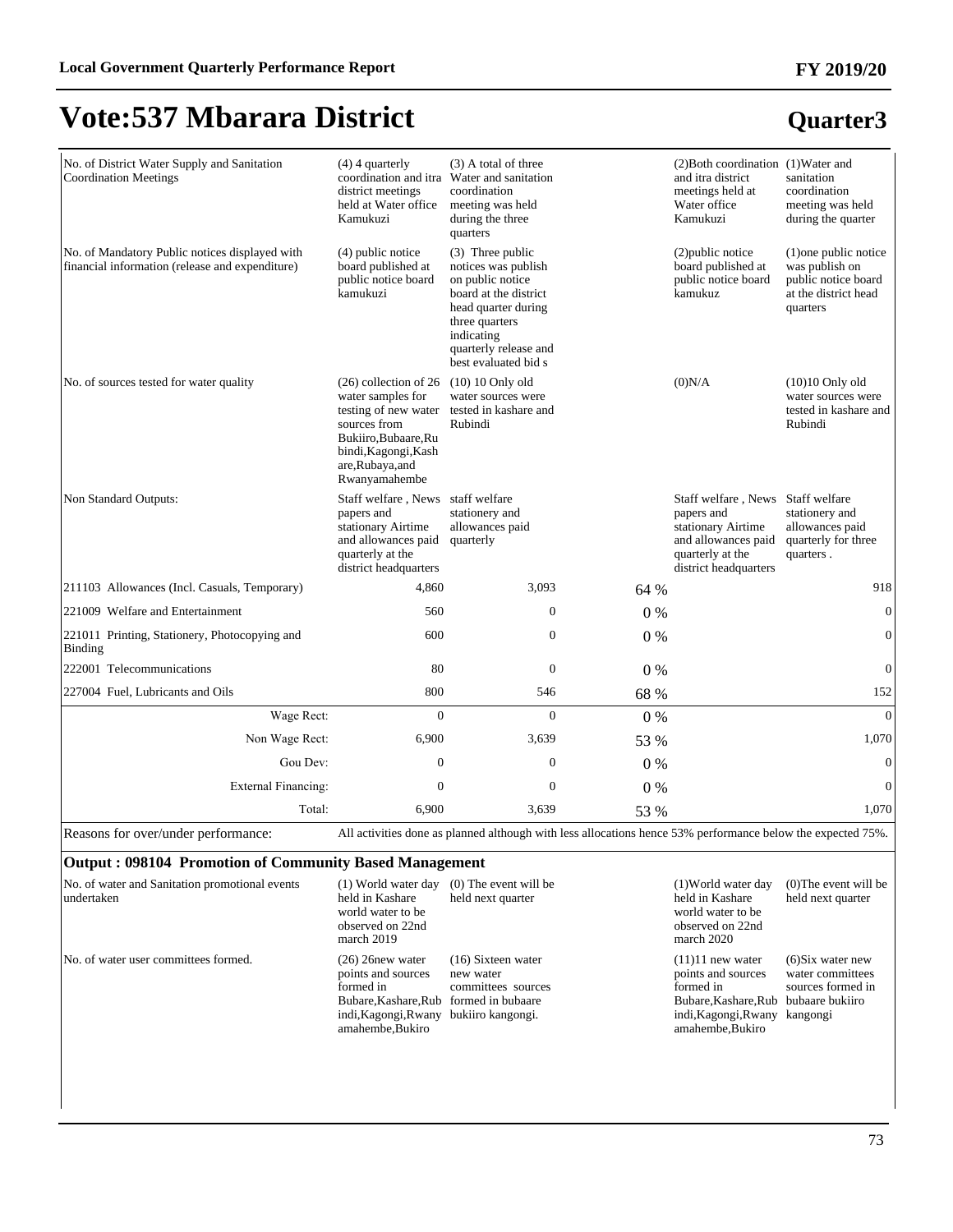# **Quarter3**

**FY 2019/20**

| No. of District Water Supply and Sanitation<br><b>Coordination Meetings</b>                       | $(4)$ 4 quarterly                                                                                                                                                         | (3) A total of three<br>coordination and itra Water and sanitation                                                                                                                           |      | (2) Both coordination (1) Water and<br>and itra district                                                                                  | sanitation                                                                                         |
|---------------------------------------------------------------------------------------------------|---------------------------------------------------------------------------------------------------------------------------------------------------------------------------|----------------------------------------------------------------------------------------------------------------------------------------------------------------------------------------------|------|-------------------------------------------------------------------------------------------------------------------------------------------|----------------------------------------------------------------------------------------------------|
|                                                                                                   | district meetings<br>held at Water office<br>Kamukuzi                                                                                                                     | coordination<br>meeting was held<br>during the three<br>quarters                                                                                                                             |      | meetings held at<br>Water office<br>Kamukuzi                                                                                              | coordination<br>meeting was held<br>during the quarter                                             |
| No. of Mandatory Public notices displayed with<br>financial information (release and expenditure) | $(4)$ public notice<br>board published at<br>public notice board<br>kamukuzi                                                                                              | (3) Three public<br>notices was publish<br>on public notice<br>board at the district<br>head quarter during<br>three quarters<br>indicating<br>quarterly release and<br>best evaluated bid s |      | (2) public notice<br>board published at<br>public notice board<br>kamukuz                                                                 | (1) one public notice<br>was publish on<br>public notice board<br>at the district head<br>quarters |
| No. of sources tested for water quality                                                           | $(26)$ collection of 26<br>water samples for<br>testing of new water<br>sources from<br>Bukiiro, Bubaare, Ru<br>bindi, Kagongi, Kash<br>are, Rubaya, and<br>Rwanyamahembe | $(10)$ 10 Only old<br>water sources were<br>tested in kashare and<br>Rubindi                                                                                                                 |      | (0)N/A                                                                                                                                    | $(10)10$ Only old<br>water sources were<br>tested in kashare and<br>Rubindi                        |
| Non Standard Outputs:                                                                             | Staff welfare, News staff welfare<br>papers and<br>stationary Airtime<br>and allowances paid<br>quarterly at the<br>district headquarters                                 | stationery and<br>allowances paid<br>quarterly                                                                                                                                               |      | Staff welfare, News Staff welfare<br>papers and<br>stationary Airtime<br>and allowances paid<br>quarterly at the<br>district headquarters | stationery and<br>allowances paid<br>quarterly for three<br>quarters.                              |
| 211103 Allowances (Incl. Casuals, Temporary)                                                      | 4,860                                                                                                                                                                     | 3,093                                                                                                                                                                                        | 64 % |                                                                                                                                           | 918                                                                                                |
| 221009 Welfare and Entertainment                                                                  | 560                                                                                                                                                                       | $\mathbf{0}$                                                                                                                                                                                 | 0%   |                                                                                                                                           | $\overline{0}$                                                                                     |
| 221011 Printing, Stationery, Photocopying and<br>Binding                                          | 600                                                                                                                                                                       | $\mathbf{0}$                                                                                                                                                                                 | 0%   |                                                                                                                                           | $\overline{0}$                                                                                     |
| 222001 Telecommunications                                                                         | 80                                                                                                                                                                        | $\boldsymbol{0}$                                                                                                                                                                             | 0%   |                                                                                                                                           | $\boldsymbol{0}$                                                                                   |
| 227004 Fuel, Lubricants and Oils                                                                  | 800                                                                                                                                                                       | 546                                                                                                                                                                                          | 68 % |                                                                                                                                           | 152                                                                                                |
| Wage Rect:                                                                                        | $\overline{0}$                                                                                                                                                            | $\Omega$                                                                                                                                                                                     | 0%   |                                                                                                                                           | $\theta$                                                                                           |
| Non Wage Rect:                                                                                    | 6,900                                                                                                                                                                     | 3,639                                                                                                                                                                                        | 53 % |                                                                                                                                           | 1,070                                                                                              |
| Gou Dev:                                                                                          | $\mathbf{0}$                                                                                                                                                              | $\mathbf{0}$                                                                                                                                                                                 | 0%   |                                                                                                                                           | $\overline{0}$                                                                                     |
| <b>External Financing:</b>                                                                        | $\overline{0}$                                                                                                                                                            | $\mathbf{0}$                                                                                                                                                                                 | 0%   |                                                                                                                                           | $\theta$                                                                                           |
| Total:                                                                                            | 6,900                                                                                                                                                                     | 3,639                                                                                                                                                                                        | 53 % |                                                                                                                                           | 1,070                                                                                              |
| Reasons for over/under performance:                                                               |                                                                                                                                                                           | All activities done as planned although with less allocations hence 53% performance below the expected 75%.                                                                                  |      |                                                                                                                                           |                                                                                                    |
| Output: 098104 Promotion of Community Based Management                                            |                                                                                                                                                                           |                                                                                                                                                                                              |      |                                                                                                                                           |                                                                                                    |

| No. of water and Sanitation promotional events<br>undertaken | (1) World water day<br>held in Kashare<br>world water to be<br>observed on 22nd<br>march 2019                                                                 | $(0)$ The event will be<br>held next quarter            | $(1)$ World water day<br>held in Kashare<br>world water to be<br>observed on 22nd<br>march 2020                                                    | $(0)$ The event will be<br>held next quarter                 |
|--------------------------------------------------------------|---------------------------------------------------------------------------------------------------------------------------------------------------------------|---------------------------------------------------------|----------------------------------------------------------------------------------------------------------------------------------------------------|--------------------------------------------------------------|
| No. of water user committees formed.                         | $(26)$ 26 new water<br>points and sources<br>formed in<br>Bubare, Kashare, Rub formed in bubaare<br>indi, Kagongi, Rwany bukiiro kangongi.<br>amahembe.Bukiro | $(16)$ Sixteen water<br>new water<br>committees sources | $(11)11$ new water<br>points and sources<br>formed in<br>Bubare, Kashare, Rub bubaare bukiiro<br>indi, Kagongi, Rwany kangongi<br>amahembe, Bukiro | $(6)$ Six water new<br>water committees<br>sources formed in |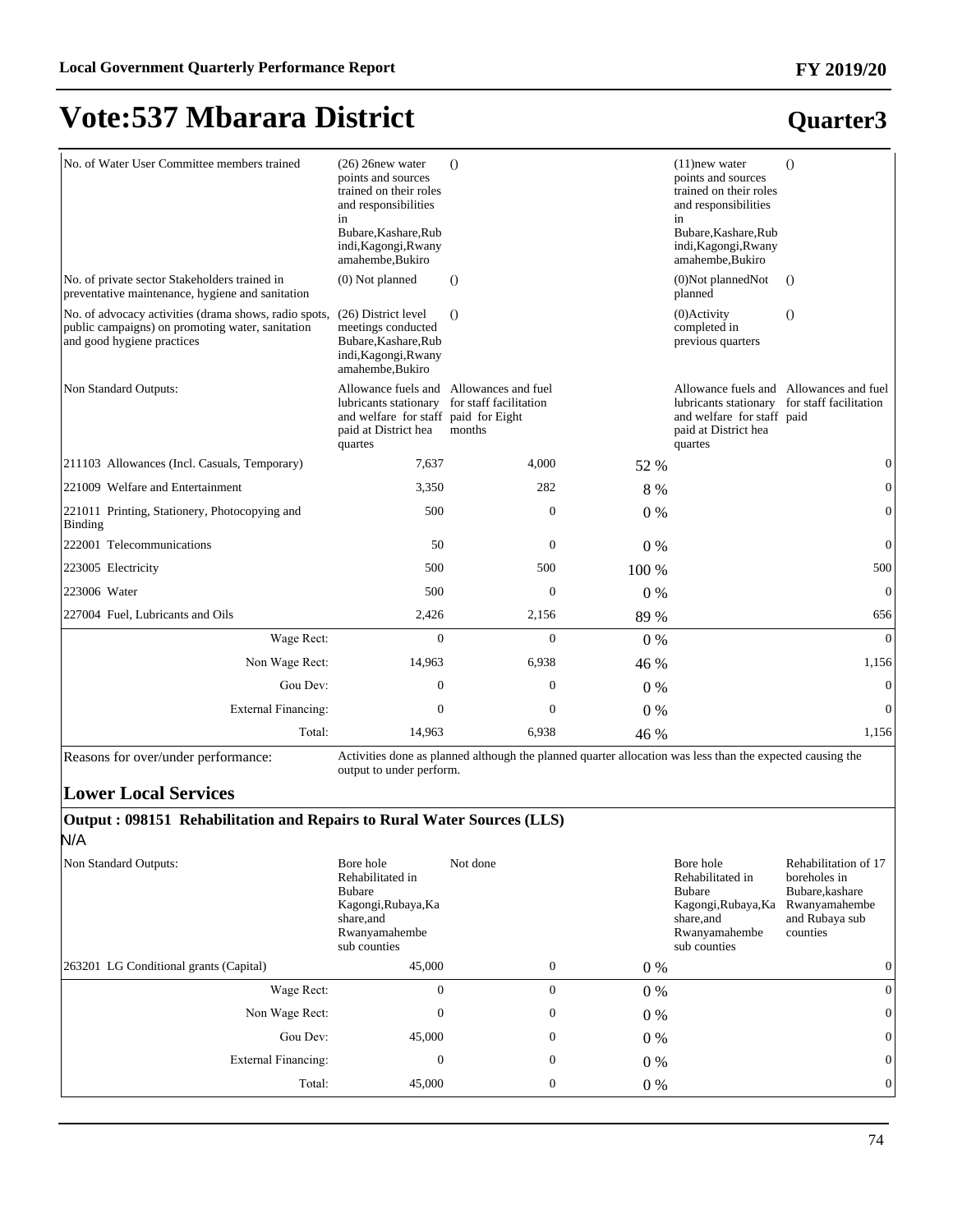#### **FY 2019/20**

# **Vote:537 Mbarara District**

| No. of Water User Committee members trained                                                                                             | $(26)$ 26 new water<br>points and sources<br>trained on their roles<br>and responsibilities<br>in<br>Bubare, Kashare, Rub<br>indi, Kagongi, Rwany<br>amahembe, Bukiro | $\Omega$                         |       | $(11)$ new water<br>points and sources<br>trained on their roles<br>and responsibilities<br>in<br>Bubare, Kashare, Rub<br>indi, Kagongi, Rwany<br>amahembe, Bukiro | $\Omega$       |
|-----------------------------------------------------------------------------------------------------------------------------------------|-----------------------------------------------------------------------------------------------------------------------------------------------------------------------|----------------------------------|-------|--------------------------------------------------------------------------------------------------------------------------------------------------------------------|----------------|
| No. of private sector Stakeholders trained in<br>preventative maintenance, hygiene and sanitation                                       | (0) Not planned                                                                                                                                                       | $\Omega$                         |       | (0)Not plannedNot<br>planned                                                                                                                                       | $\Omega$       |
| No. of advocacy activities (drama shows, radio spots,<br>public campaigns) on promoting water, sanitation<br>and good hygiene practices | (26) District level<br>meetings conducted<br>Bubare, Kashare, Rub<br>indi, Kagongi, Rwany<br>amahembe, Bukiro                                                         | $\Omega$                         |       | $(0)$ Activity<br>completed in<br>previous quarters                                                                                                                | $\circ$        |
| Non Standard Outputs:                                                                                                                   | Allowance fuels and Allowances and fuel<br>lubricants stationary<br>and welfare for staff paid for Eight<br>paid at District hea<br>quartes                           | for staff facilitation<br>months |       | Allowance fuels and Allowances and fuel<br>lubricants stationary for staff facilitation<br>and welfare for staff paid<br>paid at District hea<br>quartes           |                |
| 211103 Allowances (Incl. Casuals, Temporary)                                                                                            | 7,637                                                                                                                                                                 | 4,000                            | 52 %  |                                                                                                                                                                    | $\mathbf{0}$   |
| 221009 Welfare and Entertainment                                                                                                        | 3,350                                                                                                                                                                 | 282                              | 8 %   |                                                                                                                                                                    | $\Omega$       |
| 221011 Printing, Stationery, Photocopying and<br>Binding                                                                                | 500                                                                                                                                                                   | $\boldsymbol{0}$                 | $0\%$ |                                                                                                                                                                    | 0              |
| 222001 Telecommunications                                                                                                               | 50                                                                                                                                                                    | $\mathbf{0}$                     | $0\%$ |                                                                                                                                                                    | $\overline{0}$ |
| 223005 Electricity                                                                                                                      | 500                                                                                                                                                                   | 500                              | 100 % |                                                                                                                                                                    | 500            |
| 223006 Water                                                                                                                            | 500                                                                                                                                                                   | $\boldsymbol{0}$                 | 0%    |                                                                                                                                                                    | $\mathbf{0}$   |
| 227004 Fuel, Lubricants and Oils                                                                                                        | 2,426                                                                                                                                                                 | 2,156                            | 89 %  |                                                                                                                                                                    | 656            |
| Wage Rect:                                                                                                                              | $\overline{0}$                                                                                                                                                        | $\mathbf{0}$                     | 0%    |                                                                                                                                                                    | $\theta$       |
| Non Wage Rect:                                                                                                                          | 14,963                                                                                                                                                                | 6,938                            | 46 %  |                                                                                                                                                                    | 1,156          |
| Gou Dev:                                                                                                                                | $\boldsymbol{0}$                                                                                                                                                      | $\boldsymbol{0}$                 | $0\%$ |                                                                                                                                                                    | $\mathbf{0}$   |
| <b>External Financing:</b>                                                                                                              | $\overline{0}$                                                                                                                                                        | $\mathbf{0}$                     | $0\%$ |                                                                                                                                                                    | $\theta$       |
| Total:                                                                                                                                  | 14,963                                                                                                                                                                | 6,938                            | 46 %  |                                                                                                                                                                    | 1,156          |

Reasons for over/under performance: Activities done as planned although the planned quarter allocation was less than the expected causing the output to under perform.

#### **Lower Local Services**

#### **Output : 098151 Rehabilitation and Repairs to Rural Water Sources (LLS)** N/A

| Non Standard Outputs:                  | Bore hole<br>Rehabilitated in<br><b>Bubare</b><br>Kagongi, Rubaya, Ka<br>share, and<br>Rwanyamahembe<br>sub counties | Not done         |       | Bore hole<br>Rehabilitated in<br>Bubare<br>Kagongi, Rubaya, Ka<br>share, and<br>Rwanyamahembe<br>sub counties | Rehabilitation of 17<br>boreholes in<br>Bubare, kashare<br>Rwanyamahembe<br>and Rubaya sub<br>counties |
|----------------------------------------|----------------------------------------------------------------------------------------------------------------------|------------------|-------|---------------------------------------------------------------------------------------------------------------|--------------------------------------------------------------------------------------------------------|
| 263201 LG Conditional grants (Capital) | 45,000                                                                                                               | $\boldsymbol{0}$ | $0\%$ |                                                                                                               | $\overline{0}$                                                                                         |
| Wage Rect:                             | 0                                                                                                                    | $\mathbf{0}$     | $0\%$ |                                                                                                               | $\overline{0}$                                                                                         |
| Non Wage Rect:                         | 0                                                                                                                    | $\boldsymbol{0}$ | $0\%$ |                                                                                                               | $\overline{0}$                                                                                         |
| Gou Dev:                               | 45,000                                                                                                               | $\boldsymbol{0}$ | $0\%$ |                                                                                                               | $\overline{0}$                                                                                         |
| External Financing:                    | 0                                                                                                                    | $\boldsymbol{0}$ | $0\%$ |                                                                                                               | $\overline{0}$                                                                                         |
| Total:                                 | 45,000                                                                                                               | $\boldsymbol{0}$ | $0\%$ |                                                                                                               | $\overline{0}$                                                                                         |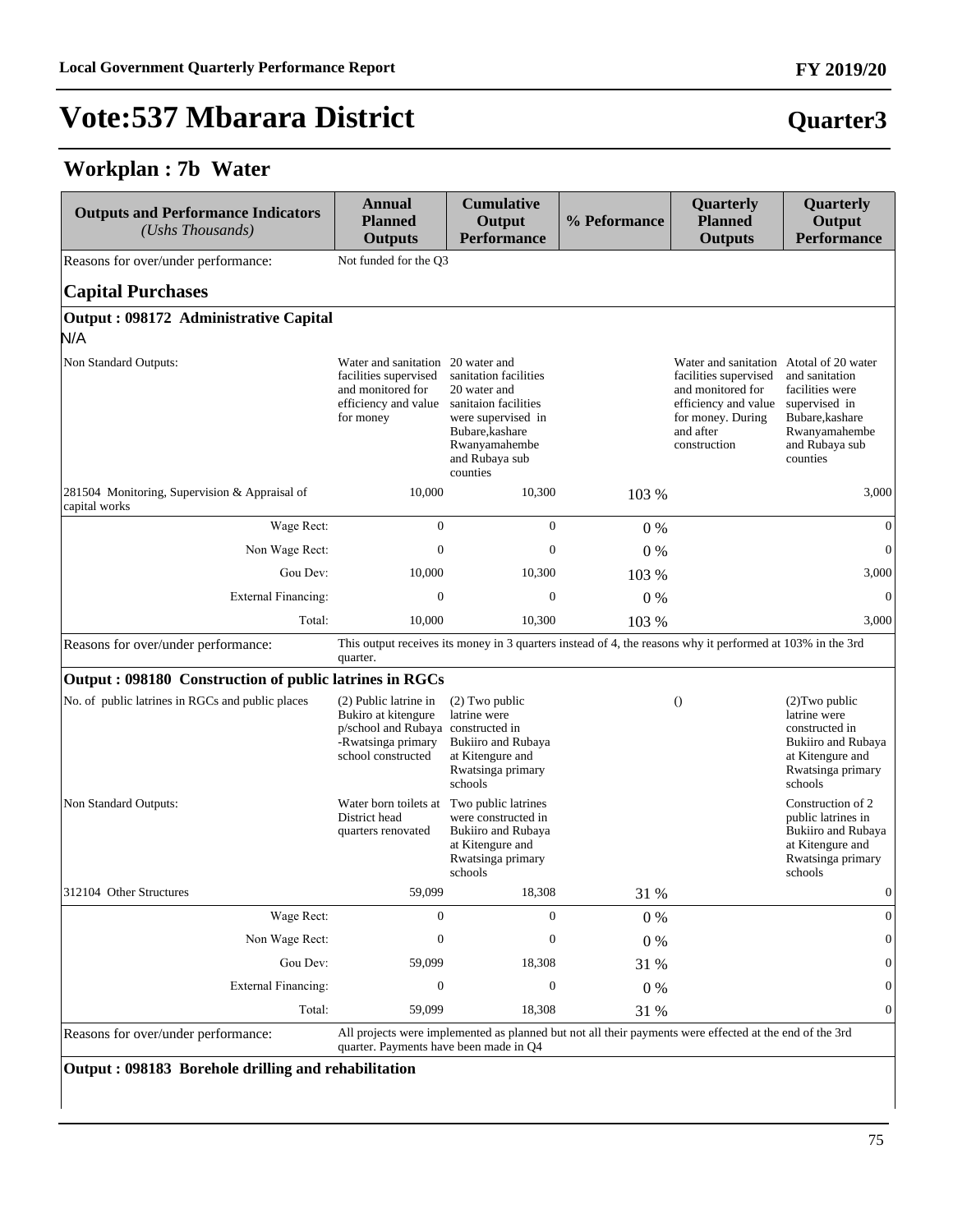#### **Workplan : 7b Water**

| <b>Outputs and Performance Indicators</b><br>(Ushs Thousands)  | <b>Annual</b><br><b>Planned</b><br><b>Outputs</b>                                                                              | <b>Cumulative</b><br>Output<br><b>Performance</b>                                                                                                     | % Peformance | Quarterly<br><b>Planned</b><br><b>Outputs</b>                                                                                                                   | Quarterly<br>Output<br><b>Performance</b>                                                                                    |
|----------------------------------------------------------------|--------------------------------------------------------------------------------------------------------------------------------|-------------------------------------------------------------------------------------------------------------------------------------------------------|--------------|-----------------------------------------------------------------------------------------------------------------------------------------------------------------|------------------------------------------------------------------------------------------------------------------------------|
| Reasons for over/under performance:                            | Not funded for the Q3                                                                                                          |                                                                                                                                                       |              |                                                                                                                                                                 |                                                                                                                              |
| <b>Capital Purchases</b>                                       |                                                                                                                                |                                                                                                                                                       |              |                                                                                                                                                                 |                                                                                                                              |
| Output: 098172 Administrative Capital<br>N/A                   |                                                                                                                                |                                                                                                                                                       |              |                                                                                                                                                                 |                                                                                                                              |
| Non Standard Outputs:                                          | Water and sanitation 20 water and<br>facilities supervised<br>and monitored for<br>efficiency and value<br>for money           | sanitation facilities<br>20 water and<br>sanitaion facilities<br>were supervised in<br>Bubare, kashare<br>Rwanyamahembe<br>and Rubaya sub<br>counties |              | Water and sanitation Atotal of 20 water<br>facilities supervised<br>and monitored for<br>efficiency and value<br>for money. During<br>and after<br>construction | and sanitation<br>facilities were<br>supervised in<br>Bubare, kashare<br>Rwanyamahembe<br>and Rubaya sub<br>counties         |
| 281504 Monitoring, Supervision & Appraisal of<br>capital works | 10,000                                                                                                                         | 10,300                                                                                                                                                | 103 %        |                                                                                                                                                                 | 3,000                                                                                                                        |
| Wage Rect:                                                     | $\overline{0}$                                                                                                                 | $\mathbf{0}$                                                                                                                                          | $0\%$        |                                                                                                                                                                 | $\overline{0}$                                                                                                               |
| Non Wage Rect:                                                 | $\boldsymbol{0}$                                                                                                               | $\boldsymbol{0}$                                                                                                                                      | $0\%$        |                                                                                                                                                                 | $\overline{0}$                                                                                                               |
| Gou Dev:                                                       | 10,000                                                                                                                         | 10,300                                                                                                                                                | 103 %        |                                                                                                                                                                 | 3,000                                                                                                                        |
| <b>External Financing:</b>                                     | $\boldsymbol{0}$                                                                                                               | $\boldsymbol{0}$                                                                                                                                      | $0\%$        |                                                                                                                                                                 | $\mathbf{0}$                                                                                                                 |
| Total:                                                         | 10,000                                                                                                                         | 10,300                                                                                                                                                | 103 %        |                                                                                                                                                                 | 3,000                                                                                                                        |
| Reasons for over/under performance:                            | quarter.                                                                                                                       | This output receives its money in 3 quarters instead of 4, the reasons why it performed at 103% in the 3rd                                            |              |                                                                                                                                                                 |                                                                                                                              |
| Output: 098180 Construction of public latrines in RGCs         |                                                                                                                                |                                                                                                                                                       |              |                                                                                                                                                                 |                                                                                                                              |
| No. of public latrines in RGCs and public places               | (2) Public latrine in<br>Bukiro at kitengure<br>p/school and Rubaya constructed in<br>-Rwatsinga primary<br>school constructed | $(2)$ Two public<br>latrine were<br>Bukiiro and Rubaya<br>at Kitengure and<br>Rwatsinga primary<br>schools                                            |              | $\theta$                                                                                                                                                        | $(2)$ Two public<br>latrine were<br>constructed in<br>Bukiiro and Rubaya<br>at Kitengure and<br>Rwatsinga primary<br>schools |
| Non Standard Outputs:                                          | Water born toilets at<br>District head<br>quarters renovated                                                                   | Two public latrines<br>were constructed in<br><b>Bukiiro and Rubaya</b><br>at Kitengure and<br>Rwatsinga primary<br>schools                           |              |                                                                                                                                                                 | Construction of 2<br>public latrines in<br>Bukiiro and Rubaya<br>at Kitengure and<br>Rwatsinga primary<br>schools            |
| 312104 Other Structures                                        | 59,099                                                                                                                         | 18,308                                                                                                                                                | 31 %         |                                                                                                                                                                 | $\boldsymbol{0}$                                                                                                             |
| Wage Rect:                                                     | $\mathbf{0}$                                                                                                                   | $\mathbf{0}$                                                                                                                                          | $0\%$        |                                                                                                                                                                 | $\mathbf{0}$                                                                                                                 |
| Non Wage Rect:                                                 | 0                                                                                                                              | $\boldsymbol{0}$                                                                                                                                      | 0%           |                                                                                                                                                                 |                                                                                                                              |
| Gou Dev:                                                       | 59,099                                                                                                                         | 18,308                                                                                                                                                | 31 %         |                                                                                                                                                                 |                                                                                                                              |
| <b>External Financing:</b>                                     | $\boldsymbol{0}$                                                                                                               | $\boldsymbol{0}$                                                                                                                                      | 0%           |                                                                                                                                                                 |                                                                                                                              |
| Total:                                                         | 59,099                                                                                                                         | 18,308                                                                                                                                                | 31 %         |                                                                                                                                                                 | 0                                                                                                                            |
| Reasons for over/under performance:                            | quarter. Payments have been made in Q4                                                                                         | All projects were implemented as planned but not all their payments were effected at the end of the 3rd                                               |              |                                                                                                                                                                 |                                                                                                                              |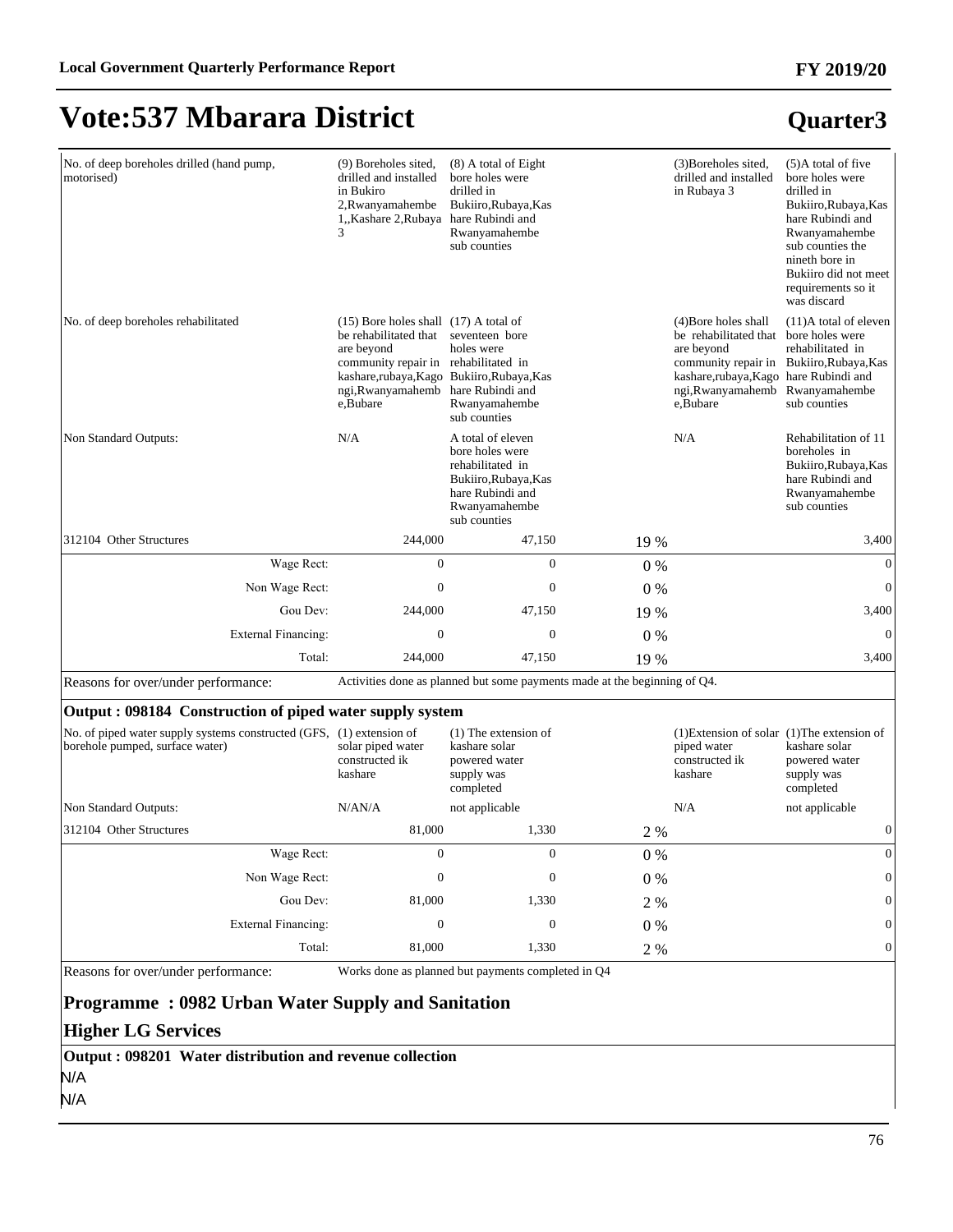#### **Quarter3**

| No. of deep boreholes drilled (hand pump,<br>motorised) | (9) Boreholes sited,<br>drilled and installed<br>in Bukiro<br>2, Rwanyamahembe<br>1, Kashare 2, Rubaya                                                                     | (8) A total of Eight<br>bore holes were<br>drilled in<br>Bukiiro, Rubaya, Kas<br>hare Rubindi and<br>Rwanyamahembe<br>sub counties    |       | (3) Boreholes sited,<br>drilled and installed<br>in Rubaya 3                                                                                       | $(5)$ A total of five<br>bore holes were<br>drilled in<br>Bukiiro, Rubaya, Kas<br>hare Rubindi and<br>Rwanyamahembe<br>sub counties the<br>nineth bore in<br>Bukiiro did not meet<br>requirements so it<br>was discard |
|---------------------------------------------------------|----------------------------------------------------------------------------------------------------------------------------------------------------------------------------|---------------------------------------------------------------------------------------------------------------------------------------|-------|----------------------------------------------------------------------------------------------------------------------------------------------------|------------------------------------------------------------------------------------------------------------------------------------------------------------------------------------------------------------------------|
| No. of deep boreholes rehabilitated                     | $(15)$ Bore holes shall $(17)$ A total of<br>be rehabilitated that<br>are beyond<br>community repair in rehabilitated in<br>ngi, Rwanyamahemb hare Rubindi and<br>e.Bubare | seventeen bore<br>holes were<br>kashare,rubaya,Kago Bukiiro,Rubaya,Kas<br>Rwanyamahembe<br>sub counties                               |       | (4) Bore holes shall<br>be rehabilitated that<br>are beyond<br>kashare,rubaya,Kago hare Rubindi and<br>ngi, Rwanyamahemb Rwanyamahembe<br>e.Bubare | $(11)$ A total of eleven<br>bore holes were<br>rehabilitated in<br>community repair in Bukiiro, Rubaya, Kas<br>sub counties                                                                                            |
| Non Standard Outputs:                                   | N/A                                                                                                                                                                        | A total of eleven<br>bore holes were<br>rehabilitated in<br>Bukiiro, Rubaya, Kas<br>hare Rubindi and<br>Rwanyamahembe<br>sub counties |       | N/A                                                                                                                                                | Rehabilitation of 11<br>boreholes in<br>Bukiiro, Rubaya, Kas<br>hare Rubindi and<br>Rwanyamahembe<br>sub counties                                                                                                      |
| 312104 Other Structures                                 | 244,000                                                                                                                                                                    | 47,150                                                                                                                                | 19 %  |                                                                                                                                                    | 3,400                                                                                                                                                                                                                  |
| Wage Rect:                                              | $\mathbf{0}$                                                                                                                                                               | $\boldsymbol{0}$                                                                                                                      | 0%    |                                                                                                                                                    | $\mathbf{0}$                                                                                                                                                                                                           |
| Non Wage Rect:                                          | $\boldsymbol{0}$                                                                                                                                                           | $\boldsymbol{0}$                                                                                                                      | 0%    |                                                                                                                                                    | $\mathbf{0}$                                                                                                                                                                                                           |
| Gou Dev:                                                | 244,000                                                                                                                                                                    | 47,150                                                                                                                                | 19 %  |                                                                                                                                                    | 3,400                                                                                                                                                                                                                  |
| External Financing:                                     | $\overline{0}$                                                                                                                                                             | $\mathbf{0}$                                                                                                                          | $0\%$ |                                                                                                                                                    | $\Omega$                                                                                                                                                                                                               |
| Total:                                                  | 244,000                                                                                                                                                                    | 47,150                                                                                                                                | 19 %  |                                                                                                                                                    | 3,400                                                                                                                                                                                                                  |

Reasons for over/under performance: Activities done as planned but some payments made at the beginning of Q4.

#### **Output : 098184 Construction of piped water supply system**

| No. of piped water supply systems constructed (GFS,<br>borehole pumped, surface water) | $(1)$ extension of<br>solar piped water<br>constructed ik<br>kashare | $(1)$ The extension of<br>kashare solar<br>powered water<br>supply was<br>completed |       | $(1)$ Extension of solar $(1)$ The extension of<br>piped water<br>constructed ik<br>kashare | kashare solar<br>powered water<br>supply was<br>completed |
|----------------------------------------------------------------------------------------|----------------------------------------------------------------------|-------------------------------------------------------------------------------------|-------|---------------------------------------------------------------------------------------------|-----------------------------------------------------------|
| Non Standard Outputs:                                                                  | N/AN/A                                                               | not applicable                                                                      |       | N/A                                                                                         | not applicable                                            |
| 312104 Other Structures                                                                | 81,000                                                               | 1,330                                                                               | 2 %   |                                                                                             |                                                           |
| Wage Rect:                                                                             | $\mathbf{0}$                                                         | 0                                                                                   | $0\%$ |                                                                                             |                                                           |
| Non Wage Rect:                                                                         | 0                                                                    | 0                                                                                   | $0\%$ |                                                                                             | $\overline{0}$                                            |
| Gou Dev:                                                                               | 81,000                                                               | 1,330                                                                               | 2 %   |                                                                                             | $\overline{0}$                                            |
| External Financing:                                                                    | $\Omega$                                                             | 0                                                                                   | $0\%$ |                                                                                             | $\overline{0}$                                            |
| Total:                                                                                 | 81,000                                                               | 1,330                                                                               | 2 %   |                                                                                             | $\overline{0}$                                            |

Reasons for over/under performance: Works done as planned but payments completed in Q4

#### **Programme : 0982 Urban Water Supply and Sanitation**

#### **Higher LG Services**

**Output : 098201 Water distribution and revenue collection** N/A

N/A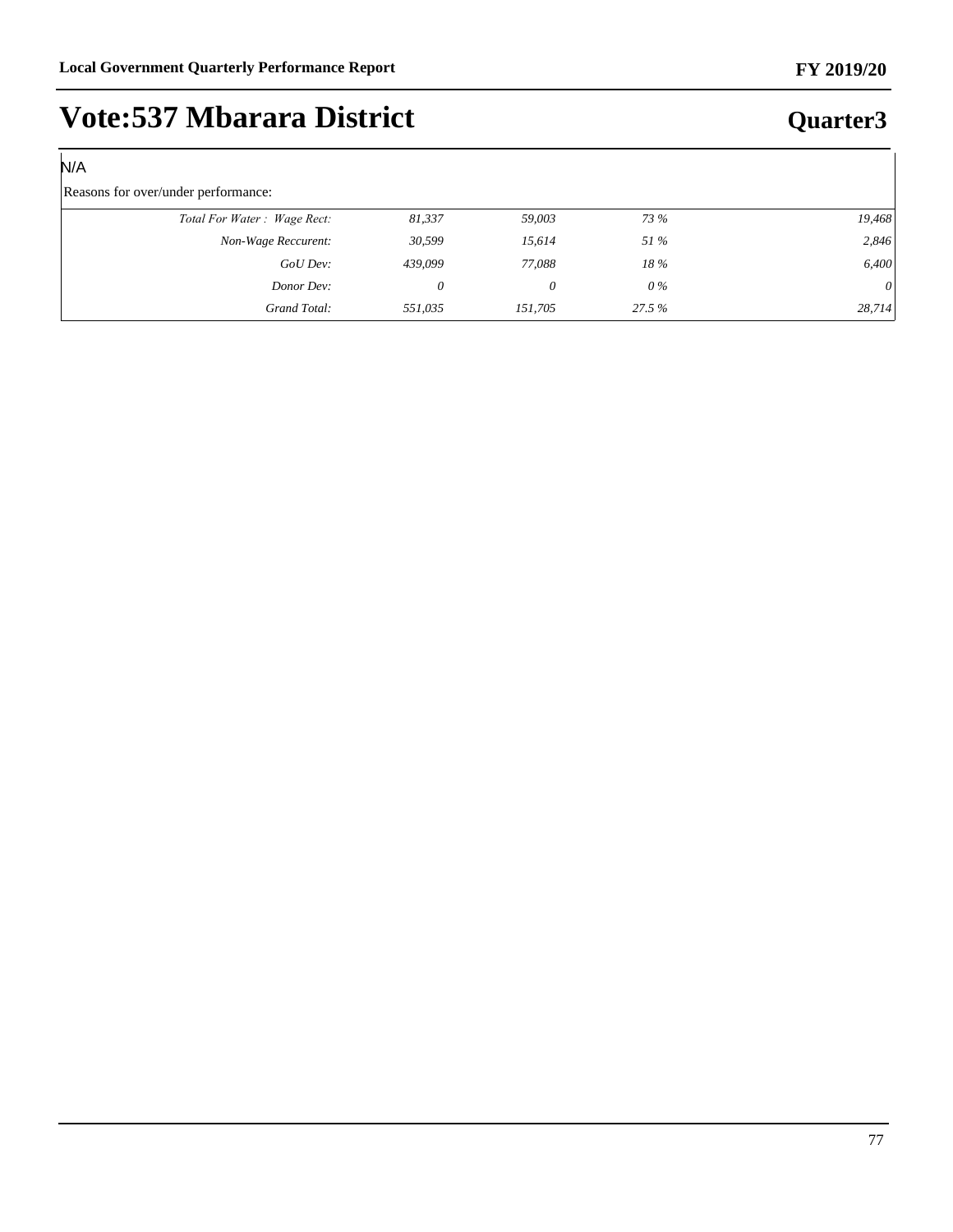#### N/A

#### Reasons for over/under performance:

| $\sim$                      |         |         |             |          |
|-----------------------------|---------|---------|-------------|----------|
| Total For Water: Wage Rect: | 81,337  | 59,003  | 73 %        | 19,468   |
| Non-Wage Reccurent:         | 30,599  | 15.614  | <i>51 %</i> | 2,846    |
| GoU Dev:                    | 439,099 | 77,088  | 18%         | 6,400    |
| Donor Dev:                  | 0       |         | $0\%$       | $\theta$ |
| Grand Total:                | 551.035 | 151.705 | 27.5 %      | 28,714   |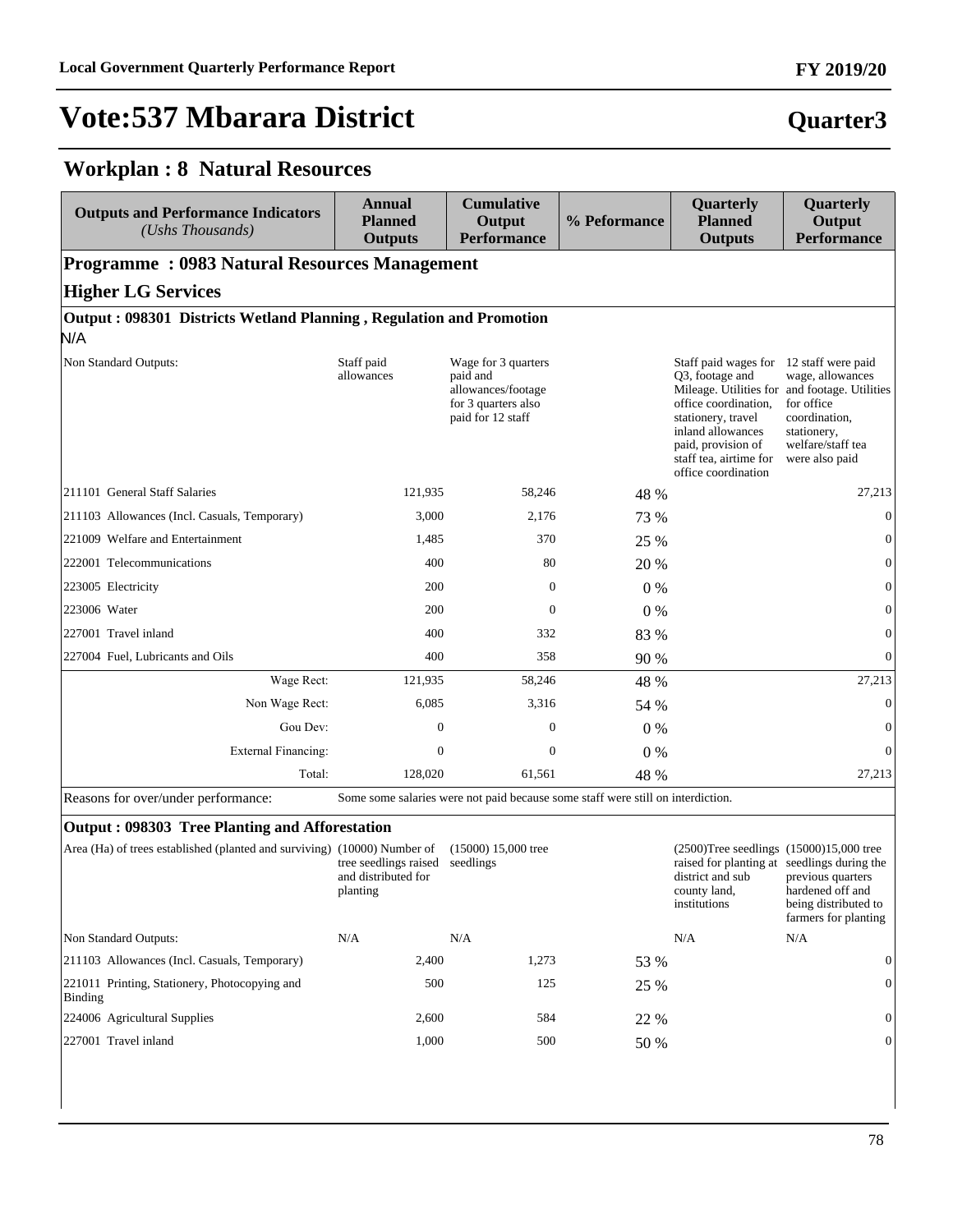# **Quarter3**

**FY 2019/20**

#### **Workplan : 8 Natural Resources**

| <b>Outputs and Performance Indicators</b><br>(Ushs Thousands)              | <b>Annual</b><br><b>Planned</b><br><b>Outputs</b> | <b>Cumulative</b><br>Output<br><b>Performance</b>                                                 | % Peformance | Quarterly<br><b>Planned</b><br><b>Outputs</b>                                                                                                                                                        | Quarterly<br>Output<br><b>Performance</b>                                                                                                              |
|----------------------------------------------------------------------------|---------------------------------------------------|---------------------------------------------------------------------------------------------------|--------------|------------------------------------------------------------------------------------------------------------------------------------------------------------------------------------------------------|--------------------------------------------------------------------------------------------------------------------------------------------------------|
| <b>Programme: 0983 Natural Resources Management</b>                        |                                                   |                                                                                                   |              |                                                                                                                                                                                                      |                                                                                                                                                        |
| <b>Higher LG Services</b>                                                  |                                                   |                                                                                                   |              |                                                                                                                                                                                                      |                                                                                                                                                        |
| Output: 098301 Districts Wetland Planning, Regulation and Promotion<br>N/A |                                                   |                                                                                                   |              |                                                                                                                                                                                                      |                                                                                                                                                        |
| Non Standard Outputs:                                                      | Staff paid<br>allowances                          | Wage for 3 quarters<br>paid and<br>allowances/footage<br>for 3 quarters also<br>paid for 12 staff |              | Staff paid wages for 12 staff were paid<br>Q3, footage and<br>office coordination,<br>stationery, travel<br>inland allowances<br>paid, provision of<br>staff tea, airtime for<br>office coordination | wage, allowances<br>Mileage. Utilities for and footage. Utilities<br>for office<br>coordination.<br>stationery,<br>welfare/staff tea<br>were also paid |
| 211101 General Staff Salaries                                              | 121,935                                           | 58,246                                                                                            | 48 %         |                                                                                                                                                                                                      | 27,213                                                                                                                                                 |
| 211103 Allowances (Incl. Casuals, Temporary)                               | 3,000                                             | 2.176                                                                                             | 73 %         |                                                                                                                                                                                                      | $\mathbf{0}$                                                                                                                                           |
| 221009 Welfare and Entertainment                                           | 1.485                                             | 370                                                                                               | 25 %         |                                                                                                                                                                                                      | $\theta$                                                                                                                                               |
| 222001 Telecommunications                                                  | 400                                               | 80                                                                                                | 20 %         |                                                                                                                                                                                                      | $\mathbf{0}$                                                                                                                                           |
| 223005 Electricity                                                         | 200                                               | $\boldsymbol{0}$                                                                                  | $0\%$        |                                                                                                                                                                                                      | $\mathbf{0}$                                                                                                                                           |
| 223006 Water                                                               | 200                                               | $\Omega$                                                                                          | 0%           |                                                                                                                                                                                                      | $\mathbf{0}$                                                                                                                                           |
| 227001 Travel inland                                                       | 400                                               | 332                                                                                               | 83 %         |                                                                                                                                                                                                      | $\boldsymbol{0}$                                                                                                                                       |
| 227004 Fuel, Lubricants and Oils                                           | 400                                               | 358                                                                                               | 90 %         |                                                                                                                                                                                                      | $\theta$                                                                                                                                               |
| Wage Rect:                                                                 | 121,935                                           | 58,246                                                                                            | 48 %         |                                                                                                                                                                                                      | 27,213                                                                                                                                                 |
| Non Wage Rect:                                                             | 6,085                                             | 3,316                                                                                             | 54 %         |                                                                                                                                                                                                      | $\boldsymbol{0}$                                                                                                                                       |
| Gou Dev:                                                                   | $\mathbf{0}$                                      | $\mathbf{0}$                                                                                      | 0%           |                                                                                                                                                                                                      | $\mathbf{0}$                                                                                                                                           |
| <b>External Financing:</b>                                                 | $\Omega$                                          | $\Omega$                                                                                          | 0%           |                                                                                                                                                                                                      | $\Omega$                                                                                                                                               |
| Total:                                                                     | 128,020                                           | 61,561                                                                                            | 48 %         |                                                                                                                                                                                                      | 27,213                                                                                                                                                 |
| Reasons for over/under performance:                                        |                                                   | Some some salaries were not paid because some staff were still on interdiction.                   |              |                                                                                                                                                                                                      |                                                                                                                                                        |
| <b>Output: 098303 Tree Planting and Afforestation</b>                      |                                                   |                                                                                                   |              |                                                                                                                                                                                                      |                                                                                                                                                        |

|  | Output : 098303 Tree Planting and Afforestation |  |  |  |  |  |  |  |
|--|-------------------------------------------------|--|--|--|--|--|--|--|
|  |                                                 |  |  |  |  |  |  |  |

| Area (Ha) of trees established (planted and surviving) (10000) Number of | tree seedlings raised<br>and distributed for<br>planting | $(15000) 15,000$ tree<br>seedlings |      | $(2500)$ Tree seedlings $(15000)15,000$ tree<br>raised for planting at seedlings during the<br>district and sub<br>county land,<br>institutions | previous quarters<br>hardened off and<br>being distributed to<br>farmers for planting |
|--------------------------------------------------------------------------|----------------------------------------------------------|------------------------------------|------|-------------------------------------------------------------------------------------------------------------------------------------------------|---------------------------------------------------------------------------------------|
| Non Standard Outputs:                                                    | N/A                                                      | N/A                                |      | N/A                                                                                                                                             | N/A                                                                                   |
| [211103 Allowances (Incl. Casuals, Temporary)                            | 2,400                                                    | 1,273                              | 53 % |                                                                                                                                                 | $\overline{0}$                                                                        |
| [221011 Printing, Stationery, Photocopying and<br>Binding                | 500                                                      | 125                                | 25 % |                                                                                                                                                 | $\Omega$                                                                              |
| 224006 Agricultural Supplies                                             | 2,600                                                    | 584                                | 22 % |                                                                                                                                                 | $\Omega$                                                                              |
| 227001 Travel inland                                                     | 1,000                                                    | 500                                | 50 % |                                                                                                                                                 | $\overline{0}$                                                                        |
|                                                                          |                                                          |                                    |      |                                                                                                                                                 |                                                                                       |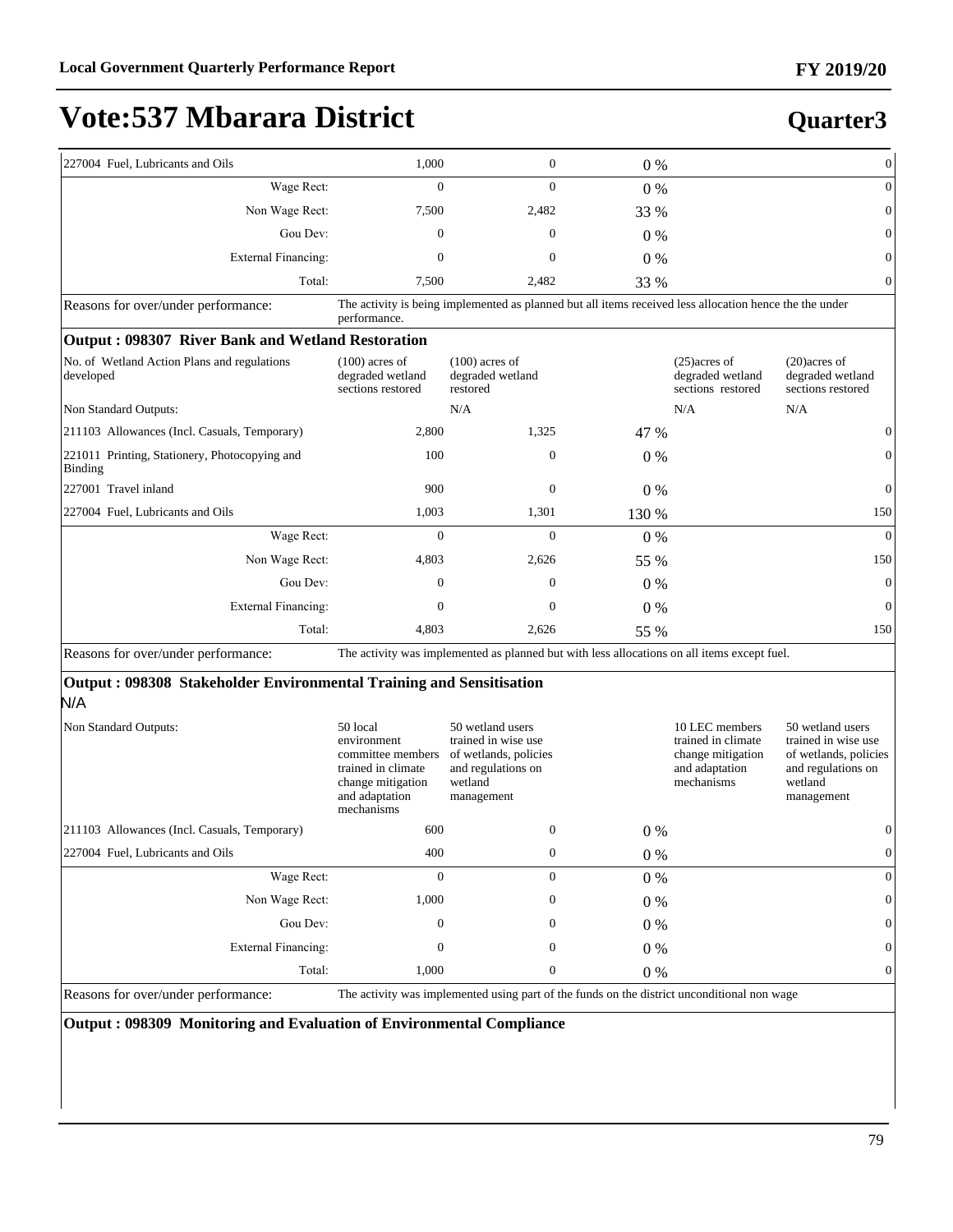#### **Quarter3**

| 227004 Fuel, Lubricants and Oils                                           | 1,000                                                                                                                   | $\mathbf{0}$                                                                                                    | 0%      |                                                                                           | $\boldsymbol{0}$                                                                                                |
|----------------------------------------------------------------------------|-------------------------------------------------------------------------------------------------------------------------|-----------------------------------------------------------------------------------------------------------------|---------|-------------------------------------------------------------------------------------------|-----------------------------------------------------------------------------------------------------------------|
| Wage Rect:                                                                 | $\Omega$                                                                                                                | $\theta$                                                                                                        | $0\%$   |                                                                                           | $\boldsymbol{0}$                                                                                                |
| Non Wage Rect:                                                             | 7,500                                                                                                                   | 2,482                                                                                                           | 33 %    |                                                                                           | $\boldsymbol{0}$                                                                                                |
| Gou Dev:                                                                   | $\mathbf{0}$                                                                                                            | $\mathbf{0}$                                                                                                    | $0\%$   |                                                                                           | $\mathbf{0}$                                                                                                    |
| <b>External Financing:</b>                                                 | $\mathbf{0}$                                                                                                            | $\mathbf{0}$                                                                                                    | 0%      |                                                                                           | $\boldsymbol{0}$                                                                                                |
| Total:                                                                     | 7,500                                                                                                                   | 2,482                                                                                                           | 33 %    |                                                                                           | $\boldsymbol{0}$                                                                                                |
| Reasons for over/under performance:                                        | performance.                                                                                                            | The activity is being implemented as planned but all items received less allocation hence the the under         |         |                                                                                           |                                                                                                                 |
| Output: 098307 River Bank and Wetland Restoration                          |                                                                                                                         |                                                                                                                 |         |                                                                                           |                                                                                                                 |
| No. of Wetland Action Plans and regulations<br>developed                   | $(100)$ acres of<br>degraded wetland<br>sections restored                                                               | $(100)$ acres of<br>degraded wetland<br>restored                                                                |         | $(25)$ acres of<br>degraded wetland<br>sections restored                                  | $(20)$ acres of<br>degraded wetland<br>sections restored                                                        |
| Non Standard Outputs:                                                      |                                                                                                                         | N/A                                                                                                             |         | N/A                                                                                       | N/A                                                                                                             |
| 211103 Allowances (Incl. Casuals, Temporary)                               | 2,800                                                                                                                   | 1,325                                                                                                           | 47 %    |                                                                                           | $\boldsymbol{0}$                                                                                                |
| 221011 Printing, Stationery, Photocopying and<br>Binding                   | 100                                                                                                                     | $\mathbf{0}$                                                                                                    | $0\%$   |                                                                                           | $\mathbf{0}$                                                                                                    |
| 227001 Travel inland                                                       | 900                                                                                                                     | $\theta$                                                                                                        | $0\%$   |                                                                                           | $\boldsymbol{0}$                                                                                                |
| 227004 Fuel, Lubricants and Oils                                           | 1,003                                                                                                                   | 1,301                                                                                                           | 130 %   |                                                                                           | 150                                                                                                             |
| Wage Rect:                                                                 | $\theta$                                                                                                                | $\theta$                                                                                                        | 0%      |                                                                                           | $\theta$                                                                                                        |
| Non Wage Rect:                                                             | 4,803                                                                                                                   | 2,626                                                                                                           | 55 %    |                                                                                           | 150                                                                                                             |
| Gou Dev:                                                                   | $\mathbf{0}$                                                                                                            | $\theta$                                                                                                        | $0\%$   |                                                                                           | $\mathbf{0}$                                                                                                    |
| <b>External Financing:</b>                                                 | $\mathbf{0}$                                                                                                            | $\mathbf{0}$                                                                                                    | $0\%$   |                                                                                           | $\boldsymbol{0}$                                                                                                |
| Total:                                                                     | 4,803                                                                                                                   | 2,626                                                                                                           | 55 %    |                                                                                           | 150                                                                                                             |
| Reasons for over/under performance:                                        |                                                                                                                         | The activity was implemented as planned but with less allocations on all items except fuel.                     |         |                                                                                           |                                                                                                                 |
| Output: 098308 Stakeholder Environmental Training and Sensitisation<br>N/A |                                                                                                                         |                                                                                                                 |         |                                                                                           |                                                                                                                 |
| Non Standard Outputs:                                                      | 50 local<br>environment<br>committee members<br>trained in climate<br>change mitigation<br>and adaptation<br>mechanisms | 50 wetland users<br>trained in wise use<br>of wetlands, policies<br>and regulations on<br>wetland<br>management |         | 10 LEC members<br>trained in climate<br>change mitigation<br>and adaptation<br>mechanisms | 50 wetland users<br>trained in wise use<br>of wetlands, policies<br>and regulations on<br>wetland<br>management |
| 211103 Allowances (Incl. Casuals, Temporary)                               | 600                                                                                                                     | $\theta$                                                                                                        | $0\%$   |                                                                                           | $\boldsymbol{0}$                                                                                                |
| 227004 Fuel, Lubricants and Oils                                           | 400                                                                                                                     | $\boldsymbol{0}$                                                                                                | $0\ \%$ |                                                                                           | $\boldsymbol{0}$                                                                                                |
| Wage Rect:                                                                 | $\boldsymbol{0}$                                                                                                        | $\mathbf{0}$                                                                                                    | $0\ \%$ |                                                                                           | $\boldsymbol{0}$                                                                                                |
| Non Wage Rect:                                                             | 1,000                                                                                                                   | $\boldsymbol{0}$                                                                                                | $0\ \%$ |                                                                                           | $\boldsymbol{0}$                                                                                                |
| Gou Dev:                                                                   | $\boldsymbol{0}$                                                                                                        | $\boldsymbol{0}$                                                                                                | $0\ \%$ |                                                                                           | $\boldsymbol{0}$                                                                                                |
| <b>External Financing:</b>                                                 | $\boldsymbol{0}$                                                                                                        | $\boldsymbol{0}$                                                                                                | $0\ \%$ |                                                                                           | $\boldsymbol{0}$                                                                                                |
| Total:                                                                     | 1,000                                                                                                                   | $\boldsymbol{0}$                                                                                                | $0\ \%$ |                                                                                           | $\boldsymbol{0}$                                                                                                |

Reasons for over/under performance: The activity was implemented using part of the funds on the district unconditional non wage

**Output : 098309 Monitoring and Evaluation of Environmental Compliance**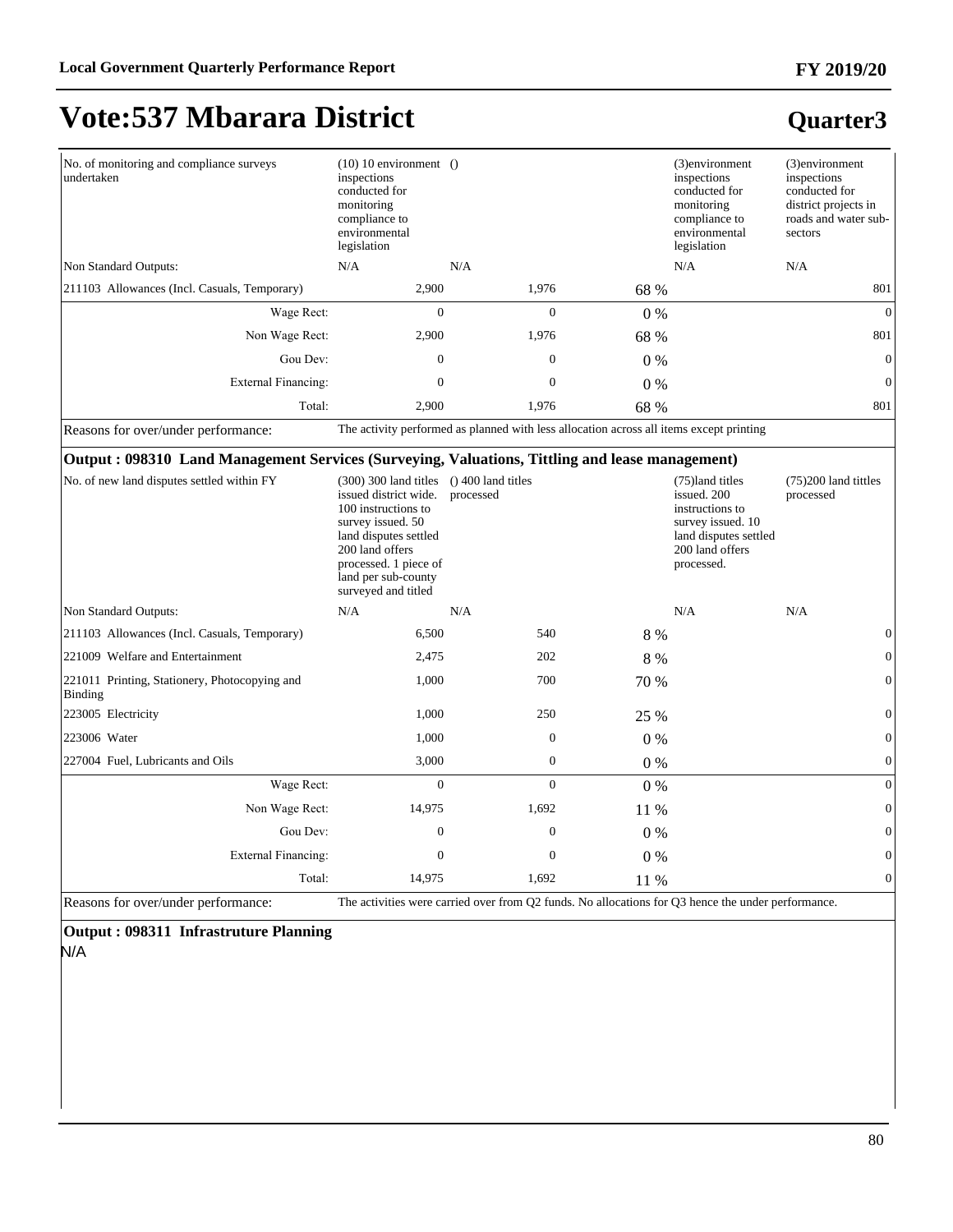#### **FY 2019/20**

# **Vote:537 Mbarara District**

### **Quarter3**

| No. of monitoring and compliance surveys<br>undertaken                                         | $(10)$ 10 environment ()<br>inspections<br>conducted for<br>monitoring<br>compliance to<br>environmental<br>legislation                                           |                                                                                         |       | (3)environment<br>inspections<br>conducted for<br>monitoring<br>compliance to<br>environmental<br>legislation                     | (3)environment<br>inspections<br>conducted for<br>district projects in<br>roads and water sub-<br>sectors |
|------------------------------------------------------------------------------------------------|-------------------------------------------------------------------------------------------------------------------------------------------------------------------|-----------------------------------------------------------------------------------------|-------|-----------------------------------------------------------------------------------------------------------------------------------|-----------------------------------------------------------------------------------------------------------|
| Non Standard Outputs:                                                                          | N/A                                                                                                                                                               | N/A                                                                                     |       | N/A                                                                                                                               | N/A                                                                                                       |
| [211103 Allowances (Incl. Casuals, Temporary)                                                  | 2,900                                                                                                                                                             | 1,976                                                                                   | 68 %  |                                                                                                                                   | 801                                                                                                       |
| Wage Rect:                                                                                     | $\mathbf{0}$                                                                                                                                                      | $\mathbf{0}$                                                                            | $0\%$ |                                                                                                                                   | $\Omega$                                                                                                  |
| Non Wage Rect:                                                                                 | 2,900                                                                                                                                                             | 1,976                                                                                   | 68 %  |                                                                                                                                   | 801                                                                                                       |
| Gou Dev:                                                                                       | $\mathbf{0}$                                                                                                                                                      | $\mathbf{0}$                                                                            | $0\%$ |                                                                                                                                   | $\Omega$                                                                                                  |
| <b>External Financing:</b>                                                                     | $\mathbf{0}$                                                                                                                                                      | $\mathbf{0}$                                                                            | $0\%$ |                                                                                                                                   | $\mathbf{0}$                                                                                              |
| Total:                                                                                         | 2,900                                                                                                                                                             | 1,976                                                                                   | 68 %  |                                                                                                                                   | 801                                                                                                       |
| Reasons for over/under performance:                                                            |                                                                                                                                                                   | The activity performed as planned with less allocation across all items except printing |       |                                                                                                                                   |                                                                                                           |
| Output: 098310 Land Management Services (Surveying, Valuations, Tittling and lease management) |                                                                                                                                                                   |                                                                                         |       |                                                                                                                                   |                                                                                                           |
| No. of new land disputes settled within FY                                                     | $(300)$ 300 land titles<br>issued district wide.<br>100 instructions to<br>survey issued. 50<br>land disputes settled<br>200 land offers<br>processed. 1 piece of | $()$ 400 land titles<br>processed                                                       |       | (75) land titles<br>issued. 200<br>instructions to<br>survey issued. 10<br>land disputes settled<br>200 land offers<br>processed. | $(75)200$ land tittles<br>processed                                                                       |

|                                                          | processed. 1 piece of<br>land per sub-county<br>surveyed and titled |                                                                                                    |       | processed. |                |
|----------------------------------------------------------|---------------------------------------------------------------------|----------------------------------------------------------------------------------------------------|-------|------------|----------------|
| Non Standard Outputs:                                    | N/A                                                                 | N/A                                                                                                |       | N/A        | N/A            |
| [211103 Allowances (Incl. Casuals, Temporary)            | 6,500                                                               | 540                                                                                                | 8 %   |            | $\mathbf{0}$   |
| 221009 Welfare and Entertainment                         | 2,475                                                               | 202                                                                                                | 8 %   |            | $\overline{0}$ |
| 221011 Printing, Stationery, Photocopying and<br>Binding | 1,000                                                               | 700                                                                                                | 70 %  |            | $\mathbf{0}$   |
| 223005 Electricity                                       | 1,000                                                               | 250                                                                                                | 25 %  |            | $\mathbf{0}$   |
| 223006 Water                                             | 1,000                                                               | $\mathbf{0}$                                                                                       | $0\%$ |            | $\overline{0}$ |
| 227004 Fuel, Lubricants and Oils                         | 3,000                                                               | $\mathbf{0}$                                                                                       | $0\%$ |            | $\theta$       |
| Wage Rect:                                               | $\mathbf{0}$                                                        | $\mathbf{0}$                                                                                       | $0\%$ |            | $\overline{0}$ |
| Non Wage Rect:                                           | 14,975                                                              | 1,692                                                                                              | 11 %  |            | $\mathbf{0}$   |
| Gou Dev:                                                 | $\boldsymbol{0}$                                                    | $\mathbf{0}$                                                                                       | $0\%$ |            | $\overline{0}$ |
| <b>External Financing:</b>                               | $\mathbf{0}$                                                        | $\mathbf{0}$                                                                                       | $0\%$ |            | $\theta$       |
| Total:                                                   | 14,975                                                              | 1,692                                                                                              | 11 %  |            | $\theta$       |
| Reasons for over/under performance:                      |                                                                     | The activities were carried over from Q2 funds. No allocations for Q3 hence the under performance. |       |            |                |

#### **Output : 098311 Infrastruture Planning**  N/A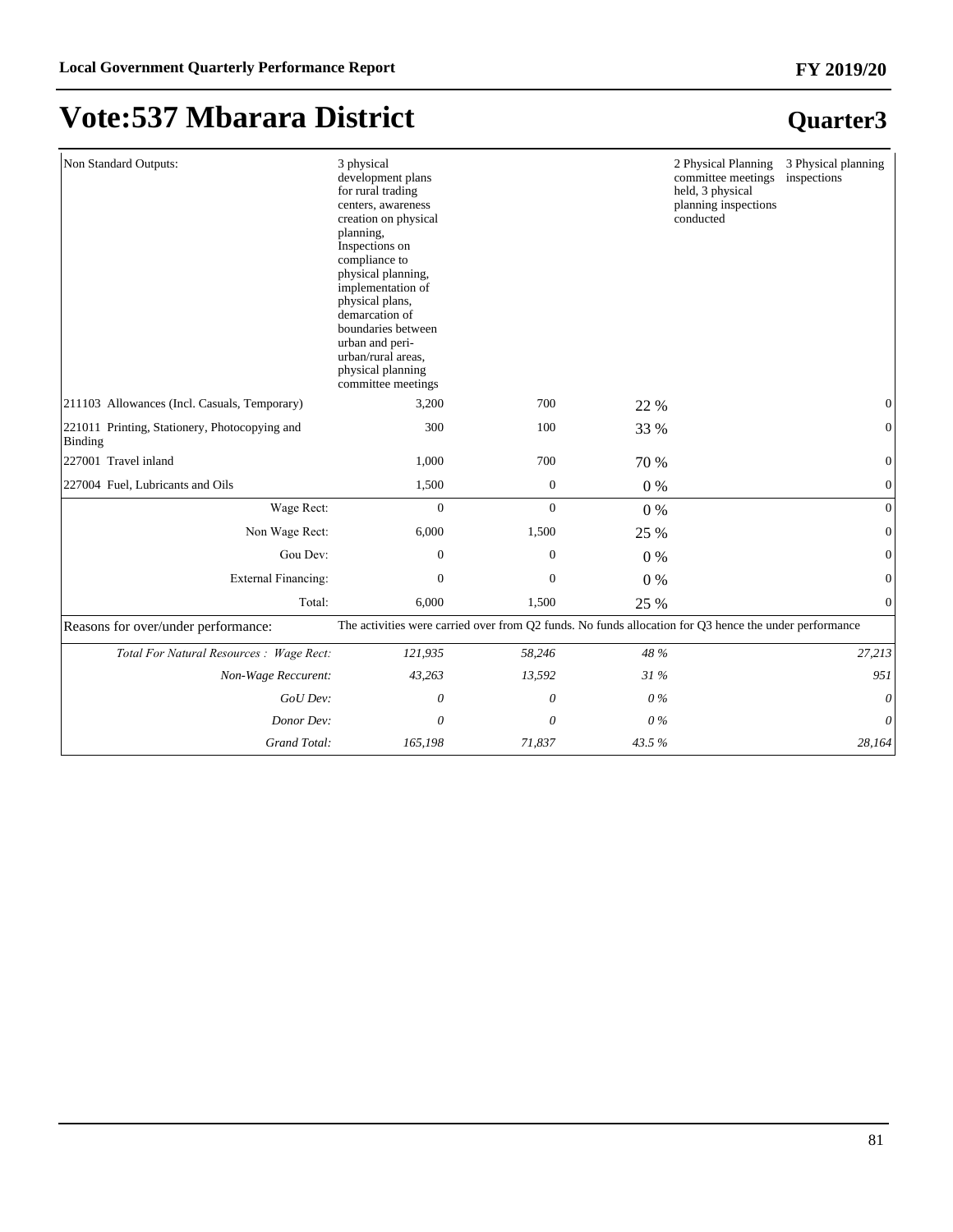| Non Standard Outputs:                                    | 3 physical<br>development plans<br>for rural trading<br>centers, awareness<br>creation on physical<br>planning,<br>Inspections on<br>compliance to<br>physical planning,<br>implementation of<br>physical plans,<br>demarcation of<br>boundaries between<br>urban and peri-<br>urban/rural areas,<br>physical planning<br>committee meetings |                  |       | 2 Physical Planning<br>committee meetings<br>held, 3 physical<br>planning inspections<br>conducted | 3 Physical planning<br>inspections |
|----------------------------------------------------------|----------------------------------------------------------------------------------------------------------------------------------------------------------------------------------------------------------------------------------------------------------------------------------------------------------------------------------------------|------------------|-------|----------------------------------------------------------------------------------------------------|------------------------------------|
| 211103 Allowances (Incl. Casuals, Temporary)             | 3,200                                                                                                                                                                                                                                                                                                                                        | 700              | 22 %  |                                                                                                    | $\Omega$                           |
| 221011 Printing, Stationery, Photocopying and<br>Binding | 300                                                                                                                                                                                                                                                                                                                                          | 100              | 33 %  |                                                                                                    | $\boldsymbol{0}$                   |
| 227001 Travel inland                                     | 1,000                                                                                                                                                                                                                                                                                                                                        | 700              | 70 %  |                                                                                                    | $\overline{0}$                     |
| 227004 Fuel, Lubricants and Oils                         | 1,500                                                                                                                                                                                                                                                                                                                                        | $\mathbf{0}$     | 0%    |                                                                                                    | $\boldsymbol{0}$                   |
| Wage Rect:                                               | $\overline{0}$                                                                                                                                                                                                                                                                                                                               | $\overline{0}$   | 0%    |                                                                                                    | $\overline{0}$                     |
| Non Wage Rect:                                           | 6,000                                                                                                                                                                                                                                                                                                                                        | 1,500            | 25 %  |                                                                                                    | $\boldsymbol{0}$                   |
| Gou Dev:                                                 | $\boldsymbol{0}$                                                                                                                                                                                                                                                                                                                             | $\boldsymbol{0}$ | 0%    |                                                                                                    | $\boldsymbol{0}$                   |
| <b>External Financing:</b>                               | $\theta$                                                                                                                                                                                                                                                                                                                                     | $\theta$         | $0\%$ |                                                                                                    | $\boldsymbol{0}$                   |
| Total:                                                   | 6,000                                                                                                                                                                                                                                                                                                                                        | 1,500            | 25 %  |                                                                                                    | $\mathbf{0}$                       |
| Reasons for over/under performance:                      | The activities were carried over from Q2 funds. No funds allocation for Q3 hence the under performance                                                                                                                                                                                                                                       |                  |       |                                                                                                    |                                    |
| Total For Natural Resources : Wage Rect:                 | 121,935                                                                                                                                                                                                                                                                                                                                      | 58,246           | 48 %  |                                                                                                    | 27,213                             |
| Non-Wage Reccurent:                                      | 43,263                                                                                                                                                                                                                                                                                                                                       | 13,592           | 31 %  |                                                                                                    | 951                                |
| GoU Dev:                                                 | 0                                                                                                                                                                                                                                                                                                                                            | 0                | $0\%$ |                                                                                                    | $\theta$                           |
| Donor Dev:                                               | 0                                                                                                                                                                                                                                                                                                                                            | 0                | 0%    |                                                                                                    | 0                                  |
| Grand Total:                                             | 165,198                                                                                                                                                                                                                                                                                                                                      | 71,837           | 43.5% |                                                                                                    | 28,164                             |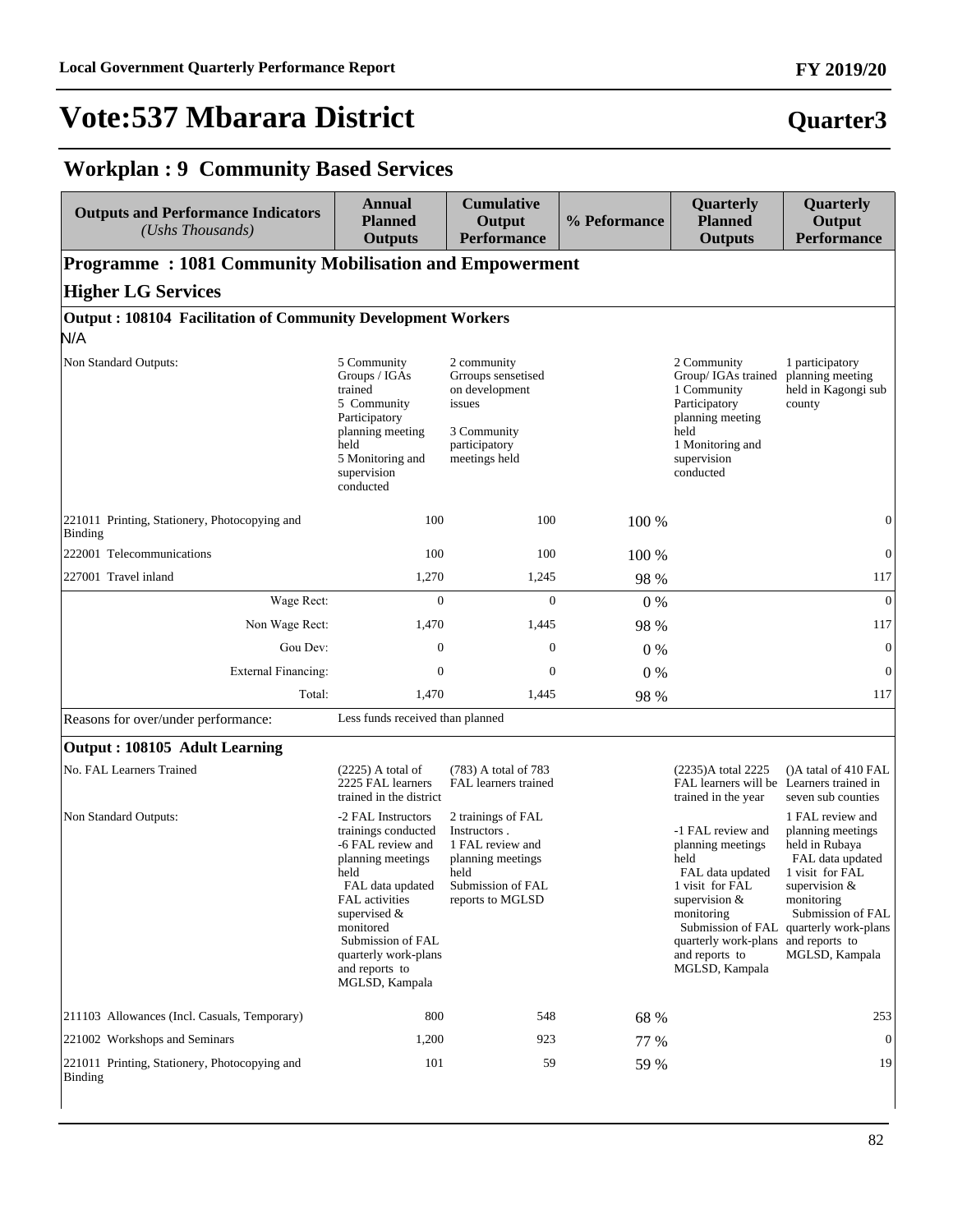#### **FY 2019/20**

### **Quarter3**

#### **Workplan : 9 Community Based Services**

| <b>Outputs and Performance Indicators</b><br>$(Ushs$ Thousands)            | <b>Annual</b><br><b>Planned</b><br><b>Outputs</b>                                                                                                                                                                                                  | <b>Cumulative</b><br>Output<br><b>Performance</b>                                                                            | % Peformance | Quarterly<br><b>Planned</b><br><b>Outputs</b>                                                                                                                                                     | Quarterly<br>Output<br><b>Performance</b>                                                                                                                                                                      |  |  |  |
|----------------------------------------------------------------------------|----------------------------------------------------------------------------------------------------------------------------------------------------------------------------------------------------------------------------------------------------|------------------------------------------------------------------------------------------------------------------------------|--------------|---------------------------------------------------------------------------------------------------------------------------------------------------------------------------------------------------|----------------------------------------------------------------------------------------------------------------------------------------------------------------------------------------------------------------|--|--|--|
| <b>Programme: 1081 Community Mobilisation and Empowerment</b>              |                                                                                                                                                                                                                                                    |                                                                                                                              |              |                                                                                                                                                                                                   |                                                                                                                                                                                                                |  |  |  |
| <b>Higher LG Services</b>                                                  |                                                                                                                                                                                                                                                    |                                                                                                                              |              |                                                                                                                                                                                                   |                                                                                                                                                                                                                |  |  |  |
| <b>Output: 108104 Facilitation of Community Development Workers</b><br>N/A |                                                                                                                                                                                                                                                    |                                                                                                                              |              |                                                                                                                                                                                                   |                                                                                                                                                                                                                |  |  |  |
| Non Standard Outputs:                                                      | 5 Community<br>Groups / IGAs<br>trained<br>5 Community<br>Participatory<br>planning meeting<br>held<br>5 Monitoring and<br>supervision<br>conducted                                                                                                | 2 community<br>Grroups sensetised<br>on development<br>issues<br>3 Community<br>participatory<br>meetings held               |              | 2 Community<br>Group/ IGAs trained<br>1 Community<br>Participatory<br>planning meeting<br>held<br>1 Monitoring and<br>supervision<br>conducted                                                    | 1 participatory<br>planning meeting<br>held in Kagongi sub<br>county                                                                                                                                           |  |  |  |
| 221011 Printing, Stationery, Photocopying and<br>Binding                   | 100                                                                                                                                                                                                                                                | 100                                                                                                                          | 100 %        |                                                                                                                                                                                                   | $\mathbf{0}$                                                                                                                                                                                                   |  |  |  |
| 222001 Telecommunications                                                  | 100                                                                                                                                                                                                                                                | 100                                                                                                                          | 100 %        |                                                                                                                                                                                                   | $\mathbf{0}$                                                                                                                                                                                                   |  |  |  |
| 227001 Travel inland                                                       | 1,270                                                                                                                                                                                                                                              | 1,245                                                                                                                        | 98 %         |                                                                                                                                                                                                   | 117                                                                                                                                                                                                            |  |  |  |
| Wage Rect:                                                                 | $\mathbf{0}$                                                                                                                                                                                                                                       | $\mathbf{0}$                                                                                                                 | $0\%$        |                                                                                                                                                                                                   | $\overline{0}$                                                                                                                                                                                                 |  |  |  |
| Non Wage Rect:                                                             | 1,470                                                                                                                                                                                                                                              | 1,445                                                                                                                        | 98 %         |                                                                                                                                                                                                   | 117                                                                                                                                                                                                            |  |  |  |
| Gou Dev:                                                                   | 0                                                                                                                                                                                                                                                  | $\mathbf{0}$                                                                                                                 | $0\%$        |                                                                                                                                                                                                   | $\mathbf{0}$                                                                                                                                                                                                   |  |  |  |
| <b>External Financing:</b>                                                 | 0                                                                                                                                                                                                                                                  | $\mathbf{0}$                                                                                                                 | $0\%$        |                                                                                                                                                                                                   | $\overline{0}$                                                                                                                                                                                                 |  |  |  |
| Total:                                                                     | 1,470                                                                                                                                                                                                                                              | 1,445                                                                                                                        | 98 %         |                                                                                                                                                                                                   | 117                                                                                                                                                                                                            |  |  |  |
| Reasons for over/under performance:                                        | Less funds received than planned                                                                                                                                                                                                                   |                                                                                                                              |              |                                                                                                                                                                                                   |                                                                                                                                                                                                                |  |  |  |
| Output: 108105 Adult Learning                                              |                                                                                                                                                                                                                                                    |                                                                                                                              |              |                                                                                                                                                                                                   |                                                                                                                                                                                                                |  |  |  |
| No. FAL Learners Trained                                                   | $(2225)$ A total of<br>2225 FAL learners<br>trained in the district                                                                                                                                                                                | (783) A total of 783<br>FAL learners trained                                                                                 |              | (2235)A total 2225<br>FAL learners will be Learners trained in<br>trained in the year                                                                                                             | ()A tatal of 410 FAL<br>seven sub counties                                                                                                                                                                     |  |  |  |
| Non Standard Outputs:                                                      | -2 FAL Instructors<br>trainings conducted<br>-6 FAL review and<br>planning meetings<br>held<br>FAL data updated<br>FAL activities<br>supervised $\&$<br>monitored<br>Submission of FAL<br>quarterly work-plans<br>and reports to<br>MGLSD, Kampala | 2 trainings of FAL<br>Instructors.<br>1 FAL review and<br>planning meetings<br>held<br>Submission of FAL<br>reports to MGLSD |              | -1 FAL review and<br>planning meetings<br>held<br>FAL data updated<br>1 visit for FAL<br>supervision $&$<br>monitoring<br>quarterly work-plans and reports to<br>and reports to<br>MGLSD, Kampala | 1 FAL review and<br>planning meetings<br>held in Rubaya<br>FAL data updated<br>1 visit for FAL<br>supervision &<br>monitoring<br>Submission of FAL<br>Submission of FAL quarterly work-plans<br>MGLSD, Kampala |  |  |  |
| 211103 Allowances (Incl. Casuals, Temporary)                               | 800                                                                                                                                                                                                                                                | 548                                                                                                                          | 68 %         |                                                                                                                                                                                                   | 253                                                                                                                                                                                                            |  |  |  |
| 221002 Workshops and Seminars                                              | 1,200                                                                                                                                                                                                                                              | 923                                                                                                                          | 77 %         |                                                                                                                                                                                                   | $\overline{0}$                                                                                                                                                                                                 |  |  |  |
| 221011 Printing, Stationery, Photocopying and<br>Binding                   | 101                                                                                                                                                                                                                                                | 59                                                                                                                           | 59 %         |                                                                                                                                                                                                   | 19                                                                                                                                                                                                             |  |  |  |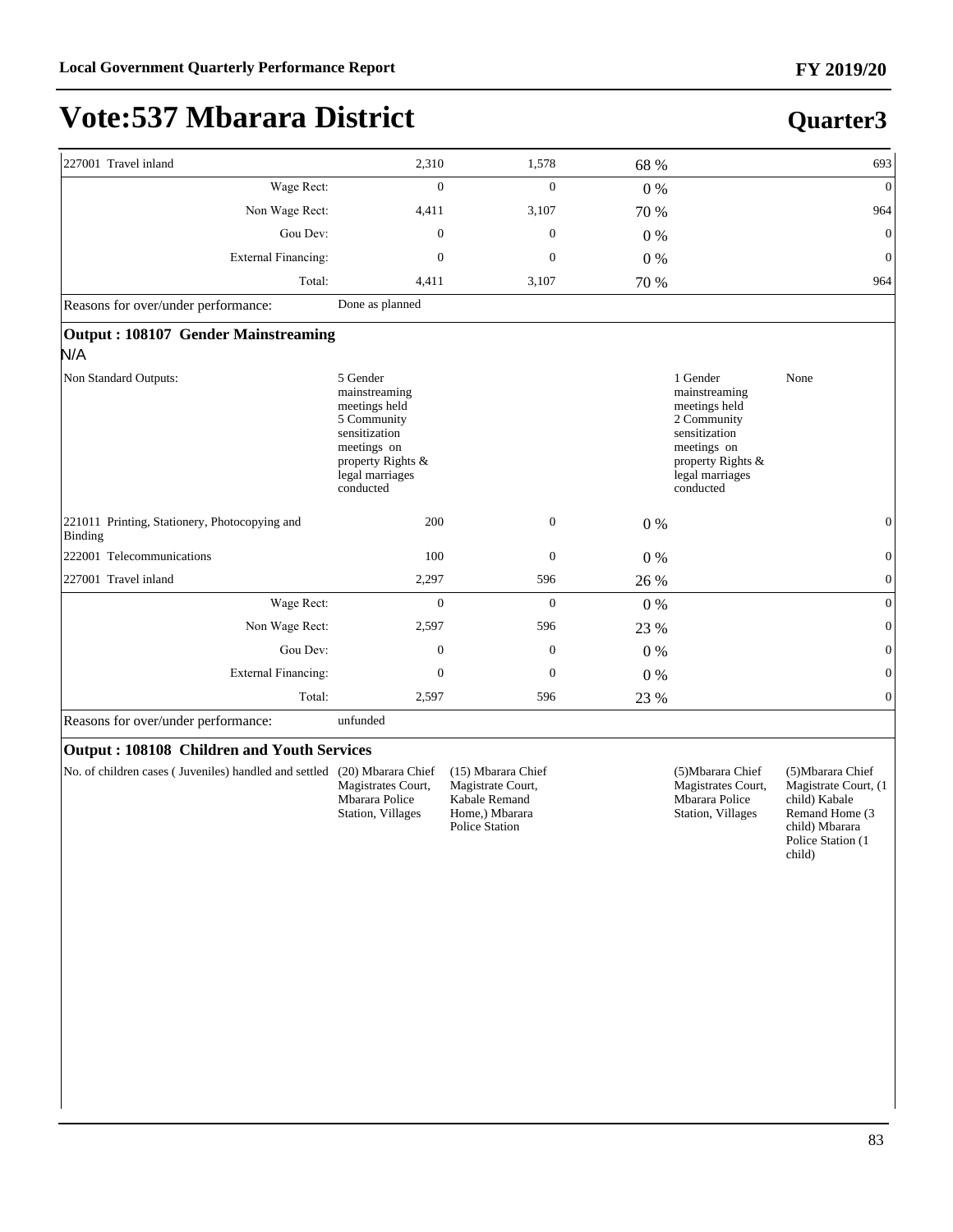**Quarter3**

# **Vote:537 Mbarara District**

|                                                                                                                                                | 1,578                                                                                                                                                                                                                                                                                                                                 |                                                                                                                                                                              |                                                                                                                                                | 693                                                                                                                           |
|------------------------------------------------------------------------------------------------------------------------------------------------|---------------------------------------------------------------------------------------------------------------------------------------------------------------------------------------------------------------------------------------------------------------------------------------------------------------------------------------|------------------------------------------------------------------------------------------------------------------------------------------------------------------------------|------------------------------------------------------------------------------------------------------------------------------------------------|-------------------------------------------------------------------------------------------------------------------------------|
|                                                                                                                                                | $\mathbf{0}$                                                                                                                                                                                                                                                                                                                          |                                                                                                                                                                              |                                                                                                                                                | $\mathbf{0}$                                                                                                                  |
|                                                                                                                                                | 3,107                                                                                                                                                                                                                                                                                                                                 |                                                                                                                                                                              |                                                                                                                                                | 964                                                                                                                           |
|                                                                                                                                                | $\mathbf{0}$                                                                                                                                                                                                                                                                                                                          | $0\%$                                                                                                                                                                        |                                                                                                                                                | $\mathbf{0}$                                                                                                                  |
|                                                                                                                                                | $\theta$                                                                                                                                                                                                                                                                                                                              | 0%                                                                                                                                                                           |                                                                                                                                                | $\theta$                                                                                                                      |
|                                                                                                                                                | 3,107                                                                                                                                                                                                                                                                                                                                 | 70 %                                                                                                                                                                         |                                                                                                                                                | 964                                                                                                                           |
| Done as planned                                                                                                                                |                                                                                                                                                                                                                                                                                                                                       |                                                                                                                                                                              |                                                                                                                                                |                                                                                                                               |
|                                                                                                                                                |                                                                                                                                                                                                                                                                                                                                       |                                                                                                                                                                              |                                                                                                                                                |                                                                                                                               |
| 5 Gender<br>mainstreaming<br>meetings held<br>5 Community<br>sensitization<br>meetings on<br>property Rights &<br>legal marriages<br>conducted |                                                                                                                                                                                                                                                                                                                                       |                                                                                                                                                                              | 1 Gender<br>mainstreaming<br>meetings held<br>2 Community<br>sensitization<br>meetings on<br>property Rights &<br>legal marriages<br>conducted | None                                                                                                                          |
|                                                                                                                                                | $\mathbf{0}$                                                                                                                                                                                                                                                                                                                          | 0%                                                                                                                                                                           |                                                                                                                                                | $\Omega$                                                                                                                      |
|                                                                                                                                                | $\mathbf{0}$                                                                                                                                                                                                                                                                                                                          | 0%                                                                                                                                                                           |                                                                                                                                                | $\overline{0}$                                                                                                                |
|                                                                                                                                                | 596                                                                                                                                                                                                                                                                                                                                   |                                                                                                                                                                              |                                                                                                                                                | $\boldsymbol{0}$                                                                                                              |
|                                                                                                                                                | $\mathbf{0}$                                                                                                                                                                                                                                                                                                                          | $0\%$                                                                                                                                                                        |                                                                                                                                                | $\overline{0}$                                                                                                                |
|                                                                                                                                                | 596                                                                                                                                                                                                                                                                                                                                   | 23 %                                                                                                                                                                         |                                                                                                                                                | $\Omega$                                                                                                                      |
|                                                                                                                                                | $\boldsymbol{0}$                                                                                                                                                                                                                                                                                                                      | $0\%$                                                                                                                                                                        |                                                                                                                                                | 0                                                                                                                             |
|                                                                                                                                                | $\boldsymbol{0}$                                                                                                                                                                                                                                                                                                                      | $0\%$                                                                                                                                                                        |                                                                                                                                                | $\overline{0}$                                                                                                                |
|                                                                                                                                                | 596                                                                                                                                                                                                                                                                                                                                   | 23 %                                                                                                                                                                         |                                                                                                                                                | $\overline{0}$                                                                                                                |
| unfunded                                                                                                                                       |                                                                                                                                                                                                                                                                                                                                       |                                                                                                                                                                              |                                                                                                                                                |                                                                                                                               |
|                                                                                                                                                |                                                                                                                                                                                                                                                                                                                                       |                                                                                                                                                                              |                                                                                                                                                |                                                                                                                               |
| Magistrates Court,<br>Mbarara Police<br>Station, Villages                                                                                      | (15) Mbarara Chief<br>Magistrate Court,<br>Kabale Remand<br>Home,) Mbarara<br><b>Police Station</b>                                                                                                                                                                                                                                   |                                                                                                                                                                              | (5) Mbarara Chief<br>Magistrates Court,<br>Mbarara Police<br>Station, Villages                                                                 | (5) Mbarara Chief<br>Magistrate Court, (1<br>child) Kabale<br>Remand Home (3<br>child) Mbarara<br>Police Station (1<br>child) |
|                                                                                                                                                | Wage Rect:<br>Non Wage Rect:<br>Gou Dev:<br><b>External Financing:</b><br>Total:<br>Output: 108107 Gender Mainstreaming<br>Wage Rect:<br>Non Wage Rect:<br>Gou Dev:<br><b>External Financing:</b><br>Total:<br>Output: 108108 Children and Youth Services<br>No. of children cases (Juveniles) handled and settled (20) Mbarara Chief | 2,310<br>$\overline{0}$<br>4,411<br>$\boldsymbol{0}$<br>$\mathbf{0}$<br>4,411<br>200<br>100<br>2,297<br>$\overline{0}$<br>2,597<br>$\boldsymbol{0}$<br>$\mathbf{0}$<br>2,597 |                                                                                                                                                | 68 %<br>$0\ \%$<br>70 %<br>26 %                                                                                               |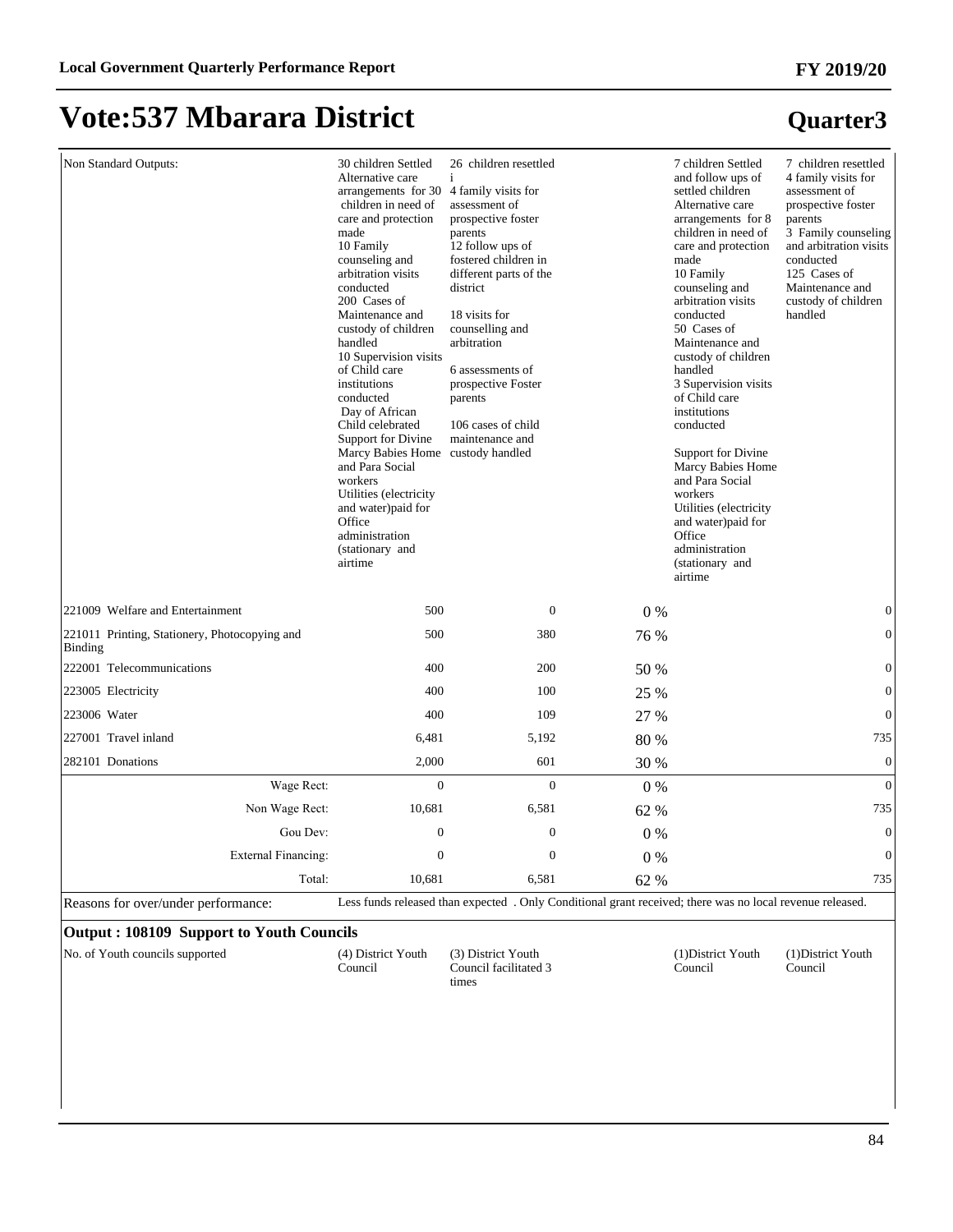**Quarter3**

# **Vote:537 Mbarara District**

| Non Standard Outputs:                                                       | 30 children Settled<br>Alternative care<br>arrangements for 30<br>children in need of<br>care and protection<br>made<br>10 Family<br>counseling and<br>arbitration visits<br>conducted<br>200 Cases of<br>Maintenance and<br>custody of children<br>handled<br>10 Supervision visits<br>of Child care<br>institutions<br>conducted<br>Day of African<br>Child celebrated<br>Support for Divine<br><b>Marcy Babies Home</b><br>and Para Social<br>workers<br>Utilities (electricity<br>and water)paid for<br>Office<br>administration<br>(stationary and<br>airtime | 26 children resettled<br>i.<br>4 family visits for<br>assessment of<br>prospective foster<br>parents<br>12 follow ups of<br>fostered children in<br>different parts of the<br>district<br>18 visits for<br>counselling and<br>arbitration<br>6 assessments of<br>prospective Foster<br>parents<br>106 cases of child<br>maintenance and<br>custody handled |       | 7 children Settled<br>and follow ups of<br>settled children<br>Alternative care<br>arrangements for 8<br>children in need of<br>care and protection<br>made<br>10 Family<br>counseling and<br>arbitration visits<br>conducted<br>50 Cases of<br>Maintenance and<br>custody of children<br>handled<br>3 Supervision visits<br>of Child care<br>institutions<br>conducted<br>Support for Divine<br>Marcy Babies Home<br>and Para Social<br>workers<br>Utilities (electricity<br>and water)paid for<br>Office<br>administration<br>(stationary and<br>airtime | 7 children resettled<br>4 family visits for<br>assessment of<br>prospective foster<br>parents<br>3 Family counseling<br>and arbitration visits<br>conducted<br>125 Cases of<br>Maintenance and<br>custody of children<br>handled |
|-----------------------------------------------------------------------------|--------------------------------------------------------------------------------------------------------------------------------------------------------------------------------------------------------------------------------------------------------------------------------------------------------------------------------------------------------------------------------------------------------------------------------------------------------------------------------------------------------------------------------------------------------------------|------------------------------------------------------------------------------------------------------------------------------------------------------------------------------------------------------------------------------------------------------------------------------------------------------------------------------------------------------------|-------|------------------------------------------------------------------------------------------------------------------------------------------------------------------------------------------------------------------------------------------------------------------------------------------------------------------------------------------------------------------------------------------------------------------------------------------------------------------------------------------------------------------------------------------------------------|----------------------------------------------------------------------------------------------------------------------------------------------------------------------------------------------------------------------------------|
| 221009 Welfare and Entertainment                                            | 500                                                                                                                                                                                                                                                                                                                                                                                                                                                                                                                                                                | $\theta$                                                                                                                                                                                                                                                                                                                                                   | $0\%$ |                                                                                                                                                                                                                                                                                                                                                                                                                                                                                                                                                            | $\mathbf{0}$                                                                                                                                                                                                                     |
| 221011 Printing, Stationery, Photocopying and<br>Binding                    | 500                                                                                                                                                                                                                                                                                                                                                                                                                                                                                                                                                                | 380                                                                                                                                                                                                                                                                                                                                                        | 76 %  |                                                                                                                                                                                                                                                                                                                                                                                                                                                                                                                                                            | $\overline{0}$                                                                                                                                                                                                                   |
| 222001 Telecommunications                                                   | 400                                                                                                                                                                                                                                                                                                                                                                                                                                                                                                                                                                | 200                                                                                                                                                                                                                                                                                                                                                        | 50 %  |                                                                                                                                                                                                                                                                                                                                                                                                                                                                                                                                                            | $\boldsymbol{0}$                                                                                                                                                                                                                 |
| 223005 Electricity                                                          | 400                                                                                                                                                                                                                                                                                                                                                                                                                                                                                                                                                                | 100                                                                                                                                                                                                                                                                                                                                                        | 25 %  |                                                                                                                                                                                                                                                                                                                                                                                                                                                                                                                                                            | $\boldsymbol{0}$                                                                                                                                                                                                                 |
| 223006 Water                                                                | 400                                                                                                                                                                                                                                                                                                                                                                                                                                                                                                                                                                | 109                                                                                                                                                                                                                                                                                                                                                        | 27 %  |                                                                                                                                                                                                                                                                                                                                                                                                                                                                                                                                                            | $\boldsymbol{0}$                                                                                                                                                                                                                 |
| 227001 Travel inland                                                        | 6,481                                                                                                                                                                                                                                                                                                                                                                                                                                                                                                                                                              | 5,192                                                                                                                                                                                                                                                                                                                                                      | 80 %  |                                                                                                                                                                                                                                                                                                                                                                                                                                                                                                                                                            | 735                                                                                                                                                                                                                              |
| 282101 Donations                                                            | 2,000                                                                                                                                                                                                                                                                                                                                                                                                                                                                                                                                                              | 601                                                                                                                                                                                                                                                                                                                                                        | 30 %  |                                                                                                                                                                                                                                                                                                                                                                                                                                                                                                                                                            | $\boldsymbol{0}$                                                                                                                                                                                                                 |
| Wage Rect:                                                                  | $\mathbf{0}$                                                                                                                                                                                                                                                                                                                                                                                                                                                                                                                                                       | $\overline{0}$                                                                                                                                                                                                                                                                                                                                             | $0\%$ |                                                                                                                                                                                                                                                                                                                                                                                                                                                                                                                                                            | $\mathbf{0}$                                                                                                                                                                                                                     |
| Non Wage Rect:                                                              | 10,681                                                                                                                                                                                                                                                                                                                                                                                                                                                                                                                                                             | 6,581                                                                                                                                                                                                                                                                                                                                                      | 62 %  |                                                                                                                                                                                                                                                                                                                                                                                                                                                                                                                                                            | 735                                                                                                                                                                                                                              |
| Gou Dev:                                                                    | $\Omega$                                                                                                                                                                                                                                                                                                                                                                                                                                                                                                                                                           | $\boldsymbol{0}$                                                                                                                                                                                                                                                                                                                                           | $0\%$ |                                                                                                                                                                                                                                                                                                                                                                                                                                                                                                                                                            | $\boldsymbol{0}$                                                                                                                                                                                                                 |
| External Financing:                                                         | $\mathbf{0}$                                                                                                                                                                                                                                                                                                                                                                                                                                                                                                                                                       | $\boldsymbol{0}$                                                                                                                                                                                                                                                                                                                                           | 0%    |                                                                                                                                                                                                                                                                                                                                                                                                                                                                                                                                                            | $\boldsymbol{0}$                                                                                                                                                                                                                 |
| Total:                                                                      | 10.681                                                                                                                                                                                                                                                                                                                                                                                                                                                                                                                                                             | 6,581                                                                                                                                                                                                                                                                                                                                                      | 62 %  |                                                                                                                                                                                                                                                                                                                                                                                                                                                                                                                                                            | 735                                                                                                                                                                                                                              |
| Reasons for over/under performance:                                         |                                                                                                                                                                                                                                                                                                                                                                                                                                                                                                                                                                    | Less funds released than expected . Only Conditional grant received; there was no local revenue released.                                                                                                                                                                                                                                                  |       |                                                                                                                                                                                                                                                                                                                                                                                                                                                                                                                                                            |                                                                                                                                                                                                                                  |
| .100100C<br>$\mathbf{L} \cdot \mathbf{V}$ and $\mathbf{L} \cdot \mathbf{V}$ | $-21 -$                                                                                                                                                                                                                                                                                                                                                                                                                                                                                                                                                            |                                                                                                                                                                                                                                                                                                                                                            |       |                                                                                                                                                                                                                                                                                                                                                                                                                                                                                                                                                            |                                                                                                                                                                                                                                  |

#### **Output : 108109 Support to Youth Councils**

No. of Youth councils supported (4) District Youth Council

(3) District Youth Council facilitated 3 times

(1)District Youth Council

(1)District Youth Council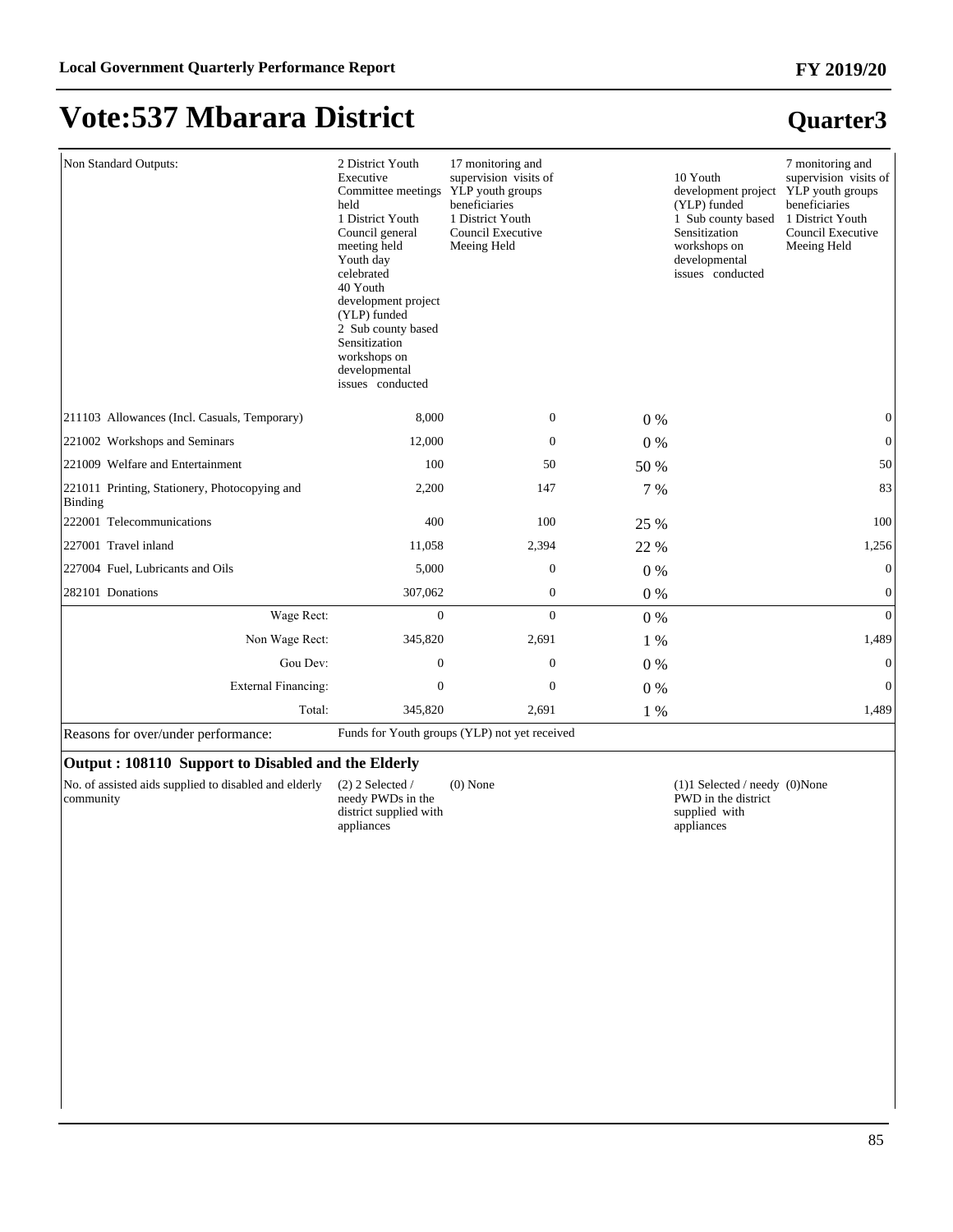| Non Standard Outputs:                                    | 2 District Youth<br>Executive<br>Committee meetings<br>held<br>1 District Youth<br>Council general<br>meeting held<br>Youth day<br>celebrated<br>40 Youth<br>development project<br>(YLP) funded<br>2 Sub county based<br>Sensitization<br>workshops on<br>developmental<br>issues conducted | 17 monitoring and<br>supervision visits of<br>YLP youth groups<br>beneficiaries<br>1 District Youth<br>Council Executive<br>Meeing Held |       | 10 Youth<br>development project YLP youth groups<br>(YLP) funded<br>1 Sub county based<br>Sensitization<br>workshops on<br>developmental<br>issues conducted | 7 monitoring and<br>supervision visits of<br>beneficiaries<br>1 District Youth<br>Council Executive<br>Meeing Held |
|----------------------------------------------------------|----------------------------------------------------------------------------------------------------------------------------------------------------------------------------------------------------------------------------------------------------------------------------------------------|-----------------------------------------------------------------------------------------------------------------------------------------|-------|--------------------------------------------------------------------------------------------------------------------------------------------------------------|--------------------------------------------------------------------------------------------------------------------|
| 211103 Allowances (Incl. Casuals, Temporary)             | 8,000                                                                                                                                                                                                                                                                                        | $\boldsymbol{0}$                                                                                                                        | $0\%$ |                                                                                                                                                              | $\boldsymbol{0}$                                                                                                   |
| 221002 Workshops and Seminars                            | 12,000                                                                                                                                                                                                                                                                                       | $\boldsymbol{0}$                                                                                                                        | $0\%$ |                                                                                                                                                              | $\mathbf{0}$                                                                                                       |
| 221009 Welfare and Entertainment                         | 100                                                                                                                                                                                                                                                                                          | 50                                                                                                                                      | 50 %  |                                                                                                                                                              | 50                                                                                                                 |
| 221011 Printing, Stationery, Photocopying and<br>Binding | 2,200                                                                                                                                                                                                                                                                                        | 147                                                                                                                                     | 7 %   |                                                                                                                                                              | 83                                                                                                                 |
| 222001 Telecommunications                                | 400                                                                                                                                                                                                                                                                                          | 100                                                                                                                                     | 25 %  |                                                                                                                                                              | 100                                                                                                                |
| 227001 Travel inland                                     | 11,058                                                                                                                                                                                                                                                                                       | 2,394                                                                                                                                   | 22 %  |                                                                                                                                                              | 1,256                                                                                                              |
| 227004 Fuel, Lubricants and Oils                         | 5,000                                                                                                                                                                                                                                                                                        | $\overline{0}$                                                                                                                          | $0\%$ |                                                                                                                                                              | $\mathbf{0}$                                                                                                       |
| 282101 Donations                                         | 307,062                                                                                                                                                                                                                                                                                      | $\boldsymbol{0}$                                                                                                                        | 0%    |                                                                                                                                                              | $\mathbf{0}$                                                                                                       |
| Wage Rect:                                               | $\overline{0}$                                                                                                                                                                                                                                                                               | $\overline{0}$                                                                                                                          | 0%    |                                                                                                                                                              | $\overline{0}$                                                                                                     |
| Non Wage Rect:                                           | 345,820                                                                                                                                                                                                                                                                                      | 2,691                                                                                                                                   | 1 %   |                                                                                                                                                              | 1,489                                                                                                              |
| Gou Dev:                                                 | $\mathbf{0}$                                                                                                                                                                                                                                                                                 | $\overline{0}$                                                                                                                          | $0\%$ |                                                                                                                                                              | $\overline{0}$                                                                                                     |
| <b>External Financing:</b>                               | $\mathbf{0}$                                                                                                                                                                                                                                                                                 | $\overline{0}$                                                                                                                          | $0\%$ |                                                                                                                                                              | $\Omega$                                                                                                           |
| Total:                                                   | 345,820                                                                                                                                                                                                                                                                                      | 2,691                                                                                                                                   | 1 %   |                                                                                                                                                              | 1,489                                                                                                              |

Reasons for over/under performance: Funds for Youth groups (YLP) not yet received

#### **Output : 108110 Support to Disabled and the Elderly**

No. of assisted aids supplied to disabled and elderly community

(2) 2 Selected / needy PWDs in the district supplied with

appliances

(0) None  $(1)1$  Selected / needy  $(0)$ None PWD in the district supplied with appliances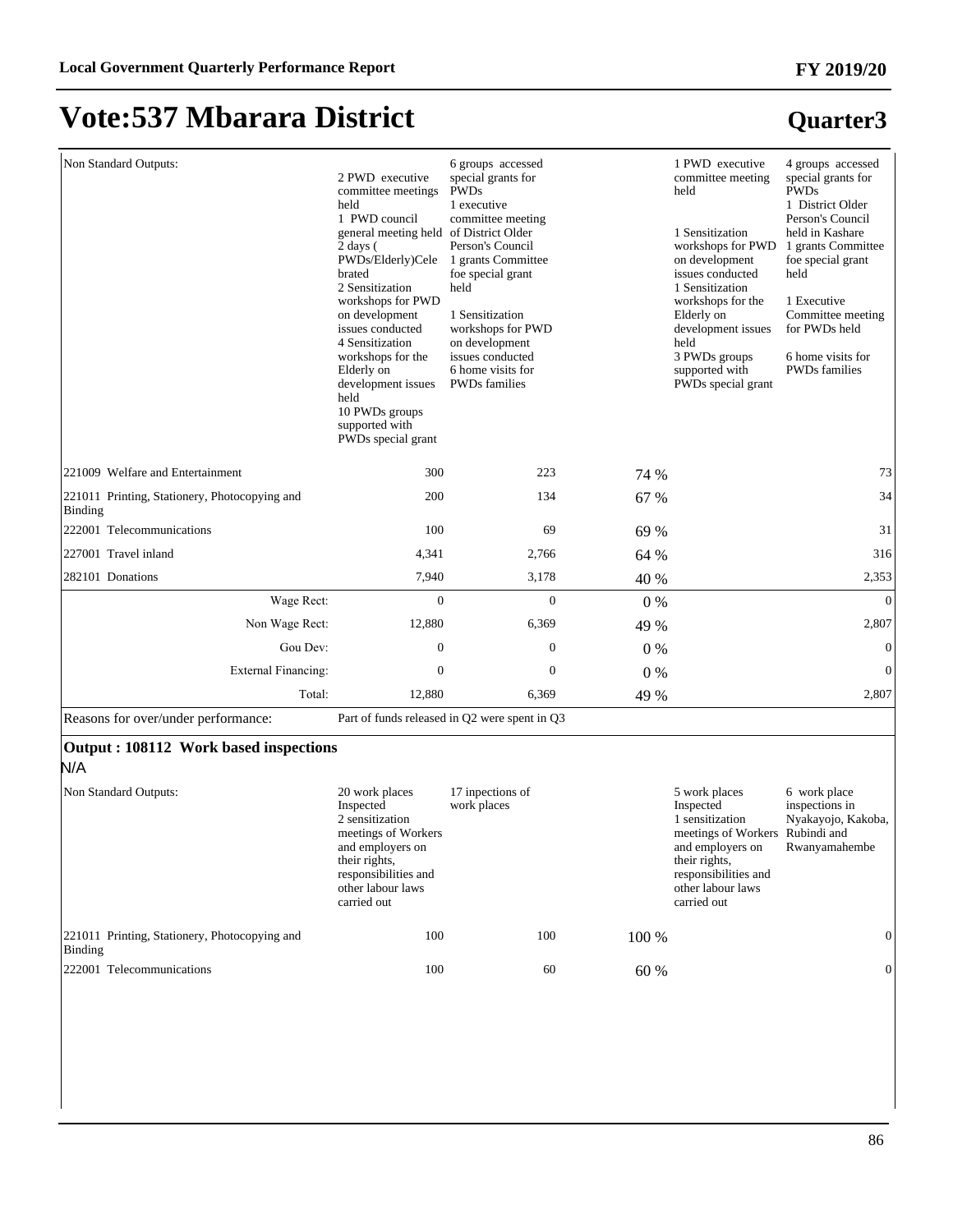**Quarter3**

### **Vote:537 Mbarara District**

#### Non Standard Outputs: 2 PWD executive committee meetings held 1 PWD council general meeting held of District Older 2 days ( PWDs/Elderly)Cele brated 2 Sensitization workshops for PWD on development issues conducted 4 Sensitization workshops for the Elderly on development issues held 10 PWDs groups supported with PWDs special grant 6 groups accessed special grants for PWDs 1 executive committee meeting Person's Council 1 grants Committee foe special grant held 1 Sensitization workshops for PWD on development issues conducted 6 home visits for PWDs families 1 PWD executive committee meeting held 1 Sensitization workshops for PWD on development issues conducted 1 Sensitization workshops for the Elderly on development issues held 3 PWDs groups supported with PWDs special grant 4 groups accessed special grants for PWDs 1 District Older Person's Council held in Kashare 1 grants Committee foe special grant held 1 Executive Committee meeting for PWDs held 6 home visits for PWDs families 221009 Welfare and Entertainment 2300 223 74 % 73 221011 Printing, Stationery, Photocopying and Binding 200 134 67 % 34 222001 Telecommunications 100 69 69 69 69 69 71 227001 Travel inland 2,766 64 % 316 282101 Donations 2,353 and 2,353 and 2,353 and 2,353 and 2,353 and 2,353 and 2,353 and 2,353 and 2,353 and 2,353 :DJH5HFW 0 0 0 % 0 Non Wage Rect: 12,880 6,369 49 % 2,807 Gou Dev:  $0 \t 0 \t 0 \t 0 \t 0$ ([WHUQDO)LQDQFLQJ 0 0 0 % 0 Total: 12,880 6,369 49 % 2,807 Reasons for over/under performance: Part of funds released in Q2 were spent in Q3

#### **Output : 108112 Work based inspections**

N/A

| Non Standard Outputs:                                    | 20 work places<br>Inspected<br>2 sensitization<br>meetings of Workers<br>and employers on<br>their rights,<br>responsibilities and<br>other labour laws<br>carried out | 17 inpections of<br>work places |     |       | 5 work places<br>Inspected<br>1 sensitization<br>meetings of Workers Rubindi and<br>and employers on<br>their rights,<br>responsibilities and<br>other labour laws<br>carried out | 6 work place<br>inspections in<br>Nyakayojo, Kakoba,<br>Rwanyamahembe |
|----------------------------------------------------------|------------------------------------------------------------------------------------------------------------------------------------------------------------------------|---------------------------------|-----|-------|-----------------------------------------------------------------------------------------------------------------------------------------------------------------------------------|-----------------------------------------------------------------------|
| 221011 Printing, Stationery, Photocopying and<br>Binding | 100                                                                                                                                                                    |                                 | 100 | 100 % |                                                                                                                                                                                   | $\Omega$                                                              |
| 222001 Telecommunications                                | 100                                                                                                                                                                    |                                 | 60  | 60 %  |                                                                                                                                                                                   | $\mathbf{0}$                                                          |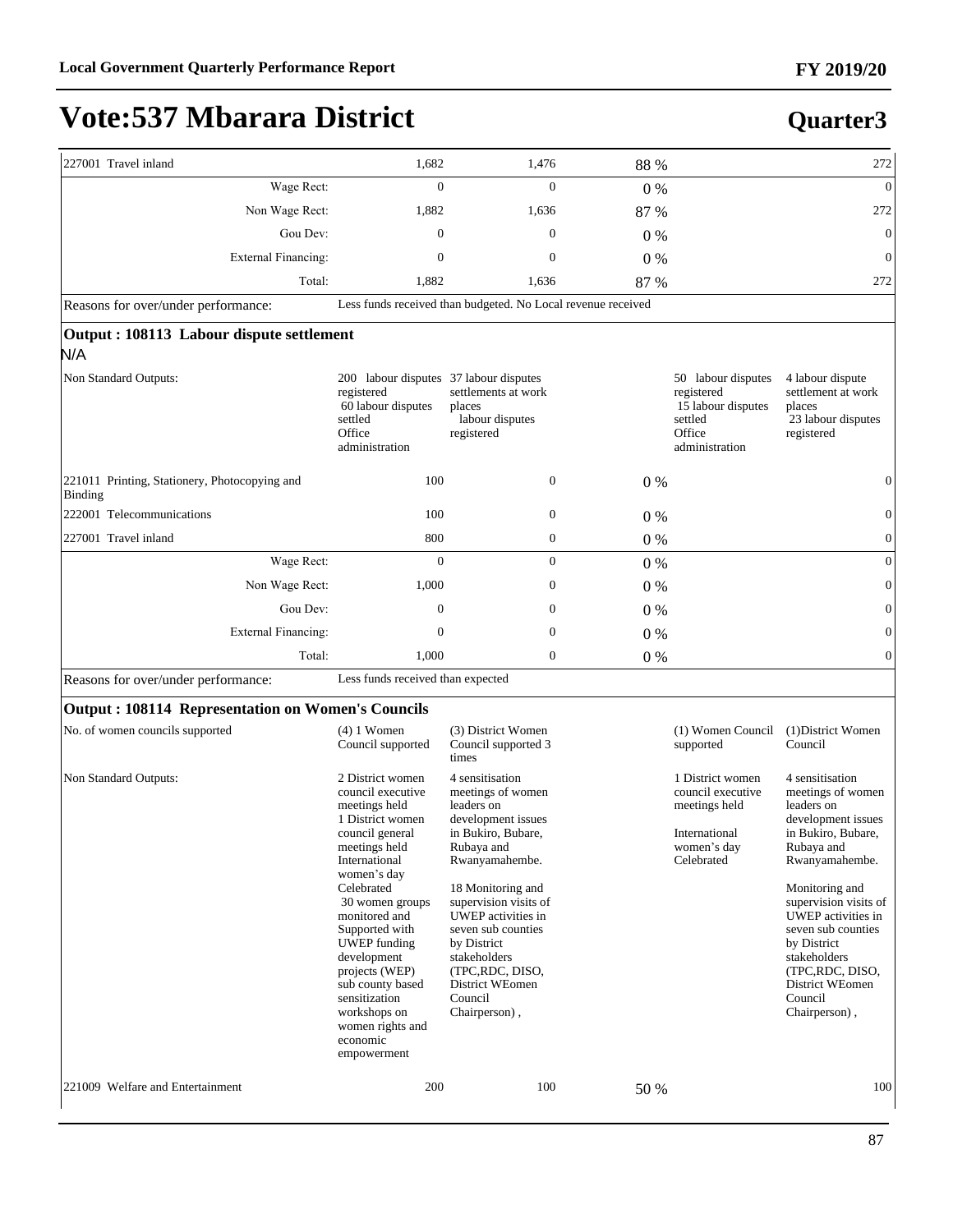#### **Quarter3**

| 227001 Travel inland                                     | 1,682                                                                                                                                                                                                                                                                                                                           | 1,476                                                                                                                                                                                                                                                                                                                     | 88 %  |                                                                                                      | 272                                                                                                                                                                                                                                                                                                                    |
|----------------------------------------------------------|---------------------------------------------------------------------------------------------------------------------------------------------------------------------------------------------------------------------------------------------------------------------------------------------------------------------------------|---------------------------------------------------------------------------------------------------------------------------------------------------------------------------------------------------------------------------------------------------------------------------------------------------------------------------|-------|------------------------------------------------------------------------------------------------------|------------------------------------------------------------------------------------------------------------------------------------------------------------------------------------------------------------------------------------------------------------------------------------------------------------------------|
| Wage Rect:                                               | $\mathbf{0}$                                                                                                                                                                                                                                                                                                                    | $\mathbf{0}$                                                                                                                                                                                                                                                                                                              | 0%    |                                                                                                      | $\overline{0}$                                                                                                                                                                                                                                                                                                         |
| Non Wage Rect:                                           | 1,882                                                                                                                                                                                                                                                                                                                           | 1,636                                                                                                                                                                                                                                                                                                                     | 87 %  |                                                                                                      | 272                                                                                                                                                                                                                                                                                                                    |
| Gou Dev:                                                 | $\Omega$                                                                                                                                                                                                                                                                                                                        | $\Omega$                                                                                                                                                                                                                                                                                                                  | $0\%$ |                                                                                                      | $\boldsymbol{0}$                                                                                                                                                                                                                                                                                                       |
| <b>External Financing:</b>                               | $\mathbf{0}$                                                                                                                                                                                                                                                                                                                    | $\mathbf{0}$                                                                                                                                                                                                                                                                                                              | $0\%$ |                                                                                                      | $\boldsymbol{0}$                                                                                                                                                                                                                                                                                                       |
| Total:                                                   | 1,882                                                                                                                                                                                                                                                                                                                           | 1,636                                                                                                                                                                                                                                                                                                                     | 87 %  |                                                                                                      | 272                                                                                                                                                                                                                                                                                                                    |
| Reasons for over/under performance:                      |                                                                                                                                                                                                                                                                                                                                 | Less funds received than budgeted. No Local revenue received                                                                                                                                                                                                                                                              |       |                                                                                                      |                                                                                                                                                                                                                                                                                                                        |
| Output: 108113 Labour dispute settlement<br>N/A          |                                                                                                                                                                                                                                                                                                                                 |                                                                                                                                                                                                                                                                                                                           |       |                                                                                                      |                                                                                                                                                                                                                                                                                                                        |
| Non Standard Outputs:                                    | 200 labour disputes 37 labour disputes<br>registered<br>60 labour disputes<br>settled<br>Office<br>administration                                                                                                                                                                                                               | settlements at work<br>places<br>labour disputes<br>registered                                                                                                                                                                                                                                                            |       | 50 labour disputes<br>registered<br>15 labour disputes<br>settled<br>Office<br>administration        | 4 labour dispute<br>settlement at work<br>places<br>23 labour disputes<br>registered                                                                                                                                                                                                                                   |
| 221011 Printing, Stationery, Photocopying and<br>Binding | 100                                                                                                                                                                                                                                                                                                                             | $\mathbf{0}$                                                                                                                                                                                                                                                                                                              | $0\%$ |                                                                                                      | $\boldsymbol{0}$                                                                                                                                                                                                                                                                                                       |
| 222001 Telecommunications                                | 100                                                                                                                                                                                                                                                                                                                             | $\boldsymbol{0}$                                                                                                                                                                                                                                                                                                          | $0\%$ |                                                                                                      | $\boldsymbol{0}$                                                                                                                                                                                                                                                                                                       |
| 227001 Travel inland                                     | 800                                                                                                                                                                                                                                                                                                                             | $\boldsymbol{0}$                                                                                                                                                                                                                                                                                                          | 0%    |                                                                                                      | $\boldsymbol{0}$                                                                                                                                                                                                                                                                                                       |
| Wage Rect:                                               | $\mathbf{0}$                                                                                                                                                                                                                                                                                                                    | $\overline{0}$                                                                                                                                                                                                                                                                                                            | $0\%$ |                                                                                                      | $\boldsymbol{0}$                                                                                                                                                                                                                                                                                                       |
| Non Wage Rect:                                           | 1,000                                                                                                                                                                                                                                                                                                                           | 0                                                                                                                                                                                                                                                                                                                         | $0\%$ |                                                                                                      | $\boldsymbol{0}$                                                                                                                                                                                                                                                                                                       |
| Gou Dev:                                                 | $\mathbf{0}$                                                                                                                                                                                                                                                                                                                    | $\mathbf{0}$                                                                                                                                                                                                                                                                                                              | $0\%$ |                                                                                                      | $\boldsymbol{0}$                                                                                                                                                                                                                                                                                                       |
| <b>External Financing:</b>                               | $\mathbf{0}$                                                                                                                                                                                                                                                                                                                    | $\mathbf{0}$                                                                                                                                                                                                                                                                                                              | 0%    |                                                                                                      | $\boldsymbol{0}$                                                                                                                                                                                                                                                                                                       |
| Total:                                                   | 1,000                                                                                                                                                                                                                                                                                                                           | $\mathbf{0}$                                                                                                                                                                                                                                                                                                              | $0\%$ |                                                                                                      | $\overline{0}$                                                                                                                                                                                                                                                                                                         |
| Reasons for over/under performance:                      | Less funds received than expected                                                                                                                                                                                                                                                                                               |                                                                                                                                                                                                                                                                                                                           |       |                                                                                                      |                                                                                                                                                                                                                                                                                                                        |
| <b>Output: 108114 Representation on Women's Councils</b> |                                                                                                                                                                                                                                                                                                                                 |                                                                                                                                                                                                                                                                                                                           |       |                                                                                                      |                                                                                                                                                                                                                                                                                                                        |
| No. of women councils supported                          | $(4)$ 1 Women<br>Council supported                                                                                                                                                                                                                                                                                              | (3) District Women<br>Council supported 3<br>times                                                                                                                                                                                                                                                                        |       | (1) Women Council<br>supported                                                                       | (1) District Women<br>Council                                                                                                                                                                                                                                                                                          |
| Non Standard Outputs:                                    | 2 District women<br>council executive<br>meetings held<br>1 District women<br>council general<br>meetings held<br>International<br>women's day<br>Celebrated<br>30 women groups<br>monitored and<br>Supported with<br><b>UWEP</b> funding<br>development<br>projects (WEP)<br>sub county based<br>sensitization<br>workshops on | 4 sensitisation<br>meetings of women<br>leaders on<br>development issues<br>in Bukiro, Bubare,<br>Rubaya and<br>Rwanyamahembe.<br>18 Monitoring and<br>supervision visits of<br>UWEP activities in<br>seven sub counties<br>by District<br>stakeholders<br>(TPC,RDC, DISO,<br>District WEomen<br>Council<br>Chairperson), |       | 1 District women<br>council executive<br>meetings held<br>International<br>women's day<br>Celebrated | 4 sensitisation<br>meetings of women<br>leaders on<br>development issues<br>in Bukiro, Bubare,<br>Rubaya and<br>Rwanyamahembe.<br>Monitoring and<br>supervision visits of<br>UWEP activities in<br>seven sub counties<br>by District<br>stakeholders<br>(TPC,RDC, DISO,<br>District WEomen<br>Council<br>Chairperson), |

women rights and economic empowerment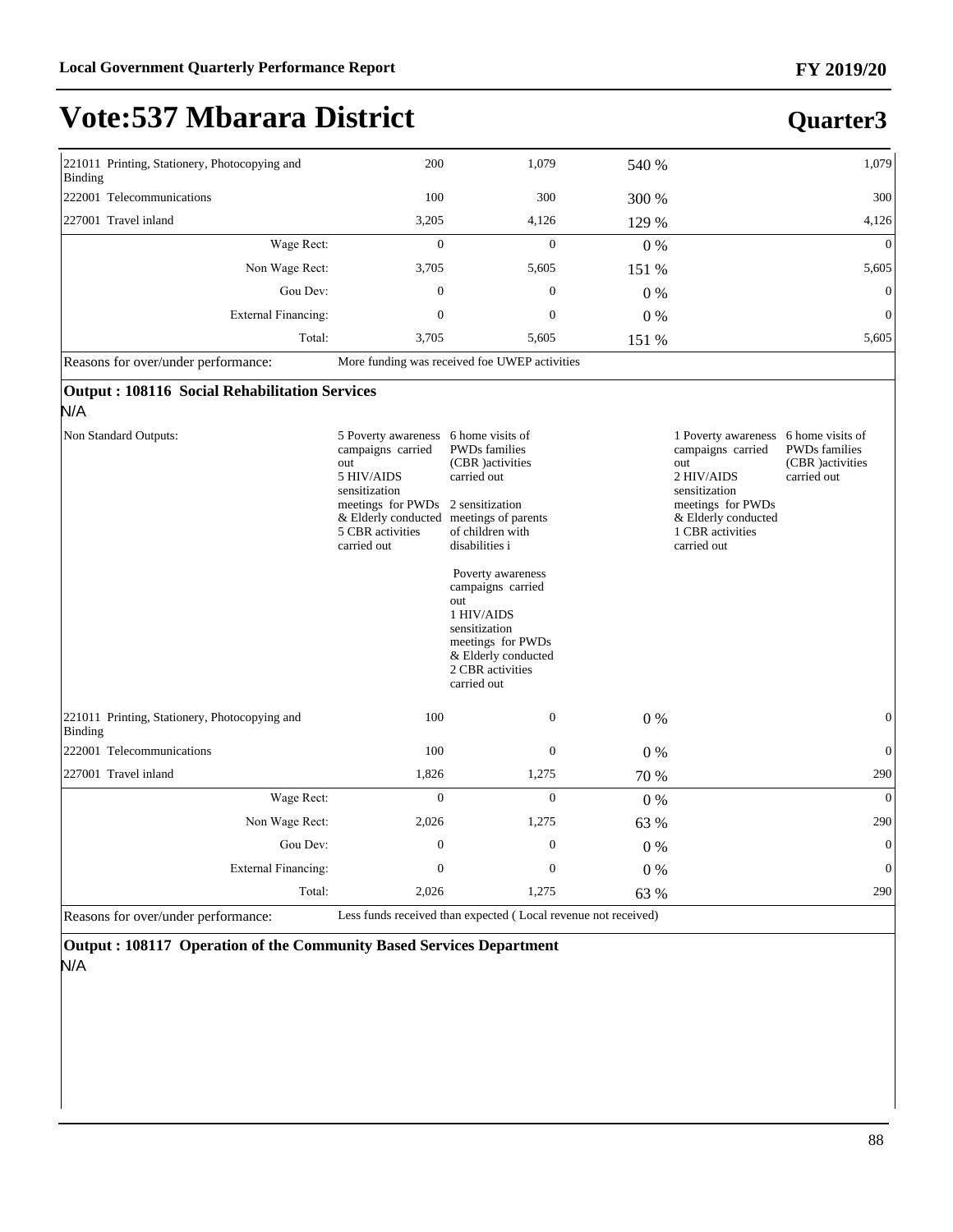**Quarter3**

### **Vote:537 Mbarara District**

#### 221011 Printing, Stationery, Photocopying and Binding 200 1,079 540 % 1,079 222001 Telecommunications 100 300 300 % 300 227001 Travel inland 2.2005 4,126 4,126 4,129 % 4,126 4,126 4,126 :DJH5HFW 0 0 0 % 0 Non Wage Rect: 3,705 5,605 151 % 5,605 5,605 \*RX'HY 0 0 0 % 0 External Financing:  $\begin{array}{ccc} 0 & 0 & 0 \end{array}$ Total: 3,705 5,605 151 % 5,605 5,605 Reasons for over/under performance: More funding was received foe UWEP activities

| <b>Output: 108116 Social Rehabilitation Services</b> |  |  |  |
|------------------------------------------------------|--|--|--|
|------------------------------------------------------|--|--|--|

#### N/A

| Non Standard Outputs:                                    | 5 Poverty awareness<br>campaigns carried<br>out<br>5 HIV/AIDS<br>sensitization<br>meetings for PWDs<br>& Elderly conducted<br>5 CBR activities<br>carried out | 6 home visits of<br><b>PWDs</b> families<br>(CBR) activities<br>carried out<br>2 sensitization<br>meetings of parents<br>of children with<br>disabilities i<br>Poverty awareness<br>campaigns carried<br>out<br>1 HIV/AIDS<br>sensitization<br>meetings for PWDs<br>& Elderly conducted<br>2 CBR activities<br>carried out |       | 1 Poverty awareness<br>campaigns carried<br>out<br>2 HIV/AIDS<br>sensitization<br>meetings for PWDs<br>& Elderly conducted<br>1 CBR activities<br>carried out | 6 home visits of<br><b>PWDs</b> families<br>(CBR) activities<br>carried out |
|----------------------------------------------------------|---------------------------------------------------------------------------------------------------------------------------------------------------------------|----------------------------------------------------------------------------------------------------------------------------------------------------------------------------------------------------------------------------------------------------------------------------------------------------------------------------|-------|---------------------------------------------------------------------------------------------------------------------------------------------------------------|-----------------------------------------------------------------------------|
| 221011 Printing, Stationery, Photocopying and<br>Binding | 100                                                                                                                                                           | $\theta$                                                                                                                                                                                                                                                                                                                   | $0\%$ |                                                                                                                                                               | $\Omega$                                                                    |
| 222001 Telecommunications                                | 100                                                                                                                                                           | $\theta$                                                                                                                                                                                                                                                                                                                   | $0\%$ |                                                                                                                                                               | $\Omega$                                                                    |
| 227001 Travel inland                                     | 1,826                                                                                                                                                         | 1,275                                                                                                                                                                                                                                                                                                                      | 70 %  |                                                                                                                                                               | 290                                                                         |
| Wage Rect:                                               | $\theta$                                                                                                                                                      | $\theta$                                                                                                                                                                                                                                                                                                                   | $0\%$ |                                                                                                                                                               | $\theta$                                                                    |
| Non Wage Rect:                                           | 2,026                                                                                                                                                         | 1,275                                                                                                                                                                                                                                                                                                                      | 63 %  |                                                                                                                                                               | 290                                                                         |
| Gou Dev:                                                 | $\mathbf{0}$                                                                                                                                                  | $\theta$                                                                                                                                                                                                                                                                                                                   | $0\%$ |                                                                                                                                                               | $\theta$                                                                    |
| External Financing:                                      | $\Omega$                                                                                                                                                      | $\Omega$                                                                                                                                                                                                                                                                                                                   | 0%    |                                                                                                                                                               | $\theta$                                                                    |
| Total:                                                   | 2,026                                                                                                                                                         | 1,275                                                                                                                                                                                                                                                                                                                      | 63 %  |                                                                                                                                                               | 290                                                                         |
| Reasons for over/under performance:                      |                                                                                                                                                               | Less funds received than expected (Local revenue not received)                                                                                                                                                                                                                                                             |       |                                                                                                                                                               |                                                                             |

**Output : 108117 Operation of the Community Based Services Department**  N/A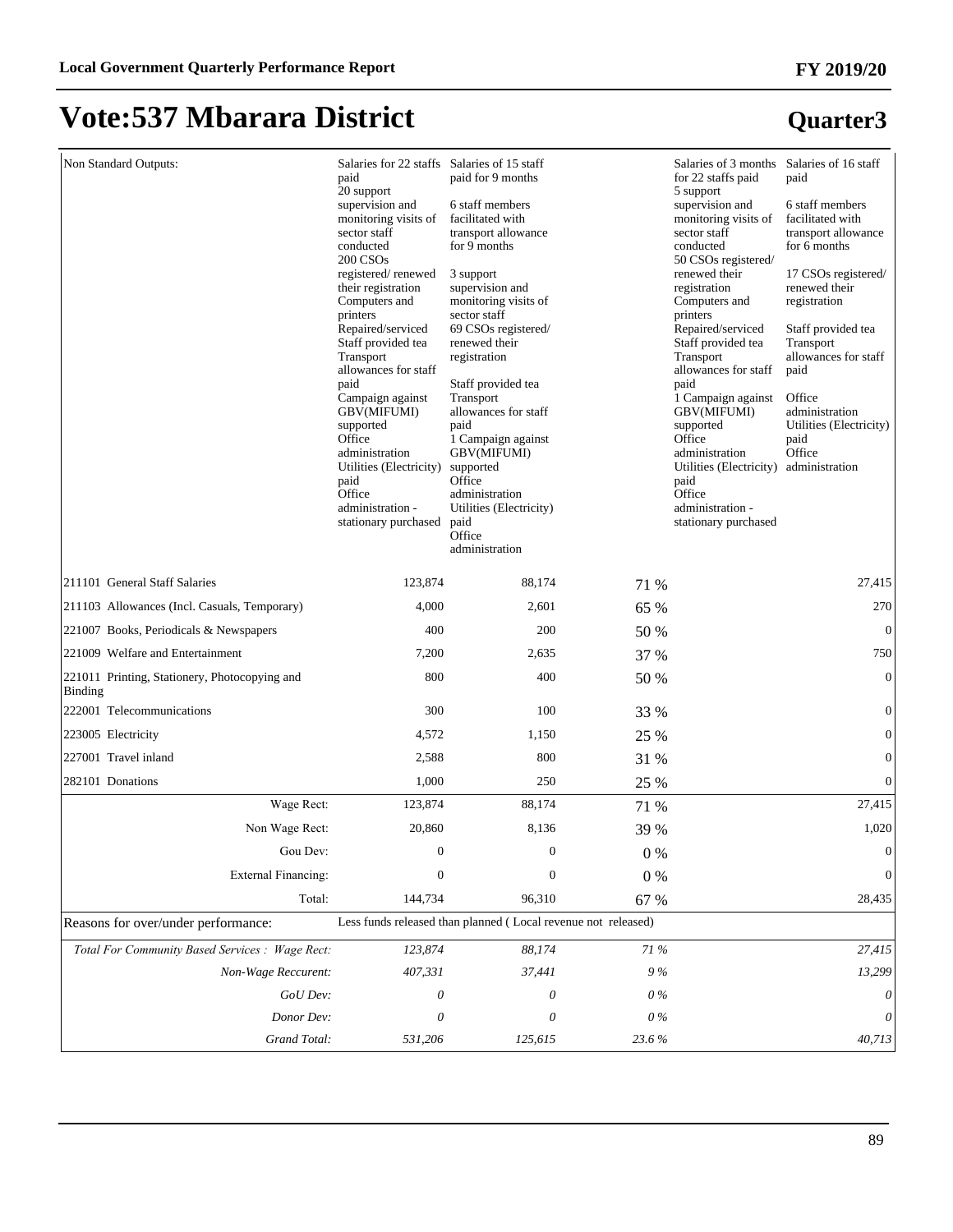| Non Standard Outputs:                                           | Salaries for 22 staffs Salaries of 15 staff<br>paid<br>20 support<br>supervision and<br>monitoring visits of<br>sector staff<br>conducted<br>200 CSO <sub>s</sub><br>registered/renewed<br>their registration<br>Computers and<br>printers<br>Repaired/serviced<br>Staff provided tea<br>Transport<br>allowances for staff<br>paid<br>Campaign against | paid for 9 months<br>6 staff members<br>facilitated with<br>transport allowance<br>for 9 months<br>3 support<br>supervision and<br>monitoring visits of<br>sector staff<br>69 CSOs registered/<br>renewed their<br>registration<br>Staff provided tea<br>Transport |          | Salaries of 3 months Salaries of 16 staff<br>for 22 staffs paid<br>5 support<br>supervision and<br>monitoring visits of<br>sector staff<br>conducted<br>50 CSOs registered/<br>renewed their<br>registration<br>Computers and<br>printers<br>Repaired/serviced<br>Staff provided tea<br>Transport<br>allowances for staff<br>paid<br>1 Campaign against | paid<br>6 staff members<br>facilitated with<br>transport allowance<br>for 6 months<br>17 CSOs registered/<br>renewed their<br>registration<br>Staff provided tea<br>Transport<br>allowances for staff<br>paid<br>Office |
|-----------------------------------------------------------------|--------------------------------------------------------------------------------------------------------------------------------------------------------------------------------------------------------------------------------------------------------------------------------------------------------------------------------------------------------|--------------------------------------------------------------------------------------------------------------------------------------------------------------------------------------------------------------------------------------------------------------------|----------|---------------------------------------------------------------------------------------------------------------------------------------------------------------------------------------------------------------------------------------------------------------------------------------------------------------------------------------------------------|-------------------------------------------------------------------------------------------------------------------------------------------------------------------------------------------------------------------------|
|                                                                 | GBV(MIFUMI)<br>supported<br>Office<br>administration<br>Utilities (Electricity)<br>paid<br>Office<br>administration -<br>stationary purchased                                                                                                                                                                                                          | allowances for staff<br>paid<br>1 Campaign against<br>GBV(MIFUMI)<br>supported<br>Office<br>administration<br>Utilities (Electricity)<br>paid<br>Office<br>administration                                                                                          |          | GBV(MIFUMI)<br>supported<br>Office<br>administration<br>Utilities (Electricity)<br>paid<br>Office<br>administration -<br>stationary purchased                                                                                                                                                                                                           | administration<br>Utilities (Electricity)<br>paid<br>Office<br>administration                                                                                                                                           |
| 211101 General Staff Salaries                                   | 123,874                                                                                                                                                                                                                                                                                                                                                | 88,174                                                                                                                                                                                                                                                             | 71 %     |                                                                                                                                                                                                                                                                                                                                                         | 27,415                                                                                                                                                                                                                  |
| 211103 Allowances (Incl. Casuals, Temporary)                    | 4,000                                                                                                                                                                                                                                                                                                                                                  | 2,601                                                                                                                                                                                                                                                              | 65 %     |                                                                                                                                                                                                                                                                                                                                                         | 270                                                                                                                                                                                                                     |
| 221007 Books, Periodicals & Newspapers                          | 400                                                                                                                                                                                                                                                                                                                                                    | 200                                                                                                                                                                                                                                                                | 50 %     |                                                                                                                                                                                                                                                                                                                                                         | $\mathbf{0}$                                                                                                                                                                                                            |
| 221009 Welfare and Entertainment                                | 7,200                                                                                                                                                                                                                                                                                                                                                  | 2,635                                                                                                                                                                                                                                                              | 37 %     |                                                                                                                                                                                                                                                                                                                                                         | 750                                                                                                                                                                                                                     |
| 221011 Printing, Stationery, Photocopying and<br><b>Binding</b> | 800                                                                                                                                                                                                                                                                                                                                                    | 400                                                                                                                                                                                                                                                                | 50 %     |                                                                                                                                                                                                                                                                                                                                                         | $\mathbf{0}$                                                                                                                                                                                                            |
| 222001 Telecommunications                                       | 300                                                                                                                                                                                                                                                                                                                                                    | 100                                                                                                                                                                                                                                                                | 33 %     |                                                                                                                                                                                                                                                                                                                                                         | $\boldsymbol{0}$                                                                                                                                                                                                        |
| 223005 Electricity                                              | 4,572                                                                                                                                                                                                                                                                                                                                                  | 1,150                                                                                                                                                                                                                                                              | 25 %     |                                                                                                                                                                                                                                                                                                                                                         | $\boldsymbol{0}$                                                                                                                                                                                                        |
| 227001 Travel inland                                            | 2,588                                                                                                                                                                                                                                                                                                                                                  | 800                                                                                                                                                                                                                                                                | 31 %     |                                                                                                                                                                                                                                                                                                                                                         | $\boldsymbol{0}$                                                                                                                                                                                                        |
| 282101 Donations                                                | 1,000                                                                                                                                                                                                                                                                                                                                                  | 250                                                                                                                                                                                                                                                                | 25 %     |                                                                                                                                                                                                                                                                                                                                                         | $\boldsymbol{0}$                                                                                                                                                                                                        |
| Wage Rect:                                                      | 123,874                                                                                                                                                                                                                                                                                                                                                | 88,174                                                                                                                                                                                                                                                             | 71 %     |                                                                                                                                                                                                                                                                                                                                                         | 27,415                                                                                                                                                                                                                  |
| Non Wage Rect:                                                  | 20,860                                                                                                                                                                                                                                                                                                                                                 | 8,136                                                                                                                                                                                                                                                              | 39 %     |                                                                                                                                                                                                                                                                                                                                                         | 1,020                                                                                                                                                                                                                   |
| Gou Dev:                                                        | $\boldsymbol{0}$                                                                                                                                                                                                                                                                                                                                       | 0                                                                                                                                                                                                                                                                  | 0%       |                                                                                                                                                                                                                                                                                                                                                         | $\boldsymbol{0}$                                                                                                                                                                                                        |
| External Financing:                                             | $\boldsymbol{0}$                                                                                                                                                                                                                                                                                                                                       | $\boldsymbol{0}$                                                                                                                                                                                                                                                   | $0\ \%$  |                                                                                                                                                                                                                                                                                                                                                         | $\boldsymbol{0}$                                                                                                                                                                                                        |
| Total:                                                          | 144,734                                                                                                                                                                                                                                                                                                                                                | 96,310                                                                                                                                                                                                                                                             | 67 %     |                                                                                                                                                                                                                                                                                                                                                         | 28,435                                                                                                                                                                                                                  |
| Reasons for over/under performance:                             |                                                                                                                                                                                                                                                                                                                                                        | Less funds released than planned (Local revenue not released)                                                                                                                                                                                                      |          |                                                                                                                                                                                                                                                                                                                                                         |                                                                                                                                                                                                                         |
| Total For Community Based Services : Wage Rect:                 | 123,874                                                                                                                                                                                                                                                                                                                                                | 88,174                                                                                                                                                                                                                                                             | $71\,\%$ |                                                                                                                                                                                                                                                                                                                                                         | 27,415                                                                                                                                                                                                                  |
| Non-Wage Reccurent:                                             | 407,331                                                                                                                                                                                                                                                                                                                                                | 37,441                                                                                                                                                                                                                                                             | 9%       |                                                                                                                                                                                                                                                                                                                                                         | 13,299                                                                                                                                                                                                                  |
| GoU Dev:                                                        | 0                                                                                                                                                                                                                                                                                                                                                      | 0                                                                                                                                                                                                                                                                  | $0\%$    |                                                                                                                                                                                                                                                                                                                                                         | 0                                                                                                                                                                                                                       |
| Donor Dev:                                                      | 0                                                                                                                                                                                                                                                                                                                                                      | 0                                                                                                                                                                                                                                                                  | $0\%$    |                                                                                                                                                                                                                                                                                                                                                         | 0                                                                                                                                                                                                                       |
| Grand Total:                                                    | 531,206                                                                                                                                                                                                                                                                                                                                                | 125,615                                                                                                                                                                                                                                                            | 23.6%    |                                                                                                                                                                                                                                                                                                                                                         | 40,713                                                                                                                                                                                                                  |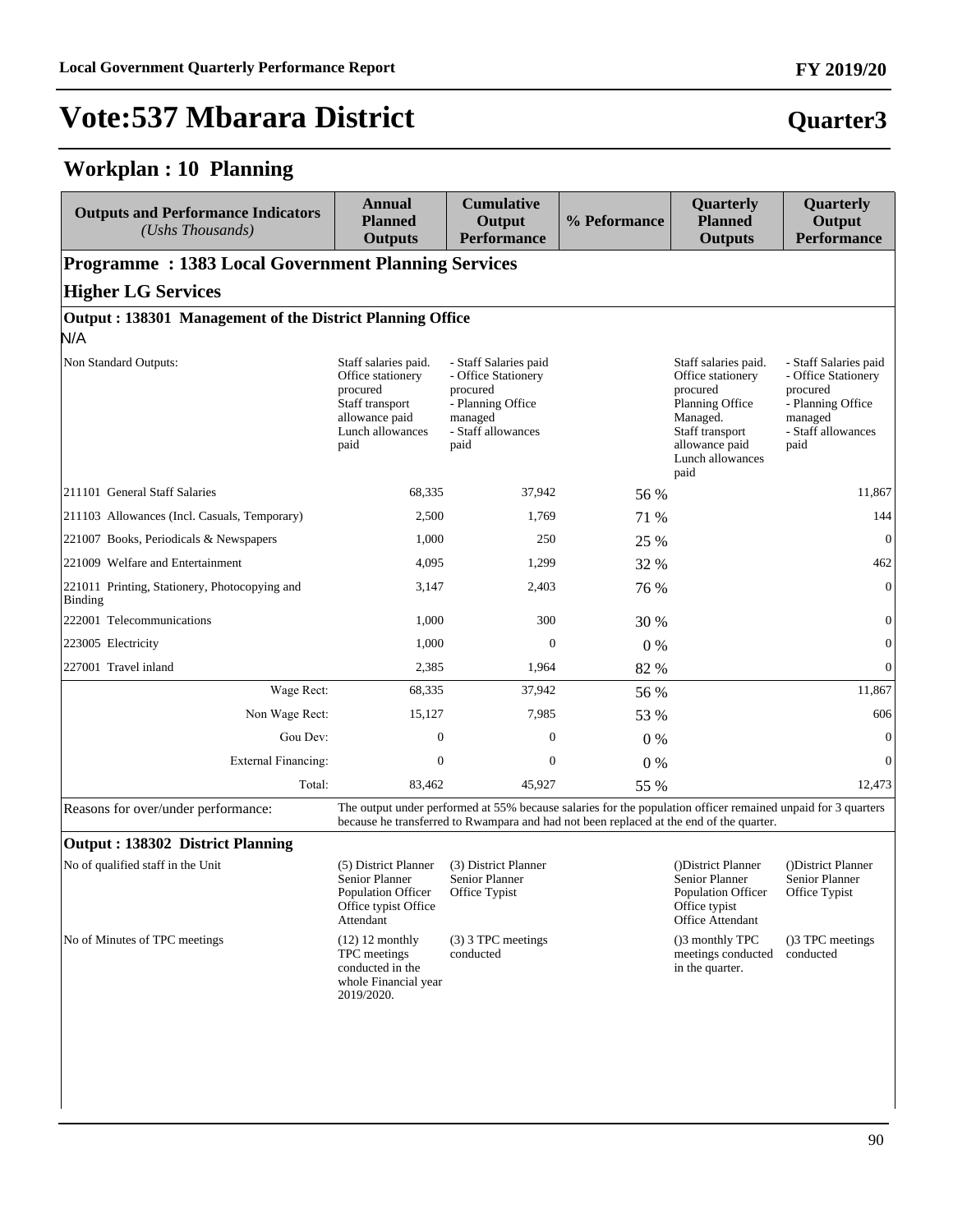#### **Workplan : 10 Planning**

| <b>Outputs and Performance Indicators</b><br>(Ushs Thousands) | Annual<br><b>Planned</b><br><b>Outputs</b>                                                                             | <b>Cumulative</b><br>Output<br><b>Performance</b>                                                                      | % Peformance | Quarterly<br><b>Planned</b><br><b>Outputs</b>                                                                                                         | Quarterly<br>Output<br><b>Performance</b>                                                                              |
|---------------------------------------------------------------|------------------------------------------------------------------------------------------------------------------------|------------------------------------------------------------------------------------------------------------------------|--------------|-------------------------------------------------------------------------------------------------------------------------------------------------------|------------------------------------------------------------------------------------------------------------------------|
| <b>Programme: 1383 Local Government Planning Services</b>     |                                                                                                                        |                                                                                                                        |              |                                                                                                                                                       |                                                                                                                        |
| <b>Higher LG Services</b>                                     |                                                                                                                        |                                                                                                                        |              |                                                                                                                                                       |                                                                                                                        |
| Output: 138301 Management of the District Planning Office     |                                                                                                                        |                                                                                                                        |              |                                                                                                                                                       |                                                                                                                        |
| N/A                                                           |                                                                                                                        |                                                                                                                        |              |                                                                                                                                                       |                                                                                                                        |
| Non Standard Outputs:                                         | Staff salaries paid.<br>Office stationery<br>procured<br>Staff transport<br>allowance paid<br>Lunch allowances<br>paid | - Staff Salaries paid<br>- Office Stationery<br>procured<br>- Planning Office<br>managed<br>- Staff allowances<br>paid |              | Staff salaries paid.<br>Office stationery<br>procured<br>Planning Office<br>Managed.<br>Staff transport<br>allowance paid<br>Lunch allowances<br>paid | - Staff Salaries paid<br>- Office Stationery<br>procured<br>- Planning Office<br>managed<br>- Staff allowances<br>paid |
| 211101 General Staff Salaries                                 | 68,335                                                                                                                 | 37,942                                                                                                                 | 56 %         |                                                                                                                                                       | 11.867                                                                                                                 |
| 211103 Allowances (Incl. Casuals, Temporary)                  | 2,500                                                                                                                  | 1,769                                                                                                                  | 71 %         |                                                                                                                                                       | 144                                                                                                                    |
| 221007 Books, Periodicals & Newspapers                        | 1,000                                                                                                                  | 250                                                                                                                    | 25 %         |                                                                                                                                                       | $\theta$                                                                                                               |
| 221009 Welfare and Entertainment                              | 4,095                                                                                                                  | 1,299                                                                                                                  | 32 %         |                                                                                                                                                       | 462                                                                                                                    |
| 221011 Printing, Stationery, Photocopying and<br>Binding      | 3,147                                                                                                                  | 2,403                                                                                                                  | 76 %         |                                                                                                                                                       | $\overline{0}$                                                                                                         |
| 222001 Telecommunications                                     | 1,000                                                                                                                  | 300                                                                                                                    | 30 %         |                                                                                                                                                       | $\overline{0}$                                                                                                         |
| 223005 Electricity                                            | 1,000                                                                                                                  | $\mathbf{0}$                                                                                                           | 0%           |                                                                                                                                                       | $\theta$                                                                                                               |
| 227001 Travel inland                                          | 2,385                                                                                                                  | 1,964                                                                                                                  | 82 %         |                                                                                                                                                       | $\overline{0}$                                                                                                         |
| Wage Rect:                                                    | 68,335                                                                                                                 | 37,942                                                                                                                 | 56 %         |                                                                                                                                                       | 11,867                                                                                                                 |
| Non Wage Rect:                                                | 15,127                                                                                                                 | 7,985                                                                                                                  | 53 %         |                                                                                                                                                       | 606                                                                                                                    |
| Gou Dev:                                                      | $\mathbf{0}$                                                                                                           | $\mathbf{0}$                                                                                                           | $0\%$        |                                                                                                                                                       | $\mathbf{0}$                                                                                                           |
| External Financing:                                           | $\mathbf{0}$                                                                                                           | $\mathbf{0}$                                                                                                           | 0%           |                                                                                                                                                       | $\overline{0}$                                                                                                         |
| Total:                                                        | 83,462                                                                                                                 | 45,927                                                                                                                 | 55 %         |                                                                                                                                                       | 12.473                                                                                                                 |

Reasons for over/under performance: The output under performed at 55% because salaries for the population officer remained unpaid for 3 quarters because he transferred to Rwampara and had not been replaced at the end of the quarter.

#### **Output : 138302 District Planning**

No of qualified staff in the Unit (5) District Planner Senior Planner Population Officer Office typist Office Attendant (3) District Planner Senior Planner Office Typist ()District Planner Senior Planner Population Officer Office typist Office Attendant No of Minutes of TPC meetings (12) 12 monthly TPC meetings conducted in the whole Financial year 2019/2020. (3) 3 TPC meetings conducted ()3 monthly TPC meetings conducted in the quarter.

### **Quarter3**

()District Planner Senior Planner Office Typist

()3 TPC meetings conducted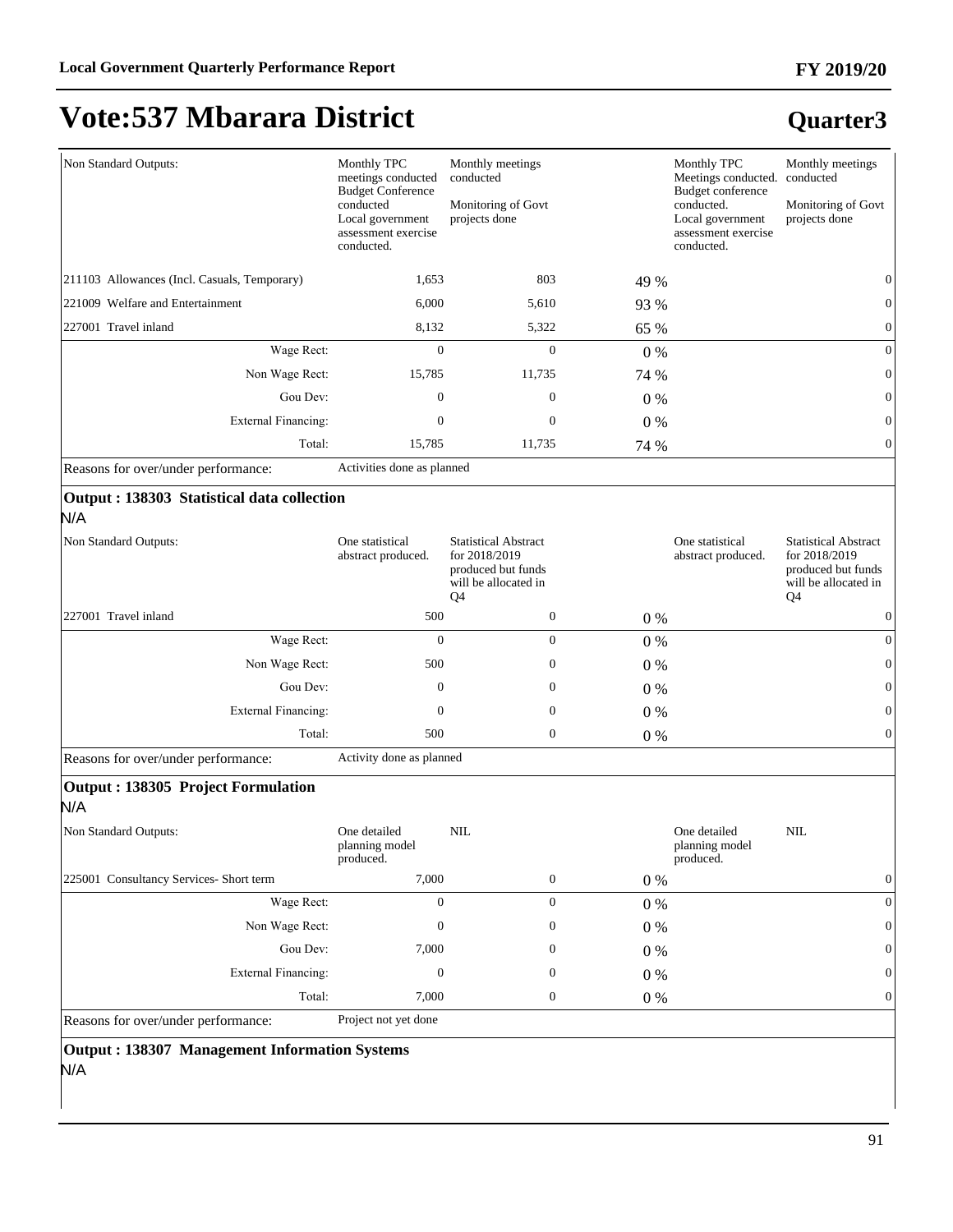#### **FY 2019/20**

# **Vote:537 Mbarara District**

### **Quarter3**

|                                              | Monthly TPC                                                                                                             |                                                                                                              |       | Monthly TPC                                                                       |                                                                                                              |
|----------------------------------------------|-------------------------------------------------------------------------------------------------------------------------|--------------------------------------------------------------------------------------------------------------|-------|-----------------------------------------------------------------------------------|--------------------------------------------------------------------------------------------------------------|
| Non Standard Outputs:                        | meetings conducted                                                                                                      | Monthly meetings<br>conducted                                                                                |       | Meetings conducted.                                                               | Monthly meetings<br>conducted                                                                                |
|                                              | <b>Budget Conference</b><br>conducted<br>Monitoring of Govt<br>projects done<br>Local government<br>assessment exercise |                                                                                                              |       | <b>Budget conference</b><br>conducted.<br>Local government<br>assessment exercise | Monitoring of Govt<br>projects done                                                                          |
|                                              | conducted.                                                                                                              |                                                                                                              |       | conducted.                                                                        |                                                                                                              |
| 211103 Allowances (Incl. Casuals, Temporary) | 1,653                                                                                                                   | 803                                                                                                          | 49 %  |                                                                                   | $\theta$                                                                                                     |
| 221009 Welfare and Entertainment             | 6,000                                                                                                                   | 5,610                                                                                                        | 93 %  |                                                                                   | $\theta$                                                                                                     |
| 227001 Travel inland                         | 8,132                                                                                                                   | 5,322                                                                                                        | 65 %  |                                                                                   | $\mathbf{0}$                                                                                                 |
| Wage Rect:                                   | $\boldsymbol{0}$                                                                                                        | $\mathbf{0}$                                                                                                 | 0%    |                                                                                   | $\overline{0}$                                                                                               |
| Non Wage Rect:                               | 15,785                                                                                                                  | 11,735                                                                                                       | 74 %  |                                                                                   | $\mathbf{0}$                                                                                                 |
| Gou Dev:                                     | $\mathbf{0}$                                                                                                            | $\mathbf{0}$                                                                                                 | $0\%$ |                                                                                   | $\overline{0}$                                                                                               |
| <b>External Financing:</b>                   | $\boldsymbol{0}$                                                                                                        | $\mathbf{0}$                                                                                                 | 0%    |                                                                                   | $\mathbf{0}$                                                                                                 |
| Total:                                       | 15,785                                                                                                                  | 11,735                                                                                                       | 74 %  |                                                                                   | $\overline{0}$                                                                                               |
| Reasons for over/under performance:          | Activities done as planned                                                                                              |                                                                                                              |       |                                                                                   |                                                                                                              |
| Output : 138303 Statistical data collection  |                                                                                                                         |                                                                                                              |       |                                                                                   |                                                                                                              |
| N/A                                          |                                                                                                                         |                                                                                                              |       |                                                                                   |                                                                                                              |
| Non Standard Outputs:                        | One statistical<br>abstract produced.                                                                                   | <b>Statistical Abstract</b><br>for 2018/2019<br>produced but funds<br>will be allocated in<br>Q <sub>4</sub> |       | One statistical<br>abstract produced.                                             | <b>Statistical Abstract</b><br>for 2018/2019<br>produced but funds<br>will be allocated in<br>Q <sub>4</sub> |
| 227001 Travel inland                         | 500                                                                                                                     | $\boldsymbol{0}$                                                                                             | $0\%$ |                                                                                   | $\mathbf{0}$                                                                                                 |
| Wage Rect:                                   | $\theta$                                                                                                                | $\mathbf{0}$                                                                                                 | 0%    |                                                                                   | $\overline{0}$                                                                                               |
| Non Wage Rect:                               | 500                                                                                                                     | $\mathbf{0}$                                                                                                 | $0\%$ |                                                                                   | $\mathbf{0}$                                                                                                 |
| Gou Dev:                                     | $\mathbf{0}$                                                                                                            | $\mathbf{0}$                                                                                                 | $0\%$ |                                                                                   | $\theta$                                                                                                     |
| <b>External Financing:</b>                   | $\mathbf{0}$                                                                                                            | $\mathbf{0}$                                                                                                 | $0\%$ |                                                                                   | $\mathbf{0}$                                                                                                 |
| Total:                                       | 500                                                                                                                     | $\mathbf{0}$                                                                                                 | $0\%$ |                                                                                   | $\overline{0}$                                                                                               |
| Reasons for over/under performance:          | Activity done as planned                                                                                                |                                                                                                              |       |                                                                                   |                                                                                                              |
| Output: 138305 Project Formulation<br>N/A    |                                                                                                                         |                                                                                                              |       |                                                                                   |                                                                                                              |
| Non Standard Outputs:                        | One detailed<br>planning model<br>produced.                                                                             | <b>NIL</b>                                                                                                   |       | One detailed<br>planning model<br>produced.                                       | <b>NIL</b>                                                                                                   |
| 225001 Consultancy Services- Short term      | 7,000                                                                                                                   | $\boldsymbol{0}$                                                                                             | $0\%$ |                                                                                   | $\boldsymbol{0}$                                                                                             |
| Wage Rect:                                   | $\mathbf{0}$                                                                                                            | $\boldsymbol{0}$                                                                                             | $0\%$ |                                                                                   | $\boldsymbol{0}$                                                                                             |
| Non Wage Rect:                               | $\boldsymbol{0}$                                                                                                        | $\boldsymbol{0}$                                                                                             | $0\%$ |                                                                                   | $\mathbf{0}$                                                                                                 |
| Gou Dev:                                     | 7,000                                                                                                                   | $\mathbf{0}$                                                                                                 | $0\%$ |                                                                                   | $\mathbf{0}$                                                                                                 |
| <b>External Financing:</b>                   | $\mathbf{0}$                                                                                                            | $\boldsymbol{0}$                                                                                             | $0\%$ |                                                                                   | $\mathbf{0}$                                                                                                 |
| Total:                                       | 7,000                                                                                                                   | $\boldsymbol{0}$                                                                                             | 0%    |                                                                                   | $\mathbf{0}$                                                                                                 |
| Reasons for over/under performance:          | Project not yet done                                                                                                    |                                                                                                              |       |                                                                                   |                                                                                                              |
|                                              |                                                                                                                         |                                                                                                              |       |                                                                                   |                                                                                                              |

#### **Output : 138307 Management Information Systems**

N/A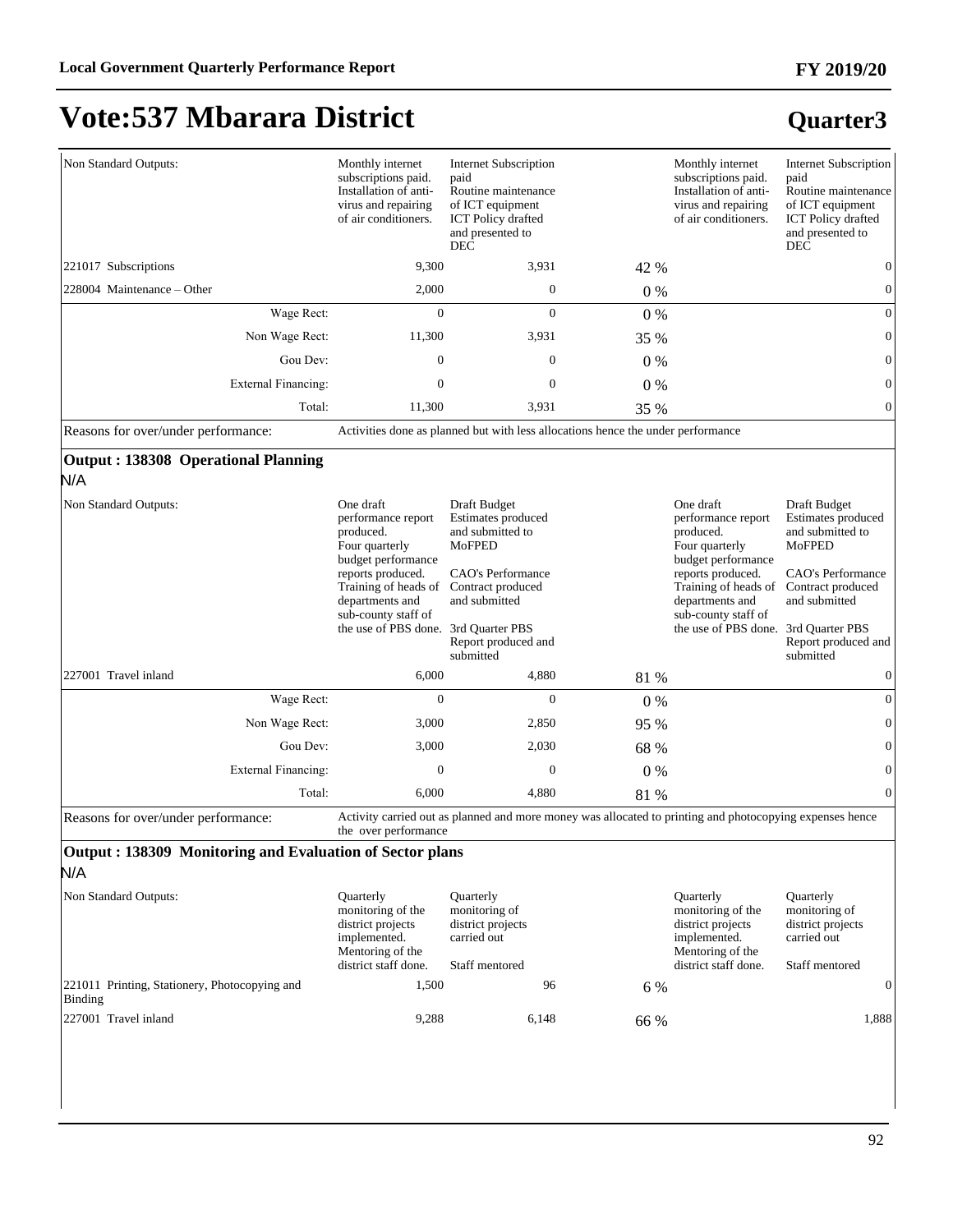#### **FY 2019/20**

# **Vote:537 Mbarara District**

#### **Quarter3**

| Non Standard Outputs:      |                            | Monthly internet<br>subscriptions paid.<br>Installation of anti-<br>virus and repairing<br>of air conditioners. | <b>Internet Subscription</b><br>paid<br>Routine maintenance<br>of ICT equipment<br><b>ICT</b> Policy drafted<br>and presented to<br><b>DEC</b> |       | Monthly internet<br>subscriptions paid.<br>Installation of anti-<br>virus and repairing<br>of air conditioners. | <b>Internet Subscription</b><br>paid<br>Routine maintenance<br>of ICT equipment<br><b>ICT</b> Policy drafted<br>and presented to<br><b>DEC</b> |
|----------------------------|----------------------------|-----------------------------------------------------------------------------------------------------------------|------------------------------------------------------------------------------------------------------------------------------------------------|-------|-----------------------------------------------------------------------------------------------------------------|------------------------------------------------------------------------------------------------------------------------------------------------|
| 221017 Subscriptions       |                            | 9,300                                                                                                           | 3,931                                                                                                                                          | 42 %  |                                                                                                                 |                                                                                                                                                |
| 228004 Maintenance – Other |                            | 2,000                                                                                                           | $\mathbf{0}$                                                                                                                                   | $0\%$ |                                                                                                                 |                                                                                                                                                |
|                            | Wage Rect:                 | $\mathbf{0}$                                                                                                    | $\mathbf{0}$                                                                                                                                   | $0\%$ |                                                                                                                 | $\Omega$                                                                                                                                       |
|                            | Non Wage Rect:             | 11,300                                                                                                          | 3,931                                                                                                                                          | 35 %  |                                                                                                                 |                                                                                                                                                |
|                            | Gou Dev:                   | $\theta$                                                                                                        | $\mathbf{0}$                                                                                                                                   | $0\%$ |                                                                                                                 | $\Omega$                                                                                                                                       |
|                            | <b>External Financing:</b> | 0                                                                                                               | $\mathbf{0}$                                                                                                                                   | $0\%$ |                                                                                                                 |                                                                                                                                                |
|                            | Total:                     | 11,300                                                                                                          | 3,931                                                                                                                                          | 35 %  |                                                                                                                 |                                                                                                                                                |

Reasons for over/under performance: Activities done as planned but with less allocations hence the under performance

#### **Output : 138308 Operational Planning**

N/A

| Non Standard Outputs:      | One draft<br>performance report<br>produced.<br>Four quarterly<br>budget performance<br>reports produced.<br>Training of heads of<br>departments and<br>sub-county staff of<br>the use of PBS done. | Draft Budget<br>Estimates produced<br>and submitted to<br>MoFPED<br>CAO's Performance<br>Contract produced<br>and submitted<br>3rd Quarter PBS<br>Report produced and<br>submitted |       | One draft<br>performance report<br>produced.<br>Four quarterly<br>budget performance<br>reports produced.<br>Training of heads of<br>departments and<br>sub-county staff of<br>the use of PBS done. | Draft Budget<br>Estimates produced<br>and submitted to<br>MoFPED<br>CAO's Performance<br>Contract produced<br>and submitted<br>3rd Quarter PBS<br>Report produced and<br>submitted |
|----------------------------|-----------------------------------------------------------------------------------------------------------------------------------------------------------------------------------------------------|------------------------------------------------------------------------------------------------------------------------------------------------------------------------------------|-------|-----------------------------------------------------------------------------------------------------------------------------------------------------------------------------------------------------|------------------------------------------------------------------------------------------------------------------------------------------------------------------------------------|
| 227001 Travel inland       | 6,000                                                                                                                                                                                               | 4,880                                                                                                                                                                              | 81 %  |                                                                                                                                                                                                     |                                                                                                                                                                                    |
| Wage Rect:                 | $\mathbf{0}$                                                                                                                                                                                        | $\mathbf{0}$                                                                                                                                                                       | $0\%$ |                                                                                                                                                                                                     | $\Omega$                                                                                                                                                                           |
| Non Wage Rect:             | 3,000                                                                                                                                                                                               | 2,850                                                                                                                                                                              | 95 %  |                                                                                                                                                                                                     | $\theta$                                                                                                                                                                           |
| Gou Dev:                   | 3,000                                                                                                                                                                                               | 2,030                                                                                                                                                                              | 68 %  |                                                                                                                                                                                                     | $\theta$                                                                                                                                                                           |
| <b>External Financing:</b> | $\Omega$                                                                                                                                                                                            | $\Omega$                                                                                                                                                                           | $0\%$ |                                                                                                                                                                                                     | $\Omega$                                                                                                                                                                           |
| Total:                     | 6,000                                                                                                                                                                                               | 4,880                                                                                                                                                                              | 81 %  |                                                                                                                                                                                                     | $\theta$                                                                                                                                                                           |

Reasons for over/under performance: Activity carried out as planned and more money was allocated to printing and photocopying expenses hence the over performance

#### **Output : 138309 Monitoring and Evaluation of Sector plans** N/A

| Non Standard Outputs:                                    | <b>Ouarterly</b><br>monitoring of the<br>district projects<br>implemented.<br>Mentoring of the<br>district staff done. | <b>Ouarterly</b><br>monitoring of<br>district projects<br>carried out<br>Staff mentored |      | <b>Ouarterly</b><br>monitoring of the<br>district projects<br>implemented.<br>Mentoring of the<br>district staff done. | <b>Ouarterly</b><br>monitoring of<br>district projects<br>carried out<br>Staff mentored |  |
|----------------------------------------------------------|------------------------------------------------------------------------------------------------------------------------|-----------------------------------------------------------------------------------------|------|------------------------------------------------------------------------------------------------------------------------|-----------------------------------------------------------------------------------------|--|
| 221011 Printing, Stationery, Photocopying and<br>Binding | 1.500                                                                                                                  | 96                                                                                      | 6 %  |                                                                                                                        |                                                                                         |  |
| 227001 Travel inland                                     | 9,288                                                                                                                  | 6,148                                                                                   | 66 % |                                                                                                                        | 1.888                                                                                   |  |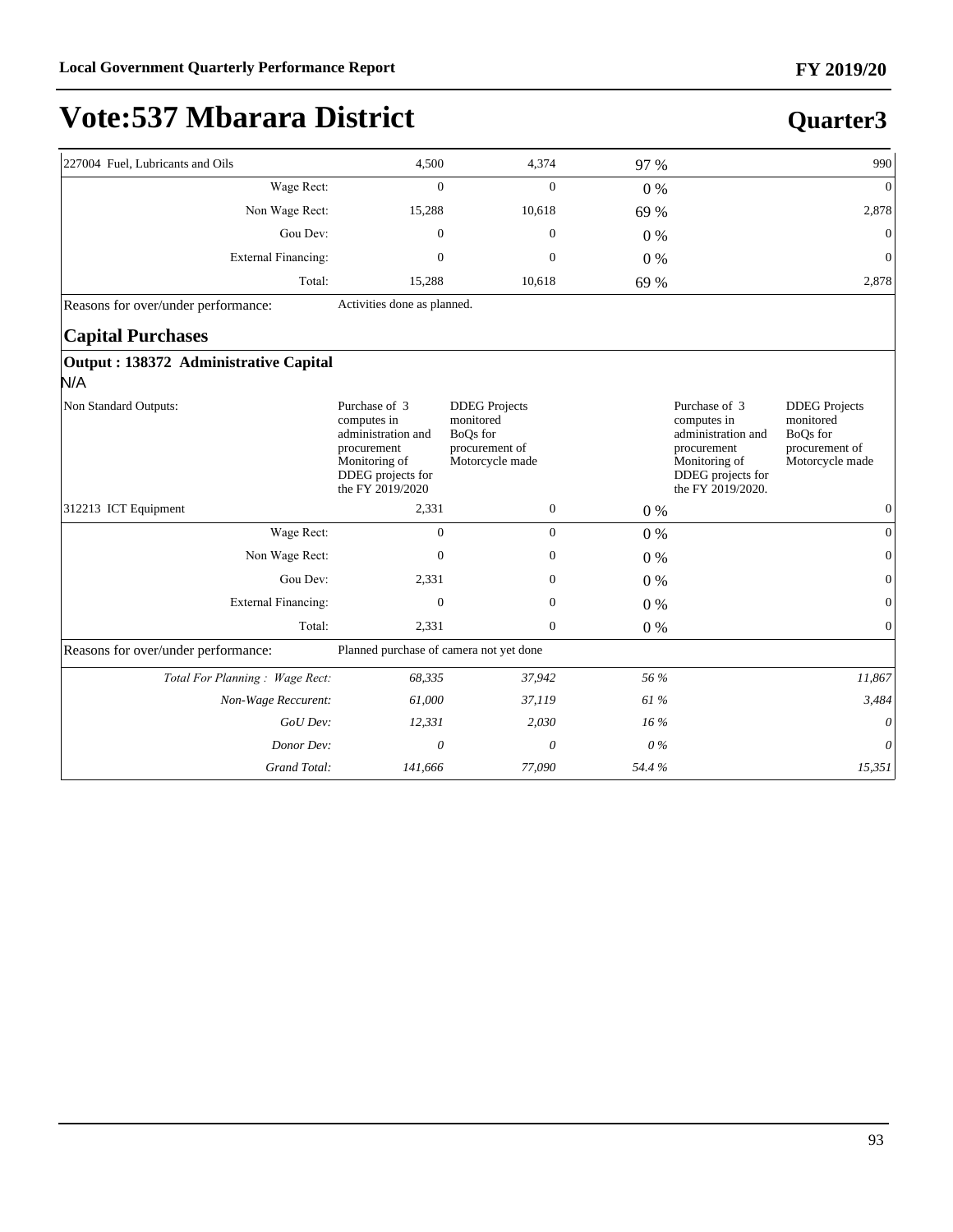**Quarter3**

# **Vote:537 Mbarara District**

| 227004 Fuel, Lubricants and Oils              | 4,500                                                                                                                       | 4,374                                                                              | 97 %   |                                                                                                                              | 990                                                                                |
|-----------------------------------------------|-----------------------------------------------------------------------------------------------------------------------------|------------------------------------------------------------------------------------|--------|------------------------------------------------------------------------------------------------------------------------------|------------------------------------------------------------------------------------|
| Wage Rect:                                    | $\Omega$                                                                                                                    | $\Omega$                                                                           | $0\%$  |                                                                                                                              | $\overline{0}$                                                                     |
| Non Wage Rect:                                | 15,288                                                                                                                      | 10,618                                                                             | 69 %   |                                                                                                                              | 2,878                                                                              |
| Gou Dev:                                      | $\mathbf{0}$                                                                                                                | $\mathbf{0}$                                                                       | $0\%$  |                                                                                                                              | $\mathbf{0}$                                                                       |
| <b>External Financing:</b>                    | $\mathbf{0}$                                                                                                                | $\mathbf{0}$                                                                       | $0\%$  |                                                                                                                              | $\mathbf{0}$                                                                       |
| Total:                                        | 15,288                                                                                                                      | 10,618                                                                             | 69 %   |                                                                                                                              | 2,878                                                                              |
| Reasons for over/under performance:           | Activities done as planned.                                                                                                 |                                                                                    |        |                                                                                                                              |                                                                                    |
| <b>Capital Purchases</b>                      |                                                                                                                             |                                                                                    |        |                                                                                                                              |                                                                                    |
| Output : 138372 Administrative Capital<br>N/A |                                                                                                                             |                                                                                    |        |                                                                                                                              |                                                                                    |
| Non Standard Outputs:                         | Purchase of 3<br>computes in<br>administration and<br>procurement<br>Monitoring of<br>DDEG projects for<br>the FY 2019/2020 | <b>DDEG</b> Projects<br>monitored<br>BoQs for<br>procurement of<br>Motorcycle made |        | Purchase of 3<br>computes in<br>administration and<br>procurement<br>Monitoring of<br>DDEG projects for<br>the FY 2019/2020. | <b>DDEG</b> Projects<br>monitored<br>BoQs for<br>procurement of<br>Motorcycle made |
| 312213 ICT Equipment                          | 2,331                                                                                                                       | $\boldsymbol{0}$                                                                   | 0%     |                                                                                                                              | $\mathbf{0}$                                                                       |
| Wage Rect:                                    | $\mathbf{0}$                                                                                                                | $\overline{0}$                                                                     | $0\%$  |                                                                                                                              | $\mathbf{0}$                                                                       |
| Non Wage Rect:                                | $\mathbf{0}$                                                                                                                | $\mathbf{0}$                                                                       | $0\%$  |                                                                                                                              | $\overline{0}$                                                                     |
| Gou Dev:                                      | 2,331                                                                                                                       | $\boldsymbol{0}$                                                                   | $0\%$  |                                                                                                                              | $\mathbf{0}$                                                                       |
| External Financing:                           | $\mathbf{0}$                                                                                                                | $\boldsymbol{0}$                                                                   | $0\%$  |                                                                                                                              | $\mathbf{0}$                                                                       |
| Total:                                        | 2,331                                                                                                                       | $\overline{0}$                                                                     | 0%     |                                                                                                                              | $\overline{0}$                                                                     |
| Reasons for over/under performance:           | Planned purchase of camera not yet done                                                                                     |                                                                                    |        |                                                                                                                              |                                                                                    |
| Total For Planning: Wage Rect:                | 68,335                                                                                                                      | 37,942                                                                             | 56 %   |                                                                                                                              | 11,867                                                                             |
| Non-Wage Reccurent:                           | 61,000                                                                                                                      | 37,119                                                                             | 61 %   |                                                                                                                              | 3,484                                                                              |
| GoU Dev:                                      | 12,331                                                                                                                      | 2,030                                                                              | $16\%$ |                                                                                                                              | $\boldsymbol{\theta}$                                                              |
| Donor Dev:                                    | $\theta$                                                                                                                    | $\theta$                                                                           | $0\%$  |                                                                                                                              | $\theta$                                                                           |
| Grand Total:                                  | 141,666                                                                                                                     | 77,090                                                                             | 54.4%  |                                                                                                                              | 15,351                                                                             |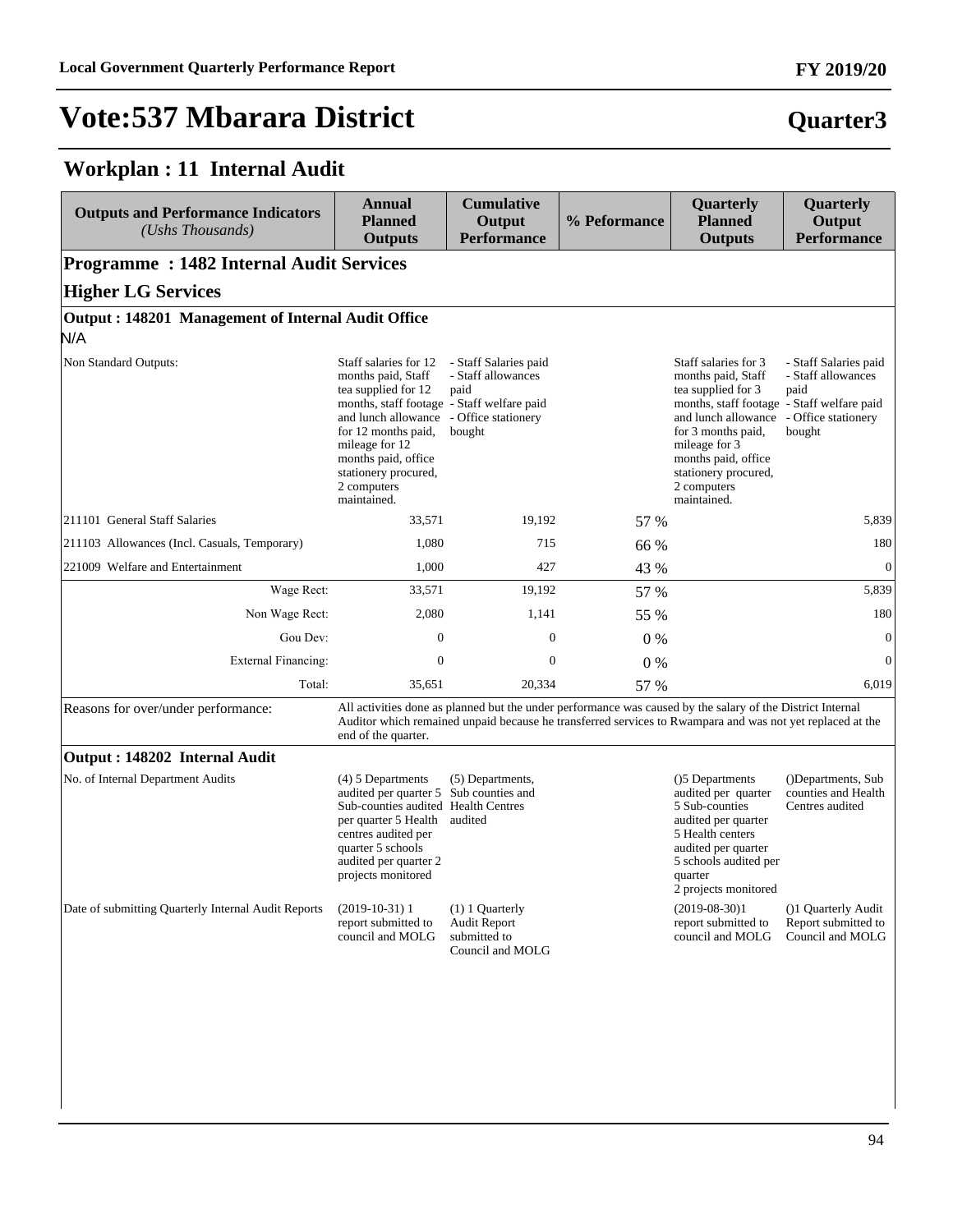#### **Workplan : 11 Internal Audit**

| <b>Outputs and Performance Indicators</b><br>(Ushs Thousands) | <b>Annual</b><br><b>Planned</b><br><b>Outputs</b>                                                                                                                                                                                                             | <b>Cumulative</b><br>Output<br><b>Performance</b>                                                                                                                                                                       | % Peformance | Quarterly<br><b>Planned</b><br><b>Outputs</b>                                                                                                                                                                                                             | Quarterly<br>Output<br><b>Performance</b>                                            |
|---------------------------------------------------------------|---------------------------------------------------------------------------------------------------------------------------------------------------------------------------------------------------------------------------------------------------------------|-------------------------------------------------------------------------------------------------------------------------------------------------------------------------------------------------------------------------|--------------|-----------------------------------------------------------------------------------------------------------------------------------------------------------------------------------------------------------------------------------------------------------|--------------------------------------------------------------------------------------|
| <b>Programme: 1482 Internal Audit Services</b>                |                                                                                                                                                                                                                                                               |                                                                                                                                                                                                                         |              |                                                                                                                                                                                                                                                           |                                                                                      |
| <b>Higher LG Services</b>                                     |                                                                                                                                                                                                                                                               |                                                                                                                                                                                                                         |              |                                                                                                                                                                                                                                                           |                                                                                      |
| Output: 148201 Management of Internal Audit Office<br>N/A     |                                                                                                                                                                                                                                                               |                                                                                                                                                                                                                         |              |                                                                                                                                                                                                                                                           |                                                                                      |
| Non Standard Outputs:                                         | Staff salaries for 12<br>months paid, Staff<br>tea supplied for 12<br>months, staff footage - Staff welfare paid<br>and lunch allowance<br>for 12 months paid,<br>mileage for 12<br>months paid, office<br>stationery procured,<br>2 computers<br>maintained. | - Staff Salaries paid<br>- Staff allowances<br>paid<br>- Office stationery<br>bought                                                                                                                                    |              | Staff salaries for 3<br>months paid, Staff<br>tea supplied for 3<br>months, staff footage - Staff welfare paid<br>and lunch allowance<br>for 3 months paid,<br>mileage for 3<br>months paid, office<br>stationery procured,<br>2 computers<br>maintained. | - Staff Salaries paid<br>- Staff allowances<br>paid<br>- Office stationery<br>bought |
| 211101 General Staff Salaries                                 | 33,571                                                                                                                                                                                                                                                        | 19,192                                                                                                                                                                                                                  | 57 %         |                                                                                                                                                                                                                                                           | 5,839                                                                                |
| 211103 Allowances (Incl. Casuals, Temporary)                  | 1,080                                                                                                                                                                                                                                                         | 715                                                                                                                                                                                                                     | 66 %         |                                                                                                                                                                                                                                                           | 180                                                                                  |
| 221009 Welfare and Entertainment                              | 1,000                                                                                                                                                                                                                                                         | 427                                                                                                                                                                                                                     | 43 %         |                                                                                                                                                                                                                                                           | $\mathbf{0}$                                                                         |
| Wage Rect:                                                    | 33,571                                                                                                                                                                                                                                                        | 19,192                                                                                                                                                                                                                  | 57 %         |                                                                                                                                                                                                                                                           | 5,839                                                                                |
| Non Wage Rect:                                                | 2,080                                                                                                                                                                                                                                                         | 1,141                                                                                                                                                                                                                   | 55 %         |                                                                                                                                                                                                                                                           | 180                                                                                  |
| Gou Dev:                                                      | $\mathbf{0}$                                                                                                                                                                                                                                                  | 0                                                                                                                                                                                                                       | $0\%$        |                                                                                                                                                                                                                                                           | $\boldsymbol{0}$                                                                     |
| External Financing:                                           | $\boldsymbol{0}$                                                                                                                                                                                                                                              | $\mathbf{0}$                                                                                                                                                                                                            | 0%           |                                                                                                                                                                                                                                                           | $\overline{0}$                                                                       |
| Total:                                                        | 35,651                                                                                                                                                                                                                                                        | 20,334                                                                                                                                                                                                                  | 57 %         |                                                                                                                                                                                                                                                           | 6,019                                                                                |
| Reasons for over/under performance:                           | end of the quarter.                                                                                                                                                                                                                                           | All activities done as planned but the under performance was caused by the salary of the District Internal<br>Auditor which remained unpaid because he transferred services to Rwampara and was not yet replaced at the |              |                                                                                                                                                                                                                                                           |                                                                                      |
| Output: 148202 Internal Audit                                 |                                                                                                                                                                                                                                                               |                                                                                                                                                                                                                         |              |                                                                                                                                                                                                                                                           |                                                                                      |
| No. of Internal Department Audits                             | (4) 5 Departments<br>audited per quarter 5 Sub counties and<br>Sub-counties audited Health Centres<br>per quarter 5 Health<br>centres audited per<br>quarter 5 schools<br>audited per quarter 2<br>projects monitored                                         | (5) Departments,<br>audited                                                                                                                                                                                             |              | ()5 Departments<br>audited per quarter<br>5 Sub-counties<br>audited per quarter<br>5 Health centers<br>audited per quarter<br>5 schools audited per<br>quarter<br>2 projects monitored                                                                    | (Departments, Sub)<br>counties and Health<br>Centres audited                         |
| Date of submitting Quarterly Internal Audit Reports           | $(2019-10-31)$ 1<br>report submitted to<br>council and MOLG                                                                                                                                                                                                   | (1) 1 Quarterly<br><b>Audit Report</b><br>submitted to<br>Council and MOLG                                                                                                                                              |              | $(2019-08-30)1$<br>report submitted to<br>council and MOLG                                                                                                                                                                                                | (1) Quarterly Audit<br>Report submitted to<br>Council and MOLG                       |
|                                                               |                                                                                                                                                                                                                                                               |                                                                                                                                                                                                                         |              |                                                                                                                                                                                                                                                           |                                                                                      |

#### 94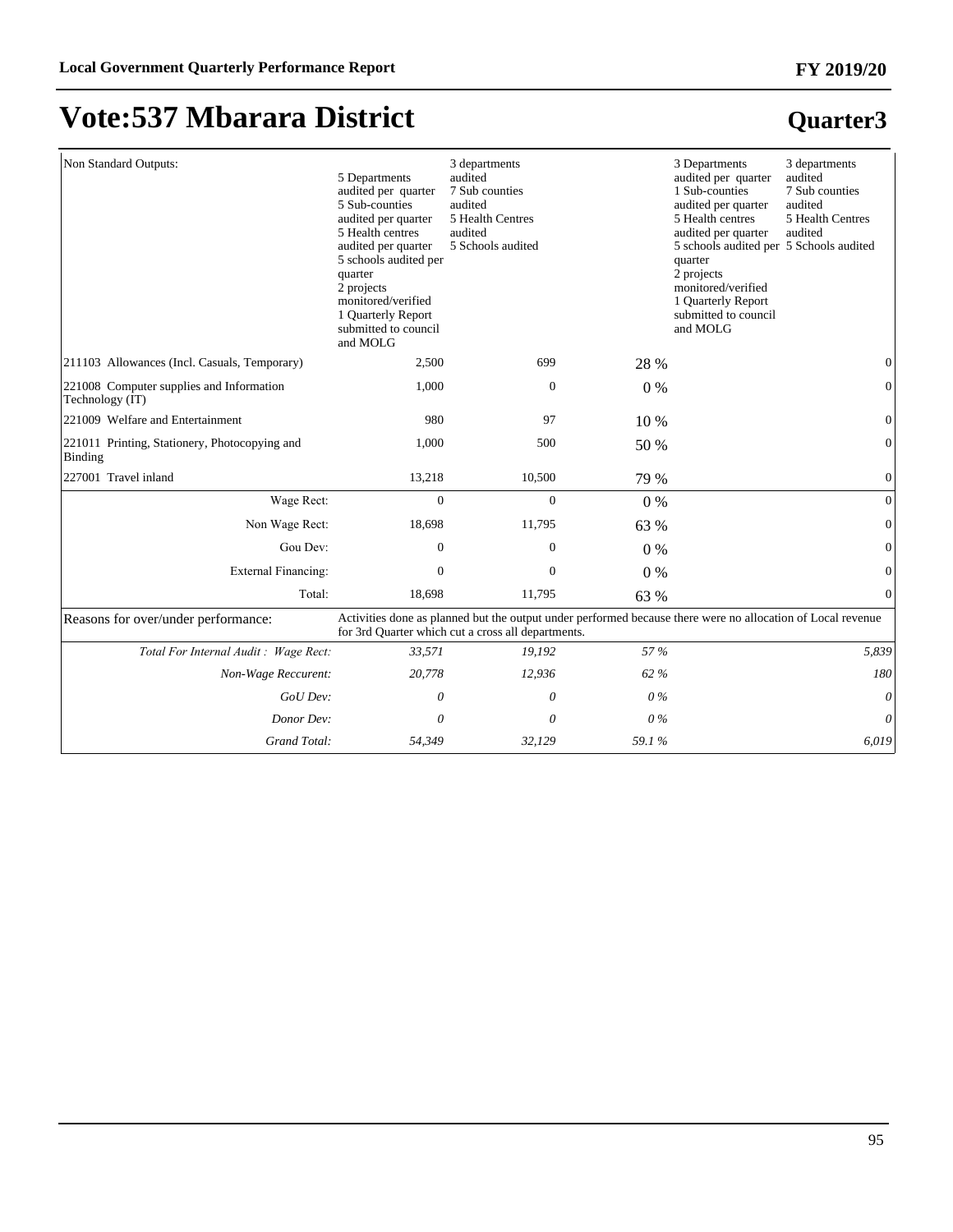# **Quarter3**

# **Vote:537 Mbarara District**

| Non Standard Outputs:                                       | 5 Departments<br>audited per quarter<br>5 Sub-counties<br>audited per quarter<br>5 Health centres<br>audited per quarter<br>5 schools audited per<br>quarter<br>2 projects<br>monitored/verified<br>1 Quarterly Report<br>submitted to council<br>and MOLG | 3 departments<br>audited<br>7 Sub counties<br>audited<br>5 Health Centres<br>audited<br>5 Schools audited                                                         |       | 3 Departments<br>audited per quarter<br>1 Sub-counties<br>audited per quarter<br>5 Health centres<br>audited per quarter<br>5 schools audited per 5 Schools audited<br>quarter<br>2 projects<br>monitored/verified<br>1 Quarterly Report<br>submitted to council<br>and MOLG | 3 departments<br>audited<br>7 Sub counties<br>audited<br>5 Health Centres<br>audited |
|-------------------------------------------------------------|------------------------------------------------------------------------------------------------------------------------------------------------------------------------------------------------------------------------------------------------------------|-------------------------------------------------------------------------------------------------------------------------------------------------------------------|-------|------------------------------------------------------------------------------------------------------------------------------------------------------------------------------------------------------------------------------------------------------------------------------|--------------------------------------------------------------------------------------|
| 211103 Allowances (Incl. Casuals, Temporary)                | 2,500                                                                                                                                                                                                                                                      | 699                                                                                                                                                               | 28 %  |                                                                                                                                                                                                                                                                              | $\Omega$                                                                             |
| 221008 Computer supplies and Information<br>Technology (IT) | 1,000                                                                                                                                                                                                                                                      | $\boldsymbol{0}$                                                                                                                                                  | $0\%$ |                                                                                                                                                                                                                                                                              | 0                                                                                    |
| 221009 Welfare and Entertainment                            | 980                                                                                                                                                                                                                                                        | 97                                                                                                                                                                | 10 %  |                                                                                                                                                                                                                                                                              | $\Omega$                                                                             |
| 221011 Printing, Stationery, Photocopying and<br>Binding    | 1,000                                                                                                                                                                                                                                                      | 500                                                                                                                                                               | 50 %  |                                                                                                                                                                                                                                                                              | $\mathbf{0}$                                                                         |
| 227001 Travel inland                                        | 13,218                                                                                                                                                                                                                                                     | 10,500                                                                                                                                                            | 79 %  |                                                                                                                                                                                                                                                                              | $\overline{0}$                                                                       |
| Wage Rect:                                                  | $\mathbf{0}$                                                                                                                                                                                                                                               | $\overline{0}$                                                                                                                                                    | $0\%$ |                                                                                                                                                                                                                                                                              | $\overline{0}$                                                                       |
| Non Wage Rect:                                              | 18,698                                                                                                                                                                                                                                                     | 11,795                                                                                                                                                            | 63 %  |                                                                                                                                                                                                                                                                              | $\Omega$                                                                             |
| Gou Dev:                                                    | $\boldsymbol{0}$                                                                                                                                                                                                                                           | $\overline{0}$                                                                                                                                                    | $0\%$ |                                                                                                                                                                                                                                                                              | 0                                                                                    |
| External Financing:                                         | $\mathbf{0}$                                                                                                                                                                                                                                               | $\mathbf{0}$                                                                                                                                                      | $0\%$ |                                                                                                                                                                                                                                                                              | 0                                                                                    |
| Total:                                                      | 18,698                                                                                                                                                                                                                                                     | 11,795                                                                                                                                                            | 63 %  |                                                                                                                                                                                                                                                                              | $\Omega$                                                                             |
| Reasons for over/under performance:                         |                                                                                                                                                                                                                                                            | Activities done as planned but the output under performed because there were no allocation of Local revenue<br>for 3rd Quarter which cut a cross all departments. |       |                                                                                                                                                                                                                                                                              |                                                                                      |
| Total For Internal Audit: Wage Rect:                        | 33,571                                                                                                                                                                                                                                                     | 19,192                                                                                                                                                            | 57 %  |                                                                                                                                                                                                                                                                              | 5,839                                                                                |
| Non-Wage Reccurent:                                         | 20,778                                                                                                                                                                                                                                                     | 12,936                                                                                                                                                            | 62 %  |                                                                                                                                                                                                                                                                              | 180                                                                                  |

*GoU Dev: 0 0 0 % 0 Donor Dev: 0 0 0 % 0 Grand Total: 54,349 32,129 59.1 % 6,019*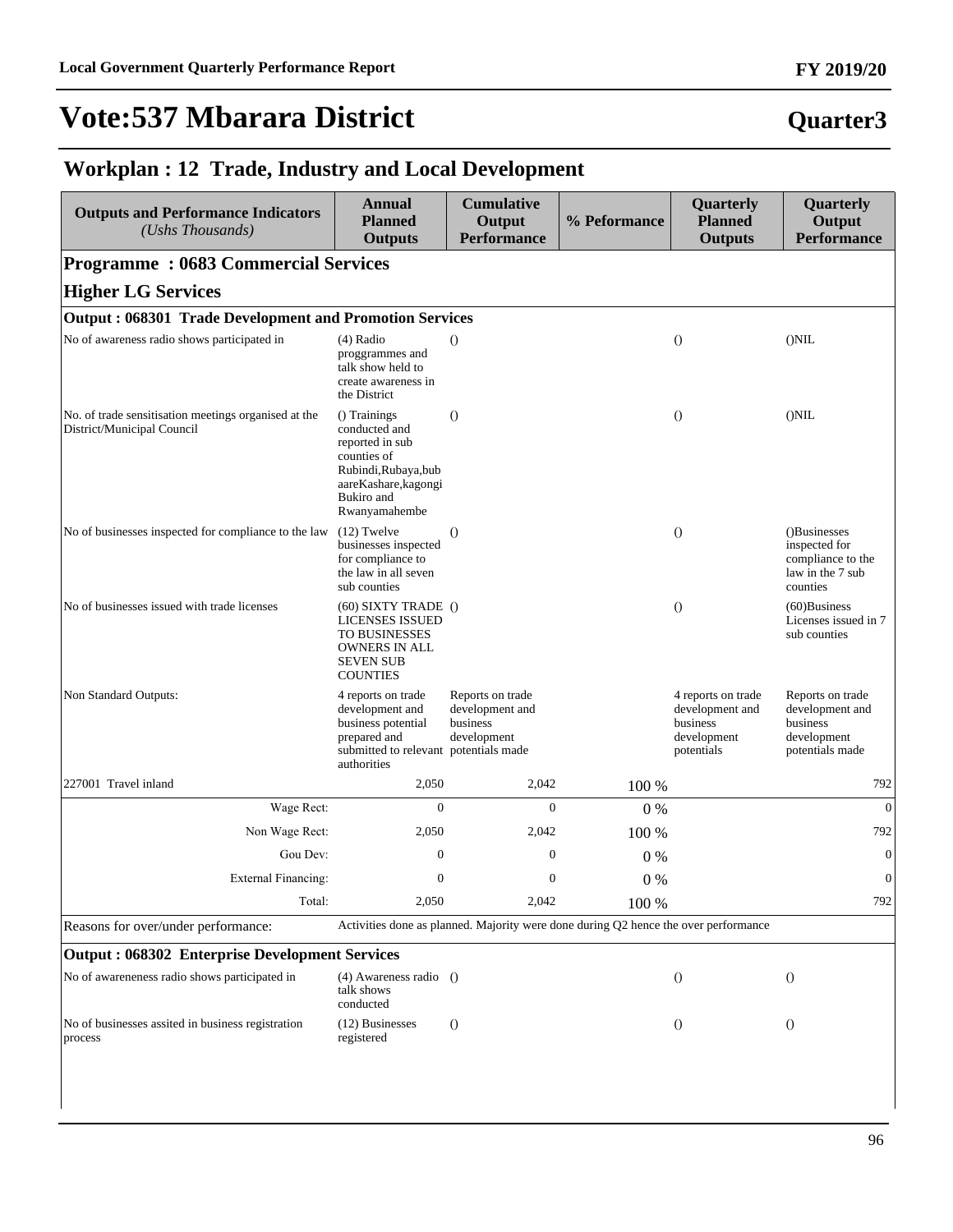### **Quarter3**

#### **Workplan : 12 Trade, Industry and Local Development**

| <b>Outputs and Performance Indicators</b><br>(Ushs Thousands)                      | <b>Annual</b><br><b>Planned</b><br><b>Outputs</b>                                                                                              | <b>Cumulative</b><br>Output<br><b>Performance</b>                                   | % Peformance | Quarterly<br><b>Planned</b><br><b>Outputs</b>                                  | Quarterly<br>Output<br><b>Performance</b>                                          |
|------------------------------------------------------------------------------------|------------------------------------------------------------------------------------------------------------------------------------------------|-------------------------------------------------------------------------------------|--------------|--------------------------------------------------------------------------------|------------------------------------------------------------------------------------|
| <b>Programme: 0683 Commercial Services</b>                                         |                                                                                                                                                |                                                                                     |              |                                                                                |                                                                                    |
| <b>Higher LG Services</b>                                                          |                                                                                                                                                |                                                                                     |              |                                                                                |                                                                                    |
| Output: 068301 Trade Development and Promotion Services                            |                                                                                                                                                |                                                                                     |              |                                                                                |                                                                                    |
| No of awareness radio shows participated in                                        | $(4)$ Radio<br>proggrammes and<br>talk show held to<br>create awareness in<br>the District                                                     | $\left( \right)$                                                                    |              | $\bigcirc$                                                                     | $($ )NIL                                                                           |
| No. of trade sensitisation meetings organised at the<br>District/Municipal Council | () Trainings<br>conducted and<br>reported in sub<br>counties of<br>Rubindi, Rubaya, bub<br>aareKashare, kagongi<br>Bukiro and<br>Rwanyamahembe | $\theta$                                                                            |              | $\theta$                                                                       | $($ ) $NIL$                                                                        |
| No of businesses inspected for compliance to the law                               | $(12)$ Twelve<br>businesses inspected<br>for compliance to<br>the law in all seven<br>sub counties                                             | $\Omega$                                                                            |              | $\theta$                                                                       | ()Businesses<br>inspected for<br>compliance to the<br>law in the 7 sub<br>counties |
| No of businesses issued with trade licenses                                        | $(60)$ SIXTY TRADE $()$<br>LICENSES ISSUED<br><b>TO BUSINESSES</b><br>OWNERS IN ALL<br><b>SEVEN SUB</b><br><b>COUNTIES</b>                     |                                                                                     |              | $\bigcirc$                                                                     | $(60)$ Business<br>Licenses issued in 7<br>sub counties                            |
| Non Standard Outputs:                                                              | 4 reports on trade<br>development and<br>business potential<br>prepared and<br>submitted to relevant potentials made<br>authorities            | Reports on trade<br>development and<br>business<br>development                      |              | 4 reports on trade<br>development and<br>business<br>development<br>potentials | Reports on trade<br>development and<br>business<br>development<br>potentials made  |
| 227001 Travel inland                                                               | 2,050                                                                                                                                          | 2,042                                                                               | 100 %        |                                                                                | 792                                                                                |
| Wage Rect:                                                                         | $\overline{0}$                                                                                                                                 | $\Omega$                                                                            | $0\%$        |                                                                                | $\mathbf{0}$                                                                       |
| Non Wage Rect:                                                                     | 2,050                                                                                                                                          | 2,042                                                                               | 100 %        |                                                                                | 792                                                                                |
| Gou Dev:                                                                           | $\overline{0}$                                                                                                                                 | $\overline{0}$                                                                      | $0\%$        |                                                                                | $\mathbf{0}$                                                                       |
| External Financing:                                                                | $\boldsymbol{0}$                                                                                                                               | $\boldsymbol{0}$                                                                    | $0\%$        |                                                                                | $\mathbf{0}$                                                                       |
| Total:                                                                             | 2,050                                                                                                                                          | 2,042                                                                               | 100 %        |                                                                                | 792                                                                                |
| Reasons for over/under performance:                                                |                                                                                                                                                | Activities done as planned. Majority were done during Q2 hence the over performance |              |                                                                                |                                                                                    |
| <b>Output: 068302 Enterprise Development Services</b>                              |                                                                                                                                                |                                                                                     |              |                                                                                |                                                                                    |
| No of awareneness radio shows participated in                                      | (4) Awareness radio ()<br>talk shows<br>conducted                                                                                              |                                                                                     |              | $\left( \right)$                                                               | $\left( \right)$                                                                   |
| No of businesses assited in business registration<br>process                       | (12) Businesses<br>registered                                                                                                                  | $\theta$                                                                            |              | $\theta$                                                                       | $\theta$                                                                           |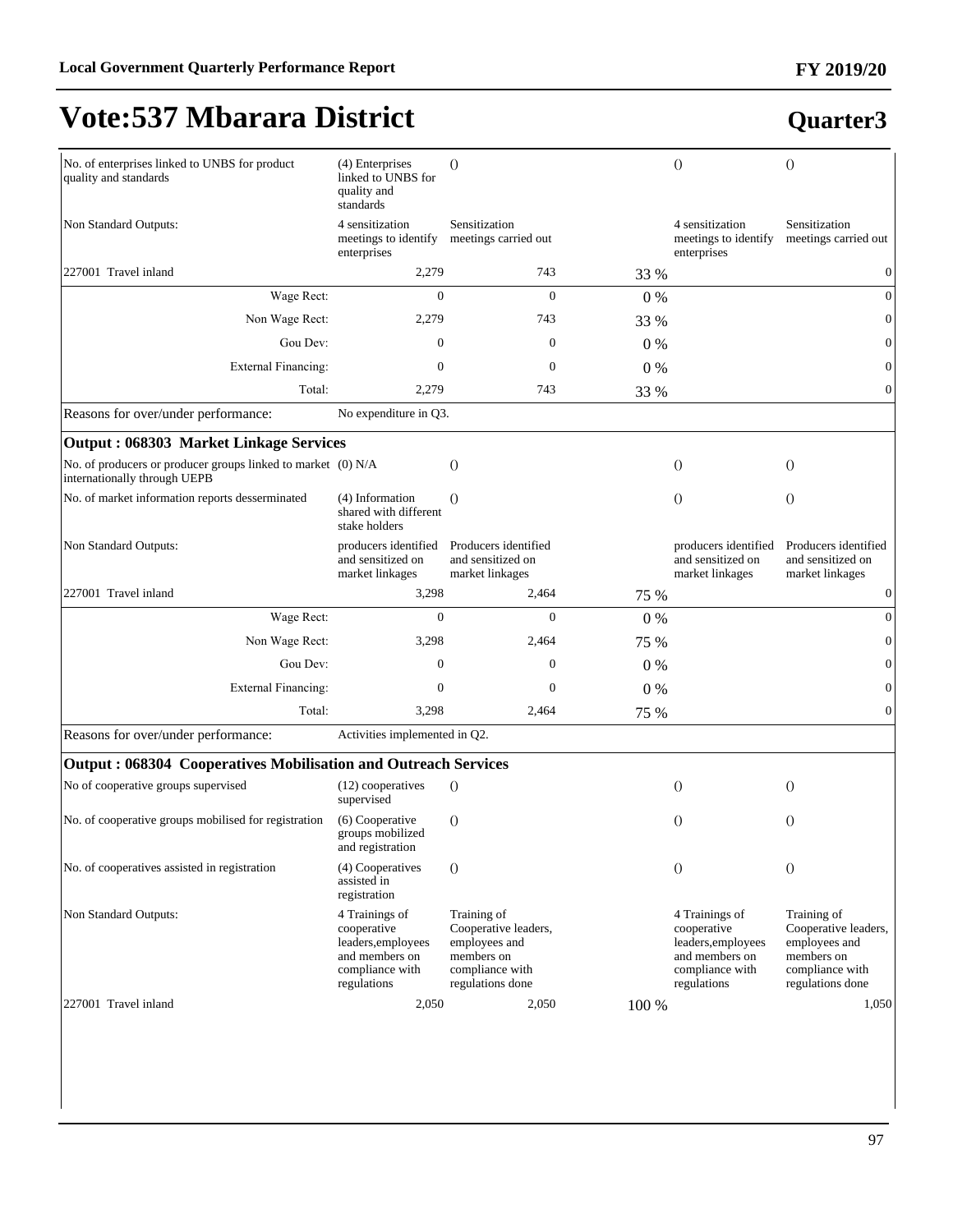#### **FY 2019/20**

# **Vote:537 Mbarara District**

| No. of enterprises linked to UNBS for product<br>quality and standards                       | (4) Enterprises<br>linked to UNBS for<br>quality and<br>standards                                       | $\Omega$                                                                                                  |       | $\Omega$                                                                                                | $\Omega$                                                                                                  |
|----------------------------------------------------------------------------------------------|---------------------------------------------------------------------------------------------------------|-----------------------------------------------------------------------------------------------------------|-------|---------------------------------------------------------------------------------------------------------|-----------------------------------------------------------------------------------------------------------|
| Non Standard Outputs:                                                                        | 4 sensitization<br>meetings to identify<br>enterprises                                                  | Sensitization<br>meetings carried out                                                                     |       | 4 sensitization<br>meetings to identify<br>enterprises                                                  | Sensitization<br>meetings carried out                                                                     |
| 227001 Travel inland                                                                         | 2,279                                                                                                   | 743                                                                                                       | 33 %  |                                                                                                         | $\boldsymbol{0}$                                                                                          |
| Wage Rect:                                                                                   | $\Omega$                                                                                                | $\overline{0}$                                                                                            | $0\%$ |                                                                                                         | $\mathbf{0}$                                                                                              |
| Non Wage Rect:                                                                               | 2,279                                                                                                   | 743                                                                                                       | 33 %  |                                                                                                         | $\boldsymbol{0}$                                                                                          |
| Gou Dev:                                                                                     | $\mathbf{0}$                                                                                            | $\mathbf{0}$                                                                                              | $0\%$ |                                                                                                         | $\mathbf{0}$                                                                                              |
| <b>External Financing:</b>                                                                   | $\mathbf{0}$                                                                                            | $\mathbf{0}$                                                                                              | $0\%$ |                                                                                                         | $\mathbf{0}$                                                                                              |
| Total:                                                                                       | 2,279                                                                                                   | 743                                                                                                       | 33 %  |                                                                                                         | $\boldsymbol{0}$                                                                                          |
| Reasons for over/under performance:                                                          | No expenditure in Q3.                                                                                   |                                                                                                           |       |                                                                                                         |                                                                                                           |
| <b>Output: 068303 Market Linkage Services</b>                                                |                                                                                                         |                                                                                                           |       |                                                                                                         |                                                                                                           |
| No. of producers or producer groups linked to market (0) N/A<br>internationally through UEPB |                                                                                                         | $\theta$                                                                                                  |       | $\theta$                                                                                                | $\theta$                                                                                                  |
| No. of market information reports desserminated                                              | (4) Information<br>shared with different<br>stake holders                                               | $\Omega$                                                                                                  |       | $\Omega$                                                                                                | $\theta$                                                                                                  |
| Non Standard Outputs:                                                                        | producers identified<br>and sensitized on<br>market linkages                                            | Producers identified<br>and sensitized on<br>market linkages                                              |       | producers identified<br>and sensitized on<br>market linkages                                            | Producers identified<br>and sensitized on<br>market linkages                                              |
| 227001 Travel inland                                                                         | 3,298                                                                                                   | 2,464                                                                                                     | 75 %  |                                                                                                         | $\boldsymbol{0}$                                                                                          |
| Wage Rect:                                                                                   | $\mathbf{0}$                                                                                            | $\mathbf{0}$                                                                                              | 0%    |                                                                                                         | $\boldsymbol{0}$                                                                                          |
| Non Wage Rect:                                                                               | 3,298                                                                                                   | 2,464                                                                                                     | 75 %  |                                                                                                         | $\boldsymbol{0}$                                                                                          |
| Gou Dev:                                                                                     | $\mathbf{0}$                                                                                            | $\boldsymbol{0}$                                                                                          | 0%    |                                                                                                         | $\mathbf{0}$                                                                                              |
| <b>External Financing:</b>                                                                   | $\mathbf{0}$                                                                                            | $\mathbf{0}$                                                                                              | 0%    |                                                                                                         | $\boldsymbol{0}$                                                                                          |
| Total:                                                                                       | 3,298                                                                                                   | 2,464                                                                                                     | 75 %  |                                                                                                         | $\mathbf{0}$                                                                                              |
| Reasons for over/under performance:                                                          | Activities implemented in Q2.                                                                           |                                                                                                           |       |                                                                                                         |                                                                                                           |
| Output: 068304 Cooperatives Mobilisation and Outreach Services                               |                                                                                                         |                                                                                                           |       |                                                                                                         |                                                                                                           |
| No of cooperative groups supervised                                                          | (12) cooperatives<br>supervised                                                                         | $\Omega$                                                                                                  |       | $\theta$                                                                                                | $\theta$                                                                                                  |
| No. of cooperative groups mobilised for registration                                         | (6) Cooperative<br>groups mobilized<br>and registration                                                 | $\Omega$                                                                                                  |       | $\Omega$                                                                                                | $\theta$                                                                                                  |
| No. of cooperatives assisted in registration                                                 | (4) Cooperatives<br>assisted in<br>registration                                                         | $\Omega$                                                                                                  |       | $\theta$                                                                                                | $\theta$                                                                                                  |
| Non Standard Outputs:                                                                        | 4 Trainings of<br>cooperative<br>leaders, employees<br>and members on<br>compliance with<br>regulations | Training of<br>Cooperative leaders,<br>employees and<br>members on<br>compliance with<br>regulations done |       | 4 Trainings of<br>cooperative<br>leaders, employees<br>and members on<br>compliance with<br>regulations | Training of<br>Cooperative leaders,<br>employees and<br>members on<br>compliance with<br>regulations done |
| 227001 Travel inland                                                                         | 2,050                                                                                                   | 2,050                                                                                                     | 100 % |                                                                                                         | 1,050                                                                                                     |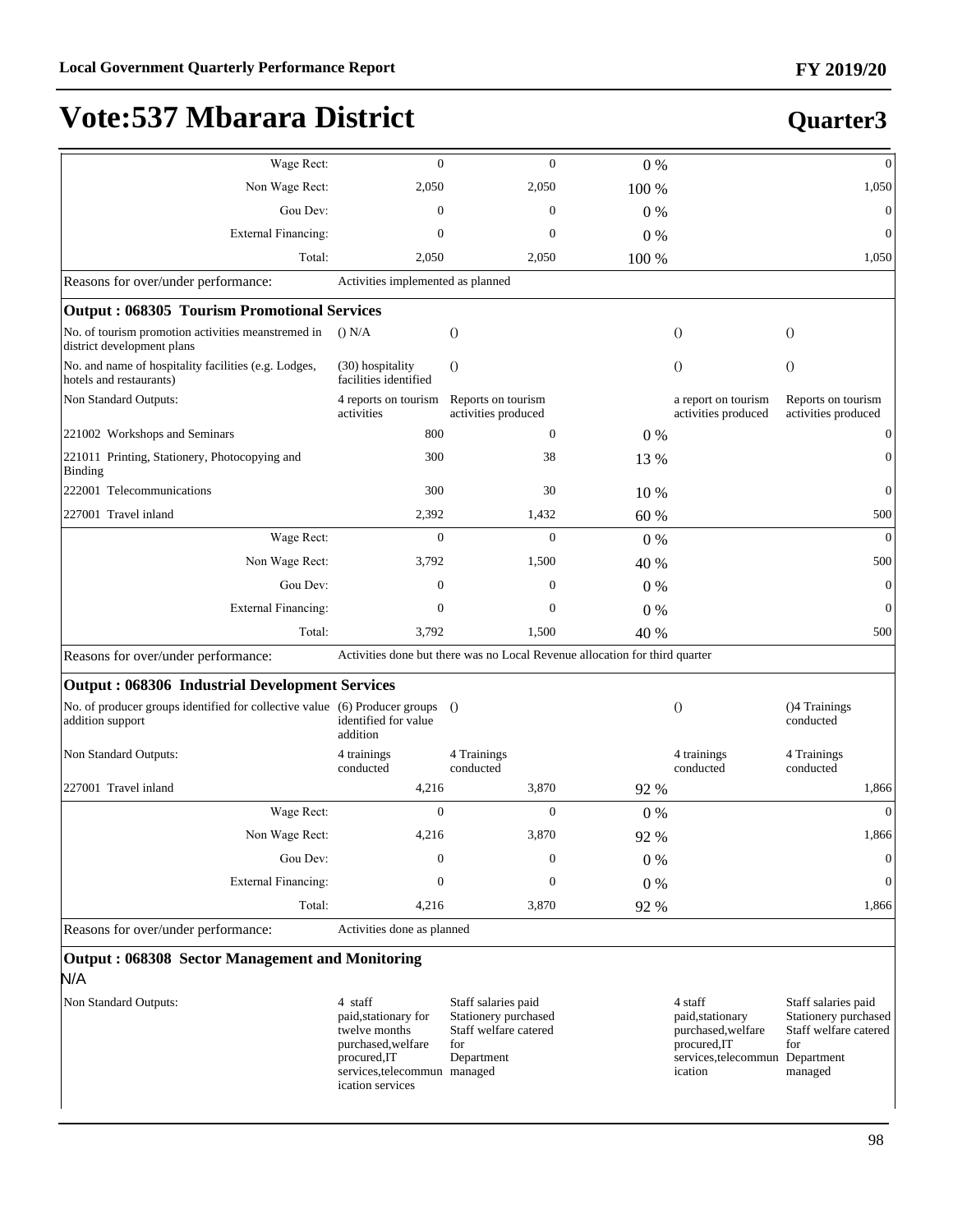| Wage Rect:                                                                                        | $\mathbf{0}$                                                                                                                               | $\mathbf{0}$                                                                              | $0\%$ |                                                                                                                 | $\overline{0}$                                                                         |
|---------------------------------------------------------------------------------------------------|--------------------------------------------------------------------------------------------------------------------------------------------|-------------------------------------------------------------------------------------------|-------|-----------------------------------------------------------------------------------------------------------------|----------------------------------------------------------------------------------------|
| Non Wage Rect:                                                                                    | 2,050                                                                                                                                      | 2,050                                                                                     | 100 % |                                                                                                                 | 1,050                                                                                  |
| Gou Dev:                                                                                          | $\mathbf{0}$                                                                                                                               | $\mathbf{0}$                                                                              | 0%    |                                                                                                                 | $\overline{0}$                                                                         |
| <b>External Financing:</b>                                                                        | $\mathbf{0}$                                                                                                                               | $\mathbf{0}$                                                                              | $0\%$ |                                                                                                                 | $\theta$                                                                               |
| Total:                                                                                            | 2,050                                                                                                                                      | 2,050                                                                                     | 100 % |                                                                                                                 | 1,050                                                                                  |
| Reasons for over/under performance:                                                               | Activities implemented as planned                                                                                                          |                                                                                           |       |                                                                                                                 |                                                                                        |
| Output: 068305 Tourism Promotional Services                                                       |                                                                                                                                            |                                                                                           |       |                                                                                                                 |                                                                                        |
| No. of tourism promotion activities meanstremed in<br>district development plans                  | () N/A                                                                                                                                     | $\overline{O}$                                                                            |       | $\theta$                                                                                                        | $\theta$                                                                               |
| No. and name of hospitality facilities (e.g. Lodges,<br>hotels and restaurants)                   | (30) hospitality<br>facilities identified                                                                                                  | $\overline{O}$                                                                            |       | $\theta$                                                                                                        | $\bigcirc$                                                                             |
| Non Standard Outputs:                                                                             | 4 reports on tourism<br>activities                                                                                                         | Reports on tourism<br>activities produced                                                 |       | a report on tourism<br>activities produced                                                                      | Reports on tourism<br>activities produced                                              |
| 221002 Workshops and Seminars                                                                     | 800                                                                                                                                        | 0                                                                                         | $0\%$ |                                                                                                                 | $\mathbf 0$                                                                            |
| 221011 Printing, Stationery, Photocopying and<br><b>Binding</b>                                   | 300                                                                                                                                        | 38                                                                                        | 13 %  |                                                                                                                 | $\mathbf{0}$                                                                           |
| 222001 Telecommunications                                                                         | 300                                                                                                                                        | 30                                                                                        | 10 %  |                                                                                                                 | $\theta$                                                                               |
| 227001 Travel inland                                                                              | 2,392                                                                                                                                      | 1,432                                                                                     | 60 %  |                                                                                                                 | 500                                                                                    |
| Wage Rect:                                                                                        | $\mathbf{0}$                                                                                                                               | $\mathbf{0}$                                                                              | $0\%$ |                                                                                                                 | $\overline{0}$                                                                         |
| Non Wage Rect:                                                                                    | 3,792                                                                                                                                      | 1,500                                                                                     | 40 %  |                                                                                                                 | 500                                                                                    |
| Gou Dev:                                                                                          | $\Omega$                                                                                                                                   | $\mathbf{0}$                                                                              | $0\%$ |                                                                                                                 | $\overline{0}$                                                                         |
| <b>External Financing:</b>                                                                        | $\mathbf{0}$                                                                                                                               | $\mathbf{0}$                                                                              | $0\%$ |                                                                                                                 | $\overline{0}$                                                                         |
| Total:                                                                                            | 3,792                                                                                                                                      | 1,500                                                                                     | 40 %  |                                                                                                                 | 500                                                                                    |
| Reasons for over/under performance:                                                               |                                                                                                                                            | Activities done but there was no Local Revenue allocation for third quarter               |       |                                                                                                                 |                                                                                        |
| <b>Output: 068306 Industrial Development Services</b>                                             |                                                                                                                                            |                                                                                           |       |                                                                                                                 |                                                                                        |
| No. of producer groups identified for collective value (6) Producer groups ()<br>addition support | identified for value<br>addition                                                                                                           |                                                                                           |       | $\theta$                                                                                                        | ()4 Trainings<br>conducted                                                             |
| Non Standard Outputs:                                                                             | 4 trainings<br>conducted                                                                                                                   | 4 Trainings<br>conducted                                                                  |       | 4 trainings<br>conducted                                                                                        | 4 Trainings<br>conducted                                                               |
| 227001 Travel inland                                                                              | 4,216                                                                                                                                      | 3,870                                                                                     | 92 %  |                                                                                                                 | 1,866                                                                                  |
| Wage Rect:                                                                                        | $\mathbf{0}$                                                                                                                               | $\mathbf{0}$                                                                              | $0\%$ |                                                                                                                 | $\mathbf{0}$                                                                           |
| Non Wage Rect:                                                                                    | 4,216                                                                                                                                      | 3,870                                                                                     | 92 %  |                                                                                                                 | 1,866                                                                                  |
| Gou Dev:                                                                                          | $\boldsymbol{0}$                                                                                                                           | $\mathbf{0}$                                                                              | 0%    |                                                                                                                 | $\boldsymbol{0}$                                                                       |
| External Financing:                                                                               | $\mathbf{0}$                                                                                                                               | $\mathbf{0}$                                                                              | 0%    |                                                                                                                 | $\mathbf{0}$                                                                           |
| Total:                                                                                            | 4,216                                                                                                                                      | 3,870                                                                                     | 92 %  |                                                                                                                 | 1,866                                                                                  |
| Reasons for over/under performance:                                                               | Activities done as planned                                                                                                                 |                                                                                           |       |                                                                                                                 |                                                                                        |
| Output: 068308 Sector Management and Monitoring<br>N/A                                            |                                                                                                                                            |                                                                                           |       |                                                                                                                 |                                                                                        |
| Non Standard Outputs:                                                                             | 4 staff<br>paid, stationary for<br>twelve months<br>purchased, welfare<br>procured, IT<br>services, telecommun managed<br>ication services | Staff salaries paid<br>Stationery purchased<br>Staff welfare catered<br>for<br>Department |       | 4 staff<br>paid, stationary<br>purchased, welfare<br>procured, IT<br>services, telecommun Department<br>ication | Staff salaries paid<br>Stationery purchased<br>Staff welfare catered<br>for<br>managed |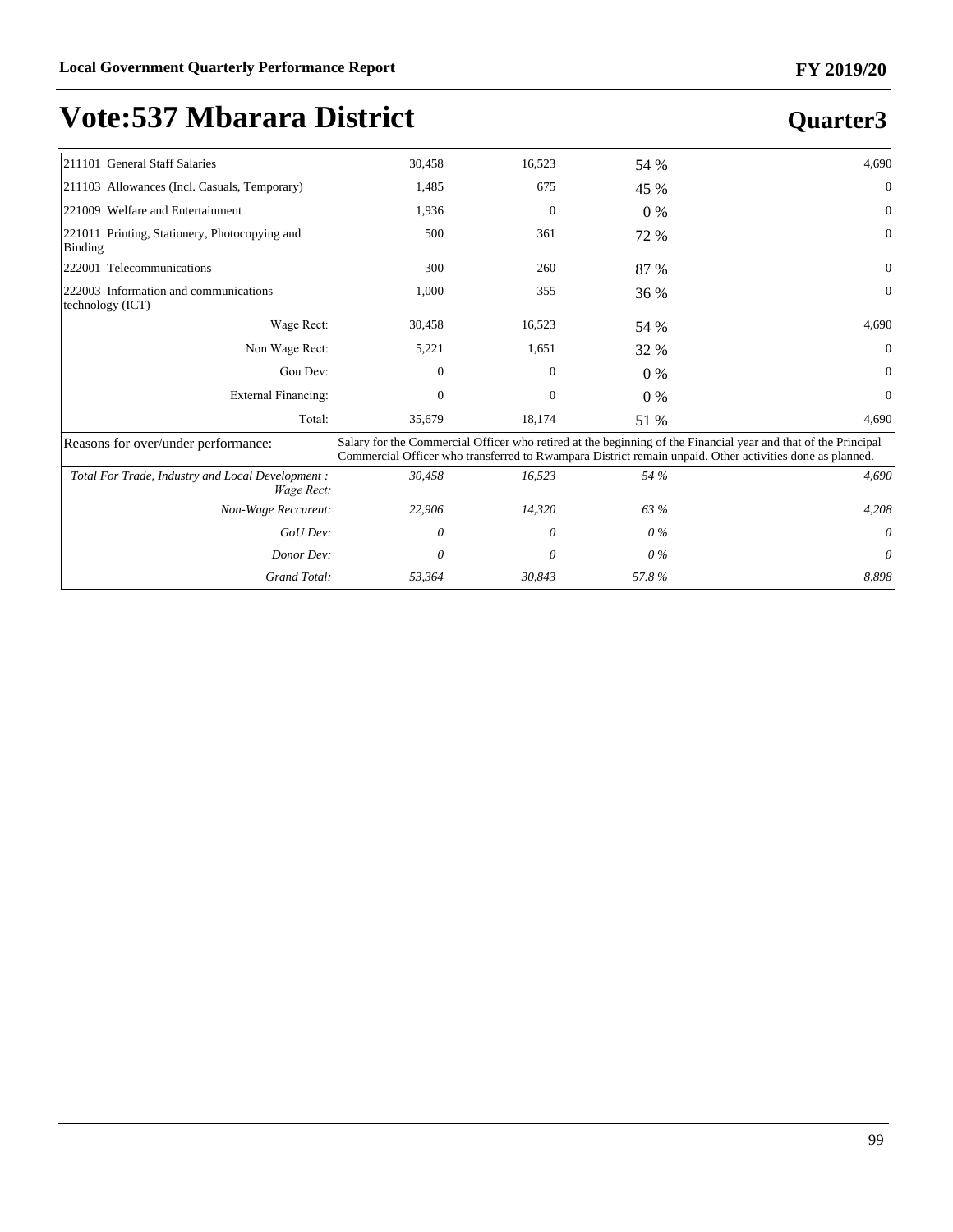### **Quarter3**

| 211101 General Staff Salaries                                   | 30,458 | 16,523       | 54 %  | 4,690                                                                                                                                                                                                                      |
|-----------------------------------------------------------------|--------|--------------|-------|----------------------------------------------------------------------------------------------------------------------------------------------------------------------------------------------------------------------------|
| [211103 Allowances (Incl. Casuals, Temporary)                   | 1,485  | 675          | 45 %  | $\Omega$                                                                                                                                                                                                                   |
| 221009 Welfare and Entertainment                                | 1,936  | $\mathbf{0}$ | $0\%$ | 0                                                                                                                                                                                                                          |
| 221011 Printing, Stationery, Photocopying and<br>Binding        | 500    | 361          | 72 %  | 0                                                                                                                                                                                                                          |
| 222001 Telecommunications                                       | 300    | 260          | 87 %  | 0                                                                                                                                                                                                                          |
| 222003 Information and communications<br>technology (ICT)       | 1,000  | 355          | 36 %  | 0                                                                                                                                                                                                                          |
| Wage Rect:                                                      | 30,458 | 16,523       | 54 %  | 4,690                                                                                                                                                                                                                      |
| Non Wage Rect:                                                  | 5,221  | 1,651        | 32 %  | $\Omega$                                                                                                                                                                                                                   |
| Gou Dev:                                                        | 0      | 0            | $0\%$ | $\Omega$                                                                                                                                                                                                                   |
| <b>External Financing:</b>                                      | 0      | $\mathbf{0}$ | $0\%$ | $\mathbf{0}$                                                                                                                                                                                                               |
| Total:                                                          | 35,679 | 18,174       | 51 %  | 4,690                                                                                                                                                                                                                      |
| Reasons for over/under performance:                             |        |              |       | Salary for the Commercial Officer who retired at the beginning of the Financial year and that of the Principal<br>Commercial Officer who transferred to Rwampara District remain unpaid. Other activities done as planned. |
| Total For Trade, Industry and Local Development :<br>Wage Rect: | 30,458 | 16,523       | 54 %  | 4,690                                                                                                                                                                                                                      |
| Non-Wage Reccurent:                                             | 22,906 | 14,320       | 63 %  | 4,208                                                                                                                                                                                                                      |
| GoU Dev:                                                        | 0      | 0            | $0\%$ | 0                                                                                                                                                                                                                          |
| Donor Dev:                                                      | 0      | 0            | $0\%$ | 0                                                                                                                                                                                                                          |

*Grand Total: 53,364 30,843 57.8 % 8,898*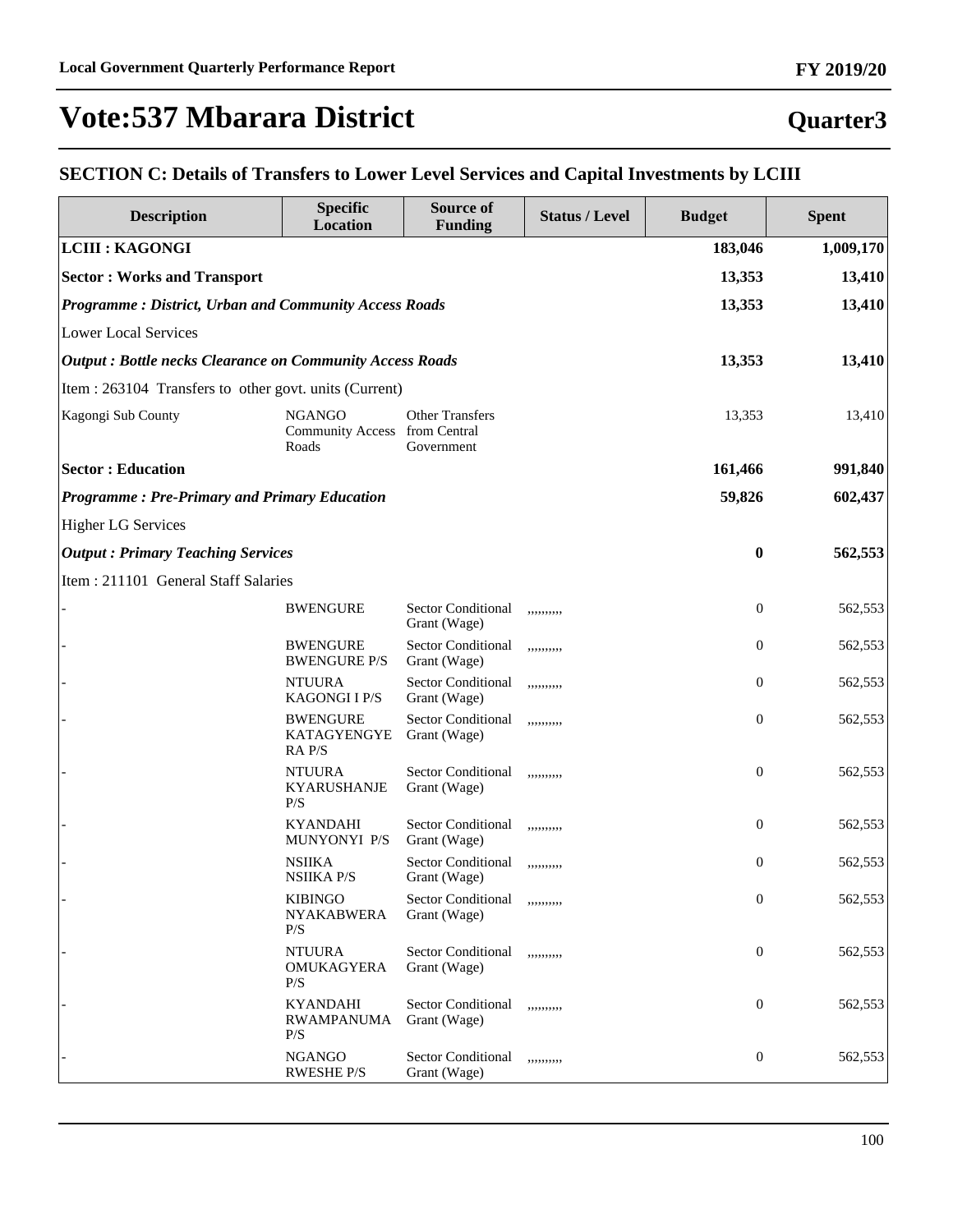#### **Quarter3**

#### **SECTION C: Details of Transfers to Lower Level Services and Capital Investments by LCIII**

| <b>Description</b>                                              | <b>Specific</b><br><b>Location</b>                      | Source of<br><b>Funding</b>               | <b>Status / Level</b> | <b>Budget</b>    | <b>Spent</b> |
|-----------------------------------------------------------------|---------------------------------------------------------|-------------------------------------------|-----------------------|------------------|--------------|
| <b>LCIII : KAGONGI</b>                                          |                                                         |                                           |                       | 183,046          | 1,009,170    |
| <b>Sector: Works and Transport</b>                              |                                                         |                                           |                       | 13,353           | 13,410       |
| Programme: District, Urban and Community Access Roads           |                                                         |                                           |                       | 13,353           | 13,410       |
| <b>Lower Local Services</b>                                     |                                                         |                                           |                       |                  |              |
| <b>Output: Bottle necks Clearance on Community Access Roads</b> |                                                         |                                           |                       | 13,353           | 13,410       |
| Item : 263104 Transfers to other govt. units (Current)          |                                                         |                                           |                       |                  |              |
| Kagongi Sub County                                              | <b>NGANGO</b><br>Community Access from Central<br>Roads | <b>Other Transfers</b><br>Government      |                       | 13,353           | 13,410       |
| <b>Sector: Education</b>                                        |                                                         |                                           |                       | 161,466          | 991,840      |
| <b>Programme: Pre-Primary and Primary Education</b>             |                                                         |                                           |                       | 59,826           | 602,437      |
| <b>Higher LG Services</b>                                       |                                                         |                                           |                       |                  |              |
| <b>Output: Primary Teaching Services</b>                        |                                                         |                                           |                       | $\bf{0}$         | 562,553      |
| Item: 211101 General Staff Salaries                             |                                                         |                                           |                       |                  |              |
|                                                                 | <b>BWENGURE</b>                                         | <b>Sector Conditional</b><br>Grant (Wage) | ,,,,,,,,,,            | $\boldsymbol{0}$ | 562,553      |
|                                                                 | <b>BWENGURE</b><br><b>BWENGURE P/S</b>                  | <b>Sector Conditional</b><br>Grant (Wage) | ,,,,,,,,,,            | $\boldsymbol{0}$ | 562,553      |
|                                                                 | <b>NTUURA</b><br><b>KAGONGIIP/S</b>                     | Sector Conditional<br>Grant (Wage)        | ,,,,,,,,,,            | $\boldsymbol{0}$ | 562,553      |
|                                                                 | <b>BWENGURE</b><br>KATAGYENGYE<br>RA P/S                | <b>Sector Conditional</b><br>Grant (Wage) | ,,,,,,,,,,            | $\boldsymbol{0}$ | 562,553      |
|                                                                 | <b>NTUURA</b><br><b>KYARUSHANJE</b><br>P/S              | <b>Sector Conditional</b><br>Grant (Wage) | ,,,,,,,,,,            | $\boldsymbol{0}$ | 562,553      |
|                                                                 | <b>KYANDAHI</b><br>MUNYONYI P/S                         | <b>Sector Conditional</b><br>Grant (Wage) | ,,,,,,,,,,            | $\boldsymbol{0}$ | 562,553      |
|                                                                 | <b>NSIIKA</b><br><b>NSIIKA P/S</b>                      | <b>Sector Conditional</b><br>Grant (Wage) | ,,,,,,,,,,            | $\boldsymbol{0}$ | 562,553      |
|                                                                 | <b>KIBINGO</b><br><b>NYAKABWERA</b><br>P/S              | Sector Conditional<br>Grant (Wage)        | ,,,,,,,,,,            | $\boldsymbol{0}$ | 562,553      |
|                                                                 | <b>NTUURA</b><br>OMUKAGYERA<br>P/S                      | Sector Conditional<br>Grant (Wage)        | ,,,,,,,,,,            | $\boldsymbol{0}$ | 562,553      |
|                                                                 | <b>KYANDAHI</b><br><b>RWAMPANUMA</b><br>P/S             | <b>Sector Conditional</b><br>Grant (Wage) | ,,,,,,,,,,            | $\boldsymbol{0}$ | 562,553      |
|                                                                 | <b>NGANGO</b><br><b>RWESHE P/S</b>                      | <b>Sector Conditional</b><br>Grant (Wage) | ,,,,,,,,,,            | $\boldsymbol{0}$ | 562,553      |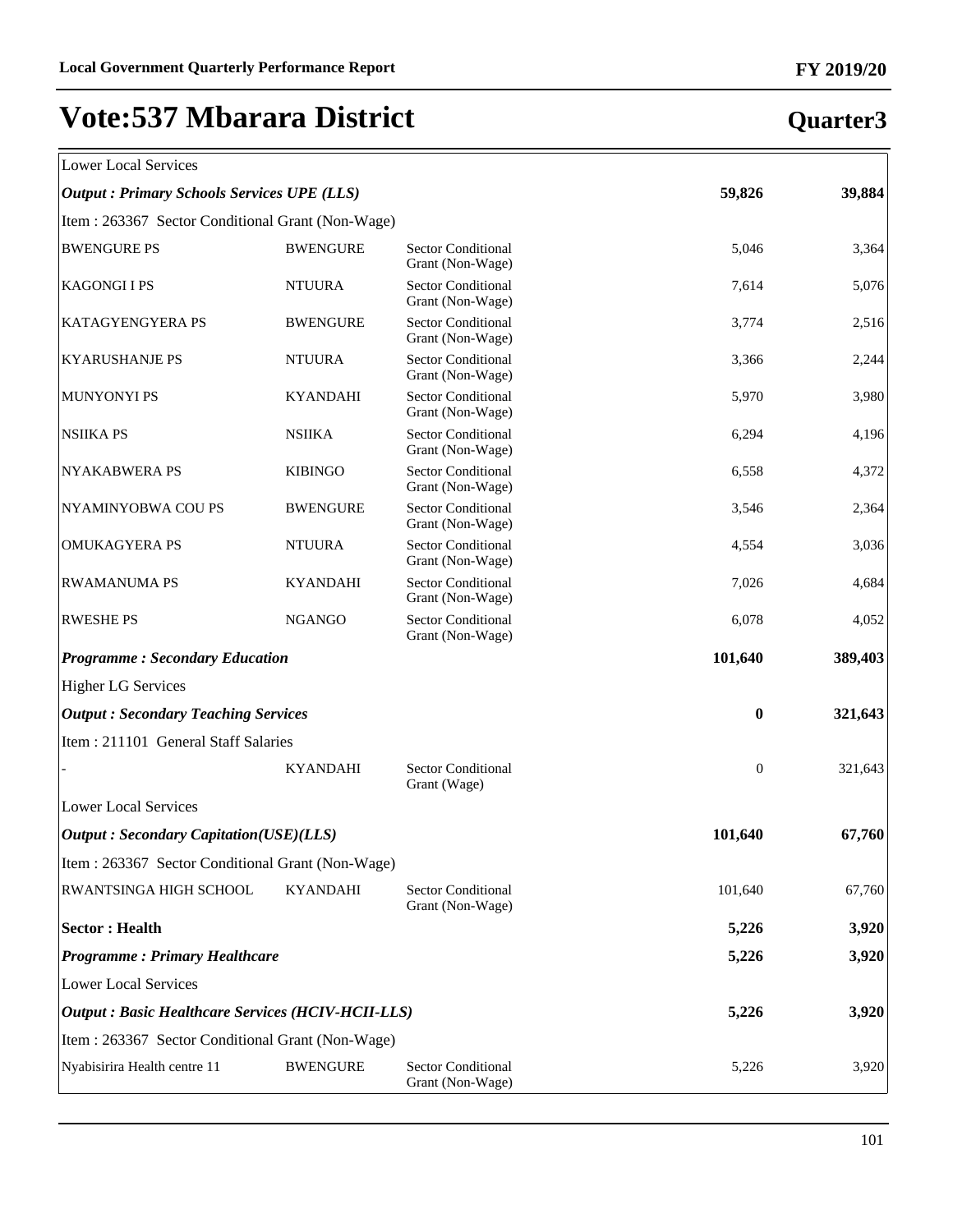| Lower Local Services |  |
|----------------------|--|

### **Quarter3**

 $\overline{\mathbb{1}}$ 

| LOWEI LOCAL SEIVICES                                      |                 |                                               |                  |         |
|-----------------------------------------------------------|-----------------|-----------------------------------------------|------------------|---------|
| <b>Output : Primary Schools Services UPE (LLS)</b>        |                 |                                               | 59,826           | 39,884  |
| Item: 263367 Sector Conditional Grant (Non-Wage)          |                 |                                               |                  |         |
| <b>BWENGURE PS</b>                                        | <b>BWENGURE</b> | <b>Sector Conditional</b><br>Grant (Non-Wage) | 5,046            | 3,364   |
| <b>KAGONGIIPS</b>                                         | <b>NTUURA</b>   | <b>Sector Conditional</b><br>Grant (Non-Wage) | 7,614            | 5,076   |
| KATAGYENGYERA PS                                          | <b>BWENGURE</b> | Sector Conditional<br>Grant (Non-Wage)        | 3,774            | 2,516   |
| <b>KYARUSHANJE PS</b>                                     | <b>NTUURA</b>   | <b>Sector Conditional</b><br>Grant (Non-Wage) | 3,366            | 2,244   |
| <b>MUNYONYI PS</b>                                        | <b>KYANDAHI</b> | <b>Sector Conditional</b><br>Grant (Non-Wage) | 5,970            | 3,980   |
| <b>NSIIKA PS</b>                                          | <b>NSIIKA</b>   | <b>Sector Conditional</b><br>Grant (Non-Wage) | 6,294            | 4,196   |
| <b>NYAKABWERA PS</b>                                      | <b>KIBINGO</b>  | <b>Sector Conditional</b><br>Grant (Non-Wage) | 6,558            | 4,372   |
| NYAMINYOBWA COU PS                                        | <b>BWENGURE</b> | <b>Sector Conditional</b><br>Grant (Non-Wage) | 3,546            | 2,364   |
| <b>OMUKAGYERA PS</b>                                      | <b>NTUURA</b>   | <b>Sector Conditional</b><br>Grant (Non-Wage) | 4,554            | 3,036   |
| <b>RWAMANUMA PS</b>                                       | <b>KYANDAHI</b> | <b>Sector Conditional</b><br>Grant (Non-Wage) | 7,026            | 4,684   |
| <b>RWESHE PS</b>                                          | <b>NGANGO</b>   | <b>Sector Conditional</b><br>Grant (Non-Wage) | 6,078            | 4,052   |
| <b>Programme: Secondary Education</b>                     |                 |                                               | 101,640          | 389,403 |
| <b>Higher LG Services</b>                                 |                 |                                               |                  |         |
| <b>Output: Secondary Teaching Services</b>                |                 |                                               | $\bf{0}$         | 321,643 |
| Item: 211101 General Staff Salaries                       |                 |                                               |                  |         |
|                                                           | <b>KYANDAHI</b> | <b>Sector Conditional</b><br>Grant (Wage)     | $\boldsymbol{0}$ | 321,643 |
| <b>Lower Local Services</b>                               |                 |                                               |                  |         |
| <b>Output: Secondary Capitation(USE)(LLS)</b>             |                 |                                               | 101,640          | 67,760  |
| Item : 263367 Sector Conditional Grant (Non-Wage)         |                 |                                               |                  |         |
| RWANTSINGA HIGH SCHOOL                                    | <b>KYANDAHI</b> | <b>Sector Conditional</b><br>Grant (Non-Wage) | 101,640          | 67,760  |
| <b>Sector: Health</b>                                     |                 |                                               | 5,226            | 3,920   |
| <b>Programme: Primary Healthcare</b>                      |                 |                                               | 5,226            | 3,920   |
| <b>Lower Local Services</b>                               |                 |                                               |                  |         |
| <b>Output : Basic Healthcare Services (HCIV-HCII-LLS)</b> |                 |                                               | 5,226            | 3,920   |
| Item: 263367 Sector Conditional Grant (Non-Wage)          |                 |                                               |                  |         |
| Nyabisirira Health centre 11                              | <b>BWENGURE</b> | <b>Sector Conditional</b><br>Grant (Non-Wage) | 5,226            | 3,920   |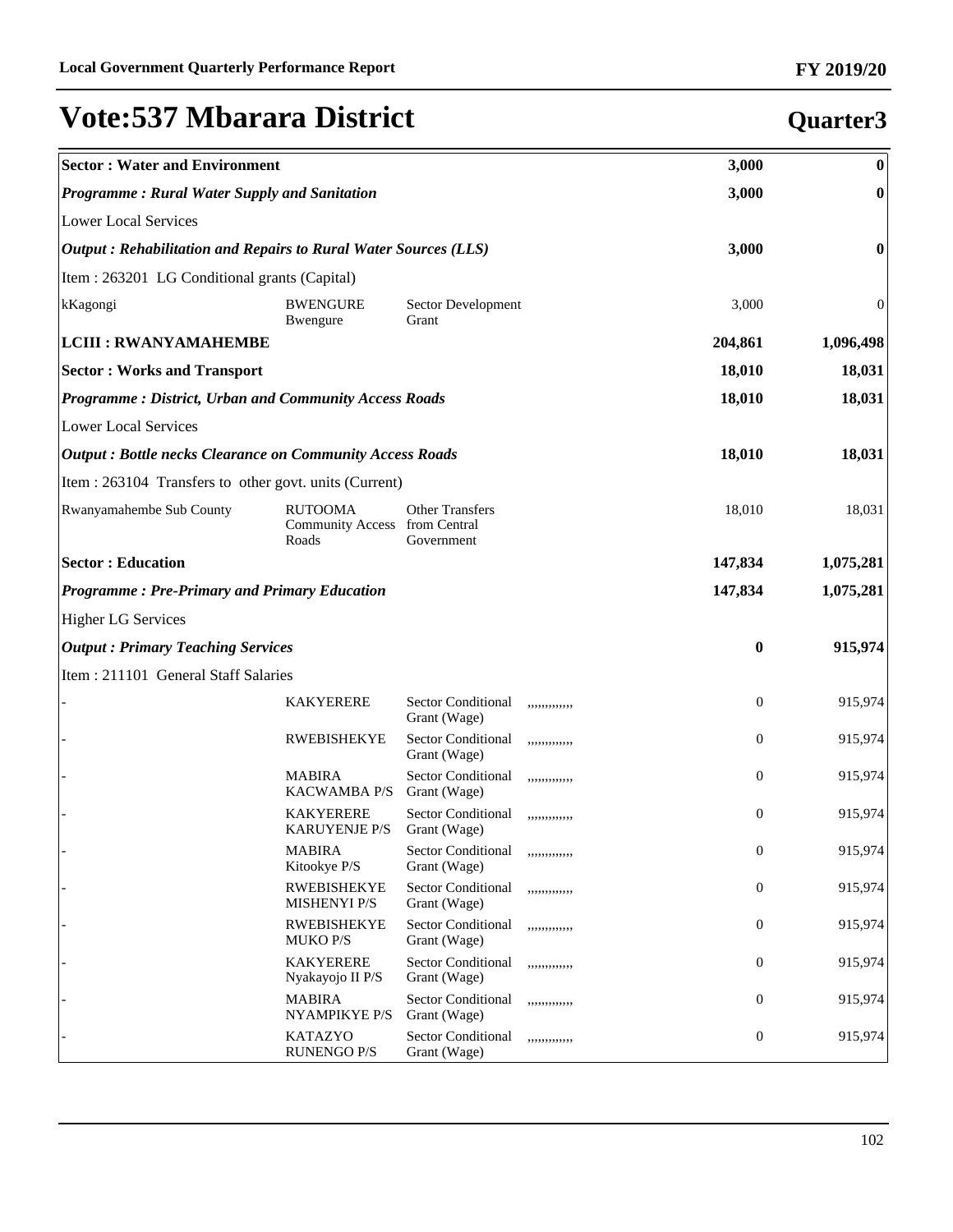| <b>Sector: Water and Environment</b>                            |                                                          |                                           |               | 3,000            | $\boldsymbol{0}$ |
|-----------------------------------------------------------------|----------------------------------------------------------|-------------------------------------------|---------------|------------------|------------------|
| <b>Programme: Rural Water Supply and Sanitation</b>             |                                                          |                                           |               | 3,000            | $\boldsymbol{0}$ |
| Lower Local Services                                            |                                                          |                                           |               |                  |                  |
| Output: Rehabilitation and Repairs to Rural Water Sources (LLS) |                                                          |                                           |               | 3,000            | $\bf{0}$         |
| Item : 263201 LG Conditional grants (Capital)                   |                                                          |                                           |               |                  |                  |
| kKagongi                                                        | <b>BWENGURE</b><br>Bwengure                              | Sector Development<br>Grant               |               | 3,000            | 0                |
| <b>LCIII : RWANYAMAHEMBE</b>                                    |                                                          |                                           |               | 204,861          | 1,096,498        |
| <b>Sector: Works and Transport</b>                              |                                                          |                                           |               | 18,010           | 18,031           |
| <b>Programme: District, Urban and Community Access Roads</b>    |                                                          |                                           |               | 18,010           | 18,031           |
| Lower Local Services                                            |                                                          |                                           |               |                  |                  |
| <b>Output: Bottle necks Clearance on Community Access Roads</b> |                                                          |                                           |               | 18,010           | 18,031           |
| Item : 263104 Transfers to other govt. units (Current)          |                                                          |                                           |               |                  |                  |
| <b>Rwanyamahembe Sub County</b>                                 | <b>RUTOOMA</b><br>Community Access from Central<br>Roads | <b>Other Transfers</b><br>Government      |               | 18,010           | 18,031           |
| <b>Sector: Education</b>                                        |                                                          |                                           |               | 147,834          | 1,075,281        |
| <b>Programme: Pre-Primary and Primary Education</b>             |                                                          |                                           |               | 147,834          | 1,075,281        |
| <b>Higher LG Services</b>                                       |                                                          |                                           |               |                  |                  |
| <b>Output: Primary Teaching Services</b>                        |                                                          |                                           |               | $\bf{0}$         | 915,974          |
| Item: 211101 General Staff Salaries                             |                                                          |                                           |               |                  |                  |
|                                                                 | <b>KAKYERERE</b>                                         | <b>Sector Conditional</b><br>Grant (Wage) | ,,,,,,,,,,,,, | $\boldsymbol{0}$ | 915,974          |
|                                                                 | <b>RWEBISHEKYE</b>                                       | Sector Conditional<br>Grant (Wage)        | ,,,,,,,,,,,,, | 0                | 915,974          |
|                                                                 | <b>MABIRA</b><br><b>KACWAMBA P/S</b>                     | Sector Conditional<br>Grant (Wage)        | ,,,,,,,,,,,,, | 0                | 915,974          |
|                                                                 | <b>KAKYERERE</b><br><b>KARUYENJE P/S</b>                 | <b>Sector Conditional</b><br>Grant (Wage) | ,,,,,,,,,,,,, | $\mathbf{0}$     | 915,974          |
|                                                                 | <b>MABIRA</b><br>Kitookye P/S                            | Sector Conditional<br>Grant (Wage)        | ,,,,,,,,,,,,  | $\boldsymbol{0}$ | 915,974          |
|                                                                 | <b>RWEBISHEKYE</b><br><b>MISHENYI P/S</b>                | <b>Sector Conditional</b><br>Grant (Wage) | ,,,,,,,,,,,,, | $\boldsymbol{0}$ | 915,974          |
|                                                                 | <b>RWEBISHEKYE</b><br><b>MUKO P/S</b>                    | Sector Conditional<br>Grant (Wage)        | ,,,,,,,,,,,,, | $\boldsymbol{0}$ | 915,974          |
|                                                                 | <b>KAKYERERE</b><br>Nyakayojo II P/S                     | Sector Conditional<br>Grant (Wage)        | ,,,,,,,,,,,,, | $\boldsymbol{0}$ | 915,974          |
|                                                                 | MABIRA<br>NYAMPIKYE P/S                                  | <b>Sector Conditional</b><br>Grant (Wage) | ,,,,,,,,,,,,, | $\boldsymbol{0}$ | 915,974          |
|                                                                 | <b>KATAZYO</b><br><b>RUNENGO P/S</b>                     | <b>Sector Conditional</b><br>Grant (Wage) | ,,,,,,,,,,,,, | $\boldsymbol{0}$ | 915,974          |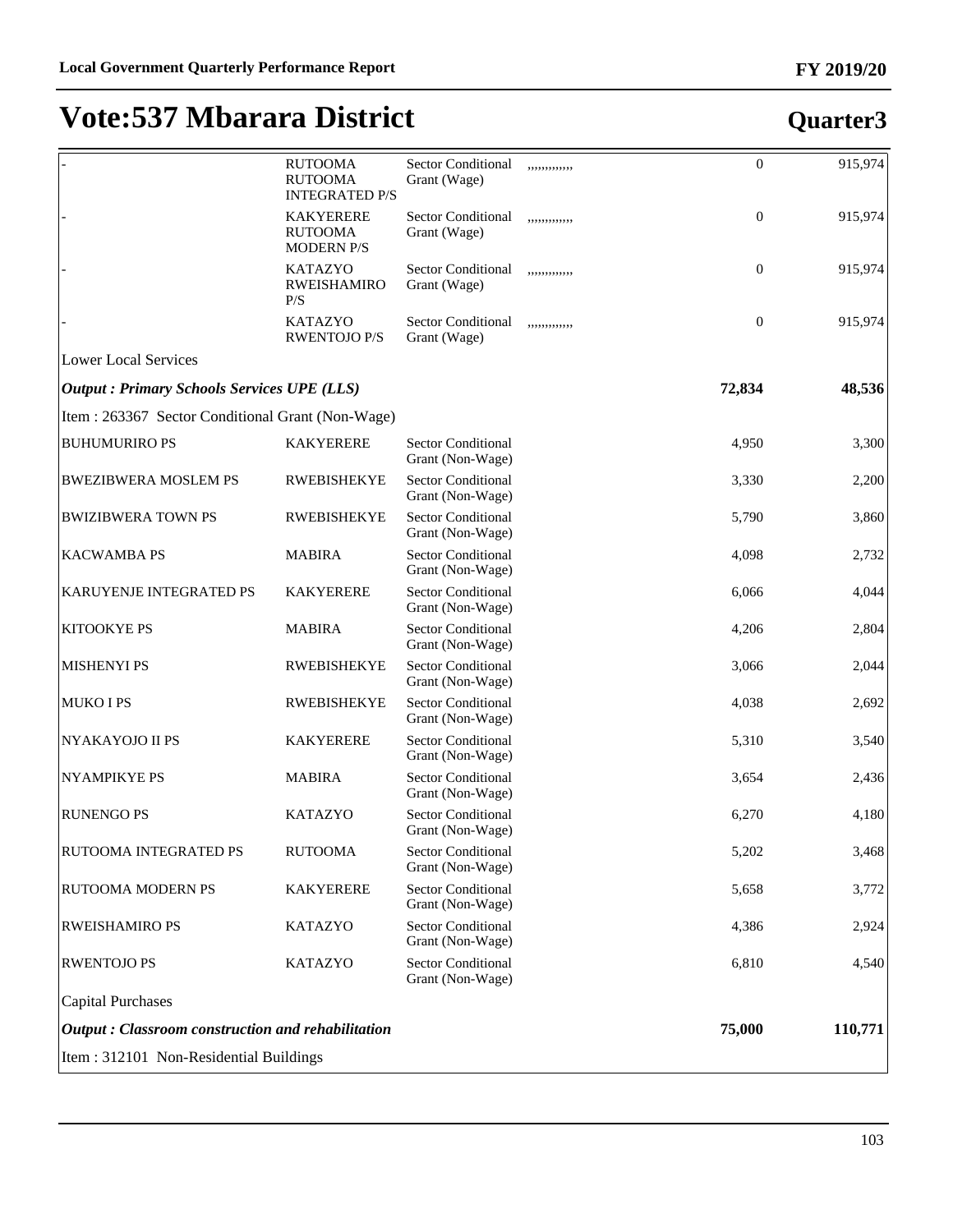|                                                          | <b>RUTOOMA</b><br><b>RUTOOMA</b><br><b>INTEGRATED P/S</b> | <b>Sector Conditional</b><br>Grant (Wage)     | ,,,,,,,,,,,,, | $\boldsymbol{0}$ | 915,974 |
|----------------------------------------------------------|-----------------------------------------------------------|-----------------------------------------------|---------------|------------------|---------|
|                                                          | <b>KAKYERERE</b><br><b>RUTOOMA</b><br><b>MODERN P/S</b>   | <b>Sector Conditional</b><br>Grant (Wage)     | ,,,,,,,,,,,,, | $\boldsymbol{0}$ | 915,974 |
|                                                          | <b>KATAZYO</b><br>RWEISHAMIRO<br>P/S                      | <b>Sector Conditional</b><br>Grant (Wage)     | ,,,,,,,,,,,,, | $\boldsymbol{0}$ | 915,974 |
|                                                          | <b>KATAZYO</b><br><b>RWENTOJO P/S</b>                     | <b>Sector Conditional</b><br>Grant (Wage)     | ,,,,,,,,,,,,  | $\boldsymbol{0}$ | 915,974 |
| Lower Local Services                                     |                                                           |                                               |               |                  |         |
| <b>Output : Primary Schools Services UPE (LLS)</b>       |                                                           |                                               |               | 72,834           | 48,536  |
| Item : 263367 Sector Conditional Grant (Non-Wage)        |                                                           |                                               |               |                  |         |
| <b>BUHUMURIRO PS</b>                                     | <b>KAKYERERE</b>                                          | <b>Sector Conditional</b><br>Grant (Non-Wage) |               | 4,950            | 3,300   |
| <b>BWEZIBWERA MOSLEM PS</b>                              | <b>RWEBISHEKYE</b>                                        | <b>Sector Conditional</b><br>Grant (Non-Wage) |               | 3,330            | 2,200   |
| <b>BWIZIBWERA TOWN PS</b>                                | <b>RWEBISHEKYE</b>                                        | Sector Conditional<br>Grant (Non-Wage)        |               | 5,790            | 3,860   |
| <b>KACWAMBA PS</b>                                       | <b>MABIRA</b>                                             | <b>Sector Conditional</b><br>Grant (Non-Wage) |               | 4,098            | 2,732   |
| <b>KARUYENJE INTEGRATED PS</b>                           | <b>KAKYERERE</b>                                          | Sector Conditional<br>Grant (Non-Wage)        |               | 6,066            | 4,044   |
| <b>KITOOKYE PS</b>                                       | <b>MABIRA</b>                                             | Sector Conditional<br>Grant (Non-Wage)        |               | 4,206            | 2,804   |
| <b>MISHENYI PS</b>                                       | <b>RWEBISHEKYE</b>                                        | Sector Conditional<br>Grant (Non-Wage)        |               | 3,066            | 2,044   |
| MUKO I PS                                                | <b>RWEBISHEKYE</b>                                        | Sector Conditional<br>Grant (Non-Wage)        |               | 4,038            | 2,692   |
| NYAKAYOJO II PS                                          | <b>KAKYERERE</b>                                          | Sector Conditional<br>Grant (Non-Wage)        |               | 5,310            | 3,540   |
| <b>NYAMPIKYE PS</b>                                      | <b>MABIRA</b>                                             | Sector Conditional<br>Grant (Non-Wage)        |               | 3,654            | 2,436   |
| <b>RUNENGO PS</b>                                        | <b>KATAZYO</b>                                            | Sector Conditional<br>Grant (Non-Wage)        |               | 6,270            | 4,180   |
| <b>RUTOOMA INTEGRATED PS</b>                             | <b>RUTOOMA</b>                                            | Sector Conditional<br>Grant (Non-Wage)        |               | 5,202            | 3,468   |
| <b>RUTOOMA MODERN PS</b>                                 | <b>KAKYERERE</b>                                          | <b>Sector Conditional</b><br>Grant (Non-Wage) |               | 5,658            | 3,772   |
| <b>RWEISHAMIRO PS</b>                                    | <b>KATAZYO</b>                                            | <b>Sector Conditional</b><br>Grant (Non-Wage) |               | 4,386            | 2,924   |
| <b>RWENTOJO PS</b>                                       | <b>KATAZYO</b>                                            | <b>Sector Conditional</b><br>Grant (Non-Wage) |               | 6,810            | 4,540   |
| Capital Purchases                                        |                                                           |                                               |               |                  |         |
| <b>Output: Classroom construction and rehabilitation</b> |                                                           |                                               |               | 75,000           | 110,771 |
| Item : 312101 Non-Residential Buildings                  |                                                           |                                               |               |                  |         |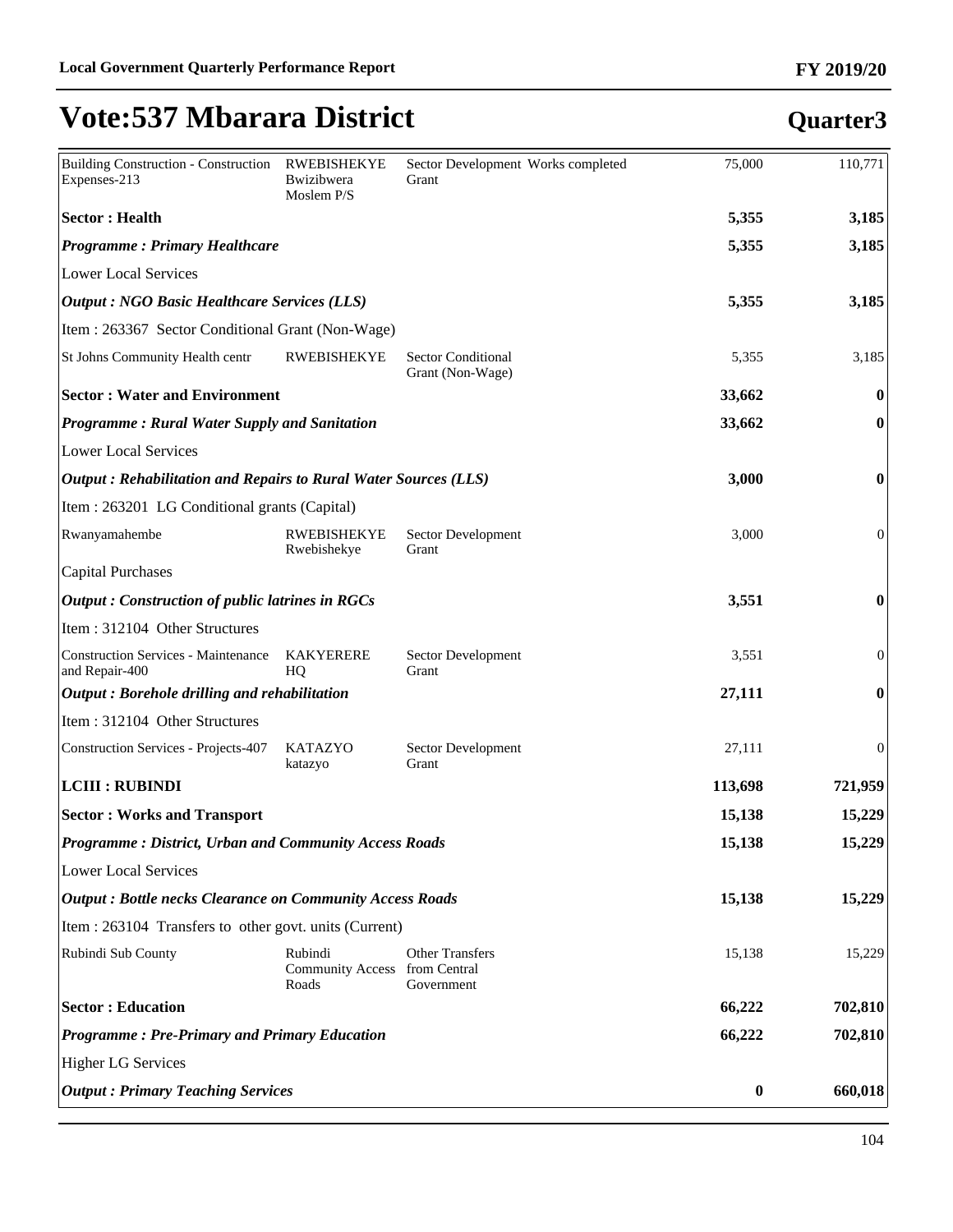| <b>Output: Primary Teaching Services</b>                                           |                                                   |                                               | $\boldsymbol{0}$ | 660,018          |
|------------------------------------------------------------------------------------|---------------------------------------------------|-----------------------------------------------|------------------|------------------|
| <b>Higher LG Services</b>                                                          |                                                   |                                               |                  |                  |
| <b>Programme: Pre-Primary and Primary Education</b>                                |                                                   |                                               | 66,222           | 702,810          |
| <b>Sector : Education</b>                                                          |                                                   |                                               | 66,222           | 702,810          |
| Rubindi Sub County                                                                 | Rubindi<br>Community Access from Central<br>Roads | <b>Other Transfers</b><br>Government          | 15,138           | 15,229           |
| Item : 263104 Transfers to other govt. units (Current)                             |                                                   |                                               |                  |                  |
| <b>Output: Bottle necks Clearance on Community Access Roads</b>                    |                                                   |                                               | 15,138           | 15,229           |
| Lower Local Services                                                               |                                                   |                                               |                  |                  |
| <b>Programme: District, Urban and Community Access Roads</b>                       |                                                   |                                               | 15,138           | 15,229           |
| <b>Sector: Works and Transport</b>                                                 |                                                   |                                               | 15,138           | 15,229           |
| <b>LCIII : RUBINDI</b>                                                             |                                                   |                                               | 113,698          | 721,959          |
| Construction Services - Projects-407                                               | <b>KATAZYO</b><br>katazyo                         | Sector Development<br>Grant                   | 27,111           | 0                |
| Item: 312104 Other Structures                                                      |                                                   |                                               |                  |                  |
| $\vert$ Output : Borehole drilling and rehabilitation                              |                                                   |                                               | 27,111           | 0                |
| Construction Services - Maintenance<br>and Repair-400                              | <b>KAKYERERE</b><br>HQ                            | Sector Development<br>Grant                   | 3,551            | $\overline{0}$   |
| Item: 312104 Other Structures                                                      |                                                   |                                               |                  |                  |
| <b>Output: Construction of public latrines in RGCs</b>                             |                                                   |                                               | 3,551            | $\boldsymbol{0}$ |
| Capital Purchases                                                                  | Rwebishekye                                       | Grant                                         |                  |                  |
| Item : 263201 LG Conditional grants (Capital)<br>Rwanyamahembe                     | <b>RWEBISHEKYE</b>                                | Sector Development                            | 3,000            | $\overline{0}$   |
|                                                                                    |                                                   |                                               |                  |                  |
| Output: Rehabilitation and Repairs to Rural Water Sources (LLS)                    |                                                   |                                               | 3,000            | $\bf{0}$         |
| <b>Programme: Rural Water Supply and Sanitation</b><br><b>Lower Local Services</b> |                                                   |                                               | 33,662           | $\bf{0}$         |
| <b>Sector: Water and Environment</b>                                               |                                                   |                                               | 33,662           | $\bf{0}$         |
| St Johns Community Health centr                                                    | <b>RWEBISHEKYE</b>                                | <b>Sector Conditional</b><br>Grant (Non-Wage) | 5,355            | 3,185            |
| Item : 263367 Sector Conditional Grant (Non-Wage)                                  |                                                   |                                               |                  |                  |
| <b>Output : NGO Basic Healthcare Services (LLS)</b>                                |                                                   |                                               | 5,355            | 3,185            |
| Lower Local Services                                                               |                                                   |                                               |                  |                  |
| <b>Programme: Primary Healthcare</b>                                               |                                                   |                                               | 5,355            | 3,185            |
| <b>Sector: Health</b>                                                              |                                                   |                                               | 5,355            | 3,185            |
| Expenses-213                                                                       | Bwizibwera<br>Moslem P/S                          | Grant                                         |                  |                  |
| Building Construction - Construction                                               | <b>RWEBISHEKYE</b>                                | Sector Development Works completed            | 75,000           | 110,771          |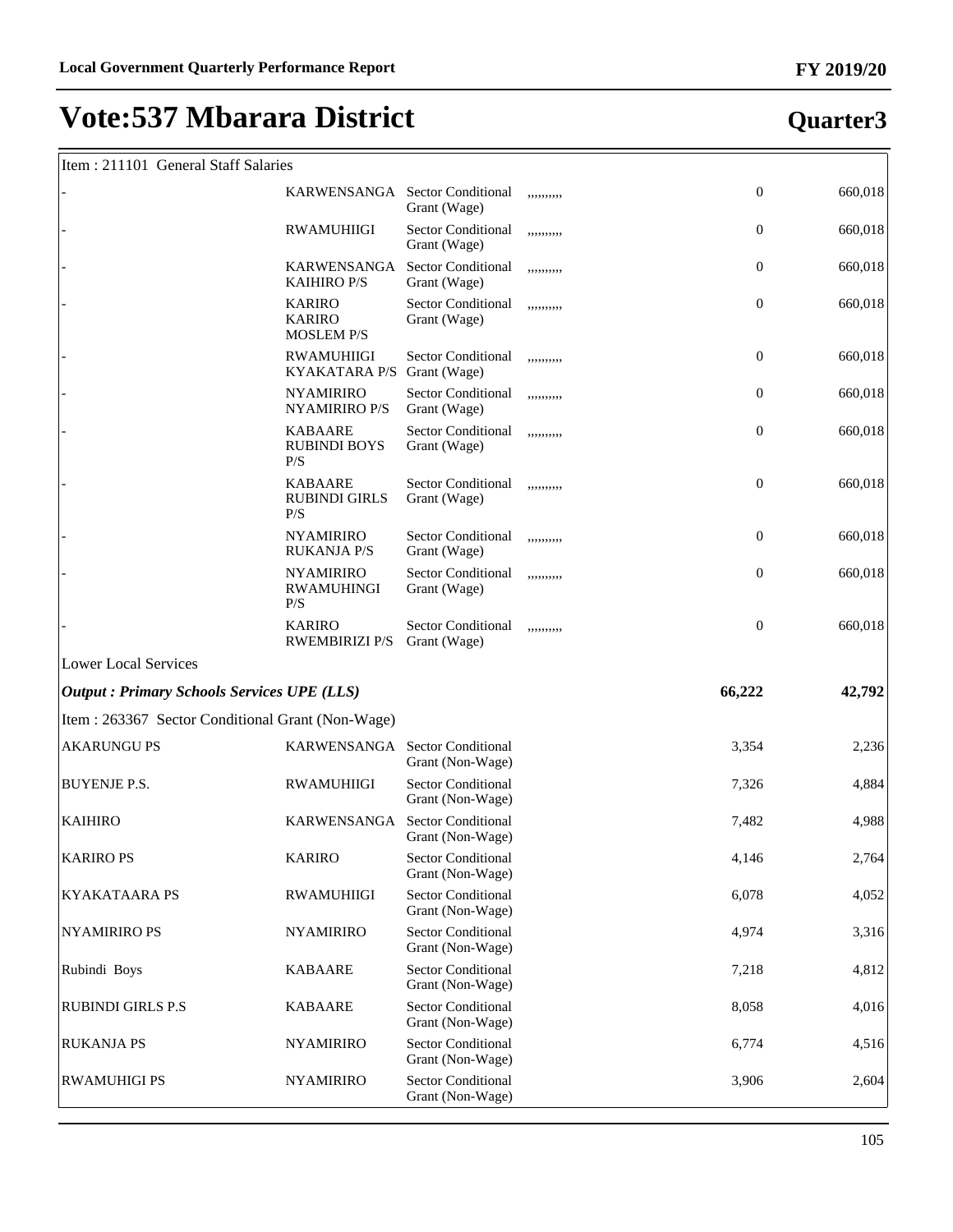# Item : 211101 General Staff Salaries

|                                                   | KARWENSANGA Sector Conditional                      | Grant (Wage)                                  | ,,,,,,,,,, | $\boldsymbol{0}$ | 660,018 |
|---------------------------------------------------|-----------------------------------------------------|-----------------------------------------------|------------|------------------|---------|
|                                                   | <b>RWAMUHIIGI</b>                                   | <b>Sector Conditional</b><br>Grant (Wage)     | ,,,,,,,,,, | $\boldsymbol{0}$ | 660,018 |
|                                                   | KARWENSANGA<br><b>KAIHIRO P/S</b>                   | <b>Sector Conditional</b><br>Grant (Wage)     | ,,,,,,,,,, | $\boldsymbol{0}$ | 660,018 |
|                                                   | <b>KARIRO</b><br><b>KARIRO</b><br><b>MOSLEM P/S</b> | <b>Sector Conditional</b><br>Grant (Wage)     | ,,,,,,,,,, | $\boldsymbol{0}$ | 660,018 |
|                                                   | <b>RWAMUHIIGI</b><br><b>KYAKATARA P/S</b>           | <b>Sector Conditional</b><br>Grant (Wage)     | ,,,,,,,,,, | $\boldsymbol{0}$ | 660,018 |
|                                                   | <b>NYAMIRIRO</b><br>NYAMIRIRO P/S                   | <b>Sector Conditional</b><br>Grant (Wage)     | ,,,,,,,,,, | $\boldsymbol{0}$ | 660,018 |
|                                                   | <b>KABAARE</b><br><b>RUBINDI BOYS</b><br>P/S        | <b>Sector Conditional</b><br>Grant (Wage)     | ,,,,,,,,,, | $\boldsymbol{0}$ | 660,018 |
|                                                   | <b>KABAARE</b><br><b>RUBINDI GIRLS</b><br>P/S       | <b>Sector Conditional</b><br>Grant (Wage)     | ,,,,,,,,,, | $\boldsymbol{0}$ | 660,018 |
|                                                   | <b>NYAMIRIRO</b><br><b>RUKANJA P/S</b>              | Sector Conditional<br>Grant (Wage)            | ,,,,,,,,,, | $\boldsymbol{0}$ | 660,018 |
|                                                   | <b>NYAMIRIRO</b><br><b>RWAMUHINGI</b><br>P/S        | Sector Conditional<br>Grant (Wage)            | ,,,,,,,,,, | $\boldsymbol{0}$ | 660,018 |
|                                                   | <b>KARIRO</b><br><b>RWEMBIRIZI P/S</b>              | <b>Sector Conditional</b><br>Grant (Wage)     | ,,,,,,,,,, | $\boldsymbol{0}$ | 660,018 |
| <b>Lower Local Services</b>                       |                                                     |                                               |            |                  |         |
| <b>Output: Primary Schools Services UPE (LLS)</b> |                                                     |                                               |            | 66,222           | 42,792  |
| Item : 263367 Sector Conditional Grant (Non-Wage) |                                                     |                                               |            |                  |         |
| <b>AKARUNGU PS</b>                                | KARWENSANGA                                         | <b>Sector Conditional</b><br>Grant (Non-Wage) |            | 3,354            | 2,236   |
| <b>BUYENJE P.S.</b>                               | <b>RWAMUHIIGI</b>                                   | <b>Sector Conditional</b><br>Grant (Non-Wage) |            | 7,326            | 4,884   |
| <b>KAIHIRO</b>                                    | KARWENSANGA                                         | <b>Sector Conditional</b><br>Grant (Non-Wage) |            | 7,482            | 4,988   |
| <b>KARIRO PS</b>                                  | <b>KARIRO</b>                                       | <b>Sector Conditional</b><br>Grant (Non-Wage) |            | 4,146            | 2,764   |
| <b>KYAKATAARA PS</b>                              | <b>RWAMUHIIGI</b>                                   | <b>Sector Conditional</b><br>Grant (Non-Wage) |            | 6,078            | 4,052   |
| <b>NYAMIRIRO PS</b>                               | <b>NYAMIRIRO</b>                                    | <b>Sector Conditional</b><br>Grant (Non-Wage) |            | 4,974            | 3,316   |
| Rubindi Boys                                      | <b>KABAARE</b>                                      | <b>Sector Conditional</b><br>Grant (Non-Wage) |            | 7,218            | 4,812   |
| <b>RUBINDI GIRLS P.S</b>                          | <b>KABAARE</b>                                      | <b>Sector Conditional</b><br>Grant (Non-Wage) |            | 8,058            | 4,016   |
| <b>RUKANJA PS</b>                                 | <b>NYAMIRIRO</b>                                    | <b>Sector Conditional</b><br>Grant (Non-Wage) |            | 6,774            | 4,516   |
| <b>RWAMUHIGI PS</b>                               | <b>NYAMIRIRO</b>                                    | <b>Sector Conditional</b><br>Grant (Non-Wage) |            | 3,906            | 2,604   |

### **Quarter3**

ן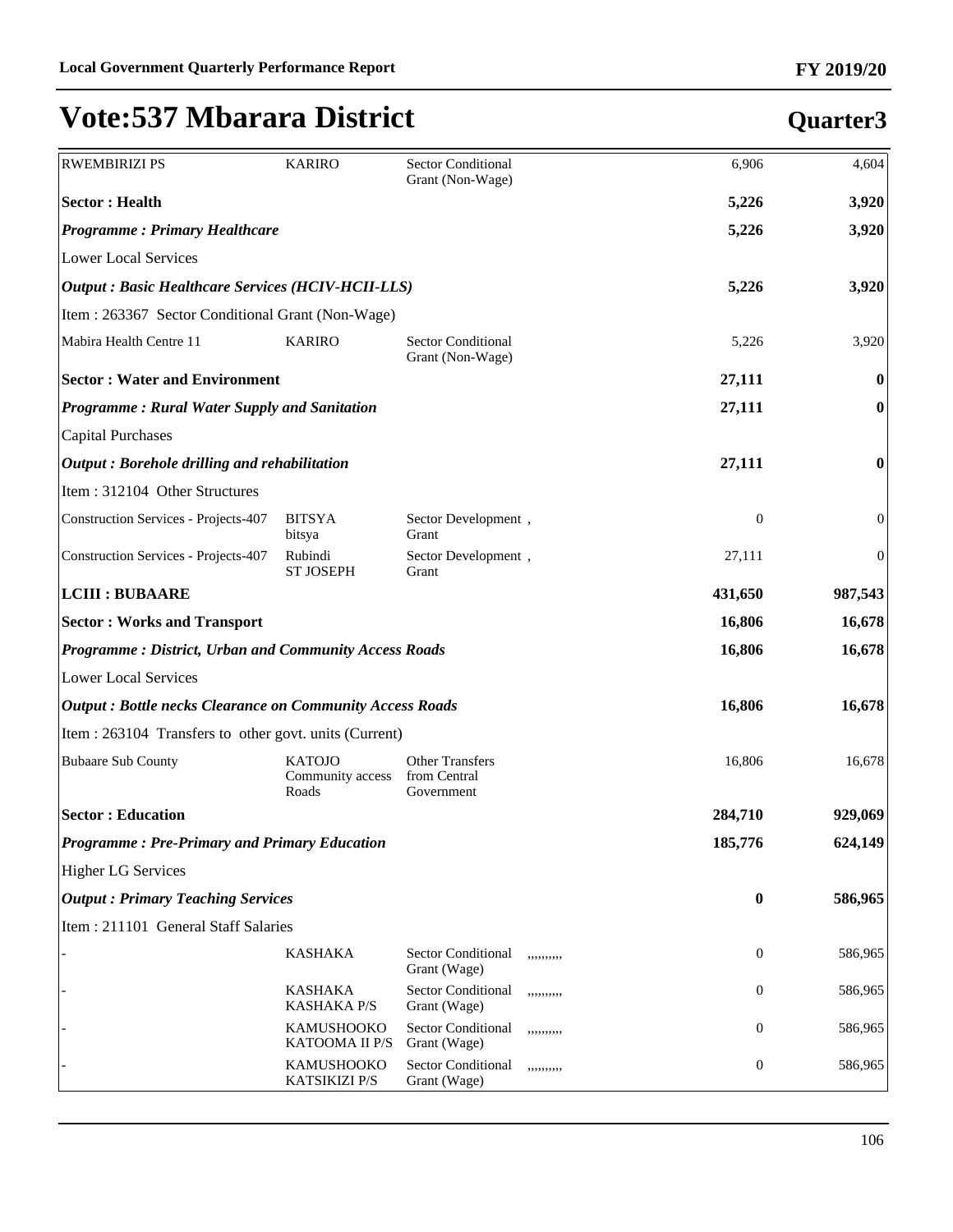| <b>RWEMBIRIZI PS</b>                                            | <b>KARIRO</b>                              | <b>Sector Conditional</b><br>Grant (Non-Wage)           | 6,906            | 4,604            |
|-----------------------------------------------------------------|--------------------------------------------|---------------------------------------------------------|------------------|------------------|
| <b>Sector: Health</b>                                           |                                            |                                                         | 5,226            | 3,920            |
| <b>Programme: Primary Healthcare</b>                            |                                            |                                                         | 5,226            | 3,920            |
| <b>Lower Local Services</b>                                     |                                            |                                                         |                  |                  |
| <b>Output : Basic Healthcare Services (HCIV-HCII-LLS)</b>       |                                            |                                                         | 5,226            | 3,920            |
| Item: 263367 Sector Conditional Grant (Non-Wage)                |                                            |                                                         |                  |                  |
| Mabira Health Centre 11                                         | <b>KARIRO</b>                              | <b>Sector Conditional</b><br>Grant (Non-Wage)           | 5,226            | 3,920            |
| <b>Sector: Water and Environment</b>                            |                                            |                                                         | 27,111           | 0                |
| Programme: Rural Water Supply and Sanitation                    |                                            |                                                         | 27,111           | $\bf{0}$         |
| <b>Capital Purchases</b>                                        |                                            |                                                         |                  |                  |
| Output: Borehole drilling and rehabilitation                    |                                            |                                                         | 27,111           | $\boldsymbol{0}$ |
| Item: 312104 Other Structures                                   |                                            |                                                         |                  |                  |
| Construction Services - Projects-407                            | <b>BITSYA</b><br>bitsya                    | Sector Development,<br>Grant                            | $\boldsymbol{0}$ | $\boldsymbol{0}$ |
| <b>Construction Services - Projects-407</b>                     | Rubindi<br><b>ST JOSEPH</b>                | Sector Development,<br>Grant                            | 27,111           | $\boldsymbol{0}$ |
| <b>LCIII : BUBAARE</b>                                          |                                            |                                                         | 431,650          | 987,543          |
| <b>Sector: Works and Transport</b>                              |                                            |                                                         | 16,806           | 16,678           |
| <b>Programme: District, Urban and Community Access Roads</b>    |                                            |                                                         | 16,806           | 16,678           |
| <b>Lower Local Services</b>                                     |                                            |                                                         |                  |                  |
| <b>Output: Bottle necks Clearance on Community Access Roads</b> |                                            |                                                         | 16,806           | 16,678           |
| Item : 263104 Transfers to other govt. units (Current)          |                                            |                                                         |                  |                  |
| <b>Bubaare Sub County</b>                                       | <b>KATOJO</b><br>Community access<br>Roads | <b>Other Transfers</b><br>from Central<br>Government    | 16,806           | 16,678           |
| <b>Sector: Education</b>                                        |                                            |                                                         | 284,710          | 929,069          |
| <b>Programme: Pre-Primary and Primary Education</b>             |                                            |                                                         | 185,776          | 624,149          |
| <b>Higher LG Services</b>                                       |                                            |                                                         |                  |                  |
| <b>Output: Primary Teaching Services</b>                        |                                            |                                                         | $\bf{0}$         | 586,965          |
| Item: 211101 General Staff Salaries                             |                                            |                                                         |                  |                  |
|                                                                 | <b>KASHAKA</b>                             | <b>Sector Conditional</b><br>,,,,,,,,,,<br>Grant (Wage) | $\mathbf{0}$     | 586,965          |
|                                                                 | <b>KASHAKA</b><br><b>KASHAKA P/S</b>       | <b>Sector Conditional</b><br>,,,,,,,,,,<br>Grant (Wage) | 0                | 586,965          |
|                                                                 | <b>KAMUSHOOKO</b><br><b>KATOOMA II P/S</b> | <b>Sector Conditional</b><br>,,,,,,,,,,<br>Grant (Wage) | 0                | 586,965          |
|                                                                 | KAMUSHOOKO<br>KATSIKIZI P/S                | Sector Conditional<br>,,,,,,,,,,<br>Grant (Wage)        | 0                | 586,965          |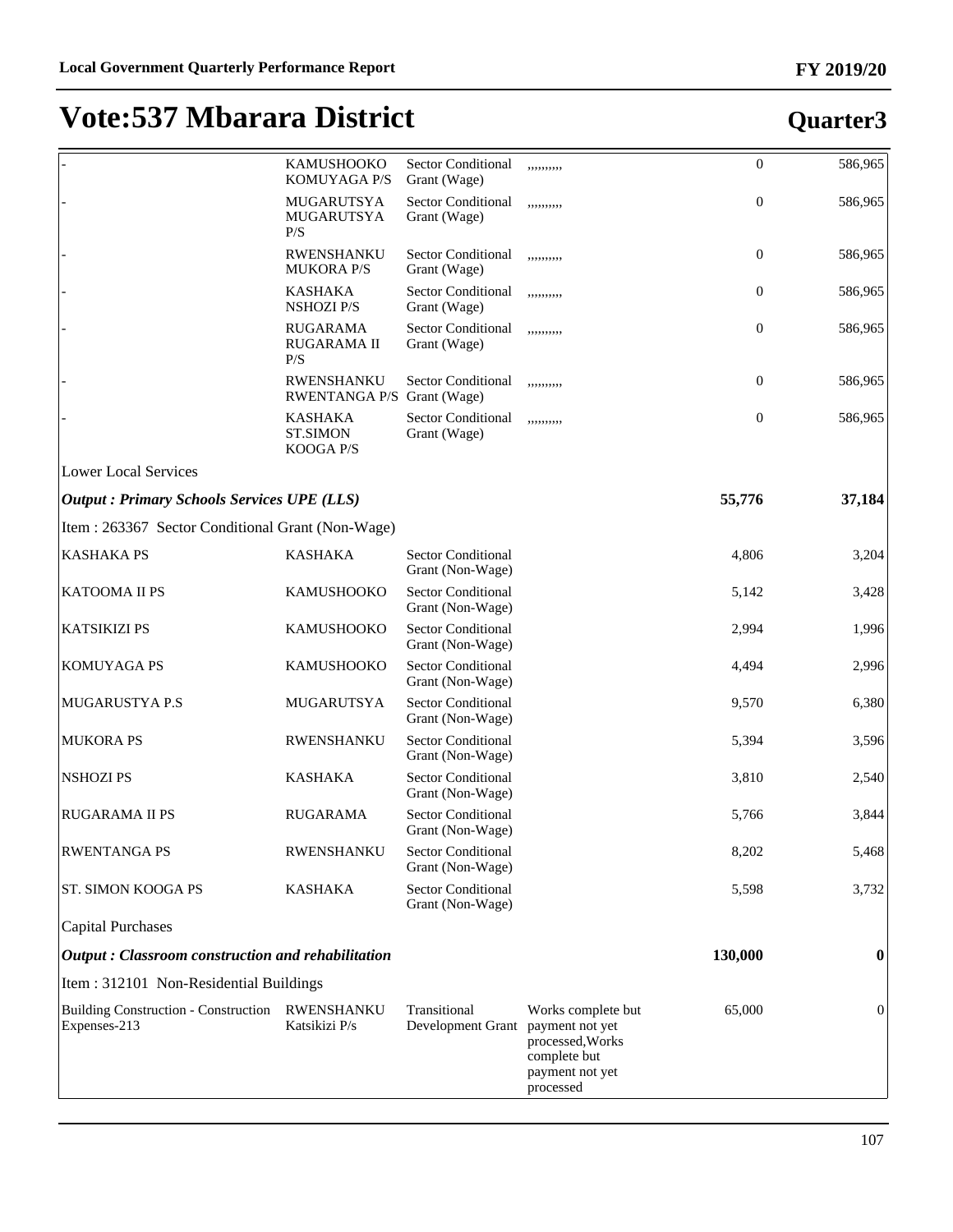|                                                             | KAMUSHOOKO<br>KOMUYAGA P/S                     | <b>Sector Conditional</b><br>Grant (Wage)         | ,,,,,,,,,,                                                                             | $\boldsymbol{0}$ | 586,965  |
|-------------------------------------------------------------|------------------------------------------------|---------------------------------------------------|----------------------------------------------------------------------------------------|------------------|----------|
|                                                             | MUGARUTSYA<br>MUGARUTSYA<br>P/S                | <b>Sector Conditional</b><br>Grant (Wage)         | ,,,,,,,,,,                                                                             | $\boldsymbol{0}$ | 586,965  |
|                                                             | <b>RWENSHANKU</b><br><b>MUKORA P/S</b>         | <b>Sector Conditional</b><br>Grant (Wage)         | ,,,,,,,,,,                                                                             | $\mathbf{0}$     | 586,965  |
|                                                             | <b>KASHAKA</b><br><b>NSHOZI P/S</b>            | <b>Sector Conditional</b><br>Grant (Wage)         | ,,,,,,,,,,                                                                             | $\mathbf{0}$     | 586,965  |
|                                                             | <b>RUGARAMA</b><br>RUGARAMA II<br>P/S          | Sector Conditional<br>Grant (Wage)                | ,,,,,,,,,,                                                                             | $\overline{0}$   | 586,965  |
|                                                             | RWENSHANKU<br>RWENTANGA P/S Grant (Wage)       | <b>Sector Conditional</b>                         | ,,,,,,,,,,                                                                             | $\boldsymbol{0}$ | 586,965  |
|                                                             | <b>KASHAKA</b><br><b>ST.SIMON</b><br>KOOGA P/S | Sector Conditional<br>Grant (Wage)                | ,,,,,,,,,,                                                                             | $\boldsymbol{0}$ | 586,965  |
| <b>Lower Local Services</b>                                 |                                                |                                                   |                                                                                        |                  |          |
| <b>Output : Primary Schools Services UPE (LLS)</b>          |                                                |                                                   |                                                                                        | 55,776           | 37,184   |
| Item : 263367 Sector Conditional Grant (Non-Wage)           |                                                |                                                   |                                                                                        |                  |          |
| <b>KASHAKA PS</b>                                           | <b>KASHAKA</b>                                 | <b>Sector Conditional</b><br>Grant (Non-Wage)     |                                                                                        | 4,806            | 3,204    |
| KATOOMA II PS                                               | <b>KAMUSHOOKO</b>                              | <b>Sector Conditional</b><br>Grant (Non-Wage)     |                                                                                        | 5,142            | 3,428    |
| <b>KATSIKIZI PS</b>                                         | <b>KAMUSHOOKO</b>                              | <b>Sector Conditional</b><br>Grant (Non-Wage)     |                                                                                        | 2,994            | 1,996    |
| <b>KOMUYAGA PS</b>                                          | KAMUSHOOKO                                     | <b>Sector Conditional</b><br>Grant (Non-Wage)     |                                                                                        | 4,494            | 2,996    |
| <b>MUGARUSTYA P.S</b>                                       | MUGARUTSYA                                     | <b>Sector Conditional</b><br>Grant (Non-Wage)     |                                                                                        | 9,570            | 6,380    |
| <b>MUKORA PS</b>                                            | RWENSHANKU                                     | <b>Sector Conditional</b><br>Grant (Non-Wage)     |                                                                                        | 5,394            | 3,596    |
| <b>NSHOZIPS</b>                                             | <b>KASHAKA</b>                                 | <b>Sector Conditional</b><br>Grant (Non-Wage)     |                                                                                        | 3,810            | 2,540    |
| <b>RUGARAMA II PS</b>                                       | <b>RUGARAMA</b>                                | <b>Sector Conditional</b><br>Grant (Non-Wage)     |                                                                                        | 5,766            | 3,844    |
| <b>RWENTANGA PS</b>                                         | <b>RWENSHANKU</b>                              | <b>Sector Conditional</b><br>Grant (Non-Wage)     |                                                                                        | 8,202            | 5,468    |
| ST. SIMON KOOGA PS                                          | <b>KASHAKA</b>                                 | <b>Sector Conditional</b><br>Grant (Non-Wage)     |                                                                                        | 5,598            | 3,732    |
| <b>Capital Purchases</b>                                    |                                                |                                                   |                                                                                        |                  |          |
| Output: Classroom construction and rehabilitation           |                                                |                                                   |                                                                                        | 130,000          | $\bf{0}$ |
| Item: 312101 Non-Residential Buildings                      |                                                |                                                   |                                                                                        |                  |          |
| <b>Building Construction - Construction</b><br>Expenses-213 | RWENSHANKU<br>Katsikizi P/s                    | Transitional<br>Development Grant payment not yet | Works complete but<br>processed, Works<br>complete but<br>payment not yet<br>processed | 65,000           | $\theta$ |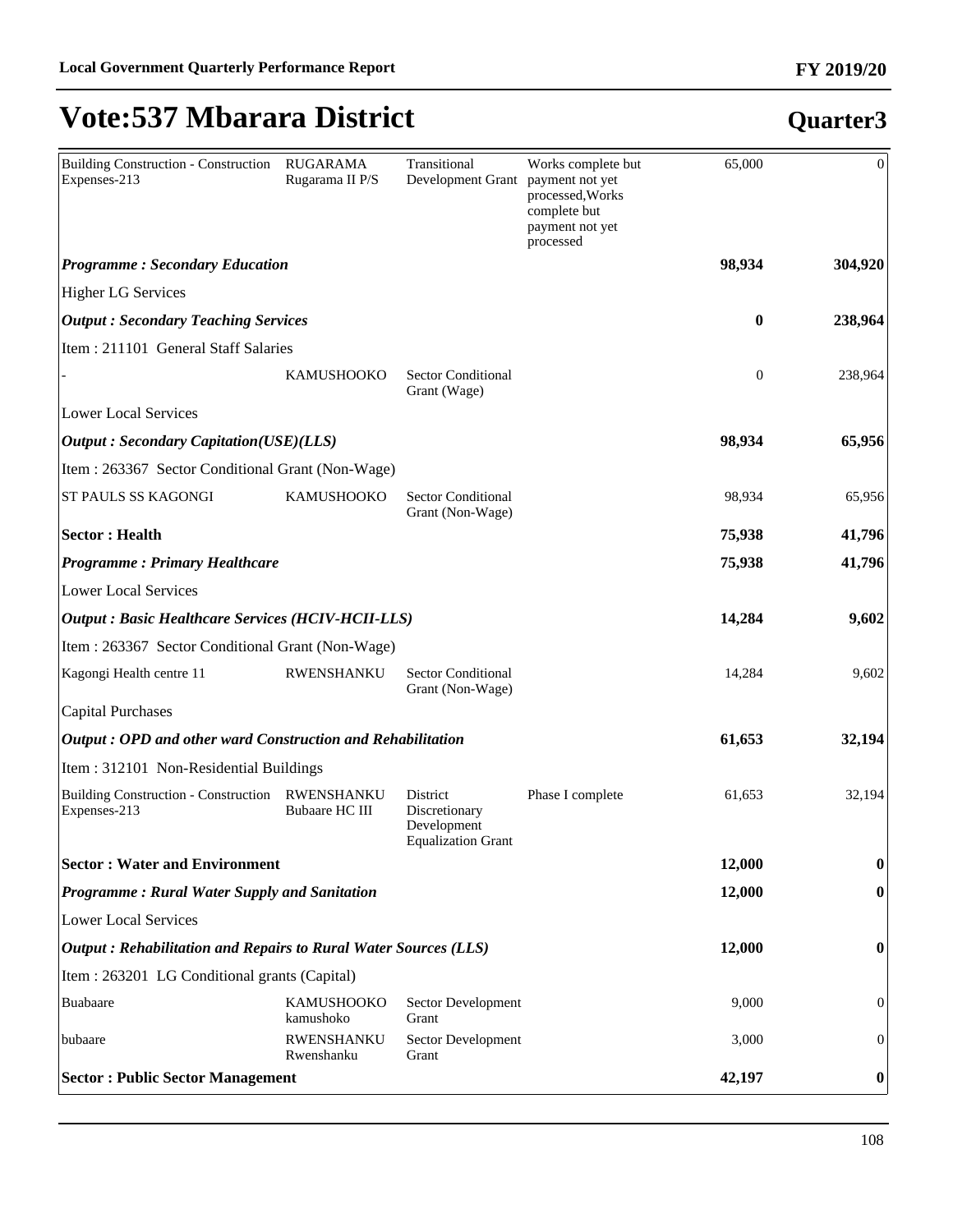| Building Construction - Construction<br>Expenses-213            | <b>RUGARAMA</b><br>Rugarama II P/S | Transitional<br>Development Grant payment not yet                     | Works complete but<br>processed, Works<br>complete but | 65,000           | $\theta$         |
|-----------------------------------------------------------------|------------------------------------|-----------------------------------------------------------------------|--------------------------------------------------------|------------------|------------------|
|                                                                 |                                    |                                                                       | payment not yet<br>processed                           |                  |                  |
| <b>Programme: Secondary Education</b>                           |                                    |                                                                       |                                                        | 98,934           | 304,920          |
| <b>Higher LG Services</b>                                       |                                    |                                                                       |                                                        |                  |                  |
| <b>Output</b> : Secondary Teaching Services                     |                                    |                                                                       |                                                        | $\bf{0}$         | 238,964          |
| Item: 211101 General Staff Salaries                             |                                    |                                                                       |                                                        |                  |                  |
|                                                                 | <b>KAMUSHOOKO</b>                  | <b>Sector Conditional</b><br>Grant (Wage)                             |                                                        | $\boldsymbol{0}$ | 238,964          |
| <b>Lower Local Services</b>                                     |                                    |                                                                       |                                                        |                  |                  |
| <b>Output: Secondary Capitation(USE)(LLS)</b>                   |                                    |                                                                       |                                                        | 98,934           | 65,956           |
| Item : 263367 Sector Conditional Grant (Non-Wage)               |                                    |                                                                       |                                                        |                  |                  |
| <b>ST PAULS SS KAGONGI</b>                                      | KAMUSHOOKO                         | <b>Sector Conditional</b><br>Grant (Non-Wage)                         |                                                        | 98,934           | 65,956           |
| <b>Sector: Health</b>                                           |                                    |                                                                       |                                                        | 75,938           | 41,796           |
| <b>Programme: Primary Healthcare</b>                            |                                    |                                                                       |                                                        | 75,938           | 41,796           |
| <b>Lower Local Services</b>                                     |                                    |                                                                       |                                                        |                  |                  |
| <b>Output: Basic Healthcare Services (HCIV-HCII-LLS)</b>        |                                    |                                                                       |                                                        | 14,284           | 9,602            |
| Item : 263367 Sector Conditional Grant (Non-Wage)               |                                    |                                                                       |                                                        |                  |                  |
| Kagongi Health centre 11                                        | RWENSHANKU                         | <b>Sector Conditional</b><br>Grant (Non-Wage)                         |                                                        | 14,284           | 9,602            |
| Capital Purchases                                               |                                    |                                                                       |                                                        |                  |                  |
| Output: OPD and other ward Construction and Rehabilitation      |                                    |                                                                       |                                                        | 61,653           | 32,194           |
| Item: 312101 Non-Residential Buildings                          |                                    |                                                                       |                                                        |                  |                  |
| Building Construction - Construction RWENSHANKU<br>Expenses-213 | <b>Bubaare HC III</b>              | District<br>Discretionary<br>Development<br><b>Equalization Grant</b> | Phase I complete                                       | 61,653           | 32,194           |
| <b>Sector: Water and Environment</b>                            |                                    |                                                                       |                                                        | 12,000           | $\boldsymbol{0}$ |
| <b>Programme: Rural Water Supply and Sanitation</b>             |                                    |                                                                       |                                                        | 12,000           | $\bf{0}$         |
| Lower Local Services                                            |                                    |                                                                       |                                                        |                  |                  |
| Output: Rehabilitation and Repairs to Rural Water Sources (LLS) |                                    |                                                                       |                                                        | 12,000           | 0                |
| Item : 263201 LG Conditional grants (Capital)                   |                                    |                                                                       |                                                        |                  |                  |
| Buabaare                                                        | <b>KAMUSHOOKO</b><br>kamushoko     | Sector Development<br>Grant                                           |                                                        | 9,000            | $\boldsymbol{0}$ |
| bubaare                                                         | RWENSHANKU<br>Rwenshanku           | Sector Development<br>Grant                                           |                                                        | 3,000            | $\boldsymbol{0}$ |
| <b>Sector: Public Sector Management</b>                         |                                    |                                                                       |                                                        | 42,197           | $\bf{0}$         |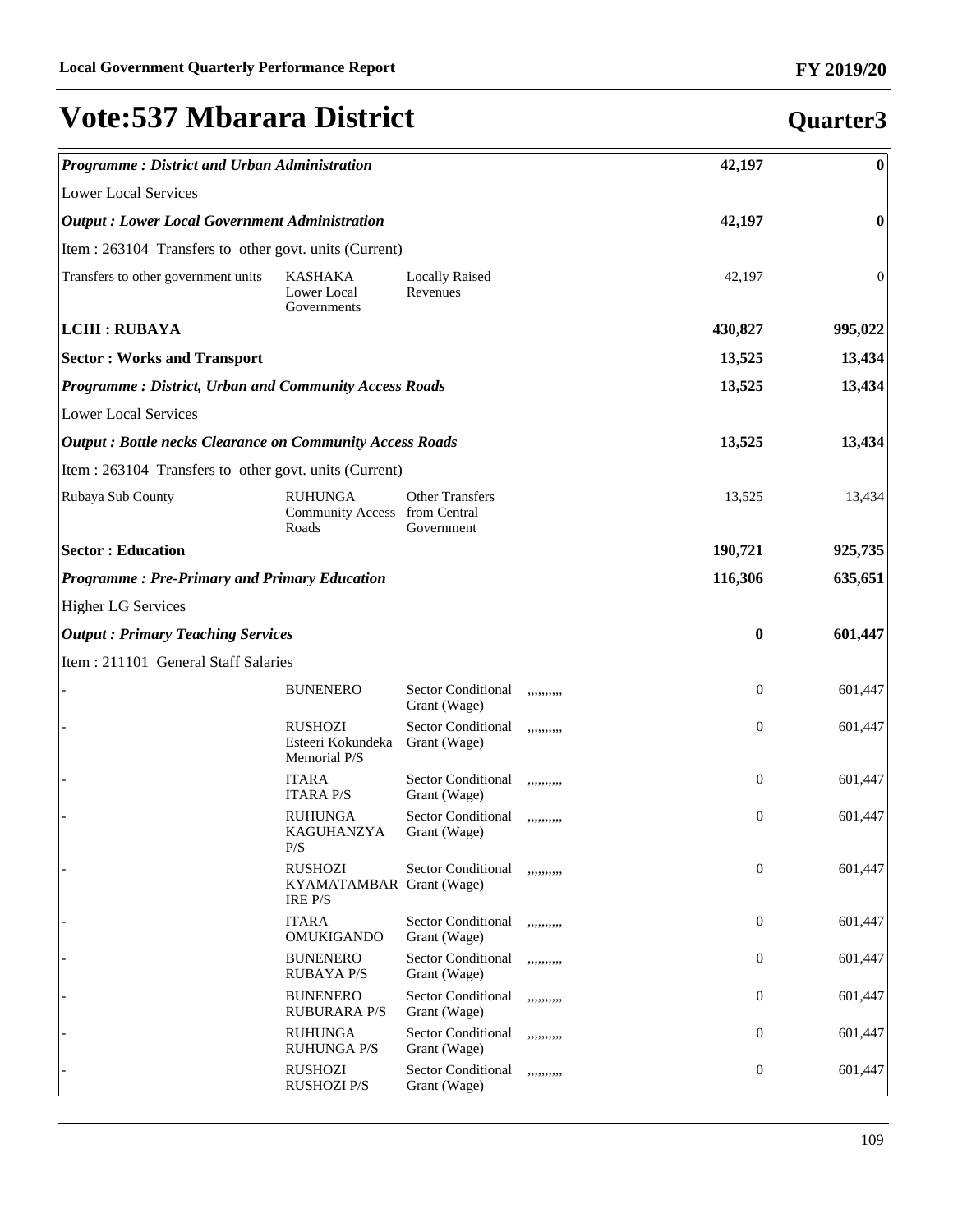| <b>Programme: District and Urban Administration</b>             |                                                          |                                           |            | 42,197           | $\boldsymbol{0}$ |
|-----------------------------------------------------------------|----------------------------------------------------------|-------------------------------------------|------------|------------------|------------------|
| <b>Lower Local Services</b>                                     |                                                          |                                           |            |                  |                  |
| <b>Output: Lower Local Government Administration</b>            |                                                          |                                           |            | 42,197           | $\bf{0}$         |
| Item : 263104 Transfers to other govt. units (Current)          |                                                          |                                           |            |                  |                  |
| Transfers to other government units                             | KASHAKA<br>Lower Local<br>Governments                    | <b>Locally Raised</b><br>Revenues         |            | 42,197           | $\boldsymbol{0}$ |
| <b>LCIII : RUBAYA</b>                                           |                                                          |                                           |            | 430,827          | 995,022          |
| <b>Sector: Works and Transport</b>                              |                                                          |                                           |            | 13,525           | 13,434           |
| <b>Programme: District, Urban and Community Access Roads</b>    |                                                          |                                           |            | 13,525           | 13,434           |
| <b>Lower Local Services</b>                                     |                                                          |                                           |            |                  |                  |
| <b>Output: Bottle necks Clearance on Community Access Roads</b> |                                                          |                                           |            | 13,525           | 13,434           |
| Item : 263104 Transfers to other govt. units (Current)          |                                                          |                                           |            |                  |                  |
| Rubaya Sub County                                               | <b>RUHUNGA</b><br>Community Access from Central<br>Roads | <b>Other Transfers</b><br>Government      |            | 13,525           | 13,434           |
| <b>Sector: Education</b>                                        |                                                          |                                           |            | 190,721          | 925,735          |
| <b>Programme: Pre-Primary and Primary Education</b>             |                                                          |                                           |            | 116,306          | 635,651          |
| <b>Higher LG Services</b>                                       |                                                          |                                           |            |                  |                  |
| <b>Output: Primary Teaching Services</b>                        |                                                          |                                           |            | $\bf{0}$         | 601,447          |
| Item: 211101 General Staff Salaries                             |                                                          |                                           |            |                  |                  |
|                                                                 | <b>BUNENERO</b>                                          | <b>Sector Conditional</b><br>Grant (Wage) | ,,,,,,,,,, | $\mathbf{0}$     | 601,447          |
|                                                                 | <b>RUSHOZI</b><br>Esteeri Kokundeka<br>Memorial P/S      | <b>Sector Conditional</b><br>Grant (Wage) | ,,,,,,,,,, | $\mathbf{0}$     | 601,447          |
|                                                                 | <b>ITARA</b><br><b>ITARA P/S</b>                         | <b>Sector Conditional</b><br>Grant (Wage) | ,,,,,,,,,, | $\overline{0}$   | 601,447          |
|                                                                 | <b>RUHUNGA</b><br>KAGUHANZYA<br>P/S                      | <b>Sector Conditional</b><br>Grant (Wage) | ,,,,,,,,,, | $\overline{0}$   | 601,447          |
|                                                                 | <b>RUSHOZI</b><br>KYAMATAMBAR Grant (Wage)<br>IRE P/S    | <b>Sector Conditional</b>                 | ,,,,,,,,,, | $\boldsymbol{0}$ | 601,447          |
|                                                                 | <b>ITARA</b><br><b>OMUKIGANDO</b>                        | <b>Sector Conditional</b><br>Grant (Wage) | ,,,,,,,,,, | $\mathbf{0}$     | 601,447          |
|                                                                 | <b>BUNENERO</b><br><b>RUBAYA P/S</b>                     | <b>Sector Conditional</b><br>Grant (Wage) | ,,,,,,,,,, | $\mathbf{0}$     | 601,447          |
|                                                                 | <b>BUNENERO</b><br><b>RUBURARA P/S</b>                   | Sector Conditional<br>Grant (Wage)        | ,,,,,,,,,, | $\mathbf{0}$     | 601,447          |
|                                                                 | <b>RUHUNGA</b><br><b>RUHUNGA P/S</b>                     | Sector Conditional<br>Grant (Wage)        | ,,,,,,,,,, | $\mathbf{0}$     | 601,447          |
|                                                                 | <b>RUSHOZI</b><br><b>RUSHOZI P/S</b>                     | <b>Sector Conditional</b><br>Grant (Wage) | ,,,,,,,,,, | $\mathbf{0}$     | 601,447          |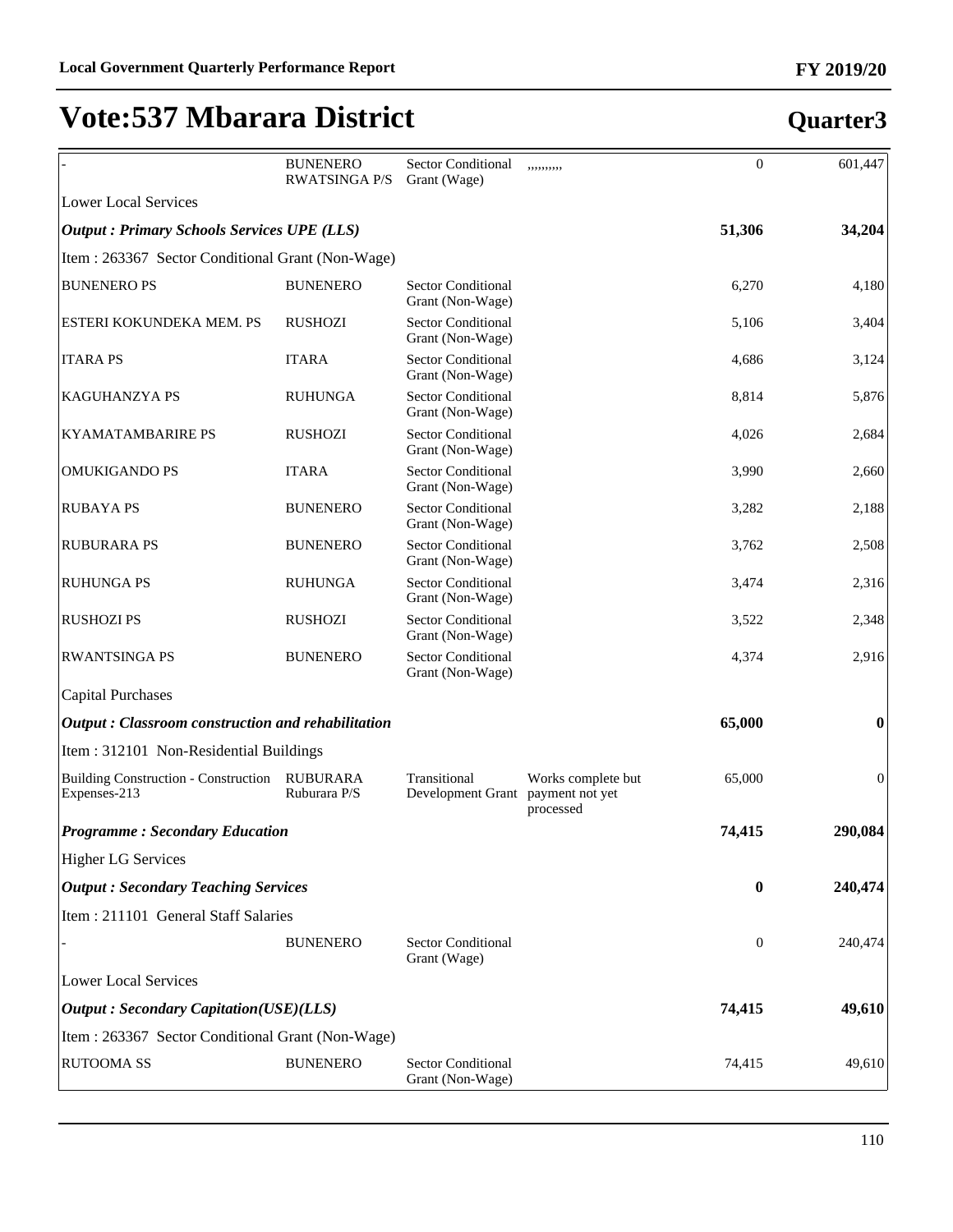#### **BUNENERO** RWATSINGA P/S Sector Conditional Grant (Wage) ,,,,,,,,,, 0 601,447 Lower Local Services *Output : Primary Schools Services UPE (LLS)* **51,306 34,204** Item : 263367 Sector Conditional Grant (Non-Wage) BUNENERO PS BUNENERO Sector Conditional Grant (Non-Wage) 6,270 4,180 ESTERI KOKUNDEKA MEM. PS RUSHOZI Sector Conditional Grant (Non-Wage) 5,106 3,404 ITARA PS **ITARA** Sector Conditional Grant (Non-Wage) 4,686 3,124 KAGUHANZYA PS RUHUNGA Sector Conditional Grant (Non-Wage) 8,814 5,876 KYAMATAMBARIRE PS RUSHOZI Sector Conditional Grant (Non-Wage) 4,026 2,684 OMUKIGANDO PS ITARA Sector Conditional Grant (Non-Wage) 3,990 2,660 RUBAYA PS BUNENERO Sector Conditional Grant (Non-Wage) 3,282 2,188 RUBURARA PS BUNENERO Sector Conditional Grant (Non-Wage) 3,762 2,508 RUHUNGA PS RUHUNGA Sector Conditional Grant (Non-Wage) 3,474 2,316 RUSHOZI PS RUSHOZI Sector Conditional Grant (Non-Wage) 3,522 2,348 RWANTSINGA PS BUNENERO Sector Conditional Grant (Non-Wage) 4,374 2,916 Capital Purchases *Output : Classroom construction and rehabilitation* **65,000 0** Item : 312101 Non-Residential Buildings Building Construction - Construction RUBURARA Expenses-213 Ruburara P/S Transitional Development Grant Works complete but payment not yet processed 65,000 0 *Programme : Secondary Education* **74,415 290,084** Higher LG Services *Output : Secondary Teaching Services* **0 240,474** Item : 211101 General Staff Salaries BUNENERO Sector Conditional Grant (Wage) 0 240,474 Lower Local Services *Output : Secondary Capitation(USE)(LLS)* **74,415 49,610** Item : 263367 Sector Conditional Grant (Non-Wage) RUTOOMA SS BUNENERO Sector Conditional Grant (Non-Wage) 74,415 49,610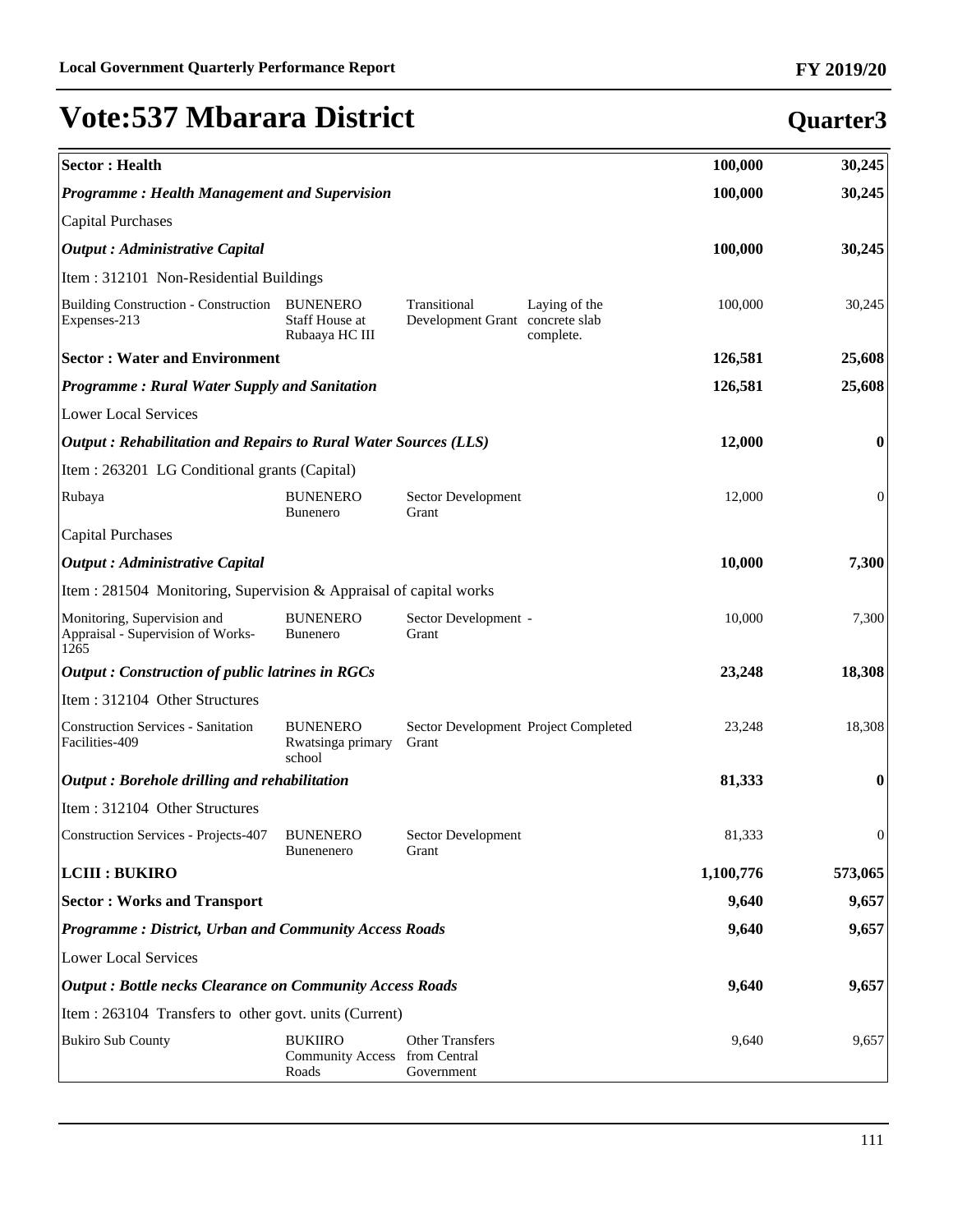| <b>Sector: Health</b>                                                    |                                                            |                                                                               | 100,000   | 30,245           |
|--------------------------------------------------------------------------|------------------------------------------------------------|-------------------------------------------------------------------------------|-----------|------------------|
| <b>Programme: Health Management and Supervision</b>                      |                                                            |                                                                               | 100,000   | 30,245           |
| <b>Capital Purchases</b>                                                 |                                                            |                                                                               |           |                  |
| <b>Output</b> : Administrative Capital                                   |                                                            |                                                                               | 100,000   | 30,245           |
| Item: 312101 Non-Residential Buildings                                   |                                                            |                                                                               |           |                  |
| <b>Building Construction - Construction</b><br>Expenses-213              | <b>BUNENERO</b><br><b>Staff House at</b><br>Rubaaya HC III | Transitional<br>Laying of the<br>Development Grant concrete slab<br>complete. | 100,000   | 30,245           |
| <b>Sector: Water and Environment</b>                                     |                                                            |                                                                               | 126,581   | 25,608           |
| <b>Programme: Rural Water Supply and Sanitation</b>                      |                                                            |                                                                               | 126,581   | 25,608           |
| <b>Lower Local Services</b>                                              |                                                            |                                                                               |           |                  |
| Output: Rehabilitation and Repairs to Rural Water Sources (LLS)          |                                                            |                                                                               | 12,000    | $\bf{0}$         |
| Item : 263201 LG Conditional grants (Capital)                            |                                                            |                                                                               |           |                  |
| Rubaya                                                                   | <b>BUNENERO</b><br><b>Bunenero</b>                         | Sector Development<br>Grant                                                   | 12,000    | $\overline{0}$   |
| <b>Capital Purchases</b>                                                 |                                                            |                                                                               |           |                  |
| <b>Output</b> : Administrative Capital                                   |                                                            |                                                                               | 10,000    | 7,300            |
| Item : 281504 Monitoring, Supervision & Appraisal of capital works       |                                                            |                                                                               |           |                  |
| Monitoring, Supervision and<br>Appraisal - Supervision of Works-<br>1265 | <b>BUNENERO</b><br><b>Bunenero</b>                         | Sector Development -<br>Grant                                                 | 10,000    | 7,300            |
| <b>Output: Construction of public latrines in RGCs</b>                   |                                                            |                                                                               | 23,248    | 18,308           |
| Item: 312104 Other Structures                                            |                                                            |                                                                               |           |                  |
| <b>Construction Services - Sanitation</b><br>Facilities-409              | <b>BUNENERO</b><br>Rwatsinga primary<br>school             | Sector Development Project Completed<br>Grant                                 | 23,248    | 18,308           |
| Output: Borehole drilling and rehabilitation                             |                                                            |                                                                               | 81,333    | $\bf{0}$         |
| Item: 312104 Other Structures                                            |                                                            |                                                                               |           |                  |
| Construction Services - Projects-407                                     | <b>BUNENERO</b><br>Bunenenero                              | Sector Development<br>Grant                                                   | 81,333    | $\boldsymbol{0}$ |
| <b>LCIII : BUKIRO</b>                                                    |                                                            |                                                                               | 1,100,776 | 573,065          |
| <b>Sector: Works and Transport</b>                                       |                                                            |                                                                               | 9,640     | 9,657            |
| <b>Programme: District, Urban and Community Access Roads</b>             |                                                            |                                                                               | 9,640     | 9,657            |
| <b>Lower Local Services</b>                                              |                                                            |                                                                               |           |                  |
| <b>Output: Bottle necks Clearance on Community Access Roads</b>          |                                                            |                                                                               | 9,640     | 9,657            |
| Item : 263104 Transfers to other govt. units (Current)                   |                                                            |                                                                               |           |                  |
| <b>Bukiro Sub County</b>                                                 | <b>BUKIIRO</b><br><b>Community Access</b><br>Roads         | <b>Other Transfers</b><br>from Central<br>Government                          | 9,640     | 9,657            |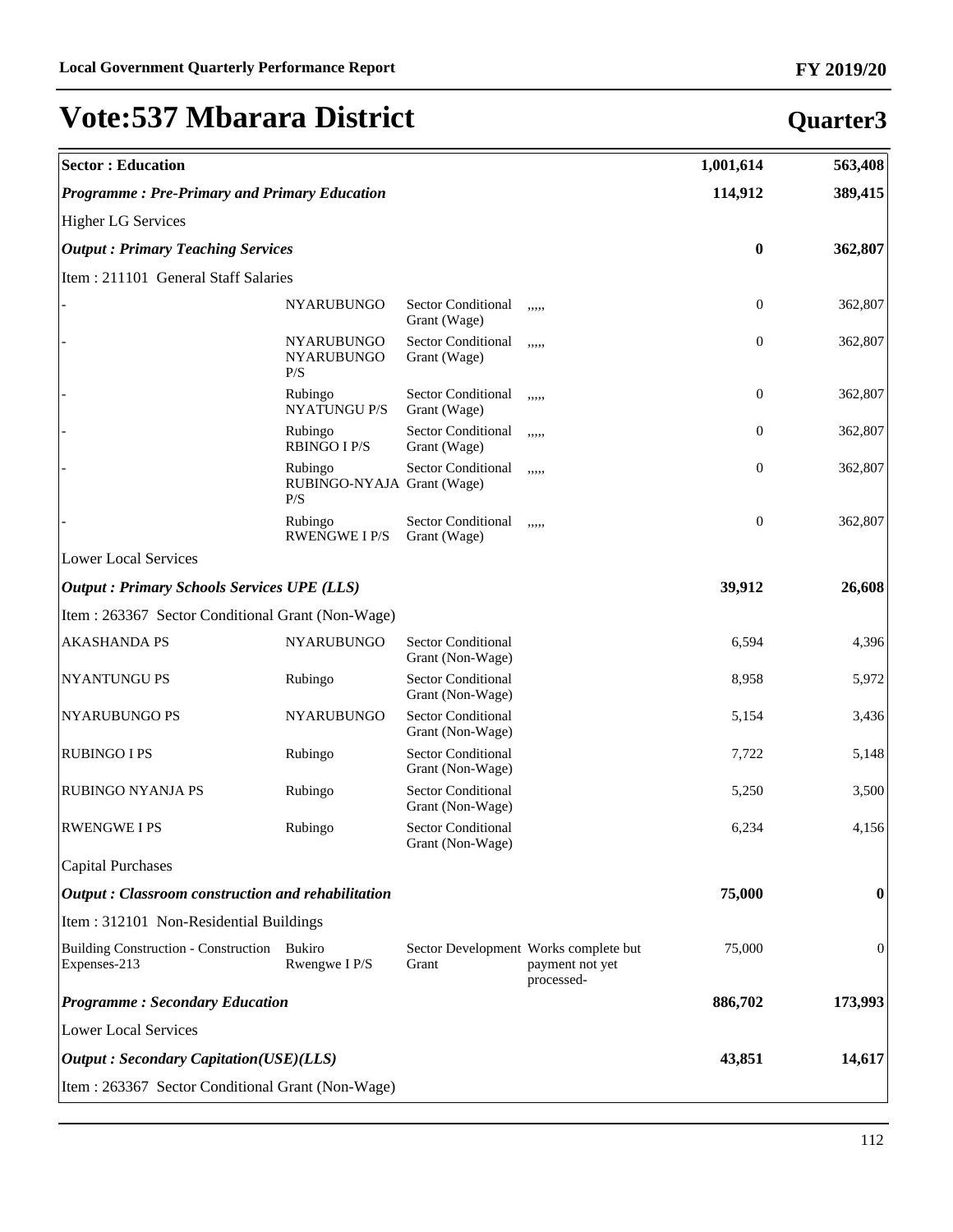| <b>Sector: Education</b>                             |                                               |                                               |                                                                        | 1,001,614        | 563,408        |
|------------------------------------------------------|-----------------------------------------------|-----------------------------------------------|------------------------------------------------------------------------|------------------|----------------|
| <b>Programme: Pre-Primary and Primary Education</b>  |                                               |                                               |                                                                        | 114,912          | 389,415        |
| <b>Higher LG Services</b>                            |                                               |                                               |                                                                        |                  |                |
| <b>Output: Primary Teaching Services</b>             |                                               |                                               |                                                                        | $\bf{0}$         | 362,807        |
| Item : 211101 General Staff Salaries                 |                                               |                                               |                                                                        |                  |                |
|                                                      | <b>NYARUBUNGO</b>                             | Sector Conditional<br>Grant (Wage)            | ,,,,,                                                                  | $\boldsymbol{0}$ | 362,807        |
|                                                      | <b>NYARUBUNGO</b><br><b>NYARUBUNGO</b><br>P/S | Sector Conditional<br>Grant (Wage)            | ,,,,,                                                                  | $\boldsymbol{0}$ | 362,807        |
|                                                      | Rubingo<br><b>NYATUNGU P/S</b>                | <b>Sector Conditional</b><br>Grant (Wage)     | ,,,,,                                                                  | $\boldsymbol{0}$ | 362,807        |
|                                                      | Rubingo<br><b>RBINGO I P/S</b>                | <b>Sector Conditional</b><br>Grant (Wage)     | ,,,,,                                                                  | $\boldsymbol{0}$ | 362,807        |
|                                                      | Rubingo<br>RUBINGO-NYAJA Grant (Wage)<br>P/S  | <b>Sector Conditional</b>                     | ,,,,,                                                                  | $\boldsymbol{0}$ | 362,807        |
|                                                      | Rubingo<br><b>RWENGWE I P/S</b>               | <b>Sector Conditional</b><br>Grant (Wage)     | ,,,,,                                                                  | $\boldsymbol{0}$ | 362,807        |
| <b>Lower Local Services</b>                          |                                               |                                               |                                                                        |                  |                |
| <b>Output: Primary Schools Services UPE (LLS)</b>    |                                               |                                               |                                                                        | 39,912           | 26,608         |
| Item : 263367 Sector Conditional Grant (Non-Wage)    |                                               |                                               |                                                                        |                  |                |
| <b>AKASHANDA PS</b>                                  | <b>NYARUBUNGO</b>                             | <b>Sector Conditional</b><br>Grant (Non-Wage) |                                                                        | 6,594            | 4,396          |
| NYANTUNGU PS                                         | Rubingo                                       | <b>Sector Conditional</b><br>Grant (Non-Wage) |                                                                        | 8,958            | 5,972          |
| NYARUBUNGO PS                                        | <b>NYARUBUNGO</b>                             | <b>Sector Conditional</b><br>Grant (Non-Wage) |                                                                        | 5,154            | 3,436          |
| <b>RUBINGO I PS</b>                                  | Rubingo                                       | <b>Sector Conditional</b><br>Grant (Non-Wage) |                                                                        | 7,722            | 5,148          |
| <b>RUBINGO NYANJA PS</b>                             | Rubingo                                       | <b>Sector Conditional</b><br>Grant (Non-Wage) |                                                                        | 5,250            | 3,500          |
| <b>RWENGWE I PS</b>                                  | Rubingo                                       | <b>Sector Conditional</b><br>Grant (Non-Wage) |                                                                        | 6,234            | 4,156          |
| Capital Purchases                                    |                                               |                                               |                                                                        |                  |                |
| Output: Classroom construction and rehabilitation    |                                               |                                               |                                                                        | 75,000           | 0              |
| Item : 312101 Non-Residential Buildings              |                                               |                                               |                                                                        |                  |                |
| Building Construction - Construction<br>Expenses-213 | <b>Bukiro</b><br>Rwengwe I P/S                | Grant                                         | Sector Development Works complete but<br>payment not yet<br>processed- | 75,000           | $\overline{0}$ |
| <b>Programme: Secondary Education</b>                |                                               |                                               |                                                                        | 886,702          | 173,993        |
| Lower Local Services                                 |                                               |                                               |                                                                        |                  |                |
| <b>Output: Secondary Capitation(USE)(LLS)</b>        |                                               |                                               |                                                                        | 43,851           | 14,617         |
| Item : 263367 Sector Conditional Grant (Non-Wage)    |                                               |                                               |                                                                        |                  |                |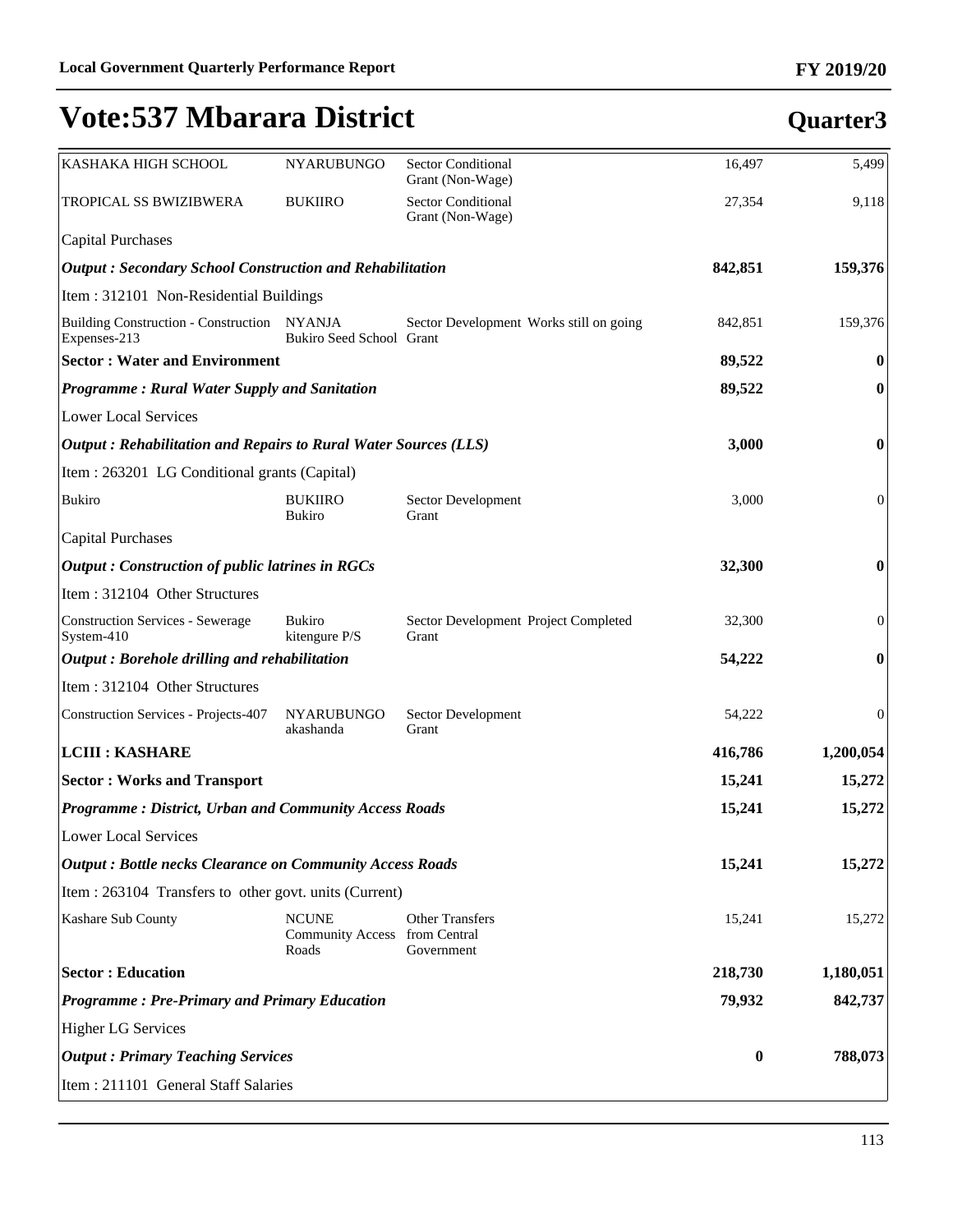| KASHAKA HIGH SCHOOL                                             | NYARUBUNGO                                       | Sector Conditional<br>Grant (Non-Wage)        | 16,497   | 5,499            |
|-----------------------------------------------------------------|--------------------------------------------------|-----------------------------------------------|----------|------------------|
| TROPICAL SS BWIZIBWERA                                          | <b>BUKIIRO</b>                                   | <b>Sector Conditional</b><br>Grant (Non-Wage) | 27,354   | 9,118            |
| <b>Capital Purchases</b>                                        |                                                  |                                               |          |                  |
| <b>Output: Secondary School Construction and Rehabilitation</b> |                                                  |                                               | 842,851  | 159,376          |
| Item: 312101 Non-Residential Buildings                          |                                                  |                                               |          |                  |
| Building Construction - Construction NYANJA<br>Expenses-213     | Bukiro Seed School Grant                         | Sector Development Works still on going       | 842,851  | 159,376          |
| <b>Sector: Water and Environment</b>                            |                                                  |                                               | 89,522   | $\bf{0}$         |
| <b>Programme: Rural Water Supply and Sanitation</b>             |                                                  |                                               | 89,522   | $\boldsymbol{0}$ |
| <b>Lower Local Services</b>                                     |                                                  |                                               |          |                  |
| Output: Rehabilitation and Repairs to Rural Water Sources (LLS) |                                                  |                                               | 3,000    | $\boldsymbol{0}$ |
| Item : 263201 LG Conditional grants (Capital)                   |                                                  |                                               |          |                  |
| <b>Bukiro</b>                                                   | <b>BUKIIRO</b><br><b>Bukiro</b>                  | Sector Development<br>Grant                   | 3,000    | $\mathbf{0}$     |
| <b>Capital Purchases</b>                                        |                                                  |                                               |          |                  |
| <b>Output: Construction of public latrines in RGCs</b>          |                                                  |                                               | 32,300   | $\boldsymbol{0}$ |
| Item: 312104 Other Structures                                   |                                                  |                                               |          |                  |
| <b>Construction Services - Sewerage</b><br>System-410           | <b>Bukiro</b><br>kitengure P/S                   | Sector Development Project Completed<br>Grant | 32,300   | $\boldsymbol{0}$ |
| Output: Borehole drilling and rehabilitation                    |                                                  |                                               | 54,222   | $\boldsymbol{0}$ |
| Item: 312104 Other Structures                                   |                                                  |                                               |          |                  |
| <b>Construction Services - Projects-407</b>                     | <b>NYARUBUNGO</b><br>akashanda                   | Sector Development<br>Grant                   | 54,222   | $\overline{0}$   |
| <b>LCIII : KASHARE</b>                                          |                                                  |                                               | 416,786  | 1,200,054        |
| <b>Sector: Works and Transport</b>                              |                                                  |                                               | 15,241   | 15,272           |
| <b>Programme: District, Urban and Community Access Roads</b>    |                                                  |                                               | 15,241   | 15,272           |
| <b>Lower Local Services</b>                                     |                                                  |                                               |          |                  |
| <b>Output: Bottle necks Clearance on Community Access Roads</b> |                                                  |                                               | 15,241   | 15,272           |
| Item : 263104 Transfers to other govt. units (Current)          |                                                  |                                               |          |                  |
| Kashare Sub County                                              | <b>NCUNE</b><br><b>Community Access</b><br>Roads | Other Transfers<br>from Central<br>Government | 15,241   | 15,272           |
| <b>Sector: Education</b>                                        |                                                  |                                               | 218,730  | 1,180,051        |
| <b>Programme: Pre-Primary and Primary Education</b>             |                                                  |                                               | 79,932   | 842,737          |
| <b>Higher LG Services</b>                                       |                                                  |                                               |          |                  |
| <b>Output: Primary Teaching Services</b>                        |                                                  |                                               | $\bf{0}$ | 788,073          |
| Item: 211101 General Staff Salaries                             |                                                  |                                               |          |                  |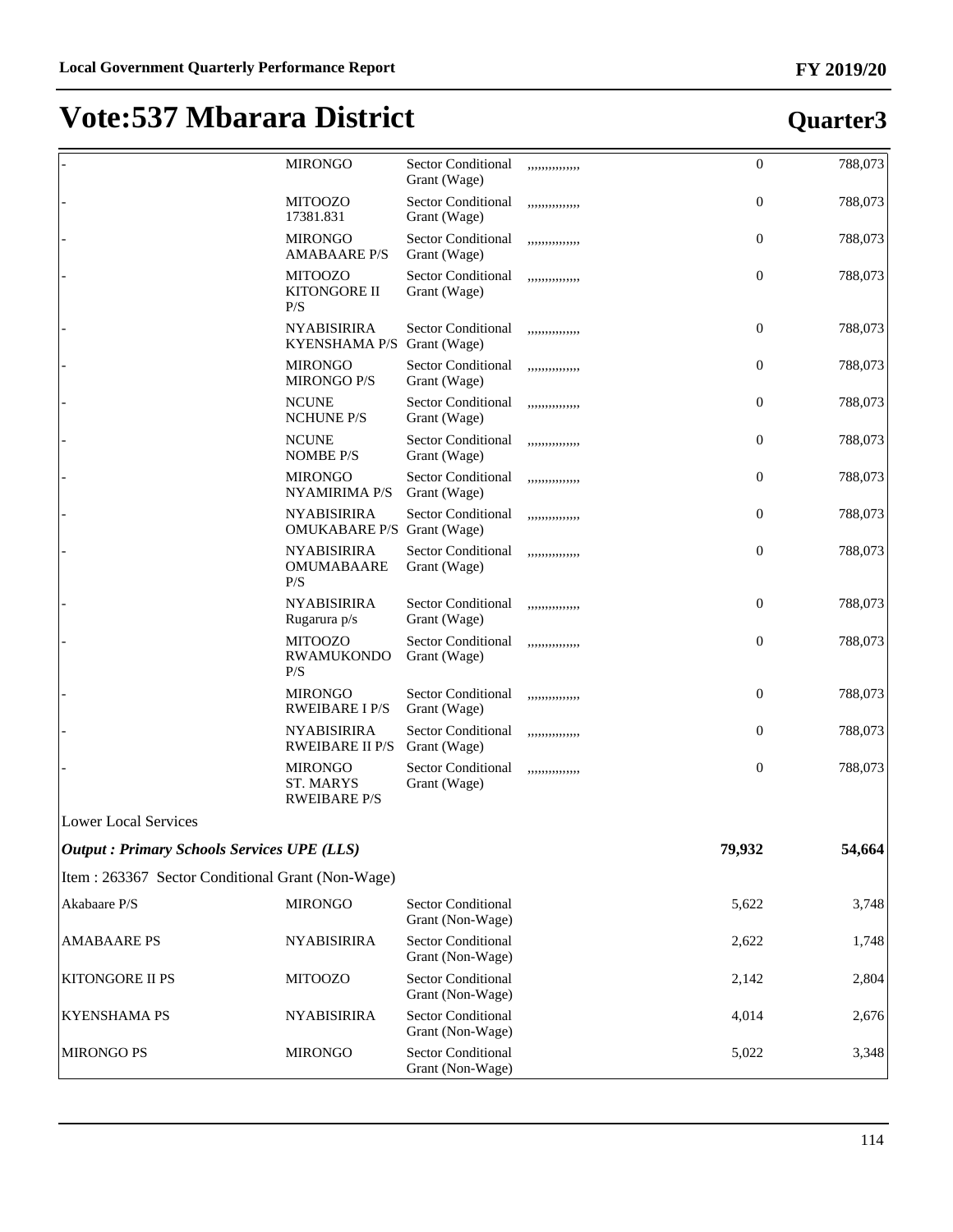|                                                    | <b>MIRONGO</b>                                     | <b>Sector Conditional</b><br>Grant (Wage)     | ,,,,,,,,,,,,,,  | $\mathbf{0}$     | 788,073 |
|----------------------------------------------------|----------------------------------------------------|-----------------------------------------------|-----------------|------------------|---------|
|                                                    | <b>MITOOZO</b><br>17381.831                        | <b>Sector Conditional</b><br>Grant (Wage)     | ,,,,,,,,,,,,,,  | $\mathbf{0}$     | 788,073 |
|                                                    | <b>MIRONGO</b><br><b>AMABAARE P/S</b>              | <b>Sector Conditional</b><br>Grant (Wage)     | ,,,,,,,,,,,,,,, | $\mathbf{0}$     | 788,073 |
|                                                    | <b>MITOOZO</b><br>KITONGORE II<br>P/S              | <b>Sector Conditional</b><br>Grant (Wage)     | ,,,,,,,,,,,,,,  | $\mathbf{0}$     | 788,073 |
|                                                    | <b>NYABISIRIRA</b><br><b>KYENSHAMA P/S</b>         | <b>Sector Conditional</b><br>Grant (Wage)     | ,,,,,,,,,,,,,,, | $\mathbf{0}$     | 788,073 |
|                                                    | <b>MIRONGO</b><br><b>MIRONGO P/S</b>               | <b>Sector Conditional</b><br>Grant (Wage)     | ,,,,,,,,,,,,,,, | $\mathbf{0}$     | 788,073 |
|                                                    | <b>NCUNE</b><br><b>NCHUNE P/S</b>                  | Sector Conditional<br>Grant (Wage)            | ,,,,,,,,,,,,,,, | $\mathbf{0}$     | 788,073 |
|                                                    | <b>NCUNE</b><br><b>NOMBE P/S</b>                   | <b>Sector Conditional</b><br>Grant (Wage)     | ,,,,,,,,,,,,,,, | $\overline{0}$   | 788,073 |
|                                                    | <b>MIRONGO</b><br><b>NYAMIRIMA P/S</b>             | <b>Sector Conditional</b><br>Grant (Wage)     | ,,,,,,,,,,,,,,, | $\theta$         | 788,073 |
|                                                    | <b>NYABISIRIRA</b><br>OMUKABARE P/S Grant (Wage)   | <b>Sector Conditional</b>                     | ,,,,,,,,,,,,,,, | $\theta$         | 788,073 |
|                                                    | <b>NYABISIRIRA</b><br>OMUMABAARE<br>P/S            | <b>Sector Conditional</b><br>Grant (Wage)     | ,,,,,,,,,,,,,,, | $\boldsymbol{0}$ | 788,073 |
|                                                    | <b>NYABISIRIRA</b><br>Rugarura p/s                 | <b>Sector Conditional</b><br>Grant (Wage)     | ,,,,,,,,,,,,,,, | $\mathbf{0}$     | 788,073 |
|                                                    | <b>MITOOZO</b><br><b>RWAMUKONDO</b><br>P/S         | Sector Conditional<br>Grant (Wage)            | ,,,,,,,,,,,,,,, | $\mathbf{0}$     | 788,073 |
|                                                    | <b>MIRONGO</b><br><b>RWEIBARE I P/S</b>            | <b>Sector Conditional</b><br>Grant (Wage)     | ,,,,,,,,,,,,,,, | $\mathbf{0}$     | 788,073 |
|                                                    | <b>NYABISIRIRA</b><br><b>RWEIBARE II P/S</b>       | <b>Sector Conditional</b><br>Grant (Wage)     | ,,,,,,,,,,,,,,, | $\mathbf{0}$     | 788,073 |
|                                                    | <b>MIRONGO</b><br>ST. MARYS<br><b>RWEIBARE P/S</b> | <b>Sector Conditional</b><br>Grant (Wage)     | ,,,,,,,,,,,,,,, | $\mathbf{0}$     | 788,073 |
| <b>Lower Local Services</b>                        |                                                    |                                               |                 |                  |         |
| <b>Output : Primary Schools Services UPE (LLS)</b> |                                                    |                                               |                 | 79,932           | 54,664  |
| Item: 263367 Sector Conditional Grant (Non-Wage)   |                                                    |                                               |                 |                  |         |
| Akabaare P/S                                       | <b>MIRONGO</b>                                     | <b>Sector Conditional</b><br>Grant (Non-Wage) |                 | 5,622            | 3,748   |
| <b>AMABAARE PS</b>                                 | <b>NYABISIRIRA</b>                                 | <b>Sector Conditional</b><br>Grant (Non-Wage) |                 | 2,622            | 1,748   |
| KITONGORE II PS                                    | <b>MITOOZO</b>                                     | <b>Sector Conditional</b><br>Grant (Non-Wage) |                 | 2,142            | 2,804   |
| <b>KYENSHAMA PS</b>                                | <b>NYABISIRIRA</b>                                 | <b>Sector Conditional</b><br>Grant (Non-Wage) |                 | 4,014            | 2,676   |
| <b>MIRONGO PS</b>                                  | <b>MIRONGO</b>                                     | <b>Sector Conditional</b><br>Grant (Non-Wage) |                 | 5,022            | 3,348   |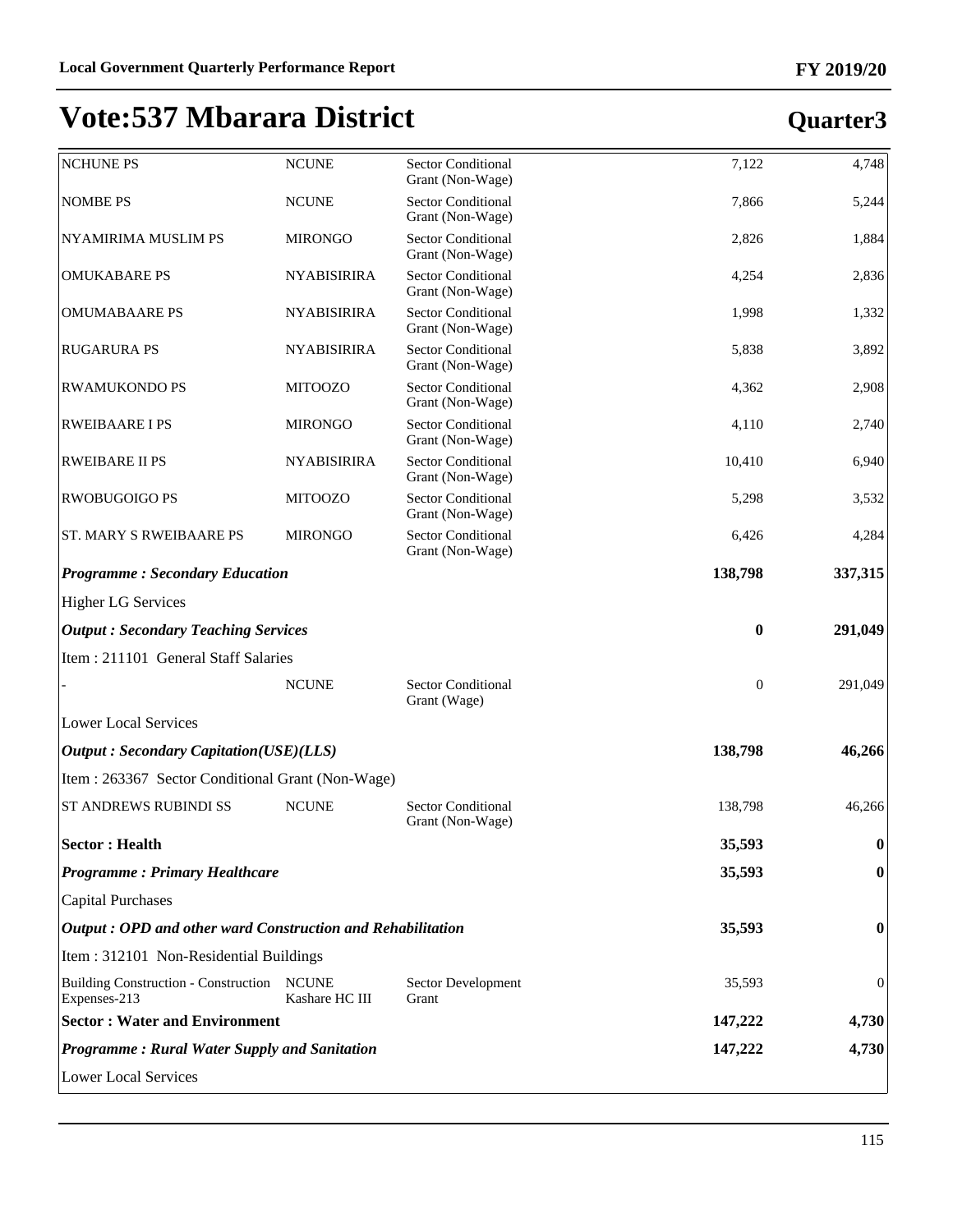| <b>NCHUNE PS</b>                                           | <b>NCUNE</b>       | <b>Sector Conditional</b><br>Grant (Non-Wage) | 7,122            | 4,748        |
|------------------------------------------------------------|--------------------|-----------------------------------------------|------------------|--------------|
| <b>NOMBE PS</b>                                            | <b>NCUNE</b>       | <b>Sector Conditional</b><br>Grant (Non-Wage) | 7,866            | 5,244        |
| <b>NYAMIRIMA MUSLIM PS</b>                                 | <b>MIRONGO</b>     | <b>Sector Conditional</b><br>Grant (Non-Wage) | 2,826            | 1,884        |
| <b>OMUKABARE PS</b>                                        | <b>NYABISIRIRA</b> | <b>Sector Conditional</b><br>Grant (Non-Wage) | 4,254            | 2,836        |
| <b>OMUMABAARE PS</b>                                       | <b>NYABISIRIRA</b> | <b>Sector Conditional</b><br>Grant (Non-Wage) | 1,998            | 1,332        |
| <b>RUGARURA PS</b>                                         | <b>NYABISIRIRA</b> | <b>Sector Conditional</b><br>Grant (Non-Wage) | 5,838            | 3,892        |
| <b>RWAMUKONDO PS</b>                                       | <b>MITOOZO</b>     | <b>Sector Conditional</b><br>Grant (Non-Wage) | 4,362            | 2,908        |
| <b>RWEIBAARE I PS</b>                                      | <b>MIRONGO</b>     | <b>Sector Conditional</b><br>Grant (Non-Wage) | 4,110            | 2,740        |
| <b>RWEIBARE II PS</b>                                      | <b>NYABISIRIRA</b> | <b>Sector Conditional</b><br>Grant (Non-Wage) | 10,410           | 6,940        |
| <b>RWOBUGOIGO PS</b>                                       | <b>MITOOZO</b>     | <b>Sector Conditional</b><br>Grant (Non-Wage) | 5,298            | 3,532        |
| <b>ST. MARY S RWEIBAARE PS</b>                             | <b>MIRONGO</b>     | <b>Sector Conditional</b><br>Grant (Non-Wage) | 6,426            | 4,284        |
| <b>Programme: Secondary Education</b>                      |                    |                                               | 138,798          | 337,315      |
| <b>Higher LG Services</b>                                  |                    |                                               |                  |              |
| <b>Output: Secondary Teaching Services</b>                 |                    |                                               | $\boldsymbol{0}$ | 291,049      |
| Item: 211101 General Staff Salaries                        |                    |                                               |                  |              |
|                                                            | <b>NCUNE</b>       | <b>Sector Conditional</b><br>Grant (Wage)     | $\boldsymbol{0}$ | 291,049      |
| <b>Lower Local Services</b>                                |                    |                                               |                  |              |
| <b>Output: Secondary Capitation(USE)(LLS)</b>              |                    |                                               | 138,798          | 46,266       |
| Item: 263367 Sector Conditional Grant (Non-Wage)           |                    |                                               |                  |              |
| ST ANDREWS RUBINDI SS                                      | <b>NCUNE</b>       | <b>Sector Conditional</b><br>Grant (Non-Wage) | 138,798          | 46,266       |
| <b>Sector: Health</b>                                      |                    |                                               | 35,593           | $\bf{0}$     |
| <b>Programme: Primary Healthcare</b>                       |                    |                                               | 35,593           | $\bf{0}$     |
| <b>Capital Purchases</b>                                   |                    |                                               |                  |              |
| Output: OPD and other ward Construction and Rehabilitation |                    |                                               | 35,593           | 0            |
| Item: 312101 Non-Residential Buildings                     |                    |                                               |                  |              |
| Building Construction - Construction NCUNE<br>Expenses-213 | Kashare HC III     | Sector Development<br>Grant                   | 35,593           | $\mathbf{0}$ |
| <b>Sector: Water and Environment</b>                       |                    |                                               | 147,222          | 4,730        |
| <b>Programme: Rural Water Supply and Sanitation</b>        |                    |                                               | 147,222          | 4,730        |
| <b>Lower Local Services</b>                                |                    |                                               |                  |              |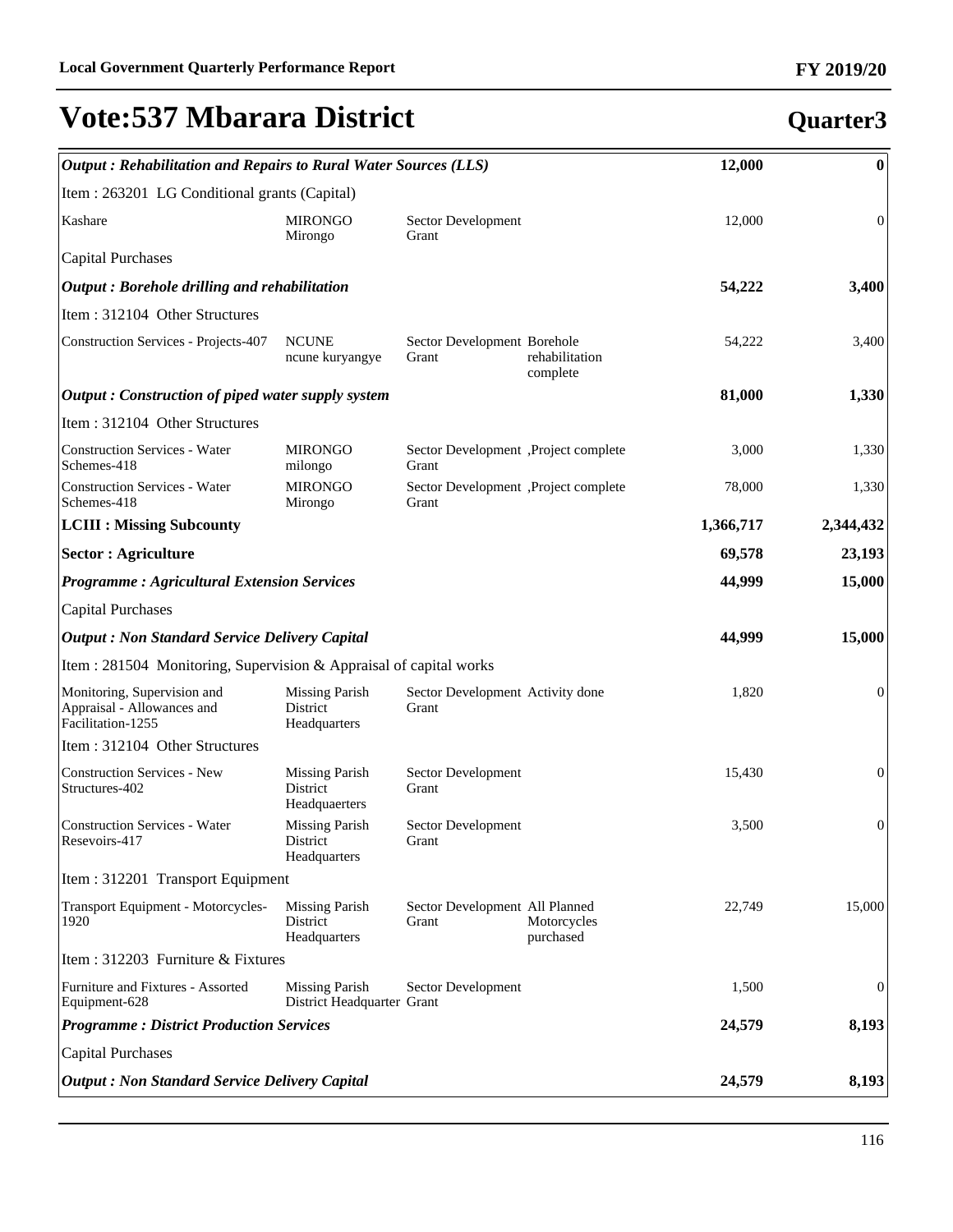| Output: Rehabilitation and Repairs to Rural Water Sources (LLS)                | 12,000                                              | $\bf{0}$                                      |                            |           |                  |
|--------------------------------------------------------------------------------|-----------------------------------------------------|-----------------------------------------------|----------------------------|-----------|------------------|
| Item : 263201 LG Conditional grants (Capital)                                  |                                                     |                                               |                            |           |                  |
| Kashare                                                                        | <b>MIRONGO</b><br>Mirongo                           | Sector Development<br>Grant                   |                            | 12,000    | $\overline{0}$   |
| <b>Capital Purchases</b>                                                       |                                                     |                                               |                            |           |                  |
| Output: Borehole drilling and rehabilitation                                   |                                                     |                                               |                            | 54,222    | 3,400            |
| Item: 312104 Other Structures                                                  |                                                     |                                               |                            |           |                  |
| <b>Construction Services - Projects-407</b>                                    | <b>NCUNE</b><br>ncune kuryangye                     | Sector Development Borehole<br>Grant          | rehabilitation<br>complete | 54,222    | 3,400            |
| Output: Construction of piped water supply system                              |                                                     |                                               |                            | 81,000    | 1,330            |
| Item: 312104 Other Structures                                                  |                                                     |                                               |                            |           |                  |
| <b>Construction Services - Water</b><br>Schemes-418                            | <b>MIRONGO</b><br>milongo                           | Sector Development ,Project complete<br>Grant |                            | 3,000     | 1,330            |
| <b>Construction Services - Water</b><br>Schemes-418                            | <b>MIRONGO</b><br>Mirongo                           | Sector Development ,Project complete<br>Grant |                            | 78,000    | 1,330            |
| <b>LCIII : Missing Subcounty</b>                                               |                                                     |                                               |                            | 1,366,717 | 2,344,432        |
| <b>Sector : Agriculture</b>                                                    |                                                     |                                               |                            | 69,578    | 23,193           |
| <b>Programme: Agricultural Extension Services</b>                              |                                                     |                                               |                            | 44,999    | 15,000           |
| <b>Capital Purchases</b>                                                       |                                                     |                                               |                            |           |                  |
| <b>Output : Non Standard Service Delivery Capital</b>                          |                                                     |                                               |                            | 44,999    | 15,000           |
| Item : 281504 Monitoring, Supervision & Appraisal of capital works             |                                                     |                                               |                            |           |                  |
| Monitoring, Supervision and<br>Appraisal - Allowances and<br>Facilitation-1255 | <b>Missing Parish</b><br>District<br>Headquarters   | Sector Development Activity done<br>Grant     |                            | 1,820     | $\overline{0}$   |
| Item: 312104 Other Structures                                                  |                                                     |                                               |                            |           |                  |
| <b>Construction Services - New</b><br>Structures-402                           | <b>Missing Parish</b><br>District<br>Headquaerters  | Sector Development<br>Grant                   |                            | 15,430    | $\mathbf{0}$     |
| <b>Construction Services - Water</b><br>Resevoirs-417                          | <b>Missing Parish</b><br>District<br>Headquarters   | Sector Development<br>Grant                   |                            | 3,500     | $\boldsymbol{0}$ |
| Item: 312201 Transport Equipment                                               |                                                     |                                               |                            |           |                  |
| Transport Equipment - Motorcycles-<br>1920                                     | <b>Missing Parish</b><br>District<br>Headquarters   | Sector Development All Planned<br>Grant       | Motorcycles<br>purchased   | 22,749    | 15,000           |
| Item: 312203 Furniture & Fixtures                                              |                                                     |                                               |                            |           |                  |
| Furniture and Fixtures - Assorted<br>Equipment-628                             | <b>Missing Parish</b><br>District Headquarter Grant | Sector Development                            |                            | 1,500     | $\boldsymbol{0}$ |
| <b>Programme: District Production Services</b>                                 |                                                     |                                               |                            | 24,579    | 8,193            |
| <b>Capital Purchases</b>                                                       |                                                     |                                               |                            |           |                  |
| <b>Output: Non Standard Service Delivery Capital</b>                           |                                                     |                                               |                            | 24,579    | 8,193            |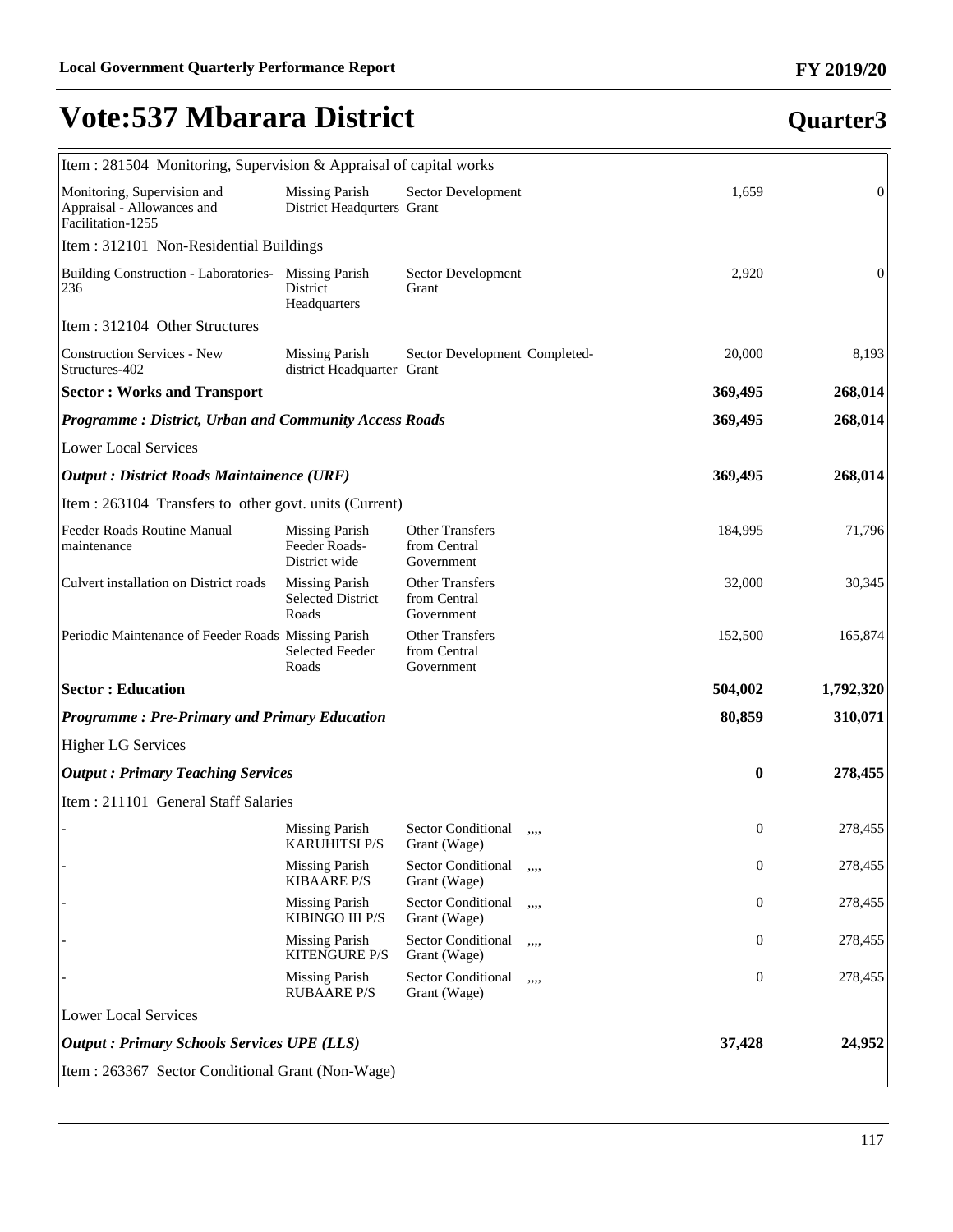| Item : 281504 Monitoring, Supervision & Appraisal of capital works             |                                                            |                                                      |      |                  |                |
|--------------------------------------------------------------------------------|------------------------------------------------------------|------------------------------------------------------|------|------------------|----------------|
| Monitoring, Supervision and<br>Appraisal - Allowances and<br>Facilitation-1255 | <b>Missing Parish</b><br>District Headqurters Grant        | Sector Development                                   |      | 1,659            | $\mathbf{0}$   |
| Item: 312101 Non-Residential Buildings                                         |                                                            |                                                      |      |                  |                |
| Building Construction - Laboratories- Missing Parish<br>236                    | District<br>Headquarters                                   | Sector Development<br>Grant                          |      | 2,920            | $\overline{0}$ |
| Item: 312104 Other Structures                                                  |                                                            |                                                      |      |                  |                |
| <b>Construction Services - New</b><br>Structures-402                           | <b>Missing Parish</b><br>district Headquarter Grant        | Sector Development Completed-                        |      | 20,000           | 8,193          |
| <b>Sector: Works and Transport</b>                                             |                                                            |                                                      |      | 369,495          | 268,014        |
| <b>Programme: District, Urban and Community Access Roads</b>                   |                                                            |                                                      |      | 369,495          | 268,014        |
| <b>Lower Local Services</b>                                                    |                                                            |                                                      |      |                  |                |
| Output : District Roads Maintainence (URF)                                     |                                                            |                                                      |      | 369,495          | 268,014        |
| Item : 263104 Transfers to other govt. units (Current)                         |                                                            |                                                      |      |                  |                |
| Feeder Roads Routine Manual<br>maintenance                                     | <b>Missing Parish</b><br>Feeder Roads-<br>District wide    | <b>Other Transfers</b><br>from Central<br>Government |      | 184,995          | 71,796         |
| Culvert installation on District roads                                         | <b>Missing Parish</b><br><b>Selected District</b><br>Roads | <b>Other Transfers</b><br>from Central<br>Government |      | 32,000           | 30,345         |
| Periodic Maintenance of Feeder Roads Missing Parish                            | <b>Selected Feeder</b><br>Roads                            | <b>Other Transfers</b><br>from Central<br>Government |      | 152,500          | 165,874        |
| <b>Sector: Education</b>                                                       |                                                            |                                                      |      | 504,002          | 1,792,320      |
| <b>Programme: Pre-Primary and Primary Education</b>                            |                                                            |                                                      |      | 80,859           | 310,071        |
| <b>Higher LG Services</b>                                                      |                                                            |                                                      |      |                  |                |
| <b>Output : Primary Teaching Services</b>                                      |                                                            |                                                      |      | $\bf{0}$         | 278,455        |
| Item: 211101 General Staff Salaries                                            |                                                            |                                                      |      |                  |                |
|                                                                                | Missing Parish<br><b>KARUHITSI P/S</b>                     | <b>Sector Conditional</b><br>Grant (Wage)            | ,,,, | $\boldsymbol{0}$ | 278,455        |
|                                                                                | <b>Missing Parish</b><br><b>KIBAARE P/S</b>                | <b>Sector Conditional</b><br>Grant (Wage)            | ,,,, | $\boldsymbol{0}$ | 278,455        |
|                                                                                | <b>Missing Parish</b><br>KIBINGO III P/S                   | Sector Conditional<br>Grant (Wage)                   | ,,,, | 0                | 278,455        |
|                                                                                | <b>Missing Parish</b><br><b>KITENGURE P/S</b>              | Sector Conditional<br>Grant (Wage)                   | ,,,, | 0                | 278,455        |
|                                                                                | <b>Missing Parish</b><br><b>RUBAARE P/S</b>                | Sector Conditional<br>Grant (Wage)                   | ,,,, | $\boldsymbol{0}$ | 278,455        |
| Lower Local Services                                                           |                                                            |                                                      |      |                  |                |
| <b>Output : Primary Schools Services UPE (LLS)</b>                             |                                                            |                                                      |      | 37,428           | 24,952         |
| Item: 263367 Sector Conditional Grant (Non-Wage)                               |                                                            |                                                      |      |                  |                |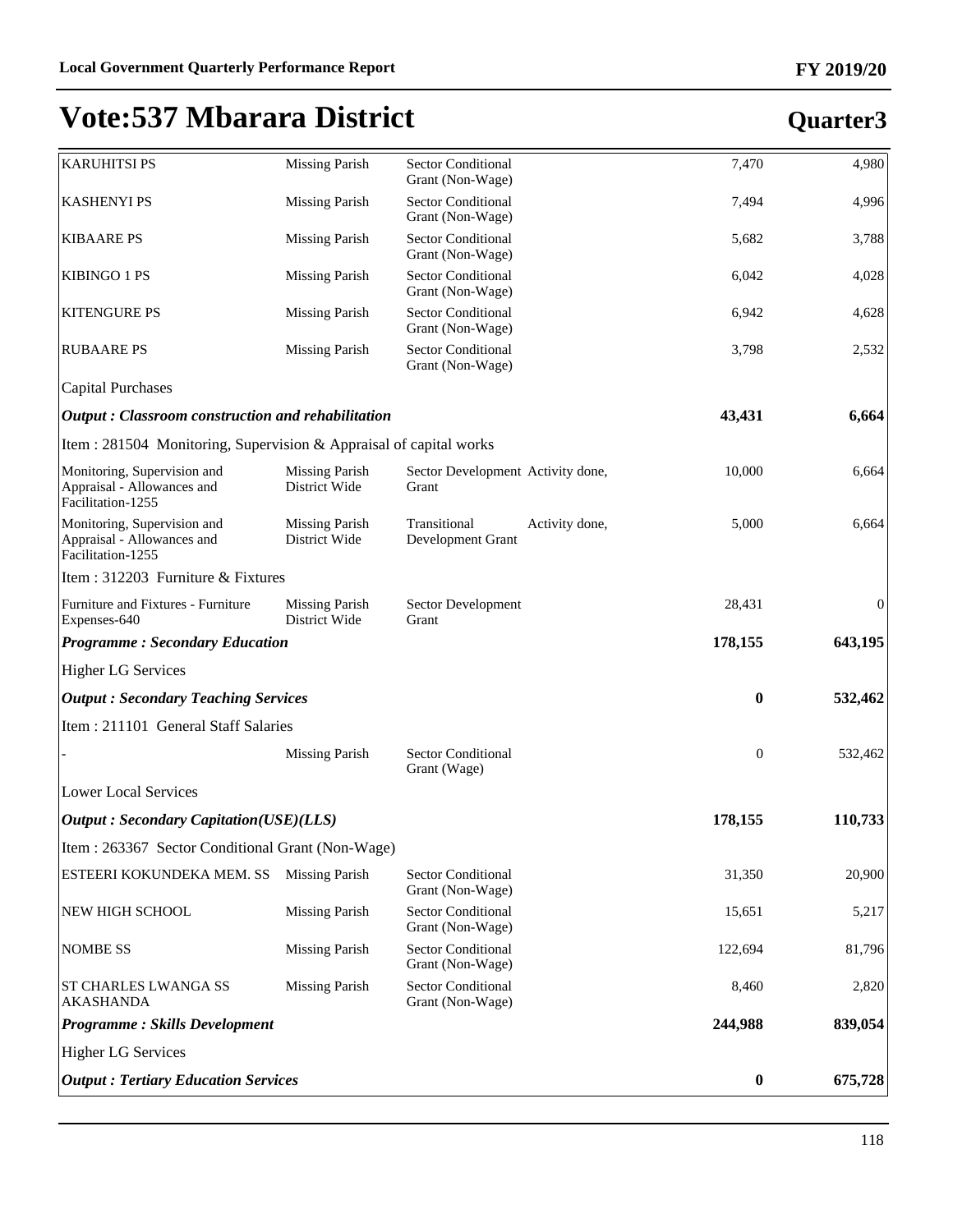# **FY 2019/20**

| <b>Output : Tertiary Education Services</b>                                                                   |                                                                 |                                                                              | $\boldsymbol{0}$ | 675,728          |
|---------------------------------------------------------------------------------------------------------------|-----------------------------------------------------------------|------------------------------------------------------------------------------|------------------|------------------|
| <b>Higher LG Services</b>                                                                                     |                                                                 |                                                                              |                  |                  |
| <b>Programme: Skills Development</b>                                                                          |                                                                 |                                                                              | 244,988          | 839,054          |
| ST CHARLES LWANGA SS<br>AKASHANDA                                                                             | <b>Missing Parish</b>                                           | <b>Sector Conditional</b><br>Grant (Non-Wage)                                | 8,460            | 2,820            |
| <b>NOMBE SS</b>                                                                                               | <b>Missing Parish</b>                                           | Sector Conditional<br>Grant (Non-Wage)                                       | 122,694          | 81,796           |
| NEW HIGH SCHOOL                                                                                               | <b>Missing Parish</b>                                           | Sector Conditional<br>Grant (Non-Wage)                                       | 15,651           | 5,217            |
| ESTEERI KOKUNDEKA MEM. SS                                                                                     | <b>Missing Parish</b>                                           | <b>Sector Conditional</b><br>Grant (Non-Wage)                                | 31,350           | 20,900           |
| Item: 263367 Sector Conditional Grant (Non-Wage)                                                              |                                                                 |                                                                              |                  |                  |
| <b>Output: Secondary Capitation(USE)(LLS)</b>                                                                 |                                                                 |                                                                              | 178,155          | 110,733          |
| <b>Lower Local Services</b>                                                                                   |                                                                 | Grant (Wage)                                                                 |                  |                  |
|                                                                                                               | <b>Missing Parish</b>                                           | <b>Sector Conditional</b>                                                    | $\mathbf{0}$     | 532,462          |
| <b>Output: Secondary Teaching Services</b><br>Item: 211101 General Staff Salaries                             |                                                                 |                                                                              |                  |                  |
| <b>Higher LG Services</b>                                                                                     |                                                                 |                                                                              | $\bf{0}$         | 532,462          |
| <b>Programme: Secondary Education</b>                                                                         |                                                                 |                                                                              | 178,155          | 643,195          |
| Expenses-640                                                                                                  | District Wide                                                   | Grant                                                                        |                  |                  |
| Furniture and Fixtures - Furniture                                                                            | <b>Missing Parish</b>                                           | Sector Development                                                           | 28,431           | $\boldsymbol{0}$ |
| Appraisal - Allowances and<br>Facilitation-1255<br>Item: 312203 Furniture & Fixtures                          | District Wide                                                   | Development Grant                                                            |                  |                  |
| Monitoring, Supervision and<br>Appraisal - Allowances and<br>Facilitation-1255<br>Monitoring, Supervision and | <b>Missing Parish</b><br>District Wide<br><b>Missing Parish</b> | Sector Development Activity done,<br>Grant<br>Transitional<br>Activity done, | 10,000<br>5,000  | 6,664<br>6,664   |
| Item : 281504 Monitoring, Supervision & Appraisal of capital works                                            |                                                                 |                                                                              |                  |                  |
| Output: Classroom construction and rehabilitation                                                             |                                                                 |                                                                              | 43,431           | 6,664            |
| <b>Capital Purchases</b>                                                                                      |                                                                 |                                                                              |                  |                  |
| <b>RUBAARE PS</b>                                                                                             | <b>Missing Parish</b>                                           | <b>Sector Conditional</b><br>Grant (Non-Wage)                                | 3,798            | 2,532            |
| <b>KITENGURE PS</b>                                                                                           | <b>Missing Parish</b>                                           | <b>Sector Conditional</b><br>Grant (Non-Wage)                                | 6,942            | 4,628            |
| <b>KIBINGO 1 PS</b>                                                                                           | <b>Missing Parish</b>                                           | <b>Sector Conditional</b><br>Grant (Non-Wage)                                | 6,042            | 4,028            |
| <b>KIBAARE PS</b>                                                                                             | <b>Missing Parish</b>                                           | <b>Sector Conditional</b><br>Grant (Non-Wage)                                | 5,682            | 3,788            |
| <b>KASHENYI PS</b>                                                                                            | <b>Missing Parish</b>                                           | <b>Sector Conditional</b><br>Grant (Non-Wage)                                | 7,494            | 4,996            |
| <b>KARUHITSI PS</b>                                                                                           | <b>Missing Parish</b>                                           | <b>Sector Conditional</b><br>Grant (Non-Wage)                                | 7,470            | 4,980            |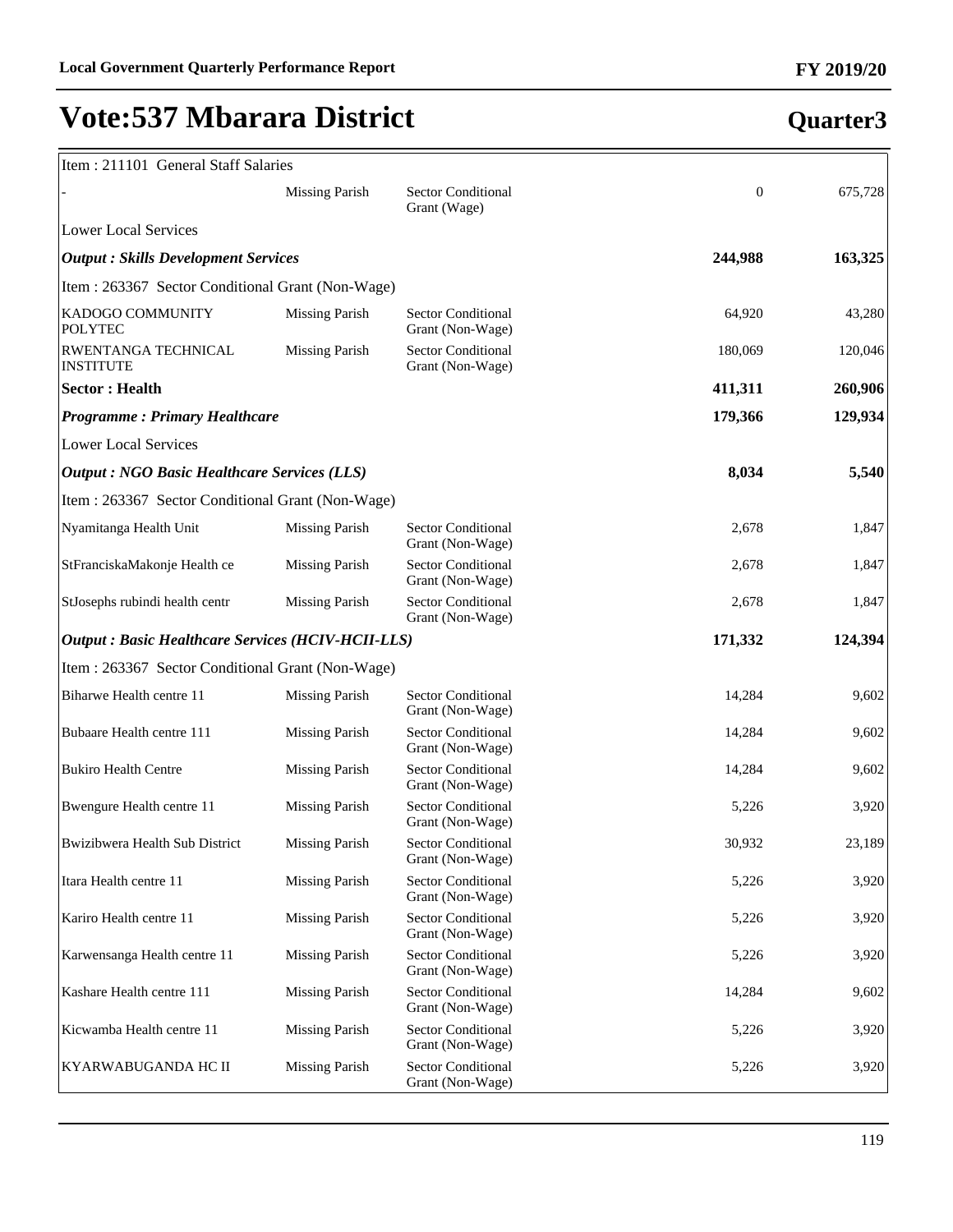| Item: 211101 General Staff Salaries                      |                       |                                               |              |                                                      |
|----------------------------------------------------------|-----------------------|-----------------------------------------------|--------------|------------------------------------------------------|
|                                                          | <b>Missing Parish</b> | <b>Sector Conditional</b><br>Grant (Wage)     | $\mathbf{0}$ | 675,728                                              |
| <b>Lower Local Services</b>                              |                       |                                               |              |                                                      |
| <b>Output : Skills Development Services</b>              |                       |                                               | 244,988      | 163,325                                              |
| Item: 263367 Sector Conditional Grant (Non-Wage)         |                       |                                               |              |                                                      |
| KADOGO COMMUNITY<br><b>POLYTEC</b>                       | <b>Missing Parish</b> | <b>Sector Conditional</b><br>Grant (Non-Wage) | 64,920       | 43,280                                               |
| RWENTANGA TECHNICAL<br><b>INSTITUTE</b>                  | <b>Missing Parish</b> | <b>Sector Conditional</b><br>Grant (Non-Wage) | 180,069      | 120,046                                              |
| <b>Sector: Health</b>                                    |                       |                                               | 411,311      | 260,906                                              |
| <b>Programme: Primary Healthcare</b>                     |                       |                                               | 179,366      | 129,934                                              |
| <b>Lower Local Services</b>                              |                       |                                               |              |                                                      |
| <b>Output : NGO Basic Healthcare Services (LLS)</b>      |                       |                                               | 8,034        | 5,540                                                |
| Item: 263367 Sector Conditional Grant (Non-Wage)         |                       |                                               |              |                                                      |
| Nyamitanga Health Unit                                   | <b>Missing Parish</b> | <b>Sector Conditional</b><br>Grant (Non-Wage) | 2,678        | 1,847                                                |
| StFranciskaMakonje Health ce                             | <b>Missing Parish</b> | Sector Conditional<br>Grant (Non-Wage)        | 2,678        | 1,847                                                |
| StJosephs rubindi health centr                           | <b>Missing Parish</b> | Sector Conditional<br>Grant (Non-Wage)        | 2,678        | 1,847                                                |
|                                                          |                       |                                               |              |                                                      |
| <b>Output: Basic Healthcare Services (HCIV-HCII-LLS)</b> |                       |                                               | 171,332      |                                                      |
| Item : 263367 Sector Conditional Grant (Non-Wage)        |                       |                                               |              |                                                      |
| Biharwe Health centre 11                                 | <b>Missing Parish</b> | Sector Conditional<br>Grant (Non-Wage)        | 14,284       | 9,602                                                |
| Bubaare Health centre 111                                | <b>Missing Parish</b> | Sector Conditional<br>Grant (Non-Wage)        | 14,284       | 9,602                                                |
| <b>Bukiro Health Centre</b>                              | <b>Missing Parish</b> | Sector Conditional<br>Grant (Non-Wage)        | 14,284       | 9,602                                                |
| Bwengure Health centre 11                                | <b>Missing Parish</b> | Sector Conditional<br>Grant (Non-Wage)        | 5,226        |                                                      |
| Bwizibwera Health Sub District                           | <b>Missing Parish</b> | Sector Conditional<br>Grant (Non-Wage)        | 30,932       | 23,189                                               |
| Itara Health centre 11                                   | <b>Missing Parish</b> | Sector Conditional<br>Grant (Non-Wage)        | 5,226        |                                                      |
| Kariro Health centre 11                                  | <b>Missing Parish</b> | Sector Conditional<br>Grant (Non-Wage)        | 5,226        |                                                      |
| Karwensanga Health centre 11                             | <b>Missing Parish</b> | Sector Conditional<br>Grant (Non-Wage)        | 5,226        |                                                      |
| Kashare Health centre 111                                | <b>Missing Parish</b> | Sector Conditional<br>Grant (Non-Wage)        | 14,284       | 9,602                                                |
| Kicwamba Health centre 11                                | <b>Missing Parish</b> | Sector Conditional<br>Grant (Non-Wage)        | 5,226        | 124,394<br>3,920<br>3,920<br>3,920<br>3,920<br>3,920 |

119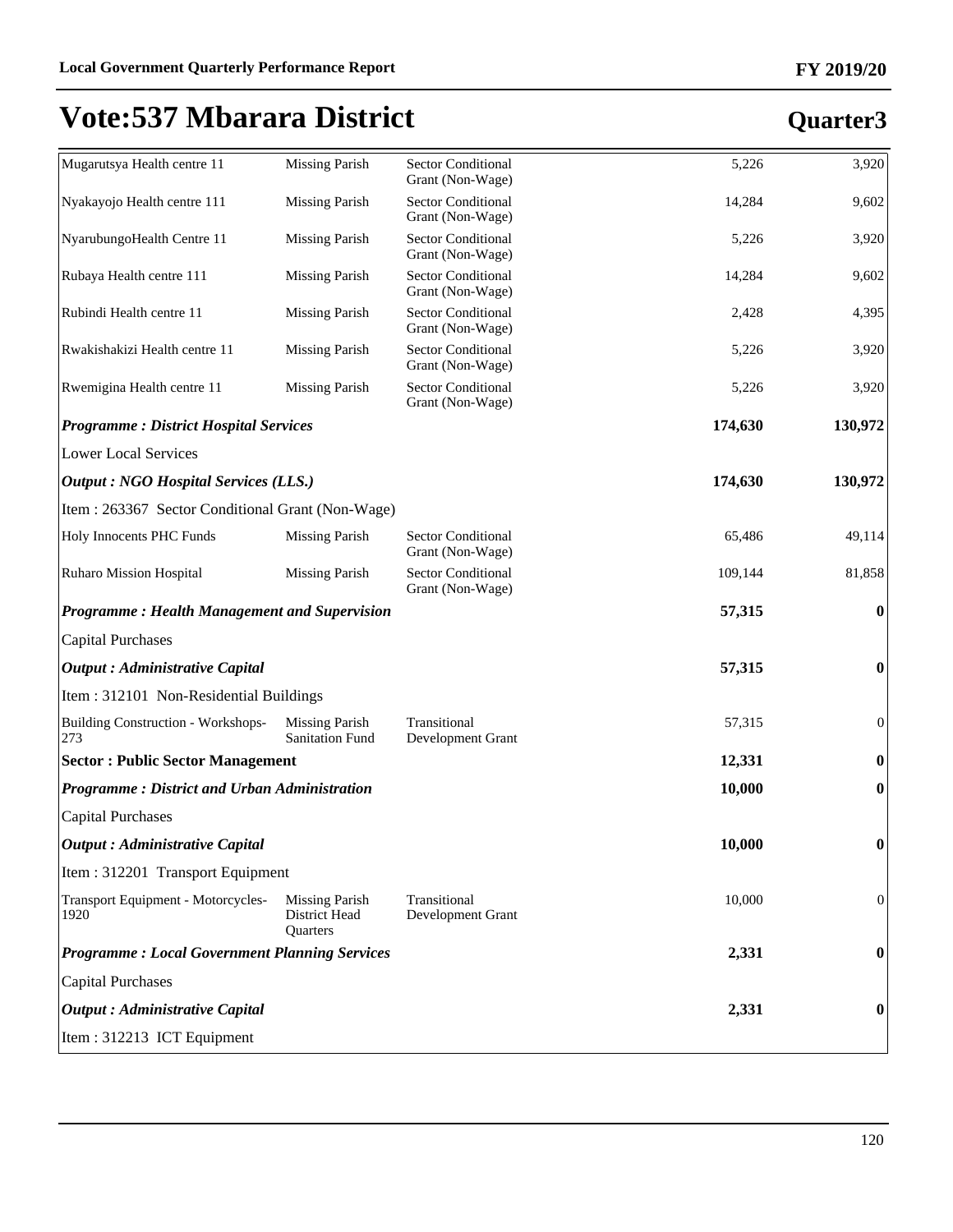| Mugarutsya Health centre 11                          | <b>Missing Parish</b>                                     | Sector Conditional<br>Grant (Non-Wage)        | 5,226   | 3,920            |
|------------------------------------------------------|-----------------------------------------------------------|-----------------------------------------------|---------|------------------|
| Nyakayojo Health centre 111                          | <b>Missing Parish</b>                                     | <b>Sector Conditional</b><br>Grant (Non-Wage) | 14,284  | 9,602            |
| NyarubungoHealth Centre 11                           | <b>Missing Parish</b>                                     | Sector Conditional<br>Grant (Non-Wage)        | 5,226   | 3,920            |
| Rubaya Health centre 111                             | <b>Missing Parish</b>                                     | Sector Conditional<br>Grant (Non-Wage)        | 14,284  | 9,602            |
| Rubindi Health centre 11                             | <b>Missing Parish</b>                                     | <b>Sector Conditional</b><br>Grant (Non-Wage) | 2,428   | 4,395            |
| Rwakishakizi Health centre 11                        | <b>Missing Parish</b>                                     | <b>Sector Conditional</b><br>Grant (Non-Wage) | 5,226   | 3,920            |
| Rwemigina Health centre 11                           | <b>Missing Parish</b>                                     | <b>Sector Conditional</b><br>Grant (Non-Wage) | 5,226   | 3,920            |
| <b>Programme: District Hospital Services</b>         |                                                           |                                               | 174,630 | 130,972          |
| <b>Lower Local Services</b>                          |                                                           |                                               |         |                  |
| <b>Output : NGO Hospital Services (LLS.)</b>         |                                                           |                                               | 174,630 | 130,972          |
| Item: 263367 Sector Conditional Grant (Non-Wage)     |                                                           |                                               |         |                  |
| Holy Innocents PHC Funds                             | <b>Missing Parish</b>                                     | <b>Sector Conditional</b><br>Grant (Non-Wage) | 65,486  | 49,114           |
| <b>Ruharo Mission Hospital</b>                       | <b>Missing Parish</b>                                     | <b>Sector Conditional</b><br>Grant (Non-Wage) | 109,144 | 81,858           |
| <b>Programme: Health Management and Supervision</b>  |                                                           |                                               | 57,315  | $\bf{0}$         |
| <b>Capital Purchases</b>                             |                                                           |                                               |         |                  |
| <b>Output</b> : Administrative Capital               |                                                           |                                               | 57,315  | $\boldsymbol{0}$ |
| Item: 312101 Non-Residential Buildings               |                                                           |                                               |         |                  |
| <b>Building Construction - Workshops-</b><br>273     | <b>Missing Parish</b><br><b>Sanitation Fund</b>           | Transitional<br>Development Grant             | 57,315  | $\boldsymbol{0}$ |
| <b>Sector: Public Sector Management</b>              |                                                           |                                               | 12,331  | $\boldsymbol{0}$ |
| <b>Programme: District and Urban Administration</b>  |                                                           |                                               | 10,000  | $\boldsymbol{0}$ |
| <b>Capital Purchases</b>                             |                                                           |                                               |         |                  |
| <b>Output</b> : Administrative Capital               |                                                           |                                               | 10,000  | $\boldsymbol{0}$ |
| Item: 312201 Transport Equipment                     |                                                           |                                               |         |                  |
| Transport Equipment - Motorcycles-<br>1920           | <b>Missing Parish</b><br>District Head<br><b>Ouarters</b> | Transitional<br>Development Grant             | 10,000  | $\boldsymbol{0}$ |
| <b>Programme: Local Government Planning Services</b> |                                                           |                                               | 2,331   | $\bf{0}$         |
| <b>Capital Purchases</b>                             |                                                           |                                               |         |                  |
| <b>Output</b> : Administrative Capital               |                                                           |                                               | 2,331   | $\bf{0}$         |
| Item: 312213 ICT Equipment                           |                                                           |                                               |         |                  |